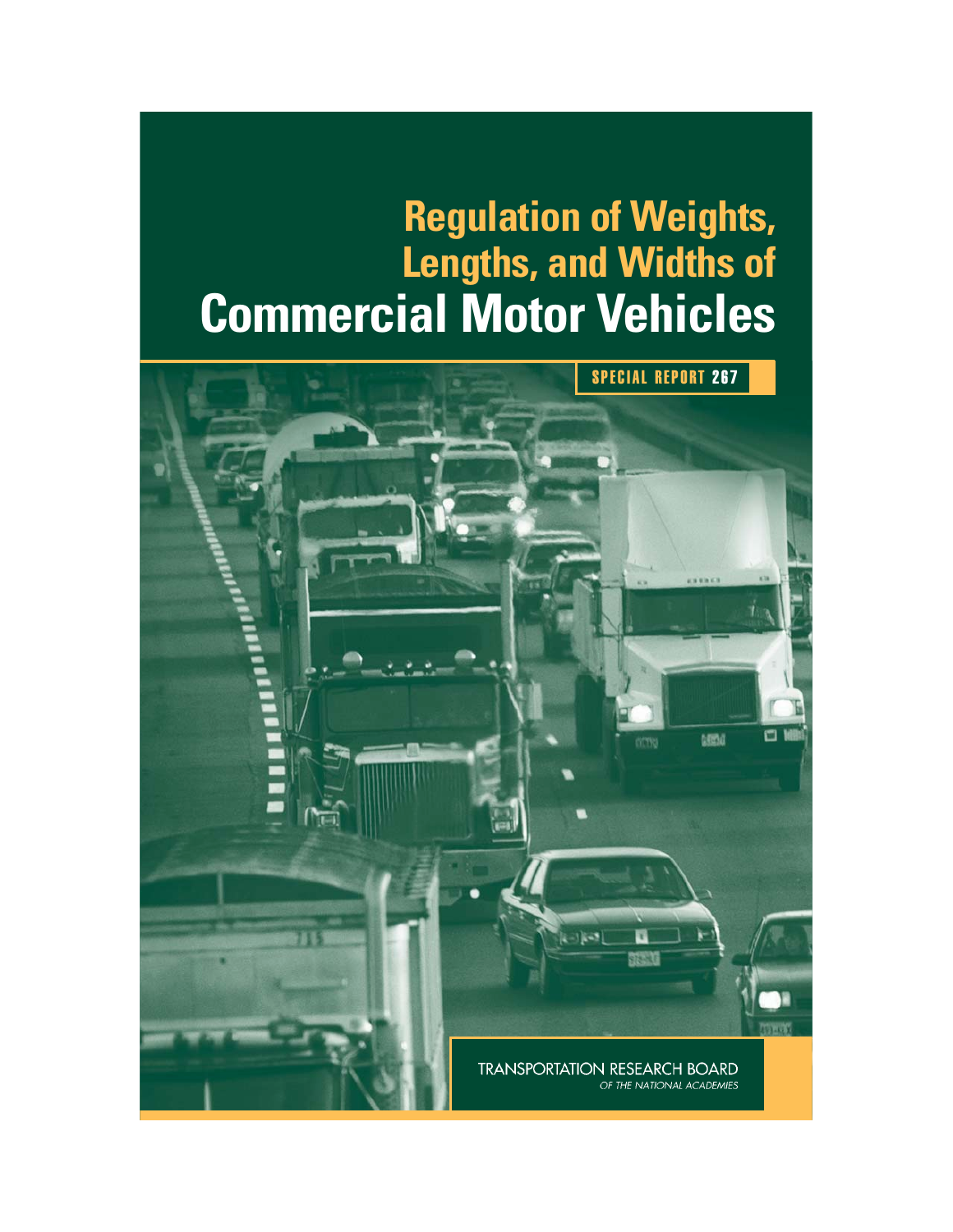# **Regulation of Weights, Lengths, and Widths of Commercial Motor Vehicles**

SPECIAL REPORT 267tend ▭  $-18 - 2$ **TRANSPORTATION RESEARCH BOARD** OF THE NATIONAL ACADEMIES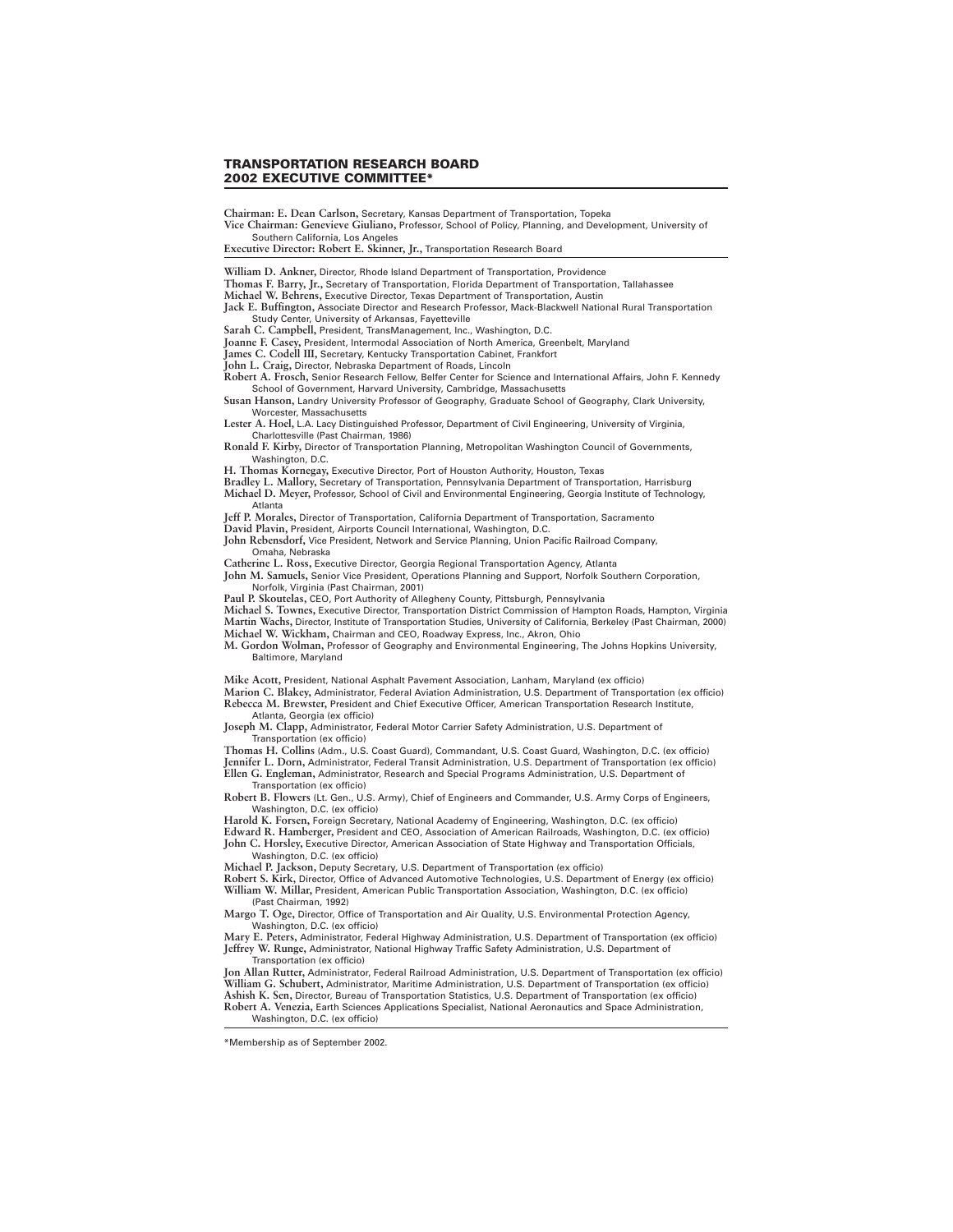#### **TRANSPORTATION RESEARCH BOARD 2002 EXECUTIVE COMMITTEE\***

**Chairman: E. Dean Carlson,** Secretary, Kansas Department of Transportation, Topeka

**Vice Chairman: Genevieve Giuliano,** Professor, School of Policy, Planning, and Development, University of Southern California, Los Angeles

**Executive Director: Robert E. Skinner, Jr.,** Transportation Research Board

**William D. Ankner,** Director, Rhode Island Department of Transportation, Providence

**Thomas F. Barry, Jr.,** Secretary of Transportation, Florida Department of Transportation, Tallahassee

**Michael W. Behrens,** Executive Director, Texas Department of Transportation, Austin

**Jack E. Buffington,** Associate Director and Research Professor, Mack-Blackwell National Rural Transportation Study Center, University of Arkansas, Fayetteville

**Sarah C. Campbell,** President, TransManagement, Inc., Washington, D.C.

**Joanne F. Casey,** President, Intermodal Association of North America, Greenbelt, Maryland

**James C. Codell III,** Secretary, Kentucky Transportation Cabinet, Frankfort

**John L. Craig,** Director, Nebraska Department of Roads, Lincoln

**Robert A. Frosch,** Senior Research Fellow, Belfer Center for Science and International Affairs, John F. Kennedy School of Government, Harvard University, Cambridge, Massachusetts

**Susan Hanson,** Landry University Professor of Geography, Graduate School of Geography, Clark University, Worcester, Massachusetts

**Lester A. Hoel,** L.A. Lacy Distinguished Professor, Department of Civil Engineering, University of Virginia, Charlottesville (Past Chairman, 1986)

**Ronald F. Kirby,** Director of Transportation Planning, Metropolitan Washington Council of Governments, Washington, D.C.

**H. Thomas Kornegay,** Executive Director, Port of Houston Authority, Houston, Texas

**Bradley L. Mallory,** Secretary of Transportation, Pennsylvania Department of Transportation, Harrisburg

**Michael D. Meyer,** Professor, School of Civil and Environmental Engineering, Georgia Institute of Technology, Atlanta

**Jeff P. Morales,** Director of Transportation, California Department of Transportation, Sacramento

**David Plavin,** President, Airports Council International, Washington, D.C.

**John Rebensdorf,** Vice President, Network and Service Planning, Union Pacific Railroad Company, Omaha, Nebraska

**Catherine L. Ross,** Executive Director, Georgia Regional Transportation Agency, Atlanta

**John M. Samuels,** Senior Vice President, Operations Planning and Support, Norfolk Southern Corporation, Norfolk, Virginia (Past Chairman, 2001)

**Paul P. Skoutelas,** CEO, Port Authority of Allegheny County, Pittsburgh, Pennsylvania

**Michael S. Townes,** Executive Director, Transportation District Commission of Hampton Roads, Hampton, Virginia **Martin Wachs,** Director, Institute of Transportation Studies, University of California, Berkeley (Past Chairman, 2000) **Michael W. Wickham,** Chairman and CEO, Roadway Express, Inc., Akron, Ohio

**M. Gordon Wolman,** Professor of Geography and Environmental Engineering, The Johns Hopkins University, Baltimore, Maryland

**Mike Acott,** President, National Asphalt Pavement Association, Lanham, Maryland (ex officio)

**Marion C. Blakey,** Administrator, Federal Aviation Administration, U.S. Department of Transportation (ex officio) **Rebecca M. Brewster,** President and Chief Executive Officer, American Transportation Research Institute, Atlanta, Georgia (ex officio)

**Joseph M. Clapp,** Administrator, Federal Motor Carrier Safety Administration, U.S. Department of Transportation (ex officio)

**Thomas H. Collins** (Adm., U.S. Coast Guard), Commandant, U.S. Coast Guard, Washington, D.C. (ex officio)

**Jennifer L. Dorn,** Administrator, Federal Transit Administration, U.S. Department of Transportation (ex officio)

**Ellen G. Engleman,** Administrator, Research and Special Programs Administration, U.S. Department of Transportation (ex officio)

**Robert B. Flowers** (Lt. Gen., U.S. Army), Chief of Engineers and Commander, U.S. Army Corps of Engineers, Washington, D.C. (ex officio)

**Harold K. Forsen,** Foreign Secretary, National Academy of Engineering, Washington, D.C. (ex officio)

**Edward R. Hamberger,** President and CEO, Association of American Railroads, Washington, D.C. (ex officio) **John C. Horsley,** Executive Director, American Association of State Highway and Transportation Officials,

Washington, D.C. (ex officio)

**Michael P. Jackson,** Deputy Secretary, U.S. Department of Transportation (ex officio)

**Robert S. Kirk,** Director, Office of Advanced Automotive Technologies, U.S. Department of Energy (ex officio) **William W. Millar,** President, American Public Transportation Association, Washington, D.C. (ex officio) (Past Chairman, 1992)

**Margo T. Oge,** Director, Office of Transportation and Air Quality, U.S. Environmental Protection Agency, Washington, D.C. (ex officio)

**Mary E. Peters,** Administrator, Federal Highway Administration, U.S. Department of Transportation (ex officio) **Jeffrey W. Runge,** Administrator, National Highway Traffic Safety Administration, U.S. Department of Transportation (ex officio)

**Jon Allan Rutter,** Administrator, Federal Railroad Administration, U.S. Department of Transportation (ex officio) **William G. Schubert,** Administrator, Maritime Administration, U.S. Department of Transportation (ex officio) **Ashish K. Sen,** Director, Bureau of Transportation Statistics, U.S. Department of Transportation (ex officio) **Robert A. Venezia,** Earth Sciences Applications Specialist, National Aeronautics and Space Administration, Washington, D.C. (ex officio)

\*Membership as of September 2002.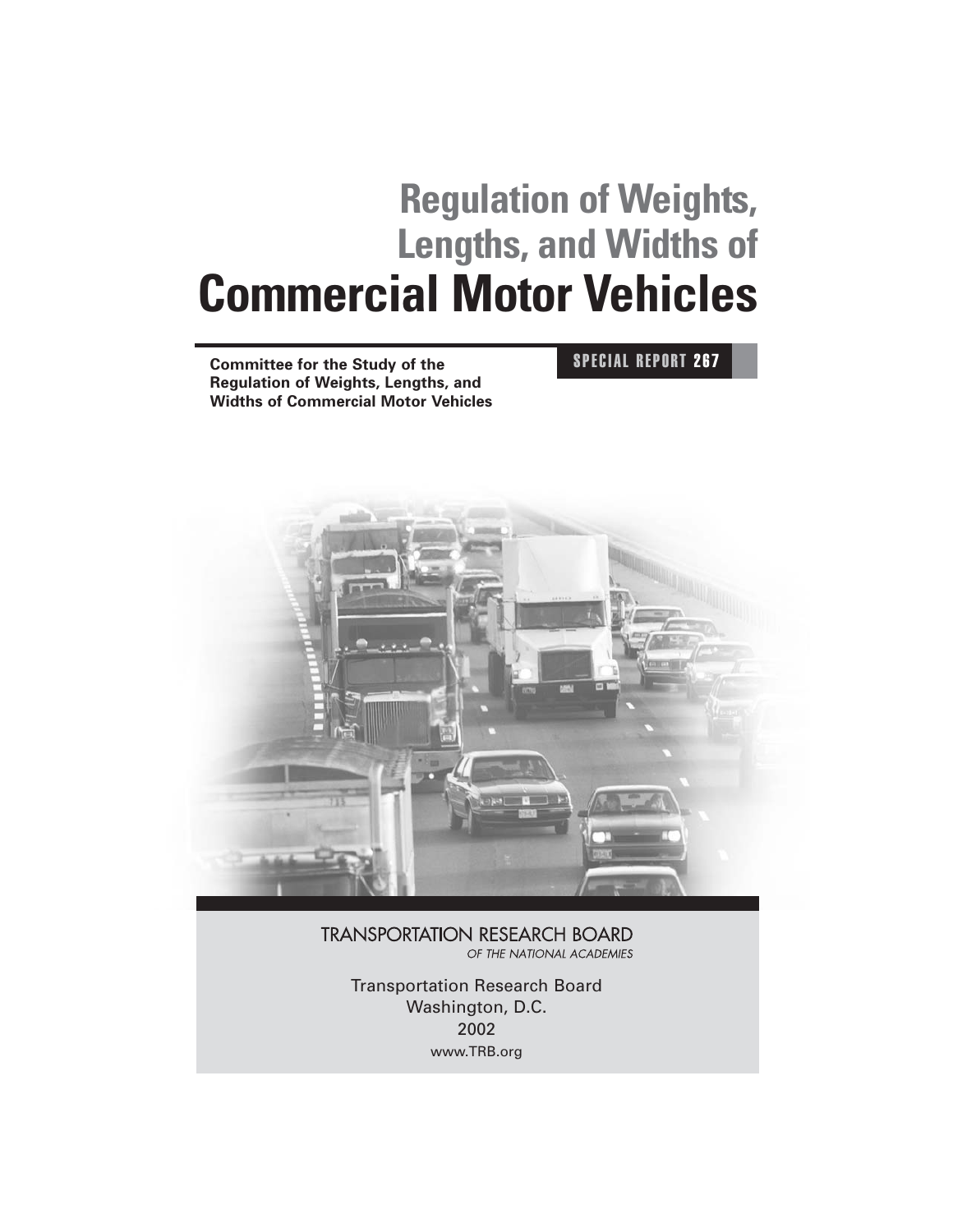# **Regulation of Weights, Lengths, and Widths of Commercial Motor Vehicles**

**Committee for the Study of the Regulation of Weights, Lengths, and Widths of Commercial Motor Vehicles** SPECIAL REPORT 267



## **TRANSPORTATION RESEARCH BOARD** OF THE NATIONAL ACADEMIES

Transportation Research Board Washington, D.C. 2002 www.TRB.org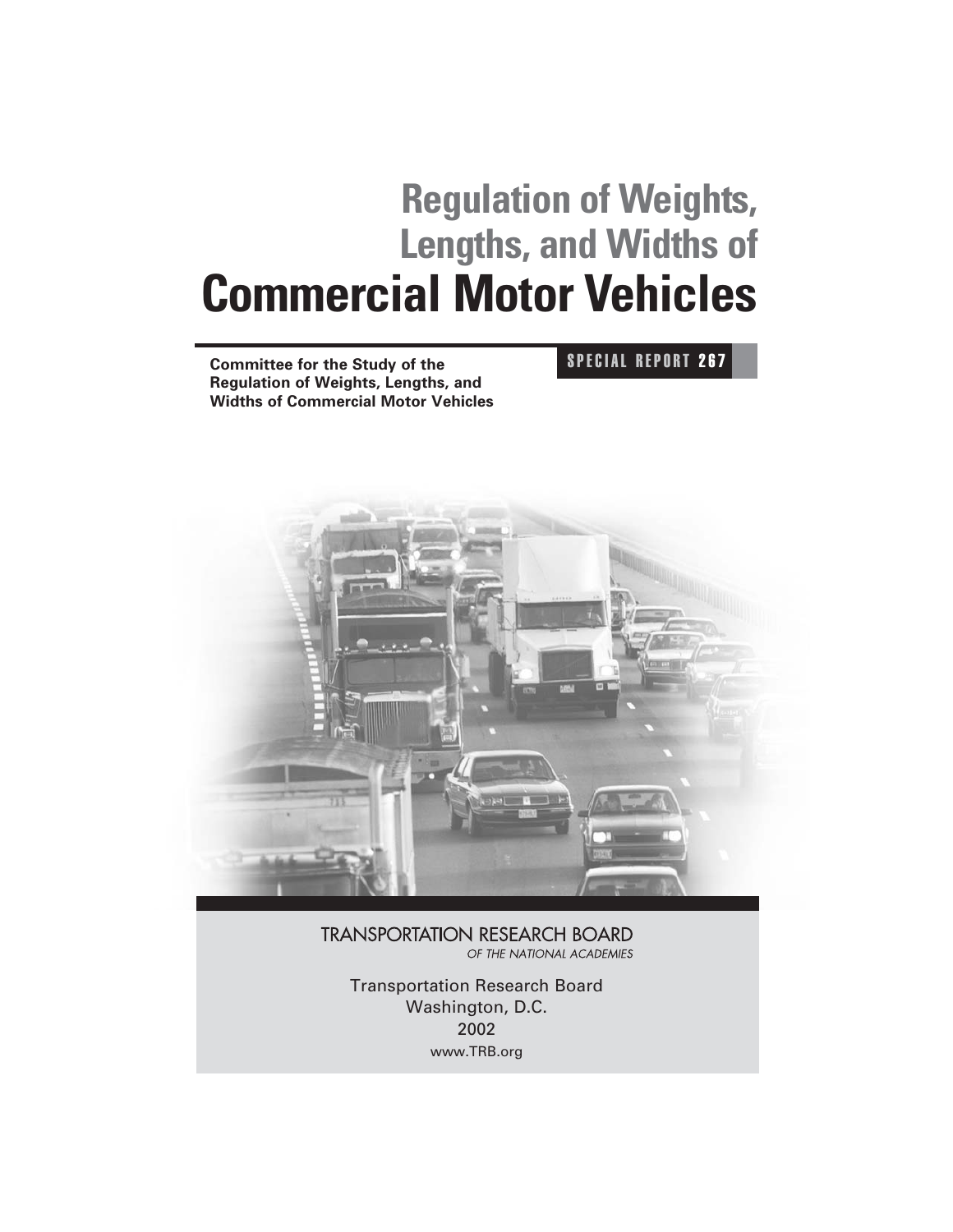# **Regulation of Weights, Lengths, and Widths of Commercial Motor Vehicles**

**Committee for the Study of the Regulation of Weights, Lengths, and Widths of Commercial Motor Vehicles**

# SPECIAL REPORT 267



## **TRANSPORTATION RESEARCH BOARD** OF THE NATIONAL ACADEMIES

Transportation Research Board Washington, D.C. 2002 www.TRB.org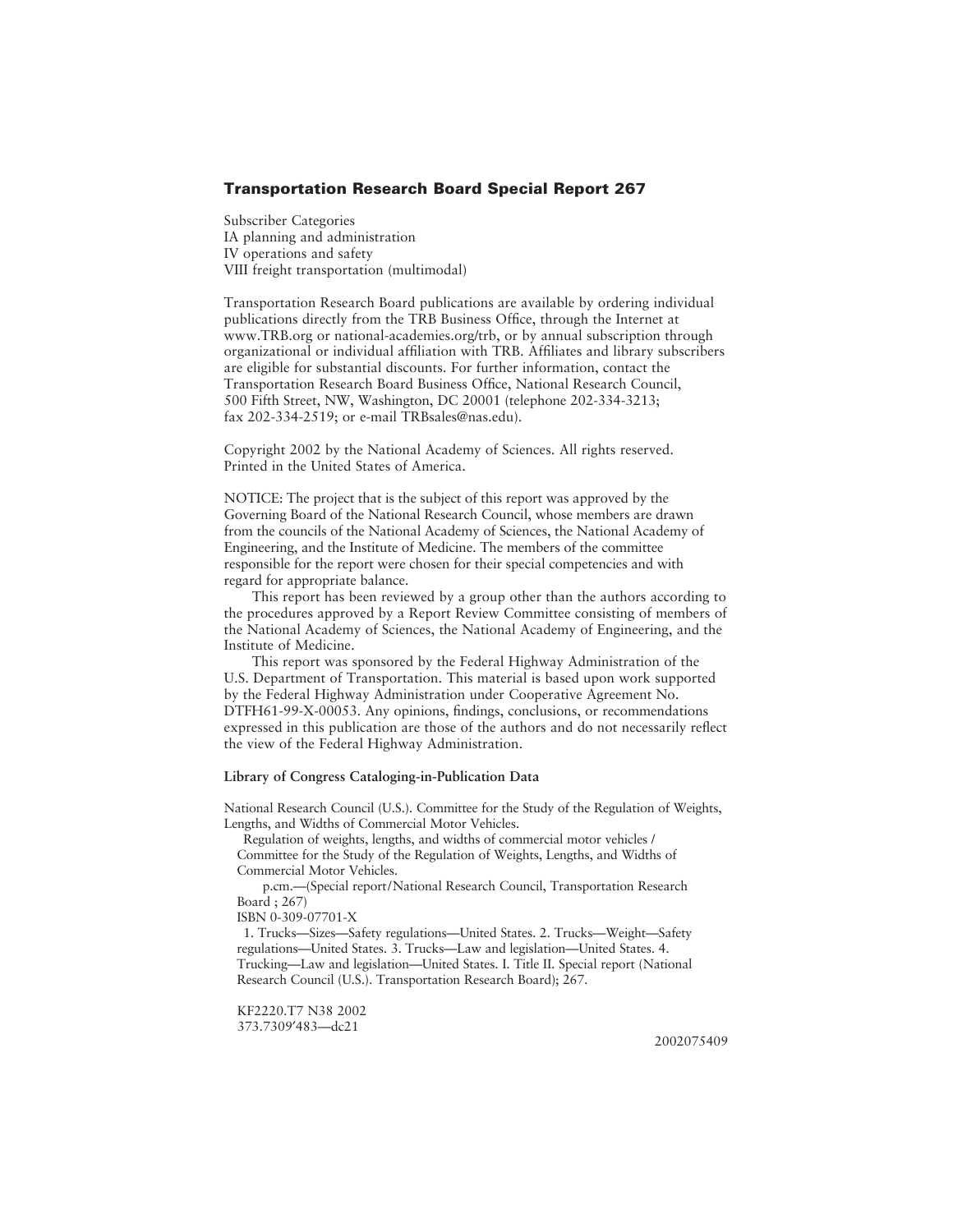### **Transportation Research Board Special Report 267**

Subscriber Categories IA planning and administration IV operations and safety VIII freight transportation (multimodal)

Transportation Research Board publications are available by ordering individual publications directly from the TRB Business Office, through the Internet at www.TRB.org or national-academies.org/trb, or by annual subscription through organizational or individual affiliation with TRB. Affiliates and library subscribers are eligible for substantial discounts. For further information, contact the Transportation Research Board Business Office, National Research Council, 500 Fifth Street, NW, Washington, DC 20001 (telephone 202-334-3213; fax 202-334-2519; or e-mail TRBsales@nas.edu).

Copyright 2002 by the National Academy of Sciences. All rights reserved. Printed in the United States of America.

NOTICE: The project that is the subject of this report was approved by the Governing Board of the National Research Council, whose members are drawn from the councils of the National Academy of Sciences, the National Academy of Engineering, and the Institute of Medicine. The members of the committee responsible for the report were chosen for their special competencies and with regard for appropriate balance.

This report has been reviewed by a group other than the authors according to the procedures approved by a Report Review Committee consisting of members of the National Academy of Sciences, the National Academy of Engineering, and the Institute of Medicine.

This report was sponsored by the Federal Highway Administration of the U.S. Department of Transportation. This material is based upon work supported by the Federal Highway Administration under Cooperative Agreement No. DTFH61-99-X-00053. Any opinions, findings, conclusions, or recommendations expressed in this publication are those of the authors and do not necessarily reflect the view of the Federal Highway Administration.

#### **Library of Congress Cataloging-in-Publication Data**

National Research Council (U.S.). Committee for the Study of the Regulation of Weights, Lengths, and Widths of Commercial Motor Vehicles.

Regulation of weights, lengths, and widths of commercial motor vehicles / Committee for the Study of the Regulation of Weights, Lengths, and Widths of Commercial Motor Vehicles.

p.cm.—(Special report/National Research Council, Transportation Research Board ; 267)

ISBN 0-309-07701-X

1. Trucks—Sizes—Safety regulations—United States. 2. Trucks—Weight—Safety regulations—United States. 3. Trucks—Law and legislation—United States. 4. Trucking—Law and legislation—United States. I. Title II. Special report (National Research Council (U.S.). Transportation Research Board); 267.

KF2220.T7 N38 2002 373.7309′483—dc21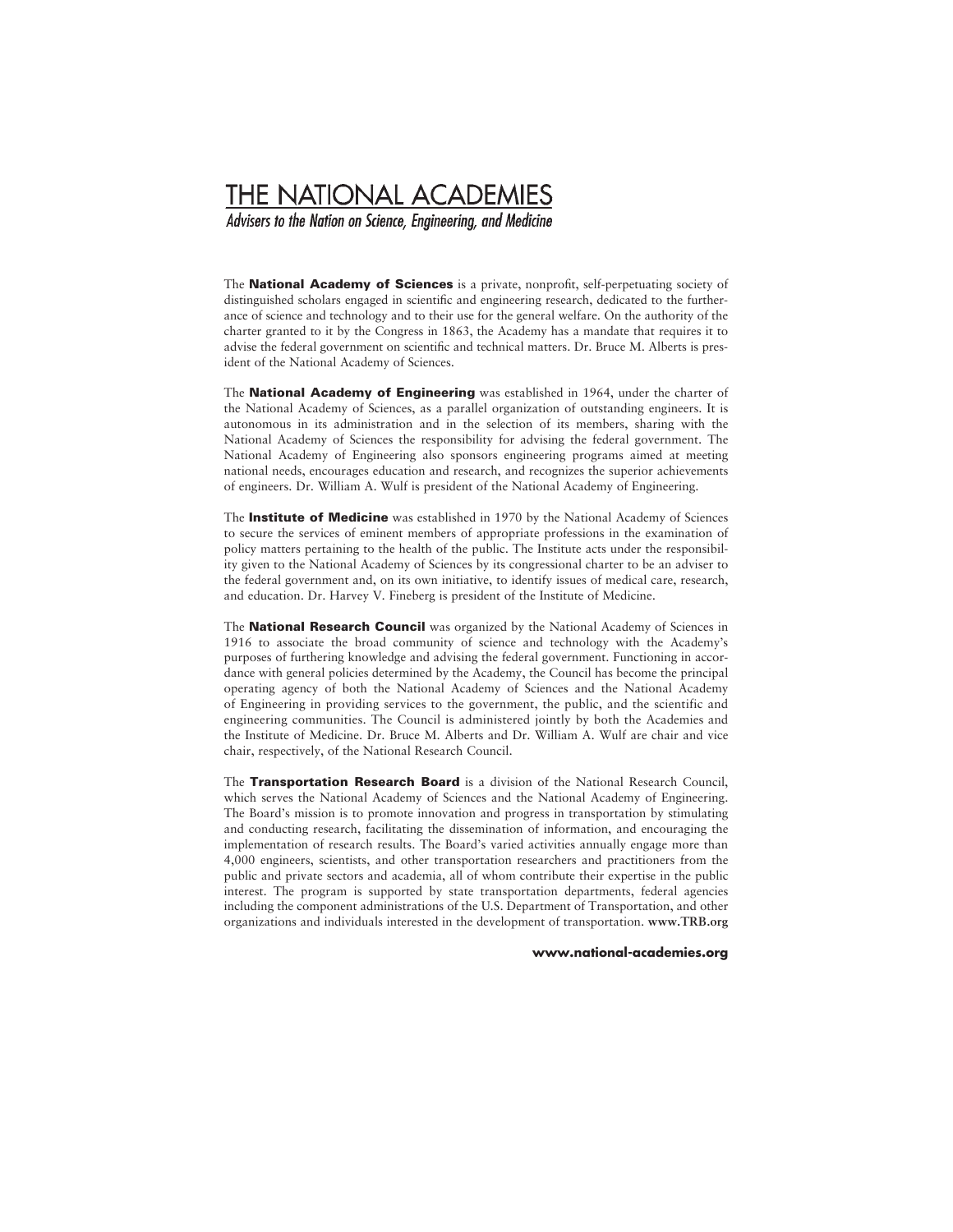# **THE NATIONAL ACADEMIES**

Advisers to the Nation on Science, Engineering, and Medicine

The **National Academy of Sciences** is a private, nonprofit, self-perpetuating society of distinguished scholars engaged in scientific and engineering research, dedicated to the furtherance of science and technology and to their use for the general welfare. On the authority of the charter granted to it by the Congress in 1863, the Academy has a mandate that requires it to advise the federal government on scientific and technical matters. Dr. Bruce M. Alberts is president of the National Academy of Sciences.

The **National Academy of Engineering** was established in 1964, under the charter of the National Academy of Sciences, as a parallel organization of outstanding engineers. It is autonomous in its administration and in the selection of its members, sharing with the National Academy of Sciences the responsibility for advising the federal government. The National Academy of Engineering also sponsors engineering programs aimed at meeting national needs, encourages education and research, and recognizes the superior achievements of engineers. Dr. William A. Wulf is president of the National Academy of Engineering.

The **Institute of Medicine** was established in 1970 by the National Academy of Sciences to secure the services of eminent members of appropriate professions in the examination of policy matters pertaining to the health of the public. The Institute acts under the responsibility given to the National Academy of Sciences by its congressional charter to be an adviser to the federal government and, on its own initiative, to identify issues of medical care, research, and education. Dr. Harvey V. Fineberg is president of the Institute of Medicine.

The **National Research Council** was organized by the National Academy of Sciences in 1916 to associate the broad community of science and technology with the Academy's purposes of furthering knowledge and advising the federal government. Functioning in accordance with general policies determined by the Academy, the Council has become the principal operating agency of both the National Academy of Sciences and the National Academy of Engineering in providing services to the government, the public, and the scientific and engineering communities. The Council is administered jointly by both the Academies and the Institute of Medicine. Dr. Bruce M. Alberts and Dr. William A. Wulf are chair and vice chair, respectively, of the National Research Council.

The **Transportation Research Board** is a division of the National Research Council, which serves the National Academy of Sciences and the National Academy of Engineering. The Board's mission is to promote innovation and progress in transportation by stimulating and conducting research, facilitating the dissemination of information, and encouraging the implementation of research results. The Board's varied activities annually engage more than 4,000 engineers, scientists, and other transportation researchers and practitioners from the public and private sectors and academia, all of whom contribute their expertise in the public interest. The program is supported by state transportation departments, federal agencies including the component administrations of the U.S. Department of Transportation, and other organizations and individuals interested in the development of transportation. **www.TRB.org**

#### **www.national-academies.org**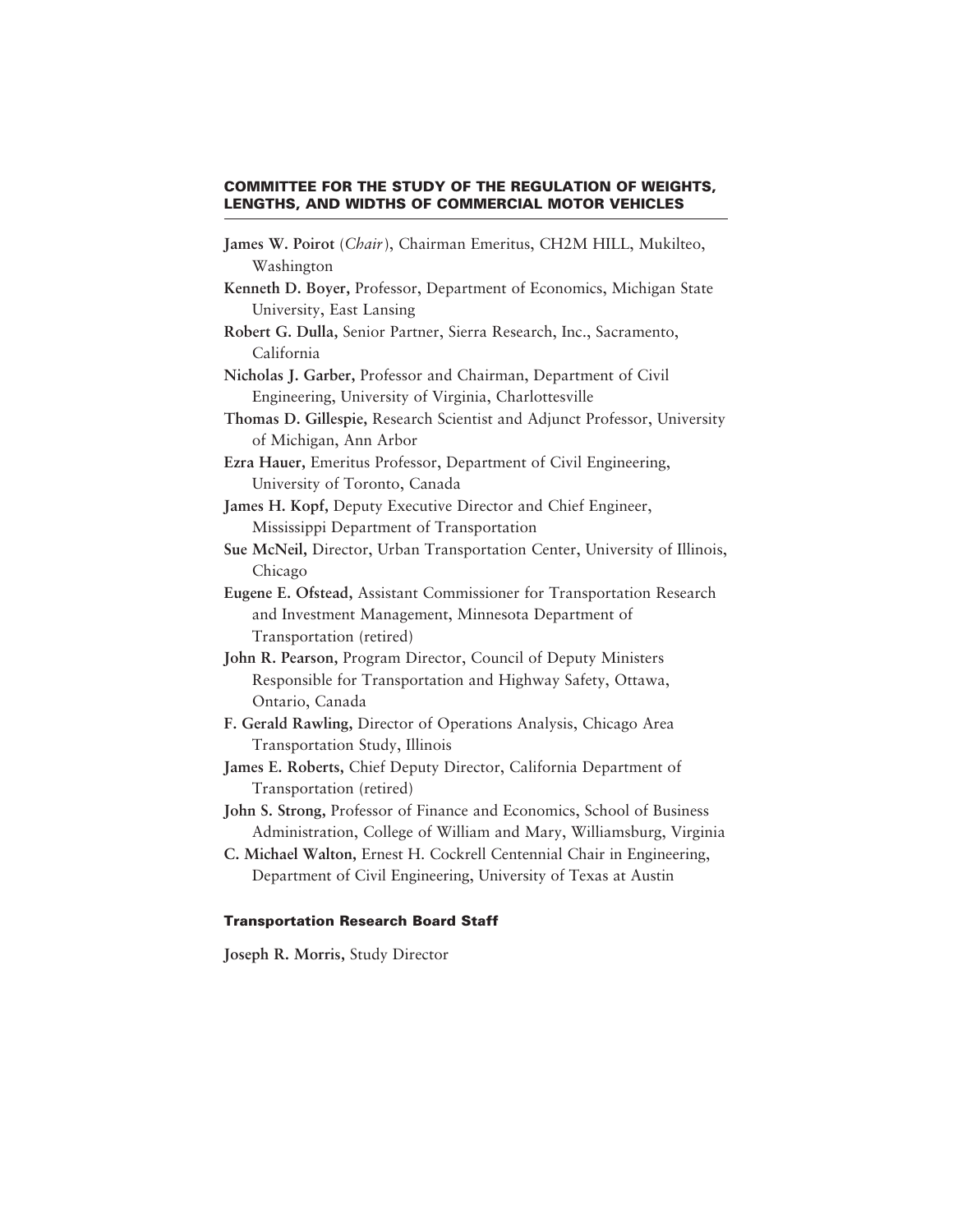#### **COMMITTEE FOR THE STUDY OF THE REGULATION OF WEIGHTS, LENGTHS, AND WIDTHS OF COMMERCIAL MOTOR VEHICLES**

- **James W. Poirot** (*Chair*), Chairman Emeritus, CH2M HILL, Mukilteo, Washington
- **Kenneth D. Boyer,** Professor, Department of Economics, Michigan State University, East Lansing
- **Robert G. Dulla,** Senior Partner, Sierra Research, Inc., Sacramento, California
- **Nicholas J. Garber,** Professor and Chairman, Department of Civil Engineering, University of Virginia, Charlottesville
- **Thomas D. Gillespie,** Research Scientist and Adjunct Professor, University of Michigan, Ann Arbor
- **Ezra Hauer,** Emeritus Professor, Department of Civil Engineering, University of Toronto, Canada
- **James H. Kopf,** Deputy Executive Director and Chief Engineer, Mississippi Department of Transportation
- **Sue McNeil,** Director, Urban Transportation Center, University of Illinois, Chicago
- **Eugene E. Ofstead,** Assistant Commissioner for Transportation Research and Investment Management, Minnesota Department of Transportation (retired)
- **John R. Pearson,** Program Director, Council of Deputy Ministers Responsible for Transportation and Highway Safety, Ottawa, Ontario, Canada
- **F. Gerald Rawling,** Director of Operations Analysis, Chicago Area Transportation Study, Illinois
- **James E. Roberts,** Chief Deputy Director, California Department of Transportation (retired)
- **John S. Strong,** Professor of Finance and Economics, School of Business Administration, College of William and Mary, Williamsburg, Virginia
- **C. Michael Walton,** Ernest H. Cockrell Centennial Chair in Engineering, Department of Civil Engineering, University of Texas at Austin

#### **Transportation Research Board Staff**

**Joseph R. Morris,** Study Director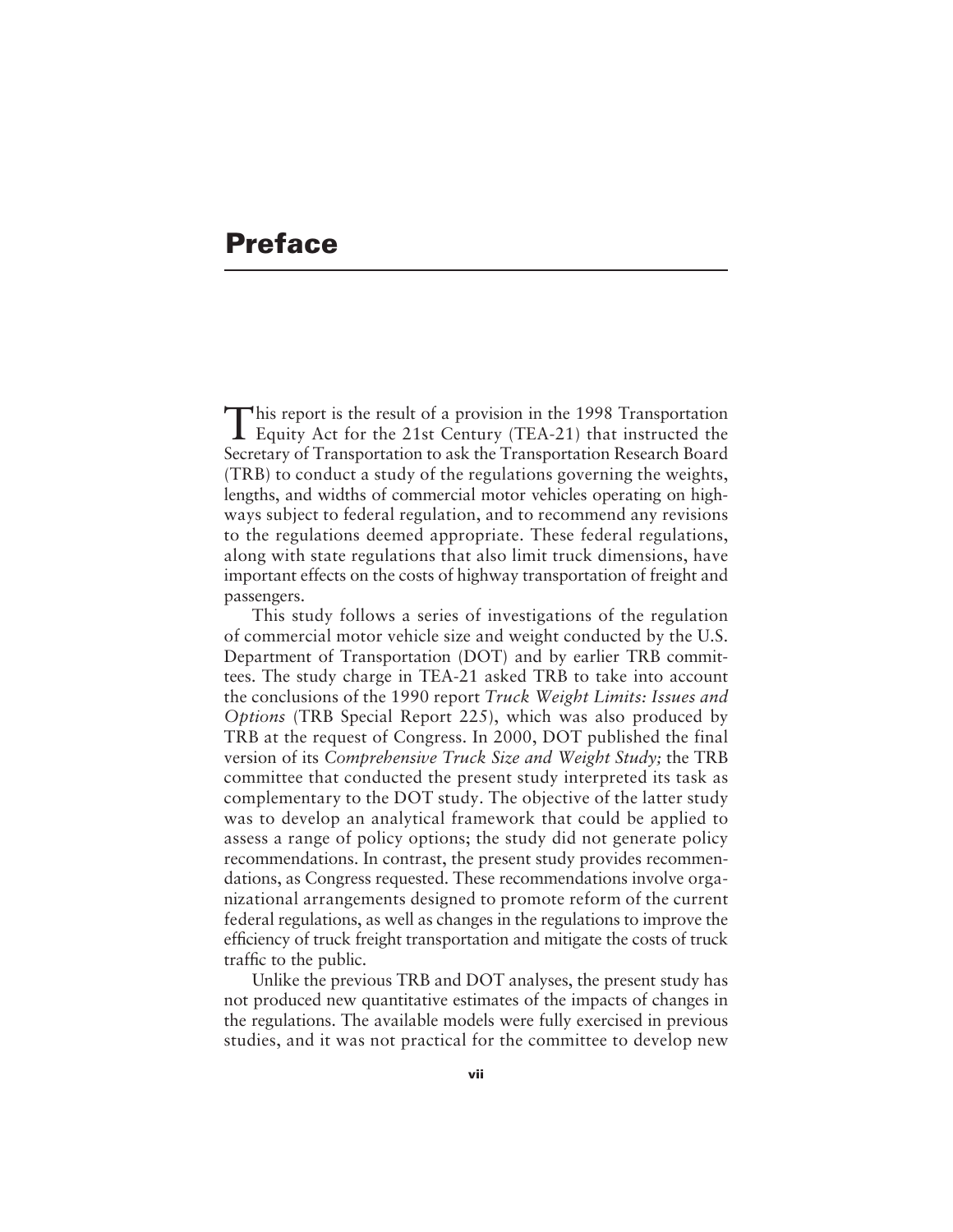# **Preface**

This report is the result of a provision in the 1998 Transportation<br>Equity Act for the 21st Century (TEA-21) that instructed the Secretary of Transportation to ask the Transportation Research Board (TRB) to conduct a study of the regulations governing the weights, lengths, and widths of commercial motor vehicles operating on highways subject to federal regulation, and to recommend any revisions to the regulations deemed appropriate. These federal regulations, along with state regulations that also limit truck dimensions, have important effects on the costs of highway transportation of freight and passengers.

This study follows a series of investigations of the regulation of commercial motor vehicle size and weight conducted by the U.S. Department of Transportation (DOT) and by earlier TRB committees. The study charge in TEA-21 asked TRB to take into account the conclusions of the 1990 report *Truck Weight Limits: Issues and Options* (TRB Special Report 225), which was also produced by TRB at the request of Congress. In 2000, DOT published the final version of its *Comprehensive Truck Size and Weight Study;* the TRB committee that conducted the present study interpreted its task as complementary to the DOT study. The objective of the latter study was to develop an analytical framework that could be applied to assess a range of policy options; the study did not generate policy recommendations. In contrast, the present study provides recommendations, as Congress requested. These recommendations involve organizational arrangements designed to promote reform of the current federal regulations, as well as changes in the regulations to improve the efficiency of truck freight transportation and mitigate the costs of truck traffic to the public.

Unlike the previous TRB and DOT analyses, the present study has not produced new quantitative estimates of the impacts of changes in the regulations. The available models were fully exercised in previous studies, and it was not practical for the committee to develop new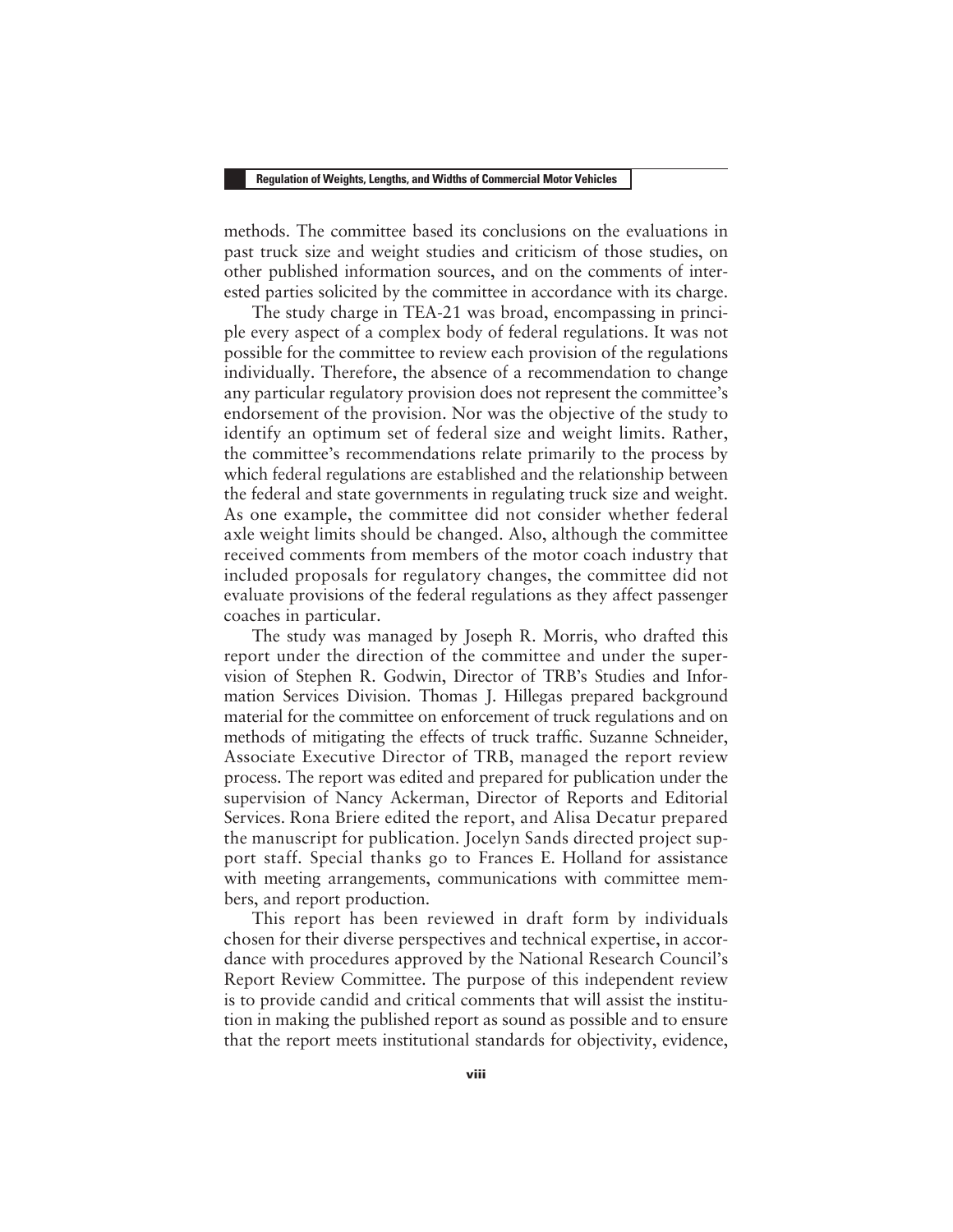methods. The committee based its conclusions on the evaluations in past truck size and weight studies and criticism of those studies, on other published information sources, and on the comments of interested parties solicited by the committee in accordance with its charge.

The study charge in TEA-21 was broad, encompassing in principle every aspect of a complex body of federal regulations. It was not possible for the committee to review each provision of the regulations individually. Therefore, the absence of a recommendation to change any particular regulatory provision does not represent the committee's endorsement of the provision. Nor was the objective of the study to identify an optimum set of federal size and weight limits. Rather, the committee's recommendations relate primarily to the process by which federal regulations are established and the relationship between the federal and state governments in regulating truck size and weight. As one example, the committee did not consider whether federal axle weight limits should be changed. Also, although the committee received comments from members of the motor coach industry that included proposals for regulatory changes, the committee did not evaluate provisions of the federal regulations as they affect passenger coaches in particular.

The study was managed by Joseph R. Morris, who drafted this report under the direction of the committee and under the supervision of Stephen R. Godwin, Director of TRB's Studies and Information Services Division. Thomas J. Hillegas prepared background material for the committee on enforcement of truck regulations and on methods of mitigating the effects of truck traffic. Suzanne Schneider, Associate Executive Director of TRB, managed the report review process. The report was edited and prepared for publication under the supervision of Nancy Ackerman, Director of Reports and Editorial Services. Rona Briere edited the report, and Alisa Decatur prepared the manuscript for publication. Jocelyn Sands directed project support staff. Special thanks go to Frances E. Holland for assistance with meeting arrangements, communications with committee members, and report production.

This report has been reviewed in draft form by individuals chosen for their diverse perspectives and technical expertise, in accordance with procedures approved by the National Research Council's Report Review Committee. The purpose of this independent review is to provide candid and critical comments that will assist the institution in making the published report as sound as possible and to ensure that the report meets institutional standards for objectivity, evidence,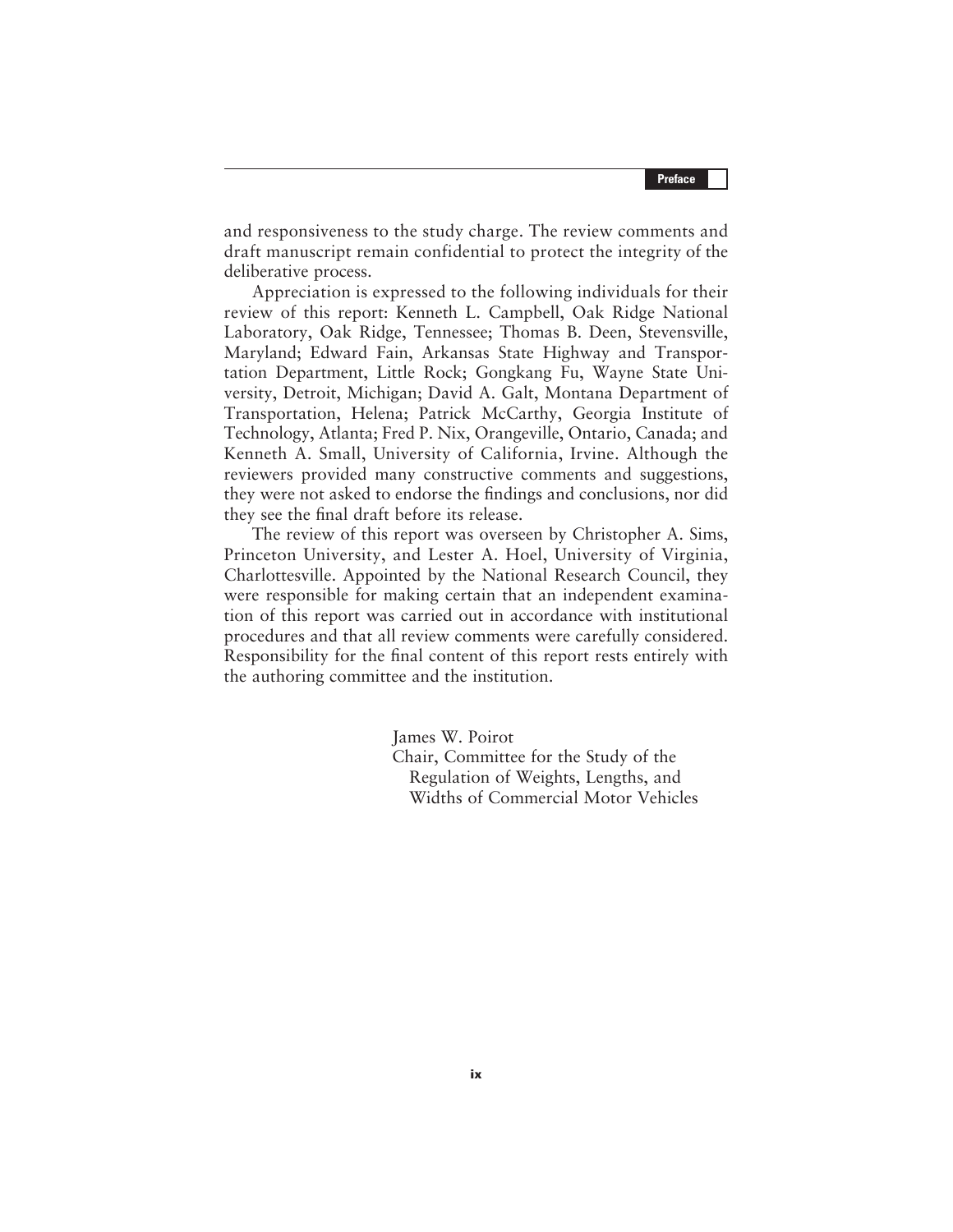and responsiveness to the study charge. The review comments and draft manuscript remain confidential to protect the integrity of the deliberative process.

Appreciation is expressed to the following individuals for their review of this report: Kenneth L. Campbell, Oak Ridge National Laboratory, Oak Ridge, Tennessee; Thomas B. Deen, Stevensville, Maryland; Edward Fain, Arkansas State Highway and Transportation Department, Little Rock; Gongkang Fu, Wayne State University, Detroit, Michigan; David A. Galt, Montana Department of Transportation, Helena; Patrick McCarthy, Georgia Institute of Technology, Atlanta; Fred P. Nix, Orangeville, Ontario, Canada; and Kenneth A. Small, University of California, Irvine. Although the reviewers provided many constructive comments and suggestions, they were not asked to endorse the findings and conclusions, nor did they see the final draft before its release.

The review of this report was overseen by Christopher A. Sims, Princeton University, and Lester A. Hoel, University of Virginia, Charlottesville. Appointed by the National Research Council, they were responsible for making certain that an independent examination of this report was carried out in accordance with institutional procedures and that all review comments were carefully considered. Responsibility for the final content of this report rests entirely with the authoring committee and the institution.

> James W. Poirot Chair, Committee for the Study of the Regulation of Weights, Lengths, and Widths of Commercial Motor Vehicles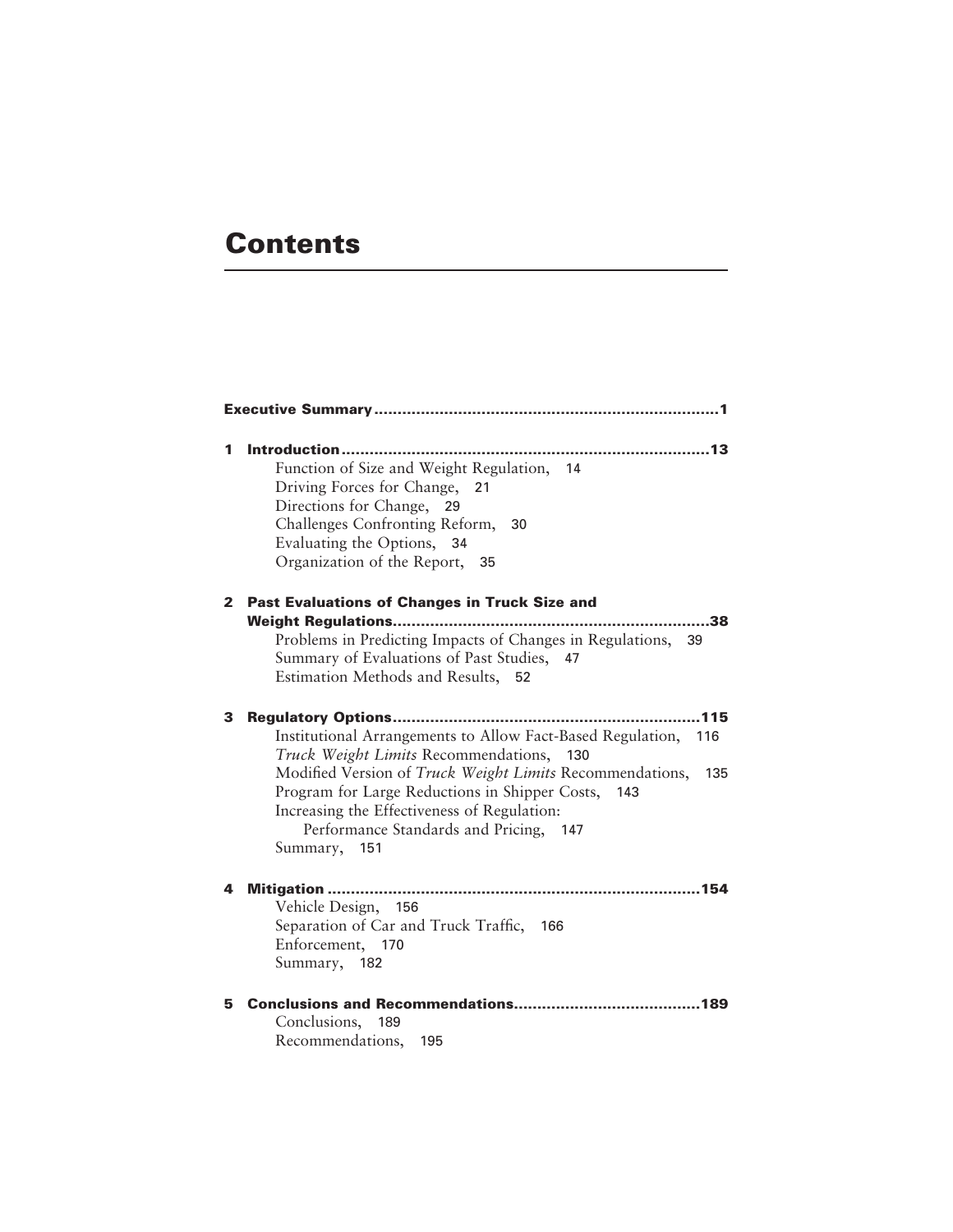# **Contents**

| 1            | Introduction<br>Function of Size and Weight Regulation, 14<br>Driving Forces for Change, 21<br>Directions for Change,<br>29<br>Challenges Confronting Reform, 30<br>Evaluating the Options, 34<br>Organization of the Report, 35                                                                                                                           |  |  |  |  |  |
|--------------|------------------------------------------------------------------------------------------------------------------------------------------------------------------------------------------------------------------------------------------------------------------------------------------------------------------------------------------------------------|--|--|--|--|--|
| $\mathbf{2}$ | Past Evaluations of Changes in Truck Size and<br>.38<br>Problems in Predicting Impacts of Changes in Regulations, 39<br>Summary of Evaluations of Past Studies, 47<br>Estimation Methods and Results, 52                                                                                                                                                   |  |  |  |  |  |
| З            | .115<br>Institutional Arrangements to Allow Fact-Based Regulation,<br>116<br>Truck Weight Limits Recommendations, 130<br>Modified Version of Truck Weight Limits Recommendations,<br>135<br>Program for Large Reductions in Shipper Costs,<br>143<br>Increasing the Effectiveness of Regulation:<br>Performance Standards and Pricing, 147<br>Summary, 151 |  |  |  |  |  |
| 4            | Vehicle Design, 156<br>Separation of Car and Truck Traffic, 166<br>Enforcement, 170<br>Summary, 182                                                                                                                                                                                                                                                        |  |  |  |  |  |
| 5            | Conclusions, 189<br>Recommendations, 195                                                                                                                                                                                                                                                                                                                   |  |  |  |  |  |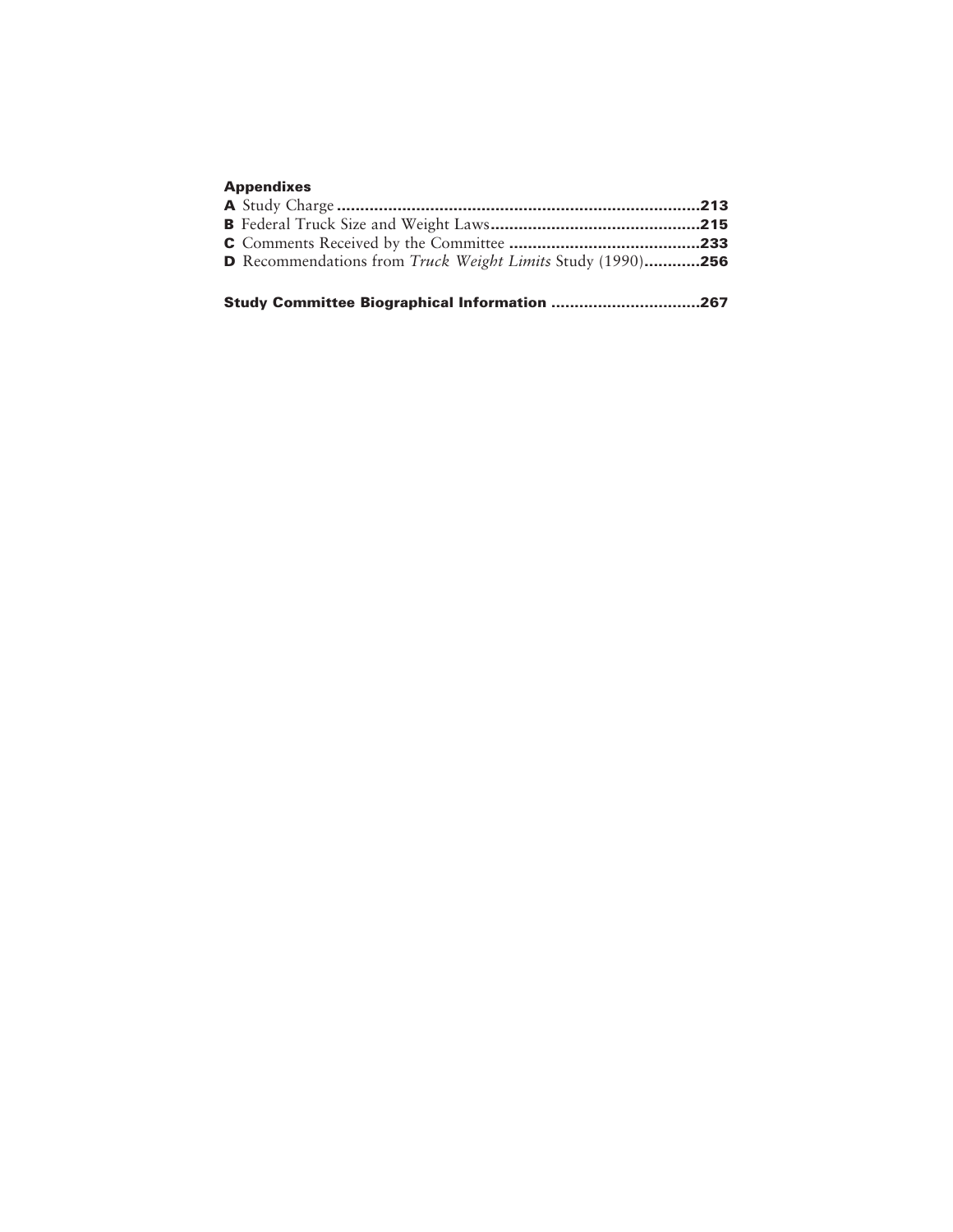# **Appendixes**

| <b>D</b> Recommendations from Truck Weight Limits Study (1990)256 |  |
|-------------------------------------------------------------------|--|
|                                                                   |  |

|  |  |  |  | Study Committee Biographical Information 267 |
|--|--|--|--|----------------------------------------------|
|--|--|--|--|----------------------------------------------|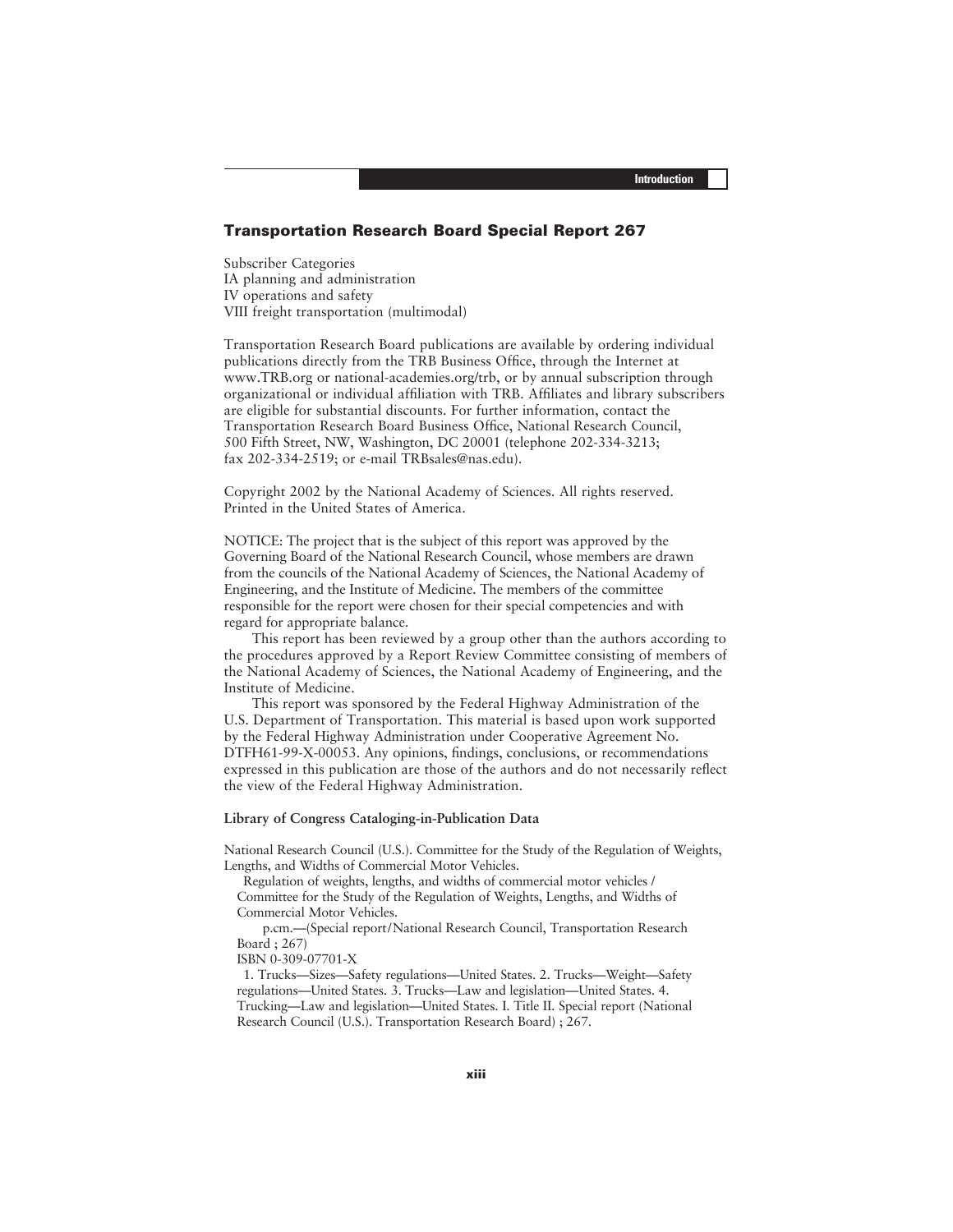#### **Transportation Research Board Special Report 267**

Subscriber Categories IA planning and administration IV operations and safety VIII freight transportation (multimodal)

Transportation Research Board publications are available by ordering individual publications directly from the TRB Business Office, through the Internet at www.TRB.org or national-academies.org/trb, or by annual subscription through organizational or individual affiliation with TRB. Affiliates and library subscribers are eligible for substantial discounts. For further information, contact the Transportation Research Board Business Office, National Research Council, 500 Fifth Street, NW, Washington, DC 20001 (telephone 202-334-3213; fax 202-334-2519; or e-mail TRBsales@nas.edu).

Copyright 2002 by the National Academy of Sciences. All rights reserved. Printed in the United States of America.

NOTICE: The project that is the subject of this report was approved by the Governing Board of the National Research Council, whose members are drawn from the councils of the National Academy of Sciences, the National Academy of Engineering, and the Institute of Medicine. The members of the committee responsible for the report were chosen for their special competencies and with regard for appropriate balance.

This report has been reviewed by a group other than the authors according to the procedures approved by a Report Review Committee consisting of members of the National Academy of Sciences, the National Academy of Engineering, and the Institute of Medicine.

This report was sponsored by the Federal Highway Administration of the U.S. Department of Transportation. This material is based upon work supported by the Federal Highway Administration under Cooperative Agreement No. DTFH61-99-X-00053. Any opinions, findings, conclusions, or recommendations expressed in this publication are those of the authors and do not necessarily reflect the view of the Federal Highway Administration.

#### **Library of Congress Cataloging-in-Publication Data**

National Research Council (U.S.). Committee for the Study of the Regulation of Weights, Lengths, and Widths of Commercial Motor Vehicles.

Regulation of weights, lengths, and widths of commercial motor vehicles / Committee for the Study of the Regulation of Weights, Lengths, and Widths of Commercial Motor Vehicles.

p.cm.—(Special report/National Research Council, Transportation Research Board ; 267)

ISBN 0-309-07701-X

1. Trucks—Sizes—Safety regulations—United States. 2. Trucks—Weight—Safety regulations—United States. 3. Trucks—Law and legislation—United States. 4. Trucking—Law and legislation—United States. I. Title II. Special report (National Research Council (U.S.). Transportation Research Board) ; 267.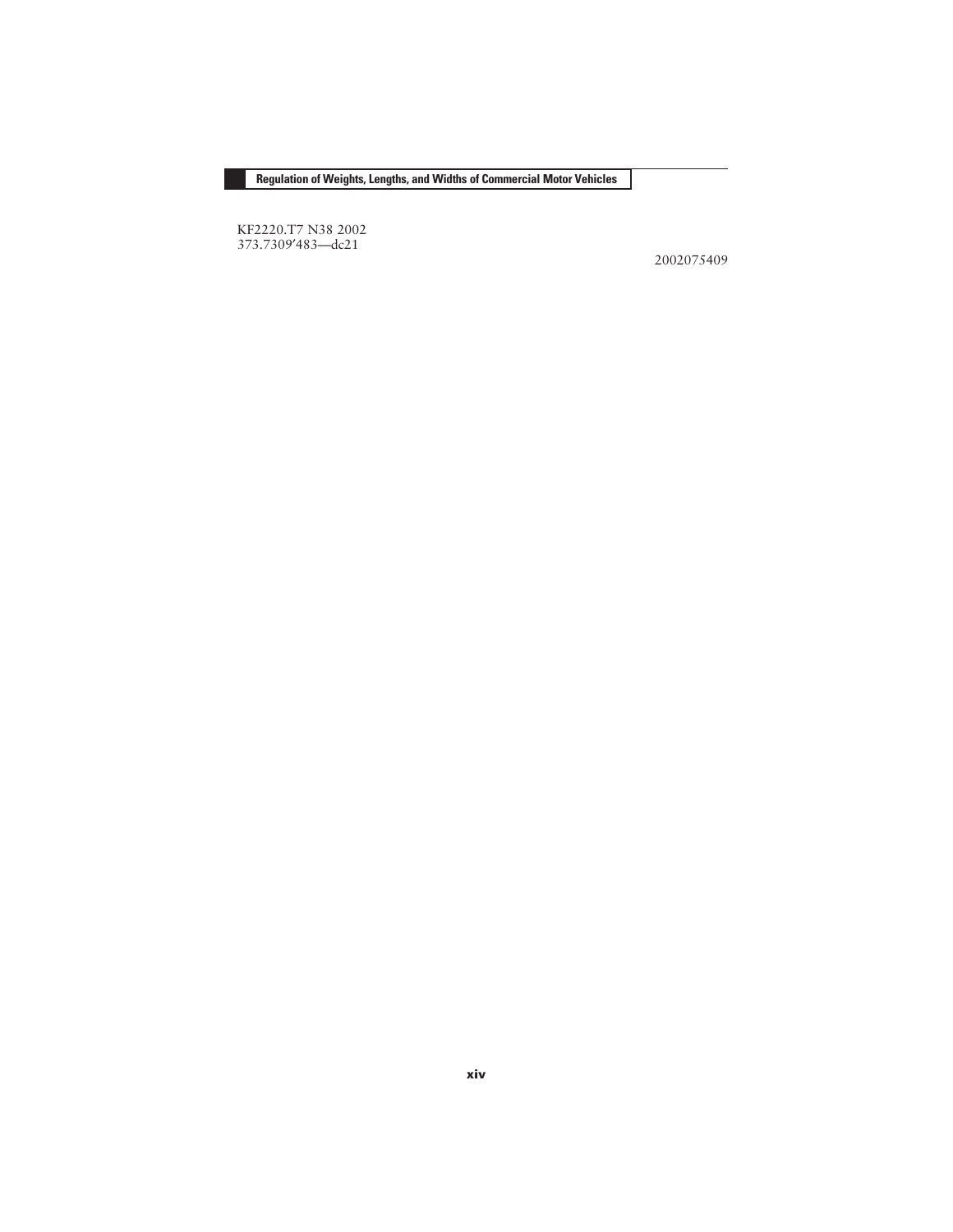KF2220.T7 N38 2002 373.7309′483—dc21

2002075409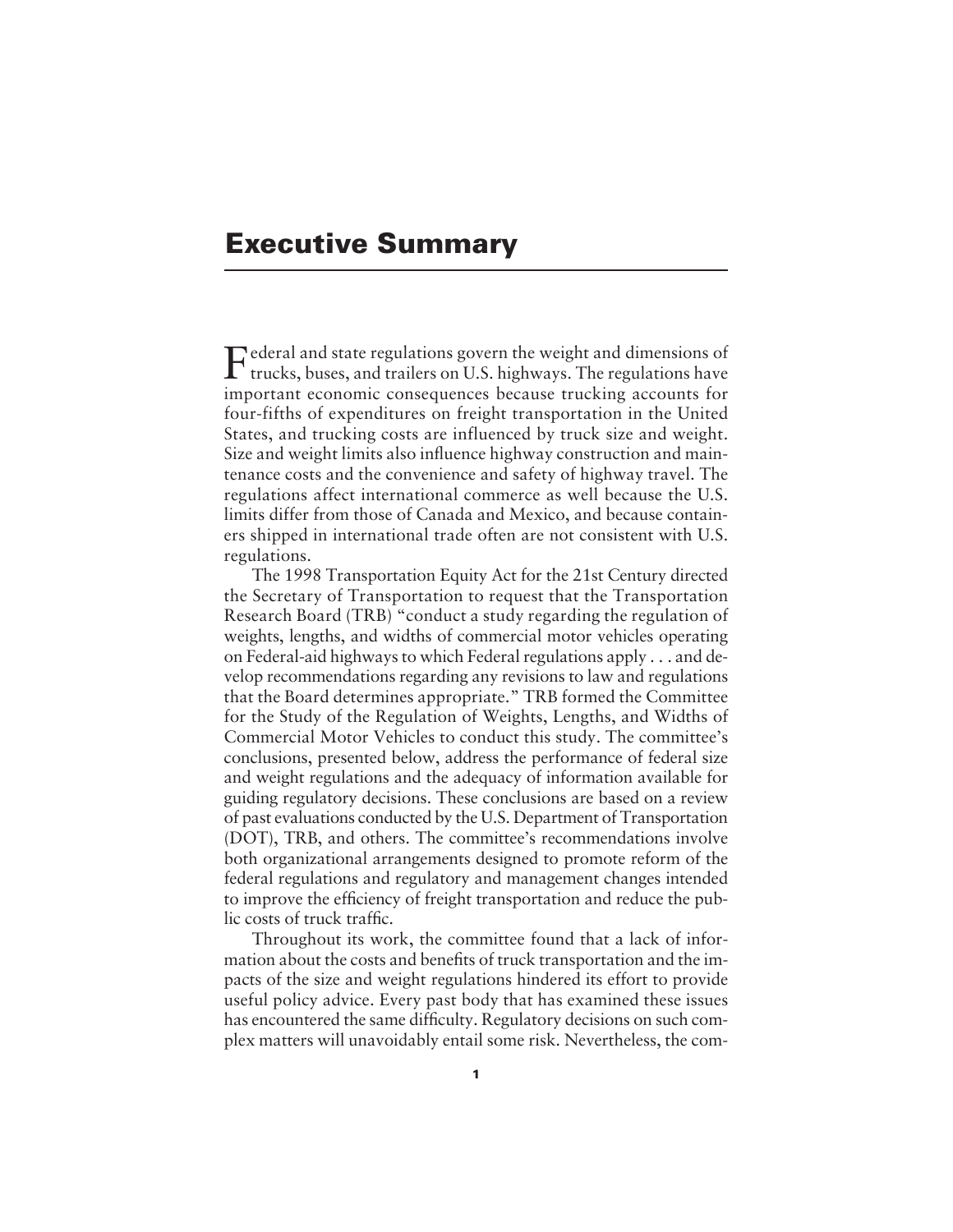Federal and state regulations govern the weight and dimensions of trucks, buses, and trailers on U.S. highways. The regulations have important economic consequences because trucking accounts for four-fifths of expenditures on freight transportation in the United States, and trucking costs are influenced by truck size and weight. Size and weight limits also influence highway construction and maintenance costs and the convenience and safety of highway travel. The regulations affect international commerce as well because the U.S. limits differ from those of Canada and Mexico, and because containers shipped in international trade often are not consistent with U.S. regulations.

The 1998 Transportation Equity Act for the 21st Century directed the Secretary of Transportation to request that the Transportation Research Board (TRB) "conduct a study regarding the regulation of weights, lengths, and widths of commercial motor vehicles operating on Federal-aid highways to which Federal regulations apply . . . and develop recommendations regarding any revisions to law and regulations that the Board determines appropriate." TRB formed the Committee for the Study of the Regulation of Weights, Lengths, and Widths of Commercial Motor Vehicles to conduct this study. The committee's conclusions, presented below, address the performance of federal size and weight regulations and the adequacy of information available for guiding regulatory decisions. These conclusions are based on a review of past evaluations conducted by the U.S. Department of Transportation (DOT), TRB, and others. The committee's recommendations involve both organizational arrangements designed to promote reform of the federal regulations and regulatory and management changes intended to improve the efficiency of freight transportation and reduce the public costs of truck traffic.

Throughout its work, the committee found that a lack of information about the costs and benefits of truck transportation and the impacts of the size and weight regulations hindered its effort to provide useful policy advice. Every past body that has examined these issues has encountered the same difficulty. Regulatory decisions on such complex matters will unavoidably entail some risk. Nevertheless, the com-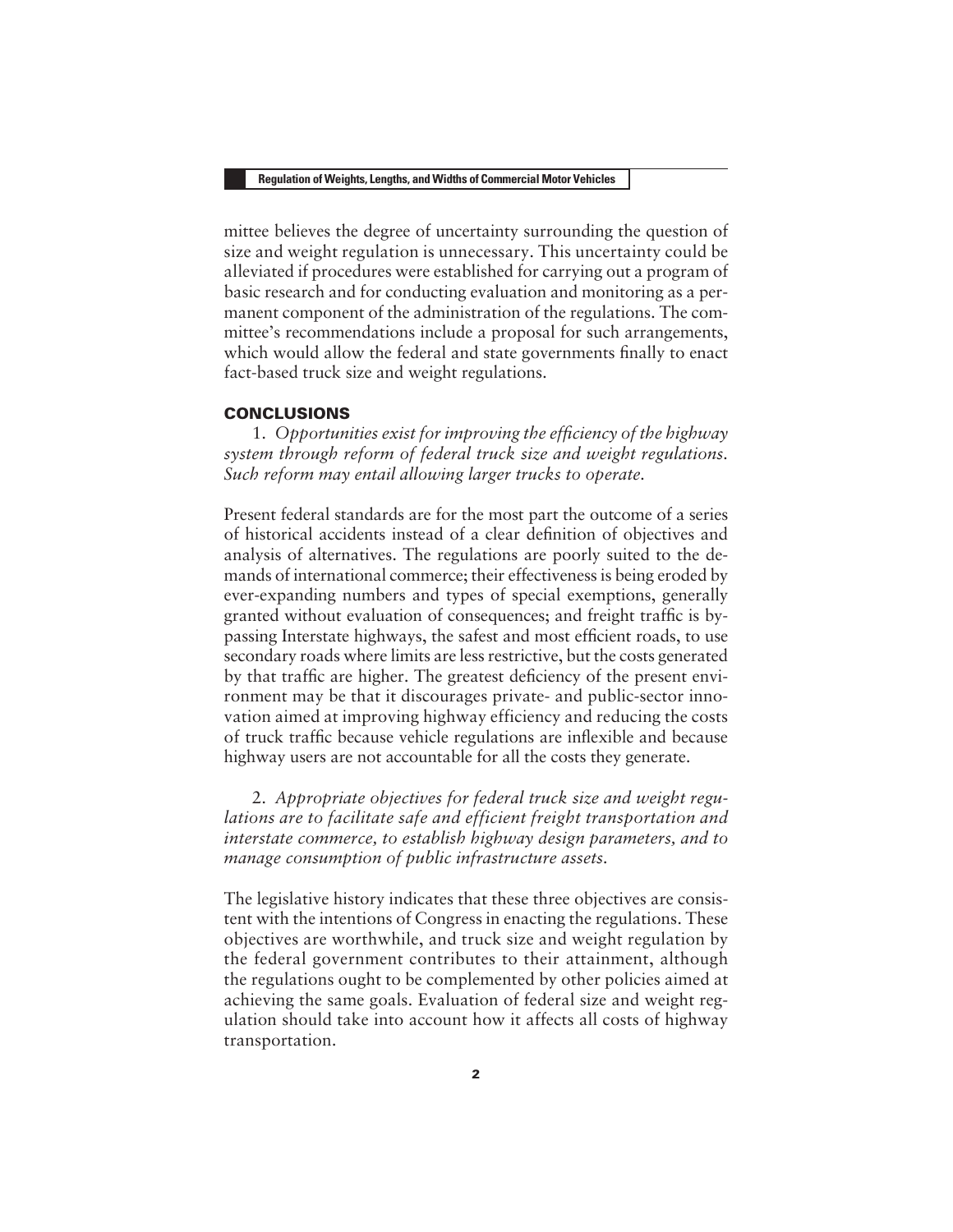mittee believes the degree of uncertainty surrounding the question of size and weight regulation is unnecessary. This uncertainty could be alleviated if procedures were established for carrying out a program of basic research and for conducting evaluation and monitoring as a permanent component of the administration of the regulations. The committee's recommendations include a proposal for such arrangements, which would allow the federal and state governments finally to enact fact-based truck size and weight regulations.

# **CONCLUSIONS**

1. *Opportunities exist for improving the efficiency of the highway system through reform of federal truck size and weight regulations. Such reform may entail allowing larger trucks to operate.*

Present federal standards are for the most part the outcome of a series of historical accidents instead of a clear definition of objectives and analysis of alternatives. The regulations are poorly suited to the demands of international commerce; their effectiveness is being eroded by ever-expanding numbers and types of special exemptions, generally granted without evaluation of consequences; and freight traffic is bypassing Interstate highways, the safest and most efficient roads, to use secondary roads where limits are less restrictive, but the costs generated by that traffic are higher. The greatest deficiency of the present environment may be that it discourages private- and public-sector innovation aimed at improving highway efficiency and reducing the costs of truck traffic because vehicle regulations are inflexible and because highway users are not accountable for all the costs they generate.

2. *Appropriate objectives for federal truck size and weight regulations are to facilitate safe and efficient freight transportation and interstate commerce, to establish highway design parameters, and to manage consumption of public infrastructure assets.*

The legislative history indicates that these three objectives are consistent with the intentions of Congress in enacting the regulations. These objectives are worthwhile, and truck size and weight regulation by the federal government contributes to their attainment, although the regulations ought to be complemented by other policies aimed at achieving the same goals. Evaluation of federal size and weight regulation should take into account how it affects all costs of highway transportation.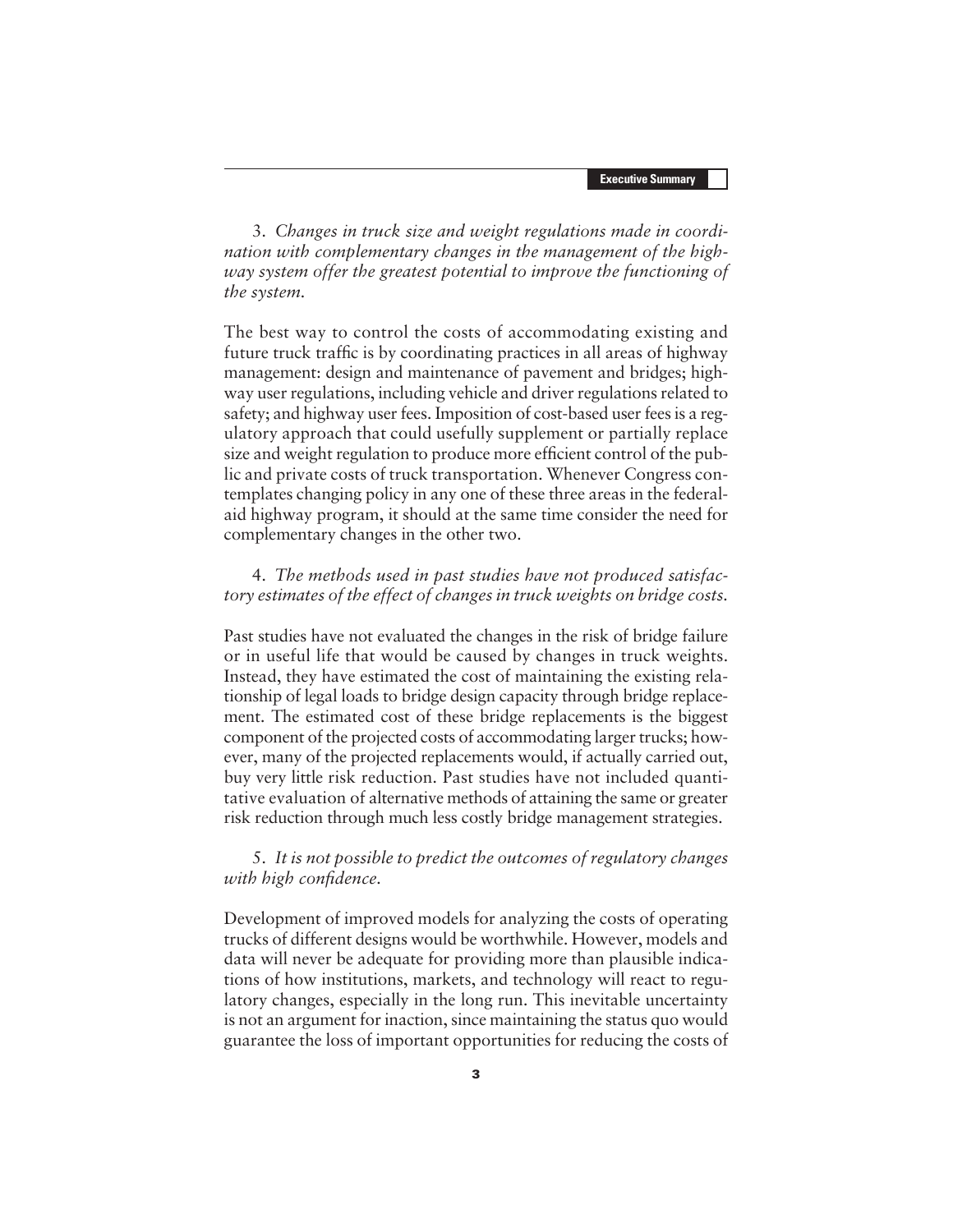3. *Changes in truck size and weight regulations made in coordination with complementary changes in the management of the highway system offer the greatest potential to improve the functioning of the system.*

The best way to control the costs of accommodating existing and future truck traffic is by coordinating practices in all areas of highway management: design and maintenance of pavement and bridges; highway user regulations, including vehicle and driver regulations related to safety; and highway user fees. Imposition of cost-based user fees is a regulatory approach that could usefully supplement or partially replace size and weight regulation to produce more efficient control of the public and private costs of truck transportation. Whenever Congress contemplates changing policy in any one of these three areas in the federalaid highway program, it should at the same time consider the need for complementary changes in the other two.

# 4. *The methods used in past studies have not produced satisfactory estimates of the effect of changes in truck weights on bridge costs.*

Past studies have not evaluated the changes in the risk of bridge failure or in useful life that would be caused by changes in truck weights. Instead, they have estimated the cost of maintaining the existing relationship of legal loads to bridge design capacity through bridge replacement. The estimated cost of these bridge replacements is the biggest component of the projected costs of accommodating larger trucks; however, many of the projected replacements would, if actually carried out, buy very little risk reduction. Past studies have not included quantitative evaluation of alternative methods of attaining the same or greater risk reduction through much less costly bridge management strategies.

# 5. *It is not possible to predict the outcomes of regulatory changes with high confidence.*

Development of improved models for analyzing the costs of operating trucks of different designs would be worthwhile. However, models and data will never be adequate for providing more than plausible indications of how institutions, markets, and technology will react to regulatory changes, especially in the long run. This inevitable uncertainty is not an argument for inaction, since maintaining the status quo would guarantee the loss of important opportunities for reducing the costs of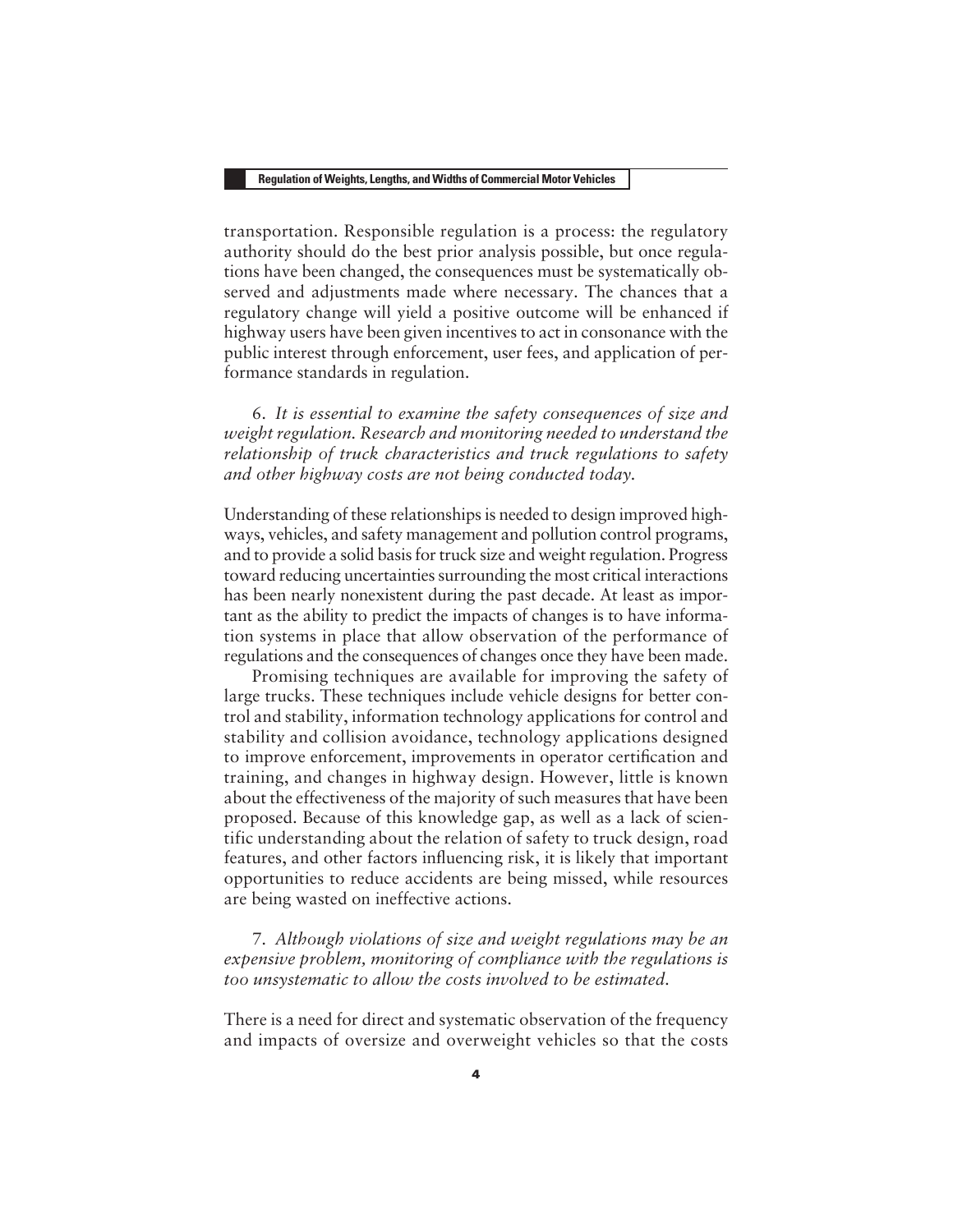transportation. Responsible regulation is a process: the regulatory authority should do the best prior analysis possible, but once regulations have been changed, the consequences must be systematically observed and adjustments made where necessary. The chances that a regulatory change will yield a positive outcome will be enhanced if highway users have been given incentives to act in consonance with the public interest through enforcement, user fees, and application of performance standards in regulation.

6. *It is essential to examine the safety consequences of size and weight regulation. Research and monitoring needed to understand the relationship of truck characteristics and truck regulations to safety and other highway costs are not being conducted today.*

Understanding of these relationships is needed to design improved highways, vehicles, and safety management and pollution control programs, and to provide a solid basis for truck size and weight regulation. Progress toward reducing uncertainties surrounding the most critical interactions has been nearly nonexistent during the past decade. At least as important as the ability to predict the impacts of changes is to have information systems in place that allow observation of the performance of regulations and the consequences of changes once they have been made.

Promising techniques are available for improving the safety of large trucks. These techniques include vehicle designs for better control and stability, information technology applications for control and stability and collision avoidance, technology applications designed to improve enforcement, improvements in operator certification and training, and changes in highway design. However, little is known about the effectiveness of the majority of such measures that have been proposed. Because of this knowledge gap, as well as a lack of scientific understanding about the relation of safety to truck design, road features, and other factors influencing risk, it is likely that important opportunities to reduce accidents are being missed, while resources are being wasted on ineffective actions.

7. *Although violations of size and weight regulations may be an expensive problem, monitoring of compliance with the regulations is too unsystematic to allow the costs involved to be estimated.*

There is a need for direct and systematic observation of the frequency and impacts of oversize and overweight vehicles so that the costs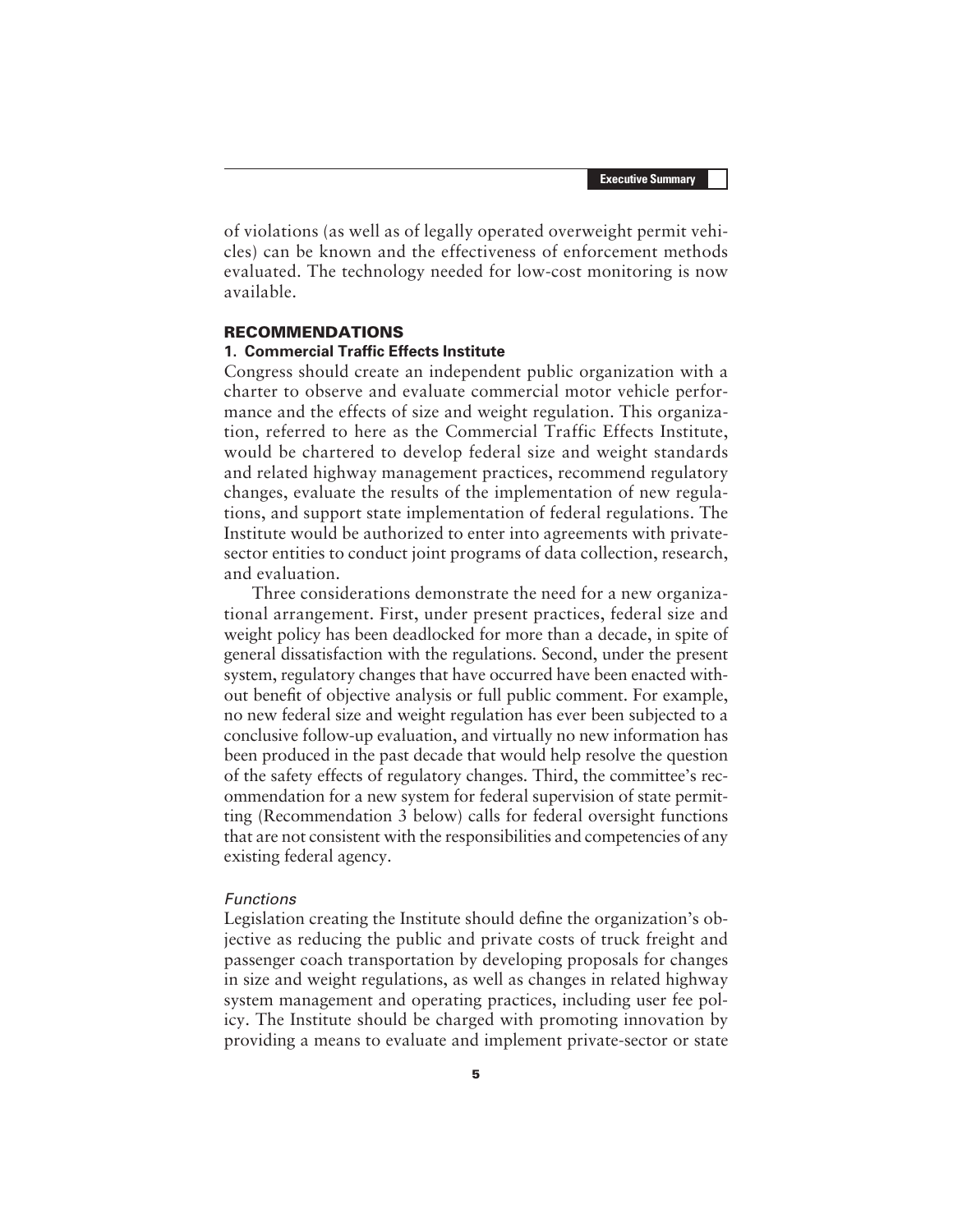of violations (as well as of legally operated overweight permit vehicles) can be known and the effectiveness of enforcement methods evaluated. The technology needed for low-cost monitoring is now available.

# **RECOMMENDATIONS**

#### **1. Commercial Traffic Effects Institute**

Congress should create an independent public organization with a charter to observe and evaluate commercial motor vehicle performance and the effects of size and weight regulation. This organization, referred to here as the Commercial Traffic Effects Institute, would be chartered to develop federal size and weight standards and related highway management practices, recommend regulatory changes, evaluate the results of the implementation of new regulations, and support state implementation of federal regulations. The Institute would be authorized to enter into agreements with privatesector entities to conduct joint programs of data collection, research, and evaluation.

Three considerations demonstrate the need for a new organizational arrangement. First, under present practices, federal size and weight policy has been deadlocked for more than a decade, in spite of general dissatisfaction with the regulations. Second, under the present system, regulatory changes that have occurred have been enacted without benefit of objective analysis or full public comment. For example, no new federal size and weight regulation has ever been subjected to a conclusive follow-up evaluation, and virtually no new information has been produced in the past decade that would help resolve the question of the safety effects of regulatory changes. Third, the committee's recommendation for a new system for federal supervision of state permitting (Recommendation 3 below) calls for federal oversight functions that are not consistent with the responsibilities and competencies of any existing federal agency.

#### Functions

Legislation creating the Institute should define the organization's objective as reducing the public and private costs of truck freight and passenger coach transportation by developing proposals for changes in size and weight regulations, as well as changes in related highway system management and operating practices, including user fee policy. The Institute should be charged with promoting innovation by providing a means to evaluate and implement private-sector or state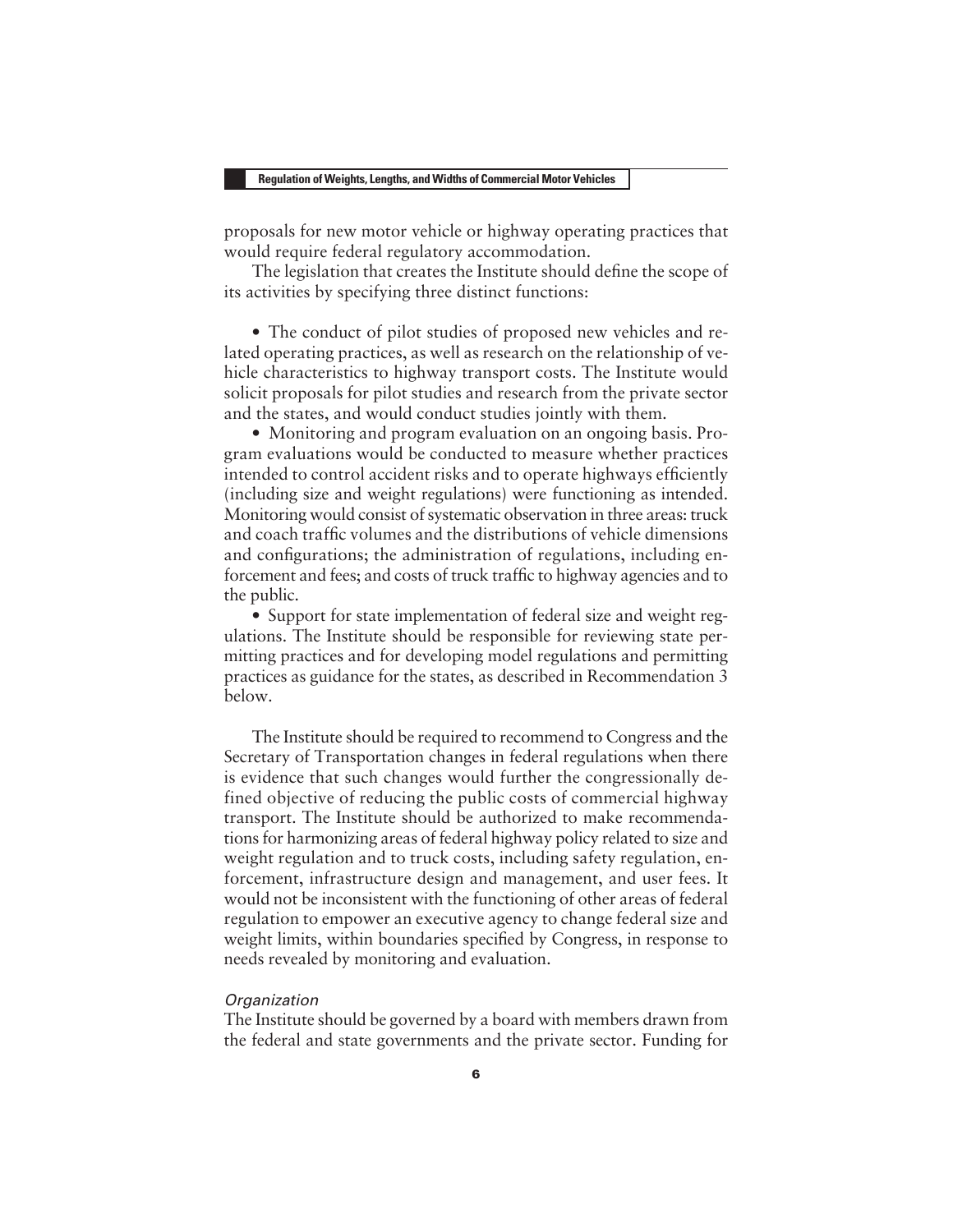proposals for new motor vehicle or highway operating practices that would require federal regulatory accommodation.

The legislation that creates the Institute should define the scope of its activities by specifying three distinct functions:

• The conduct of pilot studies of proposed new vehicles and related operating practices, as well as research on the relationship of vehicle characteristics to highway transport costs. The Institute would solicit proposals for pilot studies and research from the private sector and the states, and would conduct studies jointly with them.

• Monitoring and program evaluation on an ongoing basis. Program evaluations would be conducted to measure whether practices intended to control accident risks and to operate highways efficiently (including size and weight regulations) were functioning as intended. Monitoring would consist of systematic observation in three areas: truck and coach traffic volumes and the distributions of vehicle dimensions and configurations; the administration of regulations, including enforcement and fees; and costs of truck traffic to highway agencies and to the public.

• Support for state implementation of federal size and weight regulations. The Institute should be responsible for reviewing state permitting practices and for developing model regulations and permitting practices as guidance for the states, as described in Recommendation 3 below.

The Institute should be required to recommend to Congress and the Secretary of Transportation changes in federal regulations when there is evidence that such changes would further the congressionally defined objective of reducing the public costs of commercial highway transport. The Institute should be authorized to make recommendations for harmonizing areas of federal highway policy related to size and weight regulation and to truck costs, including safety regulation, enforcement, infrastructure design and management, and user fees. It would not be inconsistent with the functioning of other areas of federal regulation to empower an executive agency to change federal size and weight limits, within boundaries specified by Congress, in response to needs revealed by monitoring and evaluation.

#### **Organization**

The Institute should be governed by a board with members drawn from the federal and state governments and the private sector. Funding for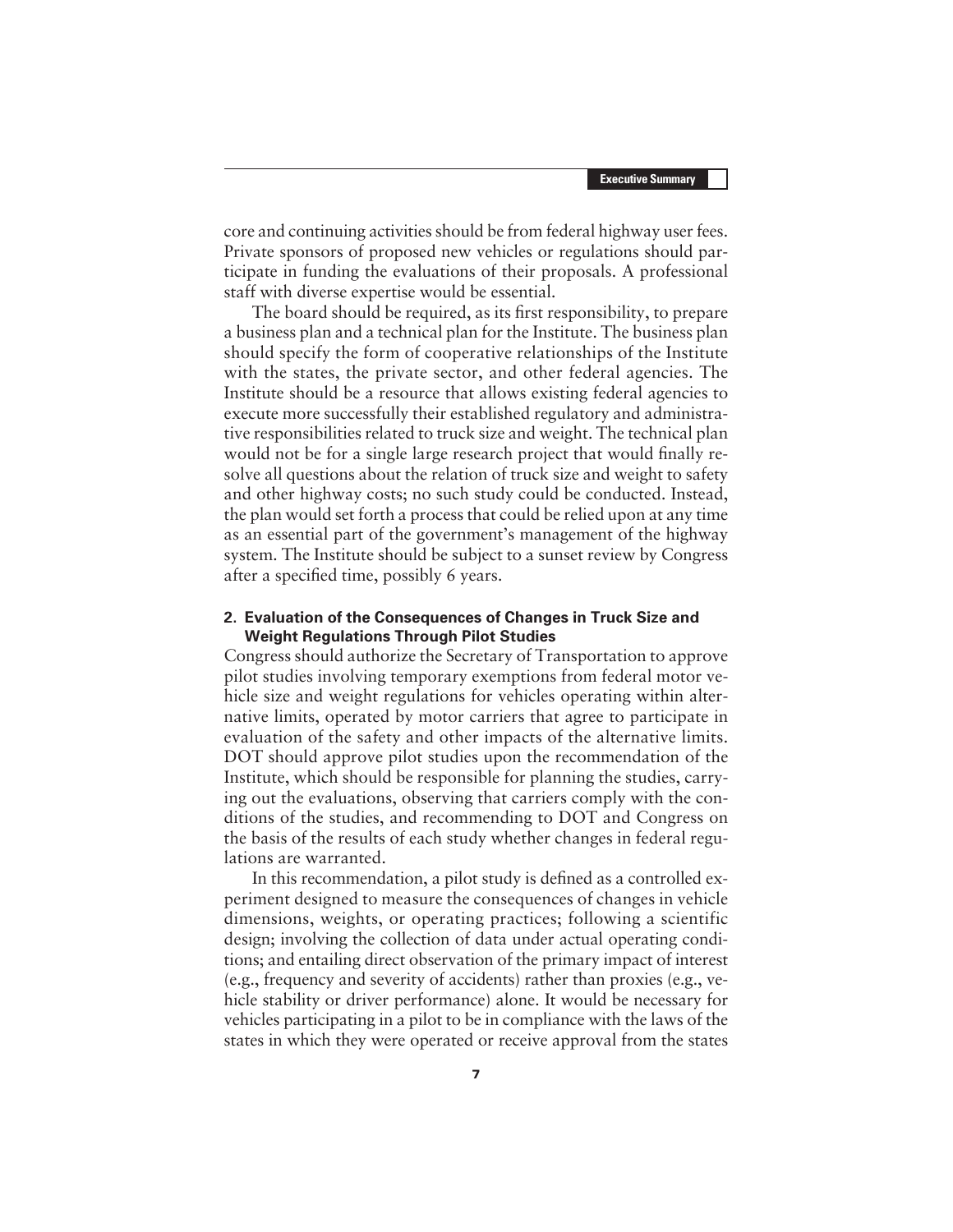core and continuing activities should be from federal highway user fees. Private sponsors of proposed new vehicles or regulations should participate in funding the evaluations of their proposals. A professional staff with diverse expertise would be essential.

The board should be required, as its first responsibility, to prepare a business plan and a technical plan for the Institute. The business plan should specify the form of cooperative relationships of the Institute with the states, the private sector, and other federal agencies. The Institute should be a resource that allows existing federal agencies to execute more successfully their established regulatory and administrative responsibilities related to truck size and weight. The technical plan would not be for a single large research project that would finally resolve all questions about the relation of truck size and weight to safety and other highway costs; no such study could be conducted. Instead, the plan would set forth a process that could be relied upon at any time as an essential part of the government's management of the highway system. The Institute should be subject to a sunset review by Congress after a specified time, possibly 6 years.

#### **2. Evaluation of the Consequences of Changes in Truck Size and Weight Regulations Through Pilot Studies**

Congress should authorize the Secretary of Transportation to approve pilot studies involving temporary exemptions from federal motor vehicle size and weight regulations for vehicles operating within alternative limits, operated by motor carriers that agree to participate in evaluation of the safety and other impacts of the alternative limits. DOT should approve pilot studies upon the recommendation of the Institute, which should be responsible for planning the studies, carrying out the evaluations, observing that carriers comply with the conditions of the studies, and recommending to DOT and Congress on the basis of the results of each study whether changes in federal regulations are warranted.

In this recommendation, a pilot study is defined as a controlled experiment designed to measure the consequences of changes in vehicle dimensions, weights, or operating practices; following a scientific design; involving the collection of data under actual operating conditions; and entailing direct observation of the primary impact of interest (e.g., frequency and severity of accidents) rather than proxies (e.g., vehicle stability or driver performance) alone. It would be necessary for vehicles participating in a pilot to be in compliance with the laws of the states in which they were operated or receive approval from the states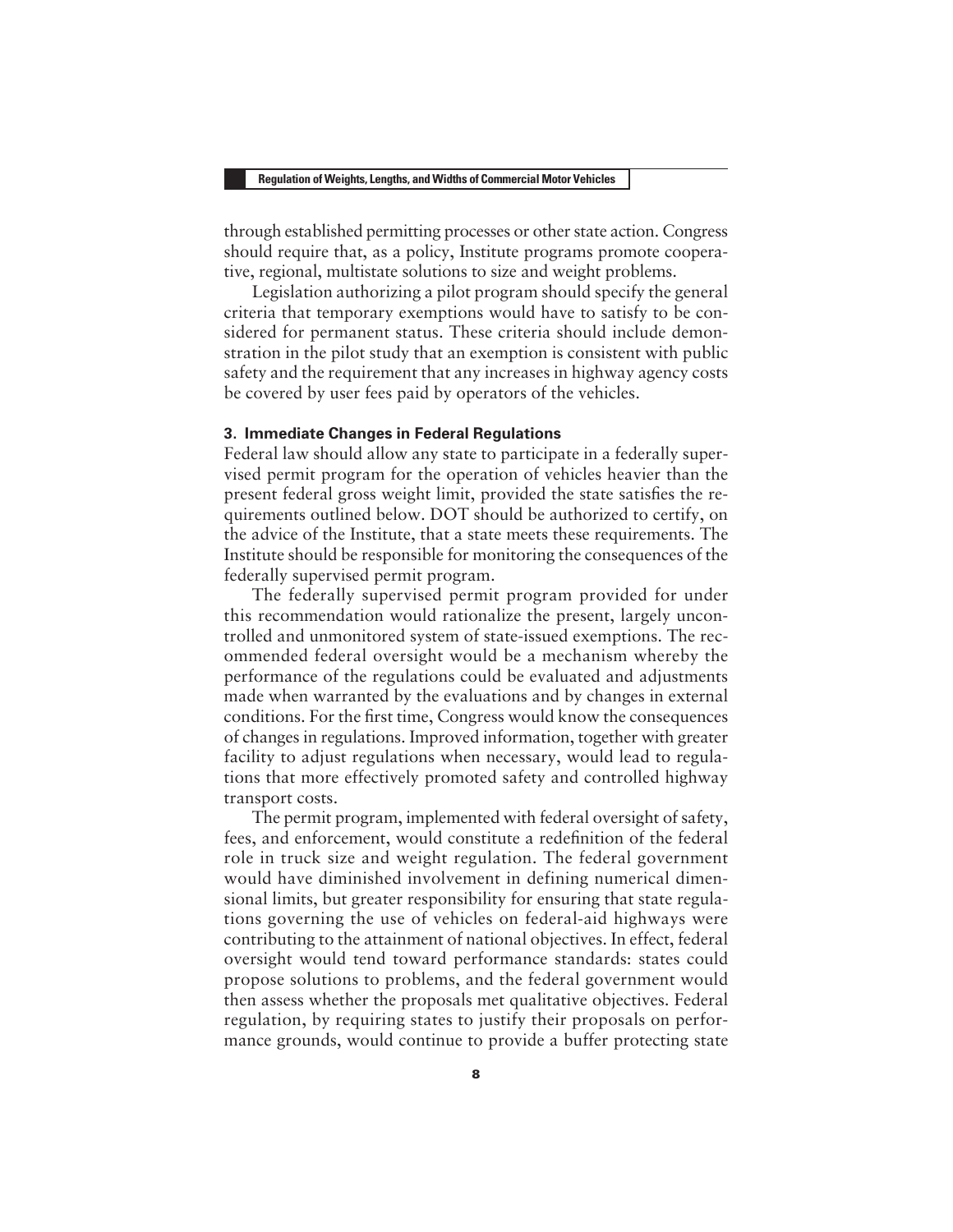through established permitting processes or other state action. Congress should require that, as a policy, Institute programs promote cooperative, regional, multistate solutions to size and weight problems.

Legislation authorizing a pilot program should specify the general criteria that temporary exemptions would have to satisfy to be considered for permanent status. These criteria should include demonstration in the pilot study that an exemption is consistent with public safety and the requirement that any increases in highway agency costs be covered by user fees paid by operators of the vehicles.

#### **3. Immediate Changes in Federal Regulations**

Federal law should allow any state to participate in a federally supervised permit program for the operation of vehicles heavier than the present federal gross weight limit, provided the state satisfies the requirements outlined below. DOT should be authorized to certify, on the advice of the Institute, that a state meets these requirements. The Institute should be responsible for monitoring the consequences of the federally supervised permit program.

The federally supervised permit program provided for under this recommendation would rationalize the present, largely uncontrolled and unmonitored system of state-issued exemptions. The recommended federal oversight would be a mechanism whereby the performance of the regulations could be evaluated and adjustments made when warranted by the evaluations and by changes in external conditions. For the first time, Congress would know the consequences of changes in regulations. Improved information, together with greater facility to adjust regulations when necessary, would lead to regulations that more effectively promoted safety and controlled highway transport costs.

The permit program, implemented with federal oversight of safety, fees, and enforcement, would constitute a redefinition of the federal role in truck size and weight regulation. The federal government would have diminished involvement in defining numerical dimensional limits, but greater responsibility for ensuring that state regulations governing the use of vehicles on federal-aid highways were contributing to the attainment of national objectives. In effect, federal oversight would tend toward performance standards: states could propose solutions to problems, and the federal government would then assess whether the proposals met qualitative objectives. Federal regulation, by requiring states to justify their proposals on performance grounds, would continue to provide a buffer protecting state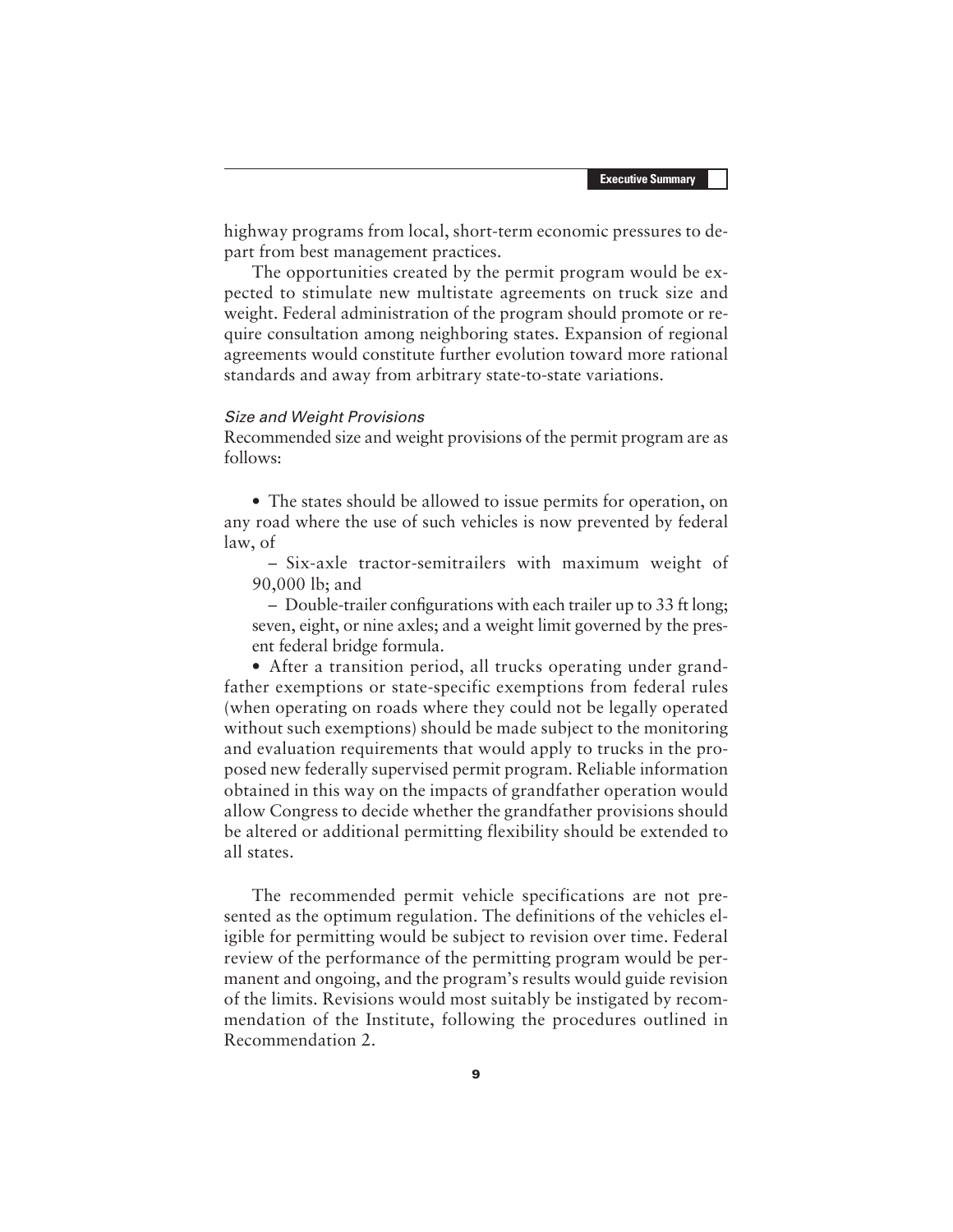highway programs from local, short-term economic pressures to depart from best management practices.

The opportunities created by the permit program would be expected to stimulate new multistate agreements on truck size and weight. Federal administration of the program should promote or require consultation among neighboring states. Expansion of regional agreements would constitute further evolution toward more rational standards and away from arbitrary state-to-state variations.

#### Size and Weight Provisions

Recommended size and weight provisions of the permit program are as follows:

• The states should be allowed to issue permits for operation, on any road where the use of such vehicles is now prevented by federal law, of

– Six-axle tractor-semitrailers with maximum weight of 90,000 lb; and

– Double-trailer configurations with each trailer up to 33 ft long; seven, eight, or nine axles; and a weight limit governed by the present federal bridge formula.

• After a transition period, all trucks operating under grandfather exemptions or state-specific exemptions from federal rules (when operating on roads where they could not be legally operated without such exemptions) should be made subject to the monitoring and evaluation requirements that would apply to trucks in the proposed new federally supervised permit program. Reliable information obtained in this way on the impacts of grandfather operation would allow Congress to decide whether the grandfather provisions should be altered or additional permitting flexibility should be extended to all states.

The recommended permit vehicle specifications are not presented as the optimum regulation. The definitions of the vehicles eligible for permitting would be subject to revision over time. Federal review of the performance of the permitting program would be permanent and ongoing, and the program's results would guide revision of the limits. Revisions would most suitably be instigated by recommendation of the Institute, following the procedures outlined in Recommendation 2.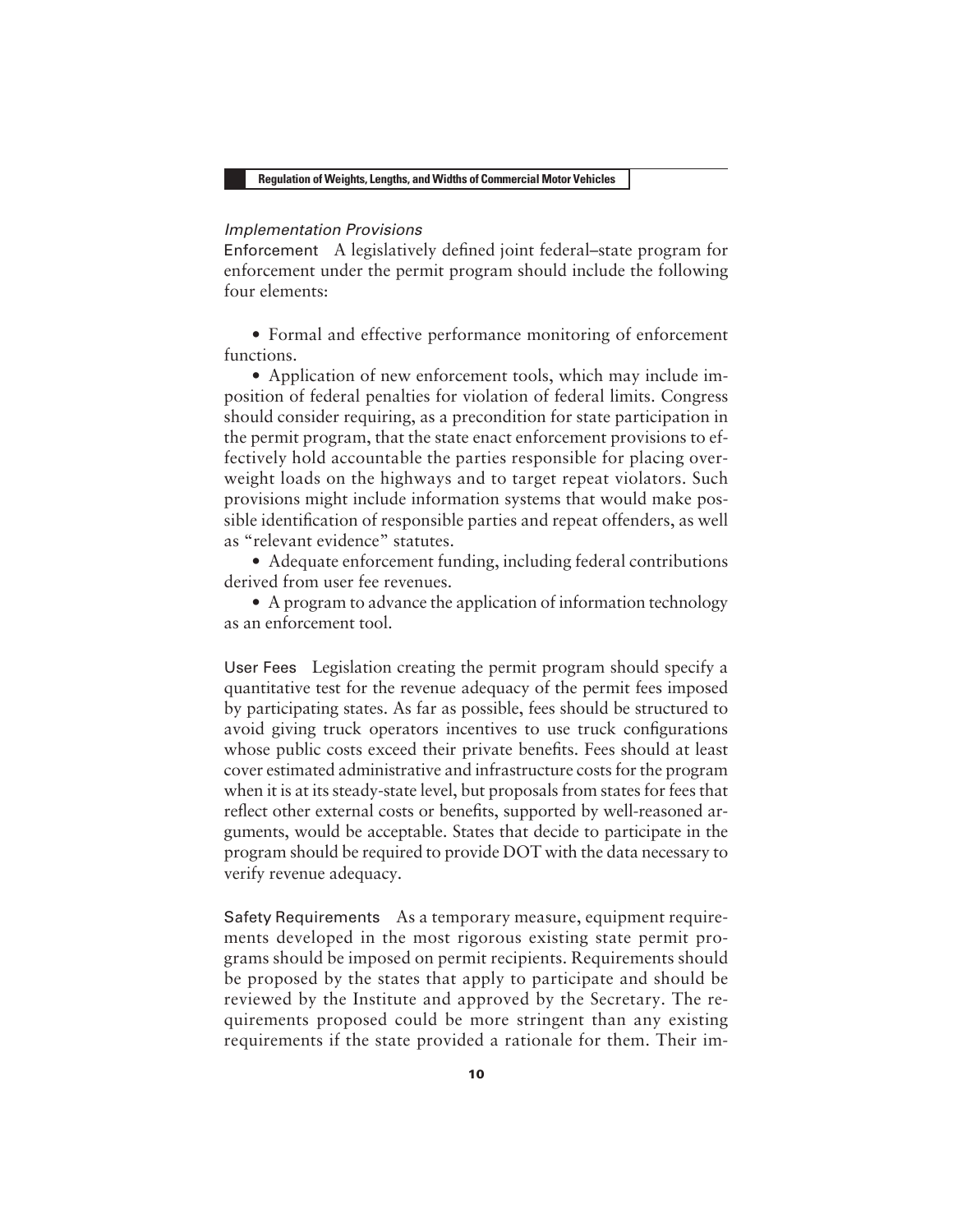### Implementation Provisions

Enforcement A legislatively defined joint federal–state program for enforcement under the permit program should include the following four elements:

• Formal and effective performance monitoring of enforcement functions.

• Application of new enforcement tools, which may include imposition of federal penalties for violation of federal limits. Congress should consider requiring, as a precondition for state participation in the permit program, that the state enact enforcement provisions to effectively hold accountable the parties responsible for placing overweight loads on the highways and to target repeat violators. Such provisions might include information systems that would make possible identification of responsible parties and repeat offenders, as well as "relevant evidence" statutes.

• Adequate enforcement funding, including federal contributions derived from user fee revenues.

• A program to advance the application of information technology as an enforcement tool.

User Fees Legislation creating the permit program should specify a quantitative test for the revenue adequacy of the permit fees imposed by participating states. As far as possible, fees should be structured to avoid giving truck operators incentives to use truck configurations whose public costs exceed their private benefits. Fees should at least cover estimated administrative and infrastructure costs for the program when it is at its steady-state level, but proposals from states for fees that reflect other external costs or benefits, supported by well-reasoned arguments, would be acceptable. States that decide to participate in the program should be required to provide DOT with the data necessary to verify revenue adequacy.

Safety Requirements As a temporary measure, equipment requirements developed in the most rigorous existing state permit programs should be imposed on permit recipients. Requirements should be proposed by the states that apply to participate and should be reviewed by the Institute and approved by the Secretary. The requirements proposed could be more stringent than any existing requirements if the state provided a rationale for them. Their im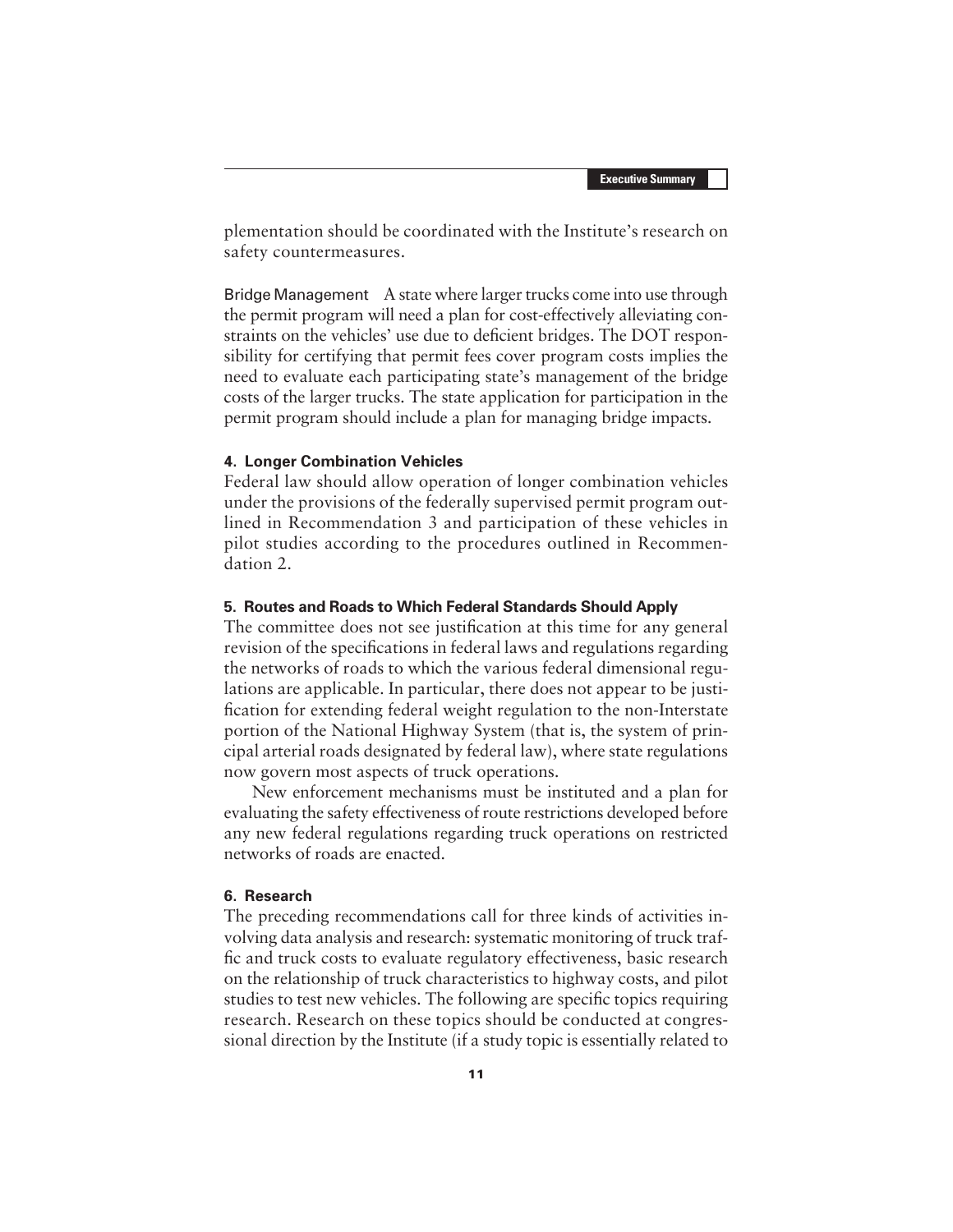plementation should be coordinated with the Institute's research on safety countermeasures.

Bridge Management A state where larger trucks come into use through the permit program will need a plan for cost-effectively alleviating constraints on the vehicles' use due to deficient bridges. The DOT responsibility for certifying that permit fees cover program costs implies the need to evaluate each participating state's management of the bridge costs of the larger trucks. The state application for participation in the permit program should include a plan for managing bridge impacts.

## **4. Longer Combination Vehicles**

Federal law should allow operation of longer combination vehicles under the provisions of the federally supervised permit program outlined in Recommendation 3 and participation of these vehicles in pilot studies according to the procedures outlined in Recommendation 2.

## **5. Routes and Roads to Which Federal Standards Should Apply**

The committee does not see justification at this time for any general revision of the specifications in federal laws and regulations regarding the networks of roads to which the various federal dimensional regulations are applicable. In particular, there does not appear to be justification for extending federal weight regulation to the non-Interstate portion of the National Highway System (that is, the system of principal arterial roads designated by federal law), where state regulations now govern most aspects of truck operations.

New enforcement mechanisms must be instituted and a plan for evaluating the safety effectiveness of route restrictions developed before any new federal regulations regarding truck operations on restricted networks of roads are enacted.

### **6. Research**

The preceding recommendations call for three kinds of activities involving data analysis and research: systematic monitoring of truck traffic and truck costs to evaluate regulatory effectiveness, basic research on the relationship of truck characteristics to highway costs, and pilot studies to test new vehicles. The following are specific topics requiring research. Research on these topics should be conducted at congressional direction by the Institute (if a study topic is essentially related to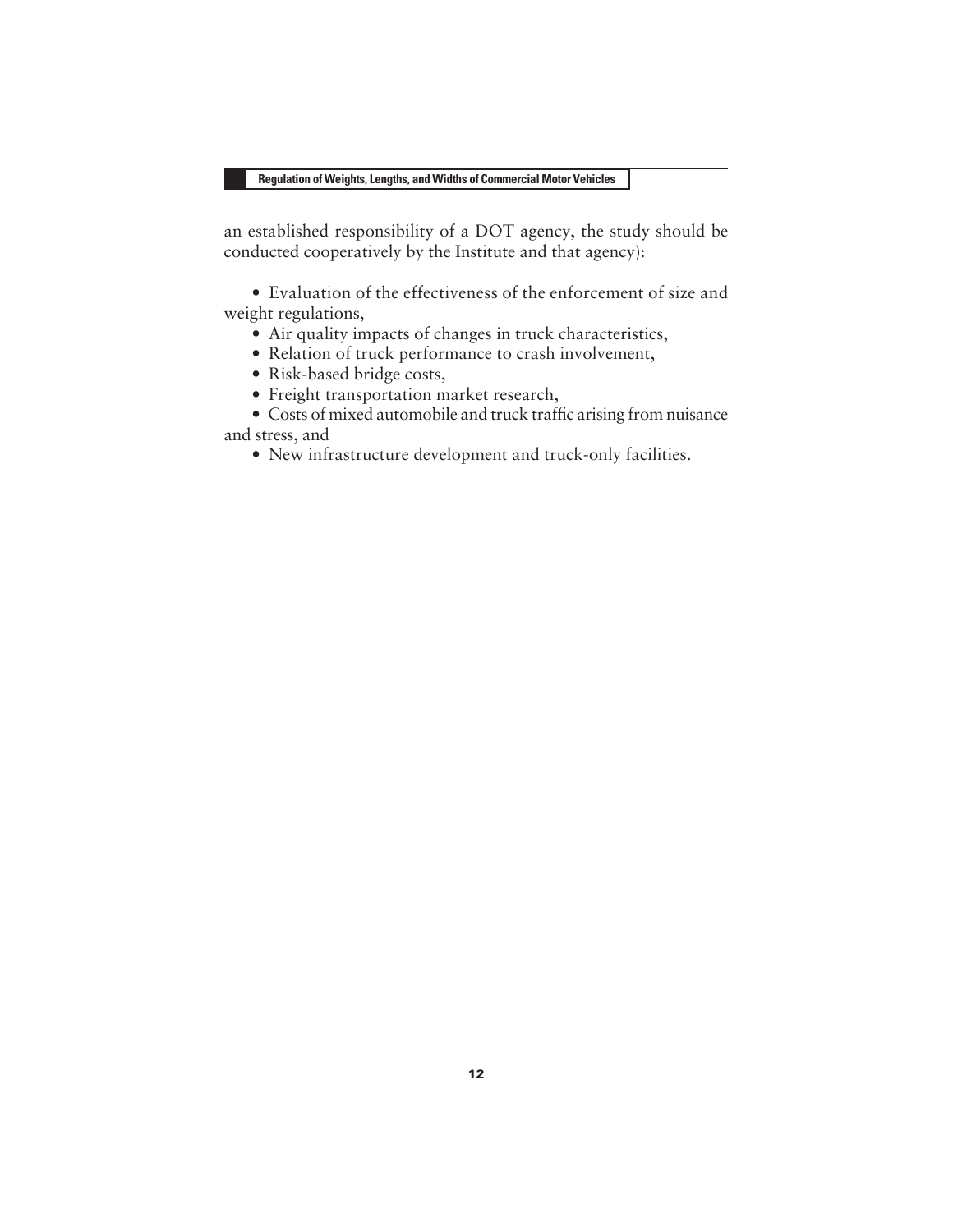an established responsibility of a DOT agency, the study should be conducted cooperatively by the Institute and that agency):

• Evaluation of the effectiveness of the enforcement of size and weight regulations,

- Air quality impacts of changes in truck characteristics,
- Relation of truck performance to crash involvement,
- Risk-based bridge costs,
- Freight transportation market research,
- Costs of mixed automobile and truck traffic arising from nuisance and stress, and
	- New infrastructure development and truck-only facilities.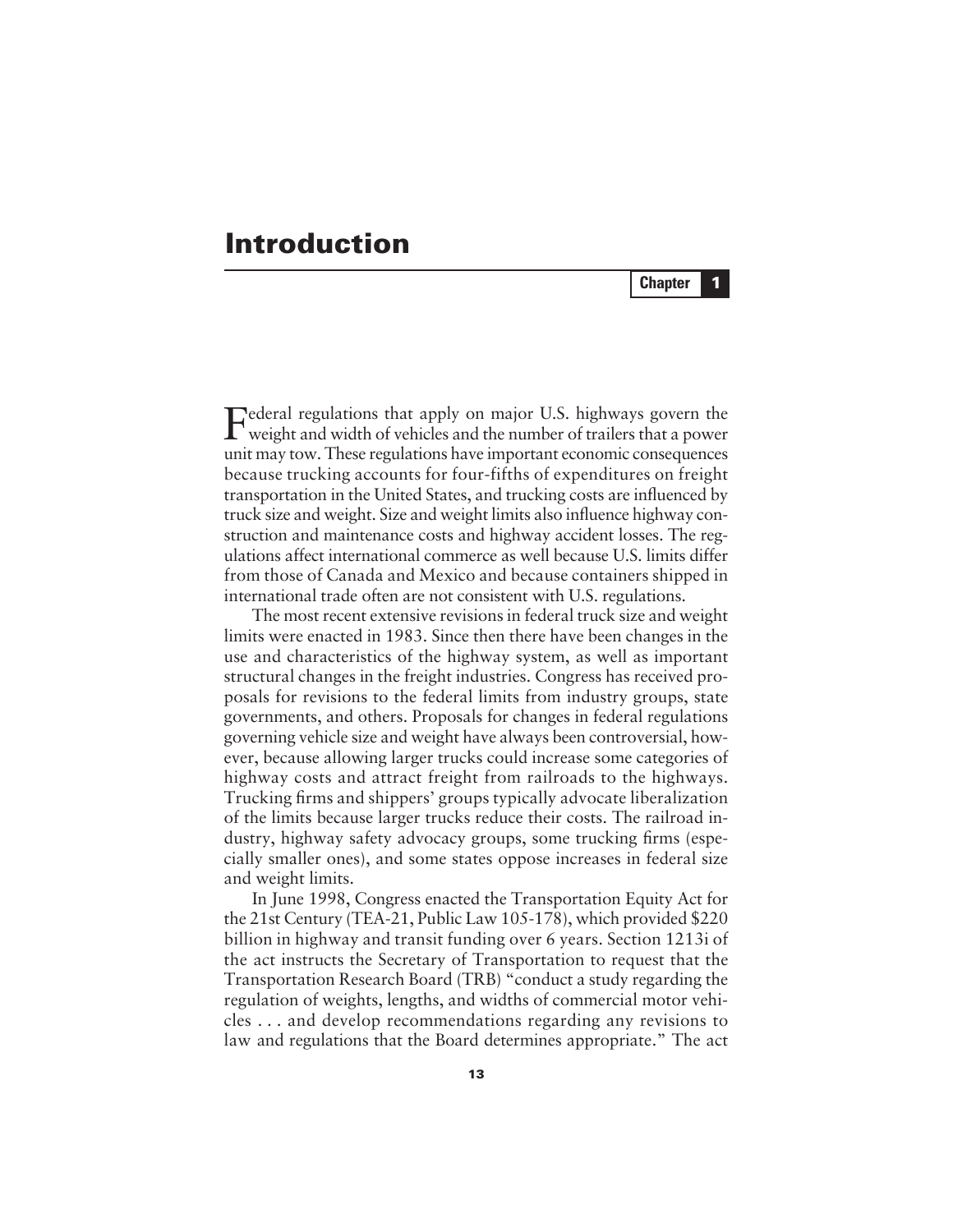Federal regulations that apply on major U.S. highways govern the weight and width of vehicles and the number of trailers that a power unit may tow. These regulations have important economic consequences because trucking accounts for four-fifths of expenditures on freight transportation in the United States, and trucking costs are influenced by truck size and weight. Size and weight limits also influence highway construction and maintenance costs and highway accident losses. The regulations affect international commerce as well because U.S. limits differ from those of Canada and Mexico and because containers shipped in international trade often are not consistent with U.S. regulations.

The most recent extensive revisions in federal truck size and weight limits were enacted in 1983. Since then there have been changes in the use and characteristics of the highway system, as well as important structural changes in the freight industries. Congress has received proposals for revisions to the federal limits from industry groups, state governments, and others. Proposals for changes in federal regulations governing vehicle size and weight have always been controversial, however, because allowing larger trucks could increase some categories of highway costs and attract freight from railroads to the highways. Trucking firms and shippers' groups typically advocate liberalization of the limits because larger trucks reduce their costs. The railroad industry, highway safety advocacy groups, some trucking firms (especially smaller ones), and some states oppose increases in federal size and weight limits.

In June 1998, Congress enacted the Transportation Equity Act for the 21st Century (TEA-21, Public Law 105-178), which provided \$220 billion in highway and transit funding over 6 years. Section 1213i of the act instructs the Secretary of Transportation to request that the Transportation Research Board (TRB) "conduct a study regarding the regulation of weights, lengths, and widths of commercial motor vehicles . . . and develop recommendations regarding any revisions to law and regulations that the Board determines appropriate." The act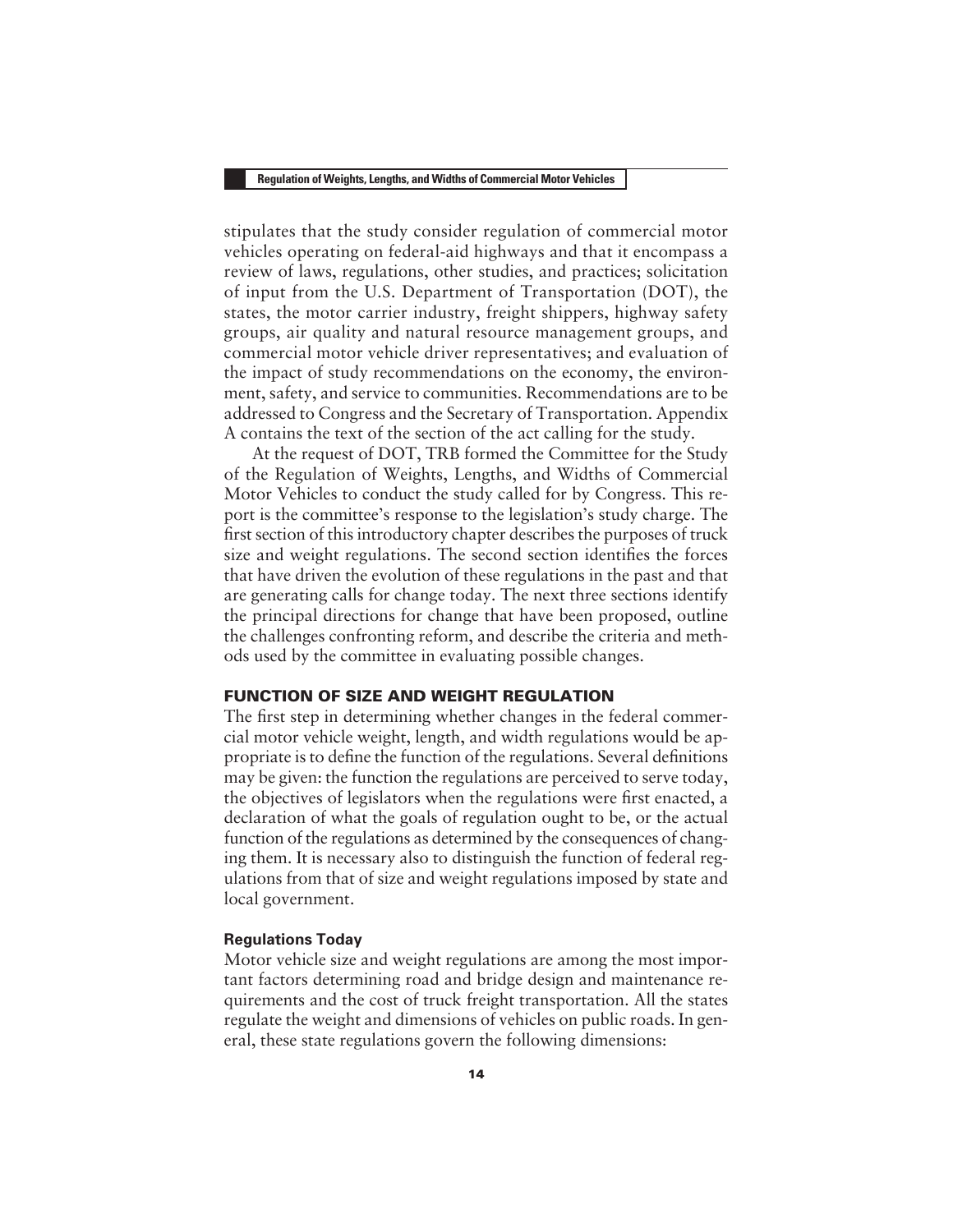stipulates that the study consider regulation of commercial motor vehicles operating on federal-aid highways and that it encompass a review of laws, regulations, other studies, and practices; solicitation of input from the U.S. Department of Transportation (DOT), the states, the motor carrier industry, freight shippers, highway safety groups, air quality and natural resource management groups, and commercial motor vehicle driver representatives; and evaluation of the impact of study recommendations on the economy, the environment, safety, and service to communities. Recommendations are to be addressed to Congress and the Secretary of Transportation. Appendix A contains the text of the section of the act calling for the study.

At the request of DOT, TRB formed the Committee for the Study of the Regulation of Weights, Lengths, and Widths of Commercial Motor Vehicles to conduct the study called for by Congress. This report is the committee's response to the legislation's study charge. The first section of this introductory chapter describes the purposes of truck size and weight regulations. The second section identifies the forces that have driven the evolution of these regulations in the past and that are generating calls for change today. The next three sections identify the principal directions for change that have been proposed, outline the challenges confronting reform, and describe the criteria and methods used by the committee in evaluating possible changes.

# **FUNCTION OF SIZE AND WEIGHT REGULATION**

The first step in determining whether changes in the federal commercial motor vehicle weight, length, and width regulations would be appropriate is to define the function of the regulations. Several definitions may be given: the function the regulations are perceived to serve today, the objectives of legislators when the regulations were first enacted, a declaration of what the goals of regulation ought to be, or the actual function of the regulations as determined by the consequences of changing them. It is necessary also to distinguish the function of federal regulations from that of size and weight regulations imposed by state and local government.

## **Regulations Today**

Motor vehicle size and weight regulations are among the most important factors determining road and bridge design and maintenance requirements and the cost of truck freight transportation. All the states regulate the weight and dimensions of vehicles on public roads. In general, these state regulations govern the following dimensions: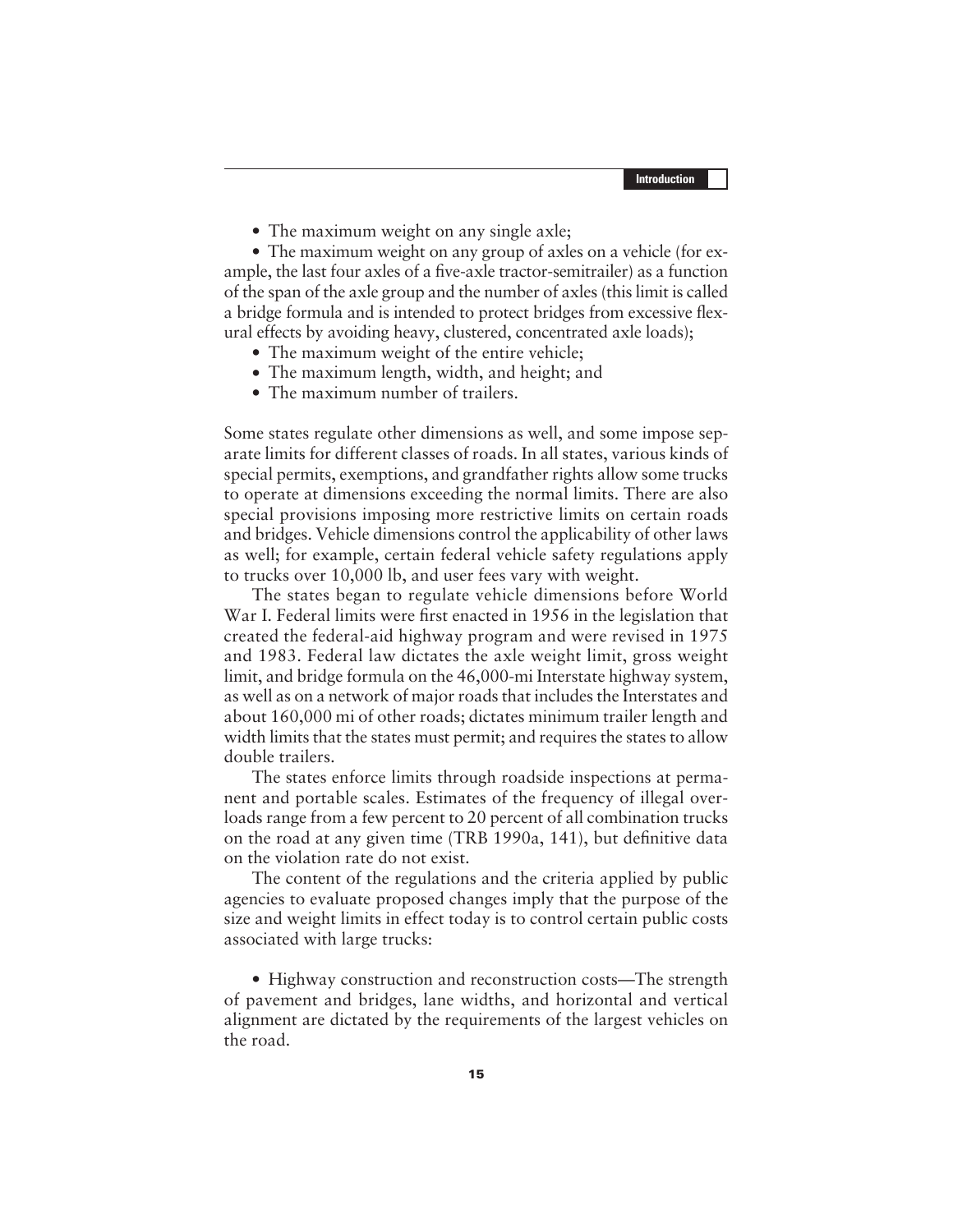• The maximum weight on any single axle;

• The maximum weight on any group of axles on a vehicle (for example, the last four axles of a five-axle tractor-semitrailer) as a function of the span of the axle group and the number of axles (this limit is called a bridge formula and is intended to protect bridges from excessive flexural effects by avoiding heavy, clustered, concentrated axle loads);

- The maximum weight of the entire vehicle;
- The maximum length, width, and height; and
- The maximum number of trailers.

Some states regulate other dimensions as well, and some impose separate limits for different classes of roads. In all states, various kinds of special permits, exemptions, and grandfather rights allow some trucks to operate at dimensions exceeding the normal limits. There are also special provisions imposing more restrictive limits on certain roads and bridges. Vehicle dimensions control the applicability of other laws as well; for example, certain federal vehicle safety regulations apply to trucks over 10,000 lb, and user fees vary with weight.

The states began to regulate vehicle dimensions before World War I. Federal limits were first enacted in 1956 in the legislation that created the federal-aid highway program and were revised in 1975 and 1983. Federal law dictates the axle weight limit, gross weight limit, and bridge formula on the 46,000-mi Interstate highway system, as well as on a network of major roads that includes the Interstates and about 160,000 mi of other roads; dictates minimum trailer length and width limits that the states must permit; and requires the states to allow double trailers.

The states enforce limits through roadside inspections at permanent and portable scales. Estimates of the frequency of illegal overloads range from a few percent to 20 percent of all combination trucks on the road at any given time (TRB 1990a, 141), but definitive data on the violation rate do not exist.

The content of the regulations and the criteria applied by public agencies to evaluate proposed changes imply that the purpose of the size and weight limits in effect today is to control certain public costs associated with large trucks:

• Highway construction and reconstruction costs—The strength of pavement and bridges, lane widths, and horizontal and vertical alignment are dictated by the requirements of the largest vehicles on the road.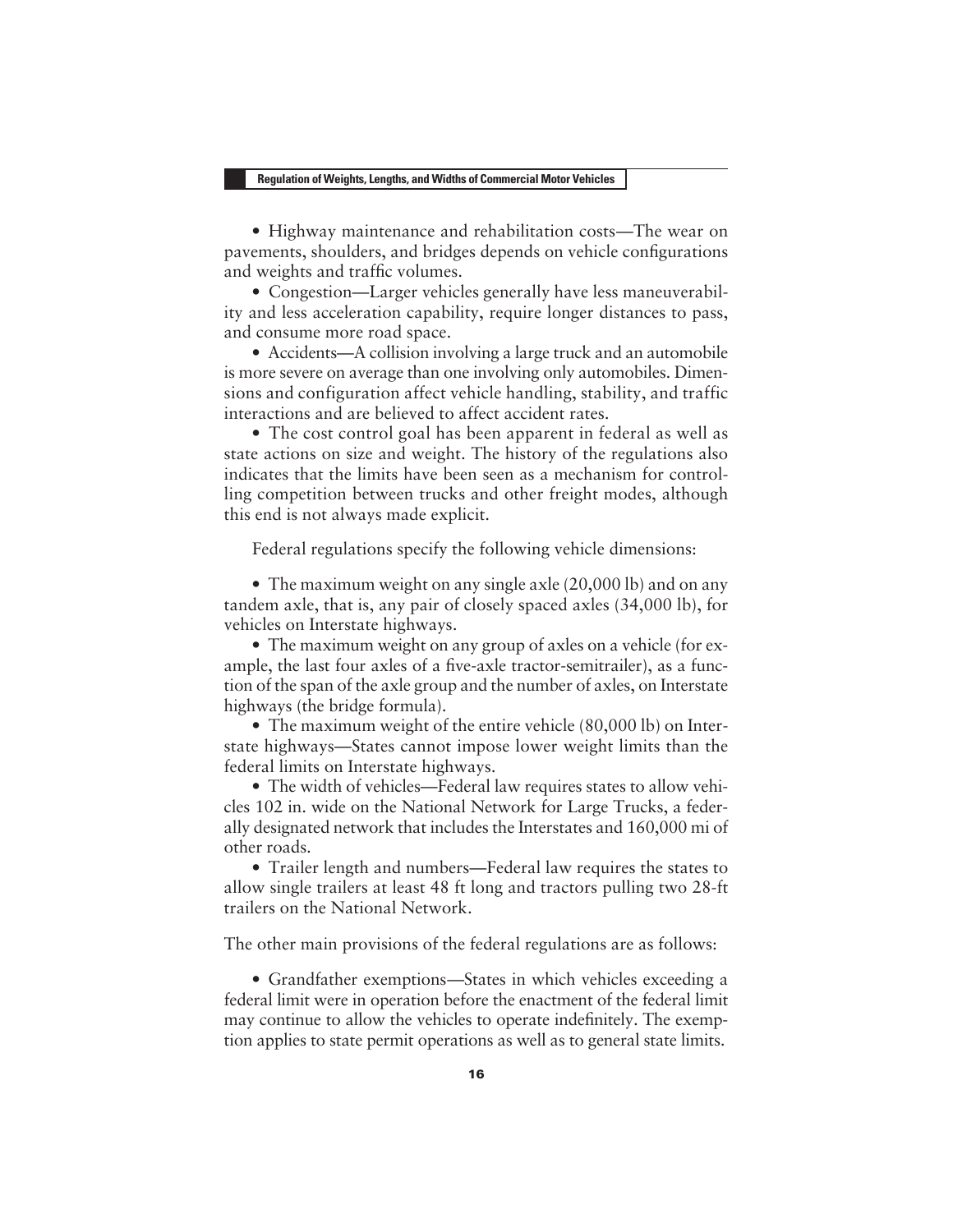• Highway maintenance and rehabilitation costs—The wear on pavements, shoulders, and bridges depends on vehicle configurations and weights and traffic volumes.

• Congestion—Larger vehicles generally have less maneuverability and less acceleration capability, require longer distances to pass, and consume more road space.

• Accidents—A collision involving a large truck and an automobile is more severe on average than one involving only automobiles. Dimensions and configuration affect vehicle handling, stability, and traffic interactions and are believed to affect accident rates.

• The cost control goal has been apparent in federal as well as state actions on size and weight. The history of the regulations also indicates that the limits have been seen as a mechanism for controlling competition between trucks and other freight modes, although this end is not always made explicit.

Federal regulations specify the following vehicle dimensions:

• The maximum weight on any single axle (20,000 lb) and on any tandem axle, that is, any pair of closely spaced axles (34,000 lb), for vehicles on Interstate highways.

• The maximum weight on any group of axles on a vehicle (for example, the last four axles of a five-axle tractor-semitrailer), as a function of the span of the axle group and the number of axles, on Interstate highways (the bridge formula).

• The maximum weight of the entire vehicle (80,000 lb) on Interstate highways—States cannot impose lower weight limits than the federal limits on Interstate highways.

• The width of vehicles—Federal law requires states to allow vehicles 102 in. wide on the National Network for Large Trucks, a federally designated network that includes the Interstates and 160,000 mi of other roads.

• Trailer length and numbers—Federal law requires the states to allow single trailers at least 48 ft long and tractors pulling two 28-ft trailers on the National Network.

The other main provisions of the federal regulations are as follows:

• Grandfather exemptions—States in which vehicles exceeding a federal limit were in operation before the enactment of the federal limit may continue to allow the vehicles to operate indefinitely. The exemption applies to state permit operations as well as to general state limits.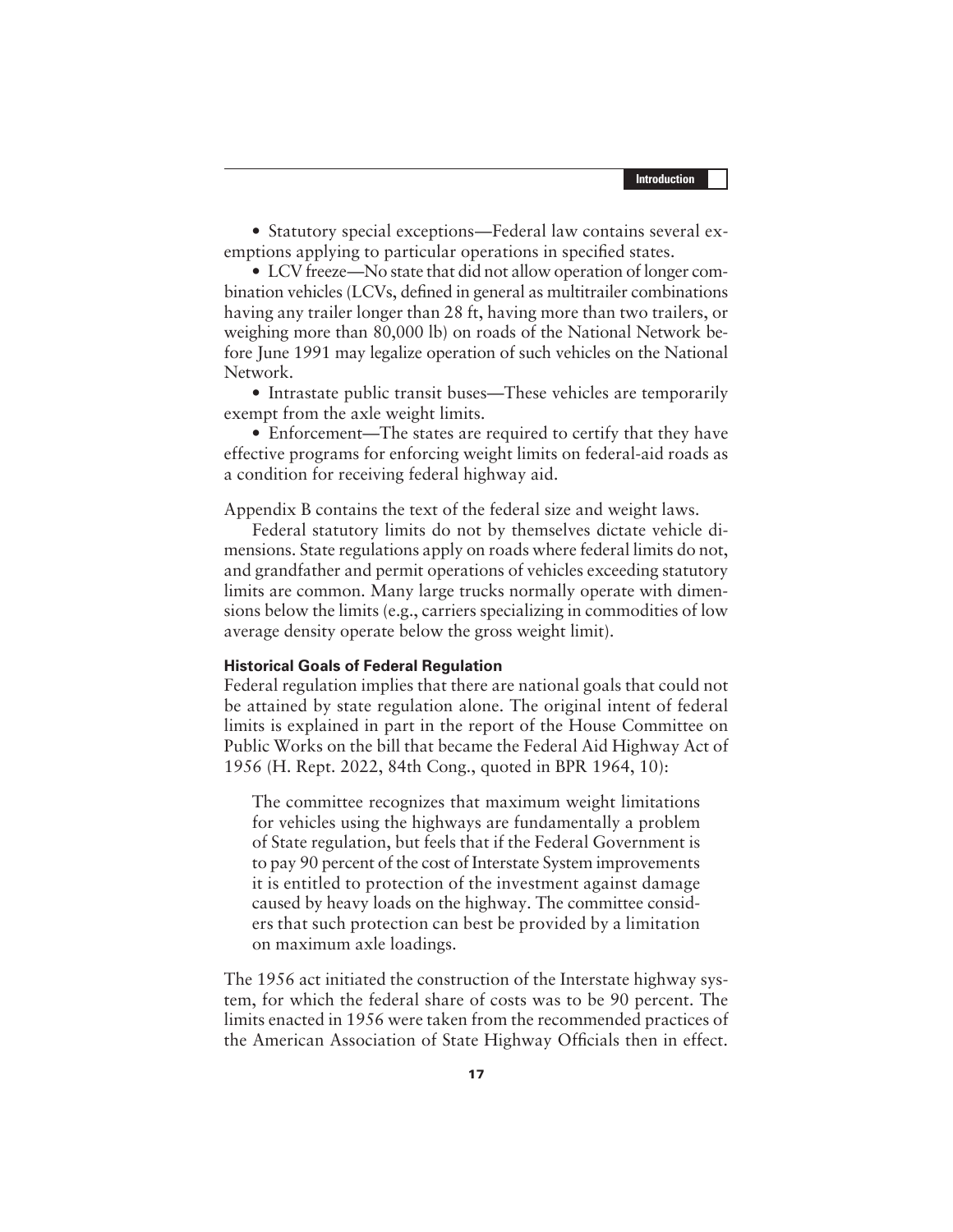• Statutory special exceptions—Federal law contains several exemptions applying to particular operations in specified states.

• LCV freeze—No state that did not allow operation of longer combination vehicles (LCVs, defined in general as multitrailer combinations having any trailer longer than 28 ft, having more than two trailers, or weighing more than 80,000 lb) on roads of the National Network before June 1991 may legalize operation of such vehicles on the National Network.

• Intrastate public transit buses—These vehicles are temporarily exempt from the axle weight limits.

• Enforcement—The states are required to certify that they have effective programs for enforcing weight limits on federal-aid roads as a condition for receiving federal highway aid.

Appendix B contains the text of the federal size and weight laws.

Federal statutory limits do not by themselves dictate vehicle dimensions. State regulations apply on roads where federal limits do not, and grandfather and permit operations of vehicles exceeding statutory limits are common. Many large trucks normally operate with dimensions below the limits (e.g., carriers specializing in commodities of low average density operate below the gross weight limit).

#### **Historical Goals of Federal Regulation**

Federal regulation implies that there are national goals that could not be attained by state regulation alone. The original intent of federal limits is explained in part in the report of the House Committee on Public Works on the bill that became the Federal Aid Highway Act of 1956 (H. Rept. 2022, 84th Cong., quoted in BPR 1964, 10):

The committee recognizes that maximum weight limitations for vehicles using the highways are fundamentally a problem of State regulation, but feels that if the Federal Government is to pay 90 percent of the cost of Interstate System improvements it is entitled to protection of the investment against damage caused by heavy loads on the highway. The committee considers that such protection can best be provided by a limitation on maximum axle loadings.

The 1956 act initiated the construction of the Interstate highway system, for which the federal share of costs was to be 90 percent. The limits enacted in 1956 were taken from the recommended practices of the American Association of State Highway Officials then in effect.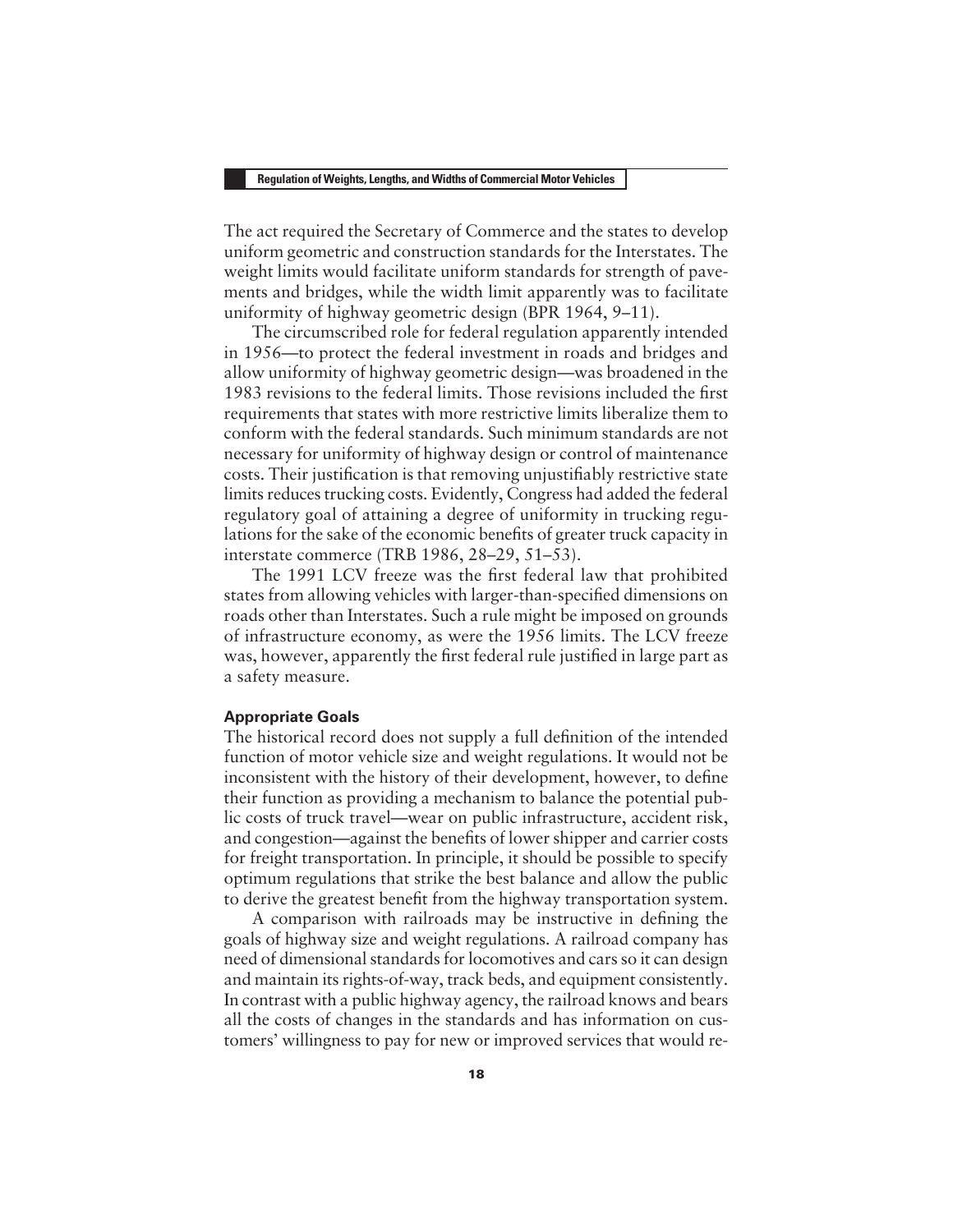The act required the Secretary of Commerce and the states to develop uniform geometric and construction standards for the Interstates. The weight limits would facilitate uniform standards for strength of pavements and bridges, while the width limit apparently was to facilitate uniformity of highway geometric design (BPR 1964, 9–11).

The circumscribed role for federal regulation apparently intended in 1956—to protect the federal investment in roads and bridges and allow uniformity of highway geometric design—was broadened in the 1983 revisions to the federal limits. Those revisions included the first requirements that states with more restrictive limits liberalize them to conform with the federal standards. Such minimum standards are not necessary for uniformity of highway design or control of maintenance costs. Their justification is that removing unjustifiably restrictive state limits reduces trucking costs. Evidently, Congress had added the federal regulatory goal of attaining a degree of uniformity in trucking regulations for the sake of the economic benefits of greater truck capacity in interstate commerce (TRB 1986, 28–29, 51–53).

The 1991 LCV freeze was the first federal law that prohibited states from allowing vehicles with larger-than-specified dimensions on roads other than Interstates. Such a rule might be imposed on grounds of infrastructure economy, as were the 1956 limits. The LCV freeze was, however, apparently the first federal rule justified in large part as a safety measure.

### **Appropriate Goals**

The historical record does not supply a full definition of the intended function of motor vehicle size and weight regulations. It would not be inconsistent with the history of their development, however, to define their function as providing a mechanism to balance the potential public costs of truck travel—wear on public infrastructure, accident risk, and congestion—against the benefits of lower shipper and carrier costs for freight transportation. In principle, it should be possible to specify optimum regulations that strike the best balance and allow the public to derive the greatest benefit from the highway transportation system.

A comparison with railroads may be instructive in defining the goals of highway size and weight regulations. A railroad company has need of dimensional standards for locomotives and cars so it can design and maintain its rights-of-way, track beds, and equipment consistently. In contrast with a public highway agency, the railroad knows and bears all the costs of changes in the standards and has information on customers' willingness to pay for new or improved services that would re-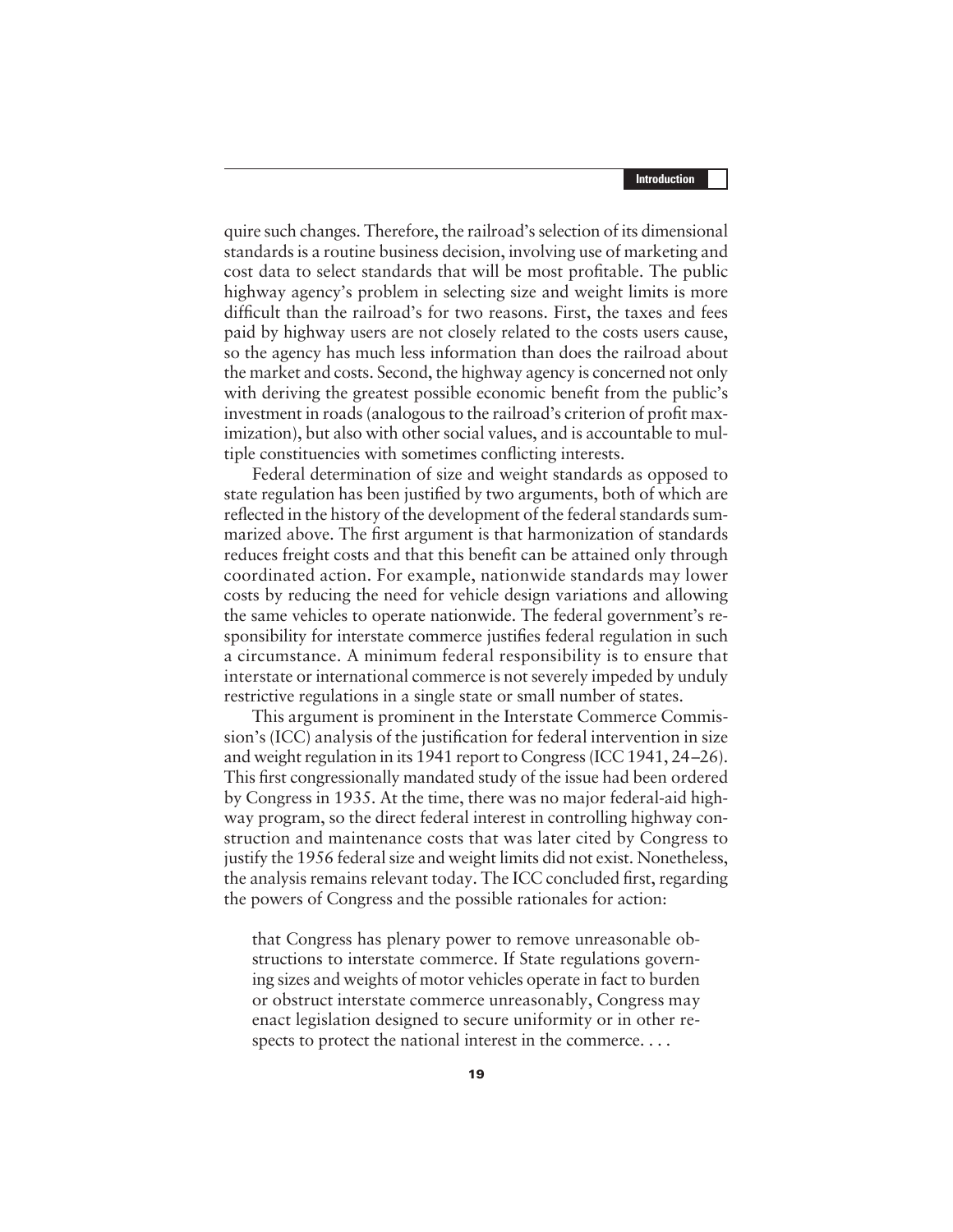quire such changes. Therefore, the railroad's selection of its dimensional standards is a routine business decision, involving use of marketing and cost data to select standards that will be most profitable. The public highway agency's problem in selecting size and weight limits is more difficult than the railroad's for two reasons. First, the taxes and fees paid by highway users are not closely related to the costs users cause, so the agency has much less information than does the railroad about the market and costs. Second, the highway agency is concerned not only with deriving the greatest possible economic benefit from the public's investment in roads (analogous to the railroad's criterion of profit maximization), but also with other social values, and is accountable to multiple constituencies with sometimes conflicting interests.

Federal determination of size and weight standards as opposed to state regulation has been justified by two arguments, both of which are reflected in the history of the development of the federal standards summarized above. The first argument is that harmonization of standards reduces freight costs and that this benefit can be attained only through coordinated action. For example, nationwide standards may lower costs by reducing the need for vehicle design variations and allowing the same vehicles to operate nationwide. The federal government's responsibility for interstate commerce justifies federal regulation in such a circumstance. A minimum federal responsibility is to ensure that interstate or international commerce is not severely impeded by unduly restrictive regulations in a single state or small number of states.

This argument is prominent in the Interstate Commerce Commission's (ICC) analysis of the justification for federal intervention in size and weight regulation in its 1941 report to Congress (ICC 1941, 24–26). This first congressionally mandated study of the issue had been ordered by Congress in 1935. At the time, there was no major federal-aid highway program, so the direct federal interest in controlling highway construction and maintenance costs that was later cited by Congress to justify the 1956 federal size and weight limits did not exist. Nonetheless, the analysis remains relevant today. The ICC concluded first, regarding the powers of Congress and the possible rationales for action:

that Congress has plenary power to remove unreasonable obstructions to interstate commerce. If State regulations governing sizes and weights of motor vehicles operate in fact to burden or obstruct interstate commerce unreasonably, Congress may enact legislation designed to secure uniformity or in other respects to protect the national interest in the commerce....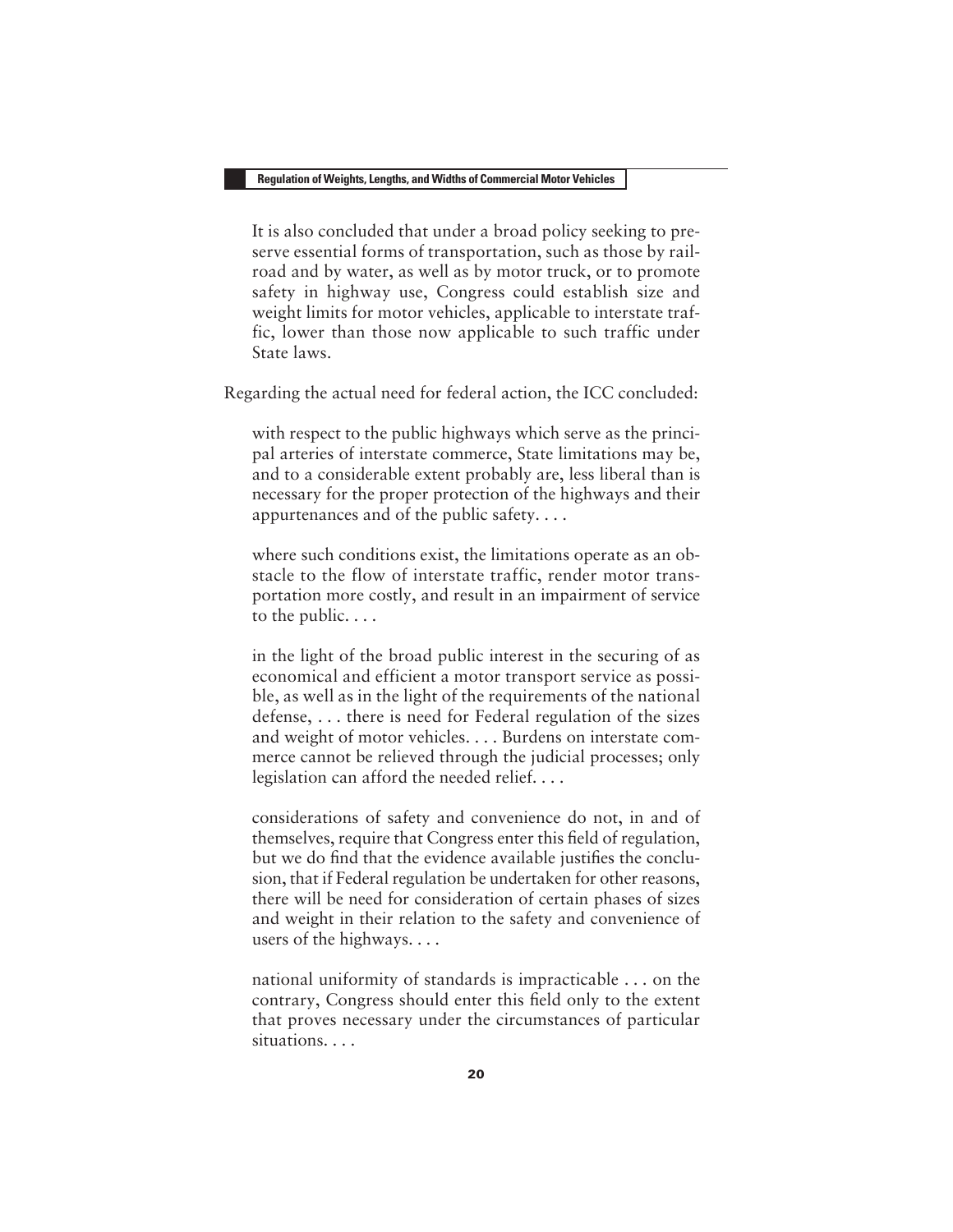It is also concluded that under a broad policy seeking to preserve essential forms of transportation, such as those by railroad and by water, as well as by motor truck, or to promote safety in highway use, Congress could establish size and weight limits for motor vehicles, applicable to interstate traffic, lower than those now applicable to such traffic under State laws.

Regarding the actual need for federal action, the ICC concluded:

with respect to the public highways which serve as the principal arteries of interstate commerce, State limitations may be, and to a considerable extent probably are, less liberal than is necessary for the proper protection of the highways and their appurtenances and of the public safety. . . .

where such conditions exist, the limitations operate as an obstacle to the flow of interstate traffic, render motor transportation more costly, and result in an impairment of service to the public. . . .

in the light of the broad public interest in the securing of as economical and efficient a motor transport service as possible, as well as in the light of the requirements of the national defense, . . . there is need for Federal regulation of the sizes and weight of motor vehicles. . . . Burdens on interstate commerce cannot be relieved through the judicial processes; only legislation can afford the needed relief. . . .

considerations of safety and convenience do not, in and of themselves, require that Congress enter this field of regulation, but we do find that the evidence available justifies the conclusion, that if Federal regulation be undertaken for other reasons, there will be need for consideration of certain phases of sizes and weight in their relation to the safety and convenience of users of the highways. . . .

national uniformity of standards is impracticable . . . on the contrary, Congress should enter this field only to the extent that proves necessary under the circumstances of particular situations. . . .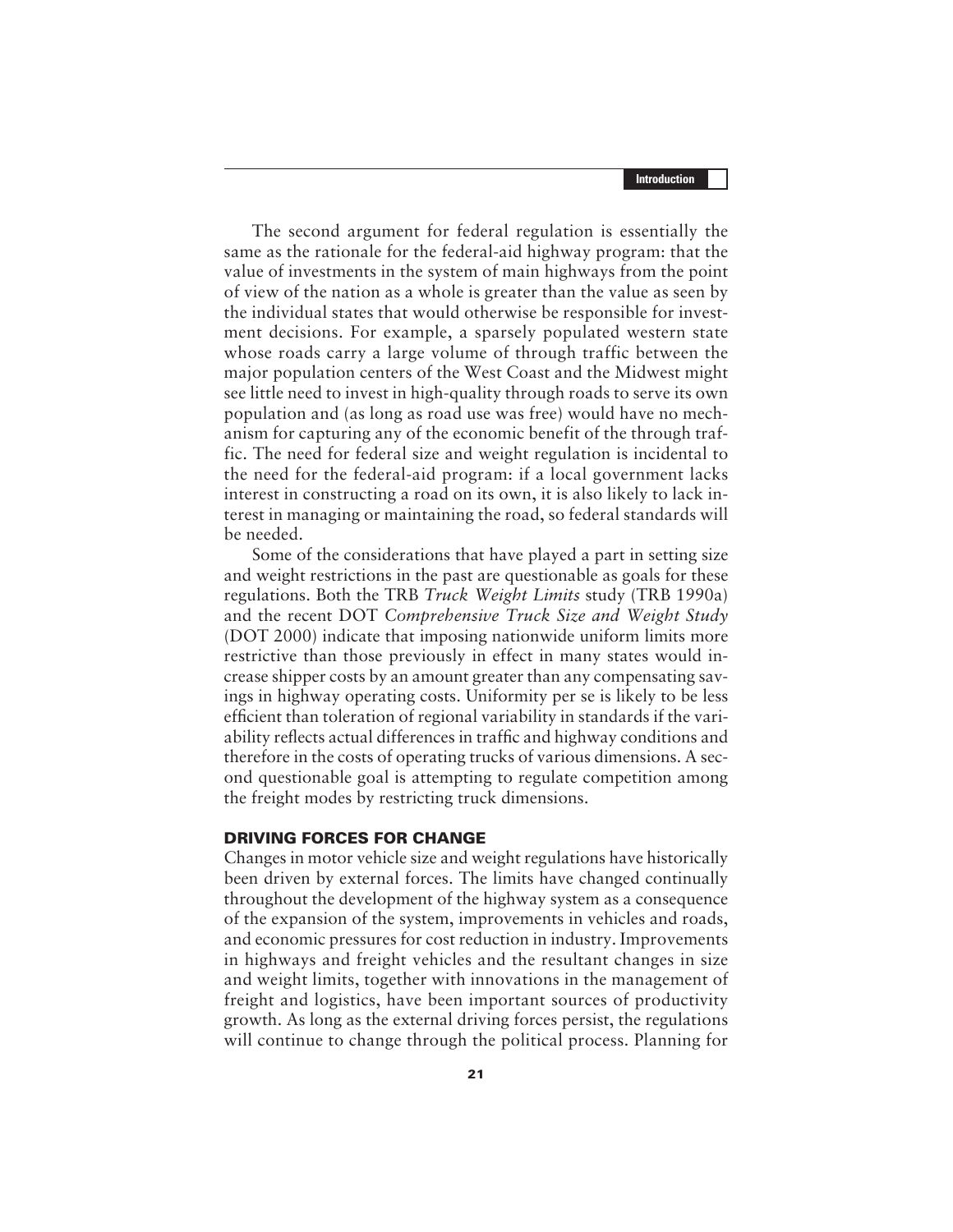The second argument for federal regulation is essentially the same as the rationale for the federal-aid highway program: that the value of investments in the system of main highways from the point of view of the nation as a whole is greater than the value as seen by the individual states that would otherwise be responsible for investment decisions. For example, a sparsely populated western state whose roads carry a large volume of through traffic between the major population centers of the West Coast and the Midwest might see little need to invest in high-quality through roads to serve its own population and (as long as road use was free) would have no mechanism for capturing any of the economic benefit of the through traffic. The need for federal size and weight regulation is incidental to the need for the federal-aid program: if a local government lacks interest in constructing a road on its own, it is also likely to lack interest in managing or maintaining the road, so federal standards will be needed.

Some of the considerations that have played a part in setting size and weight restrictions in the past are questionable as goals for these regulations. Both the TRB *Truck Weight Limits* study (TRB 1990a) and the recent DOT *Comprehensive Truck Size and Weight Study* (DOT 2000) indicate that imposing nationwide uniform limits more restrictive than those previously in effect in many states would increase shipper costs by an amount greater than any compensating savings in highway operating costs. Uniformity per se is likely to be less efficient than toleration of regional variability in standards if the variability reflects actual differences in traffic and highway conditions and therefore in the costs of operating trucks of various dimensions. A second questionable goal is attempting to regulate competition among the freight modes by restricting truck dimensions.

#### **DRIVING FORCES FOR CHANGE**

Changes in motor vehicle size and weight regulations have historically been driven by external forces. The limits have changed continually throughout the development of the highway system as a consequence of the expansion of the system, improvements in vehicles and roads, and economic pressures for cost reduction in industry. Improvements in highways and freight vehicles and the resultant changes in size and weight limits, together with innovations in the management of freight and logistics, have been important sources of productivity growth. As long as the external driving forces persist, the regulations will continue to change through the political process. Planning for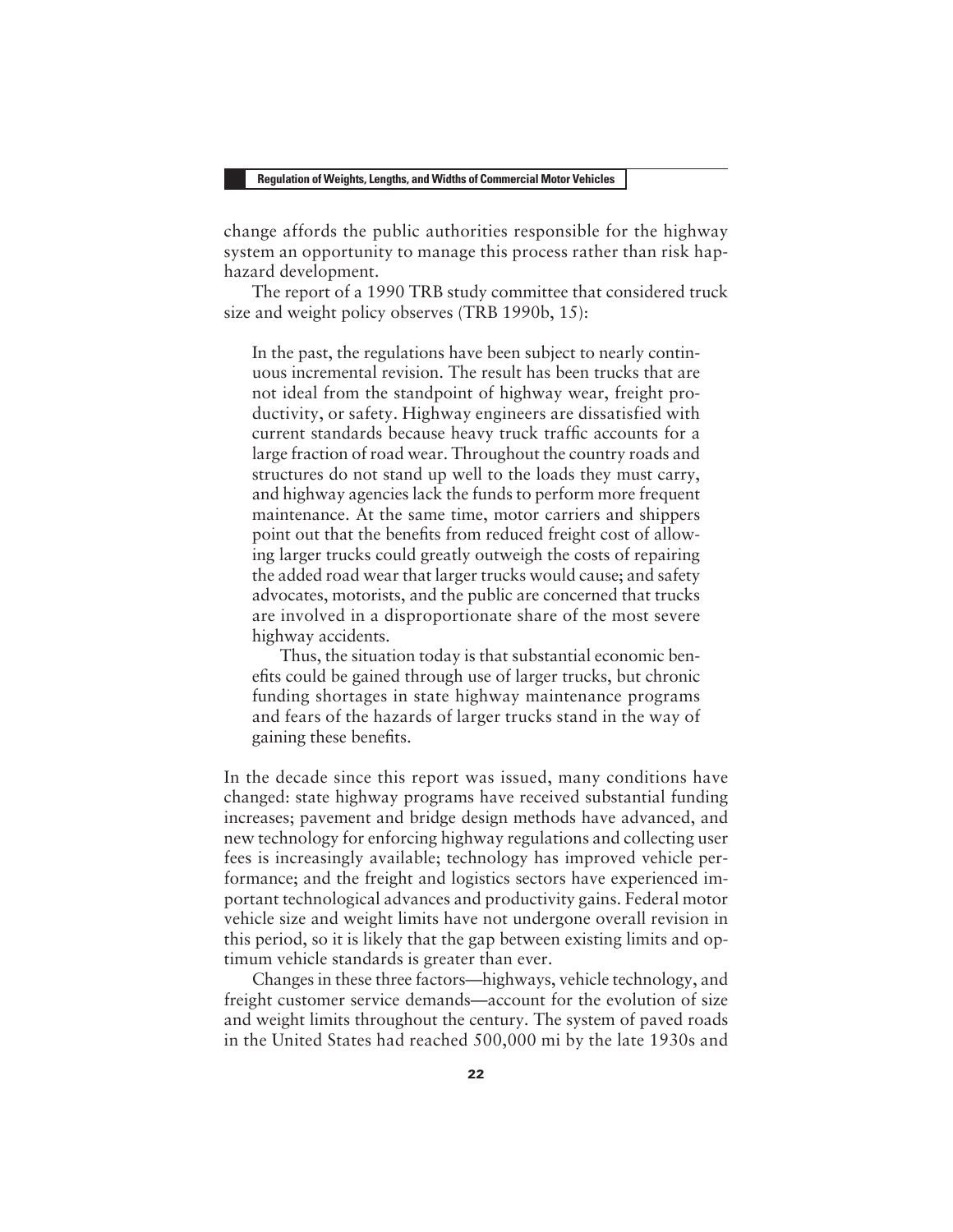change affords the public authorities responsible for the highway system an opportunity to manage this process rather than risk haphazard development.

The report of a 1990 TRB study committee that considered truck size and weight policy observes (TRB 1990b, 15):

In the past, the regulations have been subject to nearly continuous incremental revision. The result has been trucks that are not ideal from the standpoint of highway wear, freight productivity, or safety. Highway engineers are dissatisfied with current standards because heavy truck traffic accounts for a large fraction of road wear. Throughout the country roads and structures do not stand up well to the loads they must carry, and highway agencies lack the funds to perform more frequent maintenance. At the same time, motor carriers and shippers point out that the benefits from reduced freight cost of allowing larger trucks could greatly outweigh the costs of repairing the added road wear that larger trucks would cause; and safety advocates, motorists, and the public are concerned that trucks are involved in a disproportionate share of the most severe highway accidents.

Thus, the situation today is that substantial economic benefits could be gained through use of larger trucks, but chronic funding shortages in state highway maintenance programs and fears of the hazards of larger trucks stand in the way of gaining these benefits.

In the decade since this report was issued, many conditions have changed: state highway programs have received substantial funding increases; pavement and bridge design methods have advanced, and new technology for enforcing highway regulations and collecting user fees is increasingly available; technology has improved vehicle performance; and the freight and logistics sectors have experienced important technological advances and productivity gains. Federal motor vehicle size and weight limits have not undergone overall revision in this period, so it is likely that the gap between existing limits and optimum vehicle standards is greater than ever.

Changes in these three factors—highways, vehicle technology, and freight customer service demands—account for the evolution of size and weight limits throughout the century. The system of paved roads in the United States had reached 500,000 mi by the late 1930s and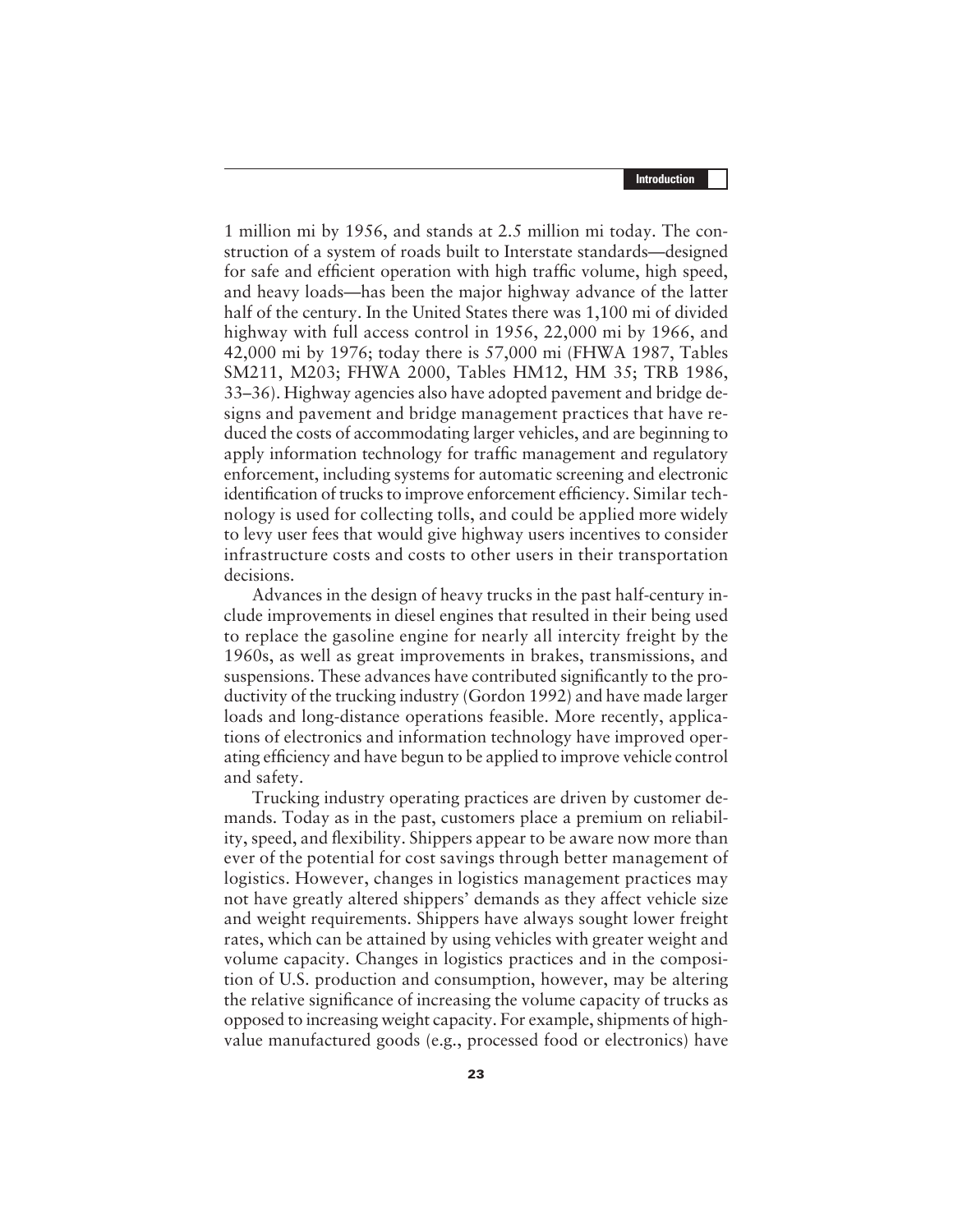1 million mi by 1956, and stands at 2.5 million mi today. The construction of a system of roads built to Interstate standards—designed for safe and efficient operation with high traffic volume, high speed, and heavy loads—has been the major highway advance of the latter half of the century. In the United States there was 1,100 mi of divided highway with full access control in 1956, 22,000 mi by 1966, and 42,000 mi by 1976; today there is 57,000 mi (FHWA 1987, Tables SM211, M203; FHWA 2000, Tables HM12, HM 35; TRB 1986, 33–36). Highway agencies also have adopted pavement and bridge designs and pavement and bridge management practices that have reduced the costs of accommodating larger vehicles, and are beginning to apply information technology for traffic management and regulatory enforcement, including systems for automatic screening and electronic identification of trucks to improve enforcement efficiency. Similar technology is used for collecting tolls, and could be applied more widely to levy user fees that would give highway users incentives to consider infrastructure costs and costs to other users in their transportation decisions.

Advances in the design of heavy trucks in the past half-century include improvements in diesel engines that resulted in their being used to replace the gasoline engine for nearly all intercity freight by the 1960s, as well as great improvements in brakes, transmissions, and suspensions. These advances have contributed significantly to the productivity of the trucking industry (Gordon 1992) and have made larger loads and long-distance operations feasible. More recently, applications of electronics and information technology have improved operating efficiency and have begun to be applied to improve vehicle control and safety.

Trucking industry operating practices are driven by customer demands. Today as in the past, customers place a premium on reliability, speed, and flexibility. Shippers appear to be aware now more than ever of the potential for cost savings through better management of logistics. However, changes in logistics management practices may not have greatly altered shippers' demands as they affect vehicle size and weight requirements. Shippers have always sought lower freight rates, which can be attained by using vehicles with greater weight and volume capacity. Changes in logistics practices and in the composition of U.S. production and consumption, however, may be altering the relative significance of increasing the volume capacity of trucks as opposed to increasing weight capacity. For example, shipments of highvalue manufactured goods (e.g., processed food or electronics) have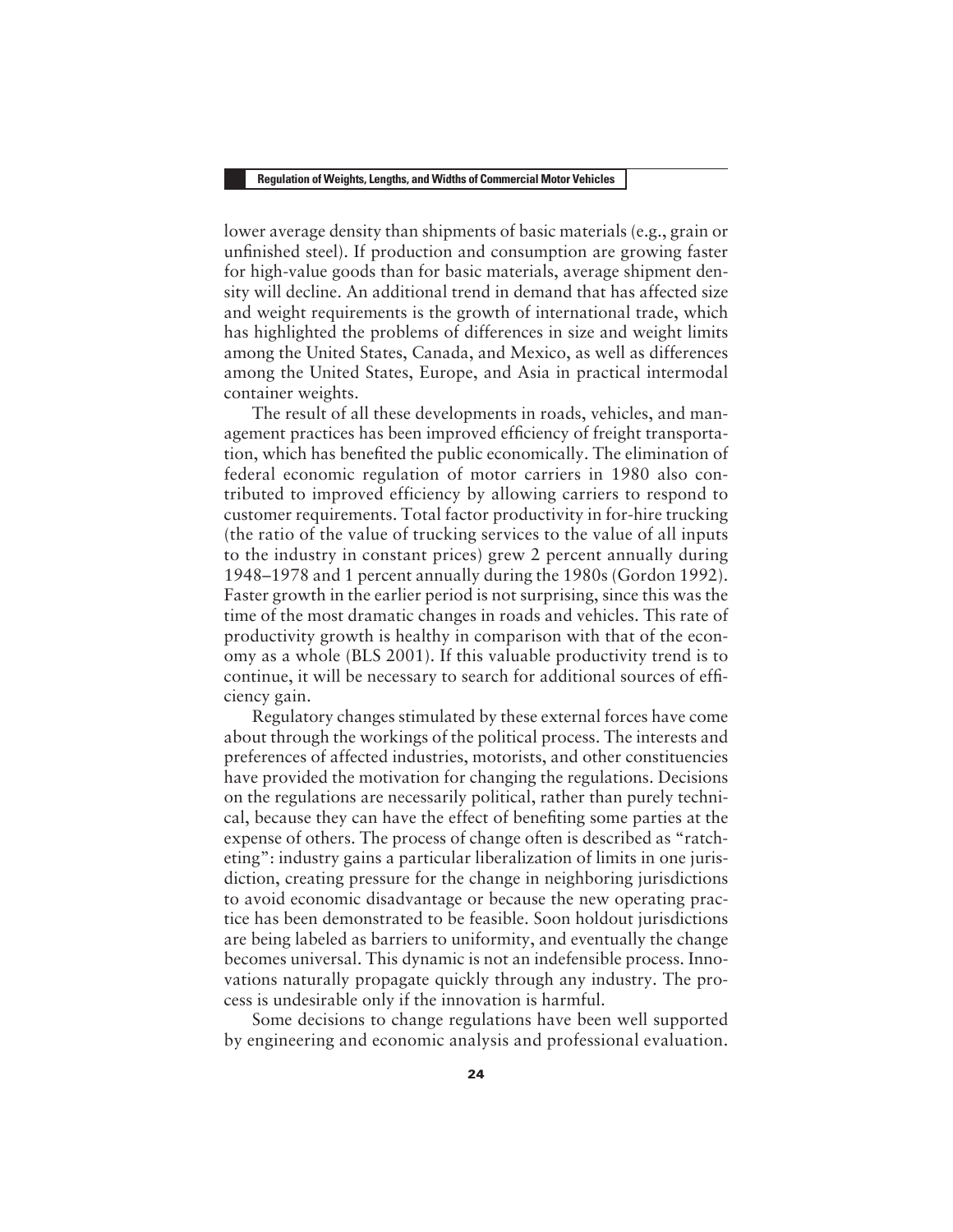lower average density than shipments of basic materials (e.g., grain or unfinished steel). If production and consumption are growing faster for high-value goods than for basic materials, average shipment density will decline. An additional trend in demand that has affected size and weight requirements is the growth of international trade, which has highlighted the problems of differences in size and weight limits among the United States, Canada, and Mexico, as well as differences among the United States, Europe, and Asia in practical intermodal container weights.

The result of all these developments in roads, vehicles, and management practices has been improved efficiency of freight transportation, which has benefited the public economically. The elimination of federal economic regulation of motor carriers in 1980 also contributed to improved efficiency by allowing carriers to respond to customer requirements. Total factor productivity in for-hire trucking (the ratio of the value of trucking services to the value of all inputs to the industry in constant prices) grew 2 percent annually during 1948–1978 and 1 percent annually during the 1980s (Gordon 1992). Faster growth in the earlier period is not surprising, since this was the time of the most dramatic changes in roads and vehicles. This rate of productivity growth is healthy in comparison with that of the economy as a whole (BLS 2001). If this valuable productivity trend is to continue, it will be necessary to search for additional sources of efficiency gain.

Regulatory changes stimulated by these external forces have come about through the workings of the political process. The interests and preferences of affected industries, motorists, and other constituencies have provided the motivation for changing the regulations. Decisions on the regulations are necessarily political, rather than purely technical, because they can have the effect of benefiting some parties at the expense of others. The process of change often is described as "ratcheting": industry gains a particular liberalization of limits in one jurisdiction, creating pressure for the change in neighboring jurisdictions to avoid economic disadvantage or because the new operating practice has been demonstrated to be feasible. Soon holdout jurisdictions are being labeled as barriers to uniformity, and eventually the change becomes universal. This dynamic is not an indefensible process. Innovations naturally propagate quickly through any industry. The process is undesirable only if the innovation is harmful.

Some decisions to change regulations have been well supported by engineering and economic analysis and professional evaluation.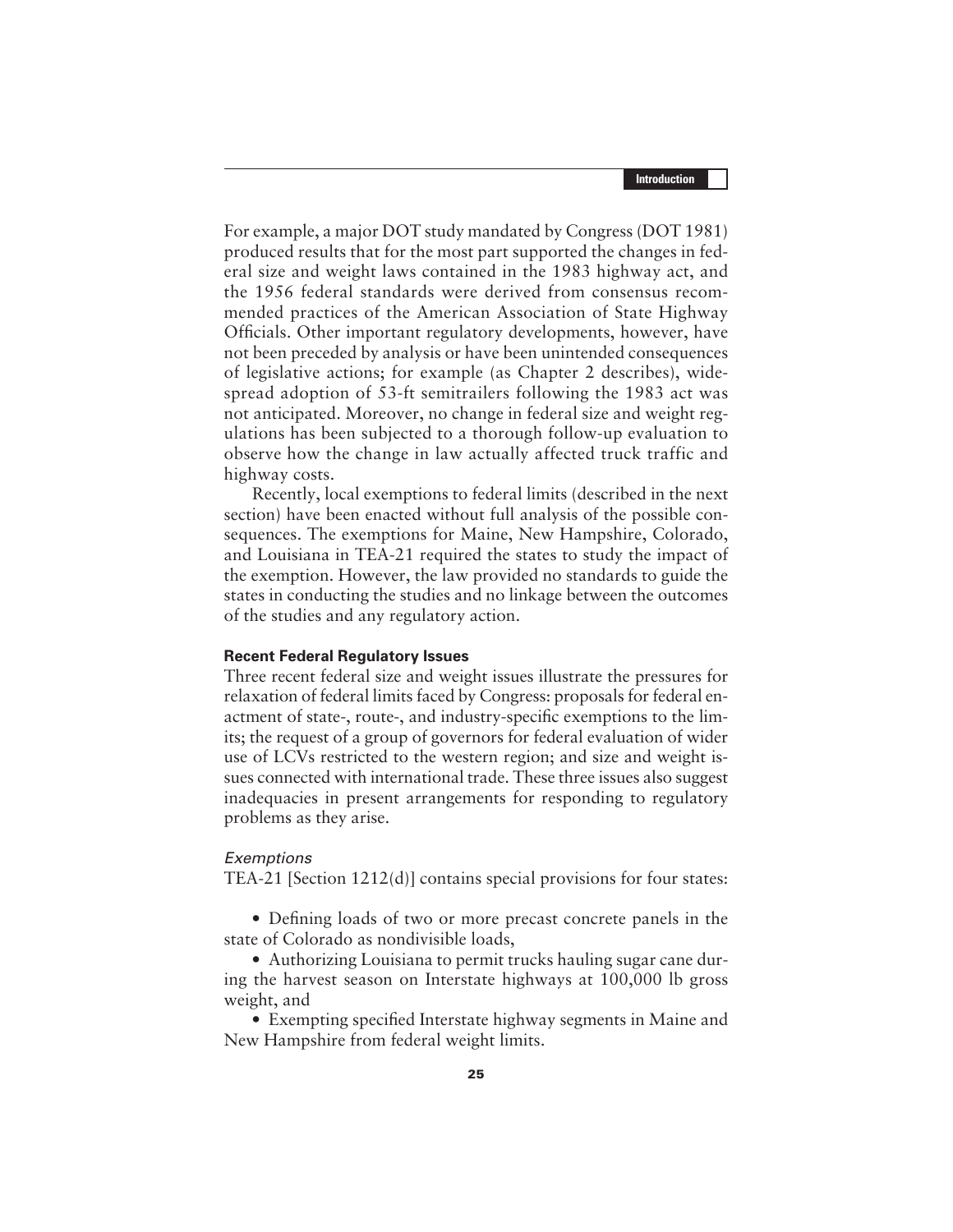For example, a major DOT study mandated by Congress (DOT 1981) produced results that for the most part supported the changes in federal size and weight laws contained in the 1983 highway act, and the 1956 federal standards were derived from consensus recommended practices of the American Association of State Highway Officials. Other important regulatory developments, however, have not been preceded by analysis or have been unintended consequences of legislative actions; for example (as Chapter 2 describes), widespread adoption of 53-ft semitrailers following the 1983 act was not anticipated. Moreover, no change in federal size and weight regulations has been subjected to a thorough follow-up evaluation to observe how the change in law actually affected truck traffic and highway costs.

Recently, local exemptions to federal limits (described in the next section) have been enacted without full analysis of the possible consequences. The exemptions for Maine, New Hampshire, Colorado, and Louisiana in TEA-21 required the states to study the impact of the exemption. However, the law provided no standards to guide the states in conducting the studies and no linkage between the outcomes of the studies and any regulatory action.

## **Recent Federal Regulatory Issues**

Three recent federal size and weight issues illustrate the pressures for relaxation of federal limits faced by Congress: proposals for federal enactment of state-, route-, and industry-specific exemptions to the limits; the request of a group of governors for federal evaluation of wider use of LCVs restricted to the western region; and size and weight issues connected with international trade. These three issues also suggest inadequacies in present arrangements for responding to regulatory problems as they arise.

### Exemptions

TEA-21 [Section 1212(d)] contains special provisions for four states:

- Defining loads of two or more precast concrete panels in the state of Colorado as nondivisible loads,
- Authorizing Louisiana to permit trucks hauling sugar cane during the harvest season on Interstate highways at 100,000 lb gross weight, and

• Exempting specified Interstate highway segments in Maine and New Hampshire from federal weight limits.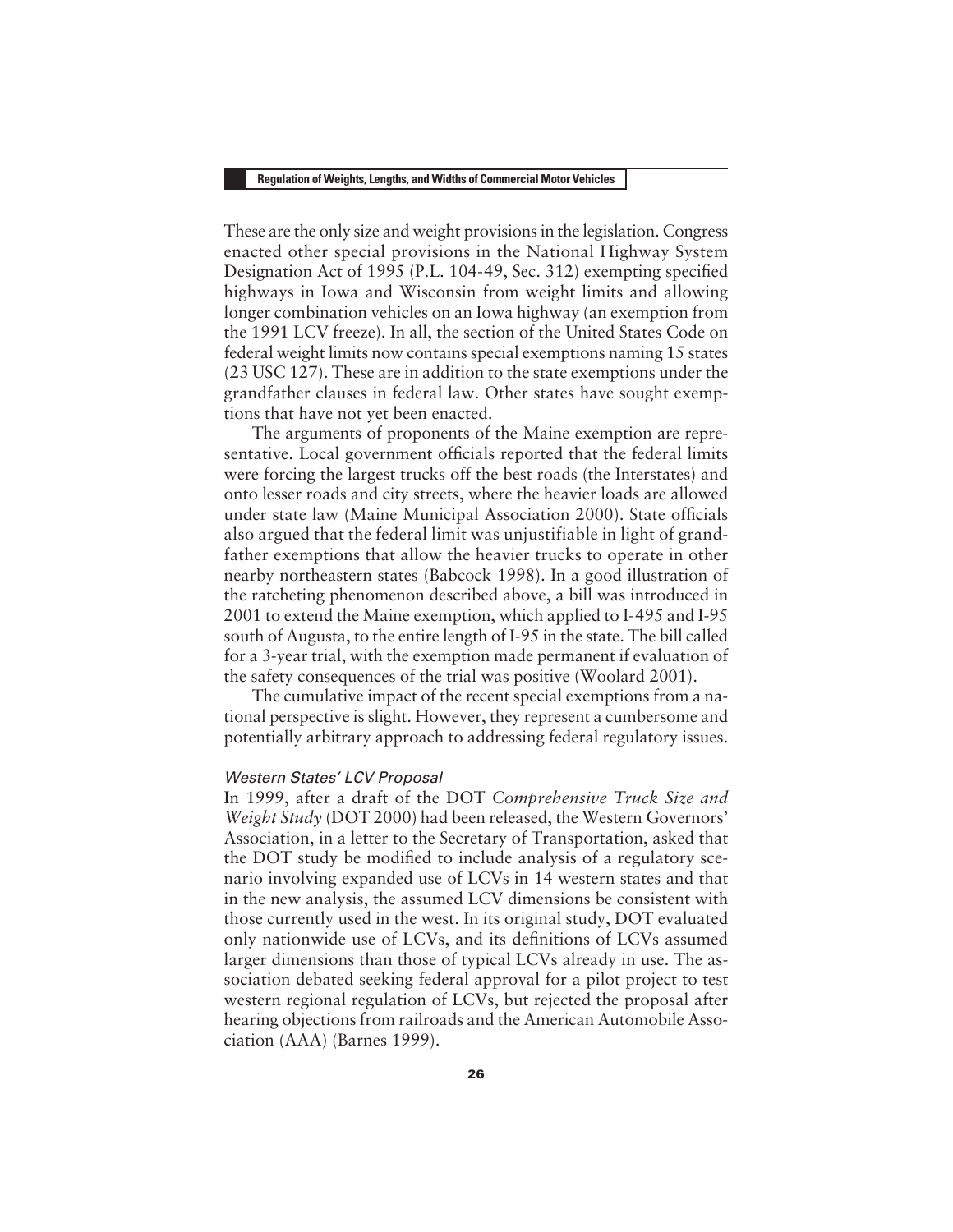These are the only size and weight provisions in the legislation. Congress enacted other special provisions in the National Highway System Designation Act of 1995 (P.L. 104-49, Sec. 312) exempting specified highways in Iowa and Wisconsin from weight limits and allowing longer combination vehicles on an Iowa highway (an exemption from the 1991 LCV freeze). In all, the section of the United States Code on federal weight limits now contains special exemptions naming 15 states (23 USC 127). These are in addition to the state exemptions under the grandfather clauses in federal law. Other states have sought exemptions that have not yet been enacted.

The arguments of proponents of the Maine exemption are representative. Local government officials reported that the federal limits were forcing the largest trucks off the best roads (the Interstates) and onto lesser roads and city streets, where the heavier loads are allowed under state law (Maine Municipal Association 2000). State officials also argued that the federal limit was unjustifiable in light of grandfather exemptions that allow the heavier trucks to operate in other nearby northeastern states (Babcock 1998). In a good illustration of the ratcheting phenomenon described above, a bill was introduced in 2001 to extend the Maine exemption, which applied to I-495 and I-95 south of Augusta, to the entire length of I-95 in the state. The bill called for a 3-year trial, with the exemption made permanent if evaluation of the safety consequences of the trial was positive (Woolard 2001).

The cumulative impact of the recent special exemptions from a national perspective is slight. However, they represent a cumbersome and potentially arbitrary approach to addressing federal regulatory issues.

### Western States' LCV Proposal

In 1999, after a draft of the DOT *Comprehensive Truck Size and Weight Study* (DOT 2000) had been released, the Western Governors' Association, in a letter to the Secretary of Transportation, asked that the DOT study be modified to include analysis of a regulatory scenario involving expanded use of LCVs in 14 western states and that in the new analysis, the assumed LCV dimensions be consistent with those currently used in the west. In its original study, DOT evaluated only nationwide use of LCVs, and its definitions of LCVs assumed larger dimensions than those of typical LCVs already in use. The association debated seeking federal approval for a pilot project to test western regional regulation of LCVs, but rejected the proposal after hearing objections from railroads and the American Automobile Association (AAA) (Barnes 1999).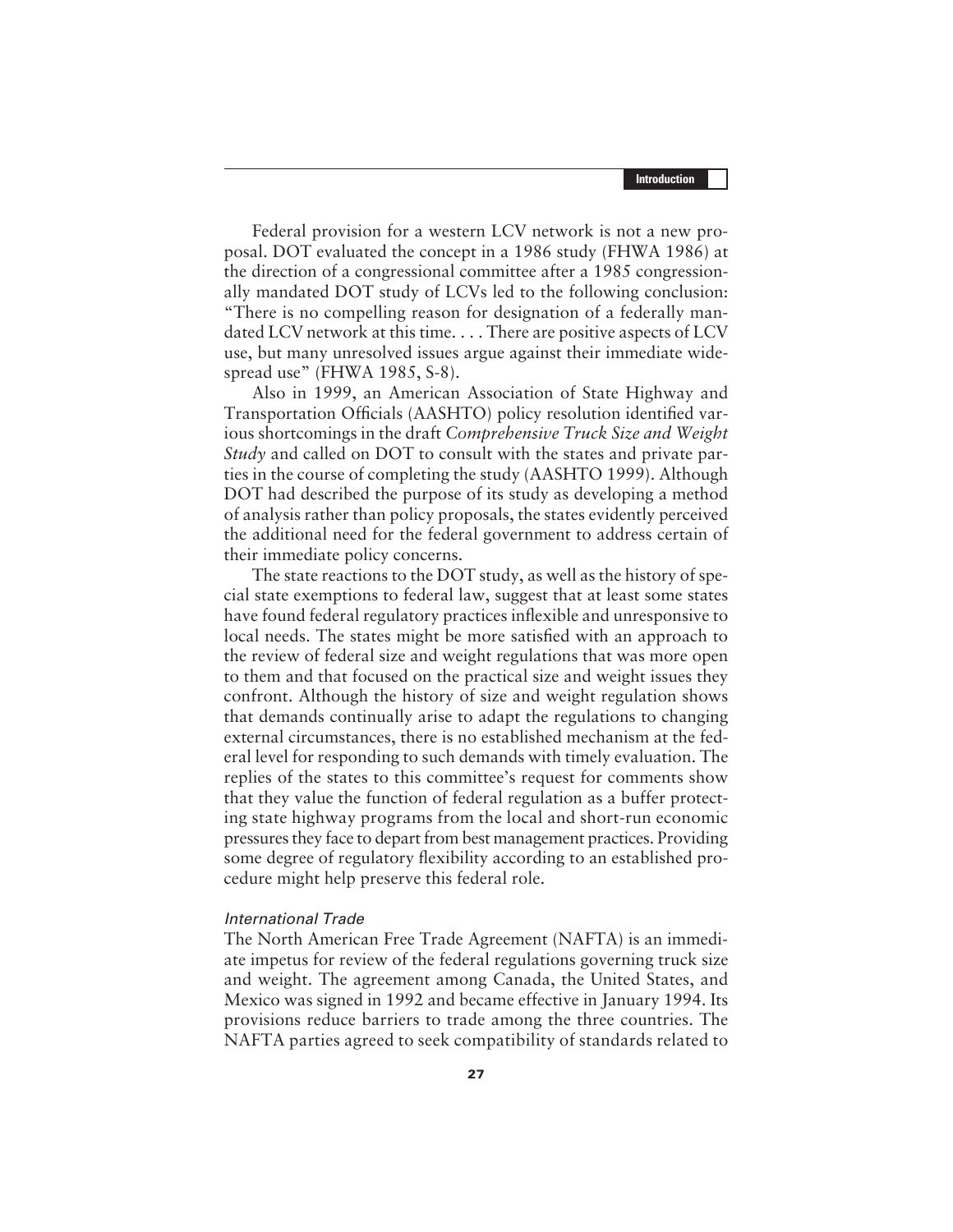Federal provision for a western LCV network is not a new proposal. DOT evaluated the concept in a 1986 study (FHWA 1986) at the direction of a congressional committee after a 1985 congressionally mandated DOT study of LCVs led to the following conclusion: "There is no compelling reason for designation of a federally mandated LCV network at this time. . . . There are positive aspects of LCV use, but many unresolved issues argue against their immediate widespread use" (FHWA 1985, S-8).

Also in 1999, an American Association of State Highway and Transportation Officials (AASHTO) policy resolution identified various shortcomings in the draft *Comprehensive Truck Size and Weight Study* and called on DOT to consult with the states and private parties in the course of completing the study (AASHTO 1999). Although DOT had described the purpose of its study as developing a method of analysis rather than policy proposals, the states evidently perceived the additional need for the federal government to address certain of their immediate policy concerns.

The state reactions to the DOT study, as well as the history of special state exemptions to federal law, suggest that at least some states have found federal regulatory practices inflexible and unresponsive to local needs. The states might be more satisfied with an approach to the review of federal size and weight regulations that was more open to them and that focused on the practical size and weight issues they confront. Although the history of size and weight regulation shows that demands continually arise to adapt the regulations to changing external circumstances, there is no established mechanism at the federal level for responding to such demands with timely evaluation. The replies of the states to this committee's request for comments show that they value the function of federal regulation as a buffer protecting state highway programs from the local and short-run economic pressures they face to depart from best management practices. Providing some degree of regulatory flexibility according to an established procedure might help preserve this federal role.

### International Trade

The North American Free Trade Agreement (NAFTA) is an immediate impetus for review of the federal regulations governing truck size and weight. The agreement among Canada, the United States, and Mexico was signed in 1992 and became effective in January 1994. Its provisions reduce barriers to trade among the three countries. The NAFTA parties agreed to seek compatibility of standards related to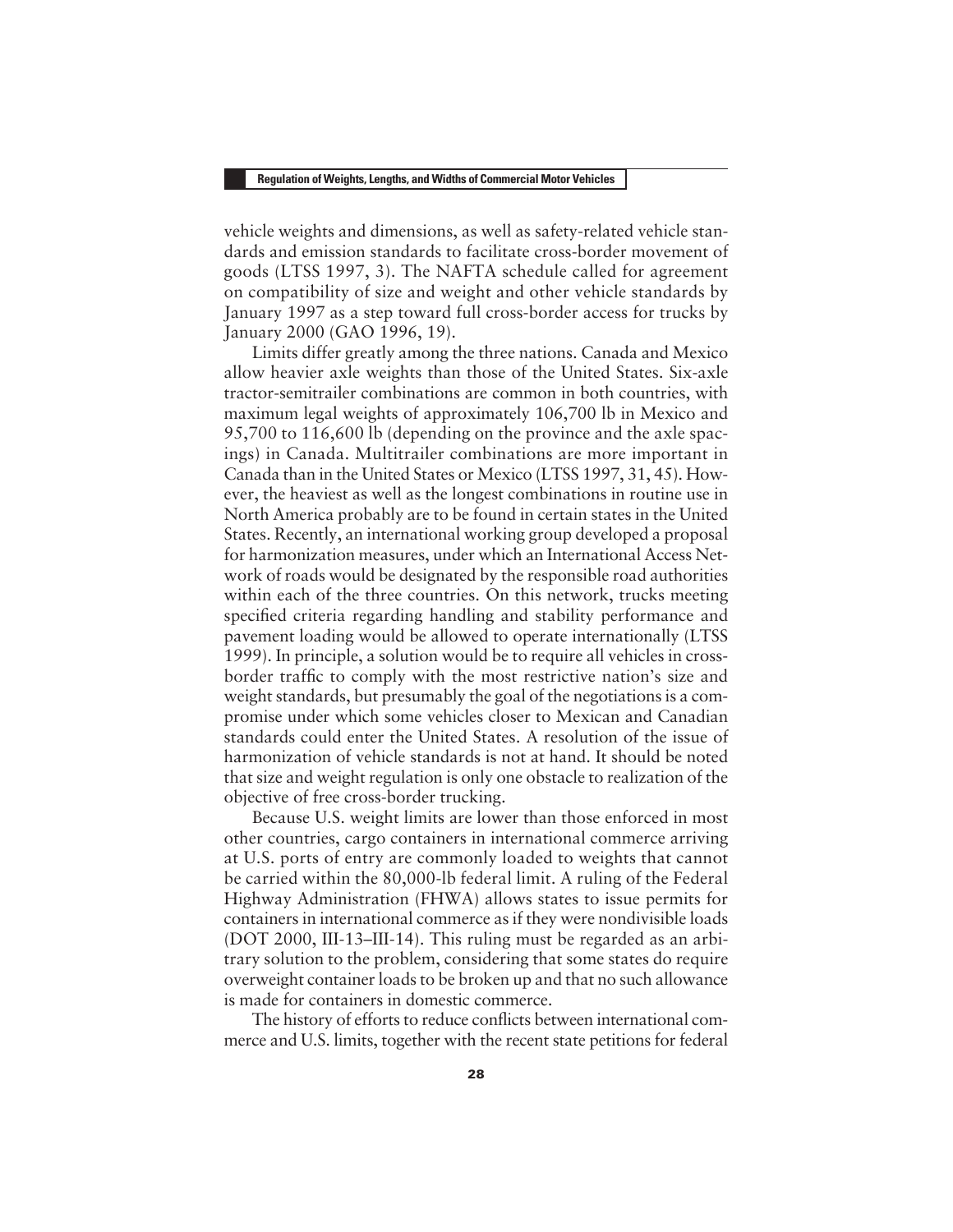vehicle weights and dimensions, as well as safety-related vehicle standards and emission standards to facilitate cross-border movement of goods (LTSS 1997, 3). The NAFTA schedule called for agreement on compatibility of size and weight and other vehicle standards by January 1997 as a step toward full cross-border access for trucks by January 2000 (GAO 1996, 19).

Limits differ greatly among the three nations. Canada and Mexico allow heavier axle weights than those of the United States. Six-axle tractor-semitrailer combinations are common in both countries, with maximum legal weights of approximately 106,700 lb in Mexico and 95,700 to 116,600 lb (depending on the province and the axle spacings) in Canada. Multitrailer combinations are more important in Canada than in the United States or Mexico (LTSS 1997, 31, 45). However, the heaviest as well as the longest combinations in routine use in North America probably are to be found in certain states in the United States. Recently, an international working group developed a proposal for harmonization measures, under which an International Access Network of roads would be designated by the responsible road authorities within each of the three countries. On this network, trucks meeting specified criteria regarding handling and stability performance and pavement loading would be allowed to operate internationally (LTSS 1999). In principle, a solution would be to require all vehicles in crossborder traffic to comply with the most restrictive nation's size and weight standards, but presumably the goal of the negotiations is a compromise under which some vehicles closer to Mexican and Canadian standards could enter the United States. A resolution of the issue of harmonization of vehicle standards is not at hand. It should be noted that size and weight regulation is only one obstacle to realization of the objective of free cross-border trucking.

Because U.S. weight limits are lower than those enforced in most other countries, cargo containers in international commerce arriving at U.S. ports of entry are commonly loaded to weights that cannot be carried within the 80,000-lb federal limit. A ruling of the Federal Highway Administration (FHWA) allows states to issue permits for containers in international commerce as if they were nondivisible loads (DOT 2000, III-13–III-14). This ruling must be regarded as an arbitrary solution to the problem, considering that some states do require overweight container loads to be broken up and that no such allowance is made for containers in domestic commerce.

The history of efforts to reduce conflicts between international commerce and U.S. limits, together with the recent state petitions for federal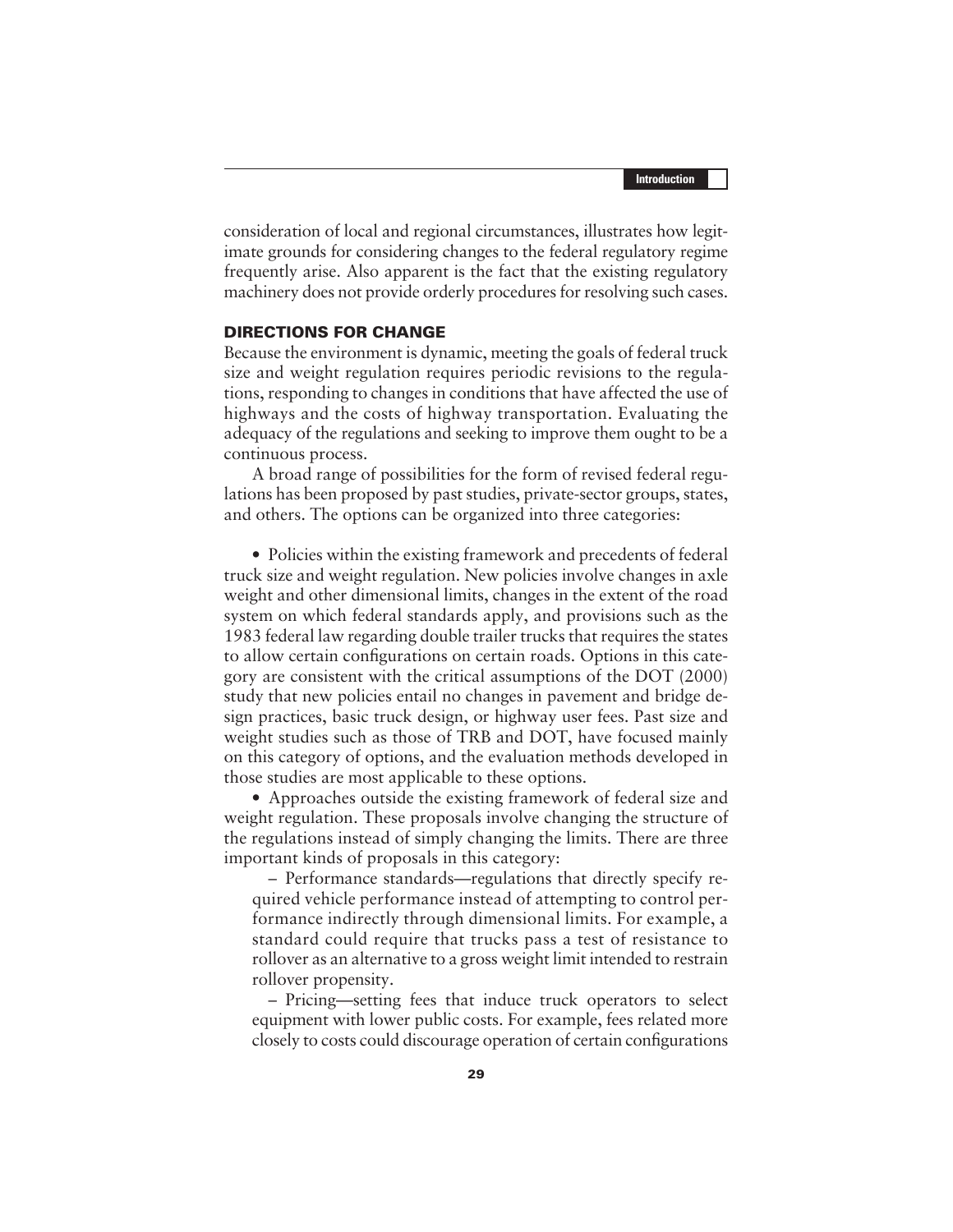consideration of local and regional circumstances, illustrates how legitimate grounds for considering changes to the federal regulatory regime frequently arise. Also apparent is the fact that the existing regulatory machinery does not provide orderly procedures for resolving such cases.

### **DIRECTIONS FOR CHANGE**

Because the environment is dynamic, meeting the goals of federal truck size and weight regulation requires periodic revisions to the regulations, responding to changes in conditions that have affected the use of highways and the costs of highway transportation. Evaluating the adequacy of the regulations and seeking to improve them ought to be a continuous process.

A broad range of possibilities for the form of revised federal regulations has been proposed by past studies, private-sector groups, states, and others. The options can be organized into three categories:

• Policies within the existing framework and precedents of federal truck size and weight regulation. New policies involve changes in axle weight and other dimensional limits, changes in the extent of the road system on which federal standards apply, and provisions such as the 1983 federal law regarding double trailer trucks that requires the states to allow certain configurations on certain roads. Options in this category are consistent with the critical assumptions of the DOT (2000) study that new policies entail no changes in pavement and bridge design practices, basic truck design, or highway user fees. Past size and weight studies such as those of TRB and DOT, have focused mainly on this category of options, and the evaluation methods developed in those studies are most applicable to these options.

• Approaches outside the existing framework of federal size and weight regulation. These proposals involve changing the structure of the regulations instead of simply changing the limits. There are three important kinds of proposals in this category:

– Performance standards—regulations that directly specify required vehicle performance instead of attempting to control performance indirectly through dimensional limits. For example, a standard could require that trucks pass a test of resistance to rollover as an alternative to a gross weight limit intended to restrain rollover propensity.

– Pricing—setting fees that induce truck operators to select equipment with lower public costs. For example, fees related more closely to costs could discourage operation of certain configurations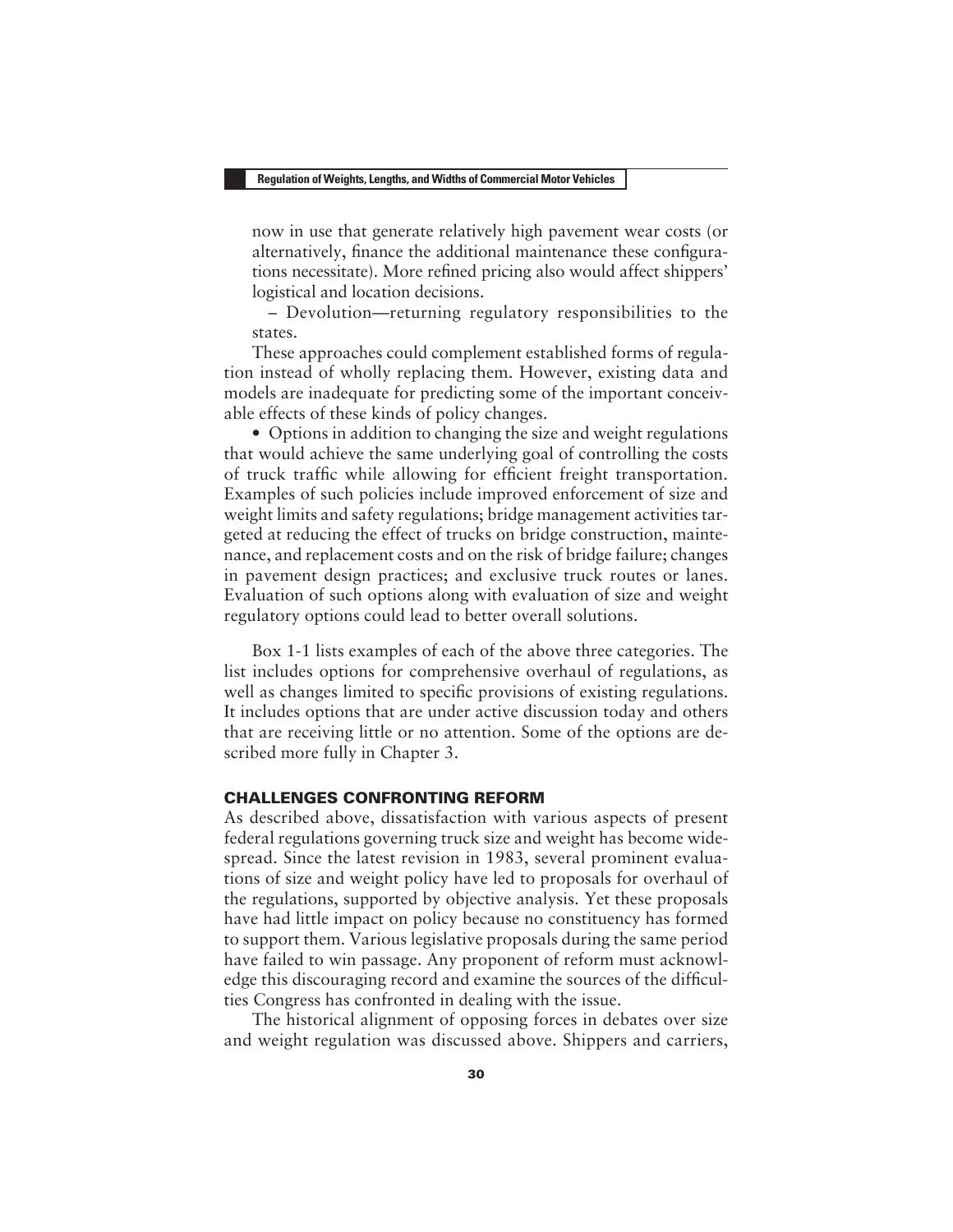now in use that generate relatively high pavement wear costs (or alternatively, finance the additional maintenance these configurations necessitate). More refined pricing also would affect shippers' logistical and location decisions.

– Devolution—returning regulatory responsibilities to the states.

These approaches could complement established forms of regulation instead of wholly replacing them. However, existing data and models are inadequate for predicting some of the important conceivable effects of these kinds of policy changes.

• Options in addition to changing the size and weight regulations that would achieve the same underlying goal of controlling the costs of truck traffic while allowing for efficient freight transportation. Examples of such policies include improved enforcement of size and weight limits and safety regulations; bridge management activities targeted at reducing the effect of trucks on bridge construction, maintenance, and replacement costs and on the risk of bridge failure; changes in pavement design practices; and exclusive truck routes or lanes. Evaluation of such options along with evaluation of size and weight regulatory options could lead to better overall solutions.

Box 1-1 lists examples of each of the above three categories. The list includes options for comprehensive overhaul of regulations, as well as changes limited to specific provisions of existing regulations. It includes options that are under active discussion today and others that are receiving little or no attention. Some of the options are described more fully in Chapter 3.

### **CHALLENGES CONFRONTING REFORM**

As described above, dissatisfaction with various aspects of present federal regulations governing truck size and weight has become widespread. Since the latest revision in 1983, several prominent evaluations of size and weight policy have led to proposals for overhaul of the regulations, supported by objective analysis. Yet these proposals have had little impact on policy because no constituency has formed to support them. Various legislative proposals during the same period have failed to win passage. Any proponent of reform must acknowledge this discouraging record and examine the sources of the difficulties Congress has confronted in dealing with the issue.

The historical alignment of opposing forces in debates over size and weight regulation was discussed above. Shippers and carriers,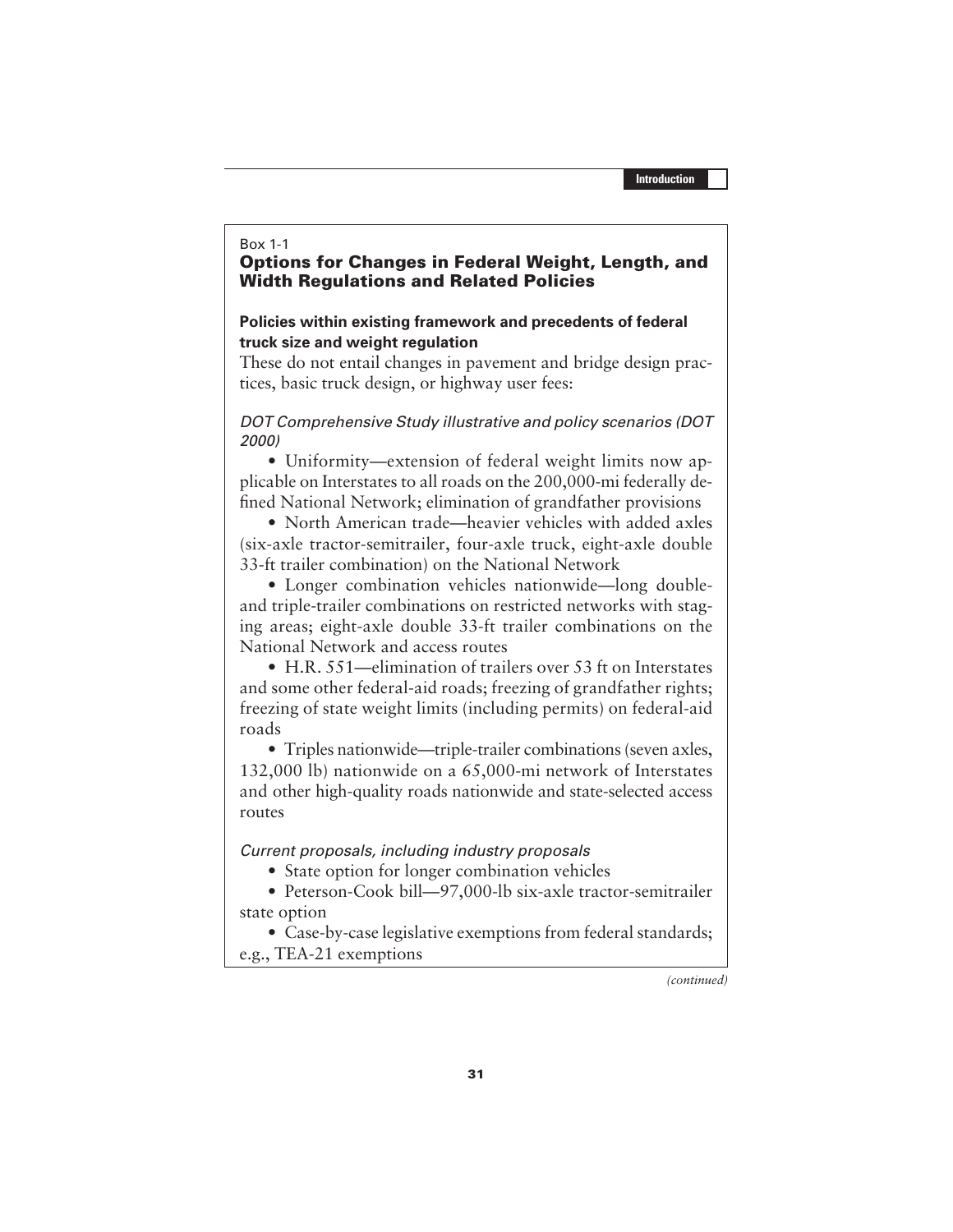### Box 1-1

# **Options for Changes in Federal Weight, Length, and Width Regulations and Related Policies**

## **Policies within existing framework and precedents of federal truck size and weight regulation**

These do not entail changes in pavement and bridge design practices, basic truck design, or highway user fees:

## DOT Comprehensive Study illustrative and policy scenarios (DOT 2000)

• Uniformity—extension of federal weight limits now applicable on Interstates to all roads on the 200,000-mi federally defined National Network; elimination of grandfather provisions

• North American trade—heavier vehicles with added axles (six-axle tractor-semitrailer, four-axle truck, eight-axle double 33-ft trailer combination) on the National Network

• Longer combination vehicles nationwide—long doubleand triple-trailer combinations on restricted networks with staging areas; eight-axle double 33-ft trailer combinations on the National Network and access routes

• H.R. 551—elimination of trailers over 53 ft on Interstates and some other federal-aid roads; freezing of grandfather rights; freezing of state weight limits (including permits) on federal-aid roads

• Triples nationwide—triple-trailer combinations (seven axles, 132,000 lb) nationwide on a 65,000-mi network of Interstates and other high-quality roads nationwide and state-selected access routes

# Current proposals, including industry proposals

• State option for longer combination vehicles

• Peterson-Cook bill—97,000-lb six-axle tractor-semitrailer state option

• Case-by-case legislative exemptions from federal standards; e.g., TEA-21 exemptions

*(continued)*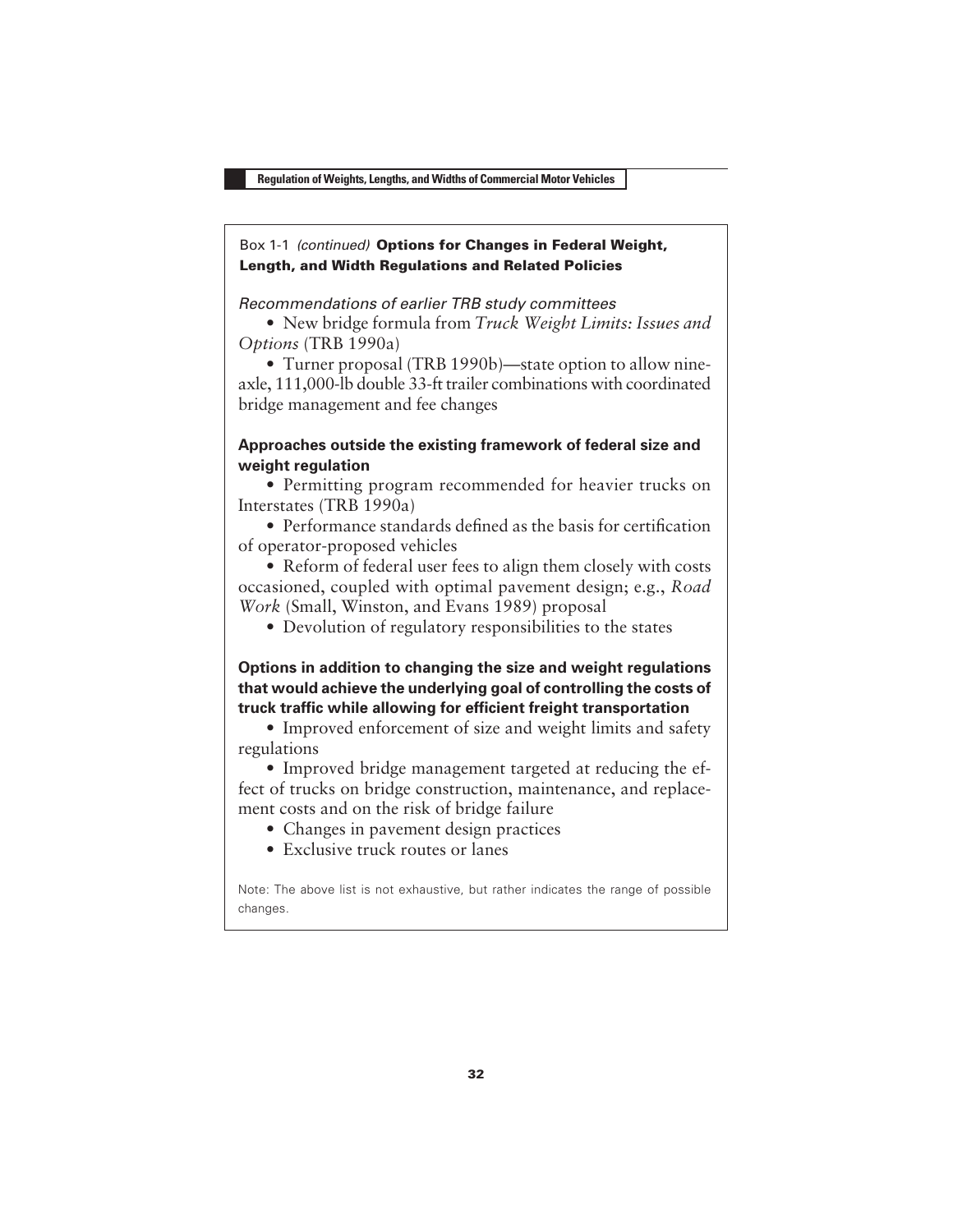Box 1-1 (continued) **Options for Changes in Federal Weight, Length, and Width Regulations and Related Policies**

Recommendations of earlier TRB study committees

• New bridge formula from *Truck Weight Limits: Issues and Options* (TRB 1990a)

• Turner proposal (TRB 1990b)—state option to allow nineaxle, 111,000-lb double 33-ft trailer combinations with coordinated bridge management and fee changes

# **Approaches outside the existing framework of federal size and weight regulation**

• Permitting program recommended for heavier trucks on Interstates (TRB 1990a)

• Performance standards defined as the basis for certification of operator-proposed vehicles

• Reform of federal user fees to align them closely with costs occasioned, coupled with optimal pavement design; e.g., *Road Work* (Small, Winston, and Evans 1989) proposal

• Devolution of regulatory responsibilities to the states

**Options in addition to changing the size and weight regulations that would achieve the underlying goal of controlling the costs of truck traffic while allowing for efficient freight transportation**

• Improved enforcement of size and weight limits and safety regulations

• Improved bridge management targeted at reducing the effect of trucks on bridge construction, maintenance, and replacement costs and on the risk of bridge failure

- Changes in pavement design practices
- Exclusive truck routes or lanes

Note: The above list is not exhaustive, but rather indicates the range of possible changes.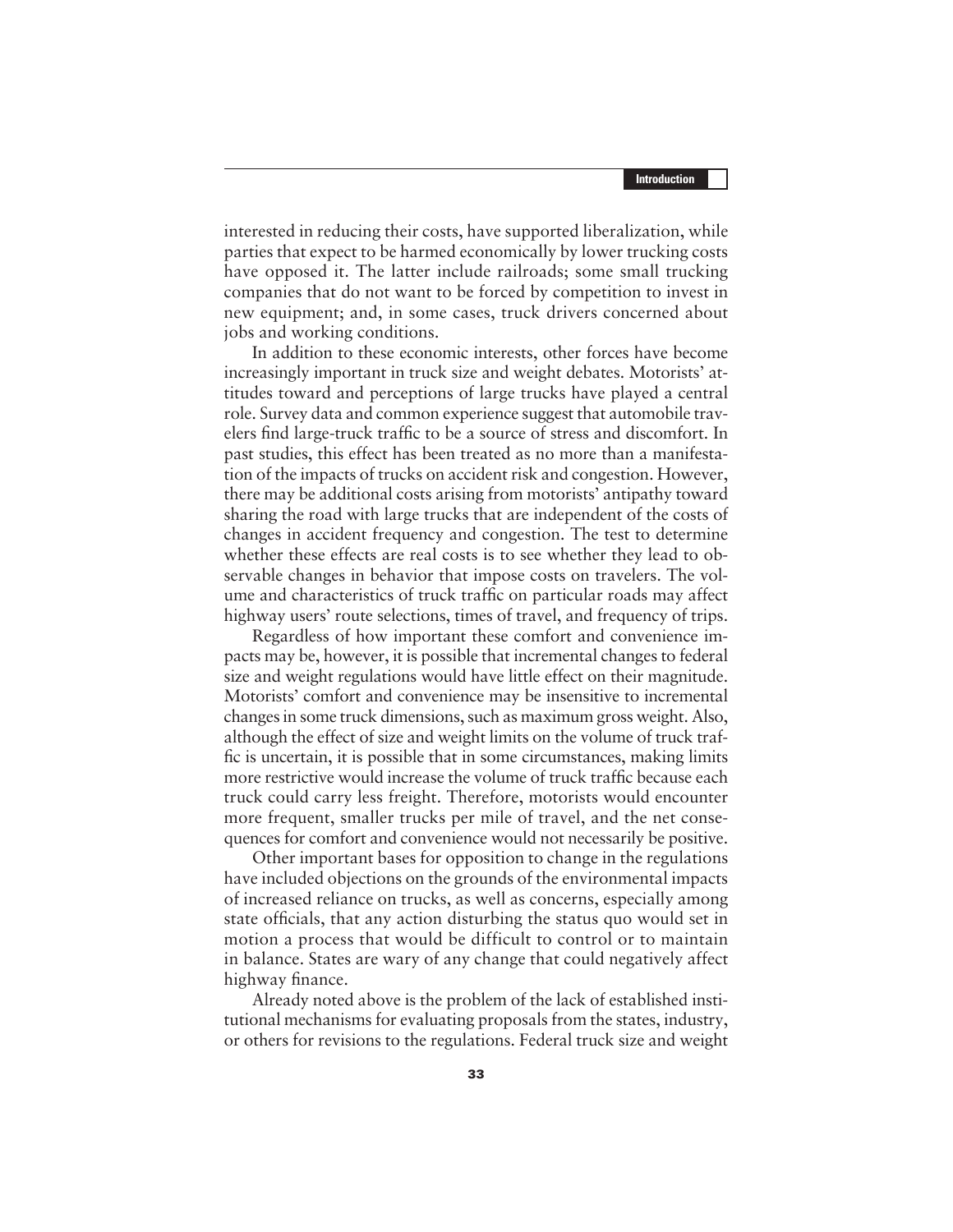interested in reducing their costs, have supported liberalization, while parties that expect to be harmed economically by lower trucking costs have opposed it. The latter include railroads; some small trucking companies that do not want to be forced by competition to invest in new equipment; and, in some cases, truck drivers concerned about jobs and working conditions.

In addition to these economic interests, other forces have become increasingly important in truck size and weight debates. Motorists' attitudes toward and perceptions of large trucks have played a central role. Survey data and common experience suggest that automobile travelers find large-truck traffic to be a source of stress and discomfort. In past studies, this effect has been treated as no more than a manifestation of the impacts of trucks on accident risk and congestion. However, there may be additional costs arising from motorists' antipathy toward sharing the road with large trucks that are independent of the costs of changes in accident frequency and congestion. The test to determine whether these effects are real costs is to see whether they lead to observable changes in behavior that impose costs on travelers. The volume and characteristics of truck traffic on particular roads may affect highway users' route selections, times of travel, and frequency of trips.

Regardless of how important these comfort and convenience impacts may be, however, it is possible that incremental changes to federal size and weight regulations would have little effect on their magnitude. Motorists' comfort and convenience may be insensitive to incremental changes in some truck dimensions, such as maximum gross weight. Also, although the effect of size and weight limits on the volume of truck traffic is uncertain, it is possible that in some circumstances, making limits more restrictive would increase the volume of truck traffic because each truck could carry less freight. Therefore, motorists would encounter more frequent, smaller trucks per mile of travel, and the net consequences for comfort and convenience would not necessarily be positive.

Other important bases for opposition to change in the regulations have included objections on the grounds of the environmental impacts of increased reliance on trucks, as well as concerns, especially among state officials, that any action disturbing the status quo would set in motion a process that would be difficult to control or to maintain in balance. States are wary of any change that could negatively affect highway finance.

Already noted above is the problem of the lack of established institutional mechanisms for evaluating proposals from the states, industry, or others for revisions to the regulations. Federal truck size and weight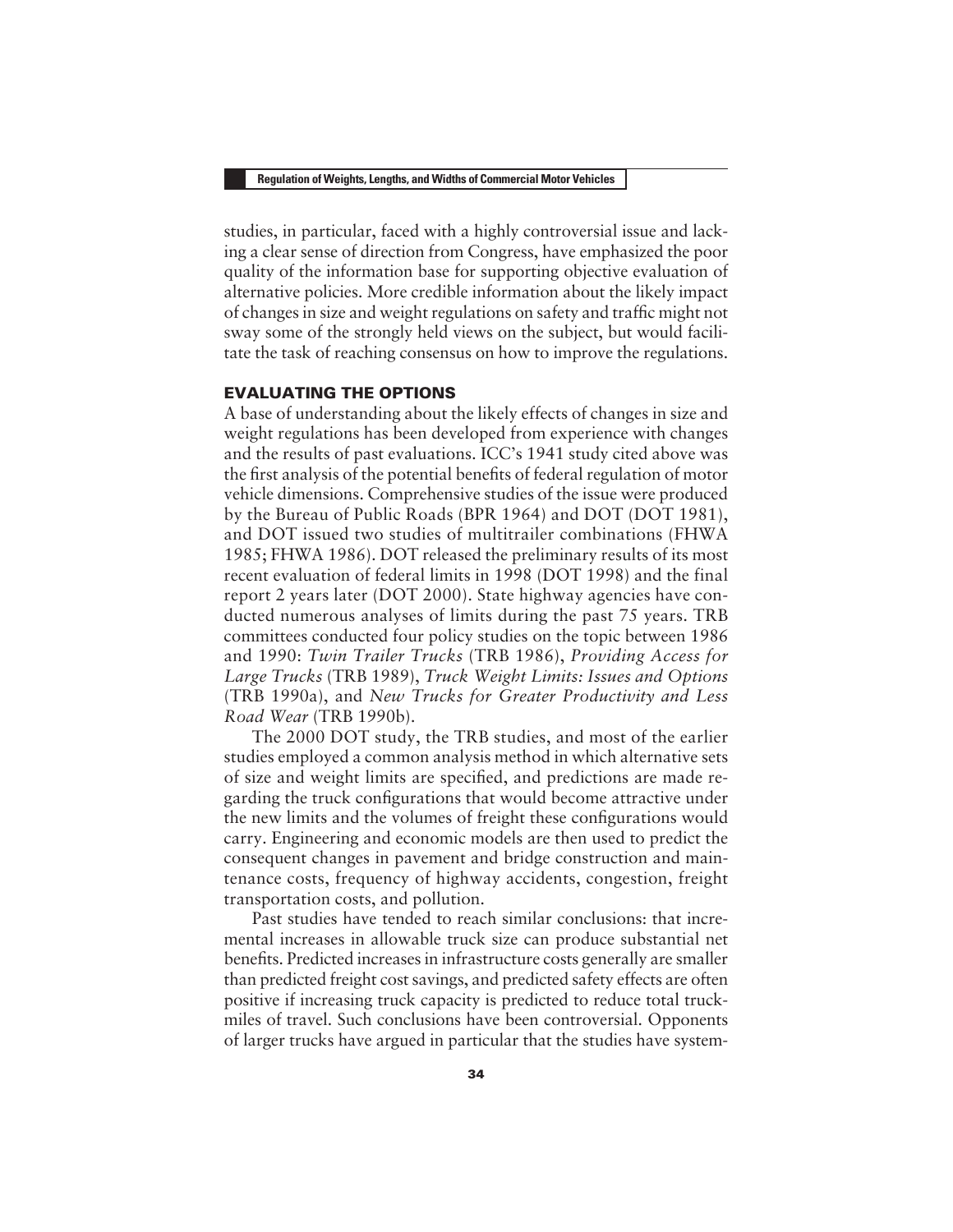studies, in particular, faced with a highly controversial issue and lacking a clear sense of direction from Congress, have emphasized the poor quality of the information base for supporting objective evaluation of alternative policies. More credible information about the likely impact of changes in size and weight regulations on safety and traffic might not sway some of the strongly held views on the subject, but would facilitate the task of reaching consensus on how to improve the regulations.

## **EVALUATING THE OPTIONS**

A base of understanding about the likely effects of changes in size and weight regulations has been developed from experience with changes and the results of past evaluations. ICC's 1941 study cited above was the first analysis of the potential benefits of federal regulation of motor vehicle dimensions. Comprehensive studies of the issue were produced by the Bureau of Public Roads (BPR 1964) and DOT (DOT 1981), and DOT issued two studies of multitrailer combinations (FHWA 1985; FHWA 1986). DOT released the preliminary results of its most recent evaluation of federal limits in 1998 (DOT 1998) and the final report 2 years later (DOT 2000). State highway agencies have conducted numerous analyses of limits during the past 75 years. TRB committees conducted four policy studies on the topic between 1986 and 1990: *Twin Trailer Trucks* (TRB 1986), *Providing Access for Large Trucks* (TRB 1989), *Truck Weight Limits: Issues and Options* (TRB 1990a), and *New Trucks for Greater Productivity and Less Road Wear* (TRB 1990b).

The 2000 DOT study, the TRB studies, and most of the earlier studies employed a common analysis method in which alternative sets of size and weight limits are specified, and predictions are made regarding the truck configurations that would become attractive under the new limits and the volumes of freight these configurations would carry. Engineering and economic models are then used to predict the consequent changes in pavement and bridge construction and maintenance costs, frequency of highway accidents, congestion, freight transportation costs, and pollution.

Past studies have tended to reach similar conclusions: that incremental increases in allowable truck size can produce substantial net benefits. Predicted increases in infrastructure costs generally are smaller than predicted freight cost savings, and predicted safety effects are often positive if increasing truck capacity is predicted to reduce total truckmiles of travel. Such conclusions have been controversial. Opponents of larger trucks have argued in particular that the studies have system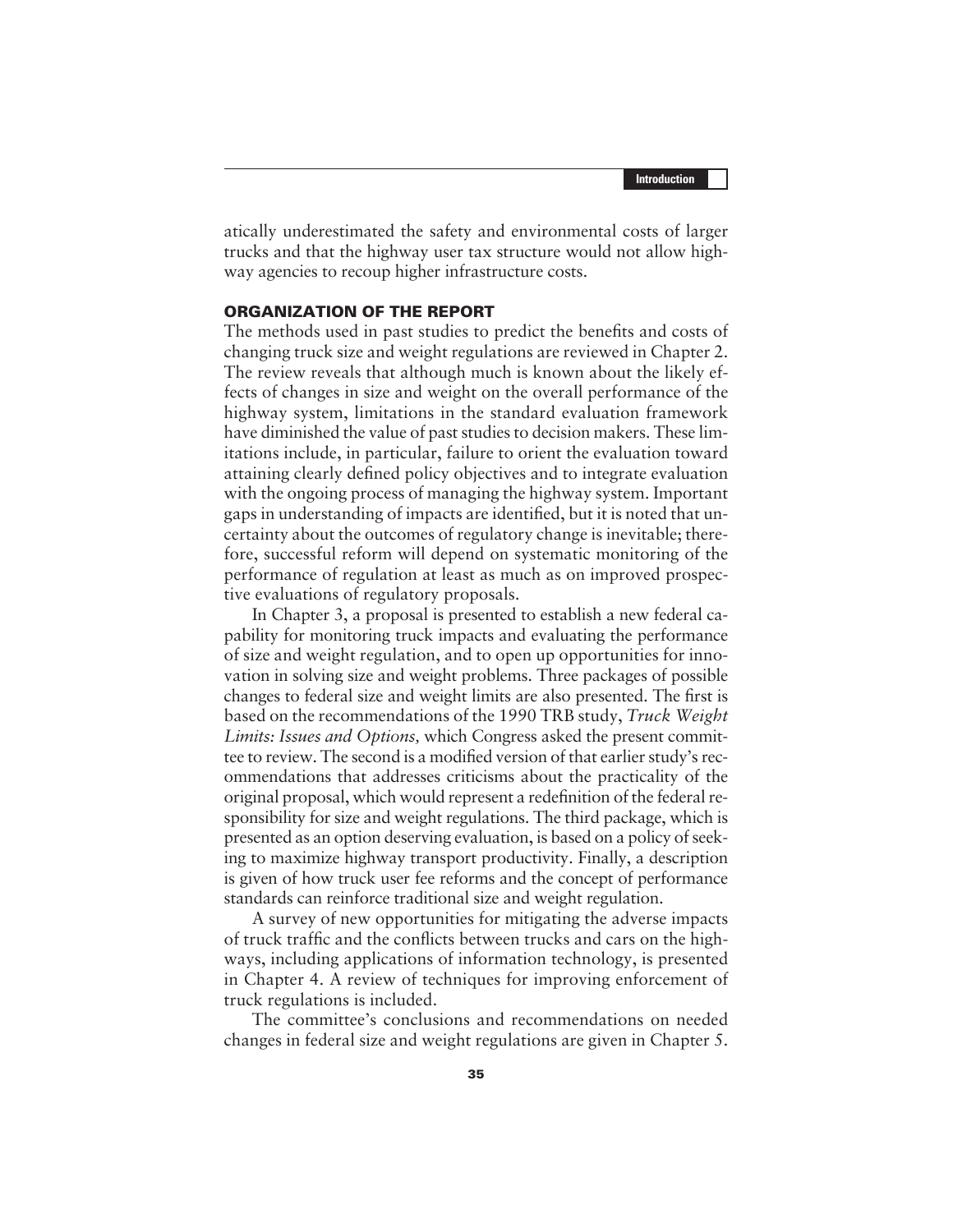atically underestimated the safety and environmental costs of larger trucks and that the highway user tax structure would not allow highway agencies to recoup higher infrastructure costs.

## **ORGANIZATION OF THE REPORT**

The methods used in past studies to predict the benefits and costs of changing truck size and weight regulations are reviewed in Chapter 2. The review reveals that although much is known about the likely effects of changes in size and weight on the overall performance of the highway system, limitations in the standard evaluation framework have diminished the value of past studies to decision makers. These limitations include, in particular, failure to orient the evaluation toward attaining clearly defined policy objectives and to integrate evaluation with the ongoing process of managing the highway system. Important gaps in understanding of impacts are identified, but it is noted that uncertainty about the outcomes of regulatory change is inevitable; therefore, successful reform will depend on systematic monitoring of the performance of regulation at least as much as on improved prospective evaluations of regulatory proposals.

In Chapter 3, a proposal is presented to establish a new federal capability for monitoring truck impacts and evaluating the performance of size and weight regulation, and to open up opportunities for innovation in solving size and weight problems. Three packages of possible changes to federal size and weight limits are also presented. The first is based on the recommendations of the 1990 TRB study, *Truck Weight Limits: Issues and Options,* which Congress asked the present committee to review. The second is a modified version of that earlier study's recommendations that addresses criticisms about the practicality of the original proposal, which would represent a redefinition of the federal responsibility for size and weight regulations. The third package, which is presented as an option deserving evaluation, is based on a policy of seeking to maximize highway transport productivity. Finally, a description is given of how truck user fee reforms and the concept of performance standards can reinforce traditional size and weight regulation.

A survey of new opportunities for mitigating the adverse impacts of truck traffic and the conflicts between trucks and cars on the highways, including applications of information technology, is presented in Chapter 4. A review of techniques for improving enforcement of truck regulations is included.

The committee's conclusions and recommendations on needed changes in federal size and weight regulations are given in Chapter 5.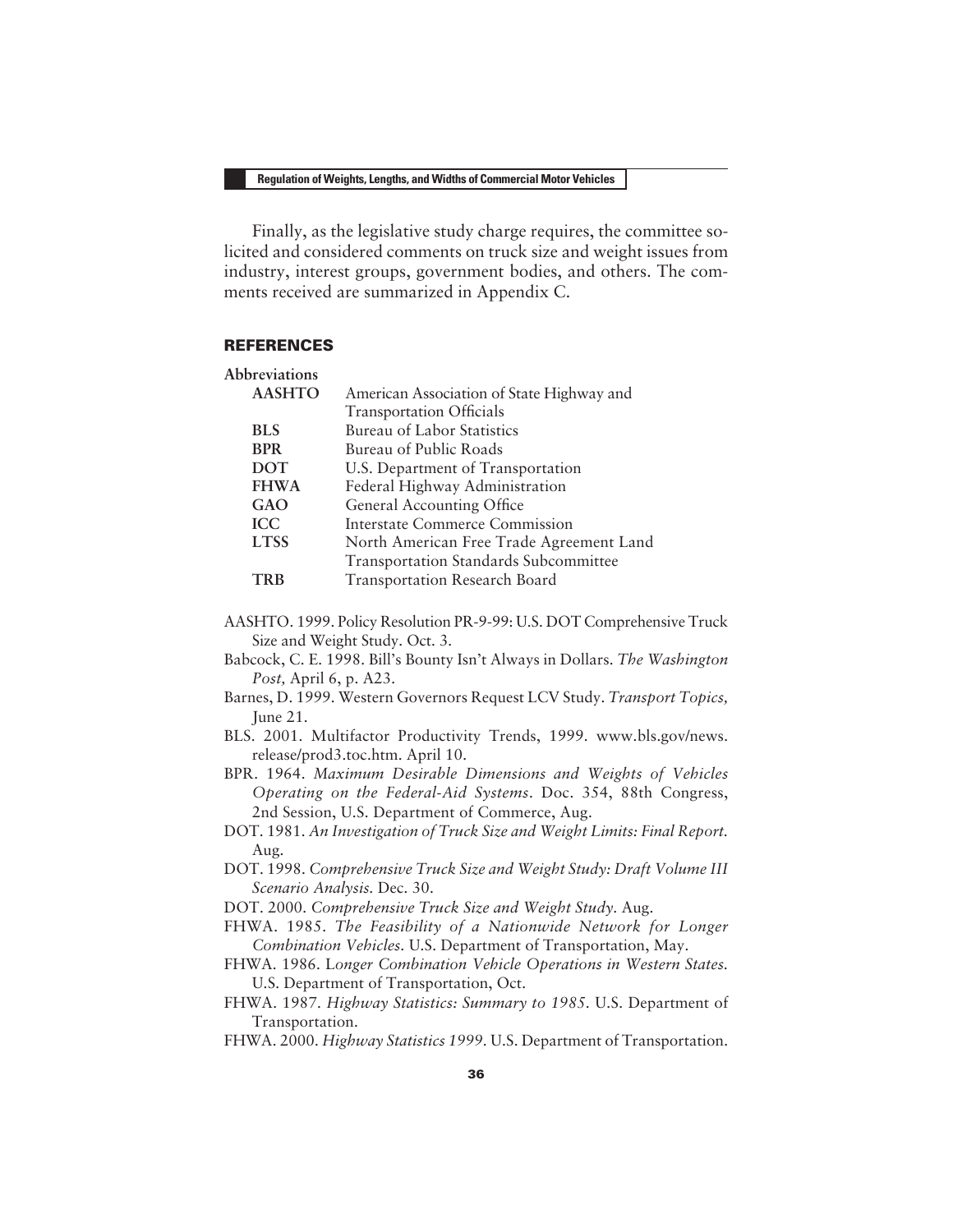Finally, as the legislative study charge requires, the committee solicited and considered comments on truck size and weight issues from industry, interest groups, government bodies, and others. The comments received are summarized in Appendix C.

### **REFERENCES**

| <b>Abbreviations</b> |                                              |
|----------------------|----------------------------------------------|
|                      |                                              |
| <b>AASHTO</b>        | American Association of State Highway and    |
|                      | <b>Transportation Officials</b>              |
| <b>BLS</b>           | <b>Bureau of Labor Statistics</b>            |
| <b>BPR</b>           | Bureau of Public Roads                       |
| <b>DOT</b>           | U.S. Department of Transportation            |
| <b>FHWA</b>          | Federal Highway Administration               |
| GAO                  | General Accounting Office                    |
| <b>ICC</b>           | <b>Interstate Commerce Commission</b>        |
| <b>LTSS</b>          | North American Free Trade Agreement Land     |
|                      | <b>Transportation Standards Subcommittee</b> |
| TRB                  | <b>Transportation Research Board</b>         |

AASHTO. 1999. Policy Resolution PR-9-99: U.S. DOT Comprehensive Truck Size and Weight Study. Oct. 3.

Babcock, C. E. 1998. Bill's Bounty Isn't Always in Dollars. *The Washington Post,* April 6, p. A23.

Barnes, D. 1999. Western Governors Request LCV Study. *Transport Topics,* June 21.

BLS. 2001. Multifactor Productivity Trends, 1999. www.bls.gov/news. release/prod3.toc.htm. April 10.

BPR. 1964. *Maximum Desirable Dimensions and Weights of Vehicles Operating on the Federal-Aid Systems*. Doc. 354, 88th Congress, 2nd Session, U.S. Department of Commerce, Aug.

DOT. 1981. *An Investigation of Truck Size and Weight Limits: Final Report.* Aug.

DOT. 1998. *Comprehensive Truck Size and Weight Study: Draft Volume III Scenario Analysis.* Dec. 30.

DOT. 2000. *Comprehensive Truck Size and Weight Study.* Aug.

FHWA. 1985. *The Feasibility of a Nationwide Network for Longer Combination Vehicles.* U.S. Department of Transportation, May.

FHWA. 1986. L*onger Combination Vehicle Operations in Western States.* U.S. Department of Transportation, Oct.

FHWA. 1987. *Highway Statistics: Summary to 1985.* U.S. Department of Transportation.

FHWA. 2000. *Highway Statistics 1999.* U.S. Department of Transportation.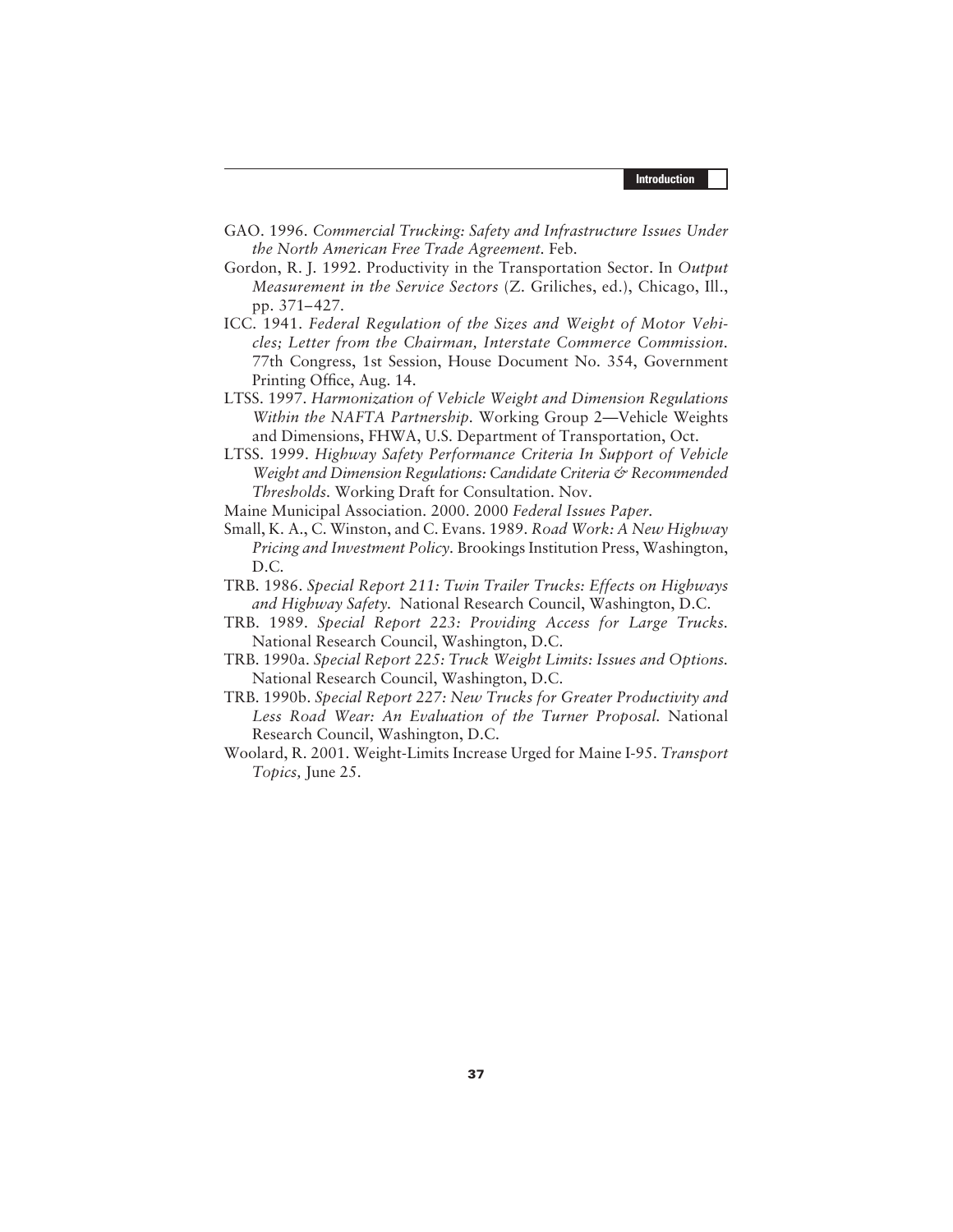- GAO. 1996. *Commercial Trucking: Safety and Infrastructure Issues Under the North American Free Trade Agreement.* Feb.
- Gordon, R. J. 1992. Productivity in the Transportation Sector. In *Output Measurement in the Service Sectors* (Z. Griliches, ed.), Chicago, Ill., pp. 371–427.
- ICC. 1941. *Federal Regulation of the Sizes and Weight of Motor Vehicles; Letter from the Chairman, Interstate Commerce Commission.* 77th Congress, 1st Session, House Document No. 354, Government Printing Office, Aug. 14.
- LTSS. 1997. *Harmonization of Vehicle Weight and Dimension Regulations Within the NAFTA Partnership.* Working Group 2—Vehicle Weights and Dimensions, FHWA, U.S. Department of Transportation, Oct.
- LTSS. 1999. *Highway Safety Performance Criteria In Support of Vehicle Weight and Dimension Regulations: Candidate Criteria & Recommended Thresholds.* Working Draft for Consultation. Nov.
- Maine Municipal Association. 2000. 2000 *Federal Issues Paper.*
- Small, K. A., C. Winston, and C. Evans. 1989. *Road Work: A New Highway Pricing and Investment Policy.* Brookings Institution Press, Washington, D.C.
- TRB. 1986. *Special Report 211: Twin Trailer Trucks: Effects on Highways and Highway Safety.* National Research Council, Washington, D.C.
- TRB. 1989. *Special Report 223: Providing Access for Large Trucks.* National Research Council, Washington, D.C.
- TRB. 1990a. *Special Report 225: Truck Weight Limits: Issues and Options.* National Research Council, Washington, D.C.
- TRB. 1990b. *Special Report 227: New Trucks for Greater Productivity and Less Road Wear: An Evaluation of the Turner Proposal.* National Research Council, Washington, D.C.
- Woolard, R. 2001. Weight-Limits Increase Urged for Maine I-95. *Transport Topics,* June 25.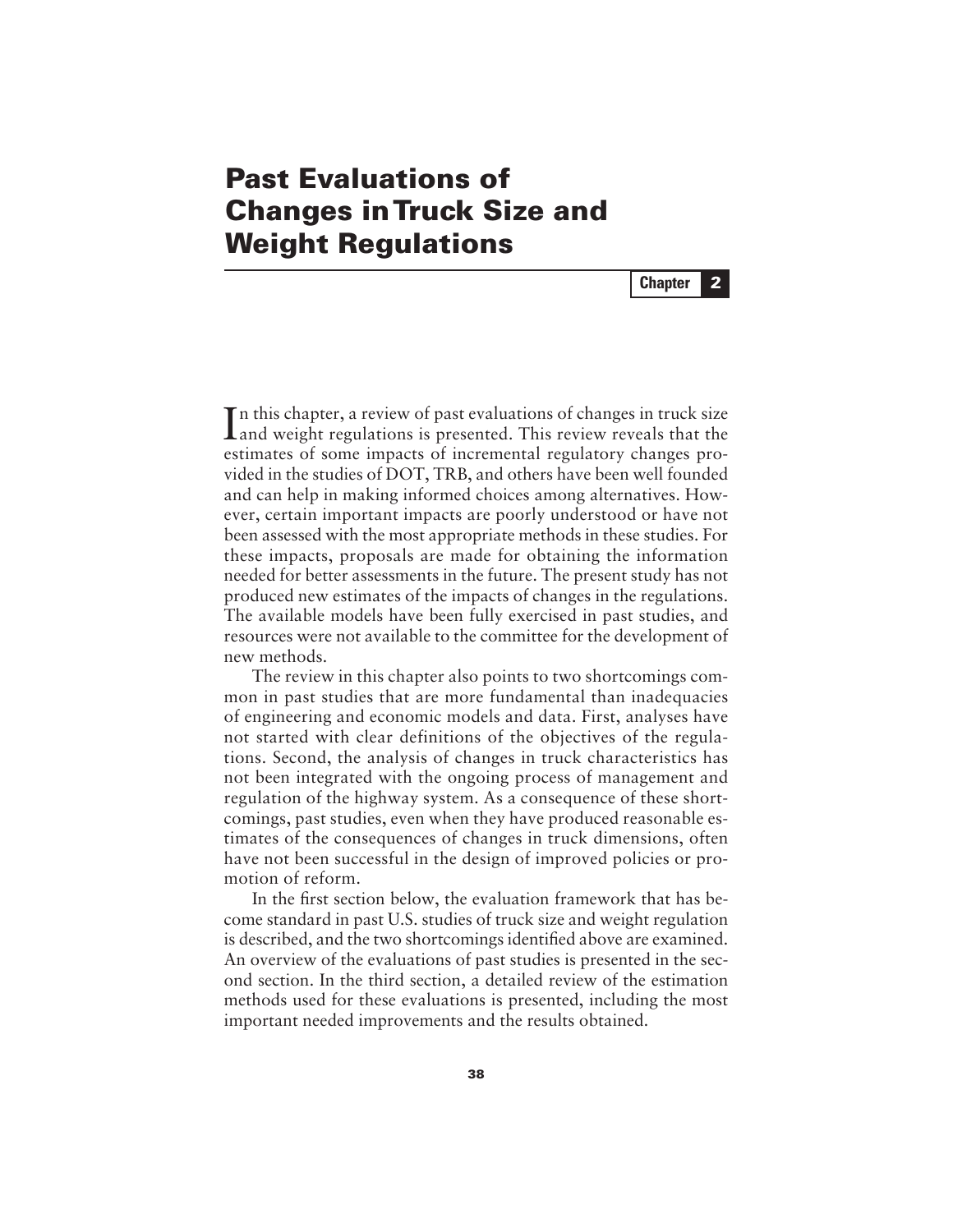# **Past Evaluations of Changes in Truck Size and Weight Regulations**

**Chapter 2**

In this chapter, a review of past evaluations of changes in truck size<br>and weight regulations is presented. This review reveals that the n this chapter, a review of past evaluations of changes in truck size estimates of some impacts of incremental regulatory changes provided in the studies of DOT, TRB, and others have been well founded and can help in making informed choices among alternatives. However, certain important impacts are poorly understood or have not been assessed with the most appropriate methods in these studies. For these impacts, proposals are made for obtaining the information needed for better assessments in the future. The present study has not produced new estimates of the impacts of changes in the regulations. The available models have been fully exercised in past studies, and resources were not available to the committee for the development of new methods.

The review in this chapter also points to two shortcomings common in past studies that are more fundamental than inadequacies of engineering and economic models and data. First, analyses have not started with clear definitions of the objectives of the regulations. Second, the analysis of changes in truck characteristics has not been integrated with the ongoing process of management and regulation of the highway system. As a consequence of these shortcomings, past studies, even when they have produced reasonable estimates of the consequences of changes in truck dimensions, often have not been successful in the design of improved policies or promotion of reform.

In the first section below, the evaluation framework that has become standard in past U.S. studies of truck size and weight regulation is described, and the two shortcomings identified above are examined. An overview of the evaluations of past studies is presented in the second section. In the third section, a detailed review of the estimation methods used for these evaluations is presented, including the most important needed improvements and the results obtained.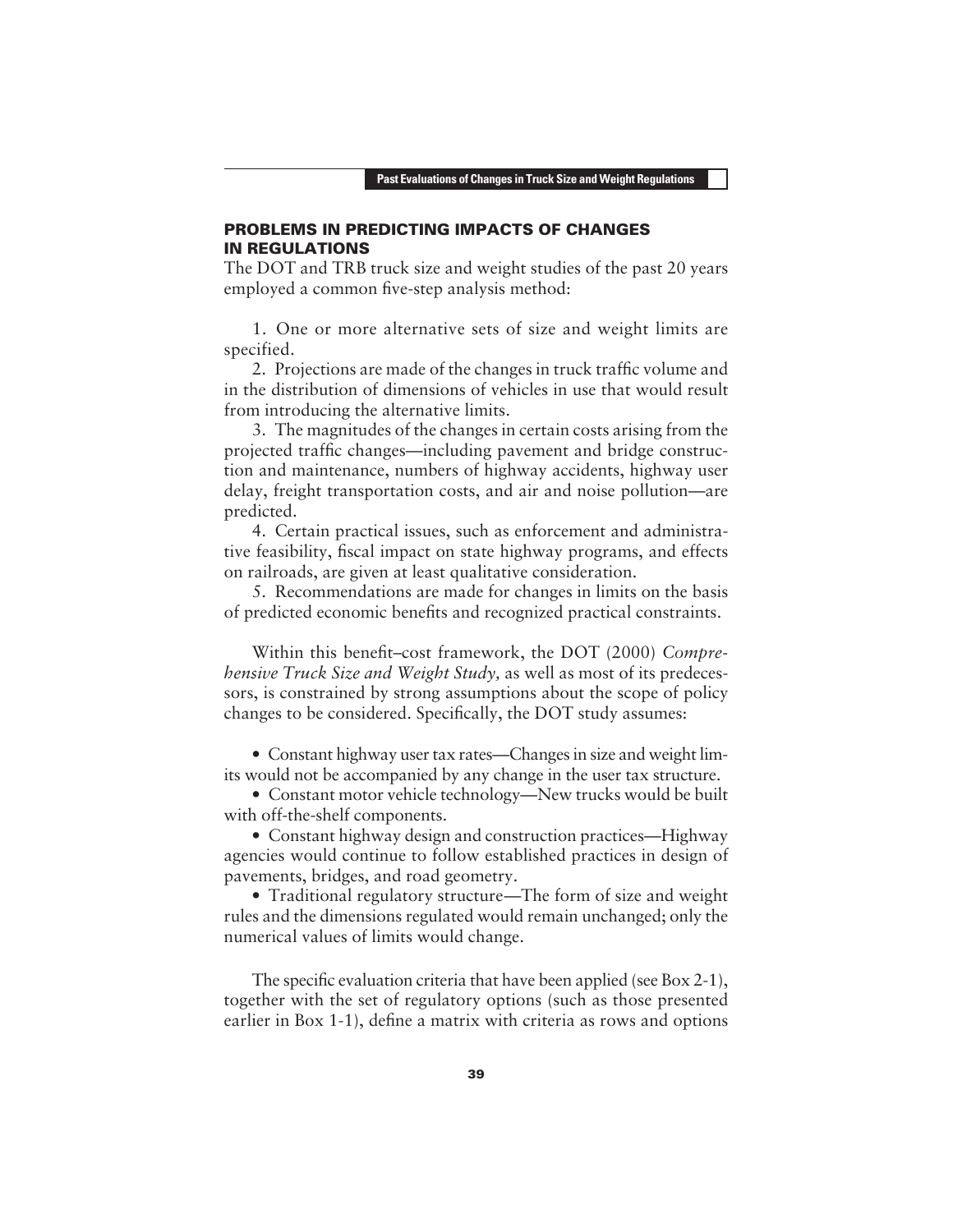## **PROBLEMS IN PREDICTING IMPACTS OF CHANGES IN REGULATIONS**

The DOT and TRB truck size and weight studies of the past 20 years employed a common five-step analysis method:

1. One or more alternative sets of size and weight limits are specified.

2. Projections are made of the changes in truck traffic volume and in the distribution of dimensions of vehicles in use that would result from introducing the alternative limits.

3. The magnitudes of the changes in certain costs arising from the projected traffic changes—including pavement and bridge construction and maintenance, numbers of highway accidents, highway user delay, freight transportation costs, and air and noise pollution—are predicted.

4. Certain practical issues, such as enforcement and administrative feasibility, fiscal impact on state highway programs, and effects on railroads, are given at least qualitative consideration.

5. Recommendations are made for changes in limits on the basis of predicted economic benefits and recognized practical constraints.

Within this benefit–cost framework, the DOT (2000) *Comprehensive Truck Size and Weight Study,* as well as most of its predecessors, is constrained by strong assumptions about the scope of policy changes to be considered. Specifically, the DOT study assumes:

• Constant highway user tax rates—Changes in size and weight limits would not be accompanied by any change in the user tax structure.

• Constant motor vehicle technology—New trucks would be built with off-the-shelf components.

• Constant highway design and construction practices—Highway agencies would continue to follow established practices in design of pavements, bridges, and road geometry.

• Traditional regulatory structure—The form of size and weight rules and the dimensions regulated would remain unchanged; only the numerical values of limits would change.

The specific evaluation criteria that have been applied (see Box 2-1), together with the set of regulatory options (such as those presented earlier in Box 1-1), define a matrix with criteria as rows and options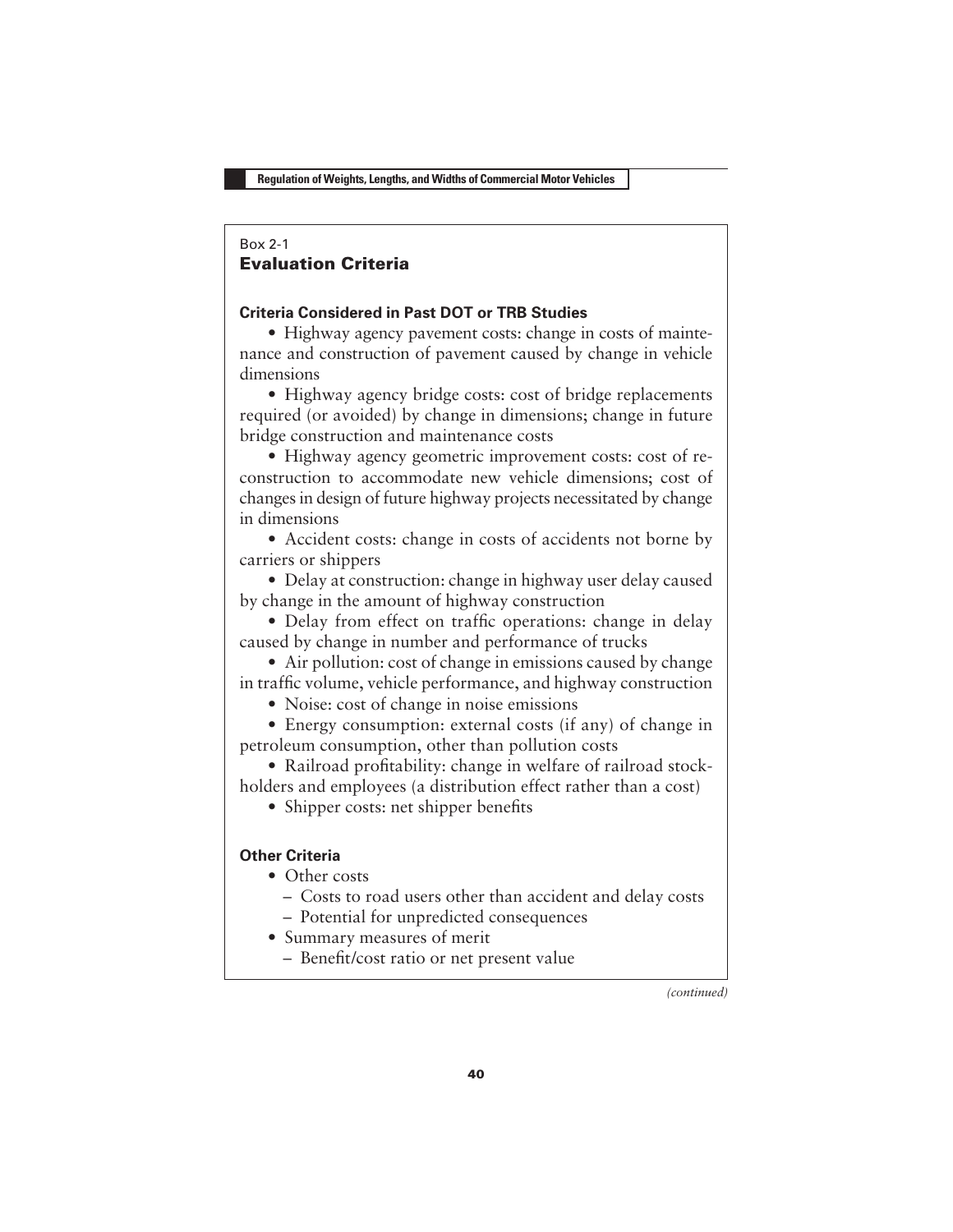## Box 2-1 **Evaluation Criteria**

## **Criteria Considered in Past DOT or TRB Studies**

• Highway agency pavement costs: change in costs of maintenance and construction of pavement caused by change in vehicle dimensions

• Highway agency bridge costs: cost of bridge replacements required (or avoided) by change in dimensions; change in future bridge construction and maintenance costs

• Highway agency geometric improvement costs: cost of reconstruction to accommodate new vehicle dimensions; cost of changes in design of future highway projects necessitated by change in dimensions

• Accident costs: change in costs of accidents not borne by carriers or shippers

• Delay at construction: change in highway user delay caused by change in the amount of highway construction

• Delay from effect on traffic operations: change in delay caused by change in number and performance of trucks

• Air pollution: cost of change in emissions caused by change in traffic volume, vehicle performance, and highway construction

• Noise: cost of change in noise emissions

• Energy consumption: external costs (if any) of change in petroleum consumption, other than pollution costs

• Railroad profitability: change in welfare of railroad stockholders and employees (a distribution effect rather than a cost)

• Shipper costs: net shipper benefits

# **Other Criteria**

- Other costs
	- Costs to road users other than accident and delay costs
	- Potential for unpredicted consequences
- Summary measures of merit
	- Benefit/cost ratio or net present value

*(continued)*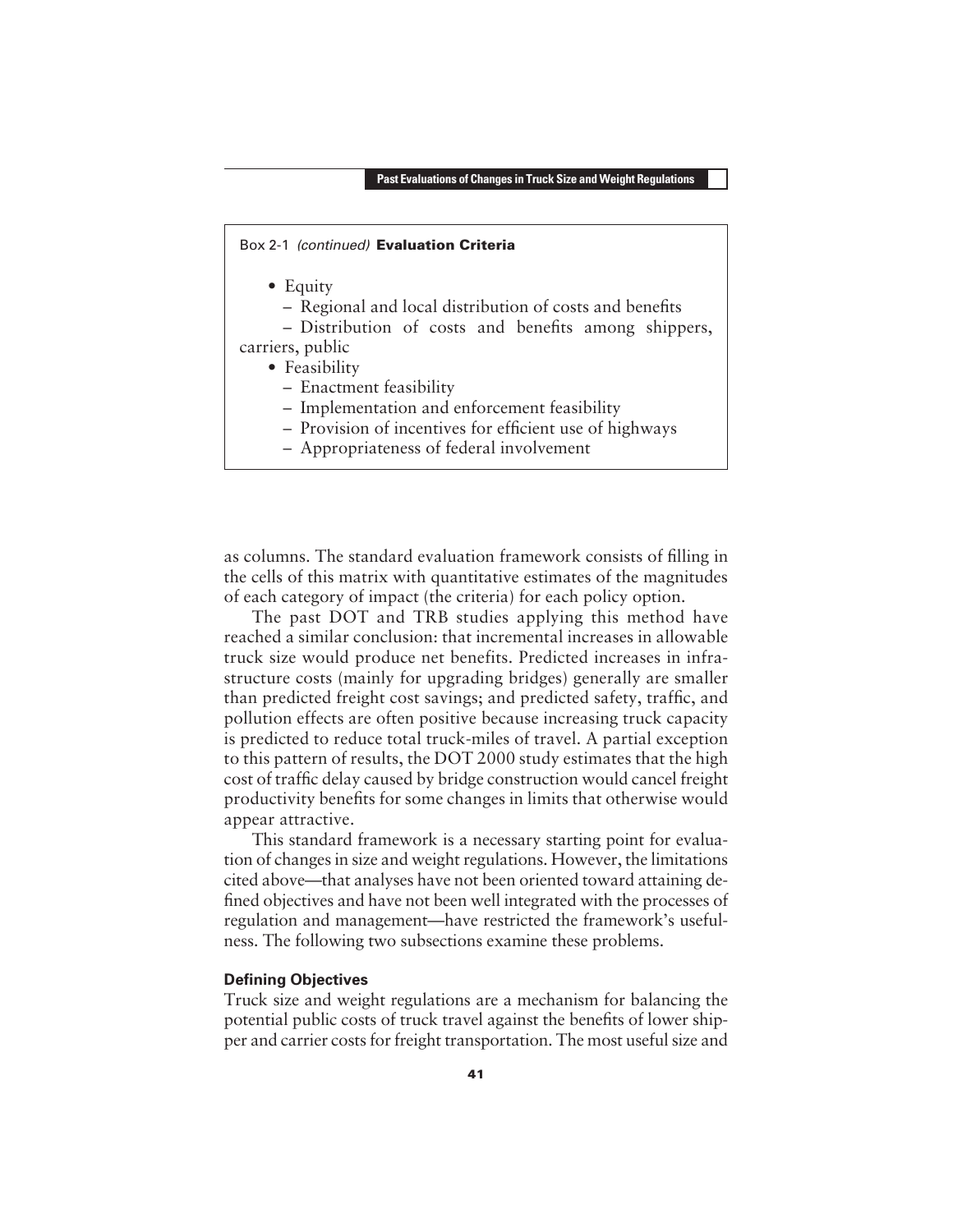Box 2-1 (continued) **Evaluation Criteria**

• Equity

– Regional and local distribution of costs and benefits

– Distribution of costs and benefits among shippers, carriers, public

- Feasibility
	- Enactment feasibility
	- Implementation and enforcement feasibility
	- Provision of incentives for efficient use of highways
	- Appropriateness of federal involvement

as columns. The standard evaluation framework consists of filling in the cells of this matrix with quantitative estimates of the magnitudes of each category of impact (the criteria) for each policy option.

The past DOT and TRB studies applying this method have reached a similar conclusion: that incremental increases in allowable truck size would produce net benefits. Predicted increases in infrastructure costs (mainly for upgrading bridges) generally are smaller than predicted freight cost savings; and predicted safety, traffic, and pollution effects are often positive because increasing truck capacity is predicted to reduce total truck-miles of travel. A partial exception to this pattern of results, the DOT 2000 study estimates that the high cost of traffic delay caused by bridge construction would cancel freight productivity benefits for some changes in limits that otherwise would appear attractive.

This standard framework is a necessary starting point for evaluation of changes in size and weight regulations. However, the limitations cited above—that analyses have not been oriented toward attaining defined objectives and have not been well integrated with the processes of regulation and management—have restricted the framework's usefulness. The following two subsections examine these problems.

## **Defining Objectives**

Truck size and weight regulations are a mechanism for balancing the potential public costs of truck travel against the benefits of lower shipper and carrier costs for freight transportation. The most useful size and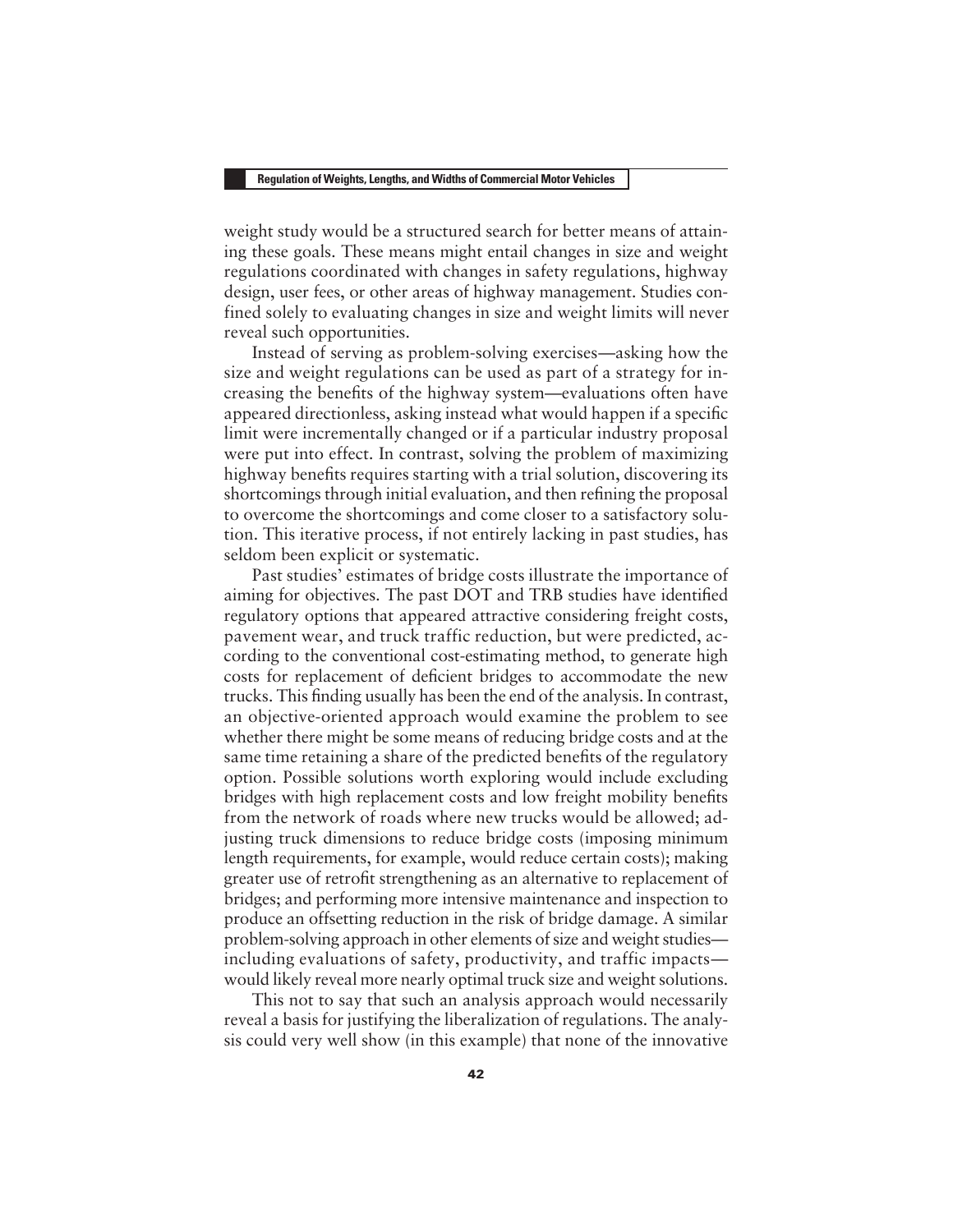weight study would be a structured search for better means of attaining these goals. These means might entail changes in size and weight regulations coordinated with changes in safety regulations, highway design, user fees, or other areas of highway management. Studies confined solely to evaluating changes in size and weight limits will never reveal such opportunities.

Instead of serving as problem-solving exercises—asking how the size and weight regulations can be used as part of a strategy for increasing the benefits of the highway system—evaluations often have appeared directionless, asking instead what would happen if a specific limit were incrementally changed or if a particular industry proposal were put into effect. In contrast, solving the problem of maximizing highway benefits requires starting with a trial solution, discovering its shortcomings through initial evaluation, and then refining the proposal to overcome the shortcomings and come closer to a satisfactory solution. This iterative process, if not entirely lacking in past studies, has seldom been explicit or systematic.

Past studies' estimates of bridge costs illustrate the importance of aiming for objectives. The past DOT and TRB studies have identified regulatory options that appeared attractive considering freight costs, pavement wear, and truck traffic reduction, but were predicted, according to the conventional cost-estimating method, to generate high costs for replacement of deficient bridges to accommodate the new trucks. This finding usually has been the end of the analysis. In contrast, an objective-oriented approach would examine the problem to see whether there might be some means of reducing bridge costs and at the same time retaining a share of the predicted benefits of the regulatory option. Possible solutions worth exploring would include excluding bridges with high replacement costs and low freight mobility benefits from the network of roads where new trucks would be allowed; adjusting truck dimensions to reduce bridge costs (imposing minimum length requirements, for example, would reduce certain costs); making greater use of retrofit strengthening as an alternative to replacement of bridges; and performing more intensive maintenance and inspection to produce an offsetting reduction in the risk of bridge damage. A similar problem-solving approach in other elements of size and weight studies including evaluations of safety, productivity, and traffic impacts would likely reveal more nearly optimal truck size and weight solutions.

This not to say that such an analysis approach would necessarily reveal a basis for justifying the liberalization of regulations. The analysis could very well show (in this example) that none of the innovative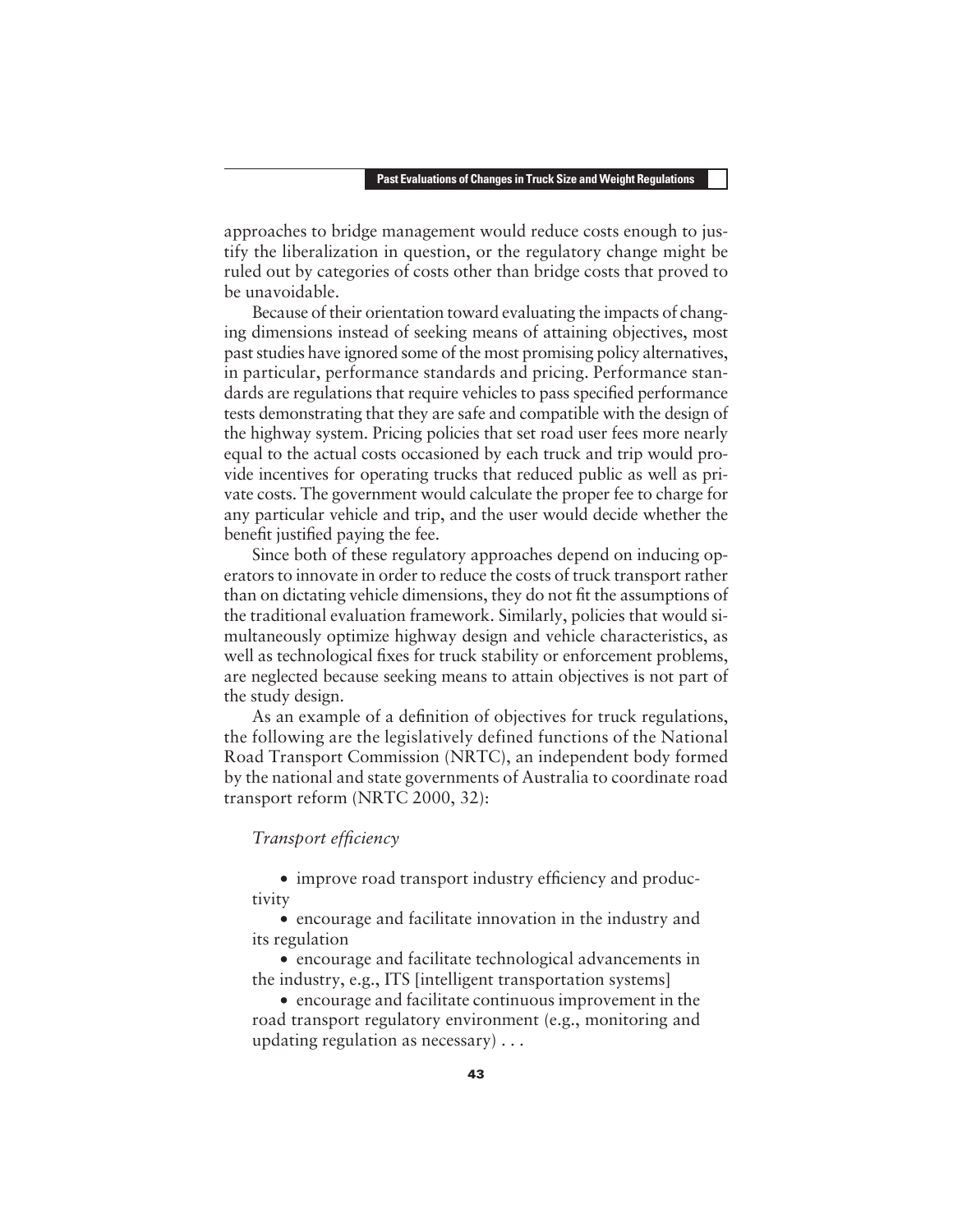approaches to bridge management would reduce costs enough to justify the liberalization in question, or the regulatory change might be ruled out by categories of costs other than bridge costs that proved to be unavoidable.

Because of their orientation toward evaluating the impacts of changing dimensions instead of seeking means of attaining objectives, most past studies have ignored some of the most promising policy alternatives, in particular, performance standards and pricing. Performance standards are regulations that require vehicles to pass specified performance tests demonstrating that they are safe and compatible with the design of the highway system. Pricing policies that set road user fees more nearly equal to the actual costs occasioned by each truck and trip would provide incentives for operating trucks that reduced public as well as private costs. The government would calculate the proper fee to charge for any particular vehicle and trip, and the user would decide whether the benefit justified paying the fee.

Since both of these regulatory approaches depend on inducing operators to innovate in order to reduce the costs of truck transport rather than on dictating vehicle dimensions, they do not fit the assumptions of the traditional evaluation framework. Similarly, policies that would simultaneously optimize highway design and vehicle characteristics, as well as technological fixes for truck stability or enforcement problems, are neglected because seeking means to attain objectives is not part of the study design.

As an example of a definition of objectives for truck regulations, the following are the legislatively defined functions of the National Road Transport Commission (NRTC), an independent body formed by the national and state governments of Australia to coordinate road transport reform (NRTC 2000, 32):

# *Transport efficiency*

• improve road transport industry efficiency and productivity

• encourage and facilitate innovation in the industry and its regulation

• encourage and facilitate technological advancements in the industry, e.g., ITS [intelligent transportation systems]

• encourage and facilitate continuous improvement in the road transport regulatory environment (e.g., monitoring and updating regulation as necessary) . . .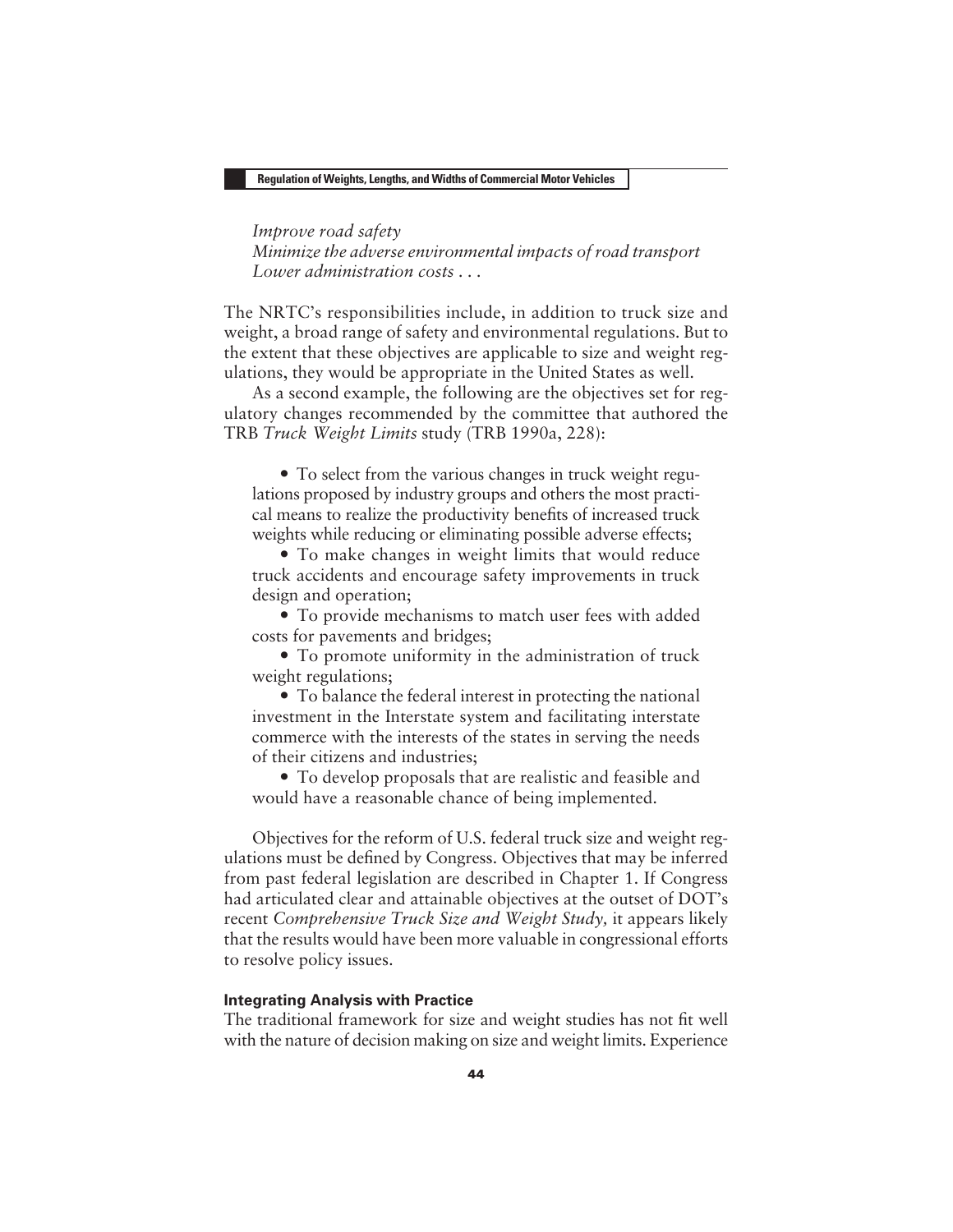*Improve road safety Minimize the adverse environmental impacts of road transport Lower administration costs . . .*

The NRTC's responsibilities include, in addition to truck size and weight, a broad range of safety and environmental regulations. But to the extent that these objectives are applicable to size and weight regulations, they would be appropriate in the United States as well.

As a second example, the following are the objectives set for regulatory changes recommended by the committee that authored the TRB *Truck Weight Limits* study (TRB 1990a, 228):

• To select from the various changes in truck weight regulations proposed by industry groups and others the most practical means to realize the productivity benefits of increased truck weights while reducing or eliminating possible adverse effects;

• To make changes in weight limits that would reduce truck accidents and encourage safety improvements in truck design and operation;

• To provide mechanisms to match user fees with added costs for pavements and bridges;

• To promote uniformity in the administration of truck weight regulations;

• To balance the federal interest in protecting the national investment in the Interstate system and facilitating interstate commerce with the interests of the states in serving the needs of their citizens and industries;

• To develop proposals that are realistic and feasible and would have a reasonable chance of being implemented.

Objectives for the reform of U.S. federal truck size and weight regulations must be defined by Congress. Objectives that may be inferred from past federal legislation are described in Chapter 1. If Congress had articulated clear and attainable objectives at the outset of DOT's recent *Comprehensive Truck Size and Weight Study,* it appears likely that the results would have been more valuable in congressional efforts to resolve policy issues.

# **Integrating Analysis with Practice**

The traditional framework for size and weight studies has not fit well with the nature of decision making on size and weight limits. Experience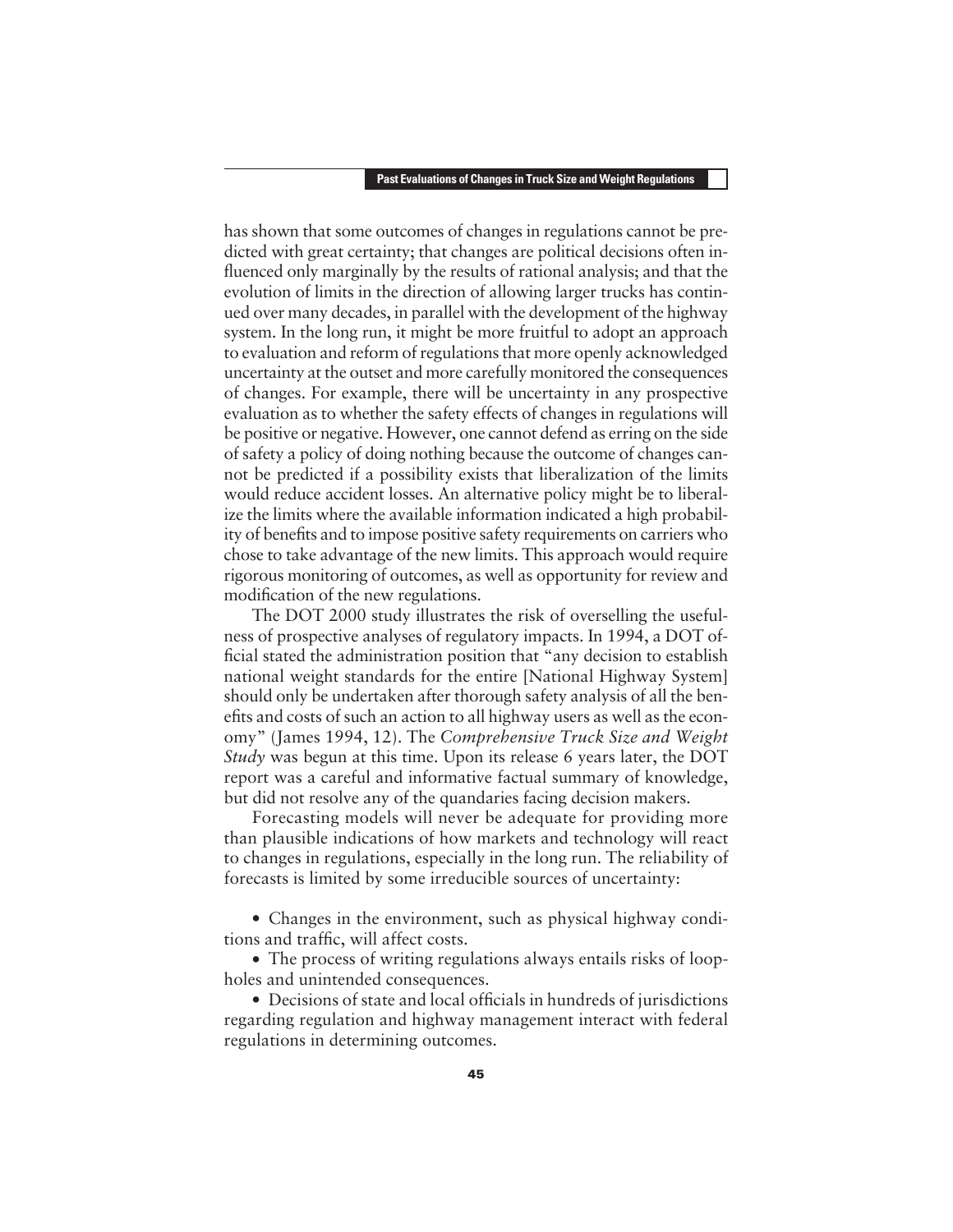has shown that some outcomes of changes in regulations cannot be predicted with great certainty; that changes are political decisions often influenced only marginally by the results of rational analysis; and that the evolution of limits in the direction of allowing larger trucks has continued over many decades, in parallel with the development of the highway system. In the long run, it might be more fruitful to adopt an approach to evaluation and reform of regulations that more openly acknowledged uncertainty at the outset and more carefully monitored the consequences of changes. For example, there will be uncertainty in any prospective evaluation as to whether the safety effects of changes in regulations will be positive or negative. However, one cannot defend as erring on the side of safety a policy of doing nothing because the outcome of changes cannot be predicted if a possibility exists that liberalization of the limits would reduce accident losses. An alternative policy might be to liberalize the limits where the available information indicated a high probability of benefits and to impose positive safety requirements on carriers who chose to take advantage of the new limits. This approach would require rigorous monitoring of outcomes, as well as opportunity for review and modification of the new regulations.

The DOT 2000 study illustrates the risk of overselling the usefulness of prospective analyses of regulatory impacts. In 1994, a DOT official stated the administration position that "any decision to establish national weight standards for the entire [National Highway System] should only be undertaken after thorough safety analysis of all the benefits and costs of such an action to all highway users as well as the economy" (James 1994, 12). The *Comprehensive Truck Size and Weight Study* was begun at this time. Upon its release 6 years later, the DOT report was a careful and informative factual summary of knowledge, but did not resolve any of the quandaries facing decision makers.

Forecasting models will never be adequate for providing more than plausible indications of how markets and technology will react to changes in regulations, especially in the long run. The reliability of forecasts is limited by some irreducible sources of uncertainty:

• Changes in the environment, such as physical highway conditions and traffic, will affect costs.

• The process of writing regulations always entails risks of loopholes and unintended consequences.

• Decisions of state and local officials in hundreds of jurisdictions regarding regulation and highway management interact with federal regulations in determining outcomes.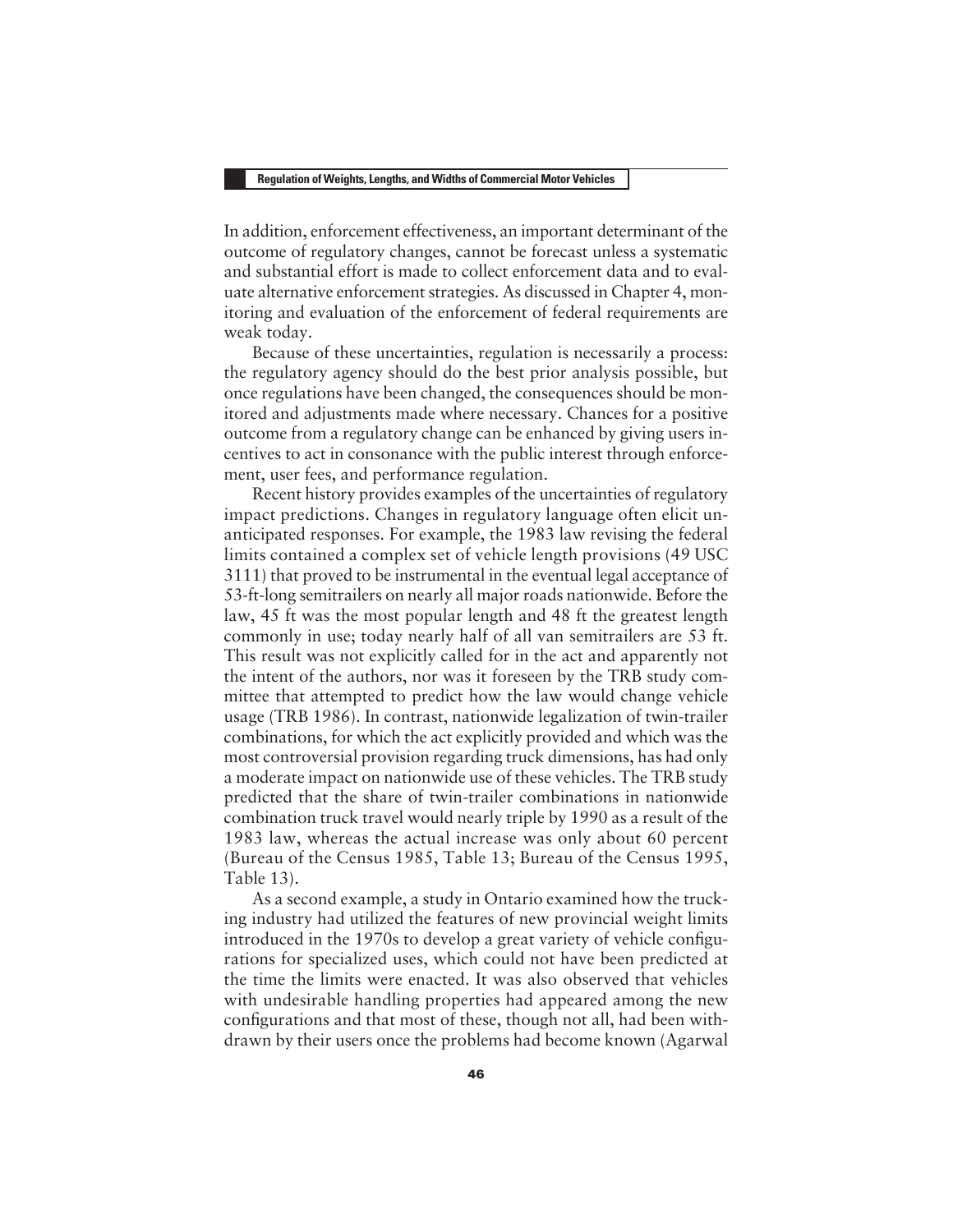In addition, enforcement effectiveness, an important determinant of the outcome of regulatory changes, cannot be forecast unless a systematic and substantial effort is made to collect enforcement data and to evaluate alternative enforcement strategies. As discussed in Chapter 4, monitoring and evaluation of the enforcement of federal requirements are weak today.

Because of these uncertainties, regulation is necessarily a process: the regulatory agency should do the best prior analysis possible, but once regulations have been changed, the consequences should be monitored and adjustments made where necessary. Chances for a positive outcome from a regulatory change can be enhanced by giving users incentives to act in consonance with the public interest through enforcement, user fees, and performance regulation.

Recent history provides examples of the uncertainties of regulatory impact predictions. Changes in regulatory language often elicit unanticipated responses. For example, the 1983 law revising the federal limits contained a complex set of vehicle length provisions (49 USC 3111) that proved to be instrumental in the eventual legal acceptance of 53-ft-long semitrailers on nearly all major roads nationwide. Before the law, 45 ft was the most popular length and 48 ft the greatest length commonly in use; today nearly half of all van semitrailers are 53 ft. This result was not explicitly called for in the act and apparently not the intent of the authors, nor was it foreseen by the TRB study committee that attempted to predict how the law would change vehicle usage (TRB 1986). In contrast, nationwide legalization of twin-trailer combinations, for which the act explicitly provided and which was the most controversial provision regarding truck dimensions, has had only a moderate impact on nationwide use of these vehicles. The TRB study predicted that the share of twin-trailer combinations in nationwide combination truck travel would nearly triple by 1990 as a result of the 1983 law, whereas the actual increase was only about 60 percent (Bureau of the Census 1985, Table 13; Bureau of the Census 1995, Table 13).

As a second example, a study in Ontario examined how the trucking industry had utilized the features of new provincial weight limits introduced in the 1970s to develop a great variety of vehicle configurations for specialized uses, which could not have been predicted at the time the limits were enacted. It was also observed that vehicles with undesirable handling properties had appeared among the new configurations and that most of these, though not all, had been withdrawn by their users once the problems had become known (Agarwal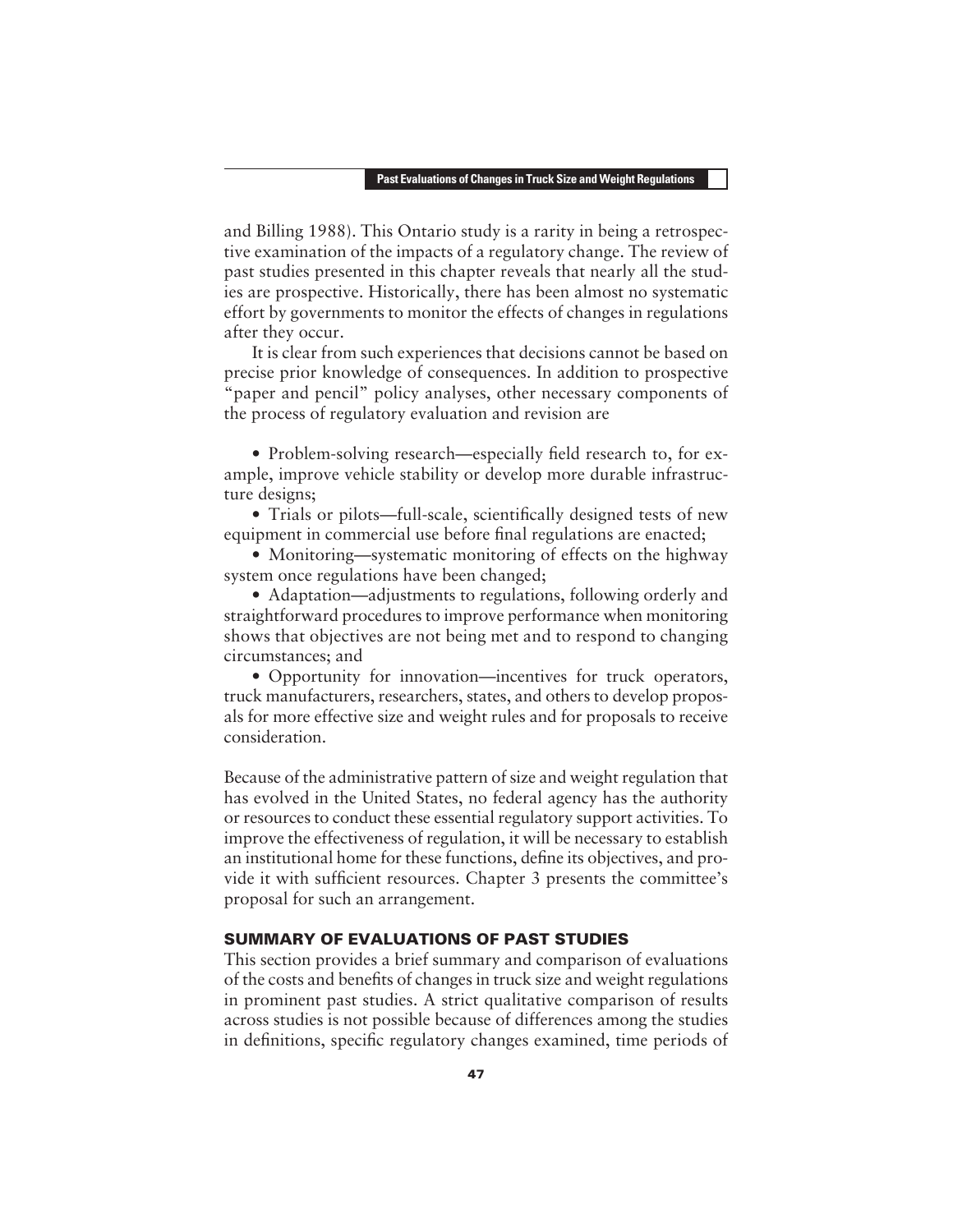and Billing 1988). This Ontario study is a rarity in being a retrospective examination of the impacts of a regulatory change. The review of past studies presented in this chapter reveals that nearly all the studies are prospective. Historically, there has been almost no systematic effort by governments to monitor the effects of changes in regulations after they occur.

It is clear from such experiences that decisions cannot be based on precise prior knowledge of consequences. In addition to prospective "paper and pencil" policy analyses, other necessary components of the process of regulatory evaluation and revision are

• Problem-solving research—especially field research to, for example, improve vehicle stability or develop more durable infrastructure designs;

• Trials or pilots—full-scale, scientifically designed tests of new equipment in commercial use before final regulations are enacted;

• Monitoring—systematic monitoring of effects on the highway system once regulations have been changed;

• Adaptation—adjustments to regulations, following orderly and straightforward procedures to improve performance when monitoring shows that objectives are not being met and to respond to changing circumstances; and

• Opportunity for innovation—incentives for truck operators, truck manufacturers, researchers, states, and others to develop proposals for more effective size and weight rules and for proposals to receive consideration.

Because of the administrative pattern of size and weight regulation that has evolved in the United States, no federal agency has the authority or resources to conduct these essential regulatory support activities. To improve the effectiveness of regulation, it will be necessary to establish an institutional home for these functions, define its objectives, and provide it with sufficient resources. Chapter 3 presents the committee's proposal for such an arrangement.

# **SUMMARY OF EVALUATIONS OF PAST STUDIES**

This section provides a brief summary and comparison of evaluations of the costs and benefits of changes in truck size and weight regulations in prominent past studies. A strict qualitative comparison of results across studies is not possible because of differences among the studies in definitions, specific regulatory changes examined, time periods of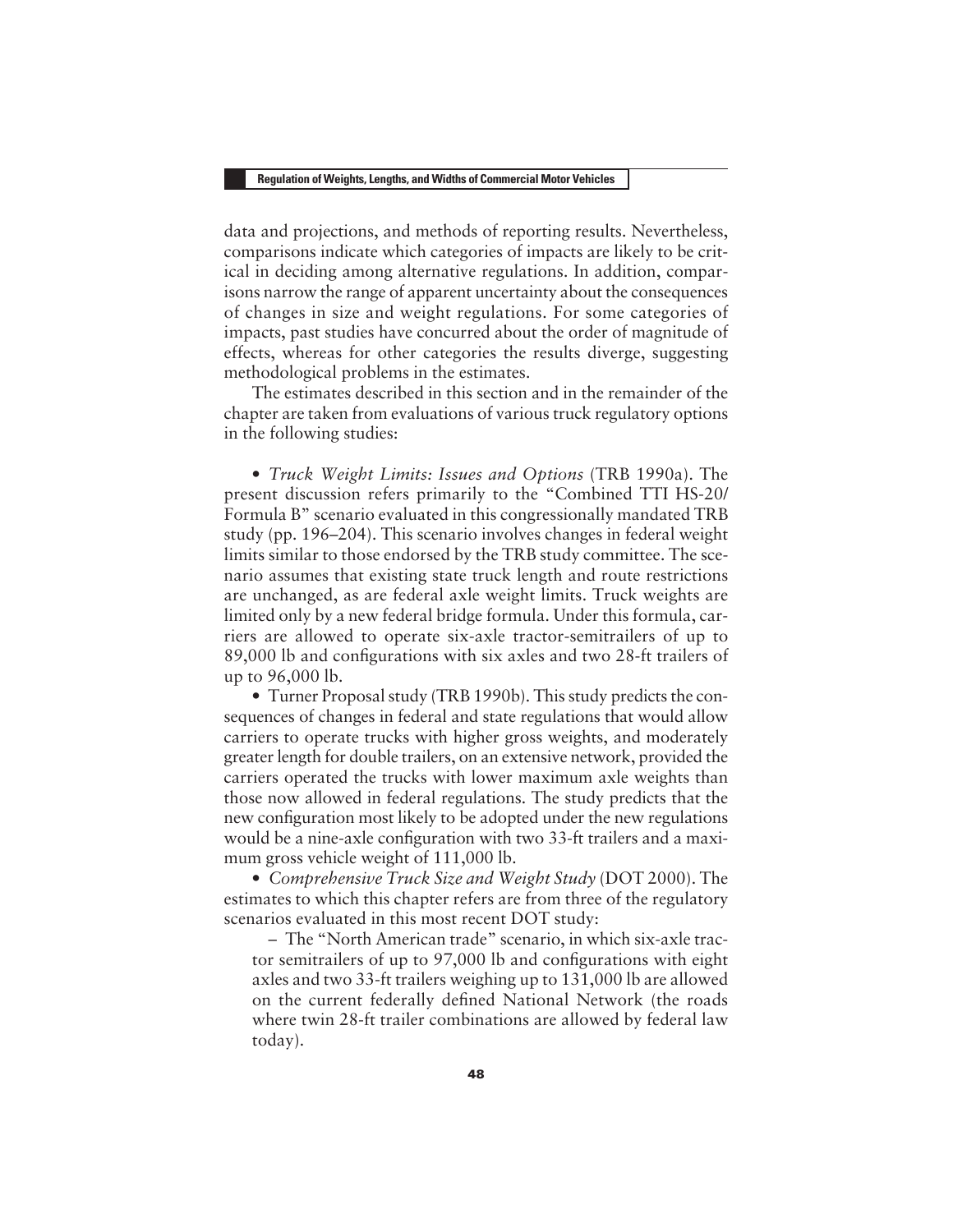data and projections, and methods of reporting results. Nevertheless, comparisons indicate which categories of impacts are likely to be critical in deciding among alternative regulations. In addition, comparisons narrow the range of apparent uncertainty about the consequences of changes in size and weight regulations. For some categories of impacts, past studies have concurred about the order of magnitude of effects, whereas for other categories the results diverge, suggesting methodological problems in the estimates.

The estimates described in this section and in the remainder of the chapter are taken from evaluations of various truck regulatory options in the following studies:

• *Truck Weight Limits: Issues and Options* (TRB 1990a). The present discussion refers primarily to the "Combined TTI HS-20/ Formula B" scenario evaluated in this congressionally mandated TRB study (pp. 196–204). This scenario involves changes in federal weight limits similar to those endorsed by the TRB study committee. The scenario assumes that existing state truck length and route restrictions are unchanged, as are federal axle weight limits. Truck weights are limited only by a new federal bridge formula. Under this formula, carriers are allowed to operate six-axle tractor-semitrailers of up to 89,000 lb and configurations with six axles and two 28-ft trailers of up to 96,000 lb.

• Turner Proposal study (TRB 1990b). This study predicts the consequences of changes in federal and state regulations that would allow carriers to operate trucks with higher gross weights, and moderately greater length for double trailers, on an extensive network, provided the carriers operated the trucks with lower maximum axle weights than those now allowed in federal regulations. The study predicts that the new configuration most likely to be adopted under the new regulations would be a nine-axle configuration with two 33-ft trailers and a maximum gross vehicle weight of 111,000 lb.

• *Comprehensive Truck Size and Weight Study* (DOT 2000). The estimates to which this chapter refers are from three of the regulatory scenarios evaluated in this most recent DOT study:

– The "North American trade" scenario, in which six-axle tractor semitrailers of up to 97,000 lb and configurations with eight axles and two 33-ft trailers weighing up to 131,000 lb are allowed on the current federally defined National Network (the roads where twin 28-ft trailer combinations are allowed by federal law today).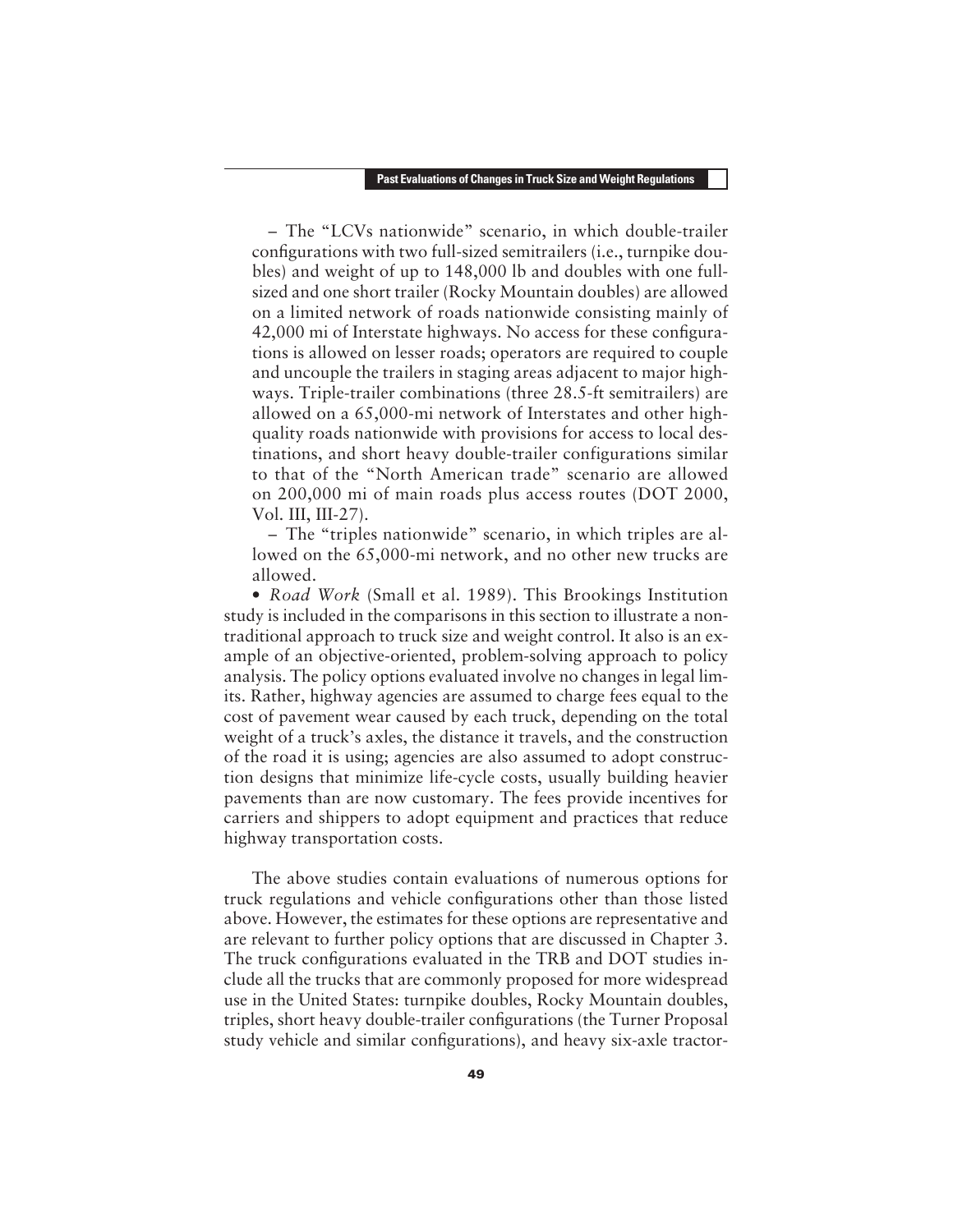– The "LCVs nationwide" scenario, in which double-trailer configurations with two full-sized semitrailers (i.e., turnpike doubles) and weight of up to 148,000 lb and doubles with one fullsized and one short trailer (Rocky Mountain doubles) are allowed on a limited network of roads nationwide consisting mainly of 42,000 mi of Interstate highways. No access for these configurations is allowed on lesser roads; operators are required to couple and uncouple the trailers in staging areas adjacent to major highways. Triple-trailer combinations (three 28.5-ft semitrailers) are allowed on a 65,000-mi network of Interstates and other highquality roads nationwide with provisions for access to local destinations, and short heavy double-trailer configurations similar to that of the "North American trade" scenario are allowed on 200,000 mi of main roads plus access routes (DOT 2000, Vol. III, III-27).

– The "triples nationwide" scenario, in which triples are allowed on the 65,000-mi network, and no other new trucks are allowed.

• *Road Work* (Small et al. 1989). This Brookings Institution study is included in the comparisons in this section to illustrate a nontraditional approach to truck size and weight control. It also is an example of an objective-oriented, problem-solving approach to policy analysis. The policy options evaluated involve no changes in legal limits. Rather, highway agencies are assumed to charge fees equal to the cost of pavement wear caused by each truck, depending on the total weight of a truck's axles, the distance it travels, and the construction of the road it is using; agencies are also assumed to adopt construction designs that minimize life-cycle costs, usually building heavier pavements than are now customary. The fees provide incentives for carriers and shippers to adopt equipment and practices that reduce highway transportation costs.

The above studies contain evaluations of numerous options for truck regulations and vehicle configurations other than those listed above. However, the estimates for these options are representative and are relevant to further policy options that are discussed in Chapter 3. The truck configurations evaluated in the TRB and DOT studies include all the trucks that are commonly proposed for more widespread use in the United States: turnpike doubles, Rocky Mountain doubles, triples, short heavy double-trailer configurations (the Turner Proposal study vehicle and similar configurations), and heavy six-axle tractor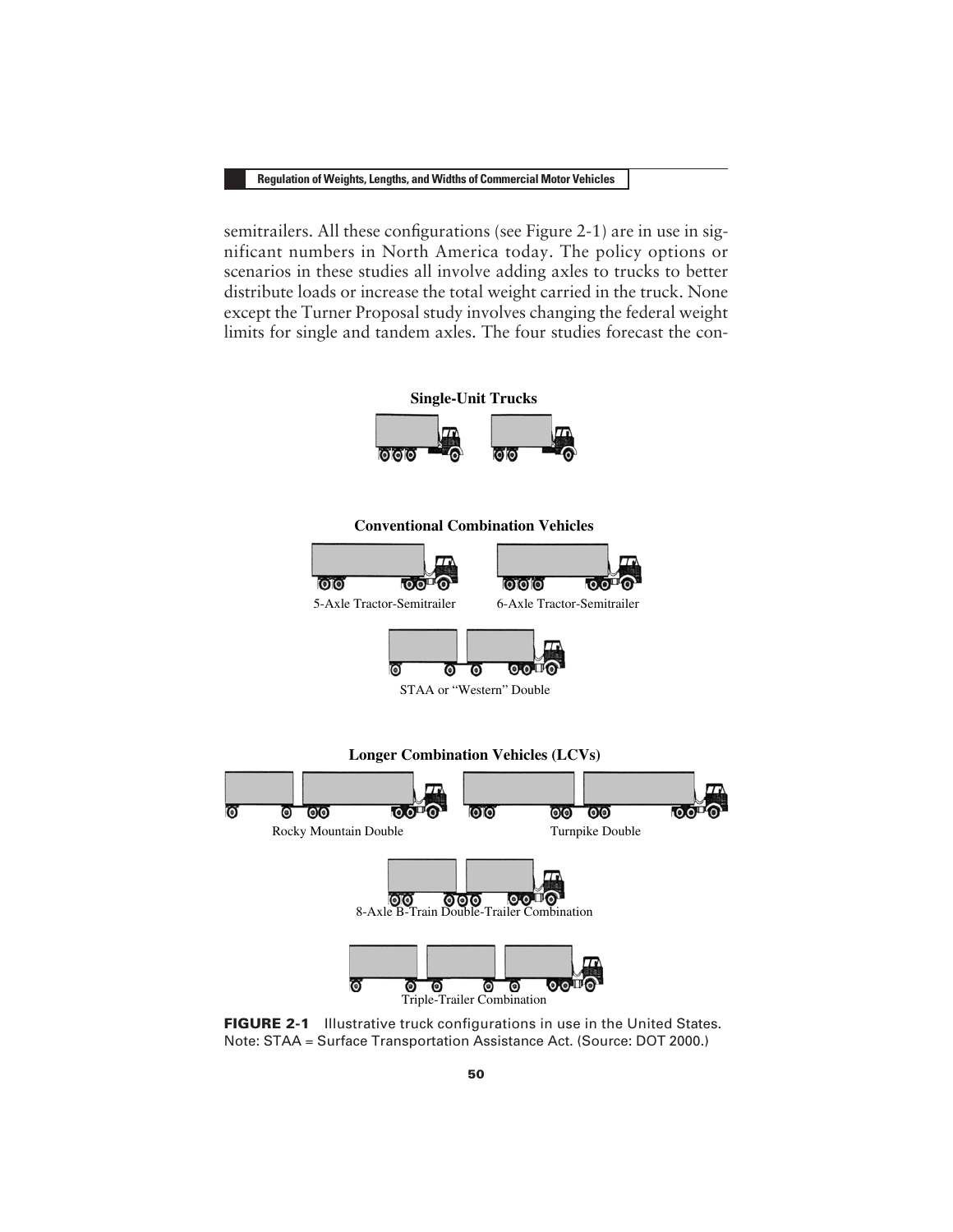semitrailers. All these configurations (see Figure 2-1) are in use in significant numbers in North America today. The policy options or scenarios in these studies all involve adding axles to trucks to better distribute loads or increase the total weight carried in the truck. None except the Turner Proposal study involves changing the federal weight limits for single and tandem axles. The four studies forecast the con-



**FIGURE 2-1** Illustrative truck configurations in use in the United States. Note: STAA = Surface Transportation Assistance Act. (Source: DOT 2000.)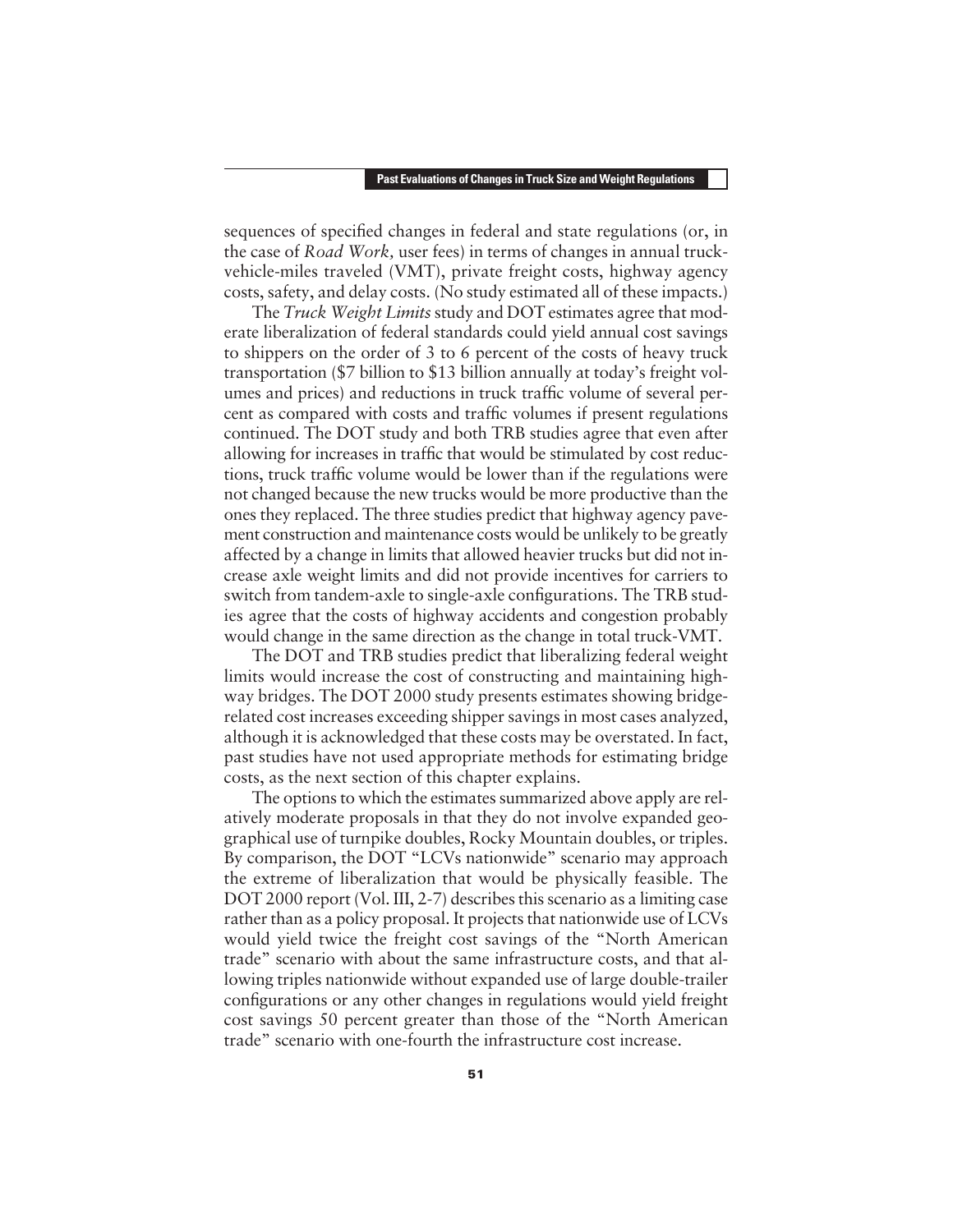sequences of specified changes in federal and state regulations (or, in the case of *Road Work,* user fees) in terms of changes in annual truckvehicle-miles traveled (VMT), private freight costs, highway agency costs, safety, and delay costs. (No study estimated all of these impacts.)

The *Truck Weight Limits*study and DOT estimates agree that moderate liberalization of federal standards could yield annual cost savings to shippers on the order of 3 to 6 percent of the costs of heavy truck transportation (\$7 billion to \$13 billion annually at today's freight volumes and prices) and reductions in truck traffic volume of several percent as compared with costs and traffic volumes if present regulations continued. The DOT study and both TRB studies agree that even after allowing for increases in traffic that would be stimulated by cost reductions, truck traffic volume would be lower than if the regulations were not changed because the new trucks would be more productive than the ones they replaced. The three studies predict that highway agency pavement construction and maintenance costs would be unlikely to be greatly affected by a change in limits that allowed heavier trucks but did not increase axle weight limits and did not provide incentives for carriers to switch from tandem-axle to single-axle configurations. The TRB studies agree that the costs of highway accidents and congestion probably would change in the same direction as the change in total truck-VMT.

The DOT and TRB studies predict that liberalizing federal weight limits would increase the cost of constructing and maintaining highway bridges. The DOT 2000 study presents estimates showing bridgerelated cost increases exceeding shipper savings in most cases analyzed, although it is acknowledged that these costs may be overstated. In fact, past studies have not used appropriate methods for estimating bridge costs, as the next section of this chapter explains.

The options to which the estimates summarized above apply are relatively moderate proposals in that they do not involve expanded geographical use of turnpike doubles, Rocky Mountain doubles, or triples. By comparison, the DOT "LCVs nationwide" scenario may approach the extreme of liberalization that would be physically feasible. The DOT 2000 report (Vol. III, 2-7) describes this scenario as a limiting case rather than as a policy proposal. It projects that nationwide use of LCVs would yield twice the freight cost savings of the "North American trade" scenario with about the same infrastructure costs, and that allowing triples nationwide without expanded use of large double-trailer configurations or any other changes in regulations would yield freight cost savings 50 percent greater than those of the "North American trade" scenario with one-fourth the infrastructure cost increase.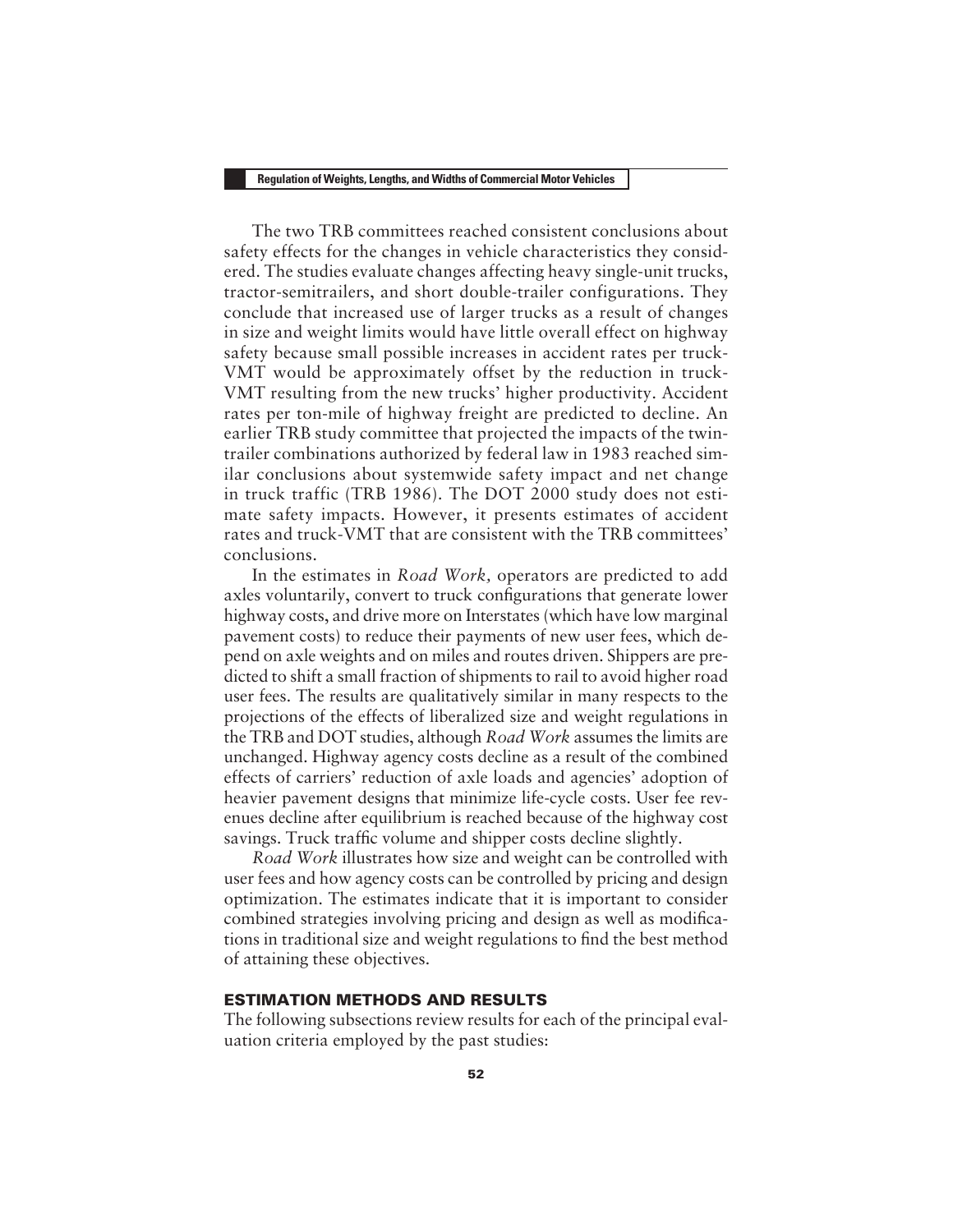The two TRB committees reached consistent conclusions about safety effects for the changes in vehicle characteristics they considered. The studies evaluate changes affecting heavy single-unit trucks, tractor-semitrailers, and short double-trailer configurations. They conclude that increased use of larger trucks as a result of changes in size and weight limits would have little overall effect on highway safety because small possible increases in accident rates per truck-VMT would be approximately offset by the reduction in truck-VMT resulting from the new trucks' higher productivity. Accident rates per ton-mile of highway freight are predicted to decline. An earlier TRB study committee that projected the impacts of the twintrailer combinations authorized by federal law in 1983 reached similar conclusions about systemwide safety impact and net change in truck traffic (TRB 1986). The DOT 2000 study does not estimate safety impacts. However, it presents estimates of accident rates and truck-VMT that are consistent with the TRB committees' conclusions.

In the estimates in *Road Work,* operators are predicted to add axles voluntarily, convert to truck configurations that generate lower highway costs, and drive more on Interstates (which have low marginal pavement costs) to reduce their payments of new user fees, which depend on axle weights and on miles and routes driven. Shippers are predicted to shift a small fraction of shipments to rail to avoid higher road user fees. The results are qualitatively similar in many respects to the projections of the effects of liberalized size and weight regulations in the TRB and DOT studies, although *Road Work* assumes the limits are unchanged. Highway agency costs decline as a result of the combined effects of carriers' reduction of axle loads and agencies' adoption of heavier pavement designs that minimize life-cycle costs. User fee revenues decline after equilibrium is reached because of the highway cost savings. Truck traffic volume and shipper costs decline slightly.

*Road Work* illustrates how size and weight can be controlled with user fees and how agency costs can be controlled by pricing and design optimization. The estimates indicate that it is important to consider combined strategies involving pricing and design as well as modifications in traditional size and weight regulations to find the best method of attaining these objectives.

## **ESTIMATION METHODS AND RESULTS**

The following subsections review results for each of the principal evaluation criteria employed by the past studies: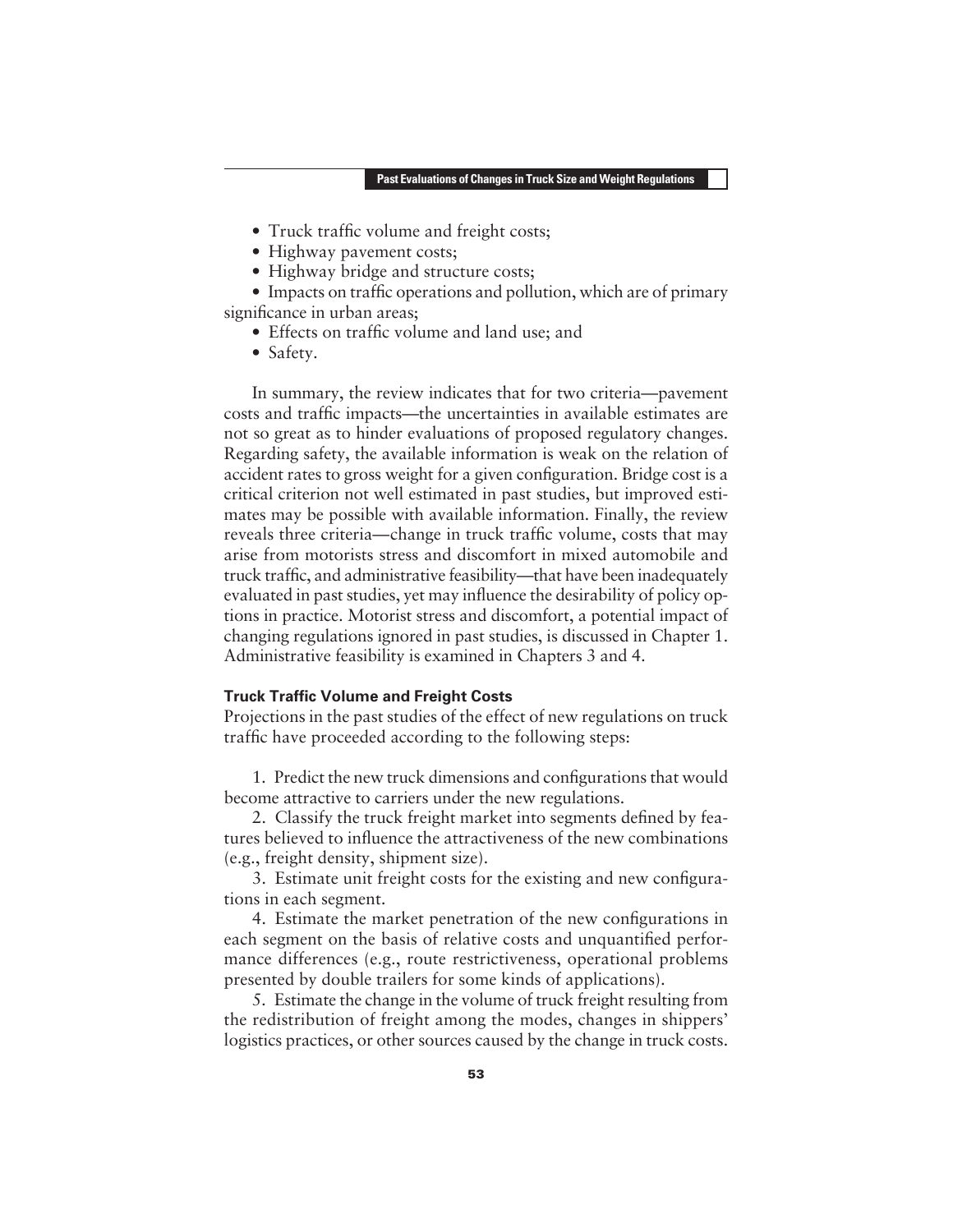- Truck traffic volume and freight costs;
- Highway pavement costs;
- Highway bridge and structure costs;

• Impacts on traffic operations and pollution, which are of primary significance in urban areas;

- Effects on traffic volume and land use; and
- Safety.

In summary, the review indicates that for two criteria—pavement costs and traffic impacts—the uncertainties in available estimates are not so great as to hinder evaluations of proposed regulatory changes. Regarding safety, the available information is weak on the relation of accident rates to gross weight for a given configuration. Bridge cost is a critical criterion not well estimated in past studies, but improved estimates may be possible with available information. Finally, the review reveals three criteria—change in truck traffic volume, costs that may arise from motorists stress and discomfort in mixed automobile and truck traffic, and administrative feasibility—that have been inadequately evaluated in past studies, yet may influence the desirability of policy options in practice. Motorist stress and discomfort, a potential impact of changing regulations ignored in past studies, is discussed in Chapter 1. Administrative feasibility is examined in Chapters 3 and 4.

## **Truck Traffic Volume and Freight Costs**

Projections in the past studies of the effect of new regulations on truck traffic have proceeded according to the following steps:

1. Predict the new truck dimensions and configurations that would become attractive to carriers under the new regulations.

2. Classify the truck freight market into segments defined by features believed to influence the attractiveness of the new combinations (e.g., freight density, shipment size).

3. Estimate unit freight costs for the existing and new configurations in each segment.

4. Estimate the market penetration of the new configurations in each segment on the basis of relative costs and unquantified performance differences (e.g., route restrictiveness, operational problems presented by double trailers for some kinds of applications).

5. Estimate the change in the volume of truck freight resulting from the redistribution of freight among the modes, changes in shippers' logistics practices, or other sources caused by the change in truck costs.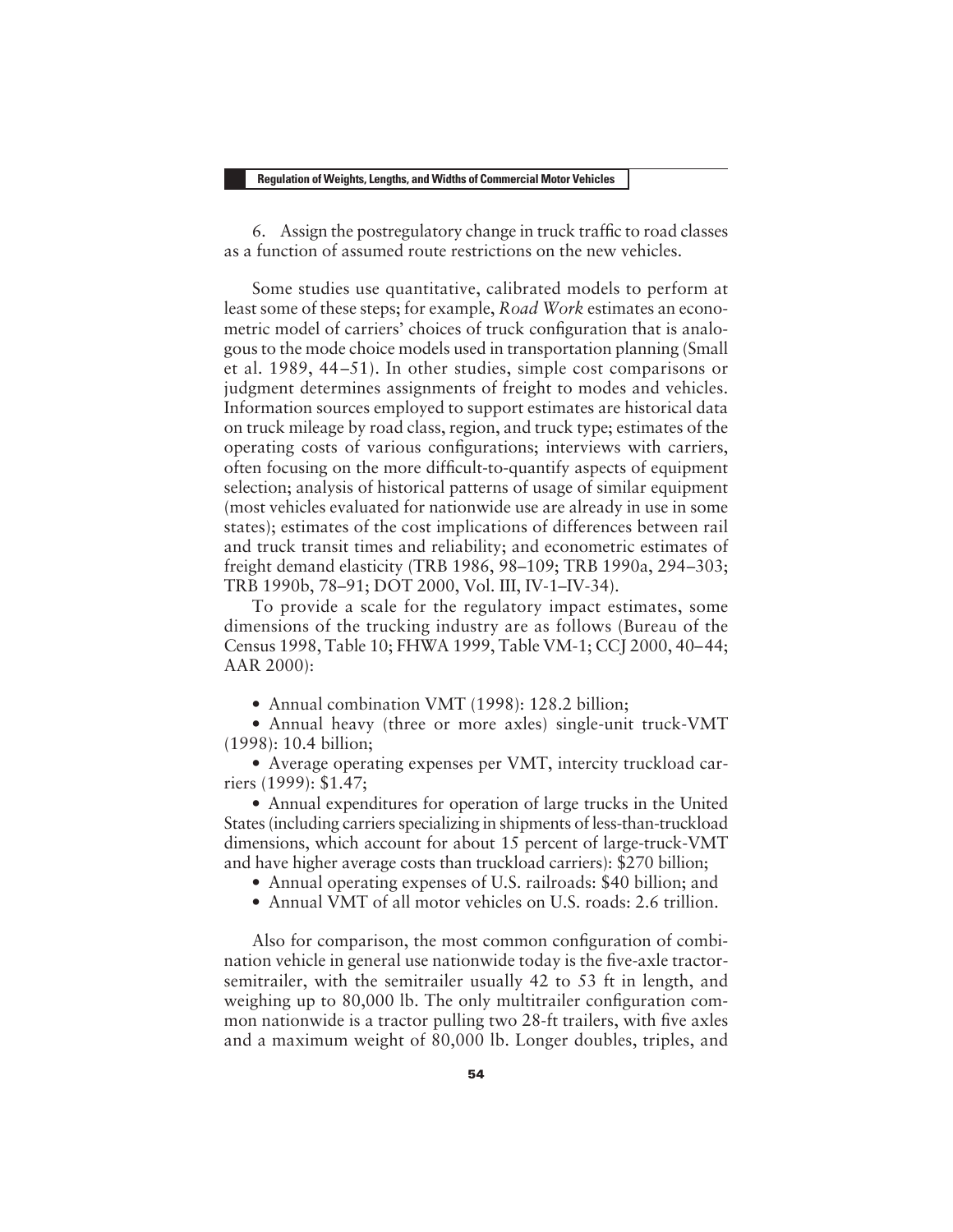6. Assign the postregulatory change in truck traffic to road classes as a function of assumed route restrictions on the new vehicles.

Some studies use quantitative, calibrated models to perform at least some of these steps; for example, *Road Work* estimates an econometric model of carriers' choices of truck configuration that is analogous to the mode choice models used in transportation planning (Small et al. 1989, 44–51). In other studies, simple cost comparisons or judgment determines assignments of freight to modes and vehicles. Information sources employed to support estimates are historical data on truck mileage by road class, region, and truck type; estimates of the operating costs of various configurations; interviews with carriers, often focusing on the more difficult-to-quantify aspects of equipment selection; analysis of historical patterns of usage of similar equipment (most vehicles evaluated for nationwide use are already in use in some states); estimates of the cost implications of differences between rail and truck transit times and reliability; and econometric estimates of freight demand elasticity (TRB 1986, 98–109; TRB 1990a, 294–303; TRB 1990b, 78–91; DOT 2000, Vol. III, IV-1–IV-34).

To provide a scale for the regulatory impact estimates, some dimensions of the trucking industry are as follows (Bureau of the Census 1998, Table 10; FHWA 1999, Table VM-1; CCJ 2000, 40–44; AAR 2000):

• Annual combination VMT (1998): 128.2 billion;

• Annual heavy (three or more axles) single-unit truck-VMT (1998): 10.4 billion;

• Average operating expenses per VMT, intercity truckload carriers (1999): \$1.47;

• Annual expenditures for operation of large trucks in the United States (including carriers specializing in shipments of less-than-truckload dimensions, which account for about 15 percent of large-truck-VMT and have higher average costs than truckload carriers): \$270 billion;

- Annual operating expenses of U.S. railroads: \$40 billion; and
- Annual VMT of all motor vehicles on U.S. roads: 2.6 trillion.

Also for comparison, the most common configuration of combination vehicle in general use nationwide today is the five-axle tractorsemitrailer, with the semitrailer usually 42 to 53 ft in length, and weighing up to 80,000 lb. The only multitrailer configuration common nationwide is a tractor pulling two 28-ft trailers, with five axles and a maximum weight of 80,000 lb. Longer doubles, triples, and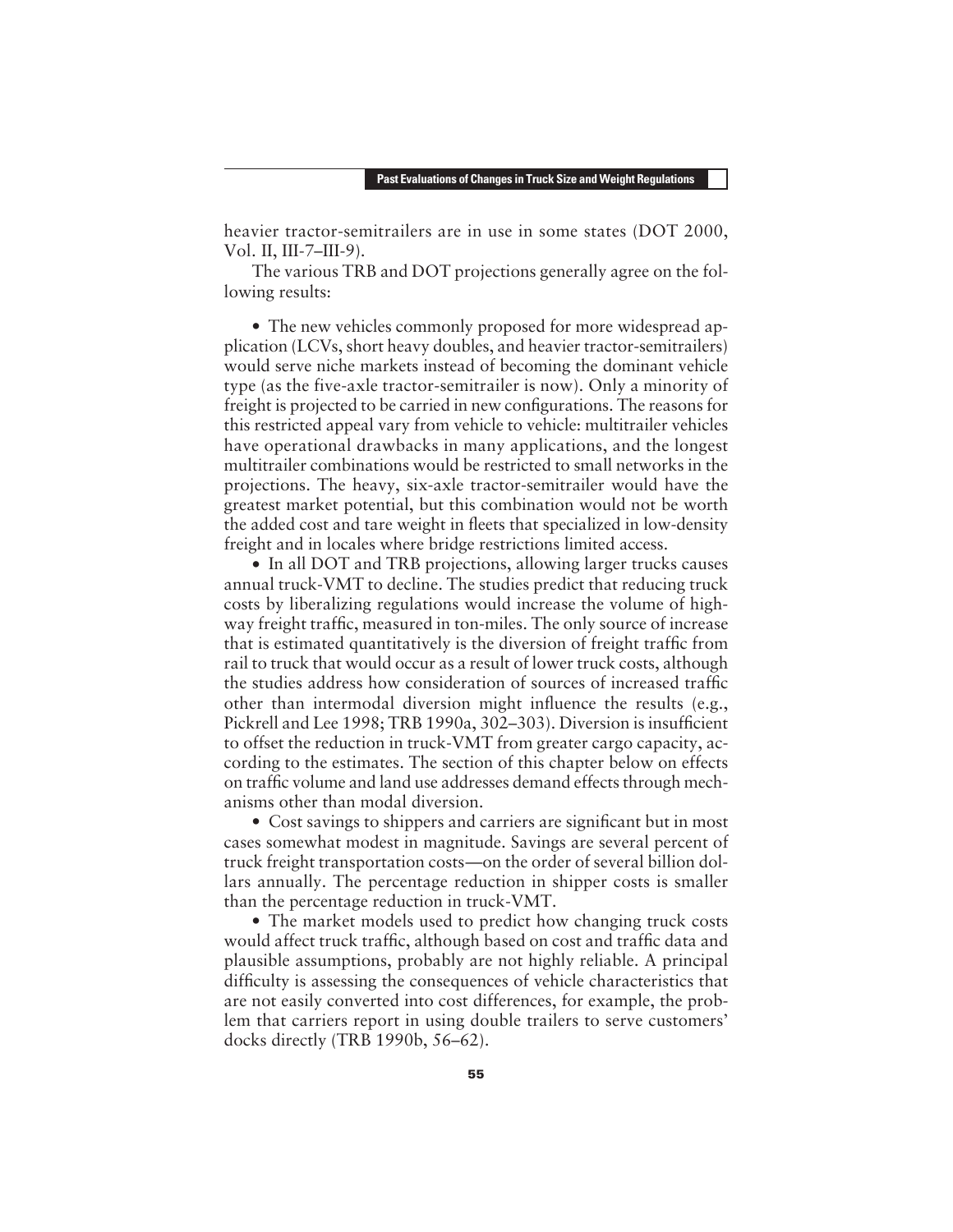heavier tractor-semitrailers are in use in some states (DOT 2000, Vol. II, III-7–III-9).

The various TRB and DOT projections generally agree on the following results:

• The new vehicles commonly proposed for more widespread application (LCVs, short heavy doubles, and heavier tractor-semitrailers) would serve niche markets instead of becoming the dominant vehicle type (as the five-axle tractor-semitrailer is now). Only a minority of freight is projected to be carried in new configurations. The reasons for this restricted appeal vary from vehicle to vehicle: multitrailer vehicles have operational drawbacks in many applications, and the longest multitrailer combinations would be restricted to small networks in the projections. The heavy, six-axle tractor-semitrailer would have the greatest market potential, but this combination would not be worth the added cost and tare weight in fleets that specialized in low-density freight and in locales where bridge restrictions limited access.

• In all DOT and TRB projections, allowing larger trucks causes annual truck-VMT to decline. The studies predict that reducing truck costs by liberalizing regulations would increase the volume of highway freight traffic, measured in ton-miles. The only source of increase that is estimated quantitatively is the diversion of freight traffic from rail to truck that would occur as a result of lower truck costs, although the studies address how consideration of sources of increased traffic other than intermodal diversion might influence the results (e.g., Pickrell and Lee 1998; TRB 1990a, 302–303). Diversion is insufficient to offset the reduction in truck-VMT from greater cargo capacity, according to the estimates. The section of this chapter below on effects on traffic volume and land use addresses demand effects through mechanisms other than modal diversion.

• Cost savings to shippers and carriers are significant but in most cases somewhat modest in magnitude. Savings are several percent of truck freight transportation costs—on the order of several billion dollars annually. The percentage reduction in shipper costs is smaller than the percentage reduction in truck-VMT.

• The market models used to predict how changing truck costs would affect truck traffic, although based on cost and traffic data and plausible assumptions, probably are not highly reliable. A principal difficulty is assessing the consequences of vehicle characteristics that are not easily converted into cost differences, for example, the problem that carriers report in using double trailers to serve customers' docks directly (TRB 1990b, 56–62).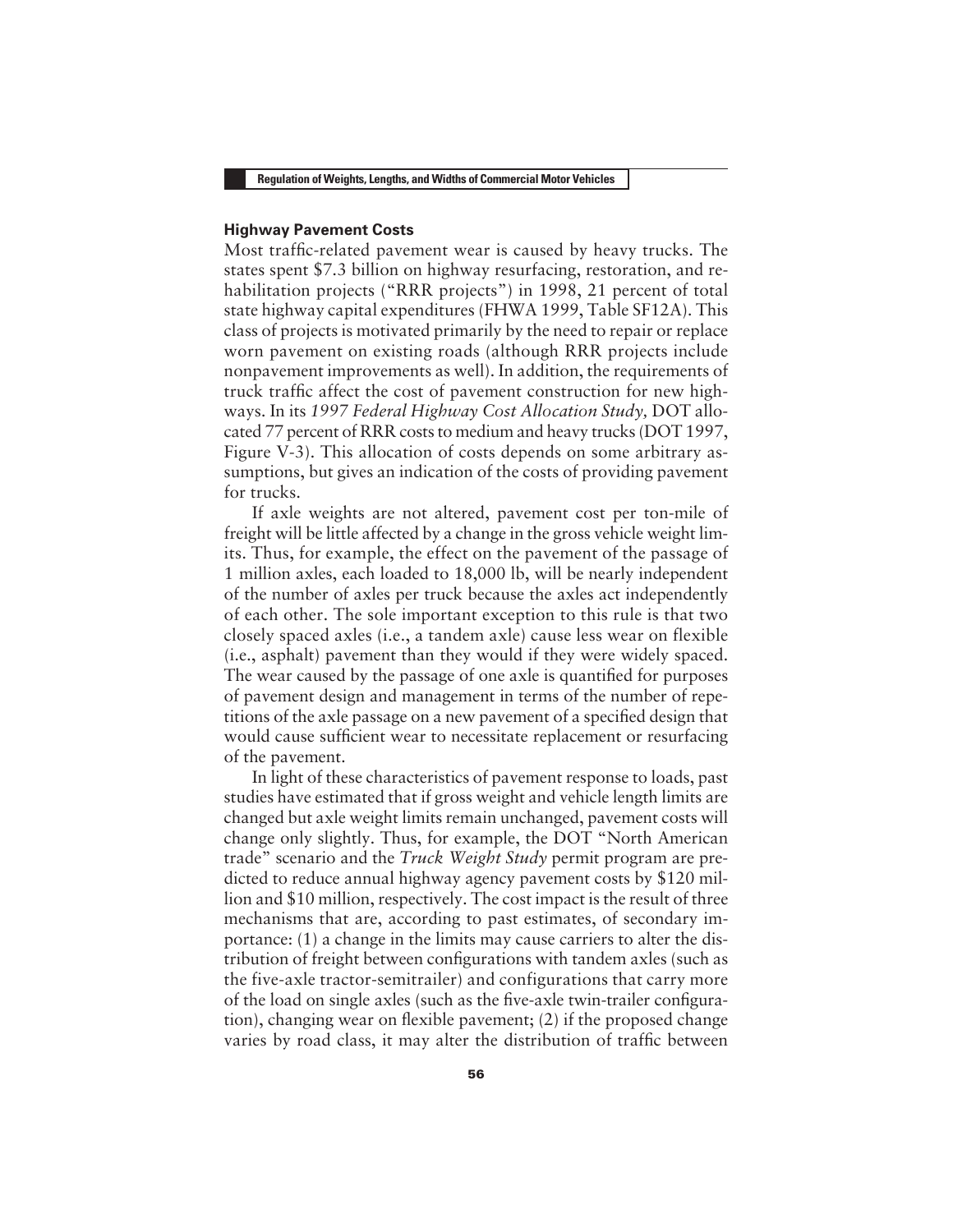### **Highway Pavement Costs**

Most traffic-related pavement wear is caused by heavy trucks. The states spent \$7.3 billion on highway resurfacing, restoration, and rehabilitation projects ("RRR projects") in 1998, 21 percent of total state highway capital expenditures (FHWA 1999, Table SF12A). This class of projects is motivated primarily by the need to repair or replace worn pavement on existing roads (although RRR projects include nonpavement improvements as well). In addition, the requirements of truck traffic affect the cost of pavement construction for new highways. In its *1997 Federal Highway Cost Allocation Study,* DOT allocated 77 percent of RRR costs to medium and heavy trucks (DOT 1997, Figure V-3). This allocation of costs depends on some arbitrary assumptions, but gives an indication of the costs of providing pavement for trucks.

If axle weights are not altered, pavement cost per ton-mile of freight will be little affected by a change in the gross vehicle weight limits. Thus, for example, the effect on the pavement of the passage of 1 million axles, each loaded to 18,000 lb, will be nearly independent of the number of axles per truck because the axles act independently of each other. The sole important exception to this rule is that two closely spaced axles (i.e., a tandem axle) cause less wear on flexible (i.e., asphalt) pavement than they would if they were widely spaced. The wear caused by the passage of one axle is quantified for purposes of pavement design and management in terms of the number of repetitions of the axle passage on a new pavement of a specified design that would cause sufficient wear to necessitate replacement or resurfacing of the pavement.

In light of these characteristics of pavement response to loads, past studies have estimated that if gross weight and vehicle length limits are changed but axle weight limits remain unchanged, pavement costs will change only slightly. Thus, for example, the DOT "North American trade" scenario and the *Truck Weight Study* permit program are predicted to reduce annual highway agency pavement costs by \$120 million and \$10 million, respectively. The cost impact is the result of three mechanisms that are, according to past estimates, of secondary importance: (1) a change in the limits may cause carriers to alter the distribution of freight between configurations with tandem axles (such as the five-axle tractor-semitrailer) and configurations that carry more of the load on single axles (such as the five-axle twin-trailer configuration), changing wear on flexible pavement; (2) if the proposed change varies by road class, it may alter the distribution of traffic between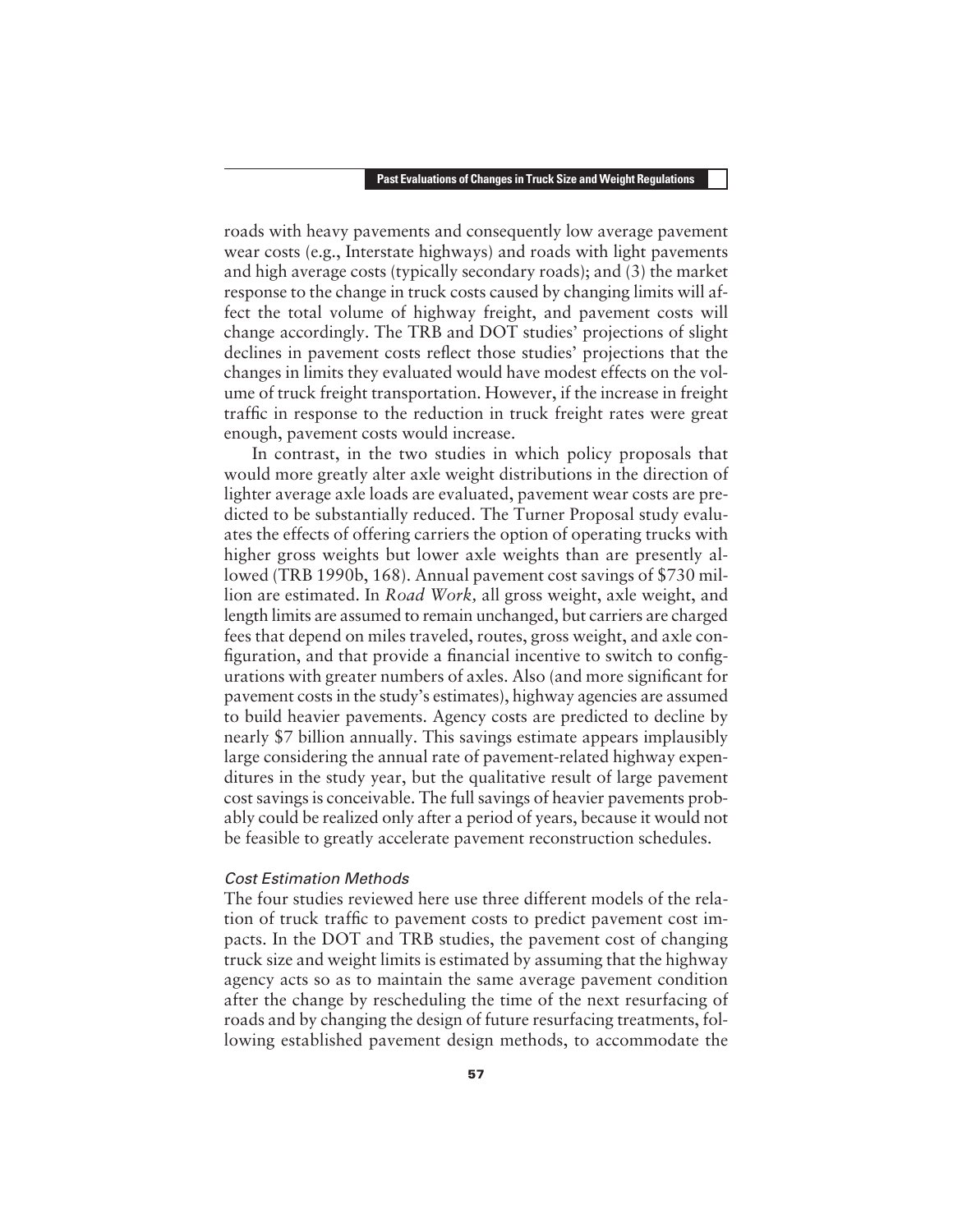roads with heavy pavements and consequently low average pavement wear costs (e.g., Interstate highways) and roads with light pavements and high average costs (typically secondary roads); and (3) the market response to the change in truck costs caused by changing limits will affect the total volume of highway freight, and pavement costs will change accordingly. The TRB and DOT studies' projections of slight declines in pavement costs reflect those studies' projections that the changes in limits they evaluated would have modest effects on the volume of truck freight transportation. However, if the increase in freight traffic in response to the reduction in truck freight rates were great enough, pavement costs would increase.

In contrast, in the two studies in which policy proposals that would more greatly alter axle weight distributions in the direction of lighter average axle loads are evaluated, pavement wear costs are predicted to be substantially reduced. The Turner Proposal study evaluates the effects of offering carriers the option of operating trucks with higher gross weights but lower axle weights than are presently allowed (TRB 1990b, 168). Annual pavement cost savings of \$730 million are estimated. In *Road Work,* all gross weight, axle weight, and length limits are assumed to remain unchanged, but carriers are charged fees that depend on miles traveled, routes, gross weight, and axle configuration, and that provide a financial incentive to switch to configurations with greater numbers of axles. Also (and more significant for pavement costs in the study's estimates), highway agencies are assumed to build heavier pavements. Agency costs are predicted to decline by nearly \$7 billion annually. This savings estimate appears implausibly large considering the annual rate of pavement-related highway expenditures in the study year, but the qualitative result of large pavement cost savings is conceivable. The full savings of heavier pavements probably could be realized only after a period of years, because it would not be feasible to greatly accelerate pavement reconstruction schedules.

### Cost Estimation Methods

The four studies reviewed here use three different models of the relation of truck traffic to pavement costs to predict pavement cost impacts. In the DOT and TRB studies, the pavement cost of changing truck size and weight limits is estimated by assuming that the highway agency acts so as to maintain the same average pavement condition after the change by rescheduling the time of the next resurfacing of roads and by changing the design of future resurfacing treatments, following established pavement design methods, to accommodate the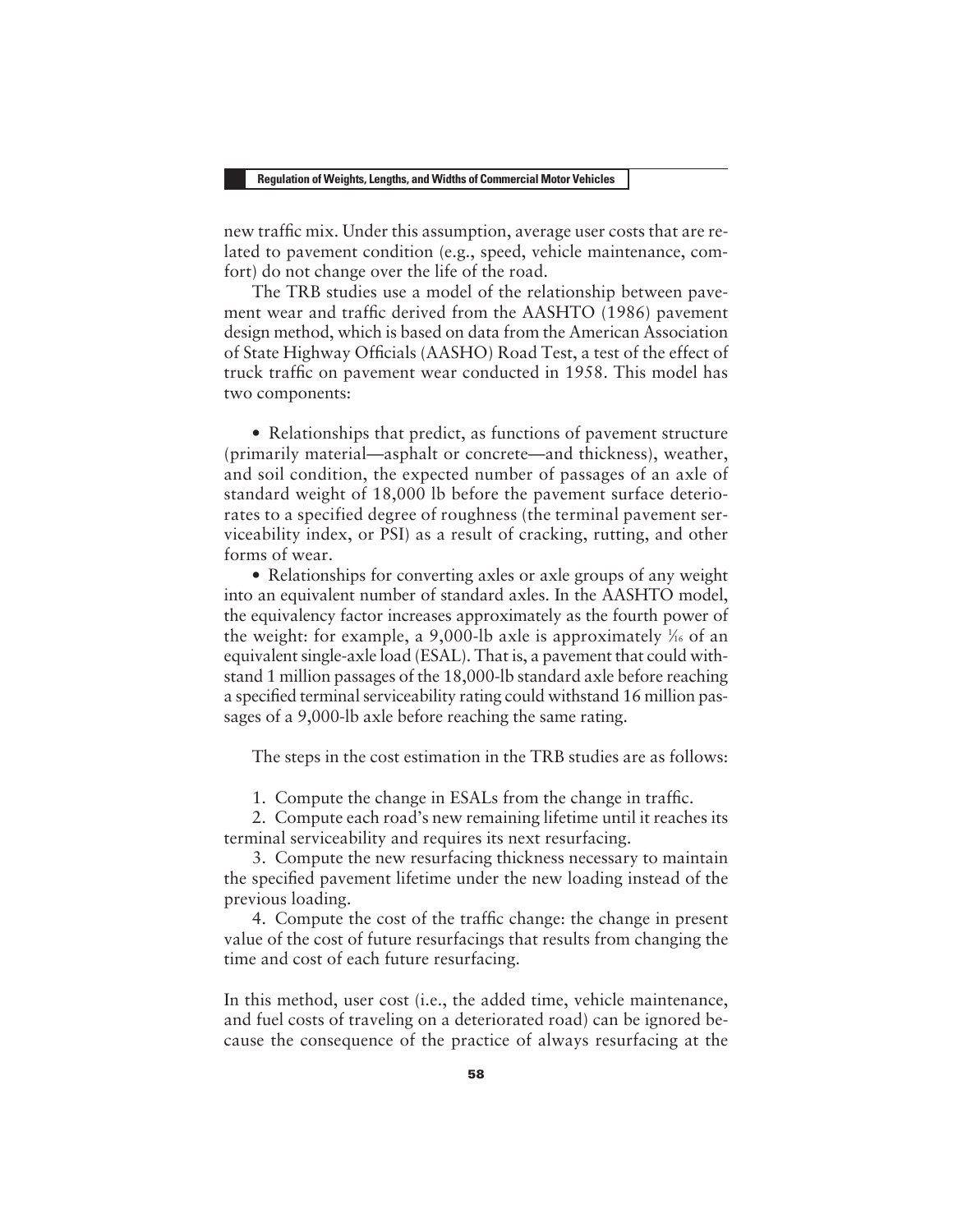new traffic mix. Under this assumption, average user costs that are related to pavement condition (e.g., speed, vehicle maintenance, comfort) do not change over the life of the road.

The TRB studies use a model of the relationship between pavement wear and traffic derived from the AASHTO (1986) pavement design method, which is based on data from the American Association of State Highway Officials (AASHO) Road Test, a test of the effect of truck traffic on pavement wear conducted in 1958. This model has two components:

• Relationships that predict, as functions of pavement structure (primarily material—asphalt or concrete—and thickness), weather, and soil condition, the expected number of passages of an axle of standard weight of 18,000 lb before the pavement surface deteriorates to a specified degree of roughness (the terminal pavement serviceability index, or PSI) as a result of cracking, rutting, and other forms of wear.

• Relationships for converting axles or axle groups of any weight into an equivalent number of standard axles. In the AASHTO model, the equivalency factor increases approximately as the fourth power of the weight: for example, a 9,000-lb axle is approximately 1 ⁄16 of an equivalent single-axle load (ESAL). That is, a pavement that could withstand 1 million passages of the 18,000-lb standard axle before reaching a specified terminal serviceability rating could withstand 16 million passages of a 9,000-lb axle before reaching the same rating.

The steps in the cost estimation in the TRB studies are as follows:

1. Compute the change in ESALs from the change in traffic.

2. Compute each road's new remaining lifetime until it reaches its terminal serviceability and requires its next resurfacing.

3. Compute the new resurfacing thickness necessary to maintain the specified pavement lifetime under the new loading instead of the previous loading.

4. Compute the cost of the traffic change: the change in present value of the cost of future resurfacings that results from changing the time and cost of each future resurfacing.

In this method, user cost (i.e., the added time, vehicle maintenance, and fuel costs of traveling on a deteriorated road) can be ignored because the consequence of the practice of always resurfacing at the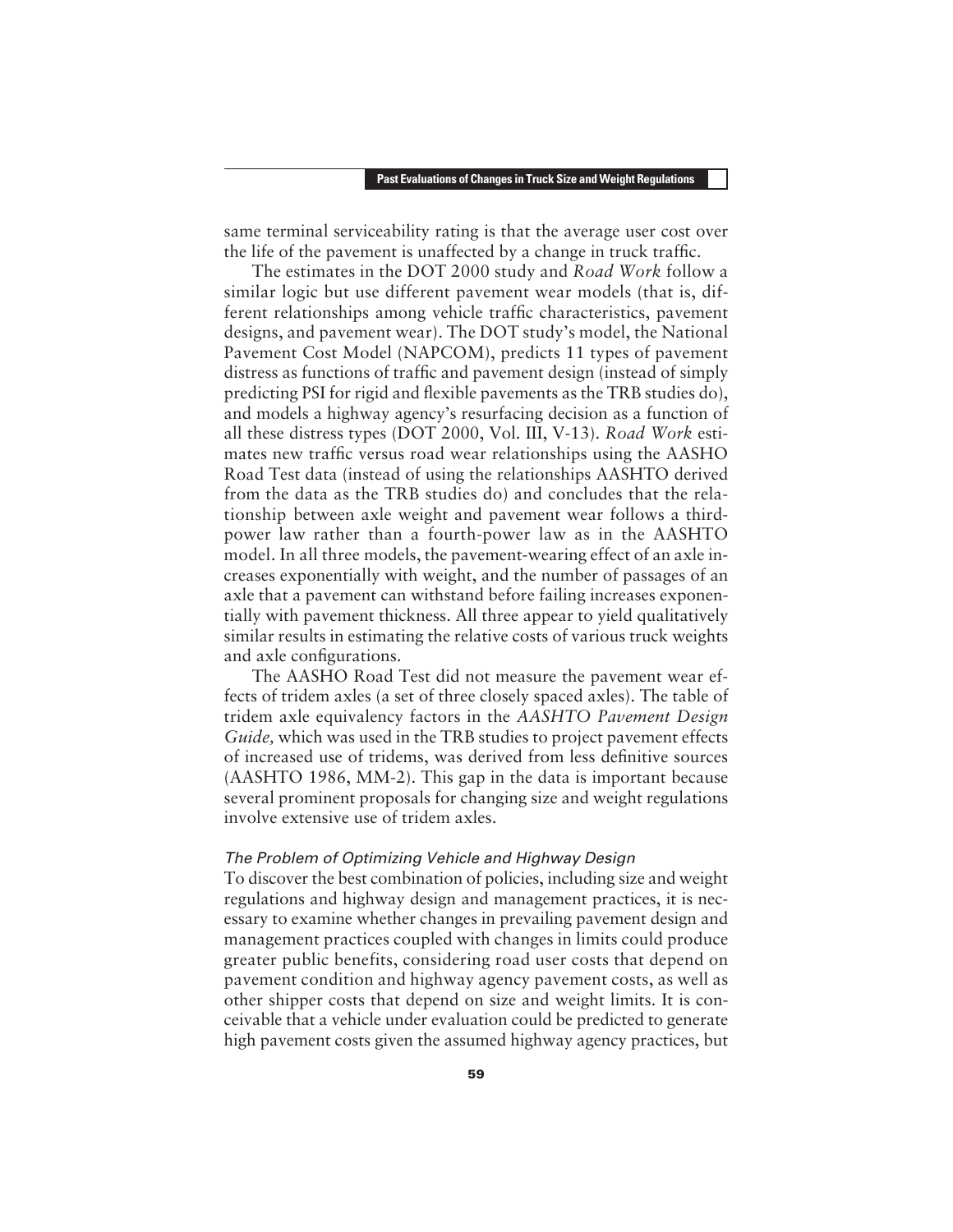same terminal serviceability rating is that the average user cost over the life of the pavement is unaffected by a change in truck traffic.

The estimates in the DOT 2000 study and *Road Work* follow a similar logic but use different pavement wear models (that is, different relationships among vehicle traffic characteristics, pavement designs, and pavement wear). The DOT study's model, the National Pavement Cost Model (NAPCOM), predicts 11 types of pavement distress as functions of traffic and pavement design (instead of simply predicting PSI for rigid and flexible pavements as the TRB studies do), and models a highway agency's resurfacing decision as a function of all these distress types (DOT 2000, Vol. III, V-13). *Road Work* estimates new traffic versus road wear relationships using the AASHO Road Test data (instead of using the relationships AASHTO derived from the data as the TRB studies do) and concludes that the relationship between axle weight and pavement wear follows a thirdpower law rather than a fourth-power law as in the AASHTO model. In all three models, the pavement-wearing effect of an axle increases exponentially with weight, and the number of passages of an axle that a pavement can withstand before failing increases exponentially with pavement thickness. All three appear to yield qualitatively similar results in estimating the relative costs of various truck weights and axle configurations.

The AASHO Road Test did not measure the pavement wear effects of tridem axles (a set of three closely spaced axles). The table of tridem axle equivalency factors in the *AASHTO Pavement Design Guide,* which was used in the TRB studies to project pavement effects of increased use of tridems, was derived from less definitive sources (AASHTO 1986, MM-2). This gap in the data is important because several prominent proposals for changing size and weight regulations involve extensive use of tridem axles.

#### The Problem of Optimizing Vehicle and Highway Design

To discover the best combination of policies, including size and weight regulations and highway design and management practices, it is necessary to examine whether changes in prevailing pavement design and management practices coupled with changes in limits could produce greater public benefits, considering road user costs that depend on pavement condition and highway agency pavement costs, as well as other shipper costs that depend on size and weight limits. It is conceivable that a vehicle under evaluation could be predicted to generate high pavement costs given the assumed highway agency practices, but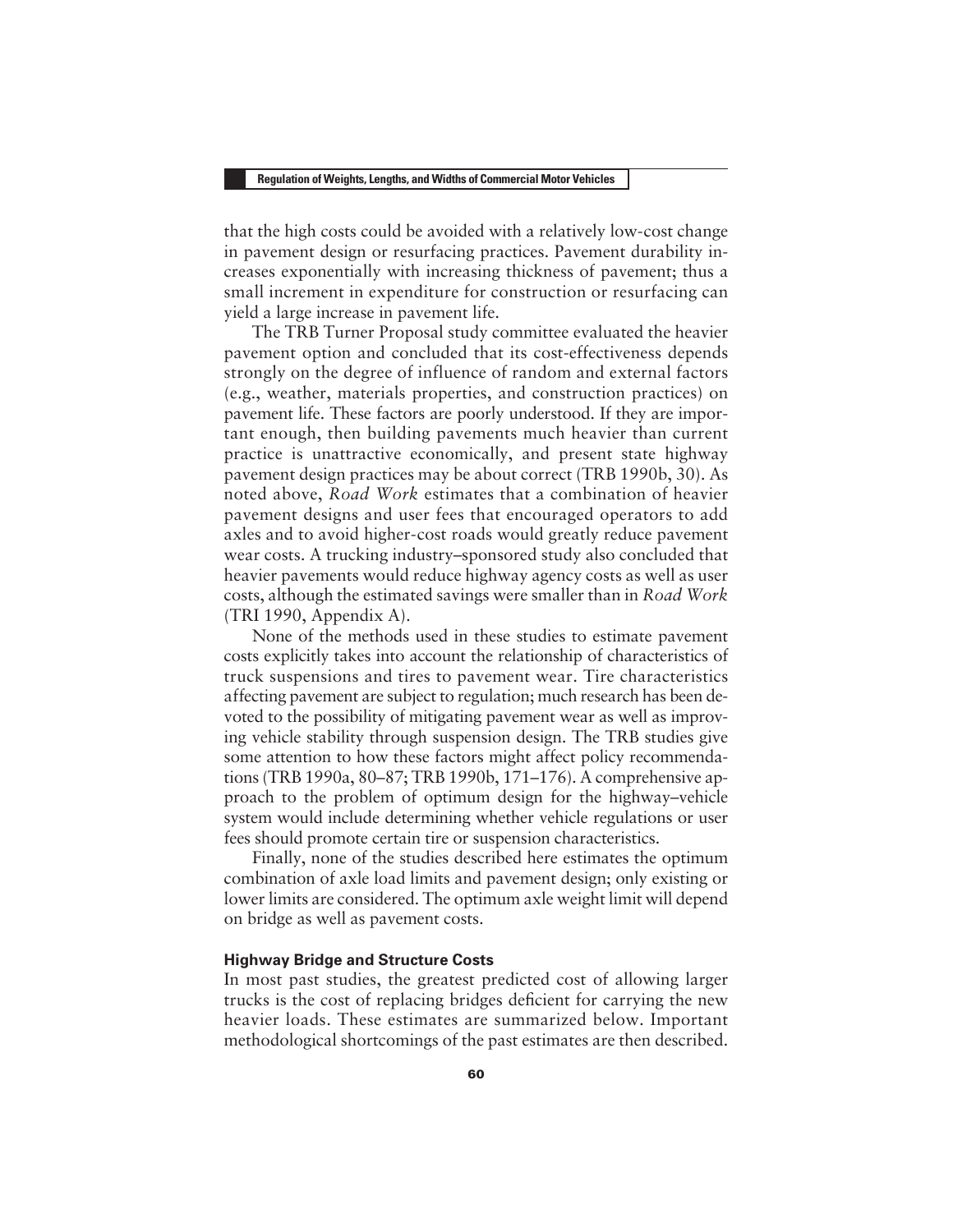that the high costs could be avoided with a relatively low-cost change in pavement design or resurfacing practices. Pavement durability increases exponentially with increasing thickness of pavement; thus a small increment in expenditure for construction or resurfacing can yield a large increase in pavement life.

The TRB Turner Proposal study committee evaluated the heavier pavement option and concluded that its cost-effectiveness depends strongly on the degree of influence of random and external factors (e.g., weather, materials properties, and construction practices) on pavement life. These factors are poorly understood. If they are important enough, then building pavements much heavier than current practice is unattractive economically, and present state highway pavement design practices may be about correct (TRB 1990b, 30). As noted above, *Road Work* estimates that a combination of heavier pavement designs and user fees that encouraged operators to add axles and to avoid higher-cost roads would greatly reduce pavement wear costs. A trucking industry–sponsored study also concluded that heavier pavements would reduce highway agency costs as well as user costs, although the estimated savings were smaller than in *Road Work* (TRI 1990, Appendix A).

None of the methods used in these studies to estimate pavement costs explicitly takes into account the relationship of characteristics of truck suspensions and tires to pavement wear. Tire characteristics affecting pavement are subject to regulation; much research has been devoted to the possibility of mitigating pavement wear as well as improving vehicle stability through suspension design. The TRB studies give some attention to how these factors might affect policy recommendations (TRB 1990a, 80–87; TRB 1990b, 171–176). A comprehensive approach to the problem of optimum design for the highway–vehicle system would include determining whether vehicle regulations or user fees should promote certain tire or suspension characteristics.

Finally, none of the studies described here estimates the optimum combination of axle load limits and pavement design; only existing or lower limits are considered. The optimum axle weight limit will depend on bridge as well as pavement costs.

#### **Highway Bridge and Structure Costs**

In most past studies, the greatest predicted cost of allowing larger trucks is the cost of replacing bridges deficient for carrying the new heavier loads. These estimates are summarized below. Important methodological shortcomings of the past estimates are then described.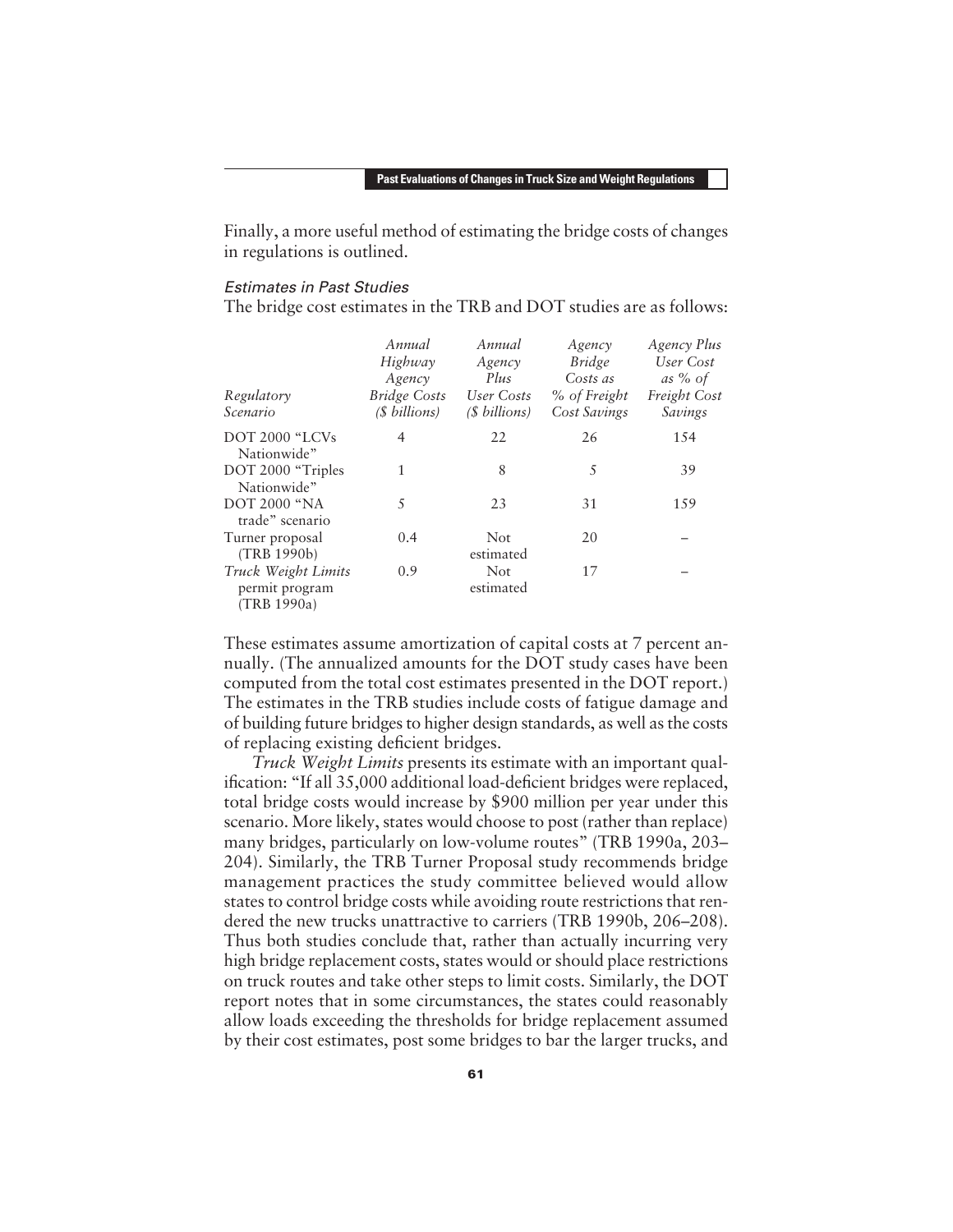Finally, a more useful method of estimating the bridge costs of changes in regulations is outlined.

#### Estimates in Past Studies

The bridge cost estimates in the TRB and DOT studies are as follows:

| Regulatory<br>Scenario                               | Annual<br>Highway<br>Agency<br><b>Bridge Costs</b><br>(\$ billions) | Annual<br>Agency<br>Plus<br>User Costs<br>(\$ billions) | Agency<br><i>Bridge</i><br>Costs as<br>% of Freight<br>Cost Savings | Agency Plus<br>User Cost<br>as % of<br>Freight Cost<br>Savings |
|------------------------------------------------------|---------------------------------------------------------------------|---------------------------------------------------------|---------------------------------------------------------------------|----------------------------------------------------------------|
| <b>DOT 2000 "LCVs</b><br>Nationwide"                 | 4                                                                   | 22                                                      | 26                                                                  | 154                                                            |
| DOT 2000 "Triples<br>Nationwide"                     | 1                                                                   | 8                                                       | 5                                                                   | 39                                                             |
| <b>DOT 2000 "NA</b><br>trade" scenario               | 5                                                                   | 23                                                      | 31                                                                  | 159                                                            |
| Turner proposal<br>(TRB 1990b)                       | 0.4                                                                 | <b>Not</b><br>estimated                                 | 20                                                                  |                                                                |
| Truck Weight Limits<br>permit program<br>(TRB 1990a) | 0.9                                                                 | <b>Not</b><br>estimated                                 | 17                                                                  |                                                                |

These estimates assume amortization of capital costs at 7 percent annually. (The annualized amounts for the DOT study cases have been computed from the total cost estimates presented in the DOT report.) The estimates in the TRB studies include costs of fatigue damage and of building future bridges to higher design standards, as well as the costs of replacing existing deficient bridges.

*Truck Weight Limits* presents its estimate with an important qualification: "If all 35,000 additional load-deficient bridges were replaced, total bridge costs would increase by \$900 million per year under this scenario. More likely, states would choose to post (rather than replace) many bridges, particularly on low-volume routes" (TRB 1990a, 203– 204). Similarly, the TRB Turner Proposal study recommends bridge management practices the study committee believed would allow states to control bridge costs while avoiding route restrictions that rendered the new trucks unattractive to carriers (TRB 1990b, 206–208). Thus both studies conclude that, rather than actually incurring very high bridge replacement costs, states would or should place restrictions on truck routes and take other steps to limit costs. Similarly, the DOT report notes that in some circumstances, the states could reasonably allow loads exceeding the thresholds for bridge replacement assumed by their cost estimates, post some bridges to bar the larger trucks, and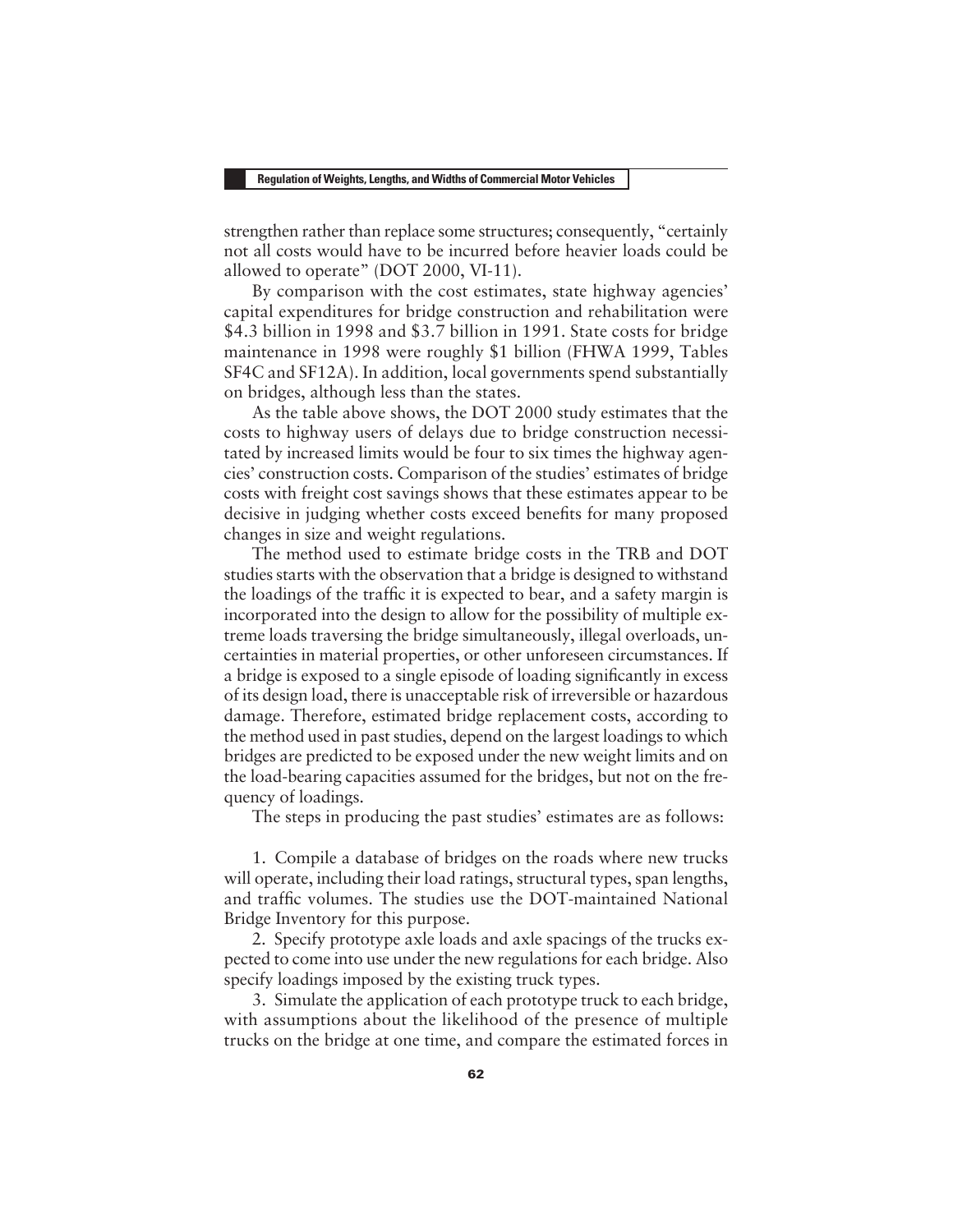strengthen rather than replace some structures; consequently, "certainly not all costs would have to be incurred before heavier loads could be allowed to operate" (DOT 2000, VI-11).

By comparison with the cost estimates, state highway agencies' capital expenditures for bridge construction and rehabilitation were \$4.3 billion in 1998 and \$3.7 billion in 1991. State costs for bridge maintenance in 1998 were roughly \$1 billion (FHWA 1999, Tables SF4C and SF12A). In addition, local governments spend substantially on bridges, although less than the states.

As the table above shows, the DOT 2000 study estimates that the costs to highway users of delays due to bridge construction necessitated by increased limits would be four to six times the highway agencies' construction costs. Comparison of the studies' estimates of bridge costs with freight cost savings shows that these estimates appear to be decisive in judging whether costs exceed benefits for many proposed changes in size and weight regulations.

The method used to estimate bridge costs in the TRB and DOT studies starts with the observation that a bridge is designed to withstand the loadings of the traffic it is expected to bear, and a safety margin is incorporated into the design to allow for the possibility of multiple extreme loads traversing the bridge simultaneously, illegal overloads, uncertainties in material properties, or other unforeseen circumstances. If a bridge is exposed to a single episode of loading significantly in excess of its design load, there is unacceptable risk of irreversible or hazardous damage. Therefore, estimated bridge replacement costs, according to the method used in past studies, depend on the largest loadings to which bridges are predicted to be exposed under the new weight limits and on the load-bearing capacities assumed for the bridges, but not on the frequency of loadings.

The steps in producing the past studies' estimates are as follows:

1. Compile a database of bridges on the roads where new trucks will operate, including their load ratings, structural types, span lengths, and traffic volumes. The studies use the DOT-maintained National Bridge Inventory for this purpose.

2. Specify prototype axle loads and axle spacings of the trucks expected to come into use under the new regulations for each bridge. Also specify loadings imposed by the existing truck types.

3. Simulate the application of each prototype truck to each bridge, with assumptions about the likelihood of the presence of multiple trucks on the bridge at one time, and compare the estimated forces in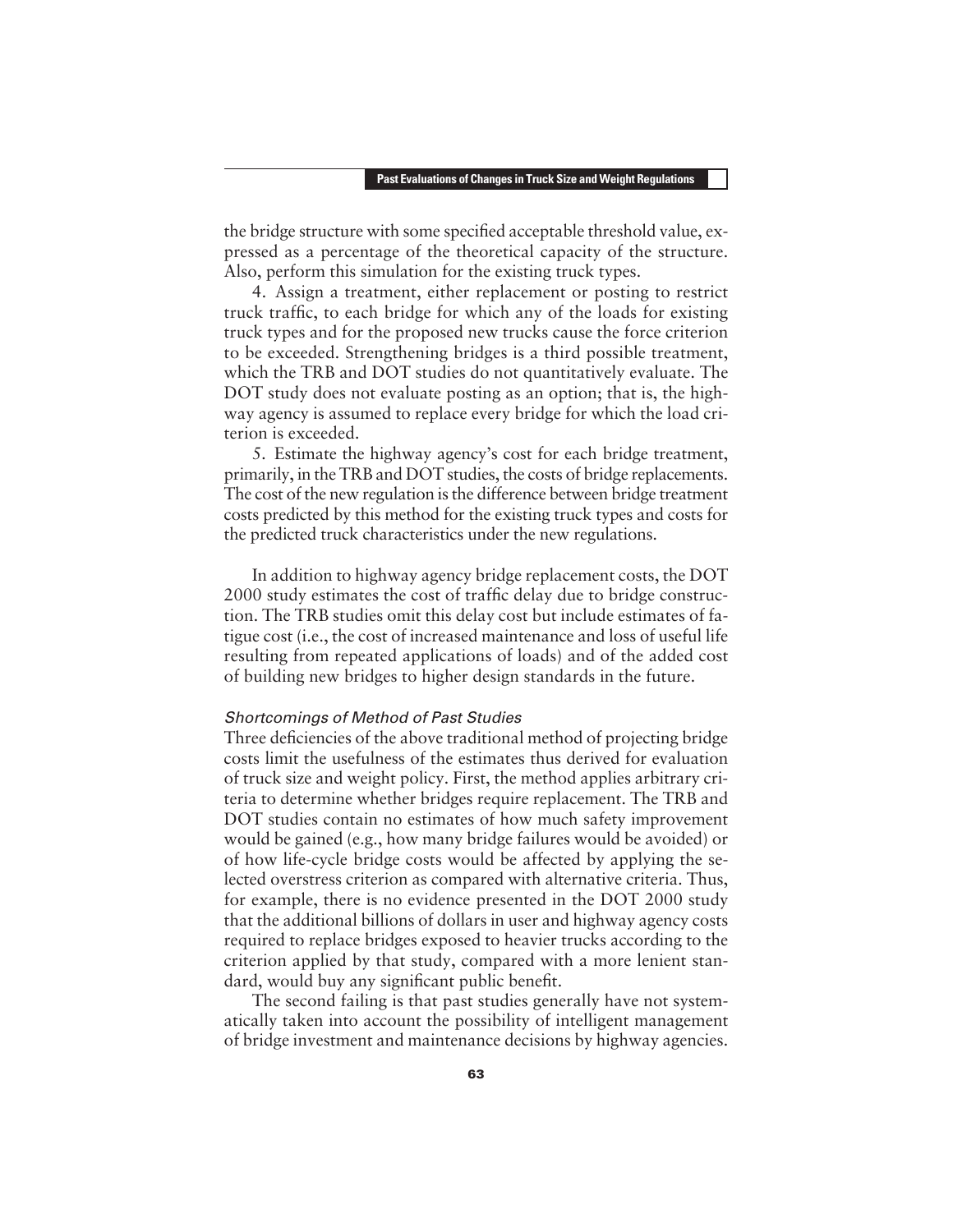the bridge structure with some specified acceptable threshold value, expressed as a percentage of the theoretical capacity of the structure. Also, perform this simulation for the existing truck types.

4. Assign a treatment, either replacement or posting to restrict truck traffic, to each bridge for which any of the loads for existing truck types and for the proposed new trucks cause the force criterion to be exceeded. Strengthening bridges is a third possible treatment, which the TRB and DOT studies do not quantitatively evaluate. The DOT study does not evaluate posting as an option; that is, the highway agency is assumed to replace every bridge for which the load criterion is exceeded.

5. Estimate the highway agency's cost for each bridge treatment, primarily, in the TRB and DOT studies, the costs of bridge replacements. The cost of the new regulation is the difference between bridge treatment costs predicted by this method for the existing truck types and costs for the predicted truck characteristics under the new regulations.

In addition to highway agency bridge replacement costs, the DOT 2000 study estimates the cost of traffic delay due to bridge construction. The TRB studies omit this delay cost but include estimates of fatigue cost (i.e., the cost of increased maintenance and loss of useful life resulting from repeated applications of loads) and of the added cost of building new bridges to higher design standards in the future.

#### Shortcomings of Method of Past Studies

Three deficiencies of the above traditional method of projecting bridge costs limit the usefulness of the estimates thus derived for evaluation of truck size and weight policy. First, the method applies arbitrary criteria to determine whether bridges require replacement. The TRB and DOT studies contain no estimates of how much safety improvement would be gained (e.g., how many bridge failures would be avoided) or of how life-cycle bridge costs would be affected by applying the selected overstress criterion as compared with alternative criteria. Thus, for example, there is no evidence presented in the DOT 2000 study that the additional billions of dollars in user and highway agency costs required to replace bridges exposed to heavier trucks according to the criterion applied by that study, compared with a more lenient standard, would buy any significant public benefit.

The second failing is that past studies generally have not systematically taken into account the possibility of intelligent management of bridge investment and maintenance decisions by highway agencies.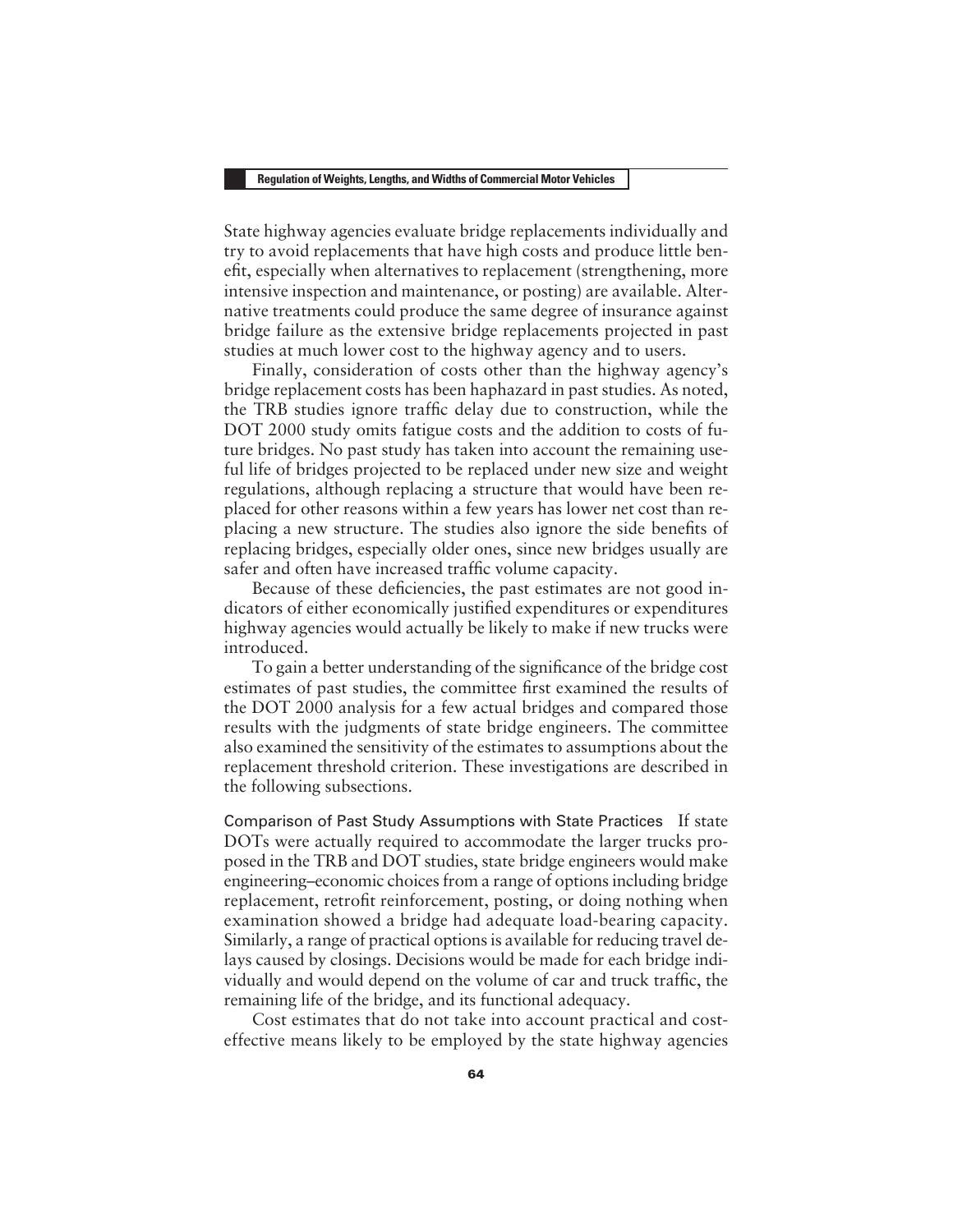State highway agencies evaluate bridge replacements individually and try to avoid replacements that have high costs and produce little benefit, especially when alternatives to replacement (strengthening, more intensive inspection and maintenance, or posting) are available. Alternative treatments could produce the same degree of insurance against bridge failure as the extensive bridge replacements projected in past studies at much lower cost to the highway agency and to users.

Finally, consideration of costs other than the highway agency's bridge replacement costs has been haphazard in past studies. As noted, the TRB studies ignore traffic delay due to construction, while the DOT 2000 study omits fatigue costs and the addition to costs of future bridges. No past study has taken into account the remaining useful life of bridges projected to be replaced under new size and weight regulations, although replacing a structure that would have been replaced for other reasons within a few years has lower net cost than replacing a new structure. The studies also ignore the side benefits of replacing bridges, especially older ones, since new bridges usually are safer and often have increased traffic volume capacity.

Because of these deficiencies, the past estimates are not good indicators of either economically justified expenditures or expenditures highway agencies would actually be likely to make if new trucks were introduced.

To gain a better understanding of the significance of the bridge cost estimates of past studies, the committee first examined the results of the DOT 2000 analysis for a few actual bridges and compared those results with the judgments of state bridge engineers. The committee also examined the sensitivity of the estimates to assumptions about the replacement threshold criterion. These investigations are described in the following subsections.

Comparison of Past Study Assumptions with State Practices If state DOTs were actually required to accommodate the larger trucks proposed in the TRB and DOT studies, state bridge engineers would make engineering–economic choices from a range of options including bridge replacement, retrofit reinforcement, posting, or doing nothing when examination showed a bridge had adequate load-bearing capacity. Similarly, a range of practical options is available for reducing travel delays caused by closings. Decisions would be made for each bridge individually and would depend on the volume of car and truck traffic, the remaining life of the bridge, and its functional adequacy.

Cost estimates that do not take into account practical and costeffective means likely to be employed by the state highway agencies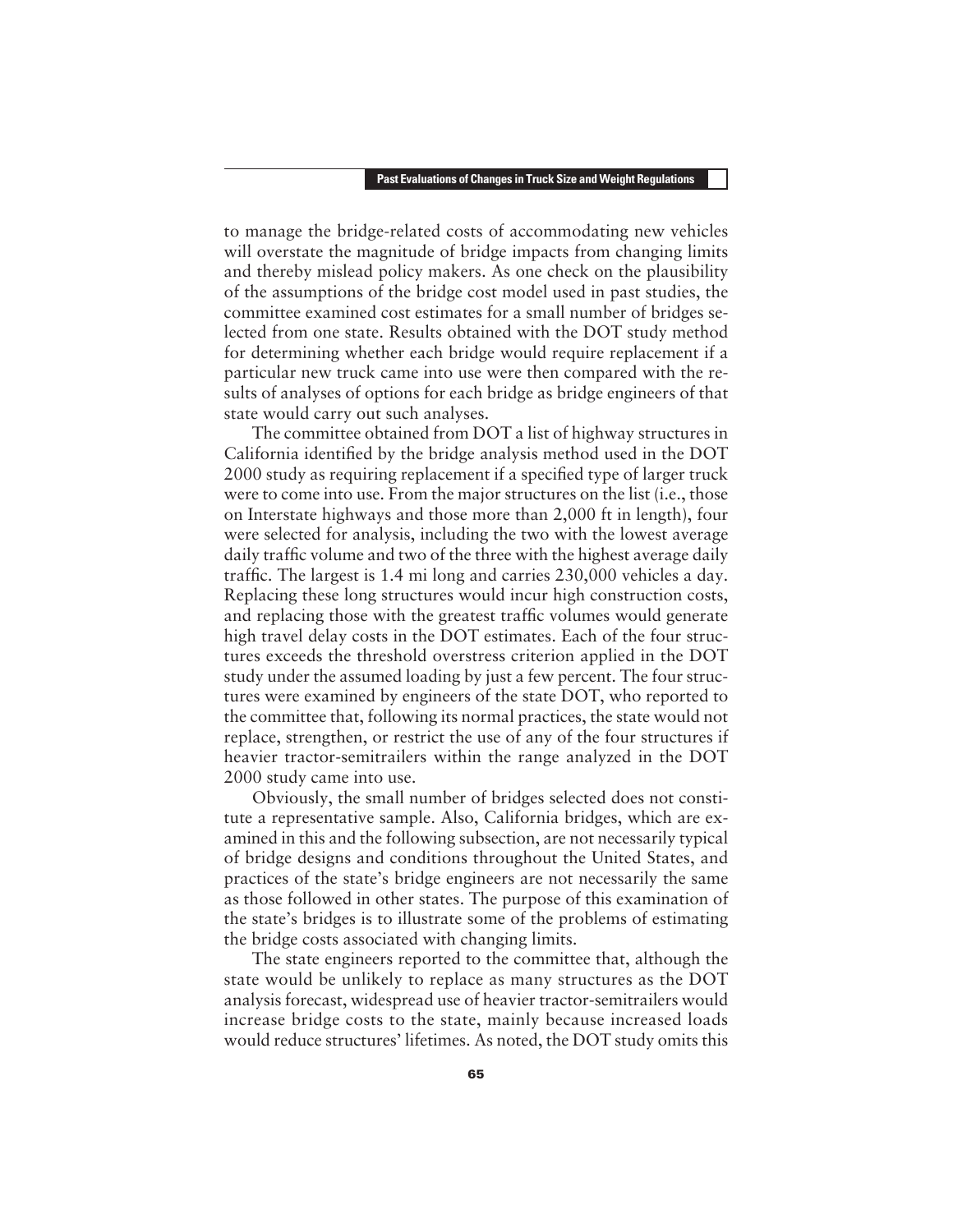to manage the bridge-related costs of accommodating new vehicles will overstate the magnitude of bridge impacts from changing limits and thereby mislead policy makers. As one check on the plausibility of the assumptions of the bridge cost model used in past studies, the committee examined cost estimates for a small number of bridges selected from one state. Results obtained with the DOT study method for determining whether each bridge would require replacement if a particular new truck came into use were then compared with the results of analyses of options for each bridge as bridge engineers of that state would carry out such analyses.

The committee obtained from DOT a list of highway structures in California identified by the bridge analysis method used in the DOT 2000 study as requiring replacement if a specified type of larger truck were to come into use. From the major structures on the list (i.e., those on Interstate highways and those more than 2,000 ft in length), four were selected for analysis, including the two with the lowest average daily traffic volume and two of the three with the highest average daily traffic. The largest is 1.4 mi long and carries 230,000 vehicles a day. Replacing these long structures would incur high construction costs, and replacing those with the greatest traffic volumes would generate high travel delay costs in the DOT estimates. Each of the four structures exceeds the threshold overstress criterion applied in the DOT study under the assumed loading by just a few percent. The four structures were examined by engineers of the state DOT, who reported to the committee that, following its normal practices, the state would not replace, strengthen, or restrict the use of any of the four structures if heavier tractor-semitrailers within the range analyzed in the DOT 2000 study came into use.

Obviously, the small number of bridges selected does not constitute a representative sample. Also, California bridges, which are examined in this and the following subsection, are not necessarily typical of bridge designs and conditions throughout the United States, and practices of the state's bridge engineers are not necessarily the same as those followed in other states. The purpose of this examination of the state's bridges is to illustrate some of the problems of estimating the bridge costs associated with changing limits.

The state engineers reported to the committee that, although the state would be unlikely to replace as many structures as the DOT analysis forecast, widespread use of heavier tractor-semitrailers would increase bridge costs to the state, mainly because increased loads would reduce structures' lifetimes. As noted, the DOT study omits this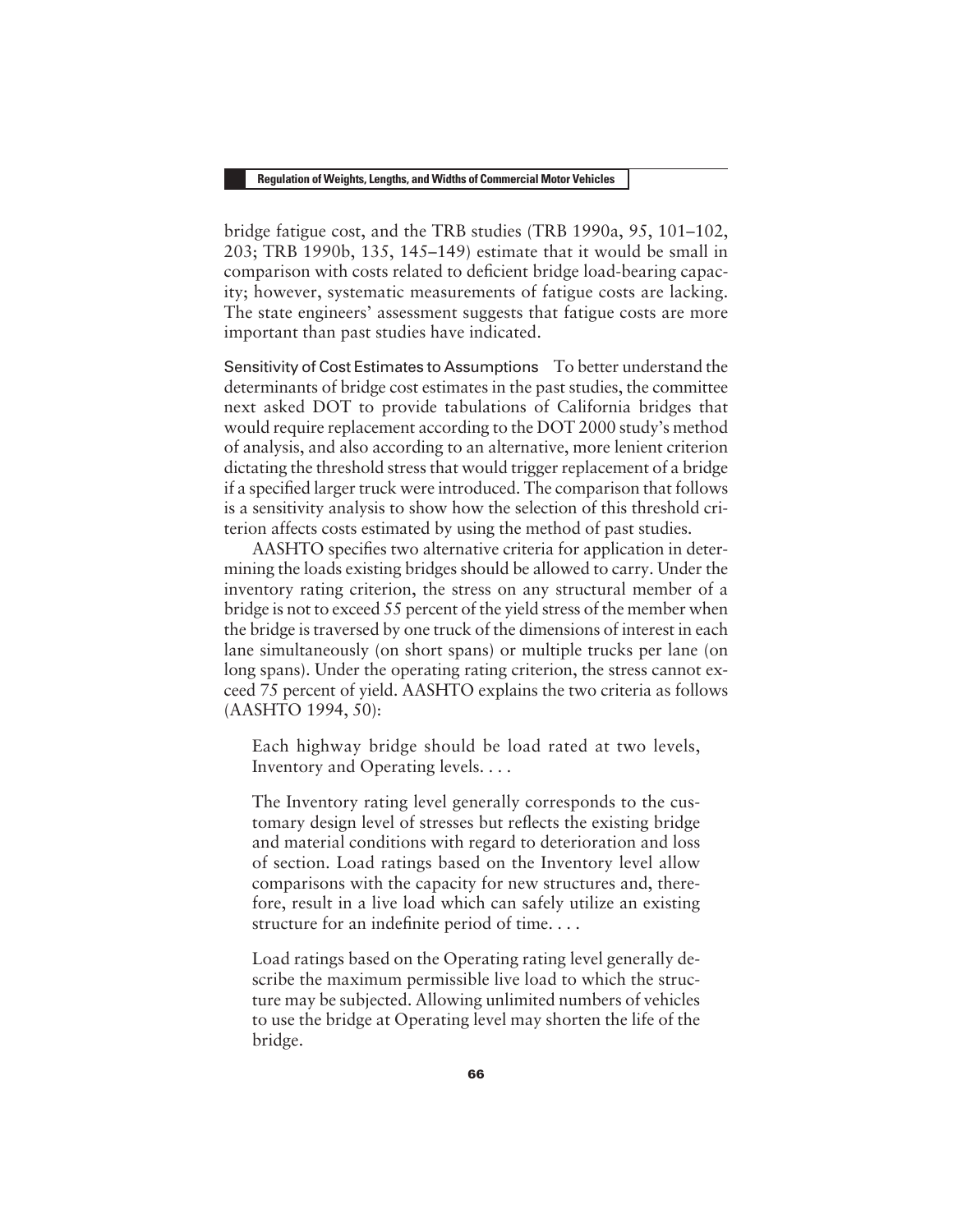bridge fatigue cost, and the TRB studies (TRB 1990a, 95, 101–102, 203; TRB 1990b, 135, 145–149) estimate that it would be small in comparison with costs related to deficient bridge load-bearing capacity; however, systematic measurements of fatigue costs are lacking. The state engineers' assessment suggests that fatigue costs are more important than past studies have indicated.

Sensitivity of Cost Estimates to Assumptions To better understand the determinants of bridge cost estimates in the past studies, the committee next asked DOT to provide tabulations of California bridges that would require replacement according to the DOT 2000 study's method of analysis, and also according to an alternative, more lenient criterion dictating the threshold stress that would trigger replacement of a bridge if a specified larger truck were introduced. The comparison that follows is a sensitivity analysis to show how the selection of this threshold criterion affects costs estimated by using the method of past studies.

AASHTO specifies two alternative criteria for application in determining the loads existing bridges should be allowed to carry. Under the inventory rating criterion, the stress on any structural member of a bridge is not to exceed 55 percent of the yield stress of the member when the bridge is traversed by one truck of the dimensions of interest in each lane simultaneously (on short spans) or multiple trucks per lane (on long spans). Under the operating rating criterion, the stress cannot exceed 75 percent of yield. AASHTO explains the two criteria as follows (AASHTO 1994, 50):

Each highway bridge should be load rated at two levels, Inventory and Operating levels. . . .

The Inventory rating level generally corresponds to the customary design level of stresses but reflects the existing bridge and material conditions with regard to deterioration and loss of section. Load ratings based on the Inventory level allow comparisons with the capacity for new structures and, therefore, result in a live load which can safely utilize an existing structure for an indefinite period of time. . . .

Load ratings based on the Operating rating level generally describe the maximum permissible live load to which the structure may be subjected. Allowing unlimited numbers of vehicles to use the bridge at Operating level may shorten the life of the bridge.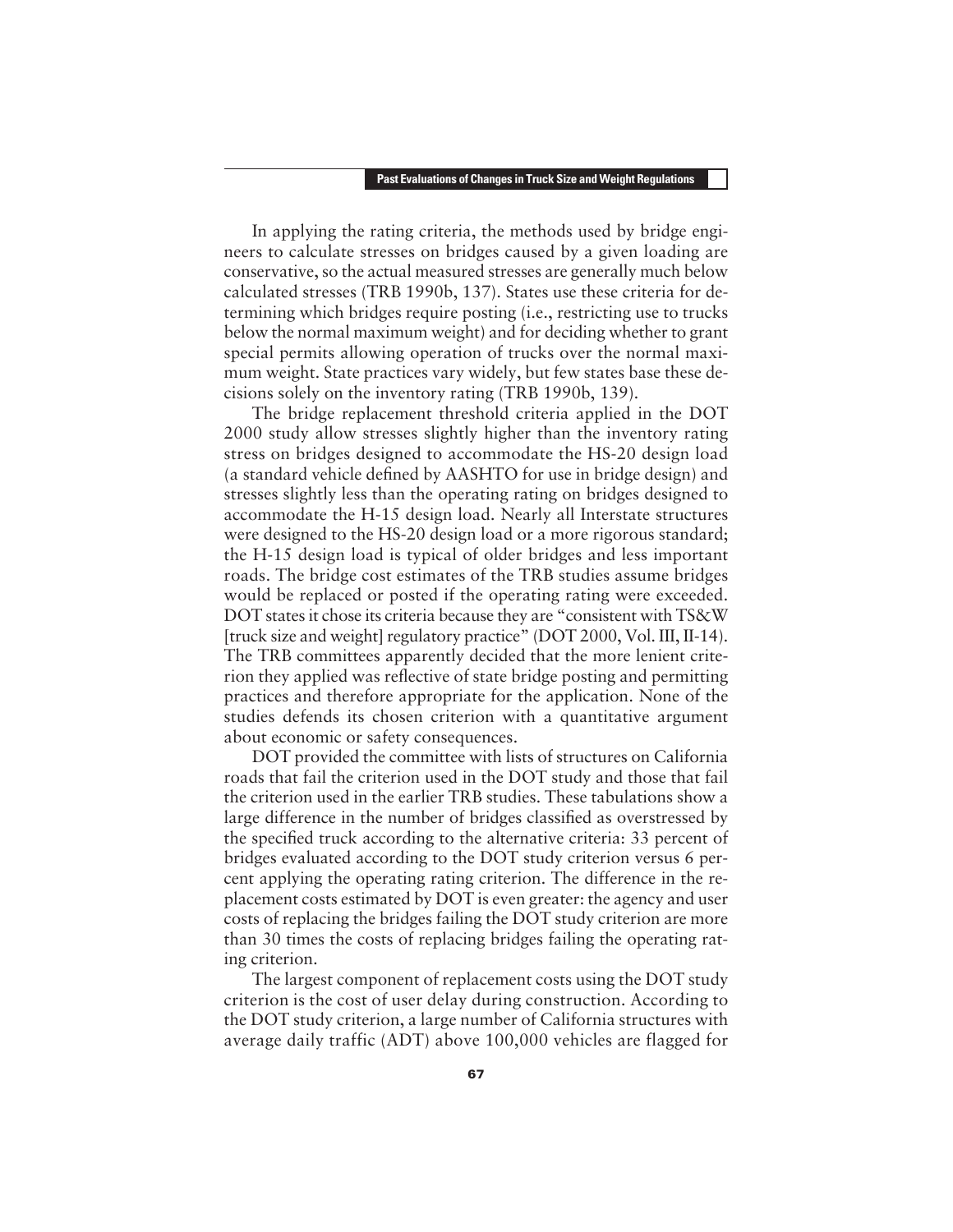In applying the rating criteria, the methods used by bridge engineers to calculate stresses on bridges caused by a given loading are conservative, so the actual measured stresses are generally much below calculated stresses (TRB 1990b, 137). States use these criteria for determining which bridges require posting (i.e., restricting use to trucks below the normal maximum weight) and for deciding whether to grant special permits allowing operation of trucks over the normal maximum weight. State practices vary widely, but few states base these decisions solely on the inventory rating (TRB 1990b, 139).

The bridge replacement threshold criteria applied in the DOT 2000 study allow stresses slightly higher than the inventory rating stress on bridges designed to accommodate the HS-20 design load (a standard vehicle defined by AASHTO for use in bridge design) and stresses slightly less than the operating rating on bridges designed to accommodate the H-15 design load. Nearly all Interstate structures were designed to the HS-20 design load or a more rigorous standard; the H-15 design load is typical of older bridges and less important roads. The bridge cost estimates of the TRB studies assume bridges would be replaced or posted if the operating rating were exceeded. DOT states it chose its criteria because they are "consistent with TS&W [truck size and weight] regulatory practice" (DOT 2000, Vol. III, II-14). The TRB committees apparently decided that the more lenient criterion they applied was reflective of state bridge posting and permitting practices and therefore appropriate for the application. None of the studies defends its chosen criterion with a quantitative argument about economic or safety consequences.

DOT provided the committee with lists of structures on California roads that fail the criterion used in the DOT study and those that fail the criterion used in the earlier TRB studies. These tabulations show a large difference in the number of bridges classified as overstressed by the specified truck according to the alternative criteria: 33 percent of bridges evaluated according to the DOT study criterion versus 6 percent applying the operating rating criterion. The difference in the replacement costs estimated by DOT is even greater: the agency and user costs of replacing the bridges failing the DOT study criterion are more than 30 times the costs of replacing bridges failing the operating rating criterion.

The largest component of replacement costs using the DOT study criterion is the cost of user delay during construction. According to the DOT study criterion, a large number of California structures with average daily traffic (ADT) above 100,000 vehicles are flagged for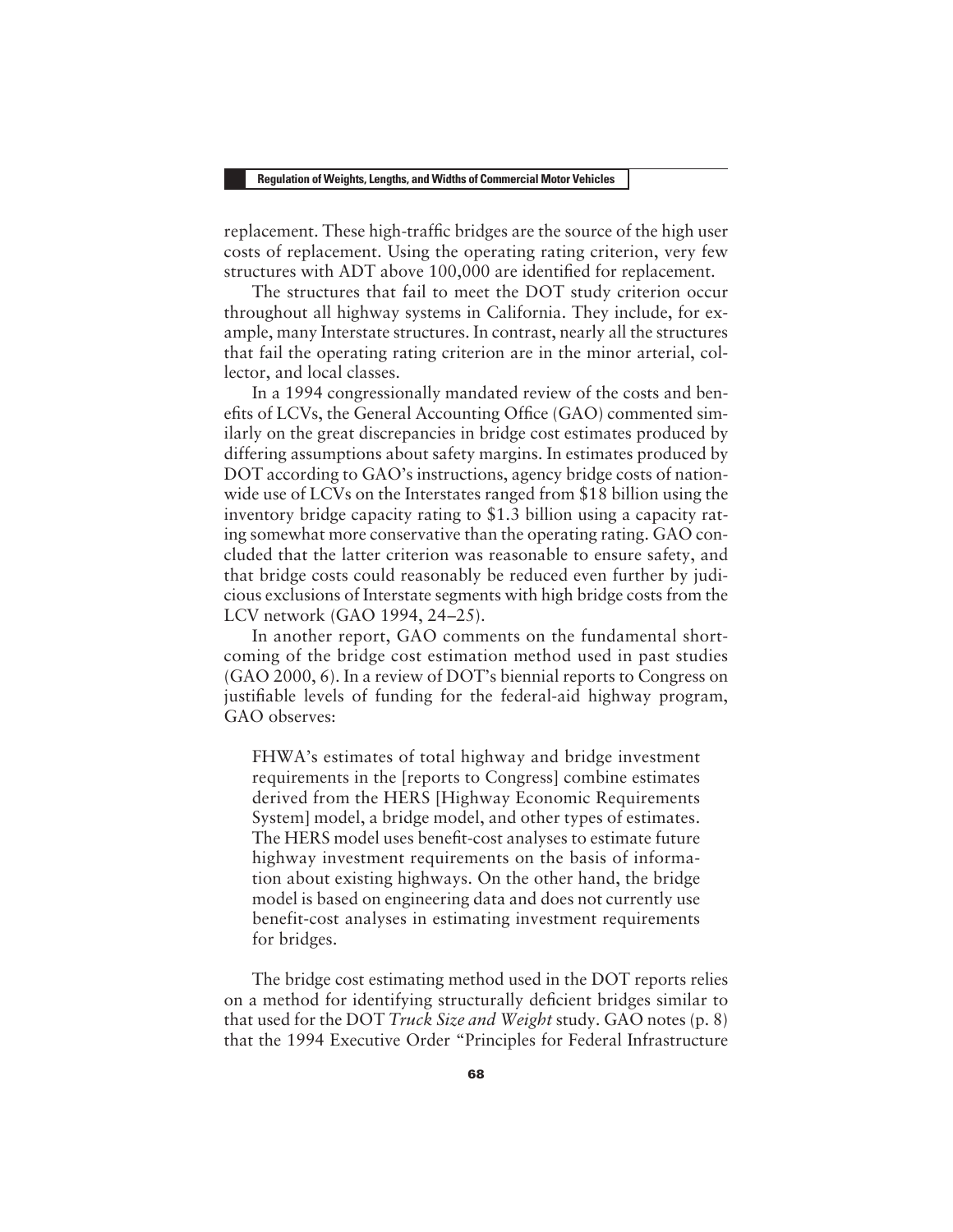replacement. These high-traffic bridges are the source of the high user costs of replacement. Using the operating rating criterion, very few structures with ADT above 100,000 are identified for replacement.

The structures that fail to meet the DOT study criterion occur throughout all highway systems in California. They include, for example, many Interstate structures. In contrast, nearly all the structures that fail the operating rating criterion are in the minor arterial, collector, and local classes.

In a 1994 congressionally mandated review of the costs and benefits of LCVs, the General Accounting Office (GAO) commented similarly on the great discrepancies in bridge cost estimates produced by differing assumptions about safety margins. In estimates produced by DOT according to GAO's instructions, agency bridge costs of nationwide use of LCVs on the Interstates ranged from \$18 billion using the inventory bridge capacity rating to \$1.3 billion using a capacity rating somewhat more conservative than the operating rating. GAO concluded that the latter criterion was reasonable to ensure safety, and that bridge costs could reasonably be reduced even further by judicious exclusions of Interstate segments with high bridge costs from the LCV network (GAO 1994, 24–25).

In another report, GAO comments on the fundamental shortcoming of the bridge cost estimation method used in past studies (GAO 2000, 6). In a review of DOT's biennial reports to Congress on justifiable levels of funding for the federal-aid highway program, GAO observes:

FHWA's estimates of total highway and bridge investment requirements in the [reports to Congress] combine estimates derived from the HERS [Highway Economic Requirements System] model, a bridge model, and other types of estimates. The HERS model uses benefit-cost analyses to estimate future highway investment requirements on the basis of information about existing highways. On the other hand, the bridge model is based on engineering data and does not currently use benefit-cost analyses in estimating investment requirements for bridges.

The bridge cost estimating method used in the DOT reports relies on a method for identifying structurally deficient bridges similar to that used for the DOT *Truck Size and Weight* study. GAO notes (p. 8) that the 1994 Executive Order "Principles for Federal Infrastructure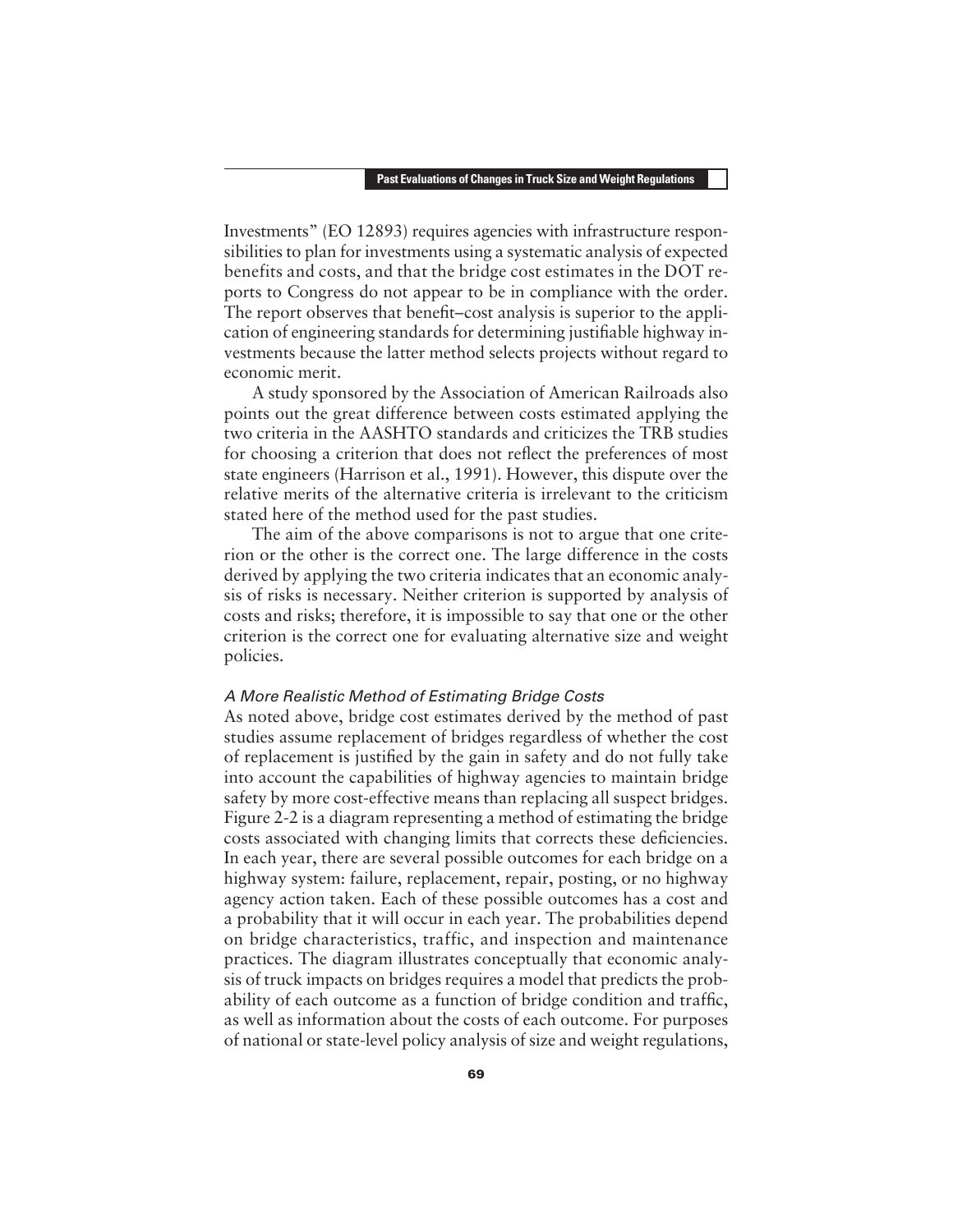Investments" (EO 12893) requires agencies with infrastructure responsibilities to plan for investments using a systematic analysis of expected benefits and costs, and that the bridge cost estimates in the DOT reports to Congress do not appear to be in compliance with the order. The report observes that benefit–cost analysis is superior to the application of engineering standards for determining justifiable highway investments because the latter method selects projects without regard to economic merit.

A study sponsored by the Association of American Railroads also points out the great difference between costs estimated applying the two criteria in the AASHTO standards and criticizes the TRB studies for choosing a criterion that does not reflect the preferences of most state engineers (Harrison et al., 1991). However, this dispute over the relative merits of the alternative criteria is irrelevant to the criticism stated here of the method used for the past studies.

The aim of the above comparisons is not to argue that one criterion or the other is the correct one. The large difference in the costs derived by applying the two criteria indicates that an economic analysis of risks is necessary. Neither criterion is supported by analysis of costs and risks; therefore, it is impossible to say that one or the other criterion is the correct one for evaluating alternative size and weight policies.

#### A More Realistic Method of Estimating Bridge Costs

As noted above, bridge cost estimates derived by the method of past studies assume replacement of bridges regardless of whether the cost of replacement is justified by the gain in safety and do not fully take into account the capabilities of highway agencies to maintain bridge safety by more cost-effective means than replacing all suspect bridges. Figure 2-2 is a diagram representing a method of estimating the bridge costs associated with changing limits that corrects these deficiencies. In each year, there are several possible outcomes for each bridge on a highway system: failure, replacement, repair, posting, or no highway agency action taken. Each of these possible outcomes has a cost and a probability that it will occur in each year. The probabilities depend on bridge characteristics, traffic, and inspection and maintenance practices. The diagram illustrates conceptually that economic analysis of truck impacts on bridges requires a model that predicts the probability of each outcome as a function of bridge condition and traffic, as well as information about the costs of each outcome. For purposes of national or state-level policy analysis of size and weight regulations,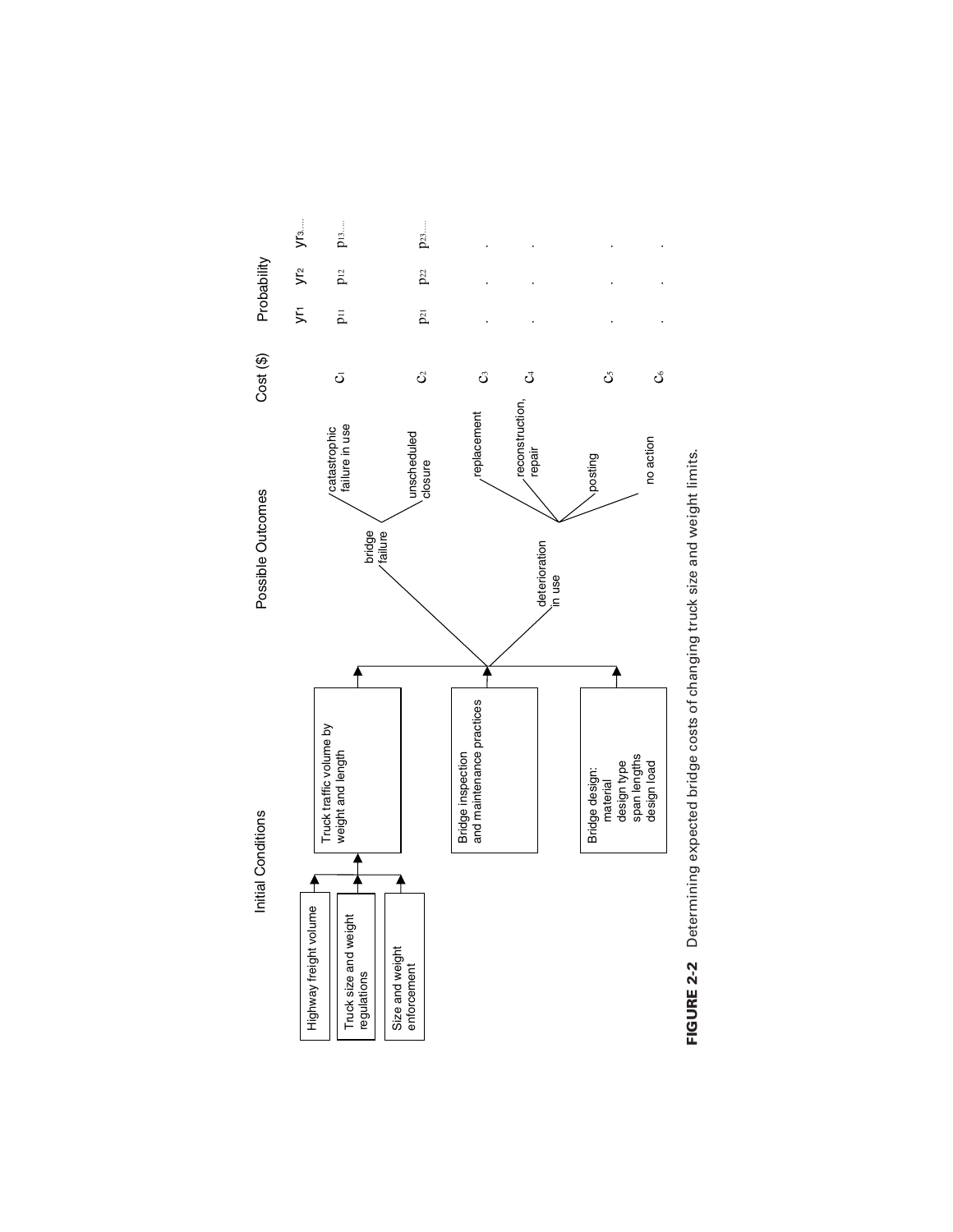

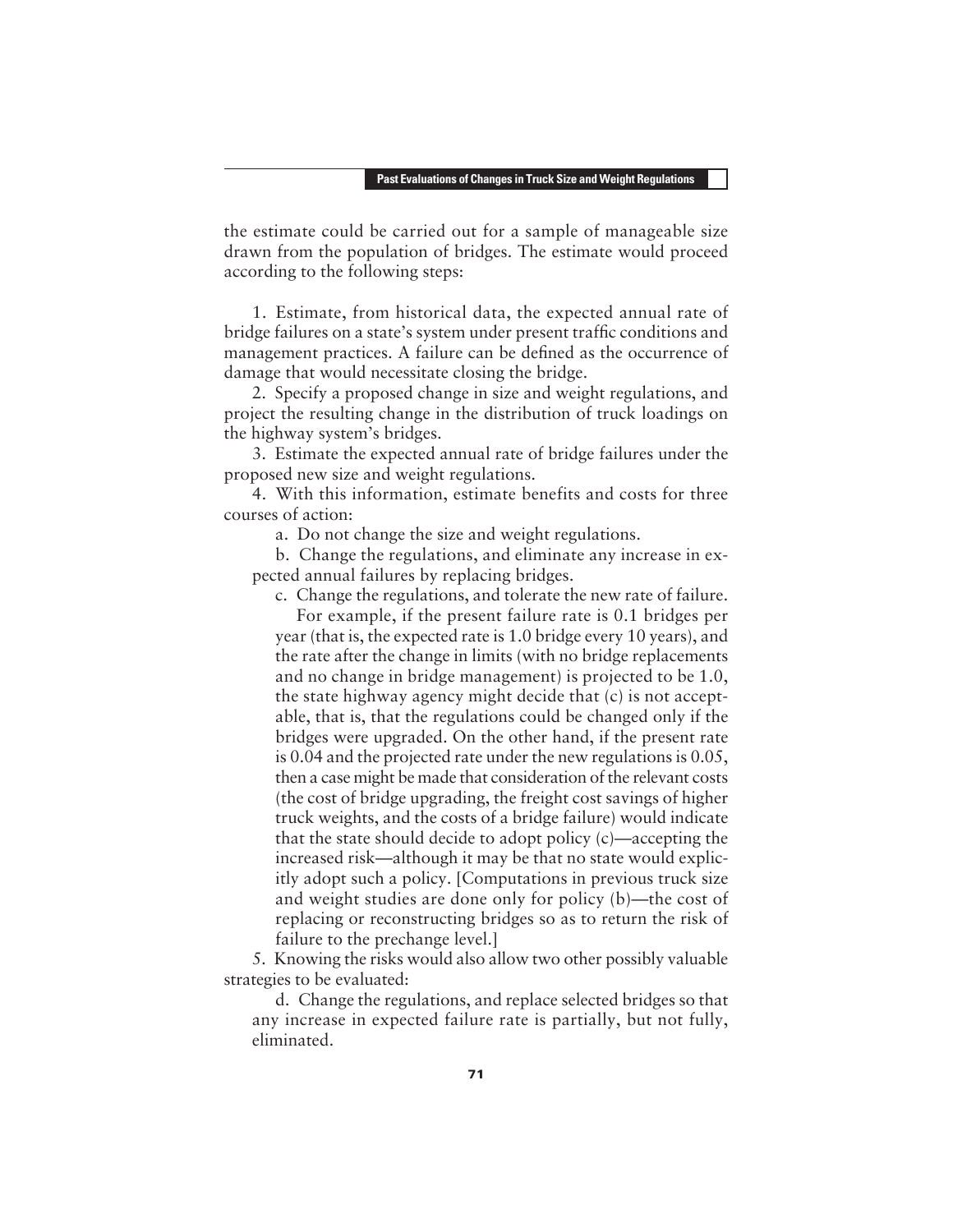the estimate could be carried out for a sample of manageable size drawn from the population of bridges. The estimate would proceed according to the following steps:

1. Estimate, from historical data, the expected annual rate of bridge failures on a state's system under present traffic conditions and management practices. A failure can be defined as the occurrence of damage that would necessitate closing the bridge.

2. Specify a proposed change in size and weight regulations, and project the resulting change in the distribution of truck loadings on the highway system's bridges.

3. Estimate the expected annual rate of bridge failures under the proposed new size and weight regulations.

4. With this information, estimate benefits and costs for three courses of action:

a. Do not change the size and weight regulations.

b. Change the regulations, and eliminate any increase in expected annual failures by replacing bridges.

c. Change the regulations, and tolerate the new rate of failure.

For example, if the present failure rate is 0.1 bridges per year (that is, the expected rate is 1.0 bridge every 10 years), and the rate after the change in limits (with no bridge replacements and no change in bridge management) is projected to be 1.0, the state highway agency might decide that (c) is not acceptable, that is, that the regulations could be changed only if the bridges were upgraded. On the other hand, if the present rate is 0.04 and the projected rate under the new regulations is 0.05, then a case might be made that consideration of the relevant costs (the cost of bridge upgrading, the freight cost savings of higher truck weights, and the costs of a bridge failure) would indicate that the state should decide to adopt policy (c)—accepting the increased risk—although it may be that no state would explicitly adopt such a policy. [Computations in previous truck size and weight studies are done only for policy (b)—the cost of replacing or reconstructing bridges so as to return the risk of failure to the prechange level.]

5. Knowing the risks would also allow two other possibly valuable strategies to be evaluated:

d. Change the regulations, and replace selected bridges so that any increase in expected failure rate is partially, but not fully, eliminated.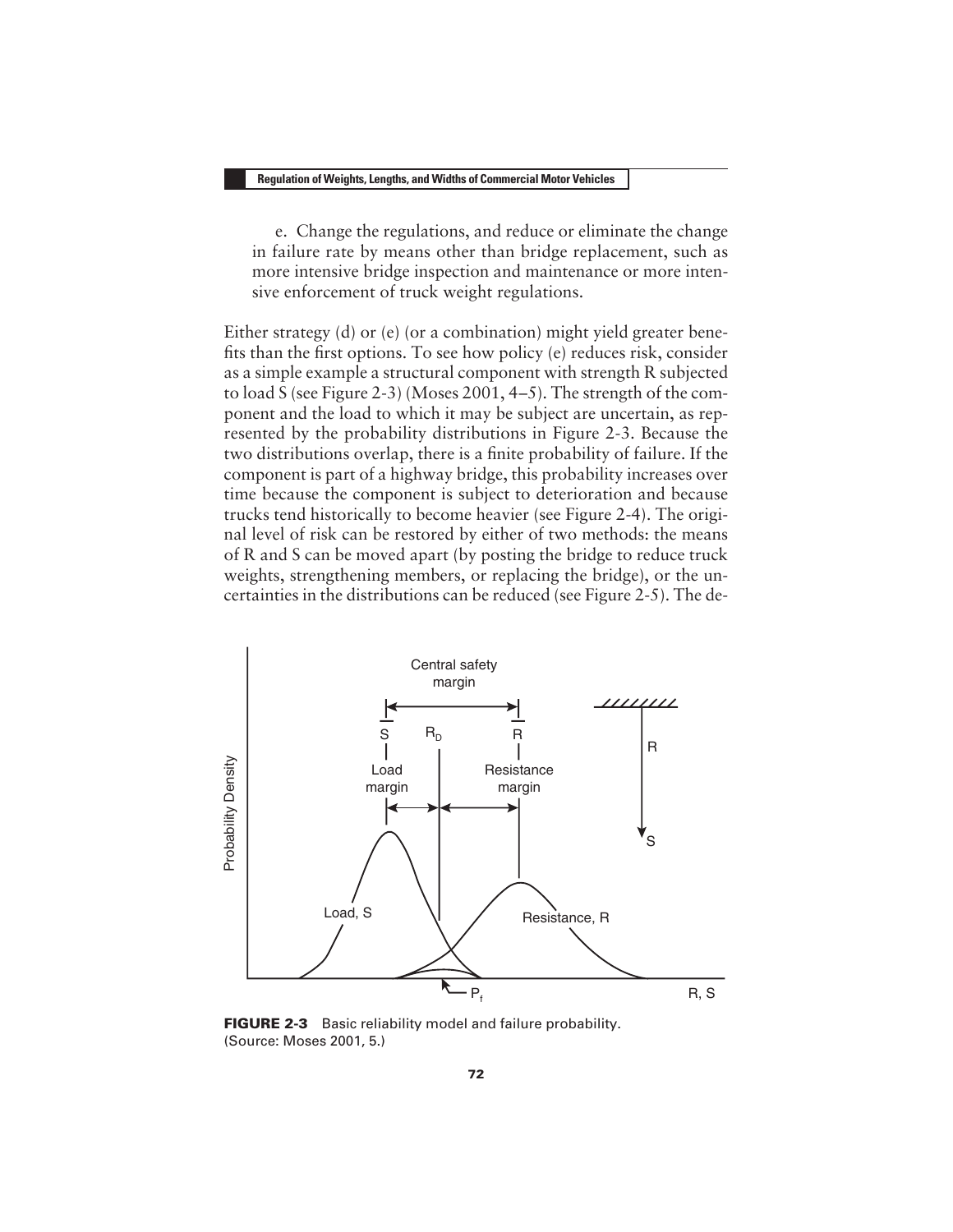e. Change the regulations, and reduce or eliminate the change in failure rate by means other than bridge replacement, such as more intensive bridge inspection and maintenance or more intensive enforcement of truck weight regulations.

Either strategy (d) or (e) (or a combination) might yield greater benefits than the first options. To see how policy (e) reduces risk, consider as a simple example a structural component with strength R subjected to load  $\overline{S}$  (see Figure 2-3) (Moses 2001, 4–5). The strength of the component and the load to which it may be subject are uncertain, as represented by the probability distributions in Figure 2-3. Because the two distributions overlap, there is a finite probability of failure. If the component is part of a highway bridge, this probability increases over time because the component is subject to deterioration and because trucks tend historically to become heavier (see Figure 2-4). The original level of risk can be restored by either of two methods: the means of R and S can be moved apart (by posting the bridge to reduce truck weights, strengthening members, or replacing the bridge), or the uncertainties in the distributions can be reduced (see Figure 2-5). The de-



**FIGURE 2-3** Basic reliability model and failure probability. (Source: Moses 2001, 5.)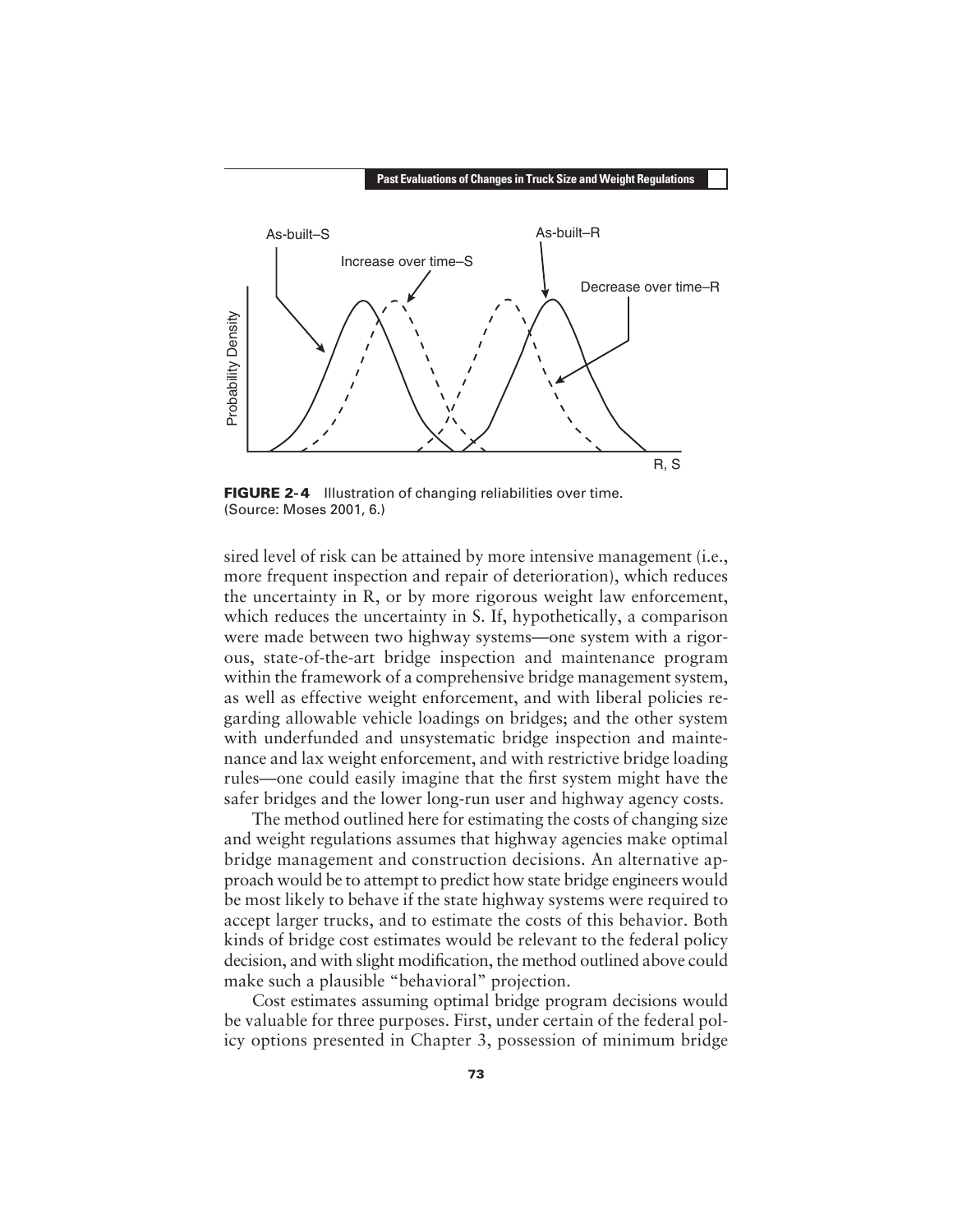

**FIGURE 2-4** Illustration of changing reliabilities over time. (Source: Moses 2001, 6.)

sired level of risk can be attained by more intensive management (i.e., more frequent inspection and repair of deterioration), which reduces the uncertainty in R, or by more rigorous weight law enforcement, which reduces the uncertainty in S. If, hypothetically, a comparison were made between two highway systems—one system with a rigorous, state-of-the-art bridge inspection and maintenance program within the framework of a comprehensive bridge management system, as well as effective weight enforcement, and with liberal policies regarding allowable vehicle loadings on bridges; and the other system with underfunded and unsystematic bridge inspection and maintenance and lax weight enforcement, and with restrictive bridge loading rules—one could easily imagine that the first system might have the safer bridges and the lower long-run user and highway agency costs.

The method outlined here for estimating the costs of changing size and weight regulations assumes that highway agencies make optimal bridge management and construction decisions. An alternative approach would be to attempt to predict how state bridge engineers would be most likely to behave if the state highway systems were required to accept larger trucks, and to estimate the costs of this behavior. Both kinds of bridge cost estimates would be relevant to the federal policy decision, and with slight modification, the method outlined above could make such a plausible "behavioral" projection.

Cost estimates assuming optimal bridge program decisions would be valuable for three purposes. First, under certain of the federal policy options presented in Chapter 3, possession of minimum bridge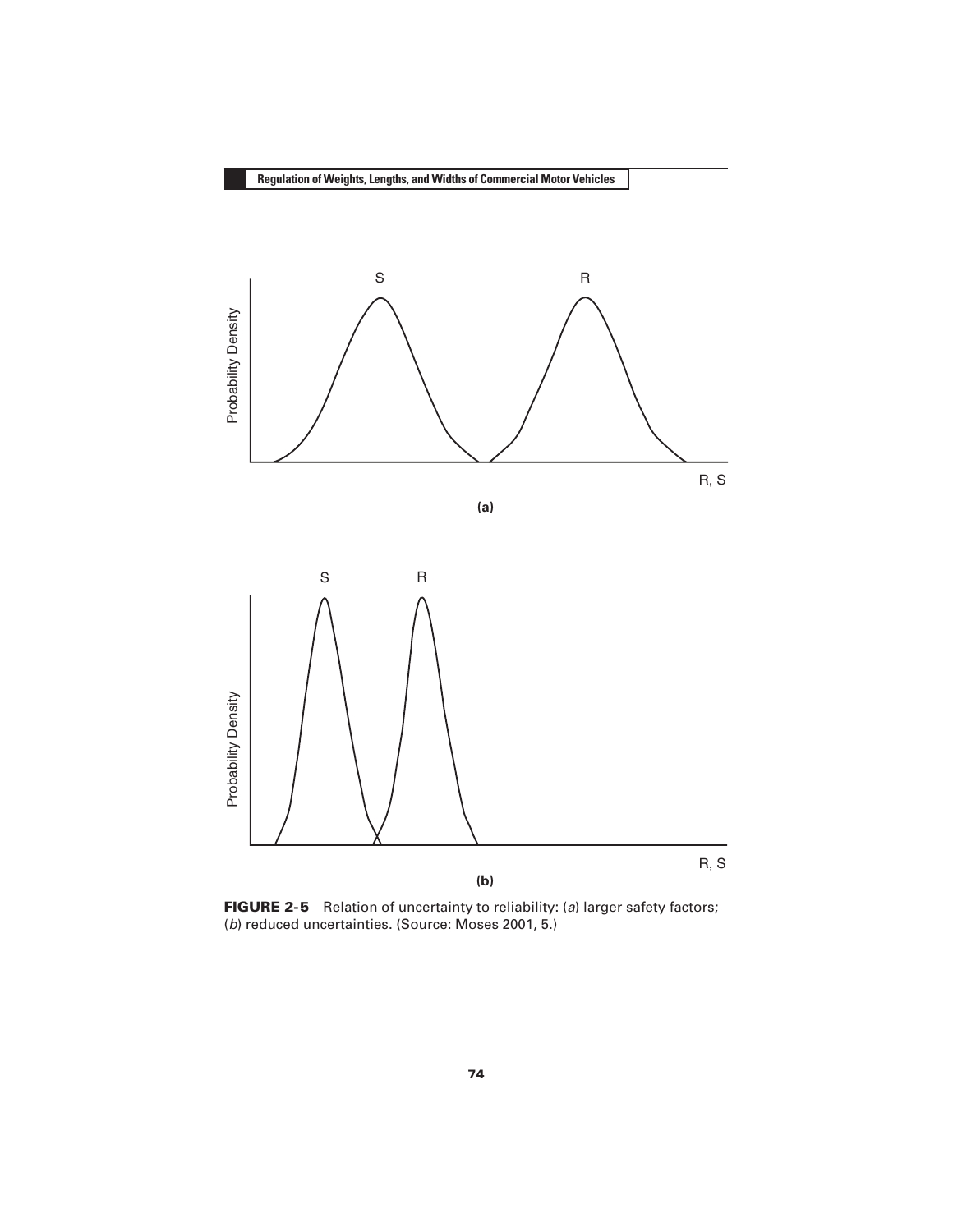

**FIGURE 2-5** Relation of uncertainty to reliability: (a) larger safety factors; (b) reduced uncertainties. (Source: Moses 2001, 5.)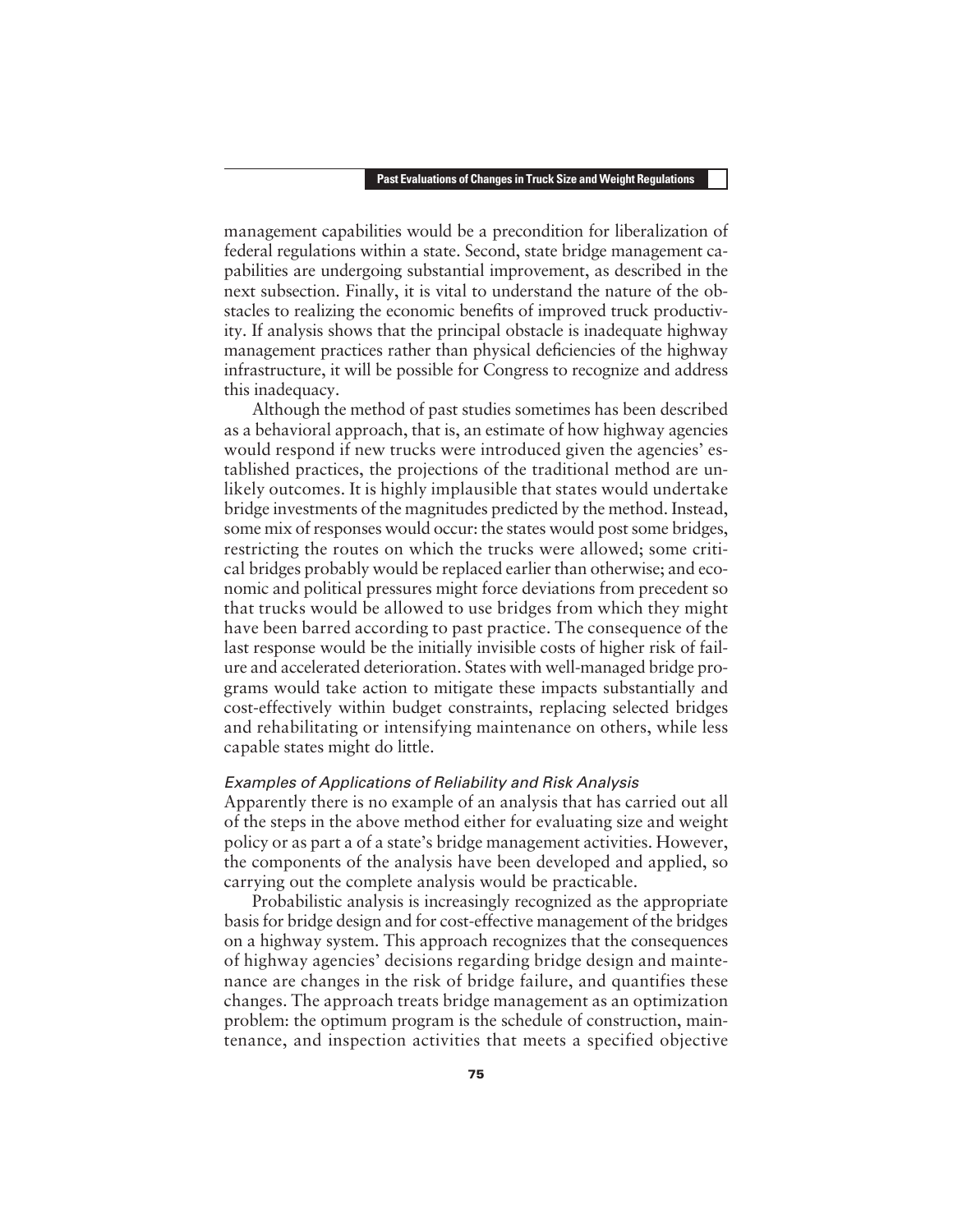management capabilities would be a precondition for liberalization of federal regulations within a state. Second, state bridge management capabilities are undergoing substantial improvement, as described in the next subsection. Finally, it is vital to understand the nature of the obstacles to realizing the economic benefits of improved truck productivity. If analysis shows that the principal obstacle is inadequate highway management practices rather than physical deficiencies of the highway infrastructure, it will be possible for Congress to recognize and address this inadequacy.

Although the method of past studies sometimes has been described as a behavioral approach, that is, an estimate of how highway agencies would respond if new trucks were introduced given the agencies' established practices, the projections of the traditional method are unlikely outcomes. It is highly implausible that states would undertake bridge investments of the magnitudes predicted by the method. Instead, some mix of responses would occur: the states would post some bridges, restricting the routes on which the trucks were allowed; some critical bridges probably would be replaced earlier than otherwise; and economic and political pressures might force deviations from precedent so that trucks would be allowed to use bridges from which they might have been barred according to past practice. The consequence of the last response would be the initially invisible costs of higher risk of failure and accelerated deterioration. States with well-managed bridge programs would take action to mitigate these impacts substantially and cost-effectively within budget constraints, replacing selected bridges and rehabilitating or intensifying maintenance on others, while less capable states might do little.

#### Examples of Applications of Reliability and Risk Analysis

Apparently there is no example of an analysis that has carried out all of the steps in the above method either for evaluating size and weight policy or as part a of a state's bridge management activities. However, the components of the analysis have been developed and applied, so carrying out the complete analysis would be practicable.

Probabilistic analysis is increasingly recognized as the appropriate basis for bridge design and for cost-effective management of the bridges on a highway system. This approach recognizes that the consequences of highway agencies' decisions regarding bridge design and maintenance are changes in the risk of bridge failure, and quantifies these changes. The approach treats bridge management as an optimization problem: the optimum program is the schedule of construction, maintenance, and inspection activities that meets a specified objective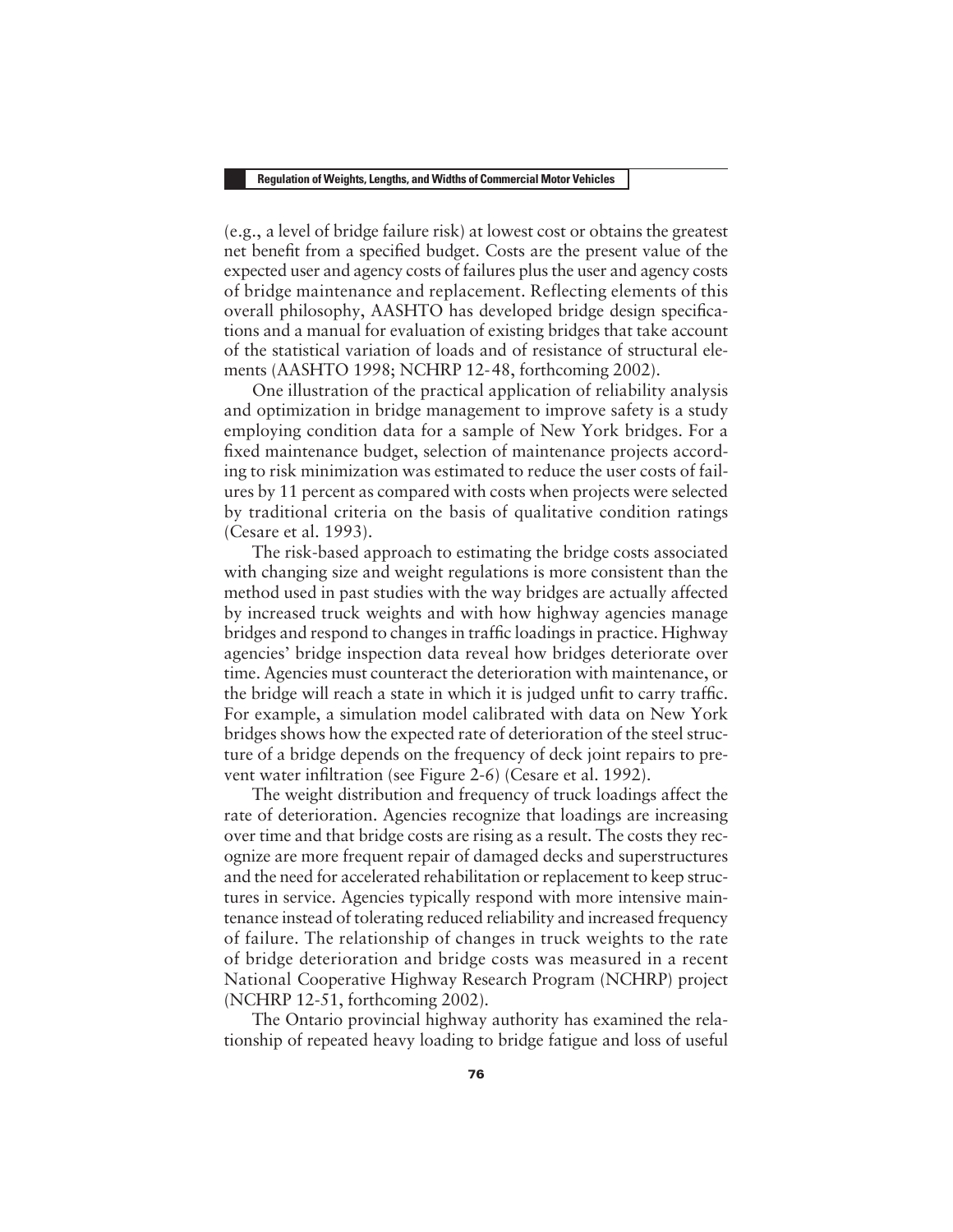(e.g., a level of bridge failure risk) at lowest cost or obtains the greatest net benefit from a specified budget. Costs are the present value of the expected user and agency costs of failures plus the user and agency costs of bridge maintenance and replacement. Reflecting elements of this overall philosophy, AASHTO has developed bridge design specifications and a manual for evaluation of existing bridges that take account of the statistical variation of loads and of resistance of structural elements (AASHTO 1998; NCHRP 12-48, forthcoming 2002).

One illustration of the practical application of reliability analysis and optimization in bridge management to improve safety is a study employing condition data for a sample of New York bridges. For a fixed maintenance budget, selection of maintenance projects according to risk minimization was estimated to reduce the user costs of failures by 11 percent as compared with costs when projects were selected by traditional criteria on the basis of qualitative condition ratings (Cesare et al. 1993).

The risk-based approach to estimating the bridge costs associated with changing size and weight regulations is more consistent than the method used in past studies with the way bridges are actually affected by increased truck weights and with how highway agencies manage bridges and respond to changes in traffic loadings in practice. Highway agencies' bridge inspection data reveal how bridges deteriorate over time. Agencies must counteract the deterioration with maintenance, or the bridge will reach a state in which it is judged unfit to carry traffic. For example, a simulation model calibrated with data on New York bridges shows how the expected rate of deterioration of the steel structure of a bridge depends on the frequency of deck joint repairs to prevent water infiltration (see Figure 2-6) (Cesare et al. 1992).

The weight distribution and frequency of truck loadings affect the rate of deterioration. Agencies recognize that loadings are increasing over time and that bridge costs are rising as a result. The costs they recognize are more frequent repair of damaged decks and superstructures and the need for accelerated rehabilitation or replacement to keep structures in service. Agencies typically respond with more intensive maintenance instead of tolerating reduced reliability and increased frequency of failure. The relationship of changes in truck weights to the rate of bridge deterioration and bridge costs was measured in a recent National Cooperative Highway Research Program (NCHRP) project (NCHRP 12-51, forthcoming 2002).

The Ontario provincial highway authority has examined the relationship of repeated heavy loading to bridge fatigue and loss of useful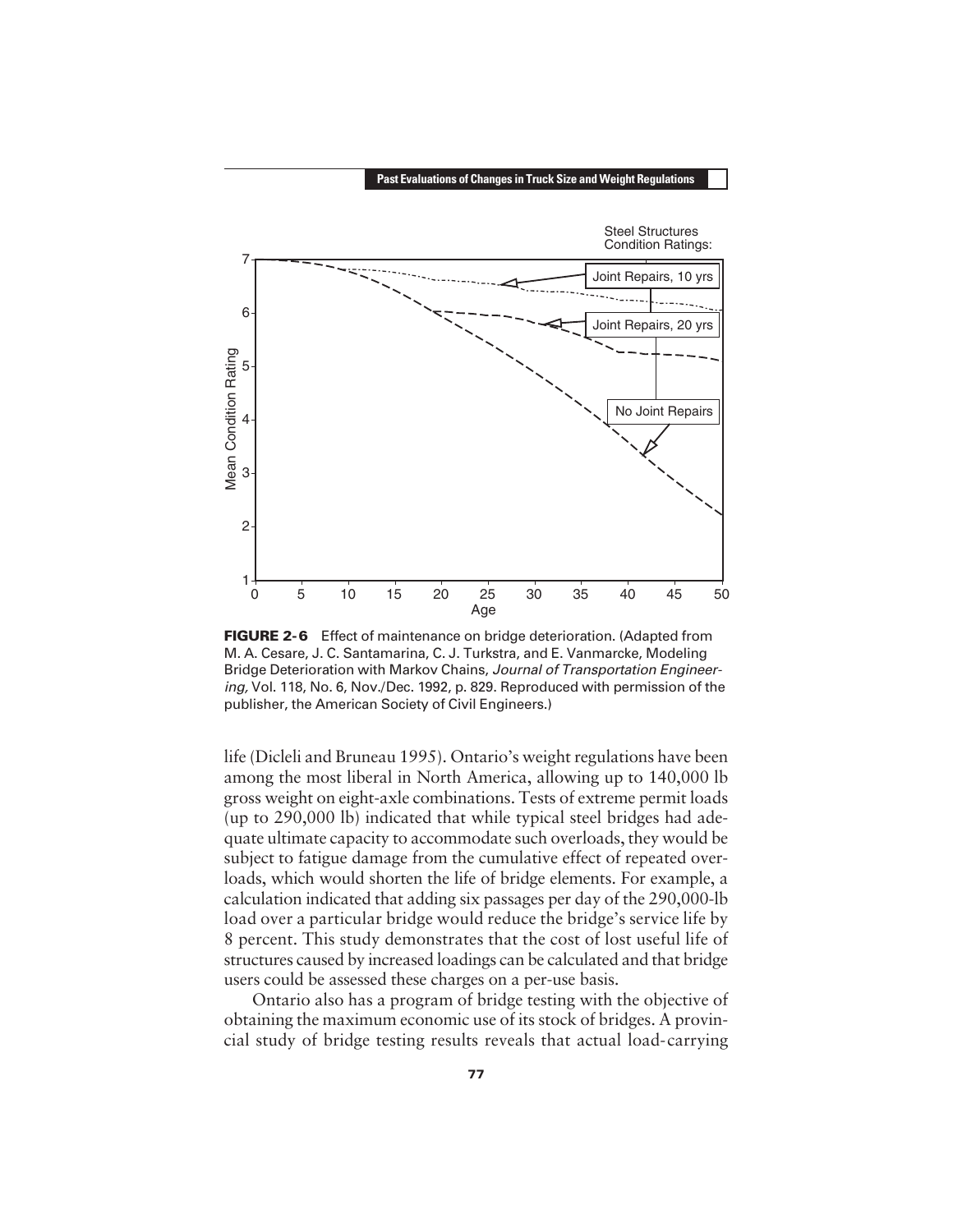

**FIGURE 2-6** Effect of maintenance on bridge deterioration. (Adapted from M. A. Cesare, J. C. Santamarina, C. J. Turkstra, and E. Vanmarcke, Modeling Bridge Deterioration with Markov Chains, Journal of Transportation Engineering, Vol. 118, No. 6, Nov./Dec. 1992, p. 829. Reproduced with permission of the publisher, the American Society of Civil Engineers.)

life (Dicleli and Bruneau 1995). Ontario's weight regulations have been among the most liberal in North America, allowing up to 140,000 lb gross weight on eight-axle combinations. Tests of extreme permit loads (up to 290,000 lb) indicated that while typical steel bridges had adequate ultimate capacity to accommodate such overloads, they would be subject to fatigue damage from the cumulative effect of repeated overloads, which would shorten the life of bridge elements. For example, a calculation indicated that adding six passages per day of the 290,000-lb load over a particular bridge would reduce the bridge's service life by 8 percent. This study demonstrates that the cost of lost useful life of structures caused by increased loadings can be calculated and that bridge users could be assessed these charges on a per-use basis.

Ontario also has a program of bridge testing with the objective of obtaining the maximum economic use of its stock of bridges. A provincial study of bridge testing results reveals that actual load-carrying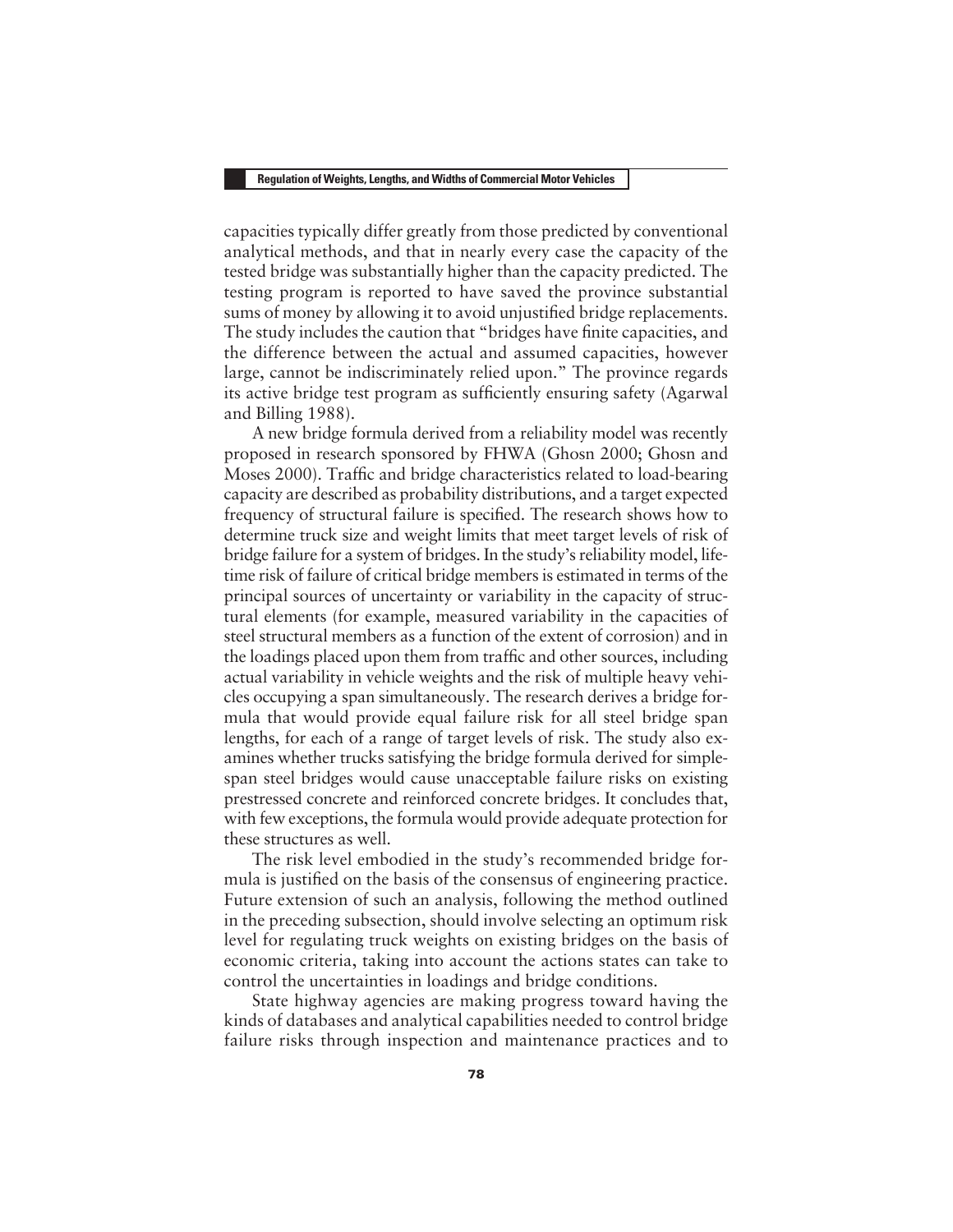capacities typically differ greatly from those predicted by conventional analytical methods, and that in nearly every case the capacity of the tested bridge was substantially higher than the capacity predicted. The testing program is reported to have saved the province substantial sums of money by allowing it to avoid unjustified bridge replacements. The study includes the caution that "bridges have finite capacities, and the difference between the actual and assumed capacities, however large, cannot be indiscriminately relied upon." The province regards its active bridge test program as sufficiently ensuring safety (Agarwal and Billing 1988).

A new bridge formula derived from a reliability model was recently proposed in research sponsored by FHWA (Ghosn 2000; Ghosn and Moses 2000). Traffic and bridge characteristics related to load-bearing capacity are described as probability distributions, and a target expected frequency of structural failure is specified. The research shows how to determine truck size and weight limits that meet target levels of risk of bridge failure for a system of bridges. In the study's reliability model, lifetime risk of failure of critical bridge members is estimated in terms of the principal sources of uncertainty or variability in the capacity of structural elements (for example, measured variability in the capacities of steel structural members as a function of the extent of corrosion) and in the loadings placed upon them from traffic and other sources, including actual variability in vehicle weights and the risk of multiple heavy vehicles occupying a span simultaneously. The research derives a bridge formula that would provide equal failure risk for all steel bridge span lengths, for each of a range of target levels of risk. The study also examines whether trucks satisfying the bridge formula derived for simplespan steel bridges would cause unacceptable failure risks on existing prestressed concrete and reinforced concrete bridges. It concludes that, with few exceptions, the formula would provide adequate protection for these structures as well.

The risk level embodied in the study's recommended bridge formula is justified on the basis of the consensus of engineering practice. Future extension of such an analysis, following the method outlined in the preceding subsection, should involve selecting an optimum risk level for regulating truck weights on existing bridges on the basis of economic criteria, taking into account the actions states can take to control the uncertainties in loadings and bridge conditions.

State highway agencies are making progress toward having the kinds of databases and analytical capabilities needed to control bridge failure risks through inspection and maintenance practices and to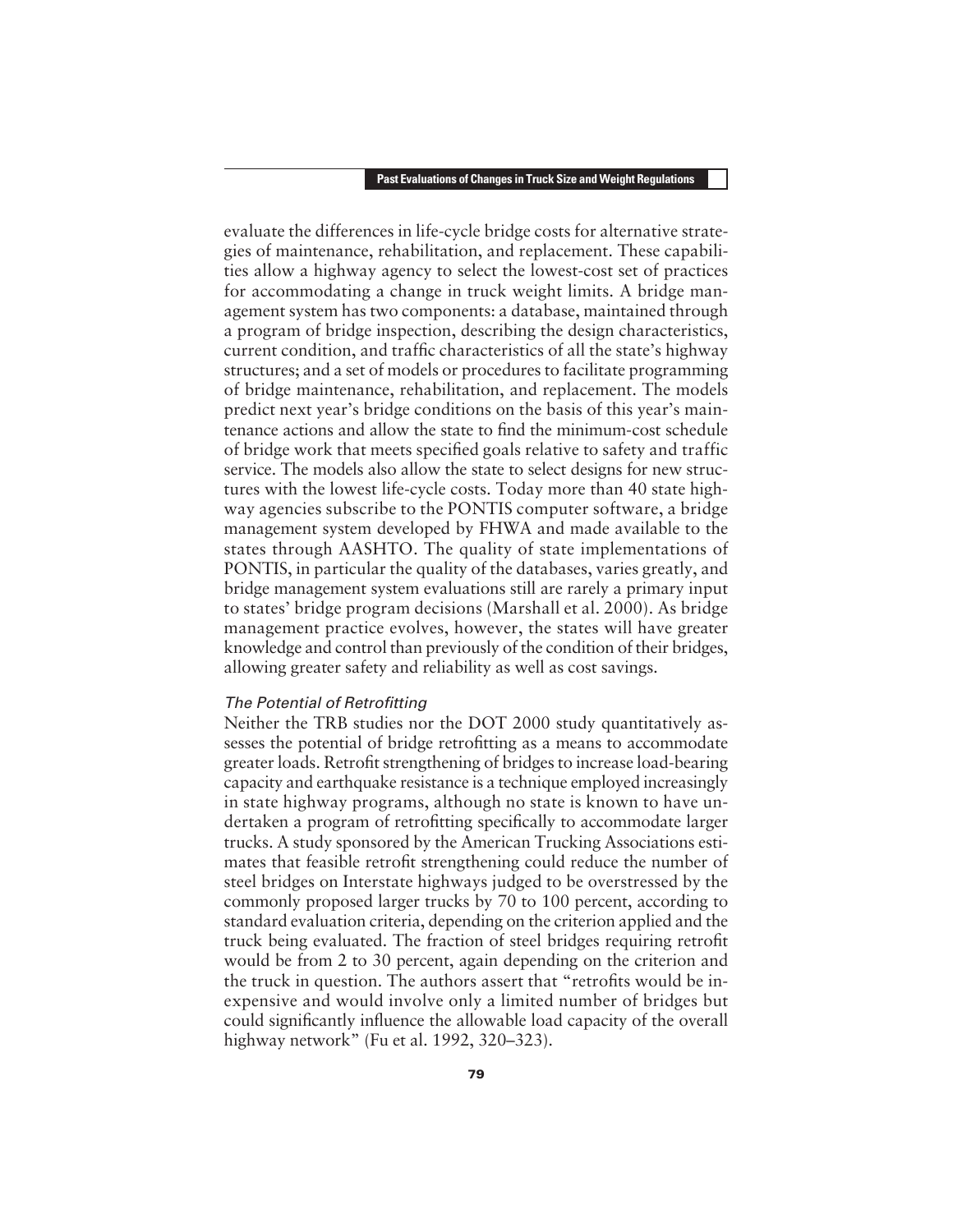evaluate the differences in life-cycle bridge costs for alternative strategies of maintenance, rehabilitation, and replacement. These capabilities allow a highway agency to select the lowest-cost set of practices for accommodating a change in truck weight limits. A bridge management system has two components: a database, maintained through a program of bridge inspection, describing the design characteristics, current condition, and traffic characteristics of all the state's highway structures; and a set of models or procedures to facilitate programming of bridge maintenance, rehabilitation, and replacement. The models predict next year's bridge conditions on the basis of this year's maintenance actions and allow the state to find the minimum-cost schedule of bridge work that meets specified goals relative to safety and traffic service. The models also allow the state to select designs for new structures with the lowest life-cycle costs. Today more than 40 state highway agencies subscribe to the PONTIS computer software, a bridge management system developed by FHWA and made available to the states through AASHTO. The quality of state implementations of PONTIS, in particular the quality of the databases, varies greatly, and bridge management system evaluations still are rarely a primary input to states' bridge program decisions (Marshall et al. 2000). As bridge management practice evolves, however, the states will have greater knowledge and control than previously of the condition of their bridges, allowing greater safety and reliability as well as cost savings.

#### The Potential of Retrofitting

Neither the TRB studies nor the DOT 2000 study quantitatively assesses the potential of bridge retrofitting as a means to accommodate greater loads. Retrofit strengthening of bridges to increase load-bearing capacity and earthquake resistance is a technique employed increasingly in state highway programs, although no state is known to have undertaken a program of retrofitting specifically to accommodate larger trucks. A study sponsored by the American Trucking Associations estimates that feasible retrofit strengthening could reduce the number of steel bridges on Interstate highways judged to be overstressed by the commonly proposed larger trucks by 70 to 100 percent, according to standard evaluation criteria, depending on the criterion applied and the truck being evaluated. The fraction of steel bridges requiring retrofit would be from 2 to 30 percent, again depending on the criterion and the truck in question. The authors assert that "retrofits would be inexpensive and would involve only a limited number of bridges but could significantly influence the allowable load capacity of the overall highway network" (Fu et al. 1992, 320–323).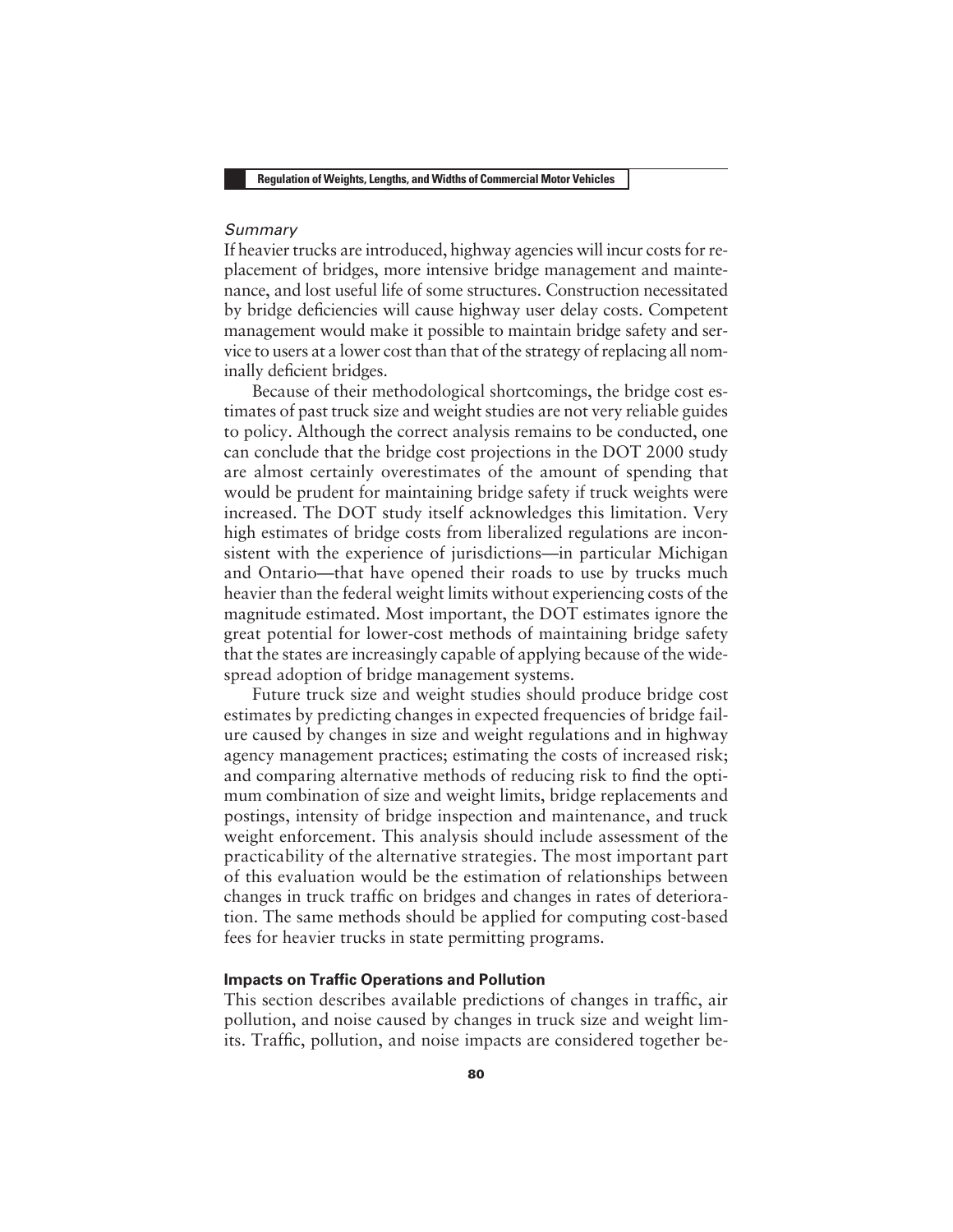## **Summary**

If heavier trucks are introduced, highway agencies will incur costs for replacement of bridges, more intensive bridge management and maintenance, and lost useful life of some structures. Construction necessitated by bridge deficiencies will cause highway user delay costs. Competent management would make it possible to maintain bridge safety and service to users at a lower cost than that of the strategy of replacing all nominally deficient bridges.

Because of their methodological shortcomings, the bridge cost estimates of past truck size and weight studies are not very reliable guides to policy. Although the correct analysis remains to be conducted, one can conclude that the bridge cost projections in the DOT 2000 study are almost certainly overestimates of the amount of spending that would be prudent for maintaining bridge safety if truck weights were increased. The DOT study itself acknowledges this limitation. Very high estimates of bridge costs from liberalized regulations are inconsistent with the experience of jurisdictions—in particular Michigan and Ontario—that have opened their roads to use by trucks much heavier than the federal weight limits without experiencing costs of the magnitude estimated. Most important, the DOT estimates ignore the great potential for lower-cost methods of maintaining bridge safety that the states are increasingly capable of applying because of the widespread adoption of bridge management systems.

Future truck size and weight studies should produce bridge cost estimates by predicting changes in expected frequencies of bridge failure caused by changes in size and weight regulations and in highway agency management practices; estimating the costs of increased risk; and comparing alternative methods of reducing risk to find the optimum combination of size and weight limits, bridge replacements and postings, intensity of bridge inspection and maintenance, and truck weight enforcement. This analysis should include assessment of the practicability of the alternative strategies. The most important part of this evaluation would be the estimation of relationships between changes in truck traffic on bridges and changes in rates of deterioration. The same methods should be applied for computing cost-based fees for heavier trucks in state permitting programs.

## **Impacts on Traffic Operations and Pollution**

This section describes available predictions of changes in traffic, air pollution, and noise caused by changes in truck size and weight limits. Traffic, pollution, and noise impacts are considered together be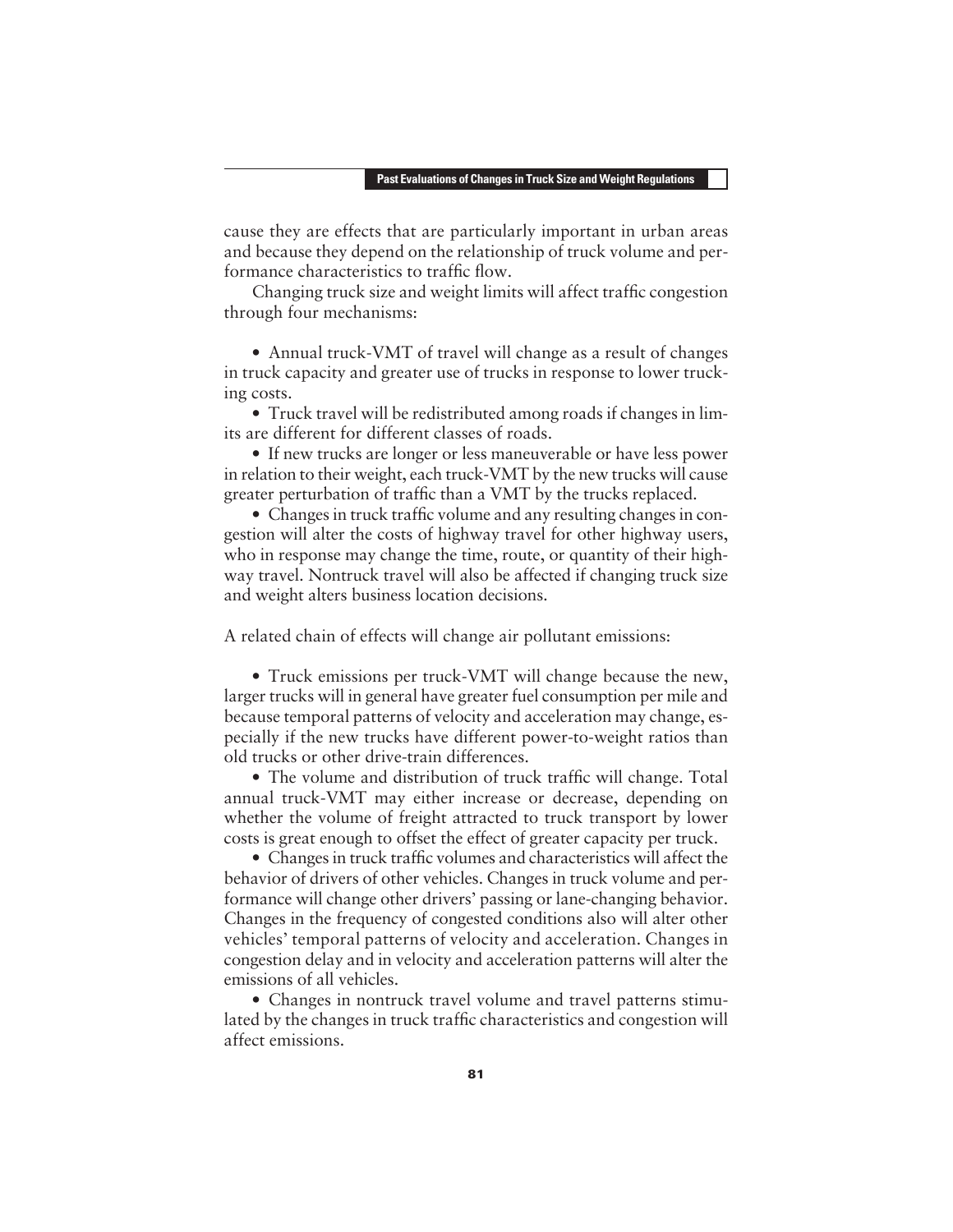cause they are effects that are particularly important in urban areas and because they depend on the relationship of truck volume and performance characteristics to traffic flow.

Changing truck size and weight limits will affect traffic congestion through four mechanisms:

• Annual truck-VMT of travel will change as a result of changes in truck capacity and greater use of trucks in response to lower trucking costs.

• Truck travel will be redistributed among roads if changes in limits are different for different classes of roads.

• If new trucks are longer or less maneuverable or have less power in relation to their weight, each truck-VMT by the new trucks will cause greater perturbation of traffic than a VMT by the trucks replaced.

• Changes in truck traffic volume and any resulting changes in congestion will alter the costs of highway travel for other highway users, who in response may change the time, route, or quantity of their highway travel. Nontruck travel will also be affected if changing truck size and weight alters business location decisions.

A related chain of effects will change air pollutant emissions:

• Truck emissions per truck-VMT will change because the new, larger trucks will in general have greater fuel consumption per mile and because temporal patterns of velocity and acceleration may change, especially if the new trucks have different power-to-weight ratios than old trucks or other drive-train differences.

• The volume and distribution of truck traffic will change. Total annual truck-VMT may either increase or decrease, depending on whether the volume of freight attracted to truck transport by lower costs is great enough to offset the effect of greater capacity per truck.

• Changes in truck traffic volumes and characteristics will affect the behavior of drivers of other vehicles. Changes in truck volume and performance will change other drivers' passing or lane-changing behavior. Changes in the frequency of congested conditions also will alter other vehicles' temporal patterns of velocity and acceleration. Changes in congestion delay and in velocity and acceleration patterns will alter the emissions of all vehicles.

• Changes in nontruck travel volume and travel patterns stimulated by the changes in truck traffic characteristics and congestion will affect emissions.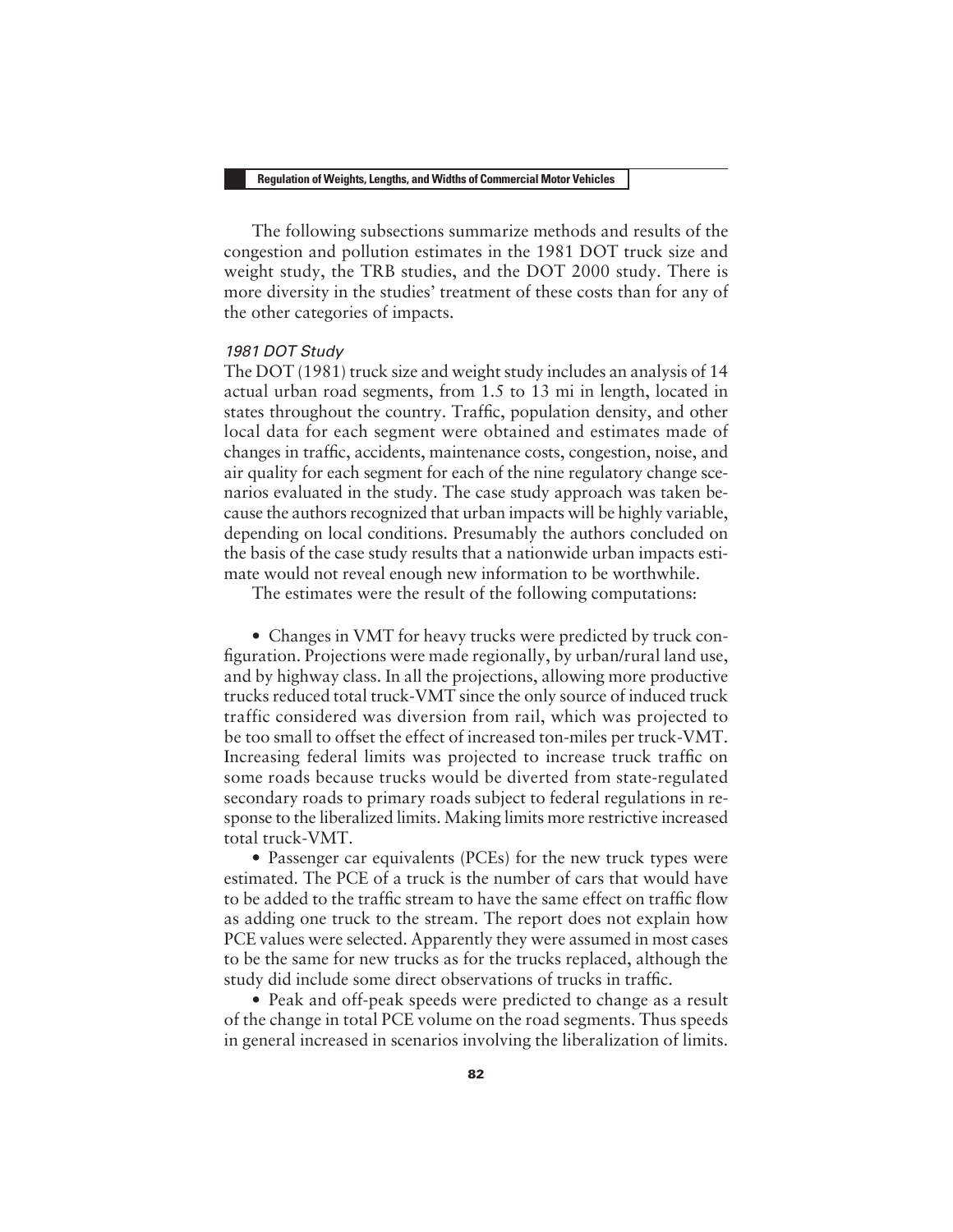The following subsections summarize methods and results of the congestion and pollution estimates in the 1981 DOT truck size and weight study, the TRB studies, and the DOT 2000 study. There is more diversity in the studies' treatment of these costs than for any of the other categories of impacts.

#### 1981 DOT Study

The DOT (1981) truck size and weight study includes an analysis of 14 actual urban road segments, from 1.5 to 13 mi in length, located in states throughout the country. Traffic, population density, and other local data for each segment were obtained and estimates made of changes in traffic, accidents, maintenance costs, congestion, noise, and air quality for each segment for each of the nine regulatory change scenarios evaluated in the study. The case study approach was taken because the authors recognized that urban impacts will be highly variable, depending on local conditions. Presumably the authors concluded on the basis of the case study results that a nationwide urban impacts estimate would not reveal enough new information to be worthwhile.

The estimates were the result of the following computations:

• Changes in VMT for heavy trucks were predicted by truck configuration. Projections were made regionally, by urban/rural land use, and by highway class. In all the projections, allowing more productive trucks reduced total truck-VMT since the only source of induced truck traffic considered was diversion from rail, which was projected to be too small to offset the effect of increased ton-miles per truck-VMT. Increasing federal limits was projected to increase truck traffic on some roads because trucks would be diverted from state-regulated secondary roads to primary roads subject to federal regulations in response to the liberalized limits. Making limits more restrictive increased total truck-VMT.

• Passenger car equivalents (PCEs) for the new truck types were estimated. The PCE of a truck is the number of cars that would have to be added to the traffic stream to have the same effect on traffic flow as adding one truck to the stream. The report does not explain how PCE values were selected. Apparently they were assumed in most cases to be the same for new trucks as for the trucks replaced, although the study did include some direct observations of trucks in traffic.

• Peak and off-peak speeds were predicted to change as a result of the change in total PCE volume on the road segments. Thus speeds in general increased in scenarios involving the liberalization of limits.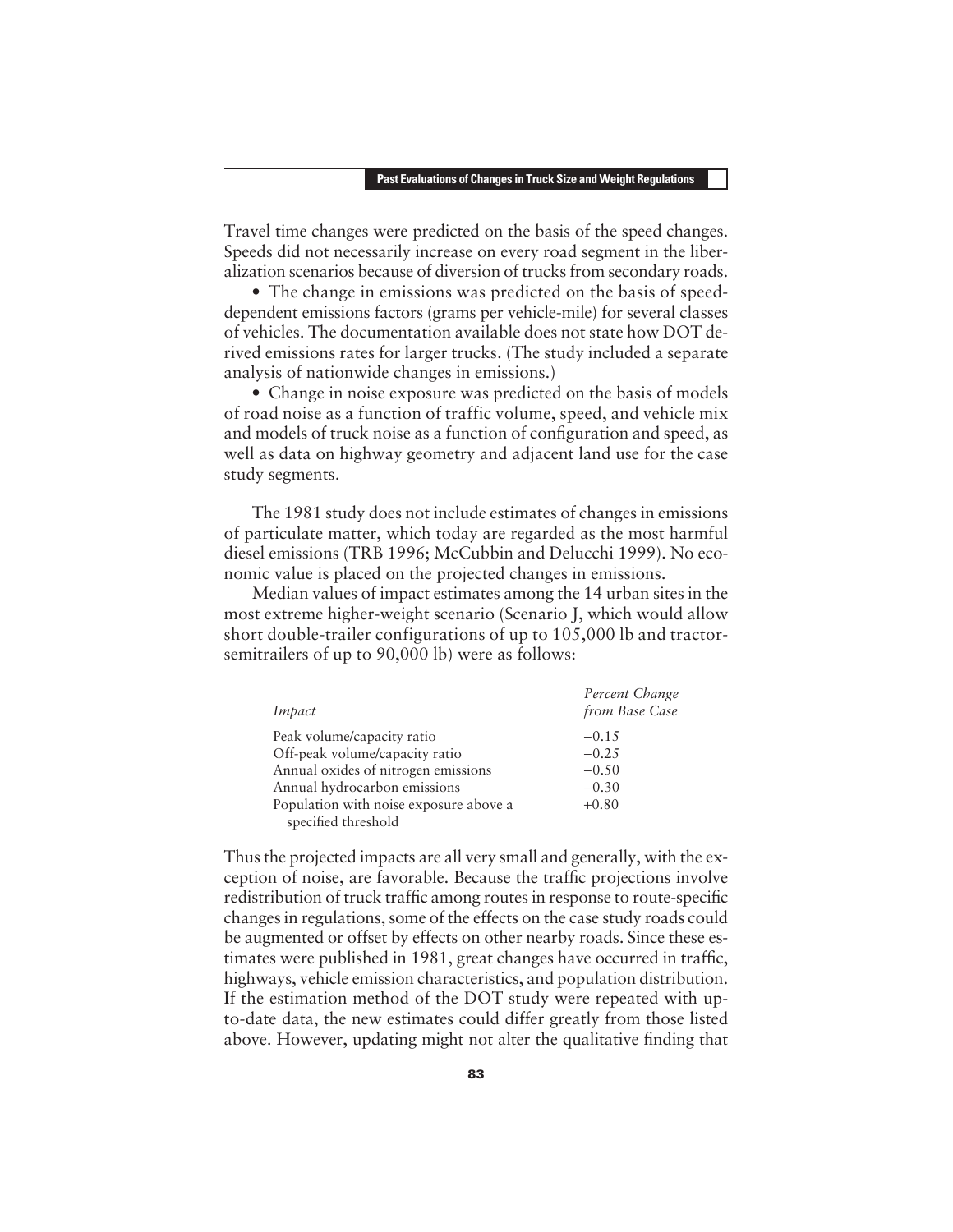Travel time changes were predicted on the basis of the speed changes. Speeds did not necessarily increase on every road segment in the liberalization scenarios because of diversion of trucks from secondary roads.

• The change in emissions was predicted on the basis of speeddependent emissions factors (grams per vehicle-mile) for several classes of vehicles. The documentation available does not state how DOT derived emissions rates for larger trucks. (The study included a separate analysis of nationwide changes in emissions.)

• Change in noise exposure was predicted on the basis of models of road noise as a function of traffic volume, speed, and vehicle mix and models of truck noise as a function of configuration and speed, as well as data on highway geometry and adjacent land use for the case study segments.

The 1981 study does not include estimates of changes in emissions of particulate matter, which today are regarded as the most harmful diesel emissions (TRB 1996; McCubbin and Delucchi 1999). No economic value is placed on the projected changes in emissions.

Median values of impact estimates among the 14 urban sites in the most extreme higher-weight scenario (Scenario J, which would allow short double-trailer configurations of up to 105,000 lb and tractorsemitrailers of up to 90,000 lb) were as follows:

| Impact                                 | Percent Change<br>from Base Case |
|----------------------------------------|----------------------------------|
| Peak volume/capacity ratio             | $-0.15$                          |
| Off-peak volume/capacity ratio         | $-0.25$                          |
| Annual oxides of nitrogen emissions    | $-0.50$                          |
| Annual hydrocarbon emissions           | $-0.30$                          |
| Population with noise exposure above a | $+0.80$                          |
| specified threshold                    |                                  |

Thus the projected impacts are all very small and generally, with the exception of noise, are favorable. Because the traffic projections involve redistribution of truck traffic among routes in response to route-specific changes in regulations, some of the effects on the case study roads could be augmented or offset by effects on other nearby roads. Since these estimates were published in 1981, great changes have occurred in traffic, highways, vehicle emission characteristics, and population distribution. If the estimation method of the DOT study were repeated with upto-date data, the new estimates could differ greatly from those listed above. However, updating might not alter the qualitative finding that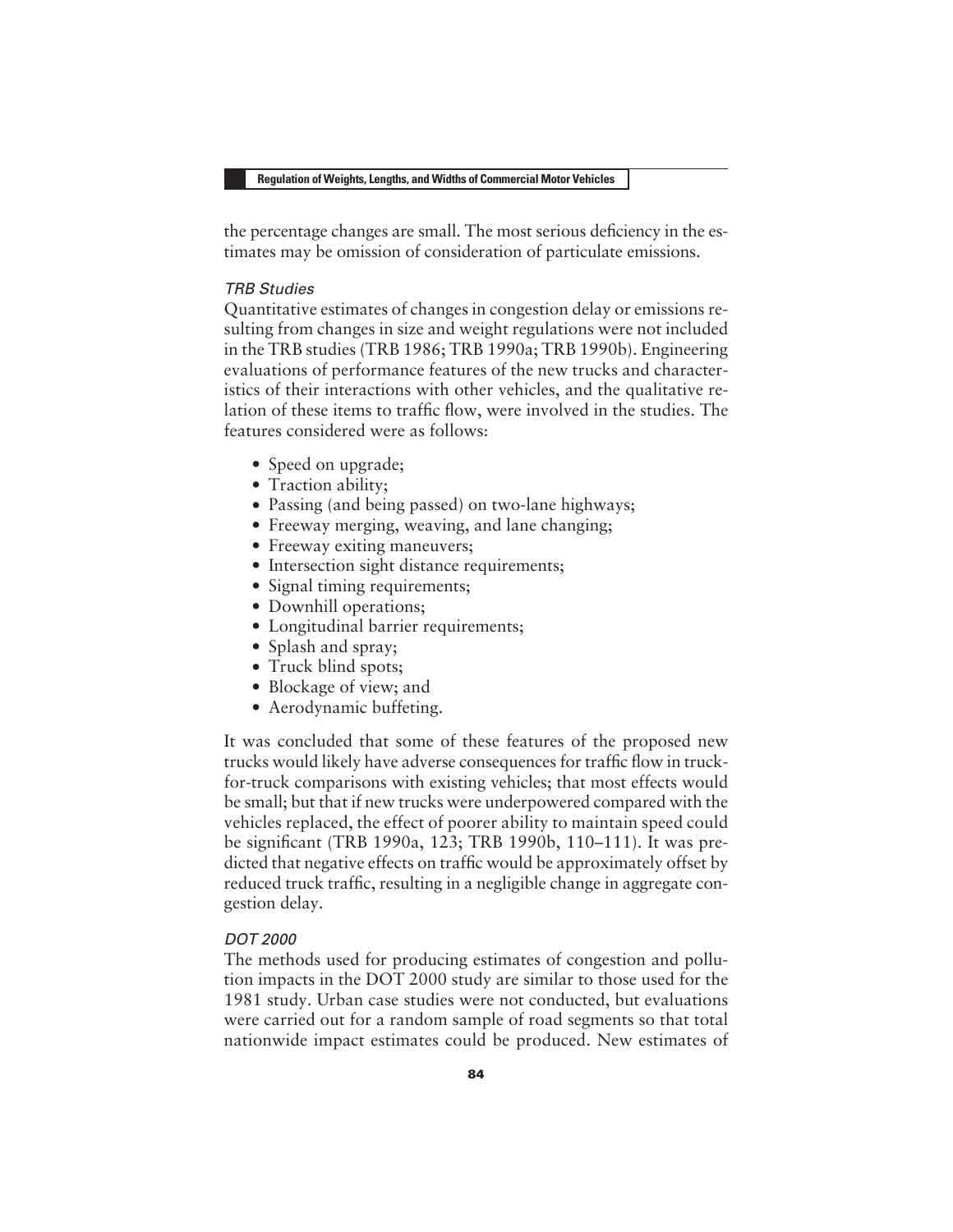the percentage changes are small. The most serious deficiency in the estimates may be omission of consideration of particulate emissions.

# TRB Studies

Quantitative estimates of changes in congestion delay or emissions resulting from changes in size and weight regulations were not included in the TRB studies (TRB 1986; TRB 1990a; TRB 1990b). Engineering evaluations of performance features of the new trucks and characteristics of their interactions with other vehicles, and the qualitative relation of these items to traffic flow, were involved in the studies. The features considered were as follows:

- Speed on upgrade;
- Traction ability;
- Passing (and being passed) on two-lane highways;
- Freeway merging, weaving, and lane changing;
- Freeway exiting maneuvers;
- Intersection sight distance requirements;
- Signal timing requirements;
- Downhill operations;
- Longitudinal barrier requirements;
- Splash and spray;
- Truck blind spots;
- Blockage of view; and
- Aerodynamic buffeting.

It was concluded that some of these features of the proposed new trucks would likely have adverse consequences for traffic flow in truckfor-truck comparisons with existing vehicles; that most effects would be small; but that if new trucks were underpowered compared with the vehicles replaced, the effect of poorer ability to maintain speed could be significant (TRB 1990a, 123; TRB 1990b, 110–111). It was predicted that negative effects on traffic would be approximately offset by reduced truck traffic, resulting in a negligible change in aggregate congestion delay.

## DOT 2000

The methods used for producing estimates of congestion and pollution impacts in the DOT 2000 study are similar to those used for the 1981 study. Urban case studies were not conducted, but evaluations were carried out for a random sample of road segments so that total nationwide impact estimates could be produced. New estimates of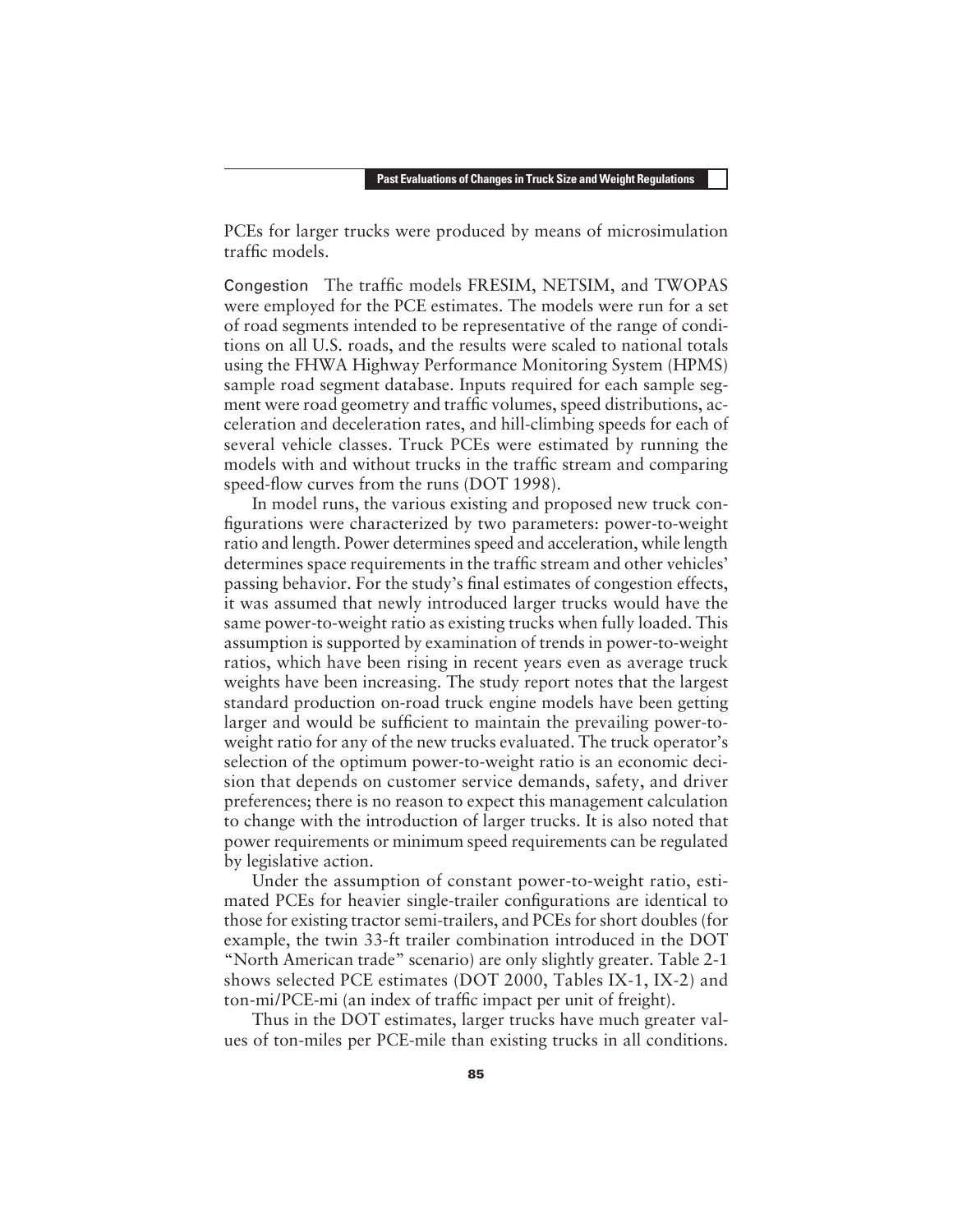PCEs for larger trucks were produced by means of microsimulation traffic models.

Congestion The traffic models FRESIM, NETSIM, and TWOPAS were employed for the PCE estimates. The models were run for a set of road segments intended to be representative of the range of conditions on all U.S. roads, and the results were scaled to national totals using the FHWA Highway Performance Monitoring System (HPMS) sample road segment database. Inputs required for each sample segment were road geometry and traffic volumes, speed distributions, acceleration and deceleration rates, and hill-climbing speeds for each of several vehicle classes. Truck PCEs were estimated by running the models with and without trucks in the traffic stream and comparing speed-flow curves from the runs (DOT 1998).

In model runs, the various existing and proposed new truck configurations were characterized by two parameters: power-to-weight ratio and length. Power determines speed and acceleration, while length determines space requirements in the traffic stream and other vehicles' passing behavior. For the study's final estimates of congestion effects, it was assumed that newly introduced larger trucks would have the same power-to-weight ratio as existing trucks when fully loaded. This assumption is supported by examination of trends in power-to-weight ratios, which have been rising in recent years even as average truck weights have been increasing. The study report notes that the largest standard production on-road truck engine models have been getting larger and would be sufficient to maintain the prevailing power-toweight ratio for any of the new trucks evaluated. The truck operator's selection of the optimum power-to-weight ratio is an economic decision that depends on customer service demands, safety, and driver preferences; there is no reason to expect this management calculation to change with the introduction of larger trucks. It is also noted that power requirements or minimum speed requirements can be regulated by legislative action.

Under the assumption of constant power-to-weight ratio, estimated PCEs for heavier single-trailer configurations are identical to those for existing tractor semi-trailers, and PCEs for short doubles (for example, the twin 33-ft trailer combination introduced in the DOT "North American trade" scenario) are only slightly greater. Table 2-1 shows selected PCE estimates (DOT 2000, Tables IX-1, IX-2) and ton-mi/PCE-mi (an index of traffic impact per unit of freight).

Thus in the DOT estimates, larger trucks have much greater values of ton-miles per PCE-mile than existing trucks in all conditions.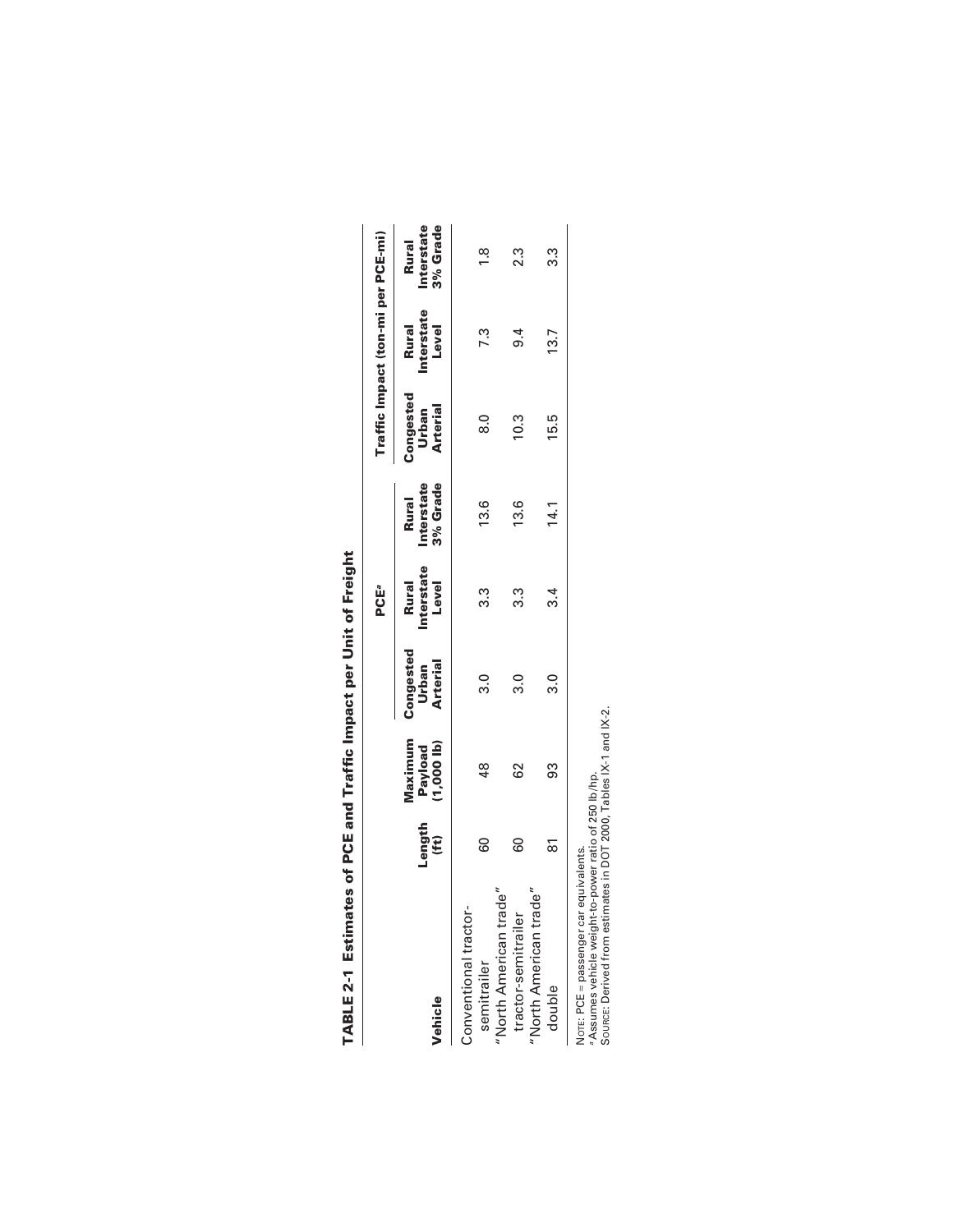|                                       |                             |                                 |                                       | <b>PCE</b>                          |                                 |                                | Traffic Impact (ton-mi per PCE-mi)  |                                        |
|---------------------------------------|-----------------------------|---------------------------------|---------------------------------------|-------------------------------------|---------------------------------|--------------------------------|-------------------------------------|----------------------------------------|
| Vehicle                               | Length<br>(f <sub>t</sub> ) | Maximum<br>Payload<br>(1,000lb) | Congested<br>Urban<br><b>Arterial</b> | <b>Interstate</b><br>Level<br>Rural | 3% Grade<br>Interstate<br>Rural | Congested<br>Arterial<br>Urban | Interstate<br>Rural<br><b>Level</b> | <b>Interstate</b><br>3% Grade<br>Rural |
| Conventional tractor-                 |                             |                                 |                                       |                                     |                                 |                                |                                     |                                        |
| "North American trade"<br>semitrailer | 8                           | $\frac{8}{3}$                   | 3.0                                   | ვ<br>ვ                              | 13.6                            | $\frac{0}{8}$                  | 7.3                                 | $\frac{8}{1}$                          |
| tractor-semitrailer                   | 80                          | 8                               | .<br>ನ                                | ვ.<br>თ                             | 13.6                            | 10.3                           | 9.4                                 | 2.3                                    |
| "North American trade"                |                             |                                 |                                       |                                     |                                 |                                |                                     |                                        |
| double                                | $\overline{\alpha}$         | 93                              | .<br>ನ                                | თ<br>ა                              | 14.1                            | 15.5                           | 13.7                                | လ္ပ                                    |
| Nore: PCE = passenger car equivalents |                             |                                 |                                       |                                     |                                 |                                |                                     |                                        |

| ĺ                |
|------------------|
|                  |
|                  |
| į                |
| まいい              |
|                  |
|                  |
| י<br>יוני ה<br>l |

Assumes vehicle weight-to-power ratio of 250 lb/hp.

«Assuri es vehicle weight-to-power ratio of 250 lb/hp.<br>«Assuri es vehicle weight-to-power ratio of 250 lb/hp.<br>Sounce: Derived from estimates in DOT 2000, Tables IX-1 and IX-2. SOURCE: Derived from estimates in DOT 2000, Tables IX-1 and IX-2.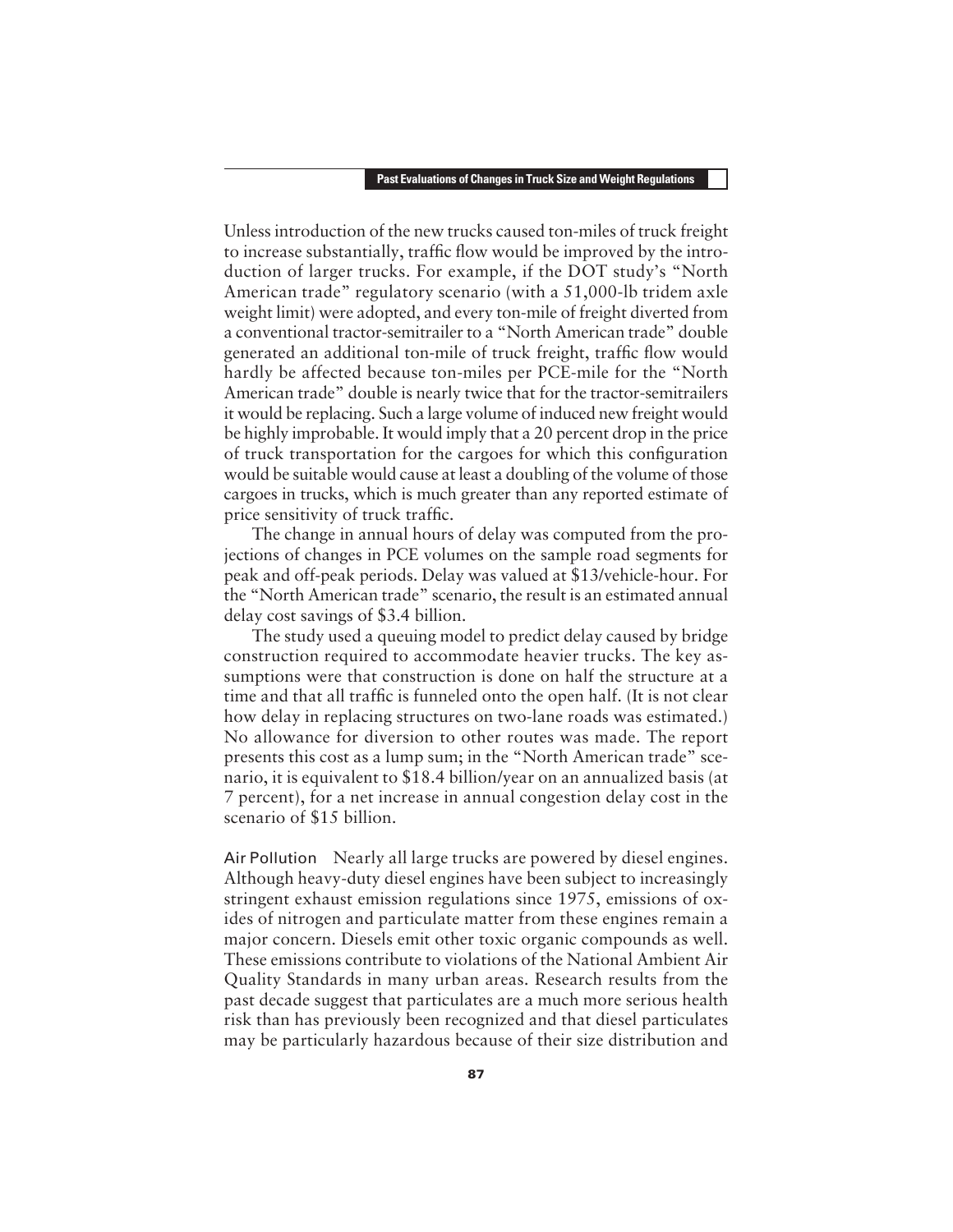Unless introduction of the new trucks caused ton-miles of truck freight to increase substantially, traffic flow would be improved by the introduction of larger trucks. For example, if the DOT study's "North American trade" regulatory scenario (with a 51,000-lb tridem axle weight limit) were adopted, and every ton-mile of freight diverted from a conventional tractor-semitrailer to a "North American trade" double generated an additional ton-mile of truck freight, traffic flow would hardly be affected because ton-miles per PCE-mile for the "North American trade" double is nearly twice that for the tractor-semitrailers it would be replacing. Such a large volume of induced new freight would be highly improbable. It would imply that a 20 percent drop in the price of truck transportation for the cargoes for which this configuration would be suitable would cause at least a doubling of the volume of those cargoes in trucks, which is much greater than any reported estimate of price sensitivity of truck traffic.

The change in annual hours of delay was computed from the projections of changes in PCE volumes on the sample road segments for peak and off-peak periods. Delay was valued at \$13/vehicle-hour. For the "North American trade" scenario, the result is an estimated annual delay cost savings of \$3.4 billion.

The study used a queuing model to predict delay caused by bridge construction required to accommodate heavier trucks. The key assumptions were that construction is done on half the structure at a time and that all traffic is funneled onto the open half. (It is not clear how delay in replacing structures on two-lane roads was estimated.) No allowance for diversion to other routes was made. The report presents this cost as a lump sum; in the "North American trade" scenario, it is equivalent to \$18.4 billion/year on an annualized basis (at 7 percent), for a net increase in annual congestion delay cost in the scenario of \$15 billion.

Air Pollution Nearly all large trucks are powered by diesel engines. Although heavy-duty diesel engines have been subject to increasingly stringent exhaust emission regulations since 1975, emissions of oxides of nitrogen and particulate matter from these engines remain a major concern. Diesels emit other toxic organic compounds as well. These emissions contribute to violations of the National Ambient Air Quality Standards in many urban areas. Research results from the past decade suggest that particulates are a much more serious health risk than has previously been recognized and that diesel particulates may be particularly hazardous because of their size distribution and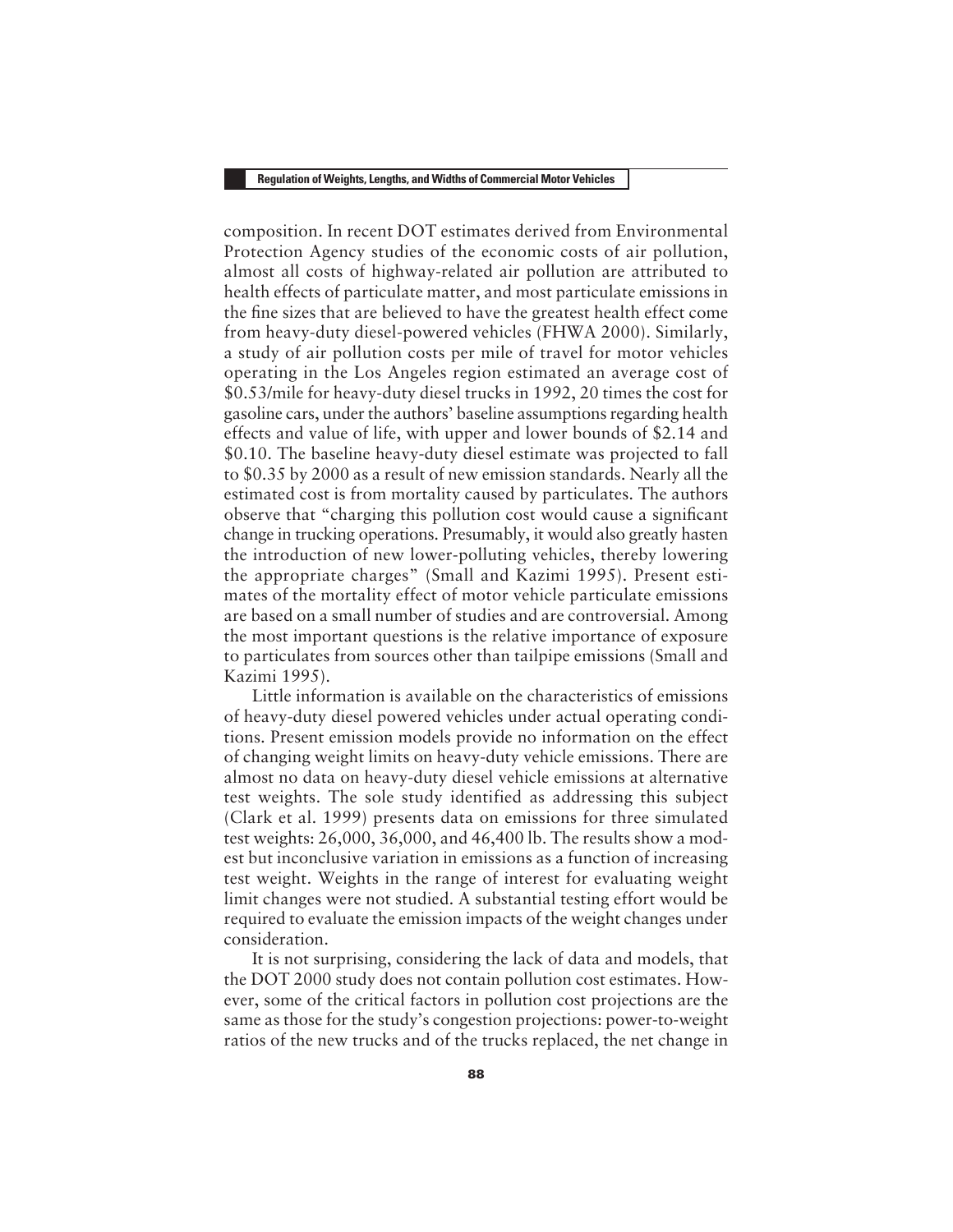composition. In recent DOT estimates derived from Environmental Protection Agency studies of the economic costs of air pollution, almost all costs of highway-related air pollution are attributed to health effects of particulate matter, and most particulate emissions in the fine sizes that are believed to have the greatest health effect come from heavy-duty diesel-powered vehicles (FHWA 2000). Similarly, a study of air pollution costs per mile of travel for motor vehicles operating in the Los Angeles region estimated an average cost of \$0.53/mile for heavy-duty diesel trucks in 1992, 20 times the cost for gasoline cars, under the authors' baseline assumptions regarding health effects and value of life, with upper and lower bounds of \$2.14 and \$0.10. The baseline heavy-duty diesel estimate was projected to fall to \$0.35 by 2000 as a result of new emission standards. Nearly all the estimated cost is from mortality caused by particulates. The authors observe that "charging this pollution cost would cause a significant change in trucking operations. Presumably, it would also greatly hasten the introduction of new lower-polluting vehicles, thereby lowering the appropriate charges" (Small and Kazimi 1995). Present estimates of the mortality effect of motor vehicle particulate emissions are based on a small number of studies and are controversial. Among the most important questions is the relative importance of exposure to particulates from sources other than tailpipe emissions (Small and Kazimi 1995).

Little information is available on the characteristics of emissions of heavy-duty diesel powered vehicles under actual operating conditions. Present emission models provide no information on the effect of changing weight limits on heavy-duty vehicle emissions. There are almost no data on heavy-duty diesel vehicle emissions at alternative test weights. The sole study identified as addressing this subject (Clark et al. 1999) presents data on emissions for three simulated test weights: 26,000, 36,000, and 46,400 lb. The results show a modest but inconclusive variation in emissions as a function of increasing test weight. Weights in the range of interest for evaluating weight limit changes were not studied. A substantial testing effort would be required to evaluate the emission impacts of the weight changes under consideration.

It is not surprising, considering the lack of data and models, that the DOT 2000 study does not contain pollution cost estimates. However, some of the critical factors in pollution cost projections are the same as those for the study's congestion projections: power-to-weight ratios of the new trucks and of the trucks replaced, the net change in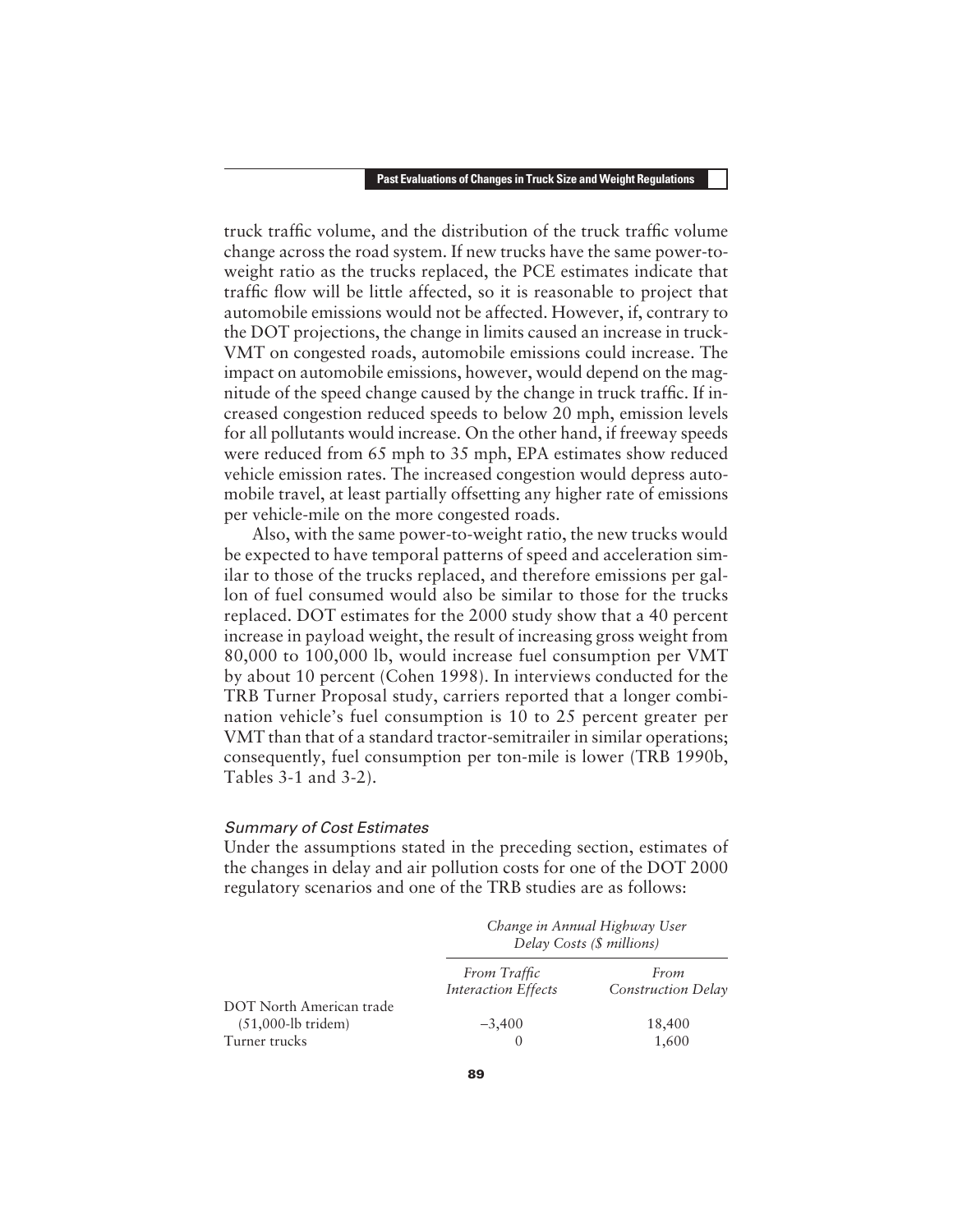truck traffic volume, and the distribution of the truck traffic volume change across the road system. If new trucks have the same power-toweight ratio as the trucks replaced, the PCE estimates indicate that traffic flow will be little affected, so it is reasonable to project that automobile emissions would not be affected. However, if, contrary to the DOT projections, the change in limits caused an increase in truck-VMT on congested roads, automobile emissions could increase. The impact on automobile emissions, however, would depend on the magnitude of the speed change caused by the change in truck traffic. If increased congestion reduced speeds to below 20 mph, emission levels for all pollutants would increase. On the other hand, if freeway speeds were reduced from 65 mph to 35 mph, EPA estimates show reduced vehicle emission rates. The increased congestion would depress automobile travel, at least partially offsetting any higher rate of emissions per vehicle-mile on the more congested roads.

Also, with the same power-to-weight ratio, the new trucks would be expected to have temporal patterns of speed and acceleration similar to those of the trucks replaced, and therefore emissions per gallon of fuel consumed would also be similar to those for the trucks replaced. DOT estimates for the 2000 study show that a 40 percent increase in payload weight, the result of increasing gross weight from 80,000 to 100,000 lb, would increase fuel consumption per VMT by about 10 percent (Cohen 1998). In interviews conducted for the TRB Turner Proposal study, carriers reported that a longer combination vehicle's fuel consumption is 10 to 25 percent greater per VMT than that of a standard tractor-semitrailer in similar operations; consequently, fuel consumption per ton-mile is lower (TRB 1990b, Tables 3-1 and 3-2).

#### Summary of Cost Estimates

Under the assumptions stated in the preceding section, estimates of the changes in delay and air pollution costs for one of the DOT 2000 regulatory scenarios and one of the TRB studies are as follows:

|                                            | Change in Annual Highway User<br>Delay Costs (\$ millions) |
|--------------------------------------------|------------------------------------------------------------|
| From Traffic<br><b>Interaction Effects</b> | From<br>Construction Delay                                 |
|                                            |                                                            |
| $-3,400$                                   | 18,400                                                     |
|                                            | 1,600                                                      |
|                                            |                                                            |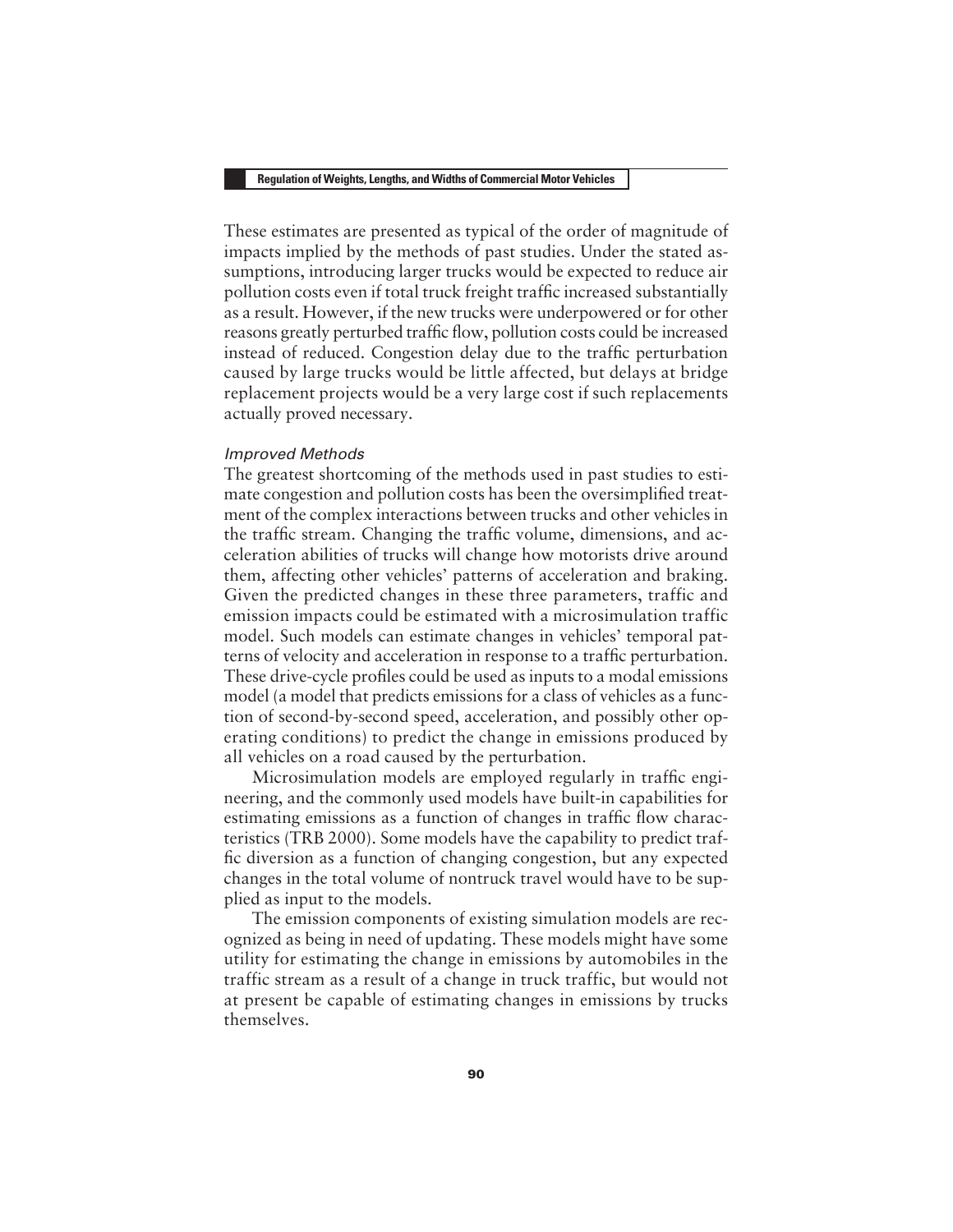These estimates are presented as typical of the order of magnitude of impacts implied by the methods of past studies. Under the stated assumptions, introducing larger trucks would be expected to reduce air pollution costs even if total truck freight traffic increased substantially as a result. However, if the new trucks were underpowered or for other reasons greatly perturbed traffic flow, pollution costs could be increased instead of reduced. Congestion delay due to the traffic perturbation caused by large trucks would be little affected, but delays at bridge replacement projects would be a very large cost if such replacements actually proved necessary.

## Improved Methods

The greatest shortcoming of the methods used in past studies to estimate congestion and pollution costs has been the oversimplified treatment of the complex interactions between trucks and other vehicles in the traffic stream. Changing the traffic volume, dimensions, and acceleration abilities of trucks will change how motorists drive around them, affecting other vehicles' patterns of acceleration and braking. Given the predicted changes in these three parameters, traffic and emission impacts could be estimated with a microsimulation traffic model. Such models can estimate changes in vehicles' temporal patterns of velocity and acceleration in response to a traffic perturbation. These drive-cycle profiles could be used as inputs to a modal emissions model (a model that predicts emissions for a class of vehicles as a function of second-by-second speed, acceleration, and possibly other operating conditions) to predict the change in emissions produced by all vehicles on a road caused by the perturbation.

Microsimulation models are employed regularly in traffic engineering, and the commonly used models have built-in capabilities for estimating emissions as a function of changes in traffic flow characteristics (TRB 2000). Some models have the capability to predict traffic diversion as a function of changing congestion, but any expected changes in the total volume of nontruck travel would have to be supplied as input to the models.

The emission components of existing simulation models are recognized as being in need of updating. These models might have some utility for estimating the change in emissions by automobiles in the traffic stream as a result of a change in truck traffic, but would not at present be capable of estimating changes in emissions by trucks themselves.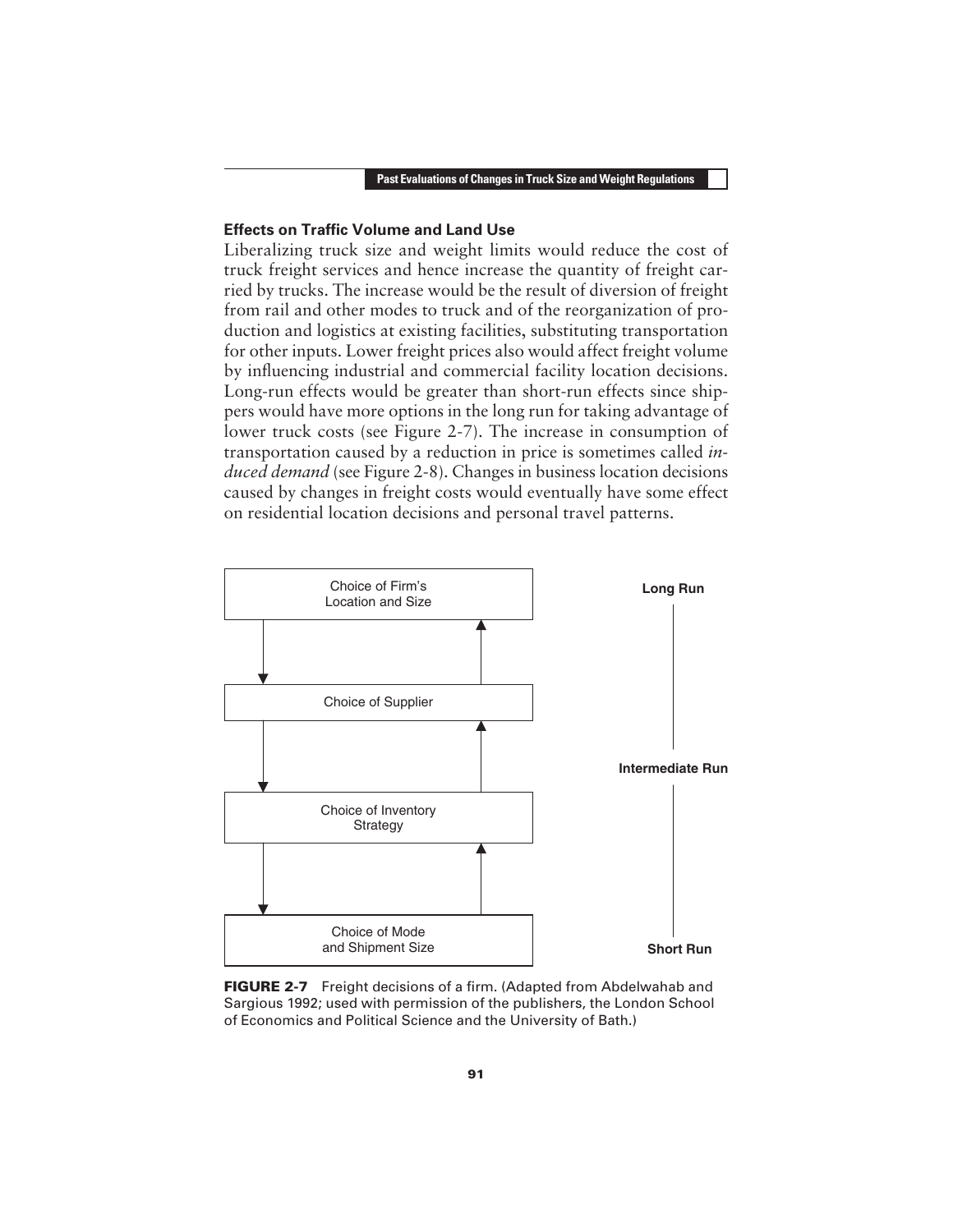#### **Effects on Traffic Volume and Land Use**

Liberalizing truck size and weight limits would reduce the cost of truck freight services and hence increase the quantity of freight carried by trucks. The increase would be the result of diversion of freight from rail and other modes to truck and of the reorganization of production and logistics at existing facilities, substituting transportation for other inputs. Lower freight prices also would affect freight volume by influencing industrial and commercial facility location decisions. Long-run effects would be greater than short-run effects since shippers would have more options in the long run for taking advantage of lower truck costs (see Figure 2-7). The increase in consumption of transportation caused by a reduction in price is sometimes called *induced demand* (see Figure 2-8). Changes in business location decisions caused by changes in freight costs would eventually have some effect on residential location decisions and personal travel patterns.



**FIGURE 2-7** Freight decisions of a firm. (Adapted from Abdelwahab and Sargious 1992; used with permission of the publishers, the London School of Economics and Political Science and the University of Bath.)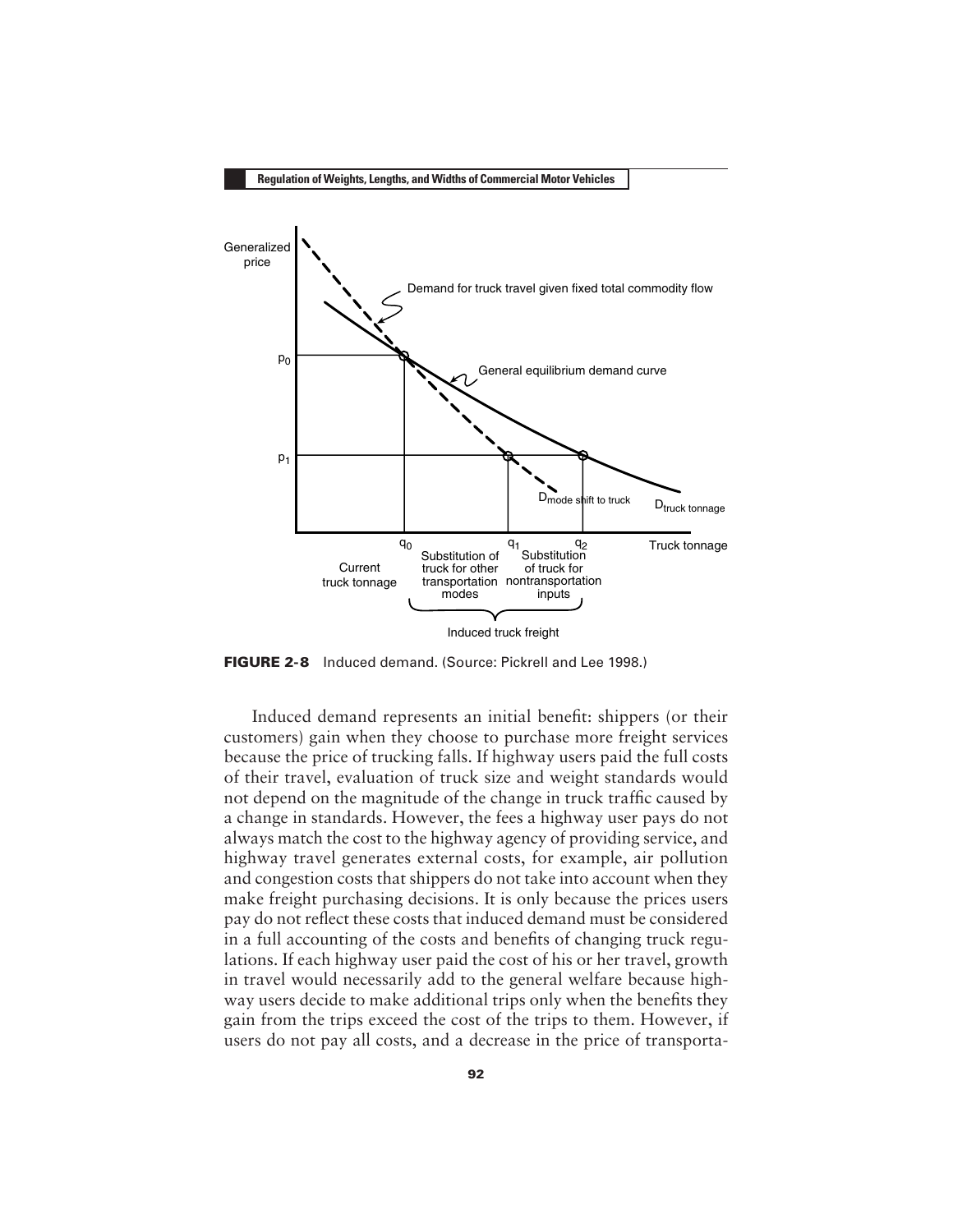

**FIGURE 2-8** Induced demand. (Source: Pickrell and Lee 1998.)

Induced demand represents an initial benefit: shippers (or their customers) gain when they choose to purchase more freight services because the price of trucking falls. If highway users paid the full costs of their travel, evaluation of truck size and weight standards would not depend on the magnitude of the change in truck traffic caused by a change in standards. However, the fees a highway user pays do not always match the cost to the highway agency of providing service, and highway travel generates external costs, for example, air pollution and congestion costs that shippers do not take into account when they make freight purchasing decisions. It is only because the prices users pay do not reflect these costs that induced demand must be considered in a full accounting of the costs and benefits of changing truck regulations. If each highway user paid the cost of his or her travel, growth in travel would necessarily add to the general welfare because highway users decide to make additional trips only when the benefits they gain from the trips exceed the cost of the trips to them. However, if users do not pay all costs, and a decrease in the price of transporta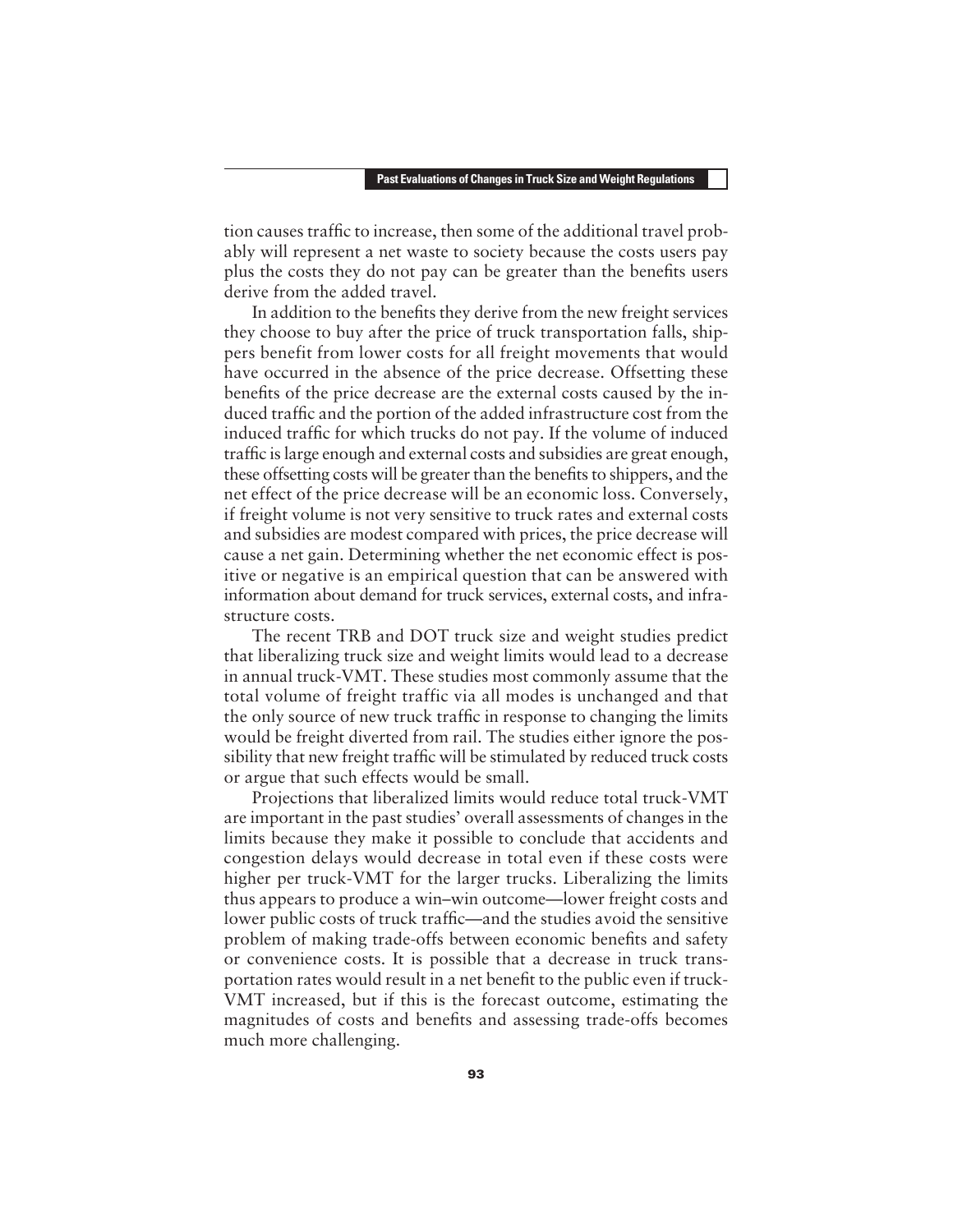tion causes traffic to increase, then some of the additional travel probably will represent a net waste to society because the costs users pay plus the costs they do not pay can be greater than the benefits users derive from the added travel.

In addition to the benefits they derive from the new freight services they choose to buy after the price of truck transportation falls, shippers benefit from lower costs for all freight movements that would have occurred in the absence of the price decrease. Offsetting these benefits of the price decrease are the external costs caused by the induced traffic and the portion of the added infrastructure cost from the induced traffic for which trucks do not pay. If the volume of induced traffic is large enough and external costs and subsidies are great enough, these offsetting costs will be greater than the benefits to shippers, and the net effect of the price decrease will be an economic loss. Conversely, if freight volume is not very sensitive to truck rates and external costs and subsidies are modest compared with prices, the price decrease will cause a net gain. Determining whether the net economic effect is positive or negative is an empirical question that can be answered with information about demand for truck services, external costs, and infrastructure costs.

The recent TRB and DOT truck size and weight studies predict that liberalizing truck size and weight limits would lead to a decrease in annual truck-VMT. These studies most commonly assume that the total volume of freight traffic via all modes is unchanged and that the only source of new truck traffic in response to changing the limits would be freight diverted from rail. The studies either ignore the possibility that new freight traffic will be stimulated by reduced truck costs or argue that such effects would be small.

Projections that liberalized limits would reduce total truck-VMT are important in the past studies' overall assessments of changes in the limits because they make it possible to conclude that accidents and congestion delays would decrease in total even if these costs were higher per truck-VMT for the larger trucks. Liberalizing the limits thus appears to produce a win–win outcome—lower freight costs and lower public costs of truck traffic—and the studies avoid the sensitive problem of making trade-offs between economic benefits and safety or convenience costs. It is possible that a decrease in truck transportation rates would result in a net benefit to the public even if truck-VMT increased, but if this is the forecast outcome, estimating the magnitudes of costs and benefits and assessing trade-offs becomes much more challenging.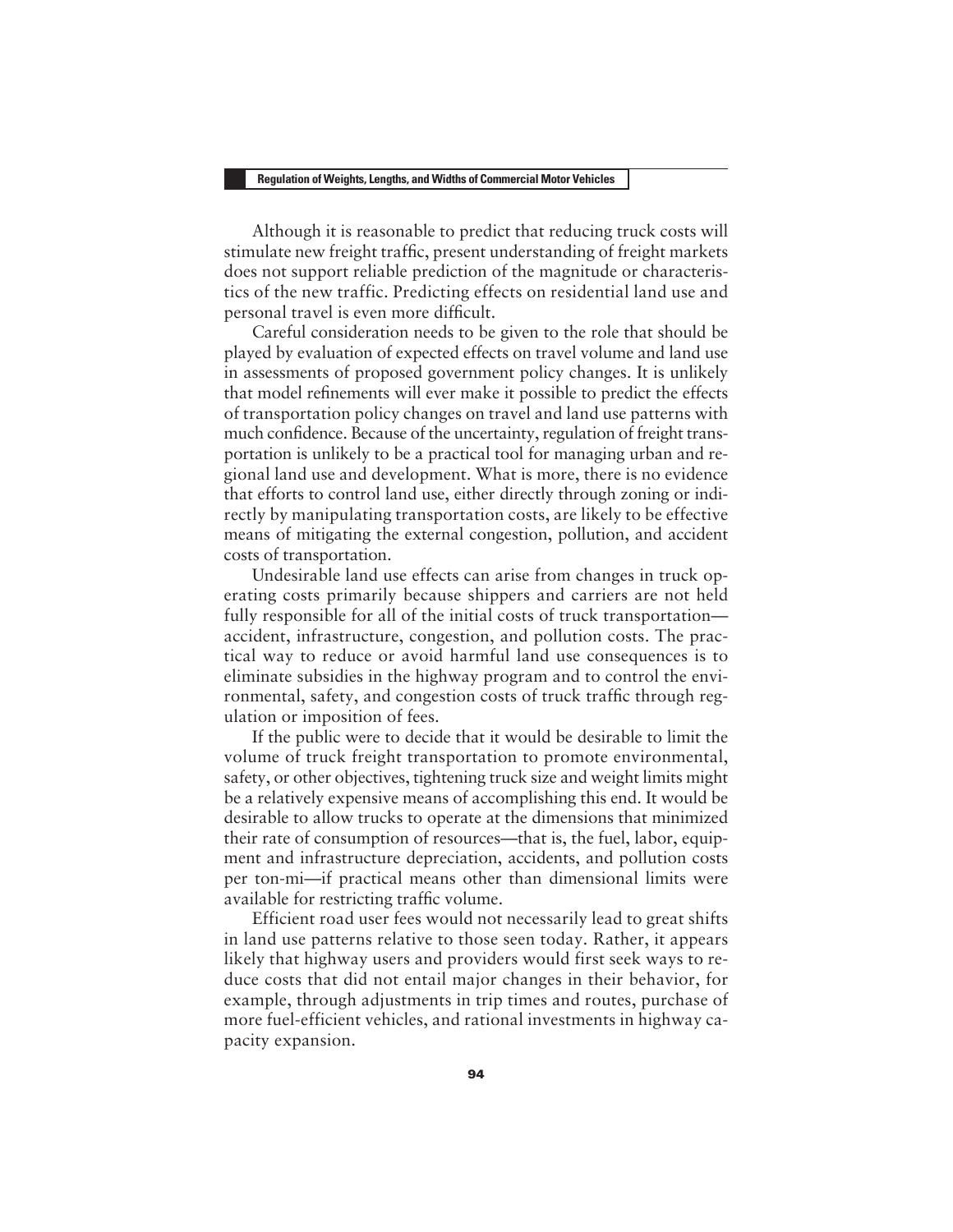Although it is reasonable to predict that reducing truck costs will stimulate new freight traffic, present understanding of freight markets does not support reliable prediction of the magnitude or characteristics of the new traffic. Predicting effects on residential land use and personal travel is even more difficult.

Careful consideration needs to be given to the role that should be played by evaluation of expected effects on travel volume and land use in assessments of proposed government policy changes. It is unlikely that model refinements will ever make it possible to predict the effects of transportation policy changes on travel and land use patterns with much confidence. Because of the uncertainty, regulation of freight transportation is unlikely to be a practical tool for managing urban and regional land use and development. What is more, there is no evidence that efforts to control land use, either directly through zoning or indirectly by manipulating transportation costs, are likely to be effective means of mitigating the external congestion, pollution, and accident costs of transportation.

Undesirable land use effects can arise from changes in truck operating costs primarily because shippers and carriers are not held fully responsible for all of the initial costs of truck transportation accident, infrastructure, congestion, and pollution costs. The practical way to reduce or avoid harmful land use consequences is to eliminate subsidies in the highway program and to control the environmental, safety, and congestion costs of truck traffic through regulation or imposition of fees.

If the public were to decide that it would be desirable to limit the volume of truck freight transportation to promote environmental, safety, or other objectives, tightening truck size and weight limits might be a relatively expensive means of accomplishing this end. It would be desirable to allow trucks to operate at the dimensions that minimized their rate of consumption of resources—that is, the fuel, labor, equipment and infrastructure depreciation, accidents, and pollution costs per ton-mi—if practical means other than dimensional limits were available for restricting traffic volume.

Efficient road user fees would not necessarily lead to great shifts in land use patterns relative to those seen today. Rather, it appears likely that highway users and providers would first seek ways to reduce costs that did not entail major changes in their behavior, for example, through adjustments in trip times and routes, purchase of more fuel-efficient vehicles, and rational investments in highway capacity expansion.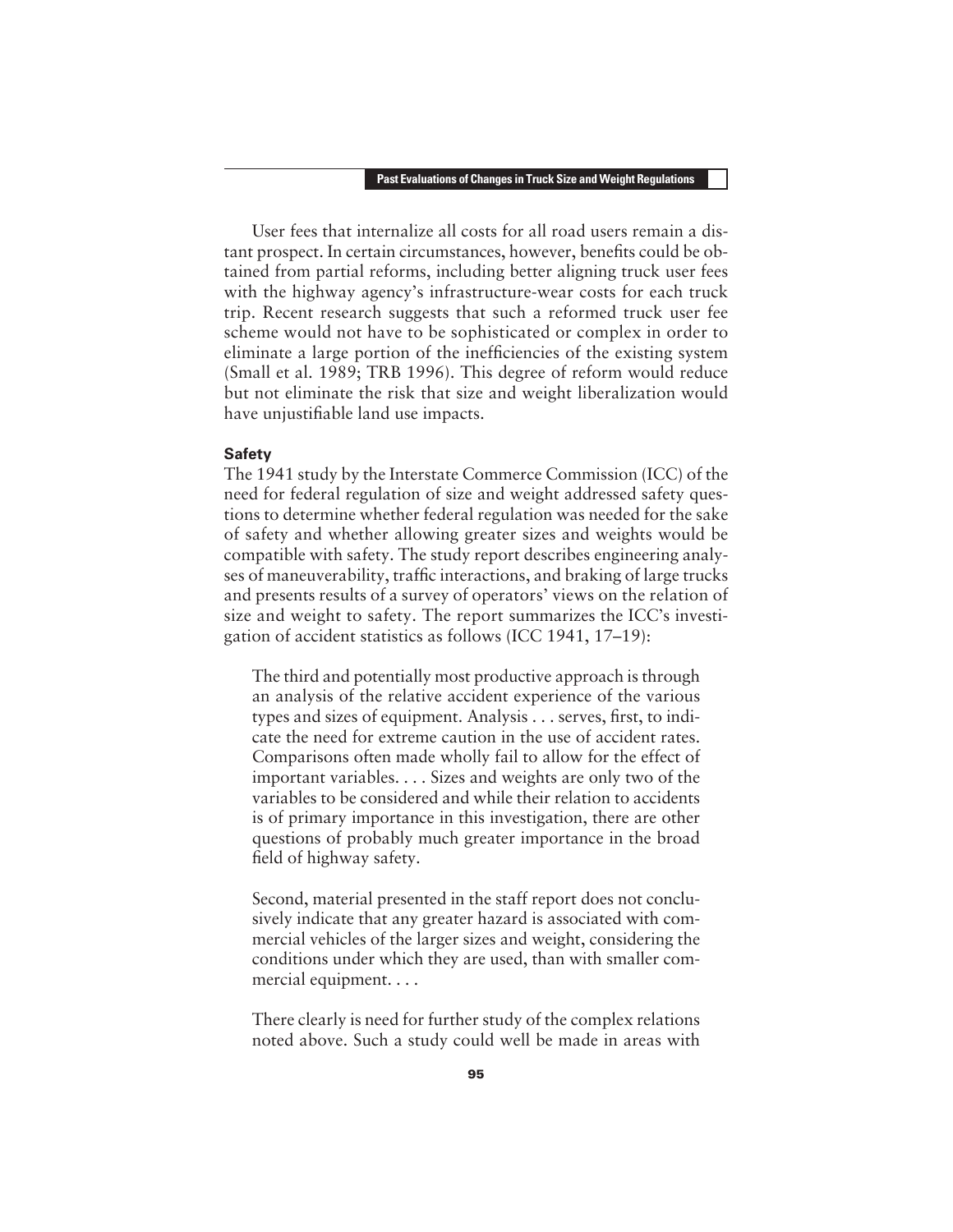User fees that internalize all costs for all road users remain a distant prospect. In certain circumstances, however, benefits could be obtained from partial reforms, including better aligning truck user fees with the highway agency's infrastructure-wear costs for each truck trip. Recent research suggests that such a reformed truck user fee scheme would not have to be sophisticated or complex in order to eliminate a large portion of the inefficiencies of the existing system (Small et al. 1989; TRB 1996). This degree of reform would reduce but not eliminate the risk that size and weight liberalization would have unjustifiable land use impacts.

## **Safety**

The 1941 study by the Interstate Commerce Commission (ICC) of the need for federal regulation of size and weight addressed safety questions to determine whether federal regulation was needed for the sake of safety and whether allowing greater sizes and weights would be compatible with safety. The study report describes engineering analyses of maneuverability, traffic interactions, and braking of large trucks and presents results of a survey of operators' views on the relation of size and weight to safety. The report summarizes the ICC's investigation of accident statistics as follows (ICC 1941, 17–19):

The third and potentially most productive approach is through an analysis of the relative accident experience of the various types and sizes of equipment. Analysis . . . serves, first, to indicate the need for extreme caution in the use of accident rates. Comparisons often made wholly fail to allow for the effect of important variables. . . . Sizes and weights are only two of the variables to be considered and while their relation to accidents is of primary importance in this investigation, there are other questions of probably much greater importance in the broad field of highway safety.

Second, material presented in the staff report does not conclusively indicate that any greater hazard is associated with commercial vehicles of the larger sizes and weight, considering the conditions under which they are used, than with smaller commercial equipment. . . .

There clearly is need for further study of the complex relations noted above. Such a study could well be made in areas with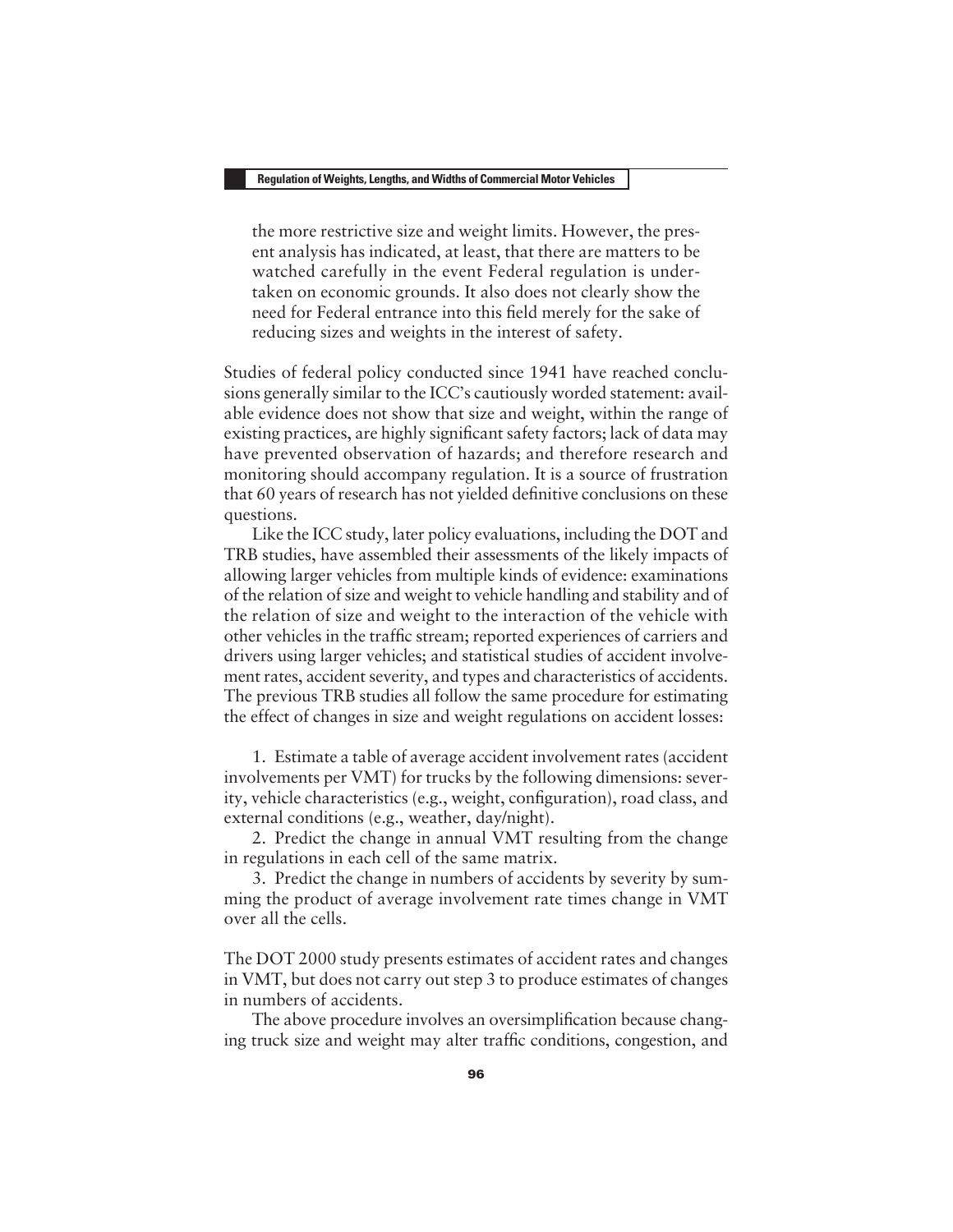the more restrictive size and weight limits. However, the present analysis has indicated, at least, that there are matters to be watched carefully in the event Federal regulation is undertaken on economic grounds. It also does not clearly show the need for Federal entrance into this field merely for the sake of reducing sizes and weights in the interest of safety.

Studies of federal policy conducted since 1941 have reached conclusions generally similar to the ICC's cautiously worded statement: available evidence does not show that size and weight, within the range of existing practices, are highly significant safety factors; lack of data may have prevented observation of hazards; and therefore research and monitoring should accompany regulation. It is a source of frustration that 60 years of research has not yielded definitive conclusions on these questions.

Like the ICC study, later policy evaluations, including the DOT and TRB studies, have assembled their assessments of the likely impacts of allowing larger vehicles from multiple kinds of evidence: examinations of the relation of size and weight to vehicle handling and stability and of the relation of size and weight to the interaction of the vehicle with other vehicles in the traffic stream; reported experiences of carriers and drivers using larger vehicles; and statistical studies of accident involvement rates, accident severity, and types and characteristics of accidents. The previous TRB studies all follow the same procedure for estimating the effect of changes in size and weight regulations on accident losses:

1. Estimate a table of average accident involvement rates (accident involvements per VMT) for trucks by the following dimensions: severity, vehicle characteristics (e.g., weight, configuration), road class, and external conditions (e.g., weather, day/night).

2. Predict the change in annual VMT resulting from the change in regulations in each cell of the same matrix.

3. Predict the change in numbers of accidents by severity by summing the product of average involvement rate times change in VMT over all the cells.

The DOT 2000 study presents estimates of accident rates and changes in VMT, but does not carry out step 3 to produce estimates of changes in numbers of accidents.

The above procedure involves an oversimplification because changing truck size and weight may alter traffic conditions, congestion, and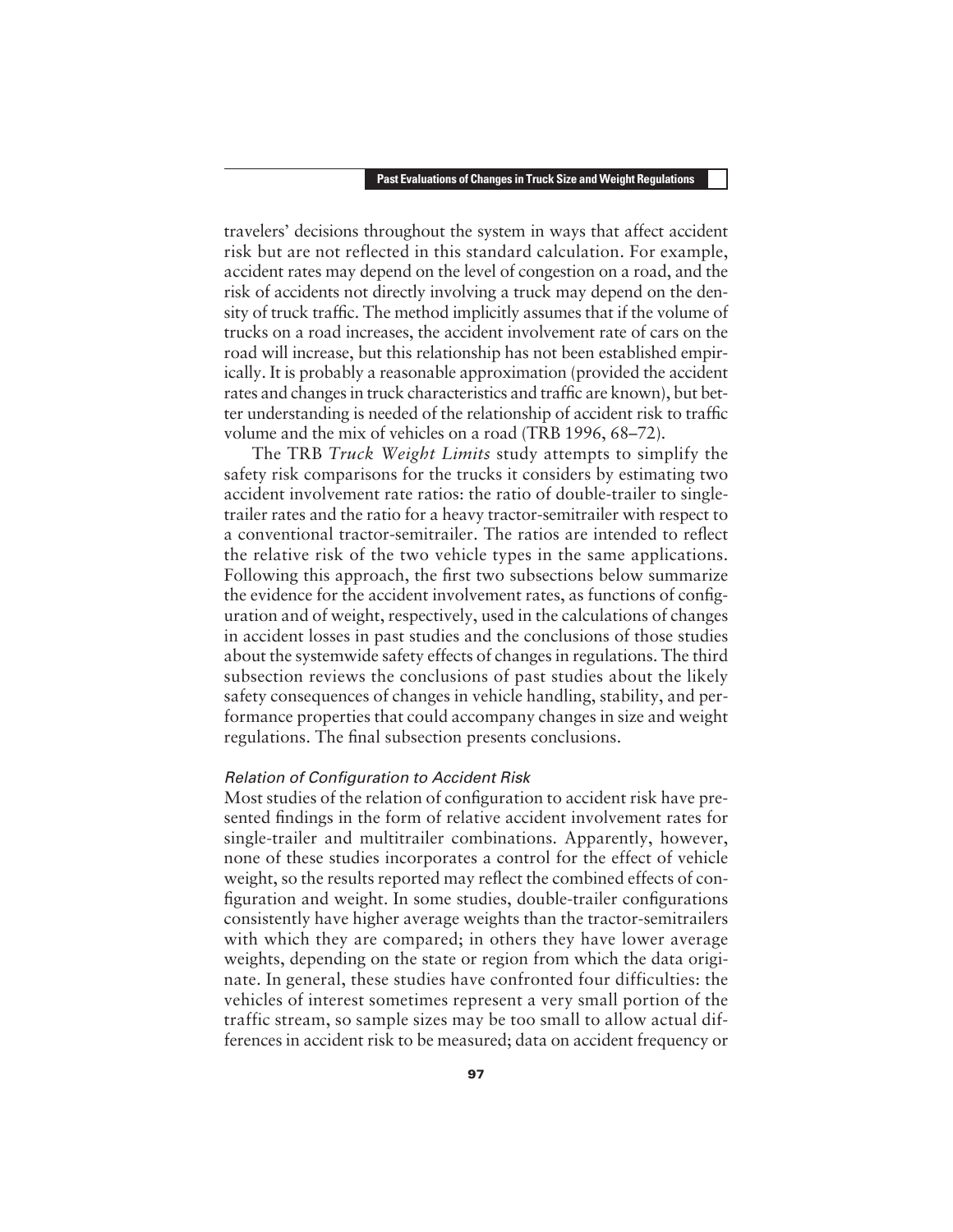travelers' decisions throughout the system in ways that affect accident risk but are not reflected in this standard calculation. For example, accident rates may depend on the level of congestion on a road, and the risk of accidents not directly involving a truck may depend on the density of truck traffic. The method implicitly assumes that if the volume of trucks on a road increases, the accident involvement rate of cars on the road will increase, but this relationship has not been established empirically. It is probably a reasonable approximation (provided the accident rates and changes in truck characteristics and traffic are known), but better understanding is needed of the relationship of accident risk to traffic volume and the mix of vehicles on a road (TRB 1996, 68–72).

The TRB *Truck Weight Limits* study attempts to simplify the safety risk comparisons for the trucks it considers by estimating two accident involvement rate ratios: the ratio of double-trailer to singletrailer rates and the ratio for a heavy tractor-semitrailer with respect to a conventional tractor-semitrailer. The ratios are intended to reflect the relative risk of the two vehicle types in the same applications. Following this approach, the first two subsections below summarize the evidence for the accident involvement rates, as functions of configuration and of weight, respectively, used in the calculations of changes in accident losses in past studies and the conclusions of those studies about the systemwide safety effects of changes in regulations. The third subsection reviews the conclusions of past studies about the likely safety consequences of changes in vehicle handling, stability, and performance properties that could accompany changes in size and weight regulations. The final subsection presents conclusions.

### Relation of Configuration to Accident Risk

Most studies of the relation of configuration to accident risk have presented findings in the form of relative accident involvement rates for single-trailer and multitrailer combinations. Apparently, however, none of these studies incorporates a control for the effect of vehicle weight, so the results reported may reflect the combined effects of configuration and weight. In some studies, double-trailer configurations consistently have higher average weights than the tractor-semitrailers with which they are compared; in others they have lower average weights, depending on the state or region from which the data originate. In general, these studies have confronted four difficulties: the vehicles of interest sometimes represent a very small portion of the traffic stream, so sample sizes may be too small to allow actual differences in accident risk to be measured; data on accident frequency or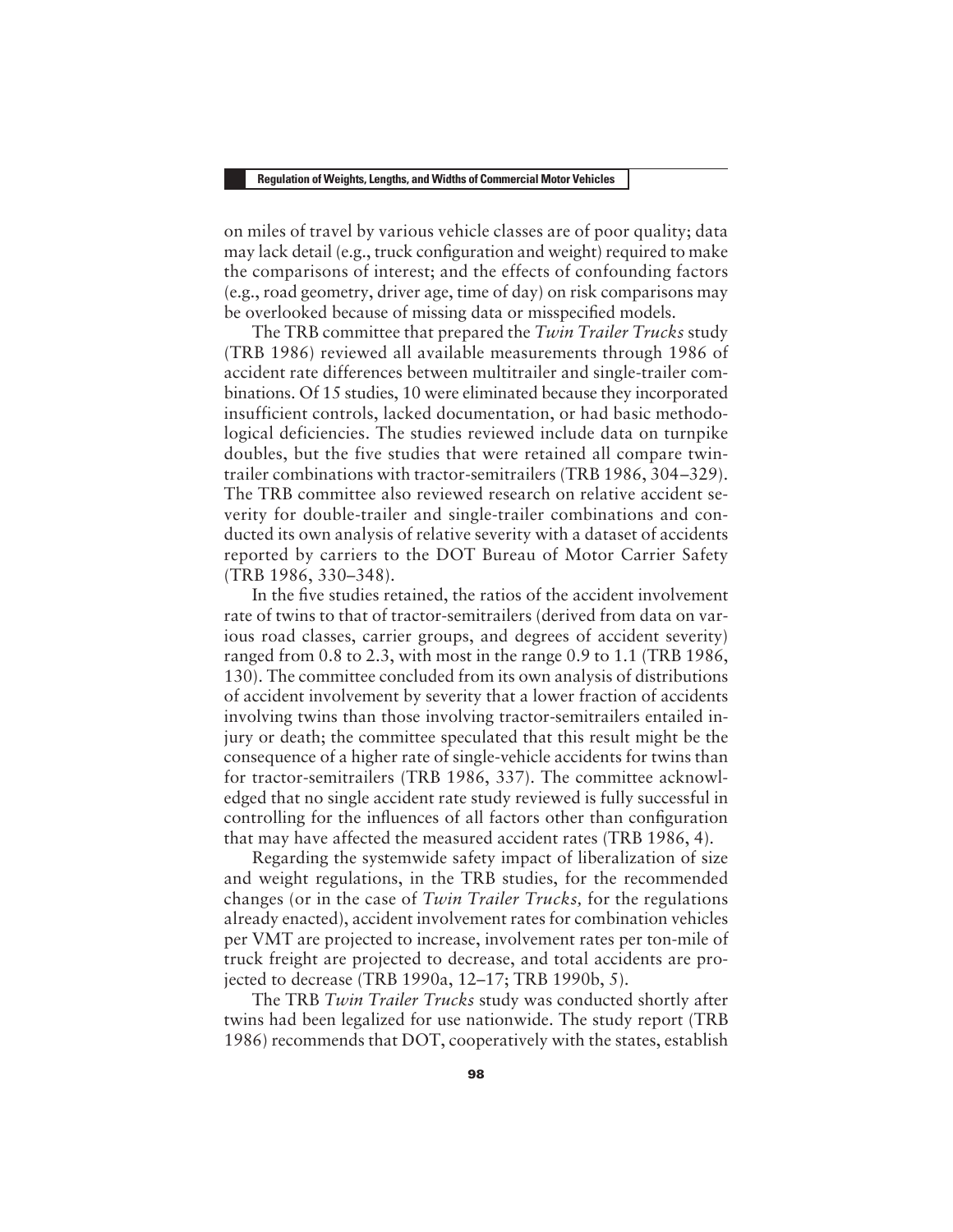on miles of travel by various vehicle classes are of poor quality; data may lack detail (e.g., truck configuration and weight) required to make the comparisons of interest; and the effects of confounding factors (e.g., road geometry, driver age, time of day) on risk comparisons may be overlooked because of missing data or misspecified models.

The TRB committee that prepared the *Twin Trailer Trucks* study (TRB 1986) reviewed all available measurements through 1986 of accident rate differences between multitrailer and single-trailer combinations. Of 15 studies, 10 were eliminated because they incorporated insufficient controls, lacked documentation, or had basic methodological deficiencies. The studies reviewed include data on turnpike doubles, but the five studies that were retained all compare twintrailer combinations with tractor-semitrailers (TRB 1986, 304–329). The TRB committee also reviewed research on relative accident severity for double-trailer and single-trailer combinations and conducted its own analysis of relative severity with a dataset of accidents reported by carriers to the DOT Bureau of Motor Carrier Safety (TRB 1986, 330–348).

In the five studies retained, the ratios of the accident involvement rate of twins to that of tractor-semitrailers (derived from data on various road classes, carrier groups, and degrees of accident severity) ranged from 0.8 to 2.3, with most in the range 0.9 to 1.1 (TRB 1986, 130). The committee concluded from its own analysis of distributions of accident involvement by severity that a lower fraction of accidents involving twins than those involving tractor-semitrailers entailed injury or death; the committee speculated that this result might be the consequence of a higher rate of single-vehicle accidents for twins than for tractor-semitrailers (TRB 1986, 337). The committee acknowledged that no single accident rate study reviewed is fully successful in controlling for the influences of all factors other than configuration that may have affected the measured accident rates (TRB 1986, 4).

Regarding the systemwide safety impact of liberalization of size and weight regulations, in the TRB studies, for the recommended changes (or in the case of *Twin Trailer Trucks,* for the regulations already enacted), accident involvement rates for combination vehicles per VMT are projected to increase, involvement rates per ton-mile of truck freight are projected to decrease, and total accidents are projected to decrease (TRB 1990a, 12–17; TRB 1990b, 5).

The TRB *Twin Trailer Trucks* study was conducted shortly after twins had been legalized for use nationwide. The study report (TRB 1986) recommends that DOT, cooperatively with the states, establish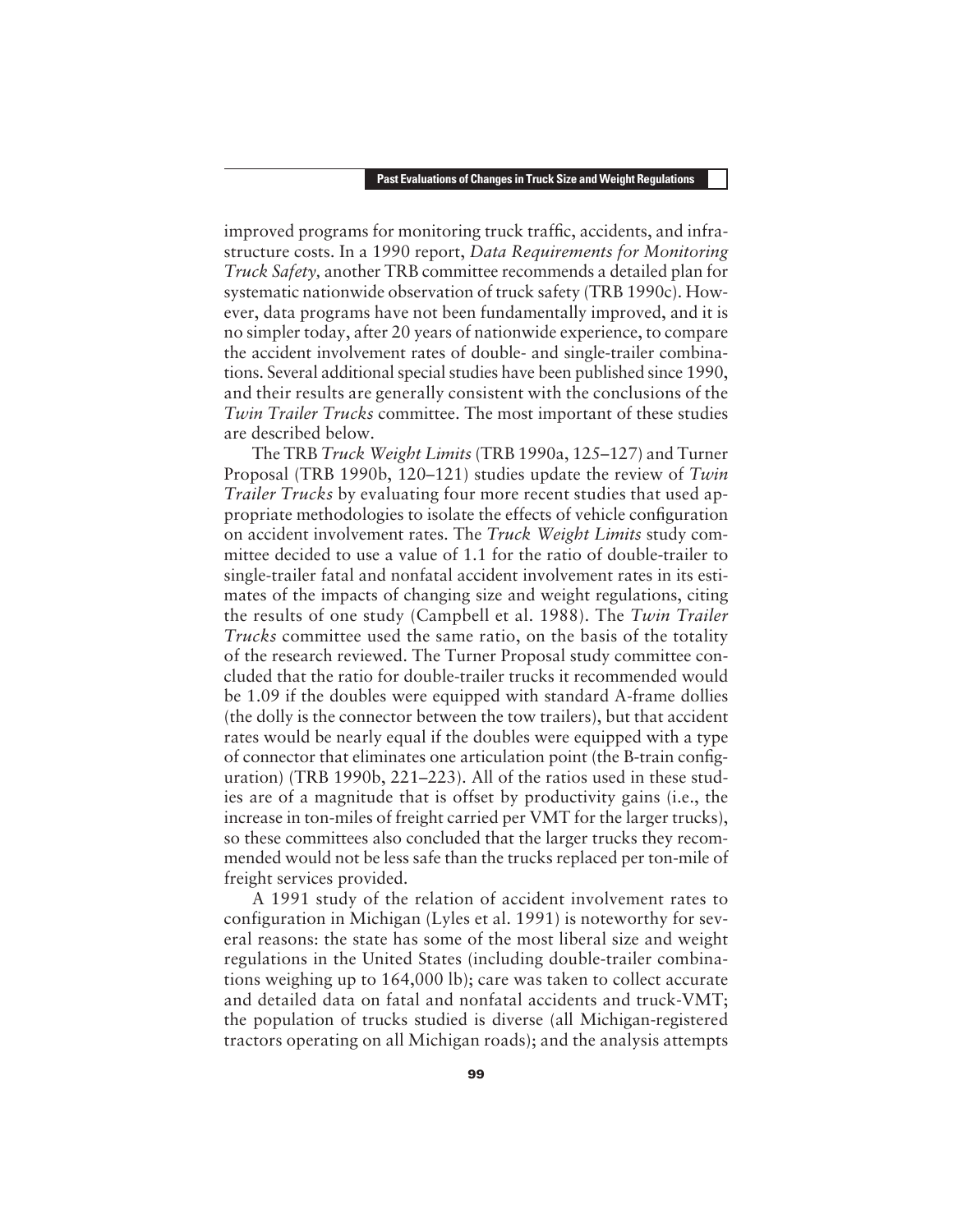improved programs for monitoring truck traffic, accidents, and infrastructure costs. In a 1990 report, *Data Requirements for Monitoring Truck Safety,* another TRB committee recommends a detailed plan for systematic nationwide observation of truck safety (TRB 1990c). However, data programs have not been fundamentally improved, and it is no simpler today, after 20 years of nationwide experience, to compare the accident involvement rates of double- and single-trailer combinations. Several additional special studies have been published since 1990, and their results are generally consistent with the conclusions of the *Twin Trailer Trucks* committee. The most important of these studies are described below.

The TRB *Truck Weight Limits* (TRB 1990a, 125–127) and Turner Proposal (TRB 1990b, 120–121) studies update the review of *Twin Trailer Trucks* by evaluating four more recent studies that used appropriate methodologies to isolate the effects of vehicle configuration on accident involvement rates. The *Truck Weight Limits* study committee decided to use a value of 1.1 for the ratio of double-trailer to single-trailer fatal and nonfatal accident involvement rates in its estimates of the impacts of changing size and weight regulations, citing the results of one study (Campbell et al. 1988). The *Twin Trailer Trucks* committee used the same ratio, on the basis of the totality of the research reviewed. The Turner Proposal study committee concluded that the ratio for double-trailer trucks it recommended would be 1.09 if the doubles were equipped with standard A-frame dollies (the dolly is the connector between the tow trailers), but that accident rates would be nearly equal if the doubles were equipped with a type of connector that eliminates one articulation point (the B-train configuration) (TRB 1990b, 221–223). All of the ratios used in these studies are of a magnitude that is offset by productivity gains (i.e., the increase in ton-miles of freight carried per VMT for the larger trucks), so these committees also concluded that the larger trucks they recommended would not be less safe than the trucks replaced per ton-mile of freight services provided.

A 1991 study of the relation of accident involvement rates to configuration in Michigan (Lyles et al. 1991) is noteworthy for several reasons: the state has some of the most liberal size and weight regulations in the United States (including double-trailer combinations weighing up to 164,000 lb); care was taken to collect accurate and detailed data on fatal and nonfatal accidents and truck-VMT; the population of trucks studied is diverse (all Michigan-registered tractors operating on all Michigan roads); and the analysis attempts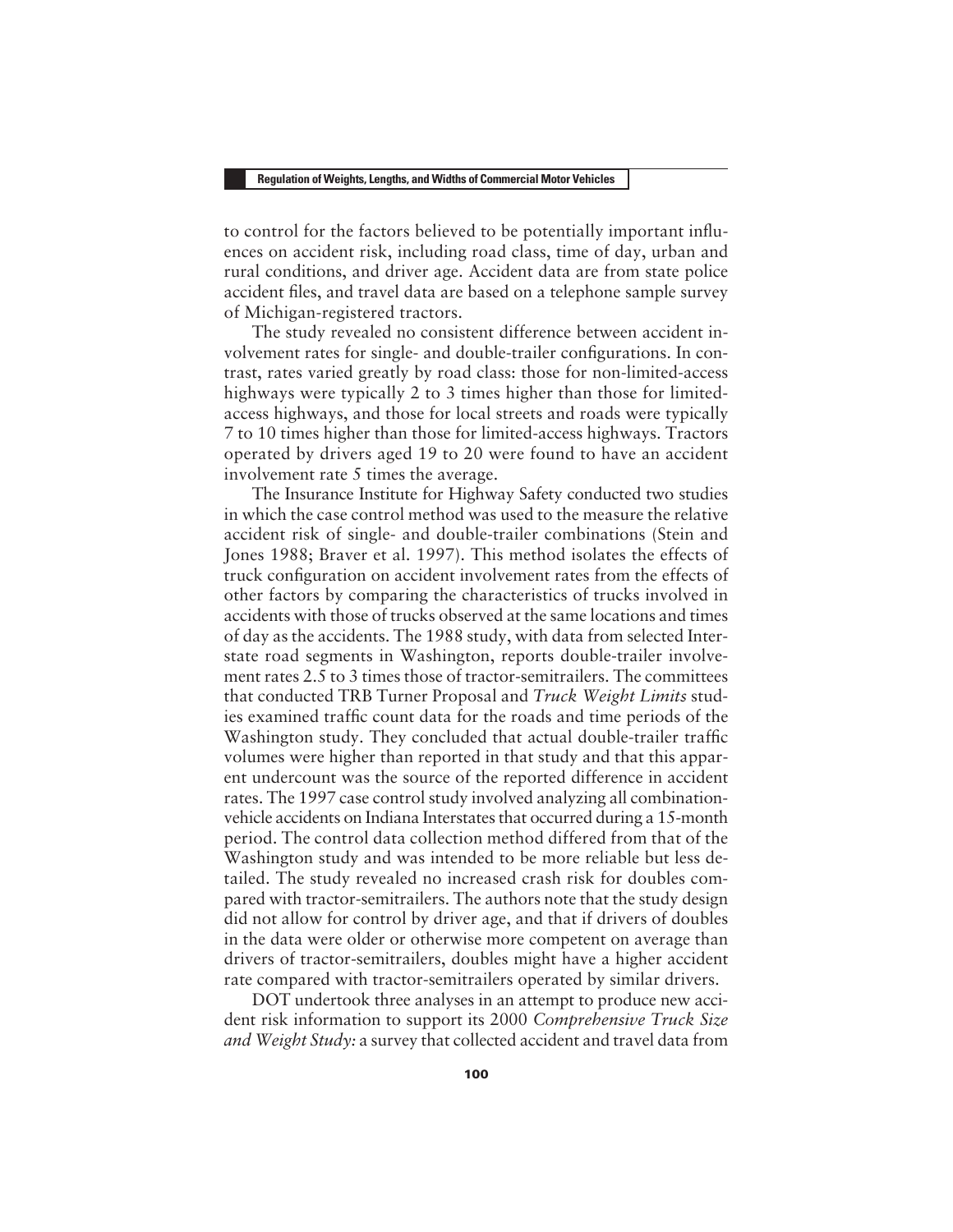to control for the factors believed to be potentially important influences on accident risk, including road class, time of day, urban and rural conditions, and driver age. Accident data are from state police accident files, and travel data are based on a telephone sample survey of Michigan-registered tractors.

The study revealed no consistent difference between accident involvement rates for single- and double-trailer configurations. In contrast, rates varied greatly by road class: those for non-limited-access highways were typically 2 to 3 times higher than those for limitedaccess highways, and those for local streets and roads were typically 7 to 10 times higher than those for limited-access highways. Tractors operated by drivers aged 19 to 20 were found to have an accident involvement rate 5 times the average.

The Insurance Institute for Highway Safety conducted two studies in which the case control method was used to the measure the relative accident risk of single- and double-trailer combinations (Stein and Jones 1988; Braver et al. 1997). This method isolates the effects of truck configuration on accident involvement rates from the effects of other factors by comparing the characteristics of trucks involved in accidents with those of trucks observed at the same locations and times of day as the accidents. The 1988 study, with data from selected Interstate road segments in Washington, reports double-trailer involvement rates 2.5 to 3 times those of tractor-semitrailers. The committees that conducted TRB Turner Proposal and *Truck Weight Limits* studies examined traffic count data for the roads and time periods of the Washington study. They concluded that actual double-trailer traffic volumes were higher than reported in that study and that this apparent undercount was the source of the reported difference in accident rates. The 1997 case control study involved analyzing all combinationvehicle accidents on Indiana Interstates that occurred during a 15-month period. The control data collection method differed from that of the Washington study and was intended to be more reliable but less detailed. The study revealed no increased crash risk for doubles compared with tractor-semitrailers. The authors note that the study design did not allow for control by driver age, and that if drivers of doubles in the data were older or otherwise more competent on average than drivers of tractor-semitrailers, doubles might have a higher accident rate compared with tractor-semitrailers operated by similar drivers.

DOT undertook three analyses in an attempt to produce new accident risk information to support its 2000 *Comprehensive Truck Size and Weight Study:* a survey that collected accident and travel data from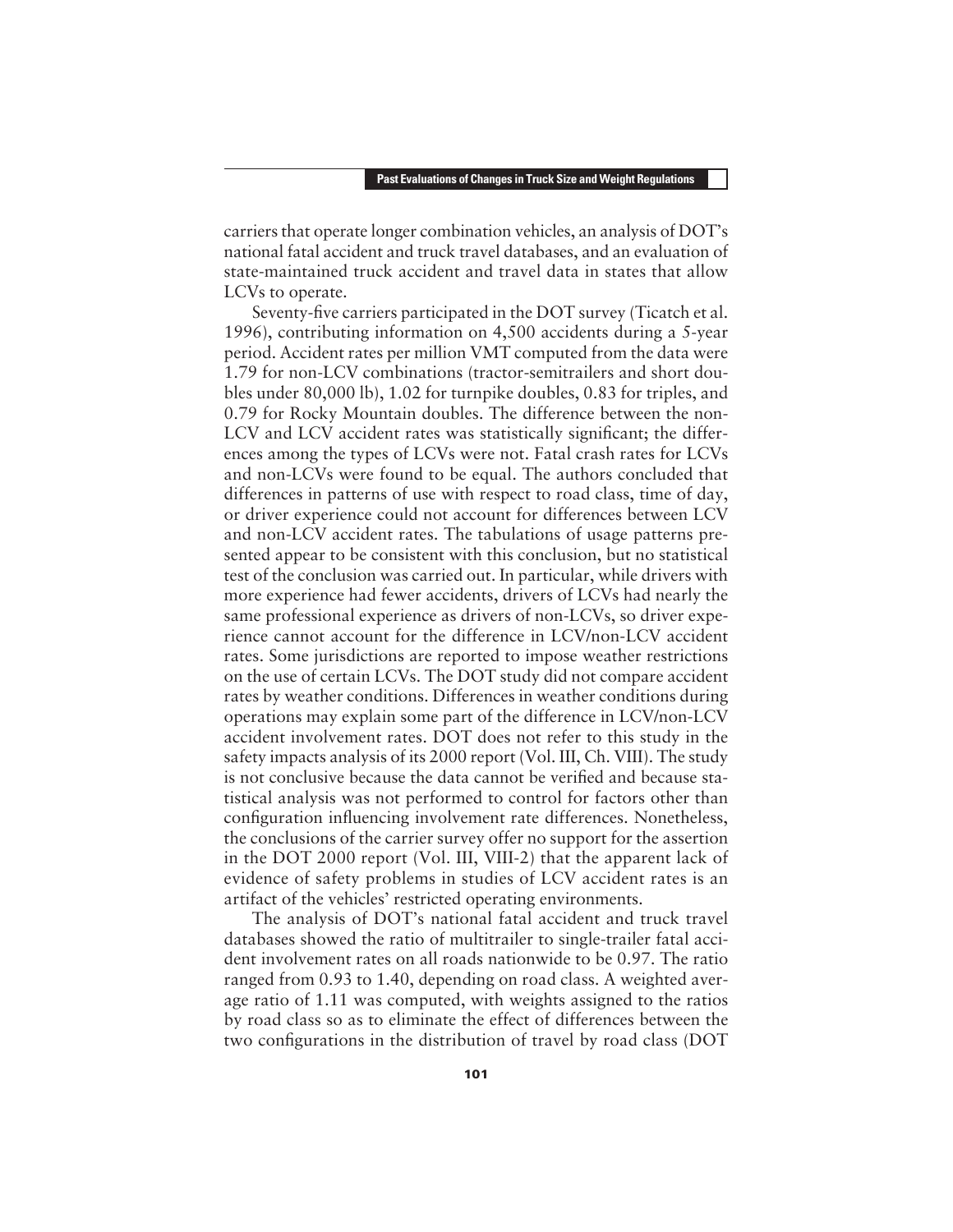carriers that operate longer combination vehicles, an analysis of DOT's national fatal accident and truck travel databases, and an evaluation of state-maintained truck accident and travel data in states that allow LCVs to operate.

Seventy-five carriers participated in the DOT survey (Ticatch et al. 1996), contributing information on 4,500 accidents during a 5-year period. Accident rates per million VMT computed from the data were 1.79 for non-LCV combinations (tractor-semitrailers and short doubles under 80,000 lb), 1.02 for turnpike doubles, 0.83 for triples, and 0.79 for Rocky Mountain doubles. The difference between the non-LCV and LCV accident rates was statistically significant; the differences among the types of LCVs were not. Fatal crash rates for LCVs and non-LCVs were found to be equal. The authors concluded that differences in patterns of use with respect to road class, time of day, or driver experience could not account for differences between LCV and non-LCV accident rates. The tabulations of usage patterns presented appear to be consistent with this conclusion, but no statistical test of the conclusion was carried out. In particular, while drivers with more experience had fewer accidents, drivers of LCVs had nearly the same professional experience as drivers of non-LCVs, so driver experience cannot account for the difference in LCV/non-LCV accident rates. Some jurisdictions are reported to impose weather restrictions on the use of certain LCVs. The DOT study did not compare accident rates by weather conditions. Differences in weather conditions during operations may explain some part of the difference in LCV/non-LCV accident involvement rates. DOT does not refer to this study in the safety impacts analysis of its 2000 report (Vol. III, Ch. VIII). The study is not conclusive because the data cannot be verified and because statistical analysis was not performed to control for factors other than configuration influencing involvement rate differences. Nonetheless, the conclusions of the carrier survey offer no support for the assertion in the DOT 2000 report (Vol. III, VIII-2) that the apparent lack of evidence of safety problems in studies of LCV accident rates is an artifact of the vehicles' restricted operating environments.

The analysis of DOT's national fatal accident and truck travel databases showed the ratio of multitrailer to single-trailer fatal accident involvement rates on all roads nationwide to be 0.97. The ratio ranged from 0.93 to 1.40, depending on road class. A weighted average ratio of 1.11 was computed, with weights assigned to the ratios by road class so as to eliminate the effect of differences between the two configurations in the distribution of travel by road class (DOT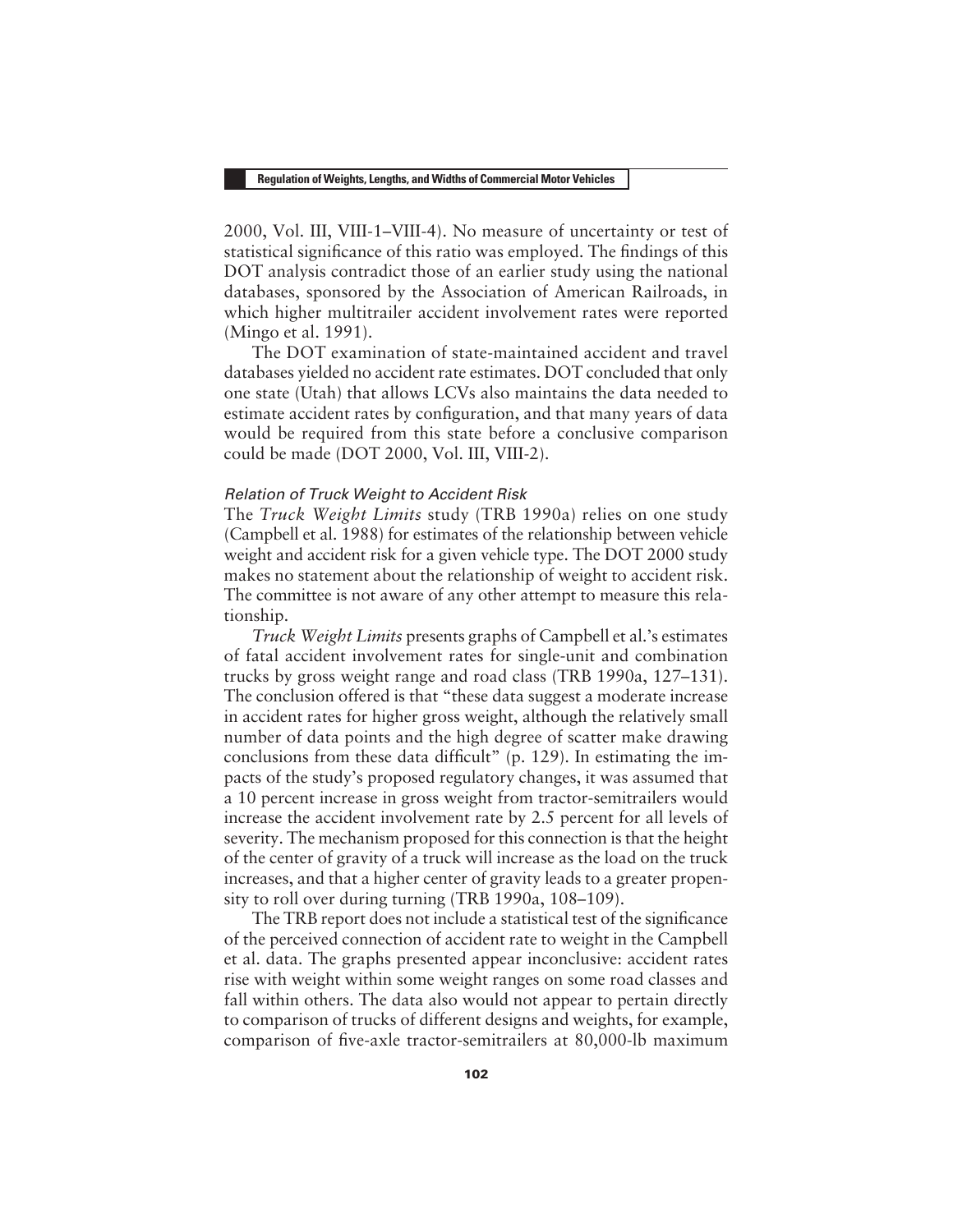2000, Vol. III, VIII-1–VIII-4). No measure of uncertainty or test of statistical significance of this ratio was employed. The findings of this DOT analysis contradict those of an earlier study using the national databases, sponsored by the Association of American Railroads, in which higher multitrailer accident involvement rates were reported (Mingo et al. 1991).

The DOT examination of state-maintained accident and travel databases yielded no accident rate estimates. DOT concluded that only one state (Utah) that allows LCVs also maintains the data needed to estimate accident rates by configuration, and that many years of data would be required from this state before a conclusive comparison could be made (DOT 2000, Vol. III, VIII-2).

### Relation of Truck Weight to Accident Risk

The *Truck Weight Limits* study (TRB 1990a) relies on one study (Campbell et al. 1988) for estimates of the relationship between vehicle weight and accident risk for a given vehicle type. The DOT 2000 study makes no statement about the relationship of weight to accident risk. The committee is not aware of any other attempt to measure this relationship.

*Truck Weight Limits* presents graphs of Campbell et al.'s estimates of fatal accident involvement rates for single-unit and combination trucks by gross weight range and road class (TRB 1990a, 127–131). The conclusion offered is that "these data suggest a moderate increase in accident rates for higher gross weight, although the relatively small number of data points and the high degree of scatter make drawing conclusions from these data difficult" (p. 129). In estimating the impacts of the study's proposed regulatory changes, it was assumed that a 10 percent increase in gross weight from tractor-semitrailers would increase the accident involvement rate by 2.5 percent for all levels of severity. The mechanism proposed for this connection is that the height of the center of gravity of a truck will increase as the load on the truck increases, and that a higher center of gravity leads to a greater propensity to roll over during turning (TRB 1990a, 108–109).

The TRB report does not include a statistical test of the significance of the perceived connection of accident rate to weight in the Campbell et al. data. The graphs presented appear inconclusive: accident rates rise with weight within some weight ranges on some road classes and fall within others. The data also would not appear to pertain directly to comparison of trucks of different designs and weights, for example, comparison of five-axle tractor-semitrailers at 80,000-lb maximum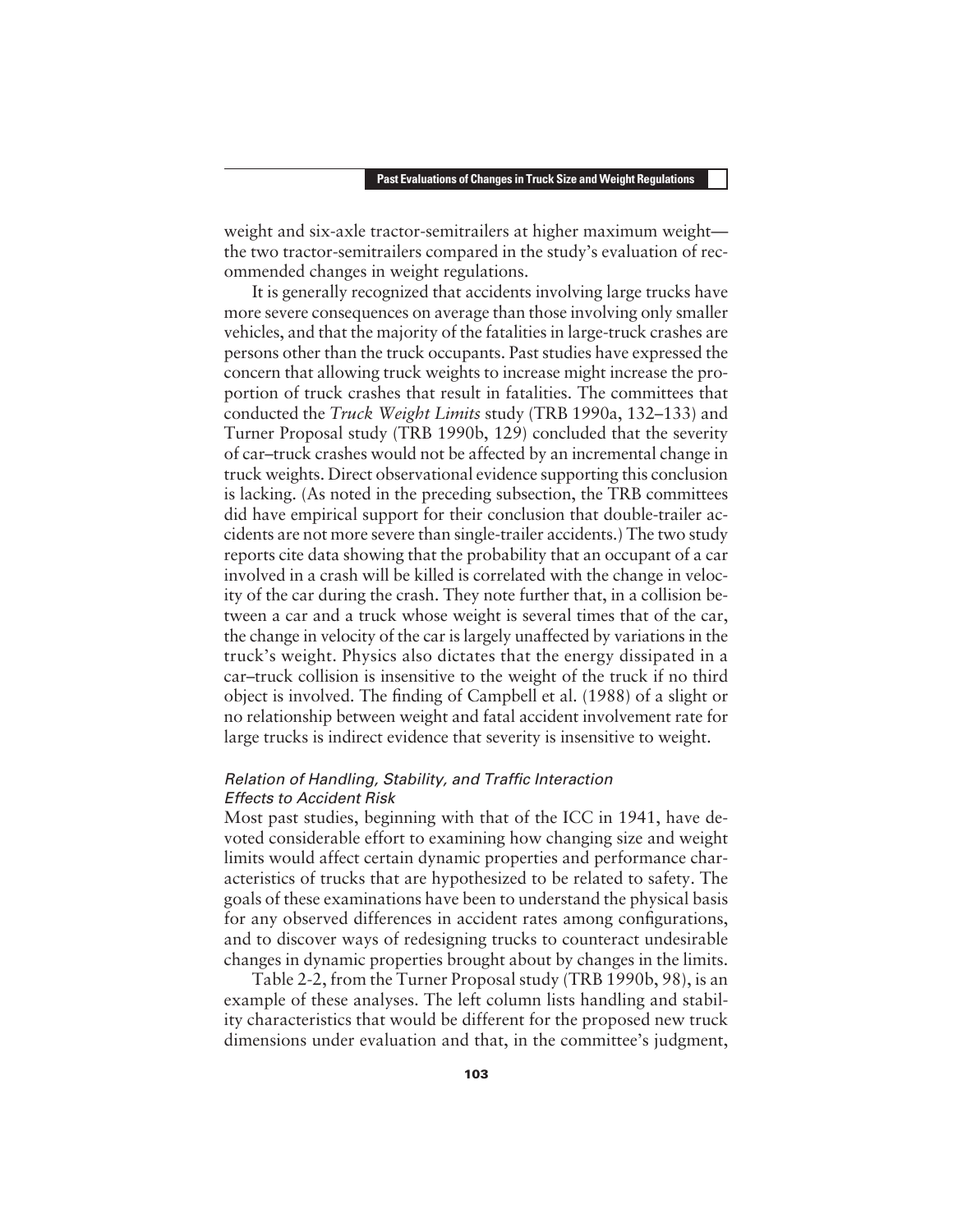weight and six-axle tractor-semitrailers at higher maximum weight the two tractor-semitrailers compared in the study's evaluation of recommended changes in weight regulations.

It is generally recognized that accidents involving large trucks have more severe consequences on average than those involving only smaller vehicles, and that the majority of the fatalities in large-truck crashes are persons other than the truck occupants. Past studies have expressed the concern that allowing truck weights to increase might increase the proportion of truck crashes that result in fatalities. The committees that conducted the *Truck Weight Limits* study (TRB 1990a, 132–133) and Turner Proposal study (TRB 1990b, 129) concluded that the severity of car–truck crashes would not be affected by an incremental change in truck weights. Direct observational evidence supporting this conclusion is lacking. (As noted in the preceding subsection, the TRB committees did have empirical support for their conclusion that double-trailer accidents are not more severe than single-trailer accidents.) The two study reports cite data showing that the probability that an occupant of a car involved in a crash will be killed is correlated with the change in velocity of the car during the crash. They note further that, in a collision between a car and a truck whose weight is several times that of the car, the change in velocity of the car is largely unaffected by variations in the truck's weight. Physics also dictates that the energy dissipated in a car–truck collision is insensitive to the weight of the truck if no third object is involved. The finding of Campbell et al. (1988) of a slight or no relationship between weight and fatal accident involvement rate for large trucks is indirect evidence that severity is insensitive to weight.

# Relation of Handling, Stability, and Traffic Interaction Effects to Accident Risk

Most past studies, beginning with that of the ICC in 1941, have devoted considerable effort to examining how changing size and weight limits would affect certain dynamic properties and performance characteristics of trucks that are hypothesized to be related to safety. The goals of these examinations have been to understand the physical basis for any observed differences in accident rates among configurations, and to discover ways of redesigning trucks to counteract undesirable changes in dynamic properties brought about by changes in the limits.

Table 2-2, from the Turner Proposal study (TRB 1990b, 98), is an example of these analyses. The left column lists handling and stability characteristics that would be different for the proposed new truck dimensions under evaluation and that, in the committee's judgment,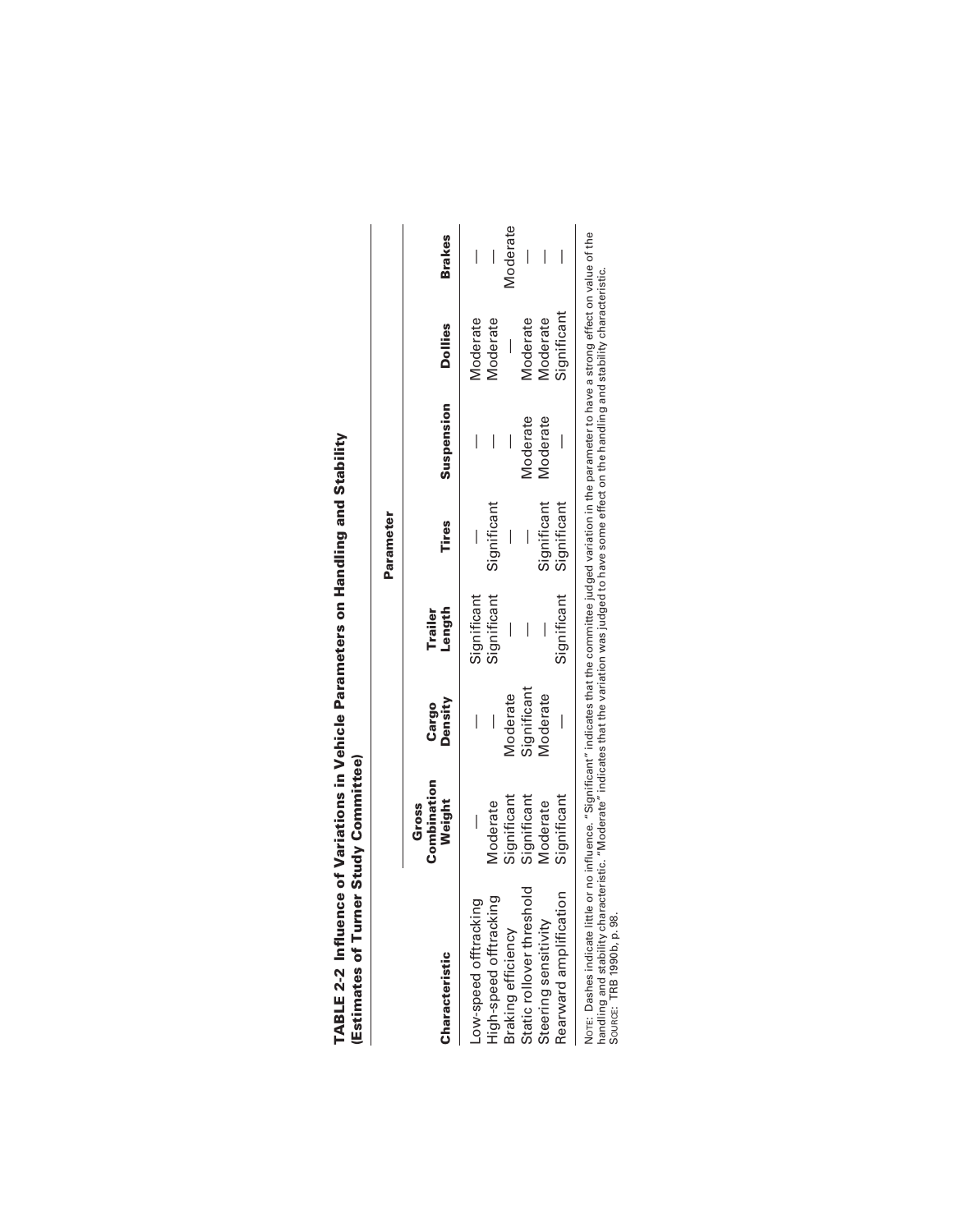| こもの ちょう                                                |                  |
|--------------------------------------------------------|------------------|
|                                                        |                  |
|                                                        |                  |
|                                                        |                  |
|                                                        |                  |
|                                                        |                  |
|                                                        |                  |
| Vehicle Parameters on Handing                          |                  |
|                                                        |                  |
| ر<br>سا                                                |                  |
| 2<br>  2<br>  2<br>  3<br>  3<br>  3<br>  3<br>  3<br> |                  |
| /orier                                                 |                  |
| ֧֞                                                     | ì<br>1           |
|                                                        |                  |
|                                                        | <b>See These</b> |
| TABLE 2-2 Influence                                    |                  |
|                                                        |                  |
|                                                        |                  |

|                                                                                                                                                                                                                                                                                                                                                                |                                       |                  |                          | Parameter    |            |                |               |
|----------------------------------------------------------------------------------------------------------------------------------------------------------------------------------------------------------------------------------------------------------------------------------------------------------------------------------------------------------------|---------------------------------------|------------------|--------------------------|--------------|------------|----------------|---------------|
| Characteristic                                                                                                                                                                                                                                                                                                                                                 | Combination<br>Weight<br><b>Gross</b> | Density<br>Cargo | Length<br><b>Trailer</b> | <b>Tires</b> | Suspension | <b>Dollies</b> | <b>Brakes</b> |
| ow-speed offtracking                                                                                                                                                                                                                                                                                                                                           |                                       |                  | Significant              |              |            | Moderate       |               |
| High-speed offtracking                                                                                                                                                                                                                                                                                                                                         | Moderate                              |                  | Significant              | Significant  |            | Vloderate      |               |
| Braking efficiency                                                                                                                                                                                                                                                                                                                                             | Significant                           | Moderate         |                          |              | I          | ١              | Moderate      |
| Static rollover threshold                                                                                                                                                                                                                                                                                                                                      | Significant                           | Significant      |                          |              | Moderate   | Moderate       |               |
| Steering sensitivity                                                                                                                                                                                                                                                                                                                                           | Moderate                              | <b>Moderate</b>  |                          | Significant  | Moderate   | Moderate       |               |
| Rearward amplification                                                                                                                                                                                                                                                                                                                                         | Significant                           |                  | Significant              | Significant  |            | Significant    |               |
| NorE: Dashes indicate little or no influence. "Significant" indicates that the committee judged variation in the parameter to have a strong effect on value of the<br>handling and stability characteristic. "Moderate" indicates that the variation was judged to have some effect on the handling and stability characteristic.<br>SOURCE: TRB 1990b, p. 98. |                                       |                  |                          |              |            |                |               |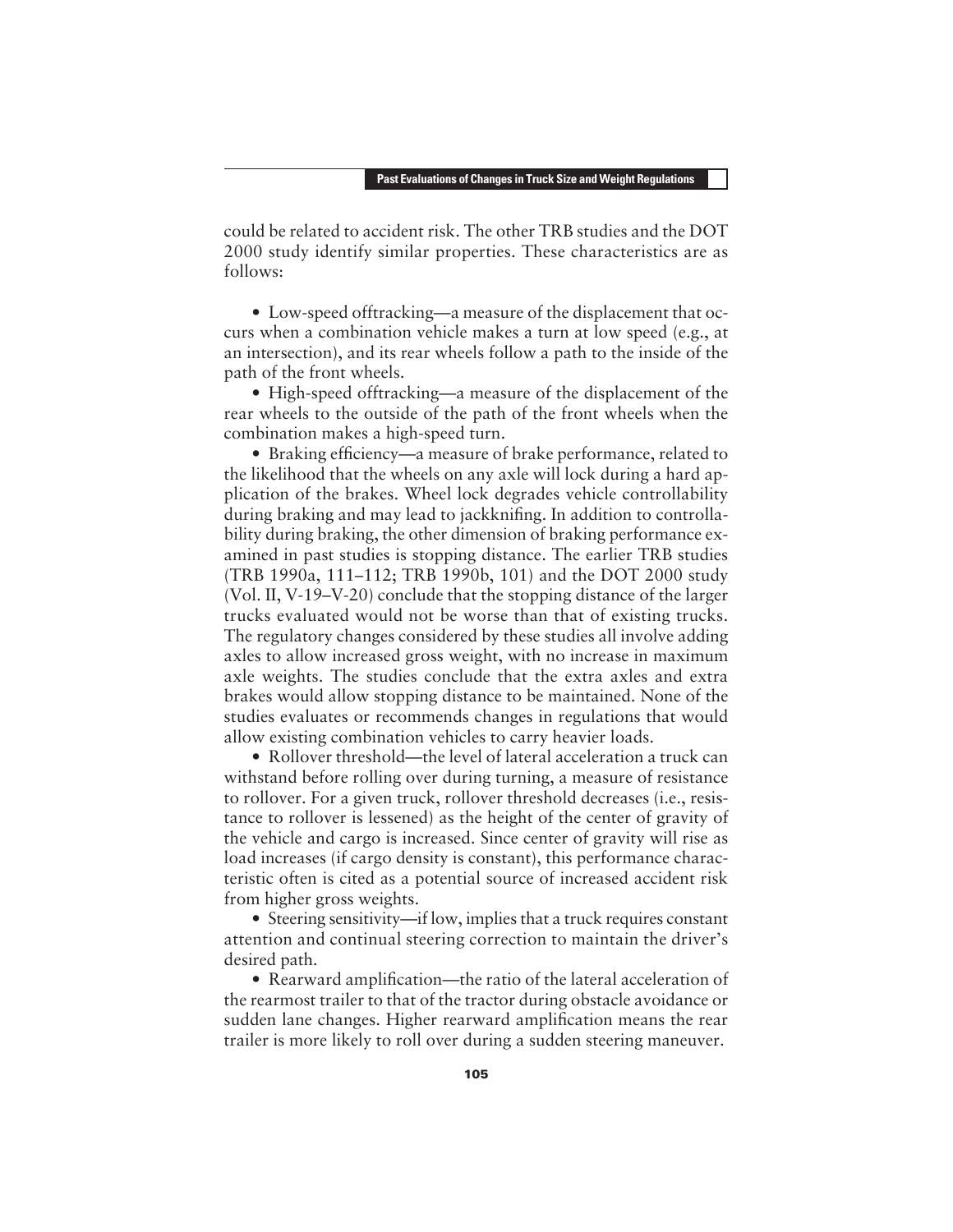could be related to accident risk. The other TRB studies and the DOT 2000 study identify similar properties. These characteristics are as follows:

• Low-speed offtracking—a measure of the displacement that occurs when a combination vehicle makes a turn at low speed (e.g., at an intersection), and its rear wheels follow a path to the inside of the path of the front wheels.

• High-speed offtracking—a measure of the displacement of the rear wheels to the outside of the path of the front wheels when the combination makes a high-speed turn.

• Braking efficiency—a measure of brake performance, related to the likelihood that the wheels on any axle will lock during a hard application of the brakes. Wheel lock degrades vehicle controllability during braking and may lead to jackknifing. In addition to controllability during braking, the other dimension of braking performance examined in past studies is stopping distance. The earlier TRB studies (TRB 1990a, 111–112; TRB 1990b, 101) and the DOT 2000 study (Vol. II, V-19–V-20) conclude that the stopping distance of the larger trucks evaluated would not be worse than that of existing trucks. The regulatory changes considered by these studies all involve adding axles to allow increased gross weight, with no increase in maximum axle weights. The studies conclude that the extra axles and extra brakes would allow stopping distance to be maintained. None of the studies evaluates or recommends changes in regulations that would allow existing combination vehicles to carry heavier loads.

• Rollover threshold—the level of lateral acceleration a truck can withstand before rolling over during turning, a measure of resistance to rollover. For a given truck, rollover threshold decreases (i.e., resistance to rollover is lessened) as the height of the center of gravity of the vehicle and cargo is increased. Since center of gravity will rise as load increases (if cargo density is constant), this performance characteristic often is cited as a potential source of increased accident risk from higher gross weights.

• Steering sensitivity—if low, implies that a truck requires constant attention and continual steering correction to maintain the driver's desired path.

• Rearward amplification—the ratio of the lateral acceleration of the rearmost trailer to that of the tractor during obstacle avoidance or sudden lane changes. Higher rearward amplification means the rear trailer is more likely to roll over during a sudden steering maneuver.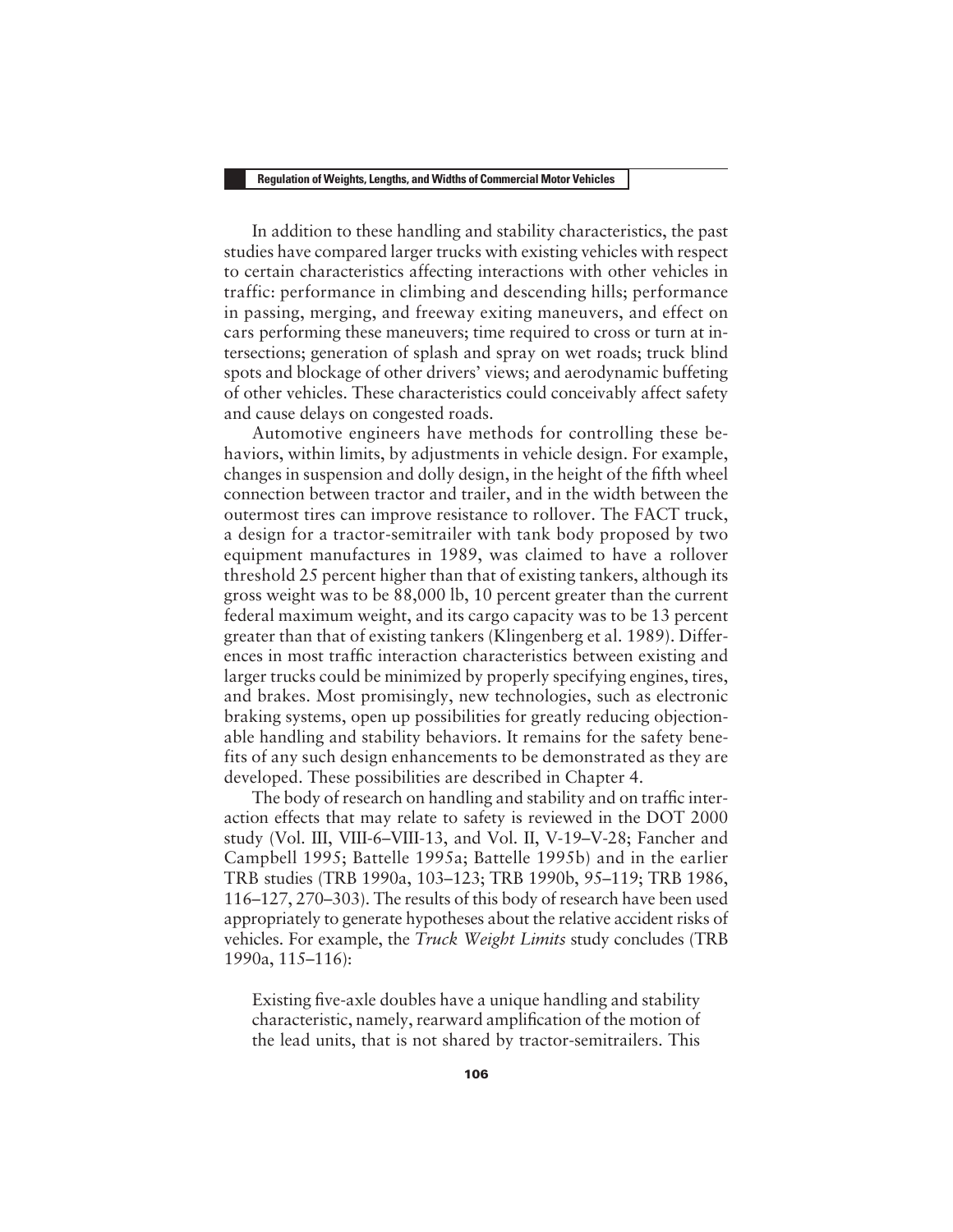In addition to these handling and stability characteristics, the past studies have compared larger trucks with existing vehicles with respect to certain characteristics affecting interactions with other vehicles in traffic: performance in climbing and descending hills; performance in passing, merging, and freeway exiting maneuvers, and effect on cars performing these maneuvers; time required to cross or turn at intersections; generation of splash and spray on wet roads; truck blind spots and blockage of other drivers' views; and aerodynamic buffeting of other vehicles. These characteristics could conceivably affect safety and cause delays on congested roads.

Automotive engineers have methods for controlling these behaviors, within limits, by adjustments in vehicle design. For example, changes in suspension and dolly design, in the height of the fifth wheel connection between tractor and trailer, and in the width between the outermost tires can improve resistance to rollover. The FACT truck, a design for a tractor-semitrailer with tank body proposed by two equipment manufactures in 1989, was claimed to have a rollover threshold 25 percent higher than that of existing tankers, although its gross weight was to be 88,000 lb, 10 percent greater than the current federal maximum weight, and its cargo capacity was to be 13 percent greater than that of existing tankers (Klingenberg et al. 1989). Differences in most traffic interaction characteristics between existing and larger trucks could be minimized by properly specifying engines, tires, and brakes. Most promisingly, new technologies, such as electronic braking systems, open up possibilities for greatly reducing objectionable handling and stability behaviors. It remains for the safety benefits of any such design enhancements to be demonstrated as they are developed. These possibilities are described in Chapter 4.

The body of research on handling and stability and on traffic interaction effects that may relate to safety is reviewed in the DOT 2000 study (Vol. III, VIII-6–VIII-13, and Vol. II, V-19–V-28; Fancher and Campbell 1995; Battelle 1995a; Battelle 1995b) and in the earlier TRB studies (TRB 1990a, 103–123; TRB 1990b, 95–119; TRB 1986, 116–127, 270–303). The results of this body of research have been used appropriately to generate hypotheses about the relative accident risks of vehicles. For example, the *Truck Weight Limits* study concludes (TRB 1990a, 115–116):

Existing five-axle doubles have a unique handling and stability characteristic, namely, rearward amplification of the motion of the lead units, that is not shared by tractor-semitrailers. This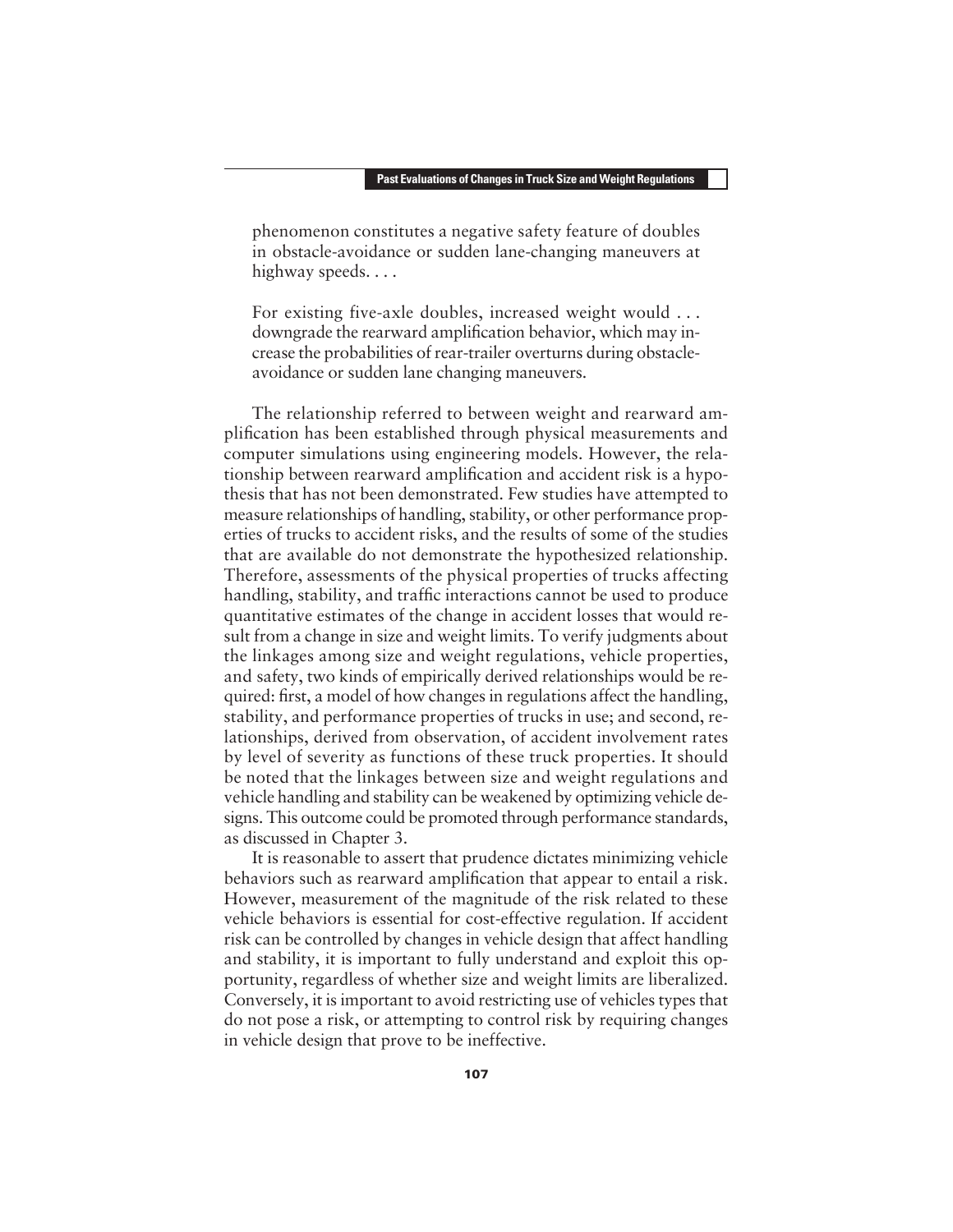phenomenon constitutes a negative safety feature of doubles in obstacle-avoidance or sudden lane-changing maneuvers at highway speeds. . . .

For existing five-axle doubles, increased weight would . . . downgrade the rearward amplification behavior, which may increase the probabilities of rear-trailer overturns during obstacleavoidance or sudden lane changing maneuvers.

The relationship referred to between weight and rearward amplification has been established through physical measurements and computer simulations using engineering models. However, the relationship between rearward amplification and accident risk is a hypothesis that has not been demonstrated. Few studies have attempted to measure relationships of handling, stability, or other performance properties of trucks to accident risks, and the results of some of the studies that are available do not demonstrate the hypothesized relationship. Therefore, assessments of the physical properties of trucks affecting handling, stability, and traffic interactions cannot be used to produce quantitative estimates of the change in accident losses that would result from a change in size and weight limits. To verify judgments about the linkages among size and weight regulations, vehicle properties, and safety, two kinds of empirically derived relationships would be required: first, a model of how changes in regulations affect the handling, stability, and performance properties of trucks in use; and second, relationships, derived from observation, of accident involvement rates by level of severity as functions of these truck properties. It should be noted that the linkages between size and weight regulations and vehicle handling and stability can be weakened by optimizing vehicle designs. This outcome could be promoted through performance standards, as discussed in Chapter 3.

It is reasonable to assert that prudence dictates minimizing vehicle behaviors such as rearward amplification that appear to entail a risk. However, measurement of the magnitude of the risk related to these vehicle behaviors is essential for cost-effective regulation. If accident risk can be controlled by changes in vehicle design that affect handling and stability, it is important to fully understand and exploit this opportunity, regardless of whether size and weight limits are liberalized. Conversely, it is important to avoid restricting use of vehicles types that do not pose a risk, or attempting to control risk by requiring changes in vehicle design that prove to be ineffective.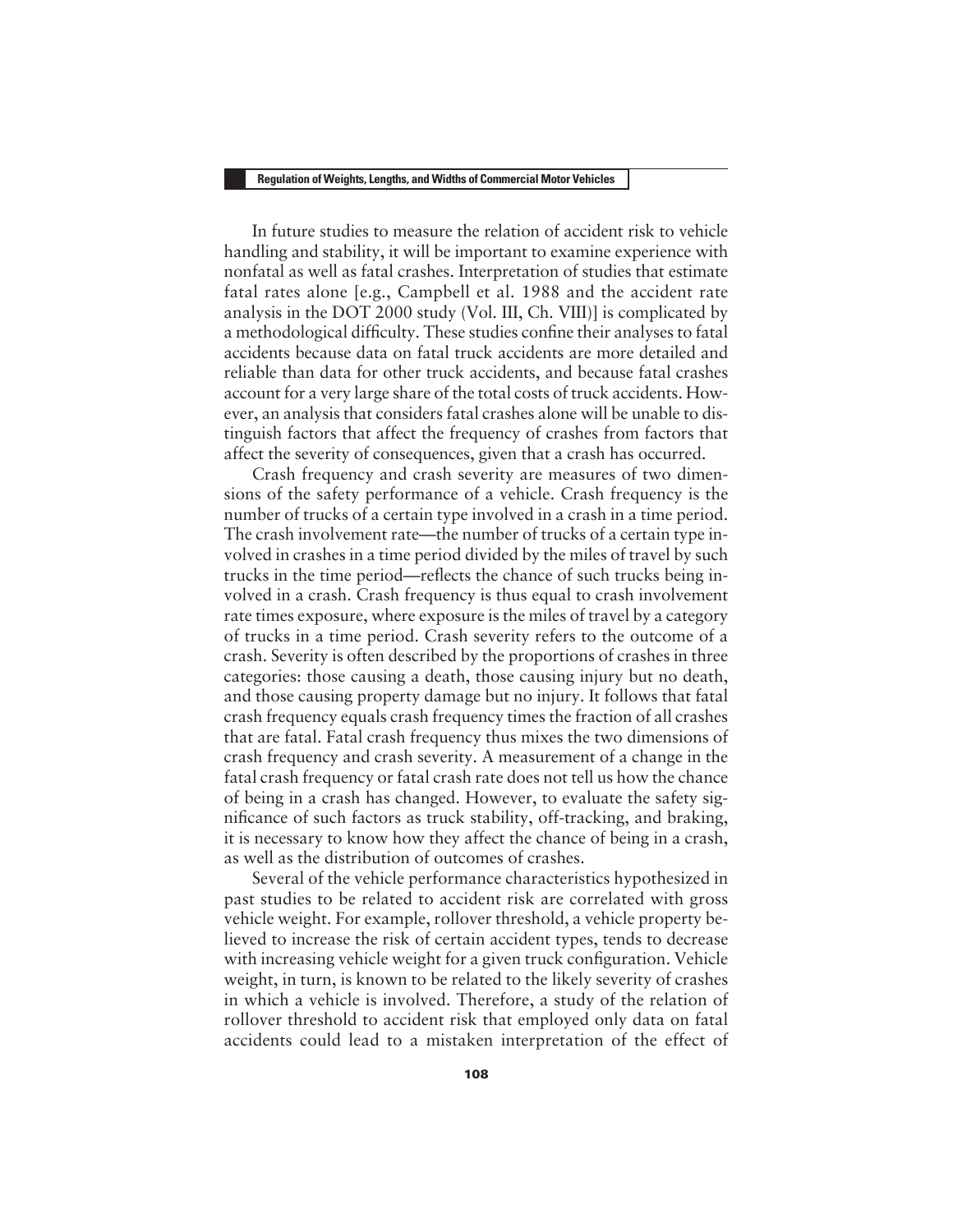In future studies to measure the relation of accident risk to vehicle handling and stability, it will be important to examine experience with nonfatal as well as fatal crashes. Interpretation of studies that estimate fatal rates alone [e.g., Campbell et al. 1988 and the accident rate analysis in the DOT 2000 study (Vol. III, Ch. VIII)] is complicated by a methodological difficulty. These studies confine their analyses to fatal accidents because data on fatal truck accidents are more detailed and reliable than data for other truck accidents, and because fatal crashes account for a very large share of the total costs of truck accidents. However, an analysis that considers fatal crashes alone will be unable to distinguish factors that affect the frequency of crashes from factors that affect the severity of consequences, given that a crash has occurred.

Crash frequency and crash severity are measures of two dimensions of the safety performance of a vehicle. Crash frequency is the number of trucks of a certain type involved in a crash in a time period. The crash involvement rate—the number of trucks of a certain type involved in crashes in a time period divided by the miles of travel by such trucks in the time period—reflects the chance of such trucks being involved in a crash. Crash frequency is thus equal to crash involvement rate times exposure, where exposure is the miles of travel by a category of trucks in a time period. Crash severity refers to the outcome of a crash. Severity is often described by the proportions of crashes in three categories: those causing a death, those causing injury but no death, and those causing property damage but no injury. It follows that fatal crash frequency equals crash frequency times the fraction of all crashes that are fatal. Fatal crash frequency thus mixes the two dimensions of crash frequency and crash severity. A measurement of a change in the fatal crash frequency or fatal crash rate does not tell us how the chance of being in a crash has changed. However, to evaluate the safety significance of such factors as truck stability, off-tracking, and braking, it is necessary to know how they affect the chance of being in a crash, as well as the distribution of outcomes of crashes.

Several of the vehicle performance characteristics hypothesized in past studies to be related to accident risk are correlated with gross vehicle weight. For example, rollover threshold, a vehicle property believed to increase the risk of certain accident types, tends to decrease with increasing vehicle weight for a given truck configuration. Vehicle weight, in turn, is known to be related to the likely severity of crashes in which a vehicle is involved. Therefore, a study of the relation of rollover threshold to accident risk that employed only data on fatal accidents could lead to a mistaken interpretation of the effect of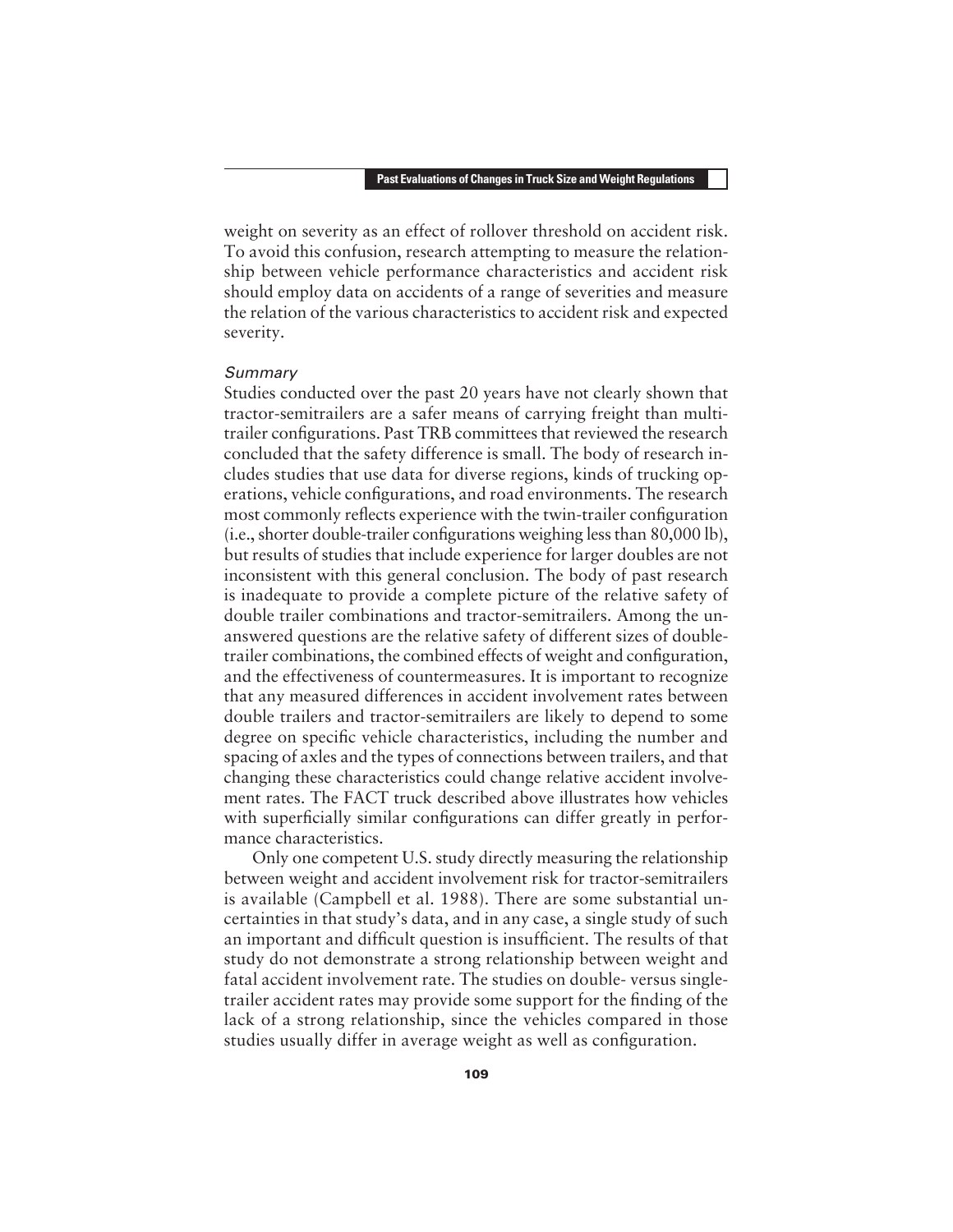weight on severity as an effect of rollover threshold on accident risk. To avoid this confusion, research attempting to measure the relationship between vehicle performance characteristics and accident risk should employ data on accidents of a range of severities and measure the relation of the various characteristics to accident risk and expected severity.

#### **Summary**

Studies conducted over the past 20 years have not clearly shown that tractor-semitrailers are a safer means of carrying freight than multitrailer configurations. Past TRB committees that reviewed the research concluded that the safety difference is small. The body of research includes studies that use data for diverse regions, kinds of trucking operations, vehicle configurations, and road environments. The research most commonly reflects experience with the twin-trailer configuration (i.e., shorter double-trailer configurations weighing less than 80,000 lb), but results of studies that include experience for larger doubles are not inconsistent with this general conclusion. The body of past research is inadequate to provide a complete picture of the relative safety of double trailer combinations and tractor-semitrailers. Among the unanswered questions are the relative safety of different sizes of doubletrailer combinations, the combined effects of weight and configuration, and the effectiveness of countermeasures. It is important to recognize that any measured differences in accident involvement rates between double trailers and tractor-semitrailers are likely to depend to some degree on specific vehicle characteristics, including the number and spacing of axles and the types of connections between trailers, and that changing these characteristics could change relative accident involvement rates. The FACT truck described above illustrates how vehicles with superficially similar configurations can differ greatly in performance characteristics.

Only one competent U.S. study directly measuring the relationship between weight and accident involvement risk for tractor-semitrailers is available (Campbell et al. 1988). There are some substantial uncertainties in that study's data, and in any case, a single study of such an important and difficult question is insufficient. The results of that study do not demonstrate a strong relationship between weight and fatal accident involvement rate. The studies on double- versus singletrailer accident rates may provide some support for the finding of the lack of a strong relationship, since the vehicles compared in those studies usually differ in average weight as well as configuration.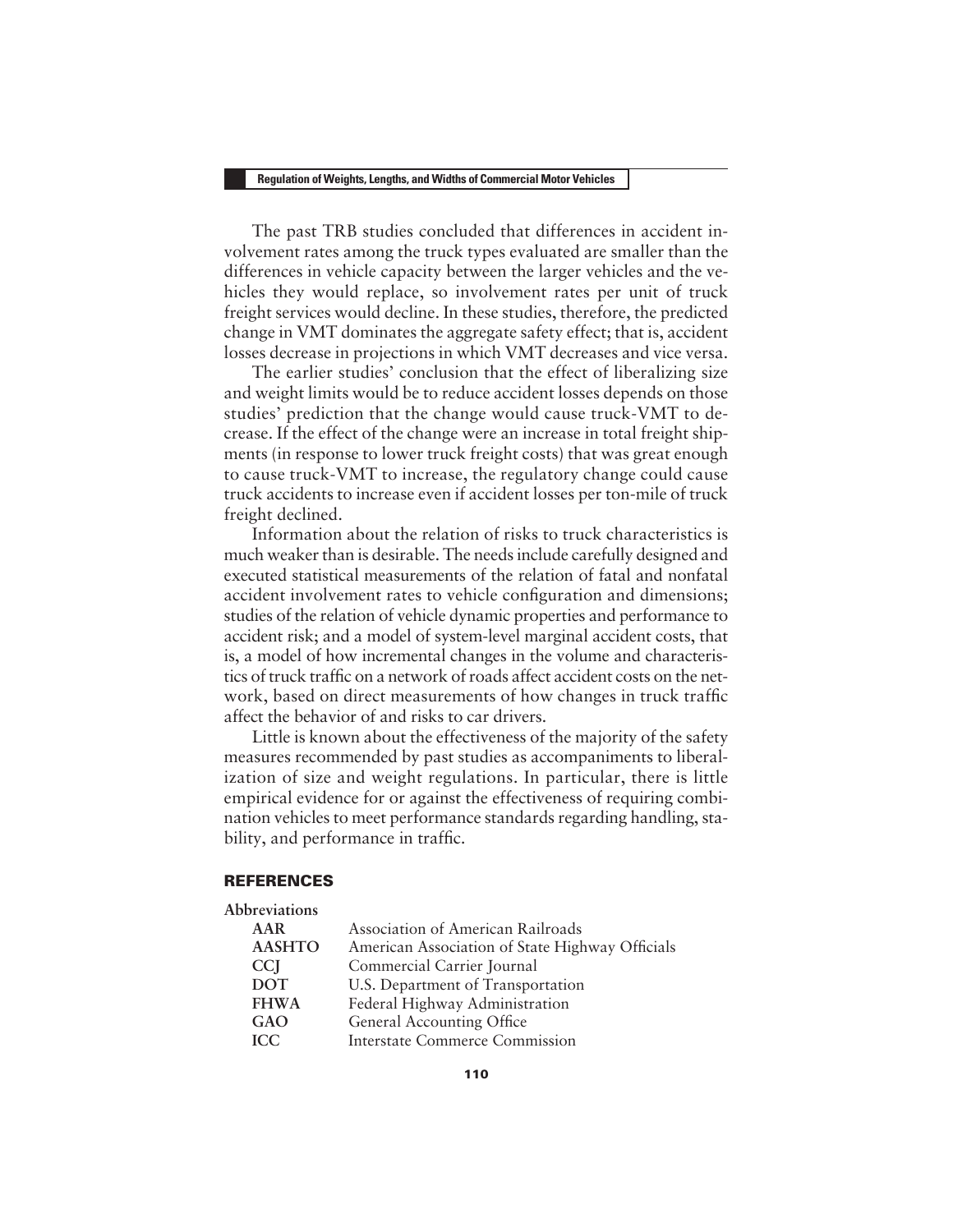The past TRB studies concluded that differences in accident involvement rates among the truck types evaluated are smaller than the differences in vehicle capacity between the larger vehicles and the vehicles they would replace, so involvement rates per unit of truck freight services would decline. In these studies, therefore, the predicted change in VMT dominates the aggregate safety effect; that is, accident losses decrease in projections in which VMT decreases and vice versa.

The earlier studies' conclusion that the effect of liberalizing size and weight limits would be to reduce accident losses depends on those studies' prediction that the change would cause truck-VMT to decrease. If the effect of the change were an increase in total freight shipments (in response to lower truck freight costs) that was great enough to cause truck-VMT to increase, the regulatory change could cause truck accidents to increase even if accident losses per ton-mile of truck freight declined.

Information about the relation of risks to truck characteristics is much weaker than is desirable. The needs include carefully designed and executed statistical measurements of the relation of fatal and nonfatal accident involvement rates to vehicle configuration and dimensions; studies of the relation of vehicle dynamic properties and performance to accident risk; and a model of system-level marginal accident costs, that is, a model of how incremental changes in the volume and characteristics of truck traffic on a network of roads affect accident costs on the network, based on direct measurements of how changes in truck traffic affect the behavior of and risks to car drivers.

Little is known about the effectiveness of the majority of the safety measures recommended by past studies as accompaniments to liberalization of size and weight regulations. In particular, there is little empirical evidence for or against the effectiveness of requiring combination vehicles to meet performance standards regarding handling, stability, and performance in traffic.

### **REFERENCES**

#### **Abbreviations**

| AAR           | Association of American Railroads               |
|---------------|-------------------------------------------------|
| <b>AASHTO</b> | American Association of State Highway Officials |
| <b>CCJ</b>    | Commercial Carrier Journal                      |
| <b>DOT</b>    | U.S. Department of Transportation               |
| <b>FHWA</b>   | Federal Highway Administration                  |
| GAO           | General Accounting Office                       |
| <b>ICC</b>    | <b>Interstate Commerce Commission</b>           |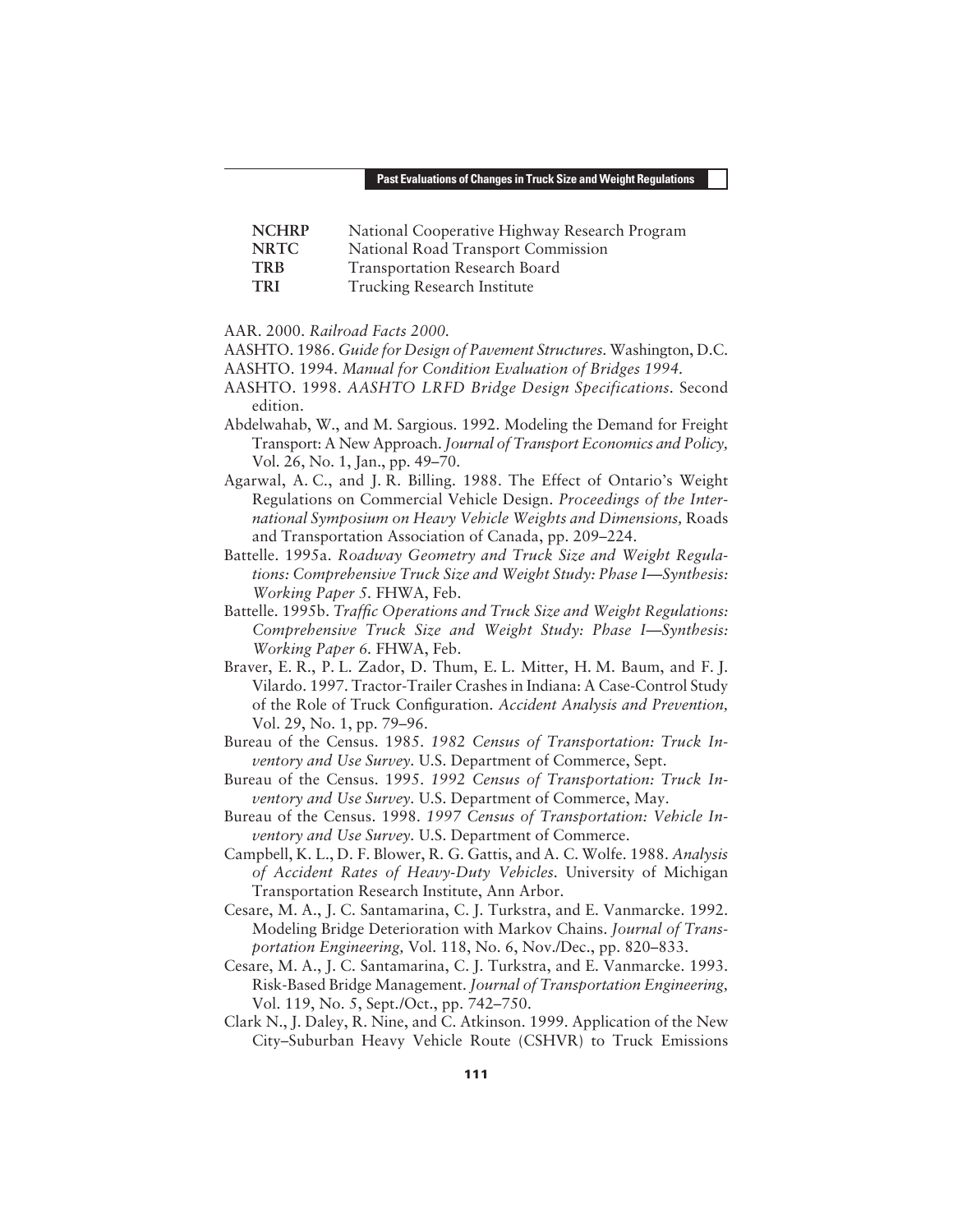| <b>NCHRP</b> | National Cooperative Highway Research Program |
|--------------|-----------------------------------------------|
| <b>NRTC</b>  | National Road Transport Commission            |
| <b>TRB</b>   | <b>Transportation Research Board</b>          |
| <b>TRI</b>   | <b>Trucking Research Institute</b>            |

AAR. 2000. *Railroad Facts 2000.*

AASHTO. 1986. *Guide for Design of Pavement Structures.* Washington, D.C.

AASHTO. 1994. *Manual for Condition Evaluation of Bridges 1994.*

- AASHTO. 1998. *AASHTO LRFD Bridge Design Specifications.* Second edition.
- Abdelwahab, W., and M. Sargious. 1992. Modeling the Demand for Freight Transport: A New Approach. *Journal of Transport Economics and Policy,* Vol. 26, No. 1, Jan., pp. 49–70.
- Agarwal, A. C., and J. R. Billing. 1988. The Effect of Ontario's Weight Regulations on Commercial Vehicle Design. *Proceedings of the International Symposium on Heavy Vehicle Weights and Dimensions,* Roads and Transportation Association of Canada, pp. 209–224.
- Battelle. 1995a. *Roadway Geometry and Truck Size and Weight Regulations: Comprehensive Truck Size and Weight Study: Phase I—Synthesis: Working Paper 5.* FHWA, Feb.
- Battelle. 1995b. *Traffic Operations and Truck Size and Weight Regulations: Comprehensive Truck Size and Weight Study: Phase I—Synthesis: Working Paper 6.* FHWA, Feb.
- Braver, E. R., P. L. Zador, D. Thum, E. L. Mitter, H. M. Baum, and F. J. Vilardo. 1997. Tractor-Trailer Crashes in Indiana: A Case-Control Study of the Role of Truck Configuration. *Accident Analysis and Prevention,* Vol. 29, No. 1, pp. 79–96.
- Bureau of the Census. 1985. *1982 Census of Transportation: Truck Inventory and Use Survey.* U.S. Department of Commerce, Sept.
- Bureau of the Census. 1995. *1992 Census of Transportation: Truck Inventory and Use Survey.* U.S. Department of Commerce, May.
- Bureau of the Census. 1998. *1997 Census of Transportation: Vehicle Inventory and Use Survey.* U.S. Department of Commerce.
- Campbell, K. L., D. F. Blower, R. G. Gattis, and A. C. Wolfe. 1988. *Analysis of Accident Rates of Heavy-Duty Vehicles.* University of Michigan Transportation Research Institute, Ann Arbor.
- Cesare, M. A., J. C. Santamarina, C. J. Turkstra, and E. Vanmarcke. 1992. Modeling Bridge Deterioration with Markov Chains. *Journal of Transportation Engineering,* Vol. 118, No. 6, Nov./Dec., pp. 820–833.
- Cesare, M. A., J. C. Santamarina, C. J. Turkstra, and E. Vanmarcke. 1993. Risk-Based Bridge Management. *Journal of Transportation Engineering,* Vol. 119, No. 5, Sept./Oct., pp. 742–750.
- Clark N., J. Daley, R. Nine, and C. Atkinson. 1999. Application of the New City–Suburban Heavy Vehicle Route (CSHVR) to Truck Emissions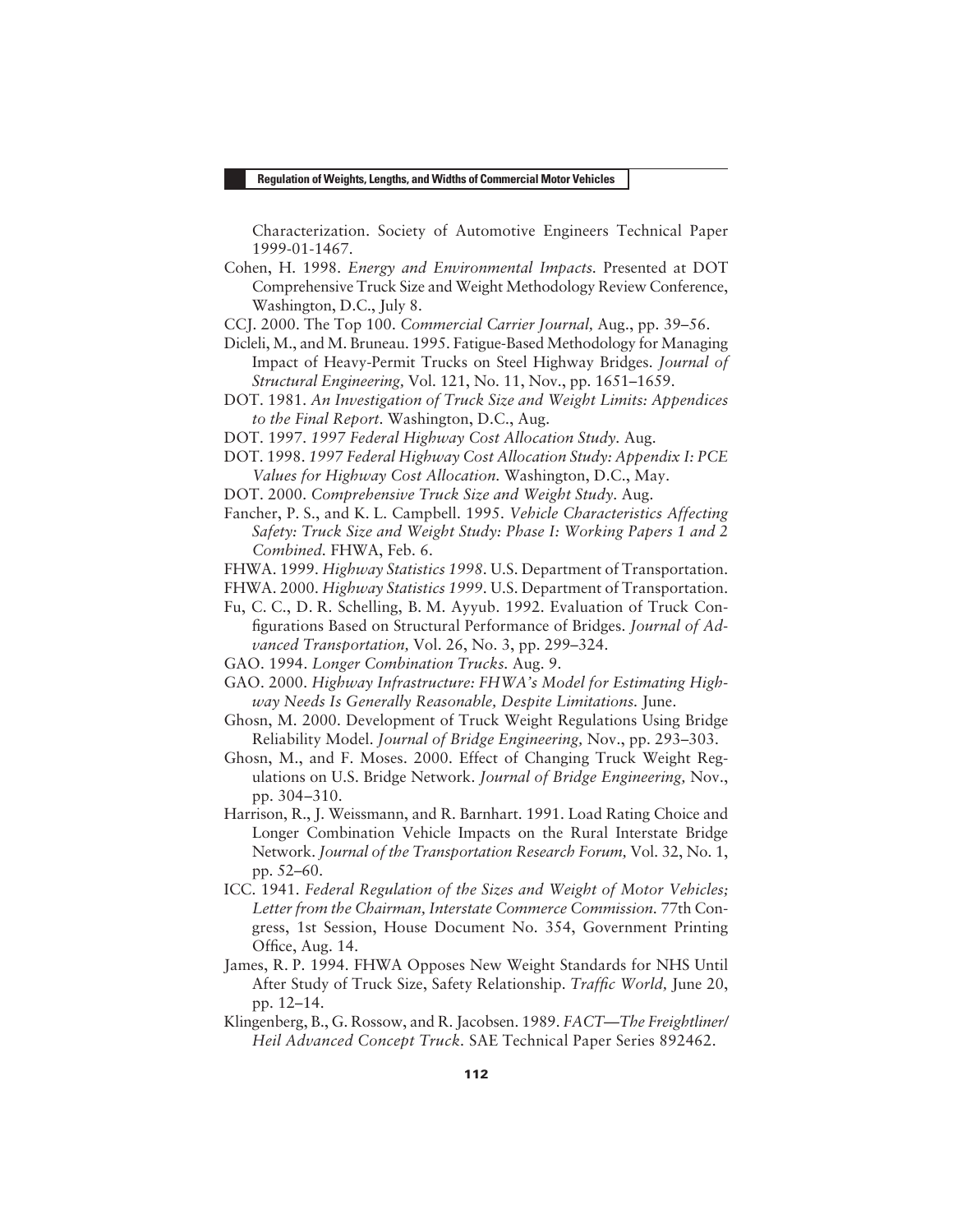Characterization. Society of Automotive Engineers Technical Paper 1999-01-1467.

- Cohen, H. 1998. *Energy and Environmental Impacts.* Presented at DOT Comprehensive Truck Size and Weight Methodology Review Conference, Washington, D.C., July 8.
- CCJ. 2000. The Top 100. *Commercial Carrier Journal,* Aug., pp. 39–56.
- Dicleli, M., and M. Bruneau. 1995. Fatigue-Based Methodology for Managing Impact of Heavy-Permit Trucks on Steel Highway Bridges. *Journal of Structural Engineering,* Vol. 121, No. 11, Nov., pp. 1651–1659.
- DOT. 1981. *An Investigation of Truck Size and Weight Limits: Appendices to the Final Report.* Washington, D.C., Aug.
- DOT. 1997. *1997 Federal Highway Cost Allocation Study.* Aug.
- DOT. 1998. *1997 Federal Highway Cost Allocation Study: Appendix I: PCE Values for Highway Cost Allocation.* Washington, D.C., May.
- DOT. 2000. *Comprehensive Truck Size and Weight Study.* Aug.
- Fancher, P. S., and K. L. Campbell. 1995. *Vehicle Characteristics Affecting Safety: Truck Size and Weight Study: Phase I: Working Papers 1 and 2 Combined.* FHWA, Feb. 6.
- FHWA. 1999. *Highway Statistics 1998.* U.S. Department of Transportation.
- FHWA. 2000. *Highway Statistics 1999.* U.S. Department of Transportation.
- Fu, C. C., D. R. Schelling, B. M. Ayyub. 1992. Evaluation of Truck Configurations Based on Structural Performance of Bridges. *Journal of Advanced Transportation,* Vol. 26, No. 3, pp. 299–324.
- GAO. 1994. *Longer Combination Trucks.* Aug. 9.
- GAO. 2000. *Highway Infrastructure: FHWA's Model for Estimating Highway Needs Is Generally Reasonable, Despite Limitations.* June.
- Ghosn, M. 2000. Development of Truck Weight Regulations Using Bridge Reliability Model. *Journal of Bridge Engineering,* Nov., pp. 293–303.
- Ghosn, M., and F. Moses. 2000. Effect of Changing Truck Weight Regulations on U.S. Bridge Network. *Journal of Bridge Engineering,* Nov., pp. 304–310.
- Harrison, R., J. Weissmann, and R. Barnhart. 1991. Load Rating Choice and Longer Combination Vehicle Impacts on the Rural Interstate Bridge Network. *Journal of the Transportation Research Forum,* Vol. 32, No. 1, pp. 52–60.
- ICC. 1941. *Federal Regulation of the Sizes and Weight of Motor Vehicles; Letter from the Chairman, Interstate Commerce Commission.* 77th Congress, 1st Session, House Document No. 354, Government Printing Office, Aug. 14.
- James, R. P. 1994. FHWA Opposes New Weight Standards for NHS Until After Study of Truck Size, Safety Relationship. *Traffic World,* June 20, pp. 12–14.
- Klingenberg, B., G. Rossow, and R. Jacobsen. 1989. *FACT—The Freightliner/ Heil Advanced Concept Truck.* SAE Technical Paper Series 892462.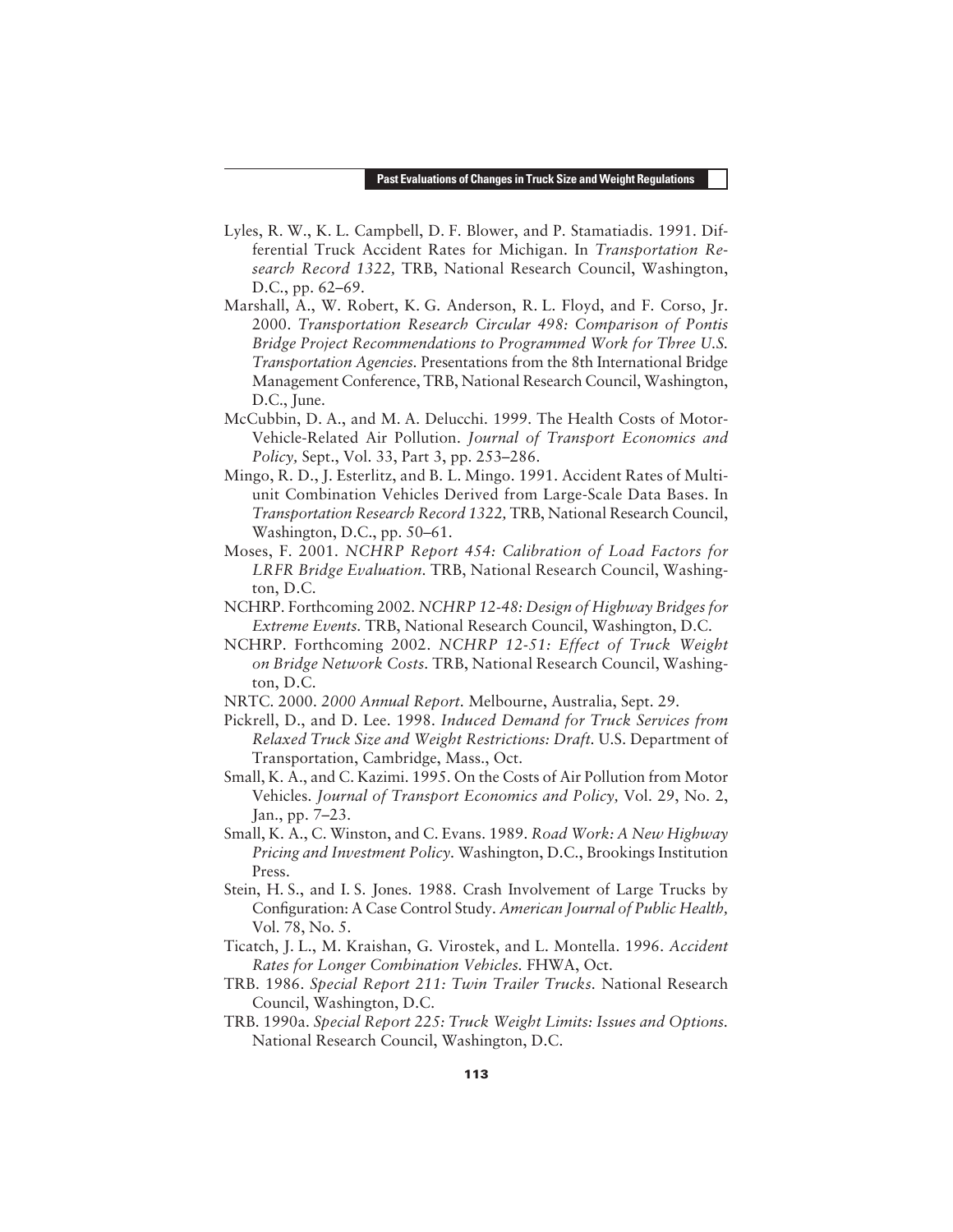- Lyles, R. W., K. L. Campbell, D. F. Blower, and P. Stamatiadis. 1991. Differential Truck Accident Rates for Michigan. In *Transportation Research Record 1322,* TRB, National Research Council, Washington, D.C., pp. 62–69.
- Marshall, A., W. Robert, K. G. Anderson, R. L. Floyd, and F. Corso, Jr. 2000. *Transportation Research Circular 498: Comparison of Pontis Bridge Project Recommendations to Programmed Work for Three U.S. Transportation Agencies.* Presentations from the 8th International Bridge Management Conference, TRB, National Research Council, Washington, D.C., June.
- McCubbin, D. A., and M. A. Delucchi. 1999. The Health Costs of Motor-Vehicle-Related Air Pollution. *Journal of Transport Economics and Policy,* Sept., Vol. 33, Part 3, pp. 253–286.
- Mingo, R. D., J. Esterlitz, and B. L. Mingo. 1991. Accident Rates of Multiunit Combination Vehicles Derived from Large-Scale Data Bases. In *Transportation Research Record 1322,* TRB, National Research Council, Washington, D.C., pp. 50–61.
- Moses, F. 2001. *NCHRP Report 454: Calibration of Load Factors for LRFR Bridge Evaluation.* TRB, National Research Council, Washington, D.C.
- NCHRP. Forthcoming 2002. *NCHRP 12-48: Design of Highway Bridges for Extreme Events.* TRB, National Research Council, Washington, D.C.
- NCHRP. Forthcoming 2002. *NCHRP 12-51: Effect of Truck Weight on Bridge Network Costs.* TRB, National Research Council, Washington, D.C.
- NRTC. 2000. *2000 Annual Report.* Melbourne, Australia, Sept. 29.
- Pickrell, D., and D. Lee. 1998. *Induced Demand for Truck Services from Relaxed Truck Size and Weight Restrictions: Draft.* U.S. Department of Transportation, Cambridge, Mass., Oct.
- Small, K. A., and C. Kazimi. 1995. On the Costs of Air Pollution from Motor Vehicles. *Journal of Transport Economics and Policy,* Vol. 29, No. 2, Jan., pp. 7–23.
- Small, K. A., C. Winston, and C. Evans. 1989. *Road Work: A New Highway Pricing and Investment Policy.* Washington, D.C., Brookings Institution Press.
- Stein, H. S., and I. S. Jones. 1988. Crash Involvement of Large Trucks by Configuration: A Case Control Study. *American Journal of Public Health,* Vol. 78, No. 5.
- Ticatch, J. L., M. Kraishan, G. Virostek, and L. Montella. 1996. *Accident Rates for Longer Combination Vehicles.* FHWA, Oct.
- TRB. 1986. *Special Report 211: Twin Trailer Trucks.* National Research Council, Washington, D.C.
- TRB. 1990a. *Special Report 225: Truck Weight Limits: Issues and Options.* National Research Council, Washington, D.C.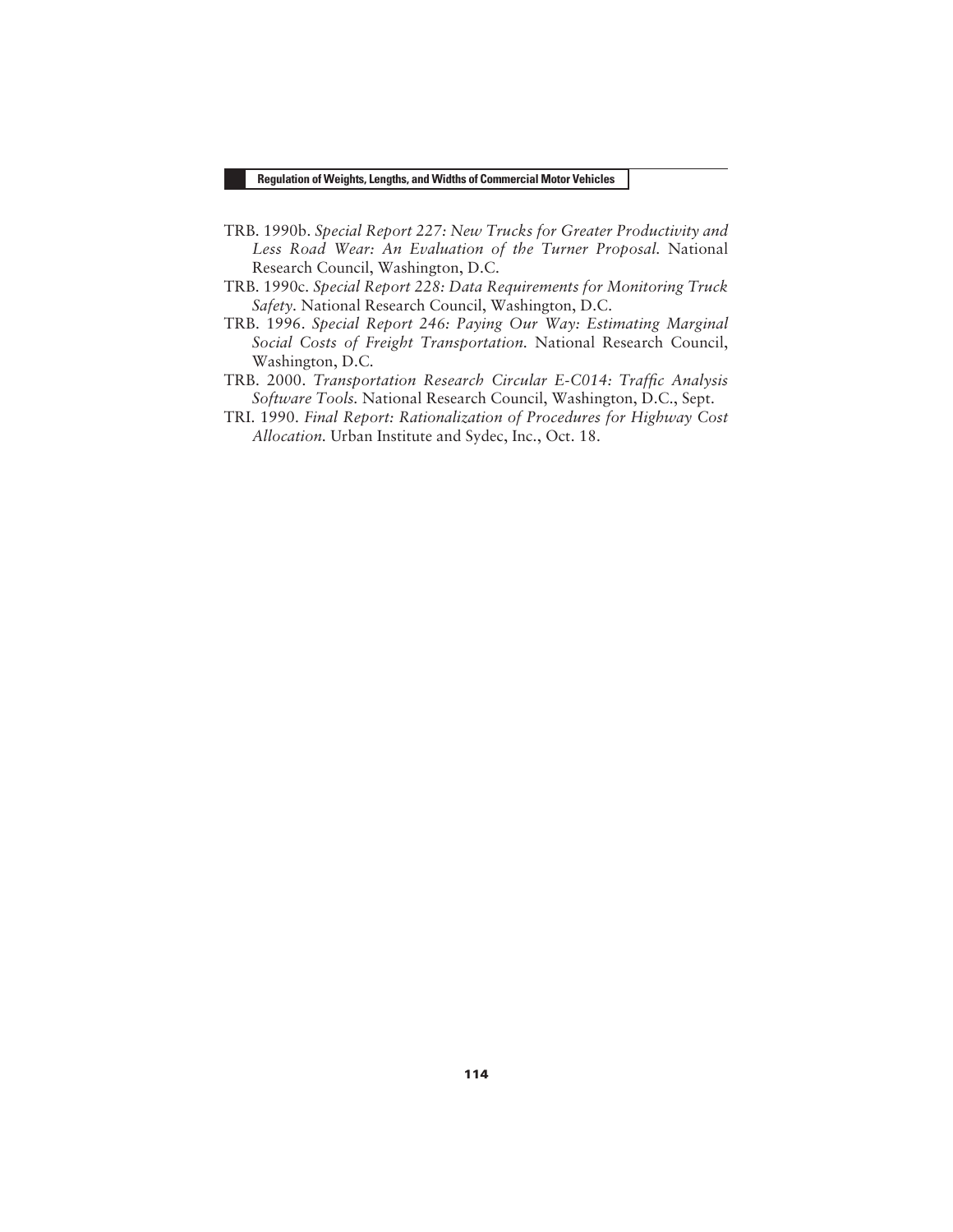- TRB. 1990b. *Special Report 227: New Trucks for Greater Productivity and Less Road Wear: An Evaluation of the Turner Proposal.* National Research Council, Washington, D.C.
- TRB. 1990c. *Special Report 228: Data Requirements for Monitoring Truck Safety.* National Research Council, Washington, D.C.
- TRB. 1996. *Special Report 246: Paying Our Way: Estimating Marginal Social Costs of Freight Transportation.* National Research Council, Washington, D.C.
- TRB. 2000. *Transportation Research Circular E-C014: Traffic Analysis Software Tools.* National Research Council, Washington, D.C., Sept.
- TRI. 1990. *Final Report: Rationalization of Procedures for Highway Cost Allocation.* Urban Institute and Sydec, Inc., Oct. 18.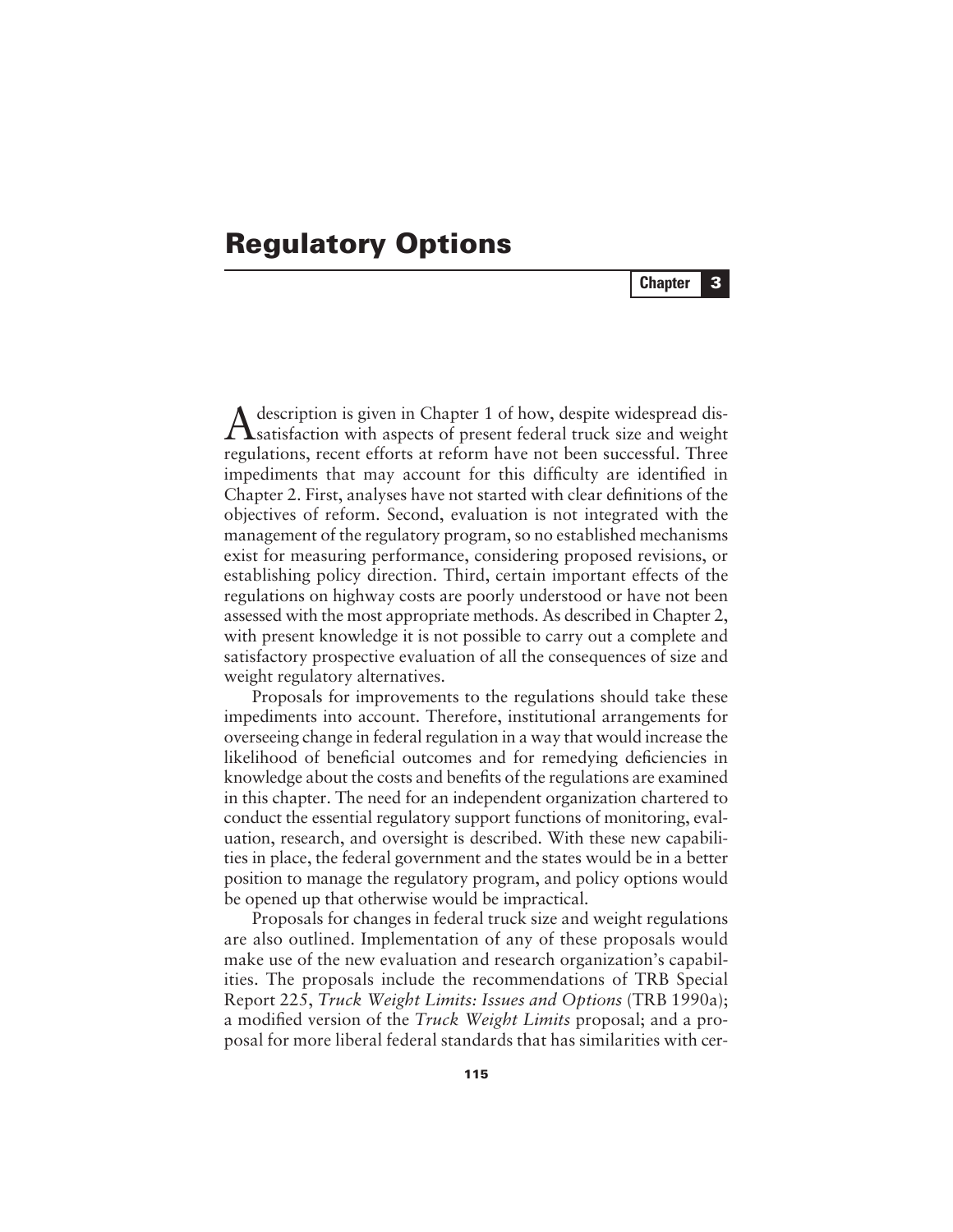A description is given in Chapter 1 of how, despite widespread dis-<br>
satisfaction with aspects of present federal truck size and weight regulations, recent efforts at reform have not been successful. Three impediments that may account for this difficulty are identified in Chapter 2. First, analyses have not started with clear definitions of the objectives of reform. Second, evaluation is not integrated with the management of the regulatory program, so no established mechanisms exist for measuring performance, considering proposed revisions, or establishing policy direction. Third, certain important effects of the regulations on highway costs are poorly understood or have not been assessed with the most appropriate methods. As described in Chapter 2, with present knowledge it is not possible to carry out a complete and satisfactory prospective evaluation of all the consequences of size and weight regulatory alternatives.

Proposals for improvements to the regulations should take these impediments into account. Therefore, institutional arrangements for overseeing change in federal regulation in a way that would increase the likelihood of beneficial outcomes and for remedying deficiencies in knowledge about the costs and benefits of the regulations are examined in this chapter. The need for an independent organization chartered to conduct the essential regulatory support functions of monitoring, evaluation, research, and oversight is described. With these new capabilities in place, the federal government and the states would be in a better position to manage the regulatory program, and policy options would be opened up that otherwise would be impractical.

Proposals for changes in federal truck size and weight regulations are also outlined. Implementation of any of these proposals would make use of the new evaluation and research organization's capabilities. The proposals include the recommendations of TRB Special Report 225, *Truck Weight Limits: Issues and Options* (TRB 1990a); a modified version of the *Truck Weight Limits* proposal; and a proposal for more liberal federal standards that has similarities with cer-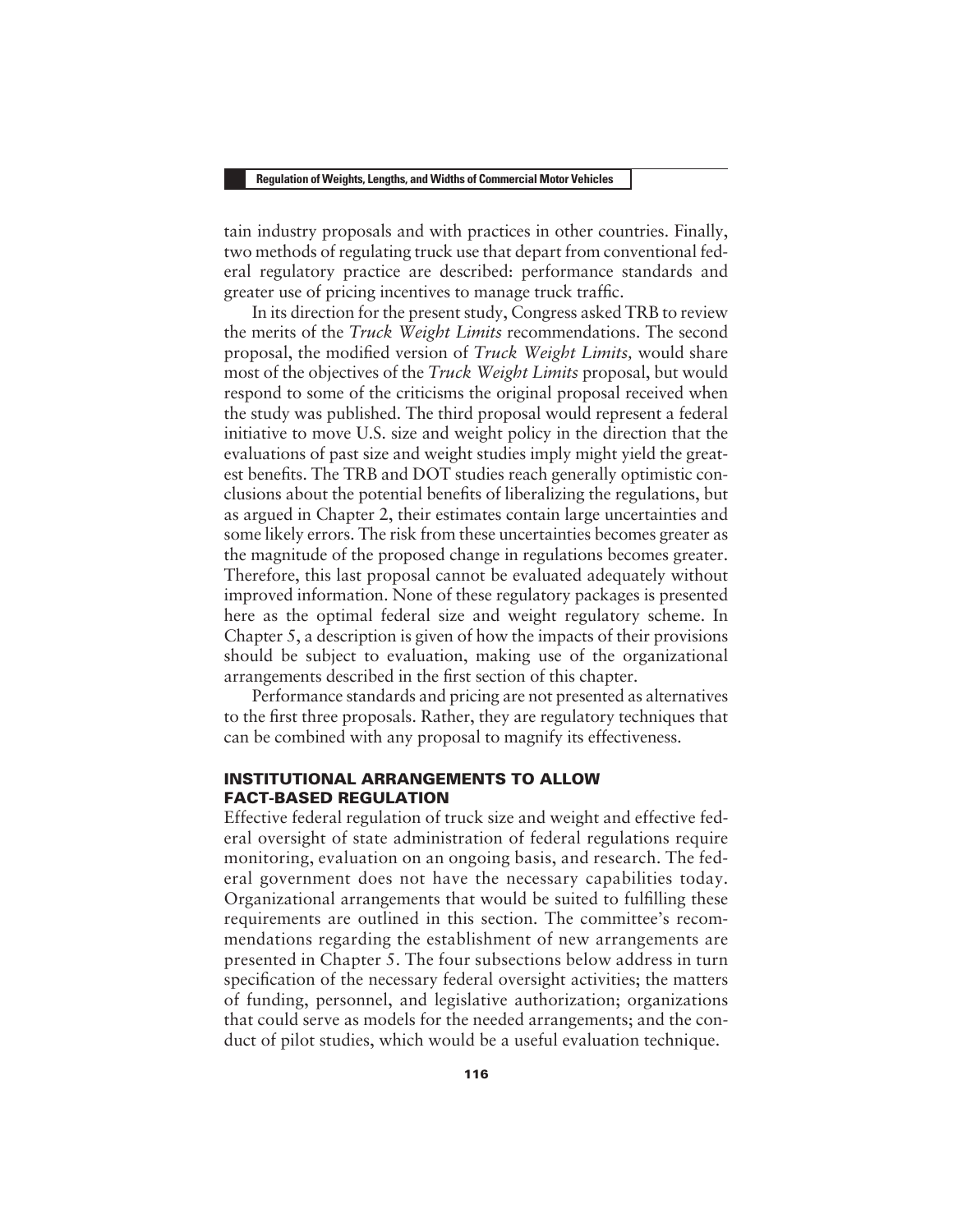tain industry proposals and with practices in other countries. Finally, two methods of regulating truck use that depart from conventional federal regulatory practice are described: performance standards and greater use of pricing incentives to manage truck traffic.

In its direction for the present study, Congress asked TRB to review the merits of the *Truck Weight Limits* recommendations. The second proposal, the modified version of *Truck Weight Limits,* would share most of the objectives of the *Truck Weight Limits* proposal, but would respond to some of the criticisms the original proposal received when the study was published. The third proposal would represent a federal initiative to move U.S. size and weight policy in the direction that the evaluations of past size and weight studies imply might yield the greatest benefits. The TRB and DOT studies reach generally optimistic conclusions about the potential benefits of liberalizing the regulations, but as argued in Chapter 2, their estimates contain large uncertainties and some likely errors. The risk from these uncertainties becomes greater as the magnitude of the proposed change in regulations becomes greater. Therefore, this last proposal cannot be evaluated adequately without improved information. None of these regulatory packages is presented here as the optimal federal size and weight regulatory scheme. In Chapter 5, a description is given of how the impacts of their provisions should be subject to evaluation, making use of the organizational arrangements described in the first section of this chapter.

Performance standards and pricing are not presented as alternatives to the first three proposals. Rather, they are regulatory techniques that can be combined with any proposal to magnify its effectiveness.

# **INSTITUTIONAL ARRANGEMENTS TO ALLOW FACT-BASED REGULATION**

Effective federal regulation of truck size and weight and effective federal oversight of state administration of federal regulations require monitoring, evaluation on an ongoing basis, and research. The federal government does not have the necessary capabilities today. Organizational arrangements that would be suited to fulfilling these requirements are outlined in this section. The committee's recommendations regarding the establishment of new arrangements are presented in Chapter 5. The four subsections below address in turn specification of the necessary federal oversight activities; the matters of funding, personnel, and legislative authorization; organizations that could serve as models for the needed arrangements; and the conduct of pilot studies, which would be a useful evaluation technique.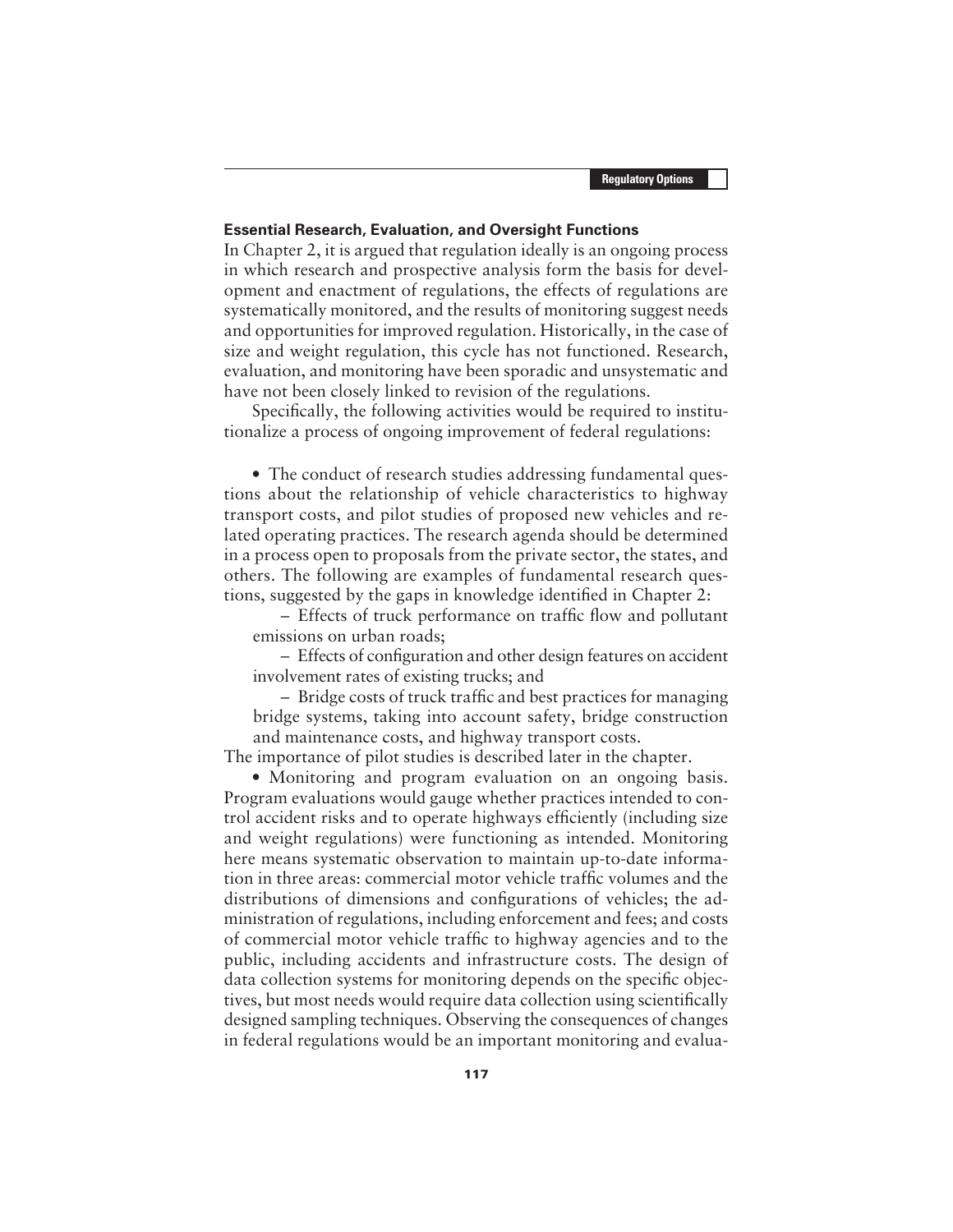### **Essential Research, Evaluation, and Oversight Functions**

In Chapter 2, it is argued that regulation ideally is an ongoing process in which research and prospective analysis form the basis for development and enactment of regulations, the effects of regulations are systematically monitored, and the results of monitoring suggest needs and opportunities for improved regulation. Historically, in the case of size and weight regulation, this cycle has not functioned. Research, evaluation, and monitoring have been sporadic and unsystematic and have not been closely linked to revision of the regulations.

Specifically, the following activities would be required to institutionalize a process of ongoing improvement of federal regulations:

• The conduct of research studies addressing fundamental questions about the relationship of vehicle characteristics to highway transport costs, and pilot studies of proposed new vehicles and related operating practices. The research agenda should be determined in a process open to proposals from the private sector, the states, and others. The following are examples of fundamental research questions, suggested by the gaps in knowledge identified in Chapter 2:

– Effects of truck performance on traffic flow and pollutant emissions on urban roads;

– Effects of configuration and other design features on accident involvement rates of existing trucks; and

– Bridge costs of truck traffic and best practices for managing bridge systems, taking into account safety, bridge construction and maintenance costs, and highway transport costs.

The importance of pilot studies is described later in the chapter.

• Monitoring and program evaluation on an ongoing basis. Program evaluations would gauge whether practices intended to control accident risks and to operate highways efficiently (including size and weight regulations) were functioning as intended. Monitoring here means systematic observation to maintain up-to-date information in three areas: commercial motor vehicle traffic volumes and the distributions of dimensions and configurations of vehicles; the administration of regulations, including enforcement and fees; and costs of commercial motor vehicle traffic to highway agencies and to the public, including accidents and infrastructure costs. The design of data collection systems for monitoring depends on the specific objectives, but most needs would require data collection using scientifically designed sampling techniques. Observing the consequences of changes in federal regulations would be an important monitoring and evalua-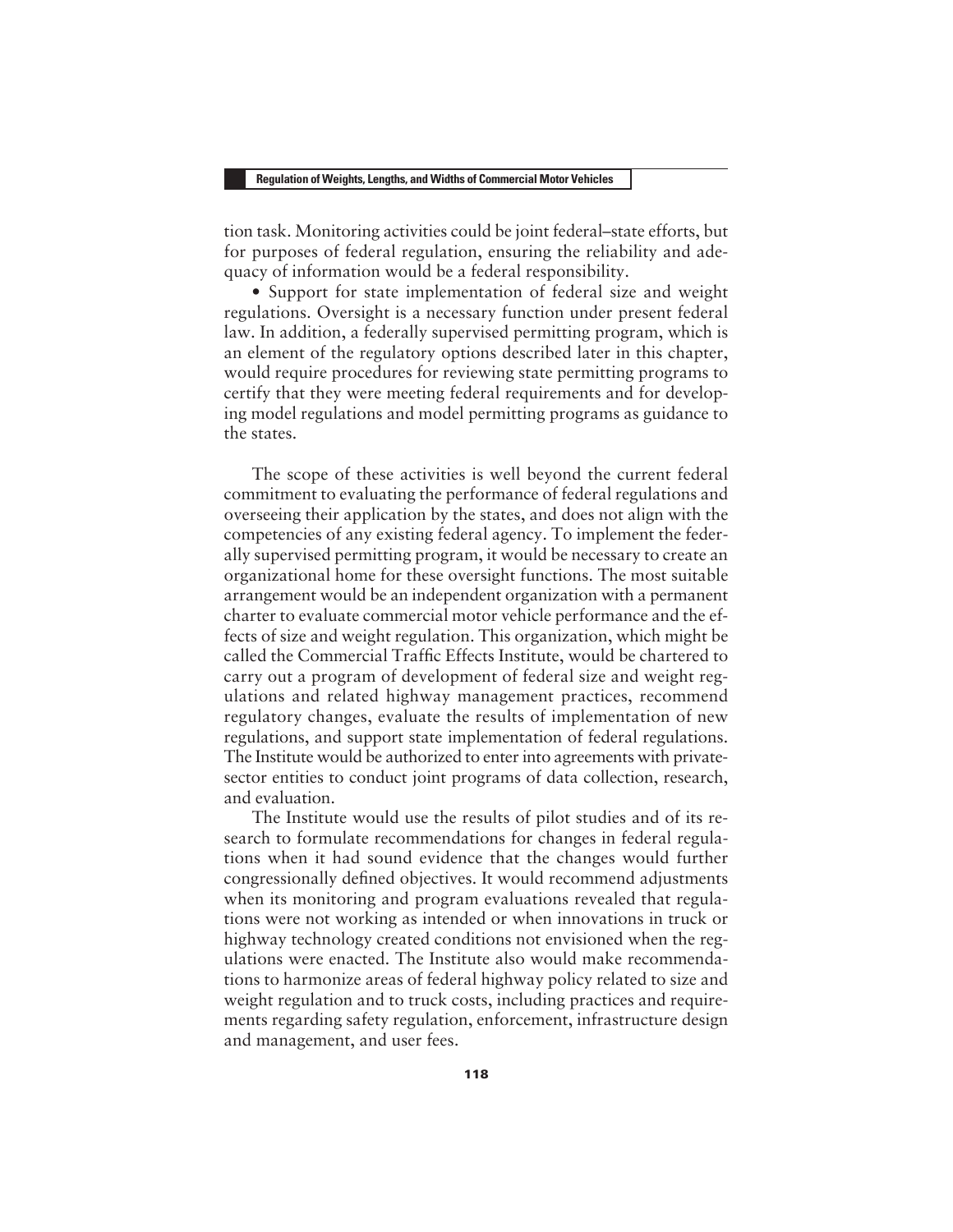tion task. Monitoring activities could be joint federal–state efforts, but for purposes of federal regulation, ensuring the reliability and adequacy of information would be a federal responsibility.

• Support for state implementation of federal size and weight regulations. Oversight is a necessary function under present federal law. In addition, a federally supervised permitting program, which is an element of the regulatory options described later in this chapter, would require procedures for reviewing state permitting programs to certify that they were meeting federal requirements and for developing model regulations and model permitting programs as guidance to the states.

The scope of these activities is well beyond the current federal commitment to evaluating the performance of federal regulations and overseeing their application by the states, and does not align with the competencies of any existing federal agency. To implement the federally supervised permitting program, it would be necessary to create an organizational home for these oversight functions. The most suitable arrangement would be an independent organization with a permanent charter to evaluate commercial motor vehicle performance and the effects of size and weight regulation. This organization, which might be called the Commercial Traffic Effects Institute, would be chartered to carry out a program of development of federal size and weight regulations and related highway management practices, recommend regulatory changes, evaluate the results of implementation of new regulations, and support state implementation of federal regulations. The Institute would be authorized to enter into agreements with privatesector entities to conduct joint programs of data collection, research, and evaluation.

The Institute would use the results of pilot studies and of its research to formulate recommendations for changes in federal regulations when it had sound evidence that the changes would further congressionally defined objectives. It would recommend adjustments when its monitoring and program evaluations revealed that regulations were not working as intended or when innovations in truck or highway technology created conditions not envisioned when the regulations were enacted. The Institute also would make recommendations to harmonize areas of federal highway policy related to size and weight regulation and to truck costs, including practices and requirements regarding safety regulation, enforcement, infrastructure design and management, and user fees.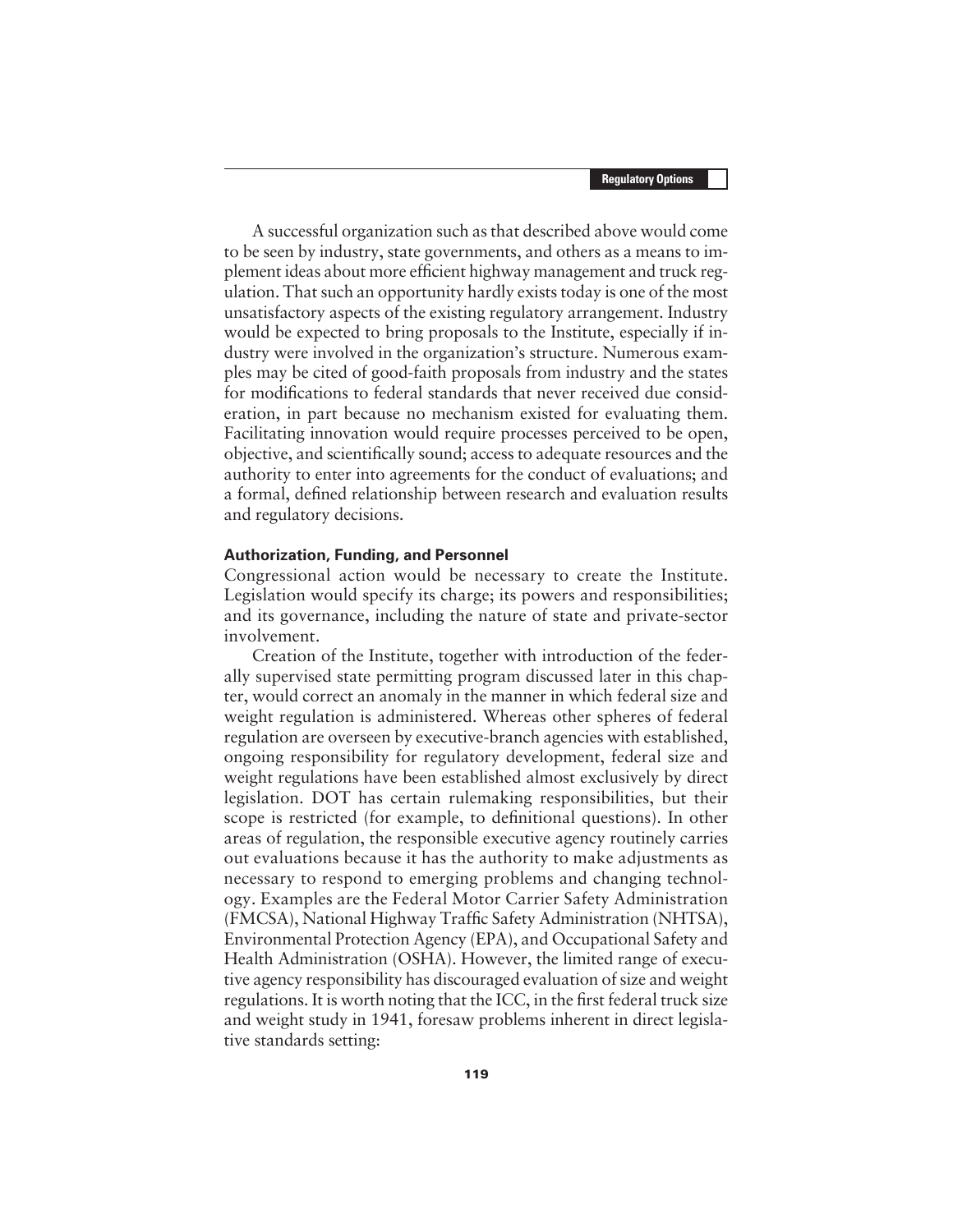A successful organization such as that described above would come to be seen by industry, state governments, and others as a means to implement ideas about more efficient highway management and truck regulation. That such an opportunity hardly exists today is one of the most unsatisfactory aspects of the existing regulatory arrangement. Industry would be expected to bring proposals to the Institute, especially if industry were involved in the organization's structure. Numerous examples may be cited of good-faith proposals from industry and the states for modifications to federal standards that never received due consideration, in part because no mechanism existed for evaluating them. Facilitating innovation would require processes perceived to be open, objective, and scientifically sound; access to adequate resources and the authority to enter into agreements for the conduct of evaluations; and a formal, defined relationship between research and evaluation results and regulatory decisions.

#### **Authorization, Funding, and Personnel**

Congressional action would be necessary to create the Institute. Legislation would specify its charge; its powers and responsibilities; and its governance, including the nature of state and private-sector involvement.

Creation of the Institute, together with introduction of the federally supervised state permitting program discussed later in this chapter, would correct an anomaly in the manner in which federal size and weight regulation is administered. Whereas other spheres of federal regulation are overseen by executive-branch agencies with established, ongoing responsibility for regulatory development, federal size and weight regulations have been established almost exclusively by direct legislation. DOT has certain rulemaking responsibilities, but their scope is restricted (for example, to definitional questions). In other areas of regulation, the responsible executive agency routinely carries out evaluations because it has the authority to make adjustments as necessary to respond to emerging problems and changing technology. Examples are the Federal Motor Carrier Safety Administration (FMCSA), National Highway Traffic Safety Administration (NHTSA), Environmental Protection Agency (EPA), and Occupational Safety and Health Administration (OSHA). However, the limited range of executive agency responsibility has discouraged evaluation of size and weight regulations. It is worth noting that the ICC, in the first federal truck size and weight study in 1941, foresaw problems inherent in direct legislative standards setting: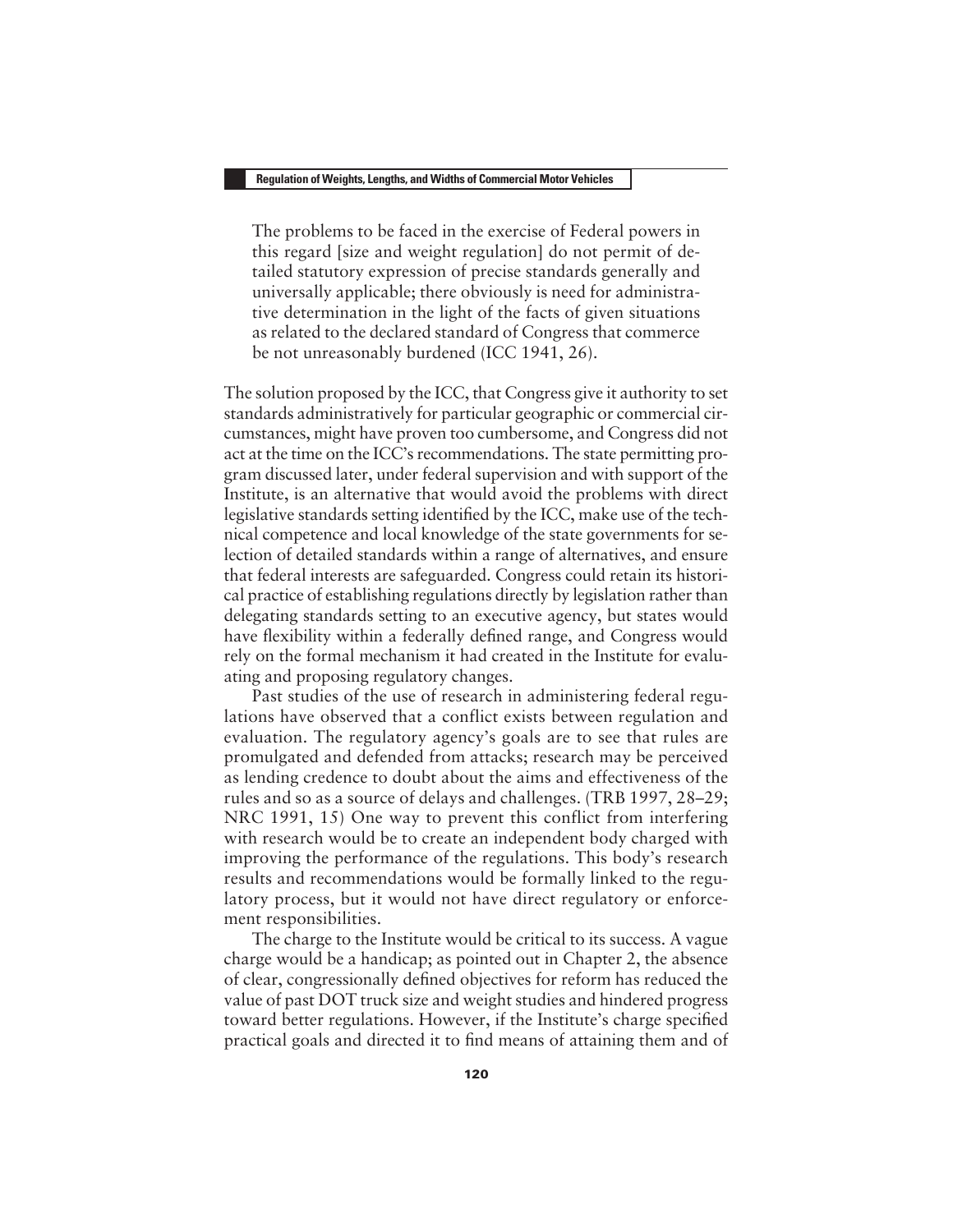The problems to be faced in the exercise of Federal powers in this regard [size and weight regulation] do not permit of detailed statutory expression of precise standards generally and universally applicable; there obviously is need for administrative determination in the light of the facts of given situations as related to the declared standard of Congress that commerce be not unreasonably burdened (ICC 1941, 26).

The solution proposed by the ICC, that Congress give it authority to set standards administratively for particular geographic or commercial circumstances, might have proven too cumbersome, and Congress did not act at the time on the ICC's recommendations. The state permitting program discussed later, under federal supervision and with support of the Institute, is an alternative that would avoid the problems with direct legislative standards setting identified by the ICC, make use of the technical competence and local knowledge of the state governments for selection of detailed standards within a range of alternatives, and ensure that federal interests are safeguarded. Congress could retain its historical practice of establishing regulations directly by legislation rather than delegating standards setting to an executive agency, but states would have flexibility within a federally defined range, and Congress would rely on the formal mechanism it had created in the Institute for evaluating and proposing regulatory changes.

Past studies of the use of research in administering federal regulations have observed that a conflict exists between regulation and evaluation. The regulatory agency's goals are to see that rules are promulgated and defended from attacks; research may be perceived as lending credence to doubt about the aims and effectiveness of the rules and so as a source of delays and challenges. (TRB 1997, 28–29; NRC 1991, 15) One way to prevent this conflict from interfering with research would be to create an independent body charged with improving the performance of the regulations. This body's research results and recommendations would be formally linked to the regulatory process, but it would not have direct regulatory or enforcement responsibilities.

The charge to the Institute would be critical to its success. A vague charge would be a handicap; as pointed out in Chapter 2, the absence of clear, congressionally defined objectives for reform has reduced the value of past DOT truck size and weight studies and hindered progress toward better regulations. However, if the Institute's charge specified practical goals and directed it to find means of attaining them and of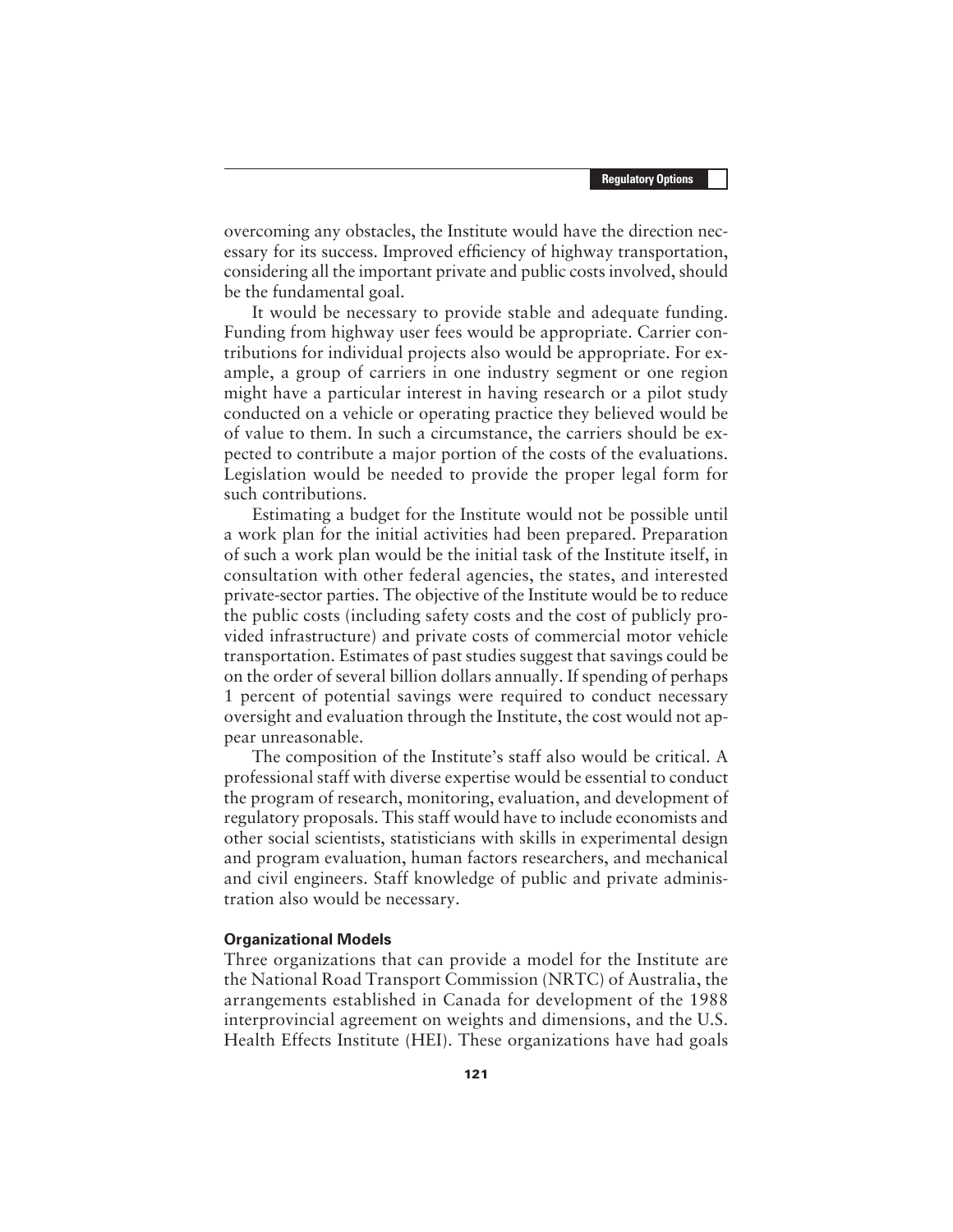overcoming any obstacles, the Institute would have the direction necessary for its success. Improved efficiency of highway transportation, considering all the important private and public costs involved, should be the fundamental goal.

It would be necessary to provide stable and adequate funding. Funding from highway user fees would be appropriate. Carrier contributions for individual projects also would be appropriate. For example, a group of carriers in one industry segment or one region might have a particular interest in having research or a pilot study conducted on a vehicle or operating practice they believed would be of value to them. In such a circumstance, the carriers should be expected to contribute a major portion of the costs of the evaluations. Legislation would be needed to provide the proper legal form for such contributions.

Estimating a budget for the Institute would not be possible until a work plan for the initial activities had been prepared. Preparation of such a work plan would be the initial task of the Institute itself, in consultation with other federal agencies, the states, and interested private-sector parties. The objective of the Institute would be to reduce the public costs (including safety costs and the cost of publicly provided infrastructure) and private costs of commercial motor vehicle transportation. Estimates of past studies suggest that savings could be on the order of several billion dollars annually. If spending of perhaps 1 percent of potential savings were required to conduct necessary oversight and evaluation through the Institute, the cost would not appear unreasonable.

The composition of the Institute's staff also would be critical. A professional staff with diverse expertise would be essential to conduct the program of research, monitoring, evaluation, and development of regulatory proposals. This staff would have to include economists and other social scientists, statisticians with skills in experimental design and program evaluation, human factors researchers, and mechanical and civil engineers. Staff knowledge of public and private administration also would be necessary.

### **Organizational Models**

Three organizations that can provide a model for the Institute are the National Road Transport Commission (NRTC) of Australia, the arrangements established in Canada for development of the 1988 interprovincial agreement on weights and dimensions, and the U.S. Health Effects Institute (HEI). These organizations have had goals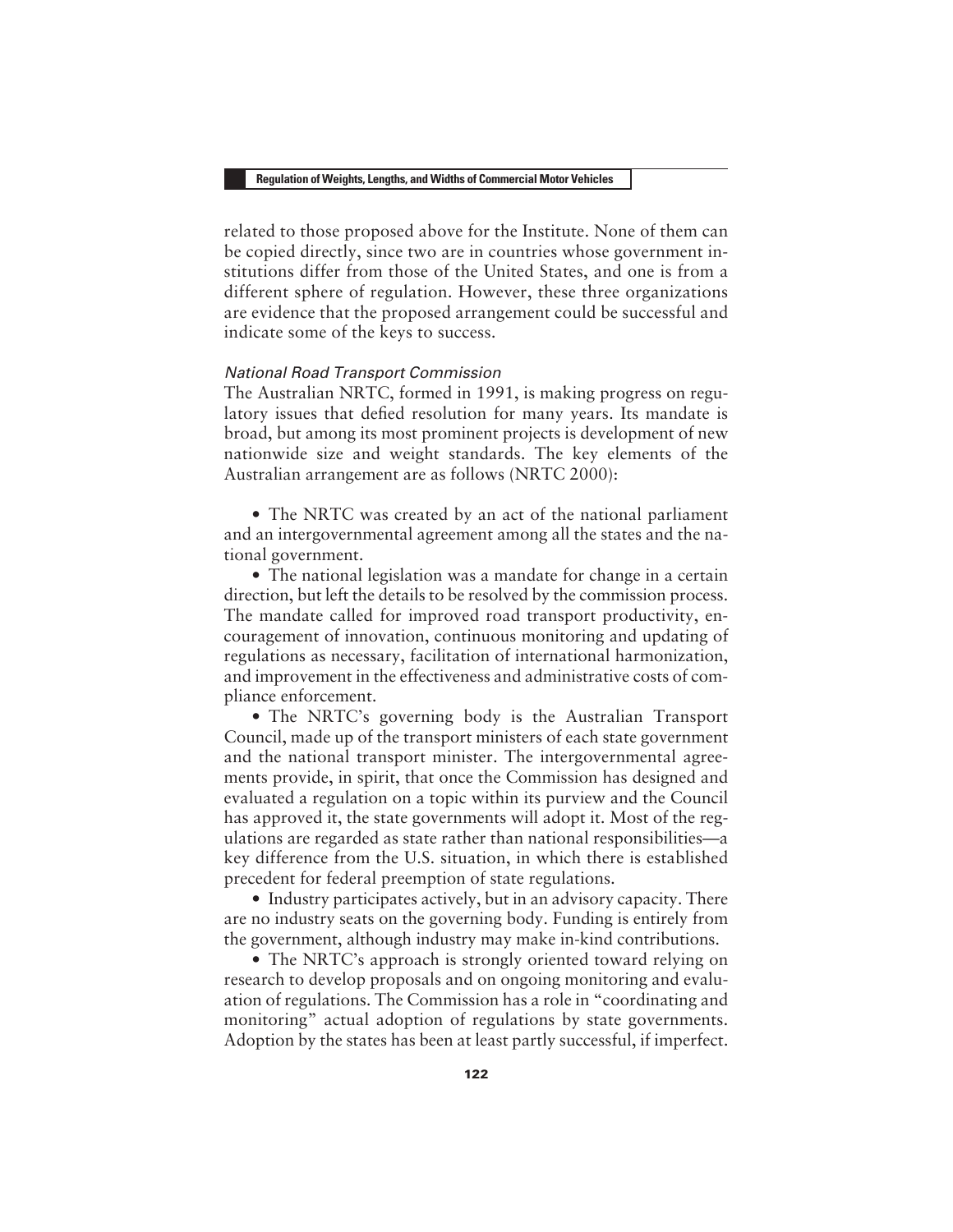related to those proposed above for the Institute. None of them can be copied directly, since two are in countries whose government institutions differ from those of the United States, and one is from a different sphere of regulation. However, these three organizations are evidence that the proposed arrangement could be successful and indicate some of the keys to success.

# National Road Transport Commission

The Australian NRTC, formed in 1991, is making progress on regulatory issues that defied resolution for many years. Its mandate is broad, but among its most prominent projects is development of new nationwide size and weight standards. The key elements of the Australian arrangement are as follows (NRTC 2000):

• The NRTC was created by an act of the national parliament and an intergovernmental agreement among all the states and the national government.

• The national legislation was a mandate for change in a certain direction, but left the details to be resolved by the commission process. The mandate called for improved road transport productivity, encouragement of innovation, continuous monitoring and updating of regulations as necessary, facilitation of international harmonization, and improvement in the effectiveness and administrative costs of compliance enforcement.

• The NRTC's governing body is the Australian Transport Council, made up of the transport ministers of each state government and the national transport minister. The intergovernmental agreements provide, in spirit, that once the Commission has designed and evaluated a regulation on a topic within its purview and the Council has approved it, the state governments will adopt it. Most of the regulations are regarded as state rather than national responsibilities—a key difference from the U.S. situation, in which there is established precedent for federal preemption of state regulations.

• Industry participates actively, but in an advisory capacity. There are no industry seats on the governing body. Funding is entirely from the government, although industry may make in-kind contributions.

• The NRTC's approach is strongly oriented toward relying on research to develop proposals and on ongoing monitoring and evaluation of regulations. The Commission has a role in "coordinating and monitoring" actual adoption of regulations by state governments. Adoption by the states has been at least partly successful, if imperfect.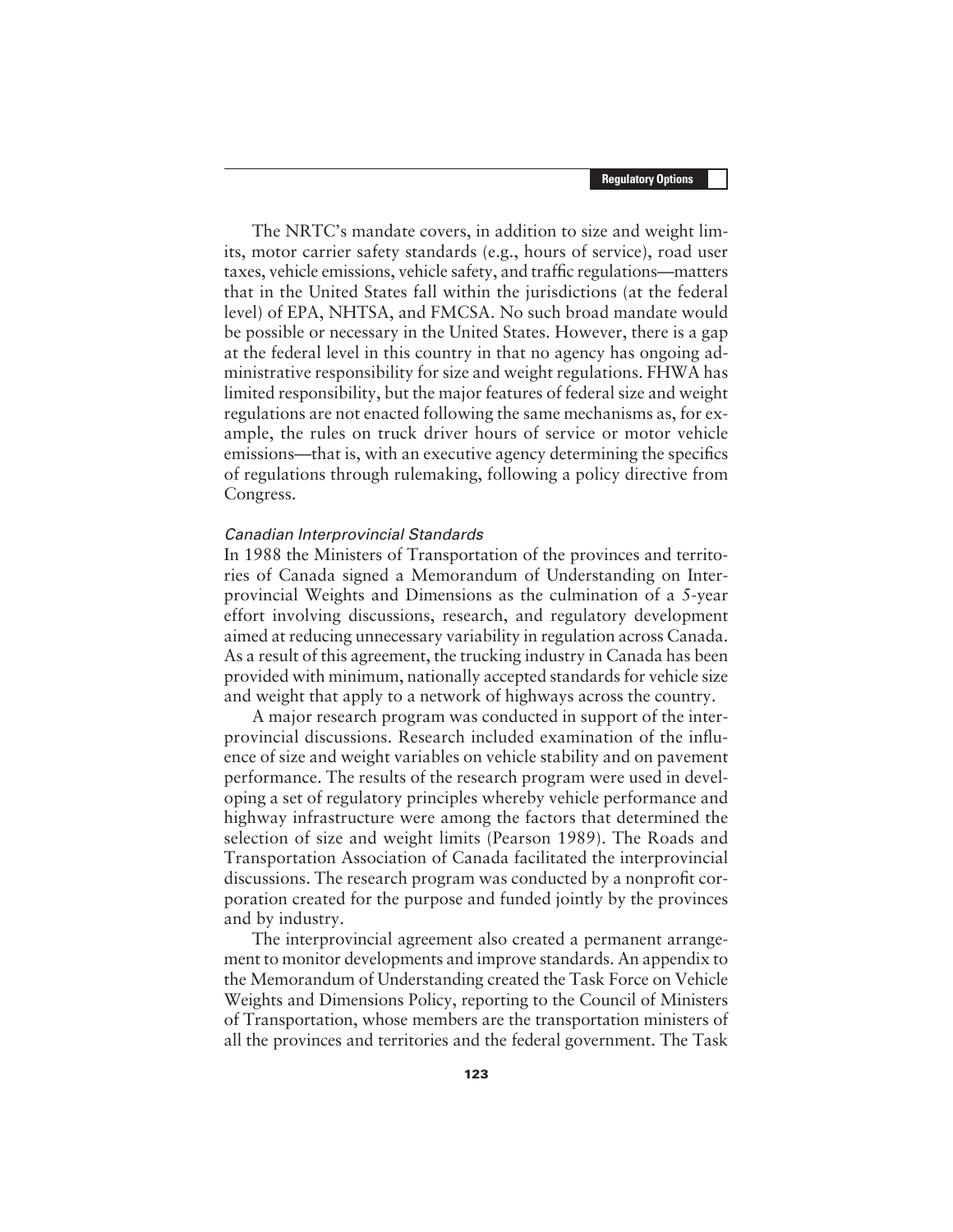The NRTC's mandate covers, in addition to size and weight limits, motor carrier safety standards (e.g., hours of service), road user taxes, vehicle emissions, vehicle safety, and traffic regulations—matters that in the United States fall within the jurisdictions (at the federal level) of EPA, NHTSA, and FMCSA. No such broad mandate would be possible or necessary in the United States. However, there is a gap at the federal level in this country in that no agency has ongoing administrative responsibility for size and weight regulations. FHWA has limited responsibility, but the major features of federal size and weight regulations are not enacted following the same mechanisms as, for example, the rules on truck driver hours of service or motor vehicle emissions—that is, with an executive agency determining the specifics of regulations through rulemaking, following a policy directive from Congress.

#### Canadian Interprovincial Standards

In 1988 the Ministers of Transportation of the provinces and territories of Canada signed a Memorandum of Understanding on Interprovincial Weights and Dimensions as the culmination of a 5-year effort involving discussions, research, and regulatory development aimed at reducing unnecessary variability in regulation across Canada. As a result of this agreement, the trucking industry in Canada has been provided with minimum, nationally accepted standards for vehicle size and weight that apply to a network of highways across the country.

A major research program was conducted in support of the interprovincial discussions. Research included examination of the influence of size and weight variables on vehicle stability and on pavement performance. The results of the research program were used in developing a set of regulatory principles whereby vehicle performance and highway infrastructure were among the factors that determined the selection of size and weight limits (Pearson 1989). The Roads and Transportation Association of Canada facilitated the interprovincial discussions. The research program was conducted by a nonprofit corporation created for the purpose and funded jointly by the provinces and by industry.

The interprovincial agreement also created a permanent arrangement to monitor developments and improve standards. An appendix to the Memorandum of Understanding created the Task Force on Vehicle Weights and Dimensions Policy, reporting to the Council of Ministers of Transportation, whose members are the transportation ministers of all the provinces and territories and the federal government. The Task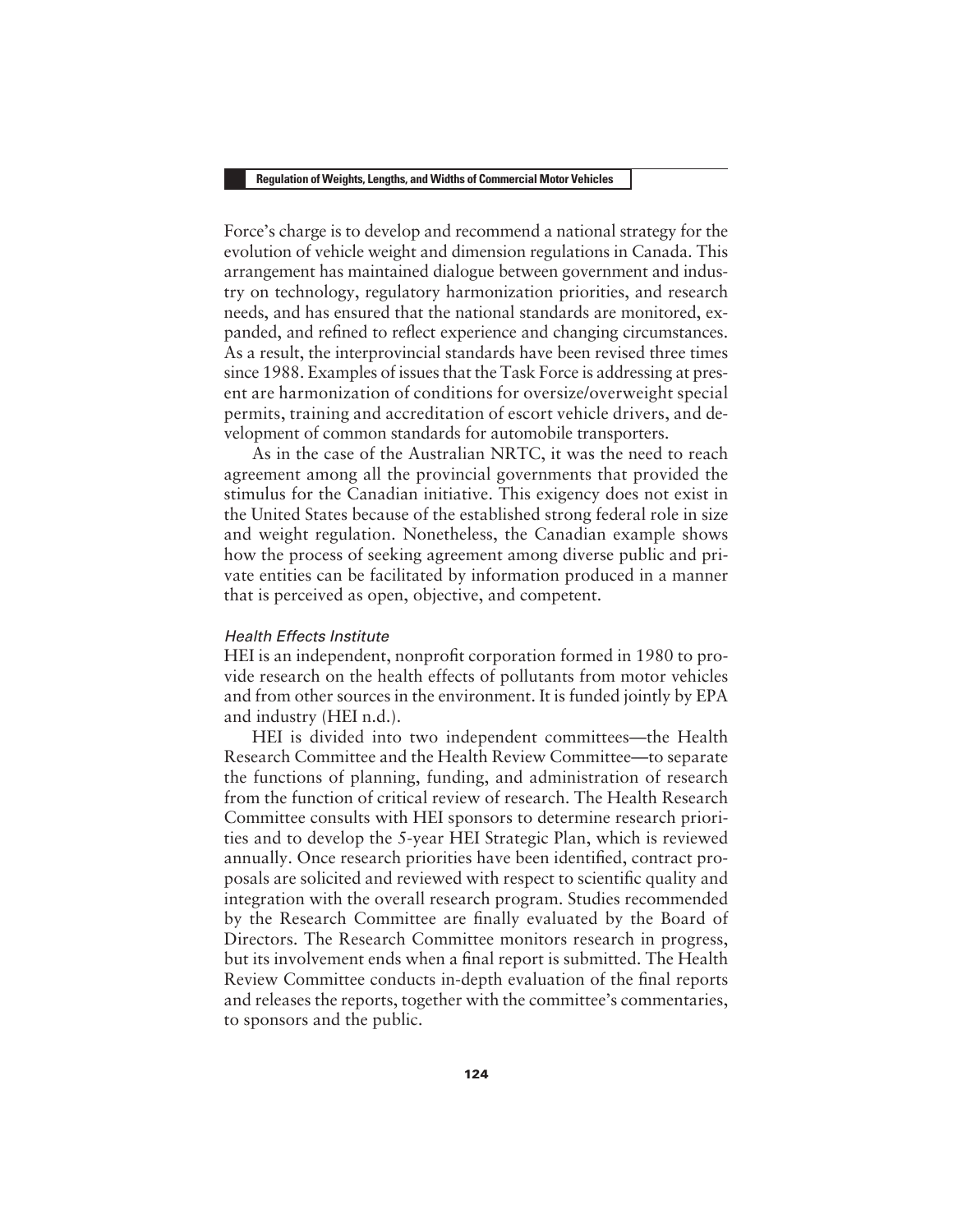Force's charge is to develop and recommend a national strategy for the evolution of vehicle weight and dimension regulations in Canada. This arrangement has maintained dialogue between government and industry on technology, regulatory harmonization priorities, and research needs, and has ensured that the national standards are monitored, expanded, and refined to reflect experience and changing circumstances. As a result, the interprovincial standards have been revised three times since 1988. Examples of issues that the Task Force is addressing at present are harmonization of conditions for oversize/overweight special permits, training and accreditation of escort vehicle drivers, and development of common standards for automobile transporters.

As in the case of the Australian NRTC, it was the need to reach agreement among all the provincial governments that provided the stimulus for the Canadian initiative. This exigency does not exist in the United States because of the established strong federal role in size and weight regulation. Nonetheless, the Canadian example shows how the process of seeking agreement among diverse public and private entities can be facilitated by information produced in a manner that is perceived as open, objective, and competent.

### Health Effects Institute

HEI is an independent, nonprofit corporation formed in 1980 to provide research on the health effects of pollutants from motor vehicles and from other sources in the environment. It is funded jointly by EPA and industry (HEI n.d.).

HEI is divided into two independent committees—the Health Research Committee and the Health Review Committee—to separate the functions of planning, funding, and administration of research from the function of critical review of research. The Health Research Committee consults with HEI sponsors to determine research priorities and to develop the 5-year HEI Strategic Plan, which is reviewed annually. Once research priorities have been identified, contract proposals are solicited and reviewed with respect to scientific quality and integration with the overall research program. Studies recommended by the Research Committee are finally evaluated by the Board of Directors. The Research Committee monitors research in progress, but its involvement ends when a final report is submitted. The Health Review Committee conducts in-depth evaluation of the final reports and releases the reports, together with the committee's commentaries, to sponsors and the public.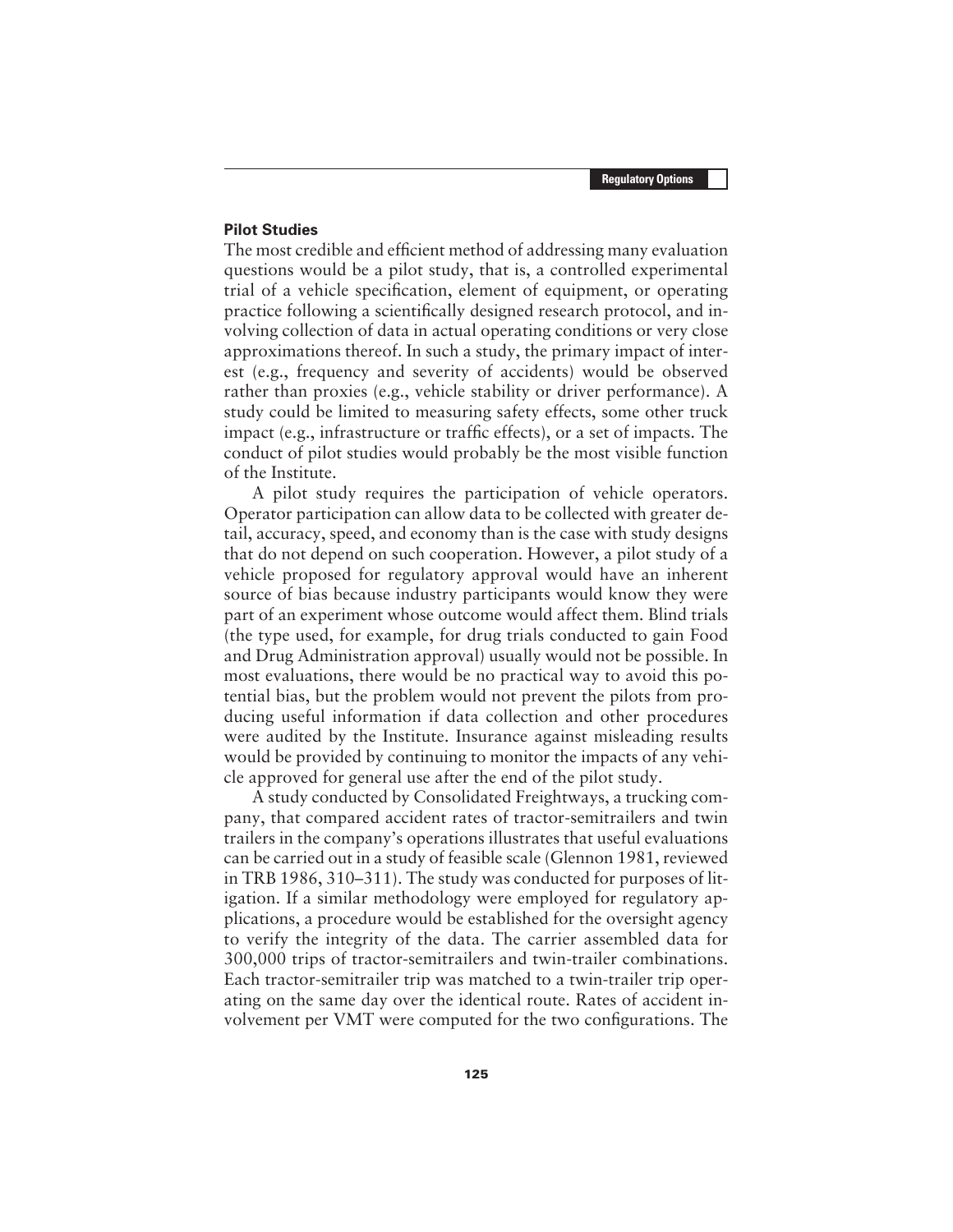#### **Pilot Studies**

The most credible and efficient method of addressing many evaluation questions would be a pilot study, that is, a controlled experimental trial of a vehicle specification, element of equipment, or operating practice following a scientifically designed research protocol, and involving collection of data in actual operating conditions or very close approximations thereof. In such a study, the primary impact of interest (e.g., frequency and severity of accidents) would be observed rather than proxies (e.g., vehicle stability or driver performance). A study could be limited to measuring safety effects, some other truck impact (e.g., infrastructure or traffic effects), or a set of impacts. The conduct of pilot studies would probably be the most visible function of the Institute.

A pilot study requires the participation of vehicle operators. Operator participation can allow data to be collected with greater detail, accuracy, speed, and economy than is the case with study designs that do not depend on such cooperation. However, a pilot study of a vehicle proposed for regulatory approval would have an inherent source of bias because industry participants would know they were part of an experiment whose outcome would affect them. Blind trials (the type used, for example, for drug trials conducted to gain Food and Drug Administration approval) usually would not be possible. In most evaluations, there would be no practical way to avoid this potential bias, but the problem would not prevent the pilots from producing useful information if data collection and other procedures were audited by the Institute. Insurance against misleading results would be provided by continuing to monitor the impacts of any vehicle approved for general use after the end of the pilot study.

A study conducted by Consolidated Freightways, a trucking company, that compared accident rates of tractor-semitrailers and twin trailers in the company's operations illustrates that useful evaluations can be carried out in a study of feasible scale (Glennon 1981, reviewed in TRB 1986, 310–311). The study was conducted for purposes of litigation. If a similar methodology were employed for regulatory applications, a procedure would be established for the oversight agency to verify the integrity of the data. The carrier assembled data for 300,000 trips of tractor-semitrailers and twin-trailer combinations. Each tractor-semitrailer trip was matched to a twin-trailer trip operating on the same day over the identical route. Rates of accident involvement per VMT were computed for the two configurations. The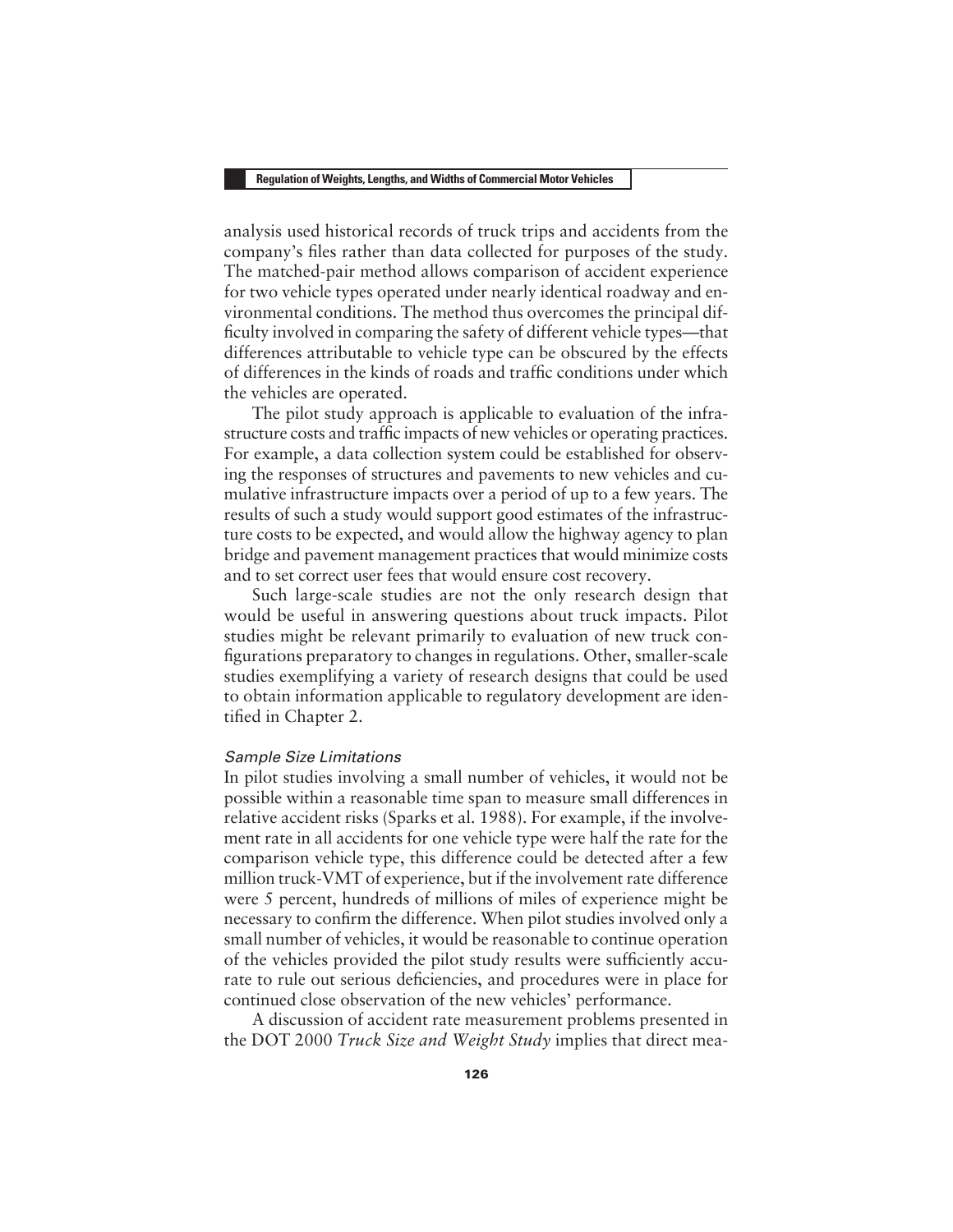analysis used historical records of truck trips and accidents from the company's files rather than data collected for purposes of the study. The matched-pair method allows comparison of accident experience for two vehicle types operated under nearly identical roadway and environmental conditions. The method thus overcomes the principal difficulty involved in comparing the safety of different vehicle types—that differences attributable to vehicle type can be obscured by the effects of differences in the kinds of roads and traffic conditions under which the vehicles are operated.

The pilot study approach is applicable to evaluation of the infrastructure costs and traffic impacts of new vehicles or operating practices. For example, a data collection system could be established for observing the responses of structures and pavements to new vehicles and cumulative infrastructure impacts over a period of up to a few years. The results of such a study would support good estimates of the infrastructure costs to be expected, and would allow the highway agency to plan bridge and pavement management practices that would minimize costs and to set correct user fees that would ensure cost recovery.

Such large-scale studies are not the only research design that would be useful in answering questions about truck impacts. Pilot studies might be relevant primarily to evaluation of new truck configurations preparatory to changes in regulations. Other, smaller-scale studies exemplifying a variety of research designs that could be used to obtain information applicable to regulatory development are identified in Chapter 2.

### Sample Size Limitations

In pilot studies involving a small number of vehicles, it would not be possible within a reasonable time span to measure small differences in relative accident risks (Sparks et al. 1988). For example, if the involvement rate in all accidents for one vehicle type were half the rate for the comparison vehicle type, this difference could be detected after a few million truck-VMT of experience, but if the involvement rate difference were 5 percent, hundreds of millions of miles of experience might be necessary to confirm the difference. When pilot studies involved only a small number of vehicles, it would be reasonable to continue operation of the vehicles provided the pilot study results were sufficiently accurate to rule out serious deficiencies, and procedures were in place for continued close observation of the new vehicles' performance.

A discussion of accident rate measurement problems presented in the DOT 2000 *Truck Size and Weight Study* implies that direct mea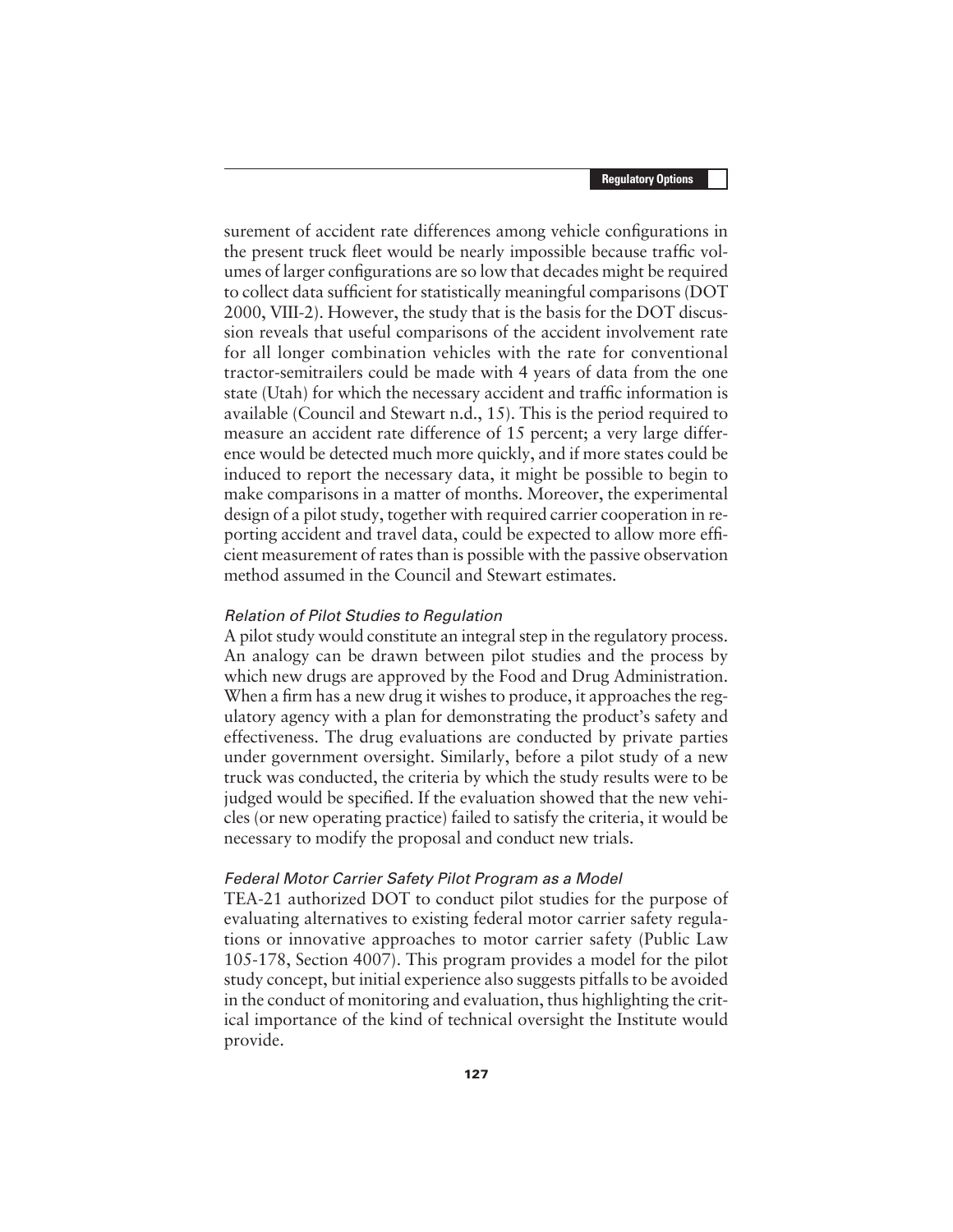surement of accident rate differences among vehicle configurations in the present truck fleet would be nearly impossible because traffic volumes of larger configurations are so low that decades might be required to collect data sufficient for statistically meaningful comparisons (DOT 2000, VIII-2). However, the study that is the basis for the DOT discussion reveals that useful comparisons of the accident involvement rate for all longer combination vehicles with the rate for conventional tractor-semitrailers could be made with 4 years of data from the one state (Utah) for which the necessary accident and traffic information is available (Council and Stewart n.d., 15). This is the period required to measure an accident rate difference of 15 percent; a very large difference would be detected much more quickly, and if more states could be induced to report the necessary data, it might be possible to begin to make comparisons in a matter of months. Moreover, the experimental design of a pilot study, together with required carrier cooperation in reporting accident and travel data, could be expected to allow more efficient measurement of rates than is possible with the passive observation method assumed in the Council and Stewart estimates.

## Relation of Pilot Studies to Regulation

A pilot study would constitute an integral step in the regulatory process. An analogy can be drawn between pilot studies and the process by which new drugs are approved by the Food and Drug Administration. When a firm has a new drug it wishes to produce, it approaches the regulatory agency with a plan for demonstrating the product's safety and effectiveness. The drug evaluations are conducted by private parties under government oversight. Similarly, before a pilot study of a new truck was conducted, the criteria by which the study results were to be judged would be specified. If the evaluation showed that the new vehicles (or new operating practice) failed to satisfy the criteria, it would be necessary to modify the proposal and conduct new trials.

## Federal Motor Carrier Safety Pilot Program as a Model

TEA-21 authorized DOT to conduct pilot studies for the purpose of evaluating alternatives to existing federal motor carrier safety regulations or innovative approaches to motor carrier safety (Public Law 105-178, Section 4007). This program provides a model for the pilot study concept, but initial experience also suggests pitfalls to be avoided in the conduct of monitoring and evaluation, thus highlighting the critical importance of the kind of technical oversight the Institute would provide.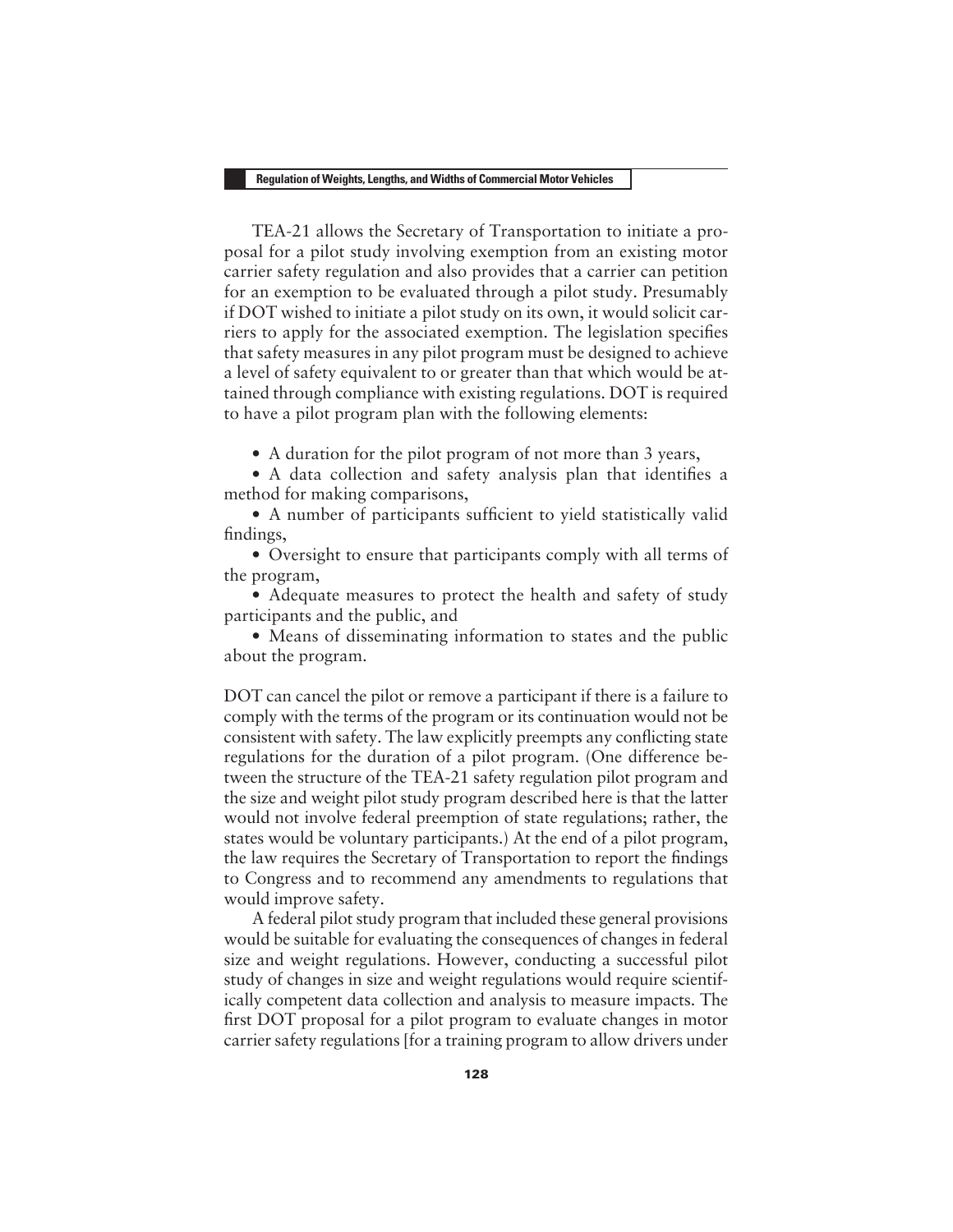TEA-21 allows the Secretary of Transportation to initiate a proposal for a pilot study involving exemption from an existing motor carrier safety regulation and also provides that a carrier can petition for an exemption to be evaluated through a pilot study. Presumably if DOT wished to initiate a pilot study on its own, it would solicit carriers to apply for the associated exemption. The legislation specifies that safety measures in any pilot program must be designed to achieve a level of safety equivalent to or greater than that which would be attained through compliance with existing regulations. DOT is required to have a pilot program plan with the following elements:

• A duration for the pilot program of not more than 3 years,

• A data collection and safety analysis plan that identifies a method for making comparisons,

• A number of participants sufficient to yield statistically valid findings,

• Oversight to ensure that participants comply with all terms of the program,

• Adequate measures to protect the health and safety of study participants and the public, and

• Means of disseminating information to states and the public about the program.

DOT can cancel the pilot or remove a participant if there is a failure to comply with the terms of the program or its continuation would not be consistent with safety. The law explicitly preempts any conflicting state regulations for the duration of a pilot program. (One difference between the structure of the TEA-21 safety regulation pilot program and the size and weight pilot study program described here is that the latter would not involve federal preemption of state regulations; rather, the states would be voluntary participants.) At the end of a pilot program, the law requires the Secretary of Transportation to report the findings to Congress and to recommend any amendments to regulations that would improve safety.

A federal pilot study program that included these general provisions would be suitable for evaluating the consequences of changes in federal size and weight regulations. However, conducting a successful pilot study of changes in size and weight regulations would require scientifically competent data collection and analysis to measure impacts. The first DOT proposal for a pilot program to evaluate changes in motor carrier safety regulations [for a training program to allow drivers under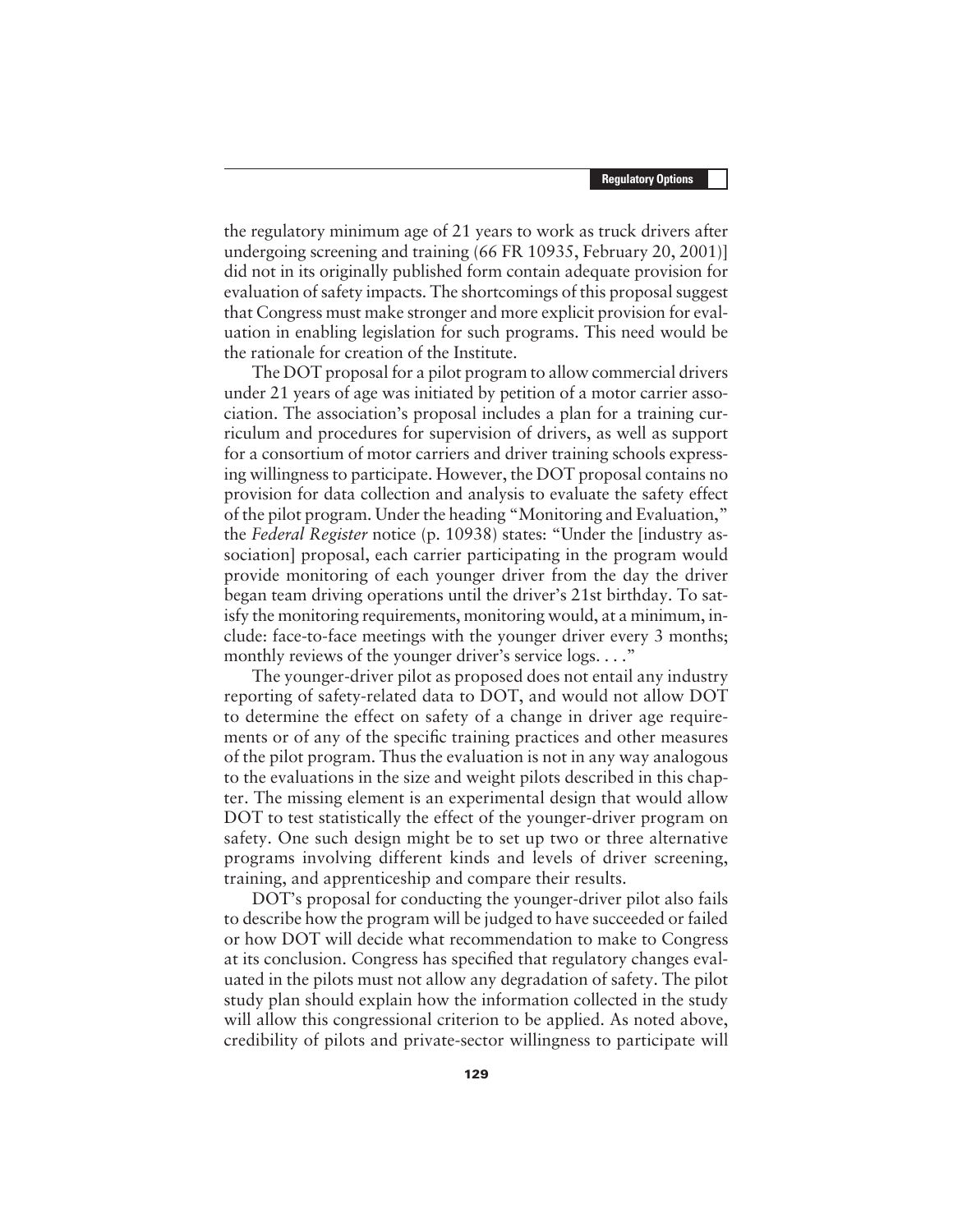the regulatory minimum age of 21 years to work as truck drivers after undergoing screening and training (66 FR 10935, February 20, 2001)] did not in its originally published form contain adequate provision for evaluation of safety impacts. The shortcomings of this proposal suggest that Congress must make stronger and more explicit provision for evaluation in enabling legislation for such programs. This need would be the rationale for creation of the Institute.

The DOT proposal for a pilot program to allow commercial drivers under 21 years of age was initiated by petition of a motor carrier association. The association's proposal includes a plan for a training curriculum and procedures for supervision of drivers, as well as support for a consortium of motor carriers and driver training schools expressing willingness to participate. However, the DOT proposal contains no provision for data collection and analysis to evaluate the safety effect of the pilot program. Under the heading "Monitoring and Evaluation," the *Federal Register* notice (p. 10938) states: "Under the [industry association] proposal, each carrier participating in the program would provide monitoring of each younger driver from the day the driver began team driving operations until the driver's 21st birthday. To satisfy the monitoring requirements, monitoring would, at a minimum, include: face-to-face meetings with the younger driver every 3 months; monthly reviews of the younger driver's service logs...."

The younger-driver pilot as proposed does not entail any industry reporting of safety-related data to DOT, and would not allow DOT to determine the effect on safety of a change in driver age requirements or of any of the specific training practices and other measures of the pilot program. Thus the evaluation is not in any way analogous to the evaluations in the size and weight pilots described in this chapter. The missing element is an experimental design that would allow DOT to test statistically the effect of the younger-driver program on safety. One such design might be to set up two or three alternative programs involving different kinds and levels of driver screening, training, and apprenticeship and compare their results.

DOT's proposal for conducting the younger-driver pilot also fails to describe how the program will be judged to have succeeded or failed or how DOT will decide what recommendation to make to Congress at its conclusion. Congress has specified that regulatory changes evaluated in the pilots must not allow any degradation of safety. The pilot study plan should explain how the information collected in the study will allow this congressional criterion to be applied. As noted above, credibility of pilots and private-sector willingness to participate will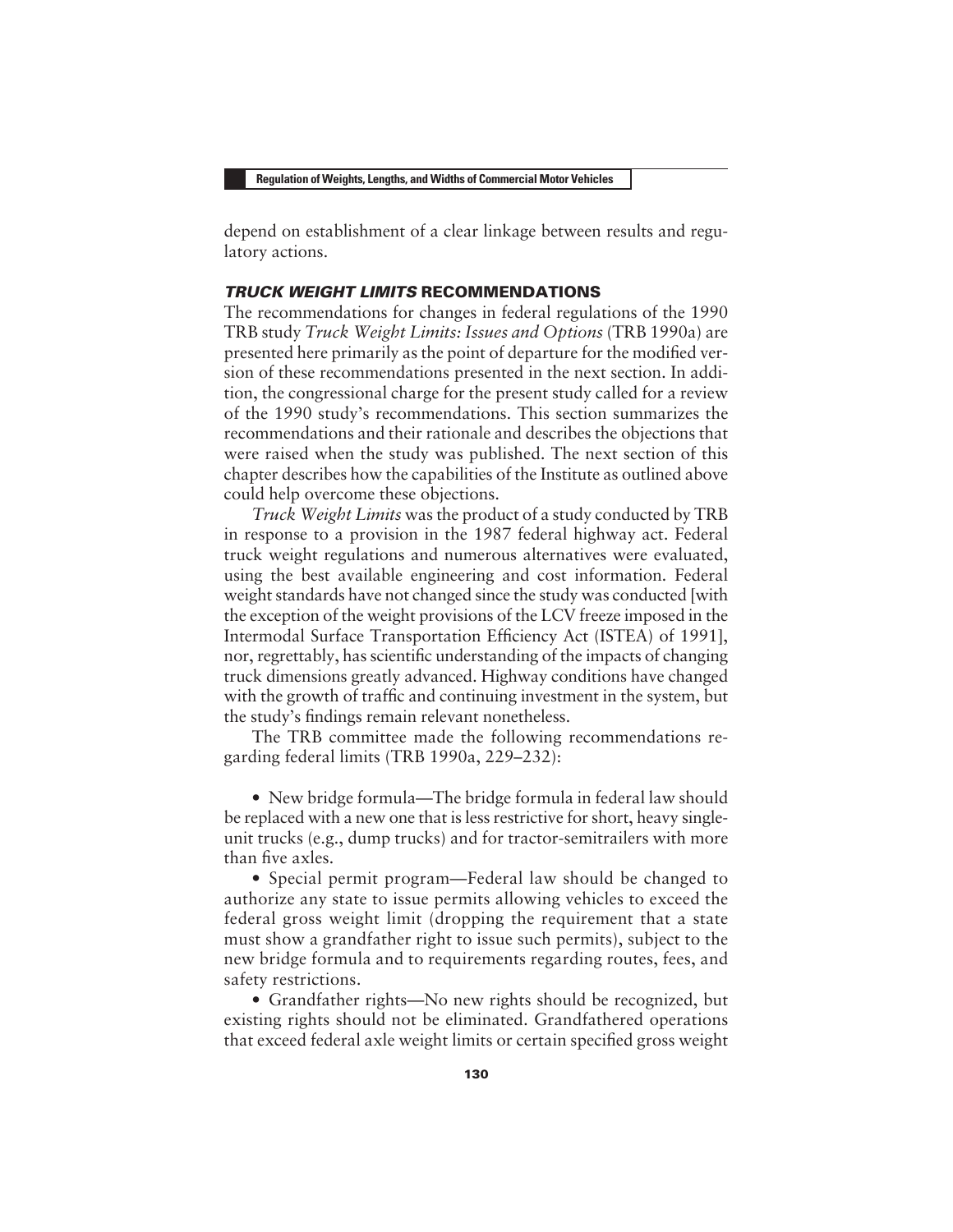depend on establishment of a clear linkage between results and regulatory actions.

# *TRUCK WEIGHT LIMITS* **RECOMMENDATIONS**

The recommendations for changes in federal regulations of the 1990 TRB study *Truck Weight Limits: Issues and Options* (TRB 1990a) are presented here primarily as the point of departure for the modified version of these recommendations presented in the next section. In addition, the congressional charge for the present study called for a review of the 1990 study's recommendations. This section summarizes the recommendations and their rationale and describes the objections that were raised when the study was published. The next section of this chapter describes how the capabilities of the Institute as outlined above could help overcome these objections.

*Truck Weight Limits* was the product of a study conducted by TRB in response to a provision in the 1987 federal highway act. Federal truck weight regulations and numerous alternatives were evaluated, using the best available engineering and cost information. Federal weight standards have not changed since the study was conducted [with the exception of the weight provisions of the LCV freeze imposed in the Intermodal Surface Transportation Efficiency Act (ISTEA) of 1991], nor, regrettably, has scientific understanding of the impacts of changing truck dimensions greatly advanced. Highway conditions have changed with the growth of traffic and continuing investment in the system, but the study's findings remain relevant nonetheless.

The TRB committee made the following recommendations regarding federal limits (TRB 1990a, 229–232):

• New bridge formula—The bridge formula in federal law should be replaced with a new one that is less restrictive for short, heavy singleunit trucks (e.g., dump trucks) and for tractor-semitrailers with more than five axles.

• Special permit program—Federal law should be changed to authorize any state to issue permits allowing vehicles to exceed the federal gross weight limit (dropping the requirement that a state must show a grandfather right to issue such permits), subject to the new bridge formula and to requirements regarding routes, fees, and safety restrictions.

• Grandfather rights—No new rights should be recognized, but existing rights should not be eliminated. Grandfathered operations that exceed federal axle weight limits or certain specified gross weight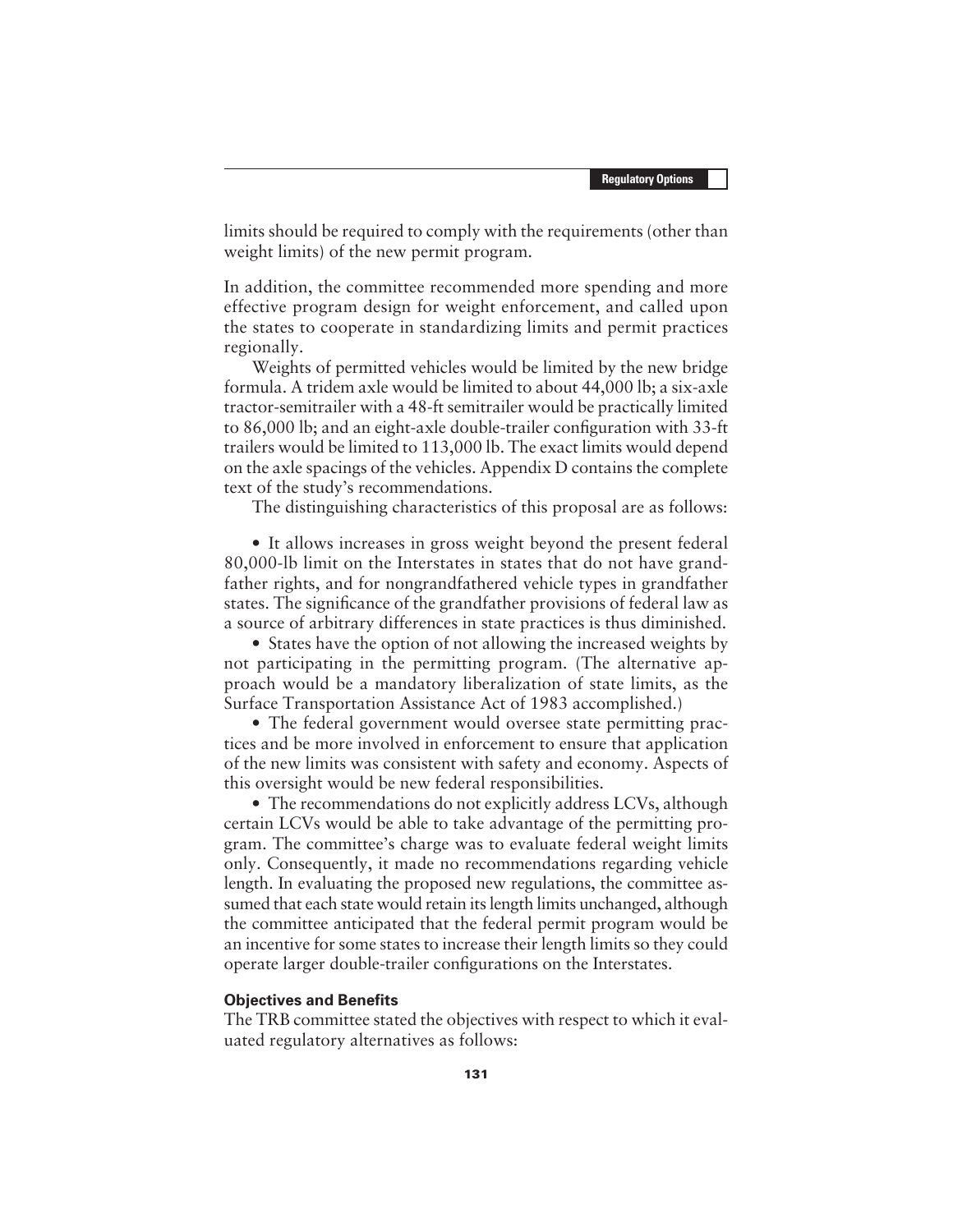limits should be required to comply with the requirements (other than weight limits) of the new permit program.

In addition, the committee recommended more spending and more effective program design for weight enforcement, and called upon the states to cooperate in standardizing limits and permit practices regionally.

Weights of permitted vehicles would be limited by the new bridge formula. A tridem axle would be limited to about 44,000 lb; a six-axle tractor-semitrailer with a 48-ft semitrailer would be practically limited to 86,000 lb; and an eight-axle double-trailer configuration with 33-ft trailers would be limited to 113,000 lb. The exact limits would depend on the axle spacings of the vehicles. Appendix D contains the complete text of the study's recommendations.

The distinguishing characteristics of this proposal are as follows:

• It allows increases in gross weight beyond the present federal 80,000-lb limit on the Interstates in states that do not have grandfather rights, and for nongrandfathered vehicle types in grandfather states. The significance of the grandfather provisions of federal law as a source of arbitrary differences in state practices is thus diminished.

• States have the option of not allowing the increased weights by not participating in the permitting program. (The alternative approach would be a mandatory liberalization of state limits, as the Surface Transportation Assistance Act of 1983 accomplished.)

• The federal government would oversee state permitting practices and be more involved in enforcement to ensure that application of the new limits was consistent with safety and economy. Aspects of this oversight would be new federal responsibilities.

• The recommendations do not explicitly address LCVs, although certain LCVs would be able to take advantage of the permitting program. The committee's charge was to evaluate federal weight limits only. Consequently, it made no recommendations regarding vehicle length. In evaluating the proposed new regulations, the committee assumed that each state would retain its length limits unchanged, although the committee anticipated that the federal permit program would be an incentive for some states to increase their length limits so they could operate larger double-trailer configurations on the Interstates.

#### **Objectives and Benefits**

The TRB committee stated the objectives with respect to which it evaluated regulatory alternatives as follows: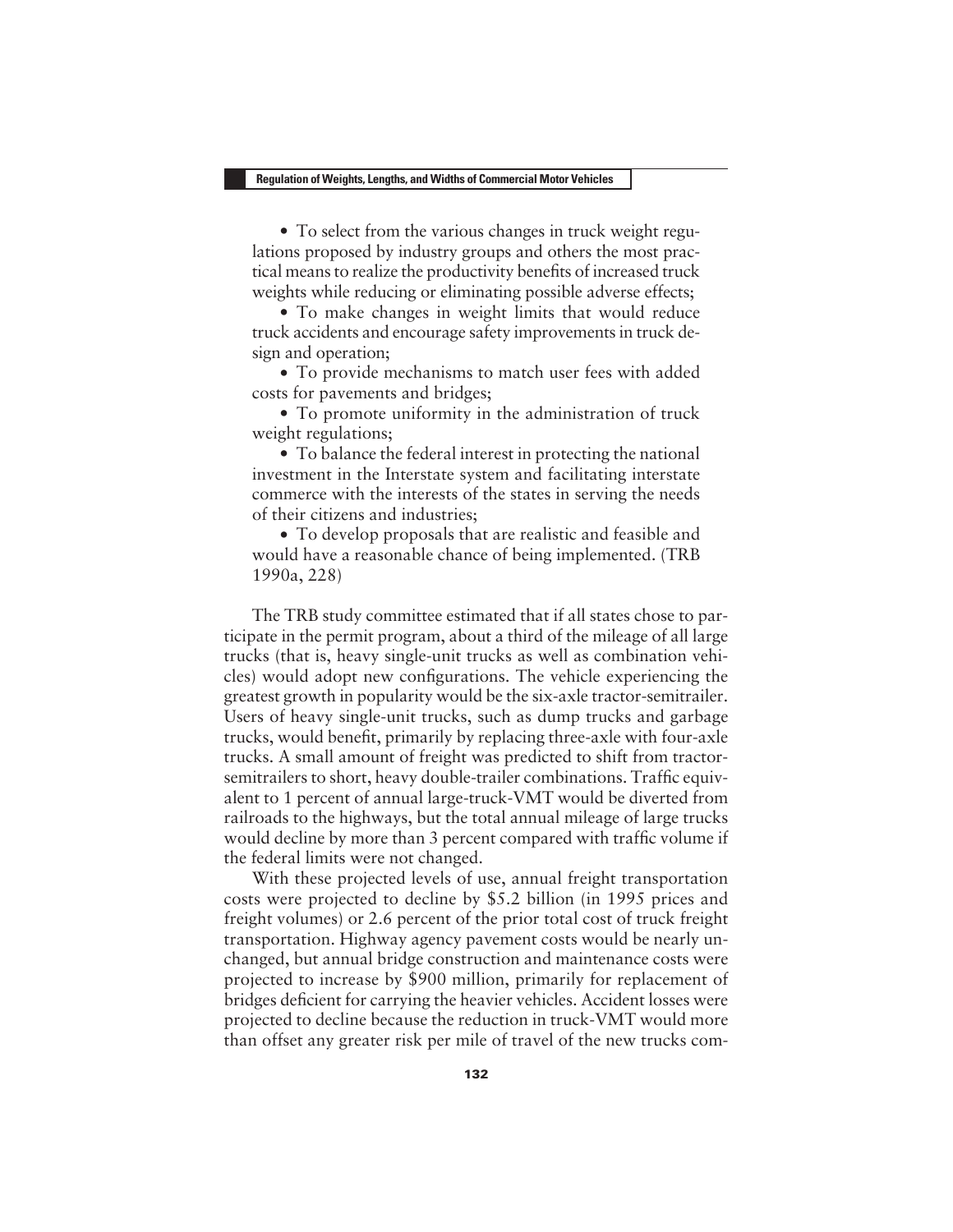• To select from the various changes in truck weight regulations proposed by industry groups and others the most practical means to realize the productivity benefits of increased truck weights while reducing or eliminating possible adverse effects;

• To make changes in weight limits that would reduce truck accidents and encourage safety improvements in truck design and operation;

• To provide mechanisms to match user fees with added costs for pavements and bridges;

• To promote uniformity in the administration of truck weight regulations;

• To balance the federal interest in protecting the national investment in the Interstate system and facilitating interstate commerce with the interests of the states in serving the needs of their citizens and industries;

• To develop proposals that are realistic and feasible and would have a reasonable chance of being implemented. (TRB 1990a, 228)

The TRB study committee estimated that if all states chose to participate in the permit program, about a third of the mileage of all large trucks (that is, heavy single-unit trucks as well as combination vehicles) would adopt new configurations. The vehicle experiencing the greatest growth in popularity would be the six-axle tractor-semitrailer. Users of heavy single-unit trucks, such as dump trucks and garbage trucks, would benefit, primarily by replacing three-axle with four-axle trucks. A small amount of freight was predicted to shift from tractorsemitrailers to short, heavy double-trailer combinations. Traffic equivalent to 1 percent of annual large-truck-VMT would be diverted from railroads to the highways, but the total annual mileage of large trucks would decline by more than 3 percent compared with traffic volume if the federal limits were not changed.

With these projected levels of use, annual freight transportation costs were projected to decline by \$5.2 billion (in 1995 prices and freight volumes) or 2.6 percent of the prior total cost of truck freight transportation. Highway agency pavement costs would be nearly unchanged, but annual bridge construction and maintenance costs were projected to increase by \$900 million, primarily for replacement of bridges deficient for carrying the heavier vehicles. Accident losses were projected to decline because the reduction in truck-VMT would more than offset any greater risk per mile of travel of the new trucks com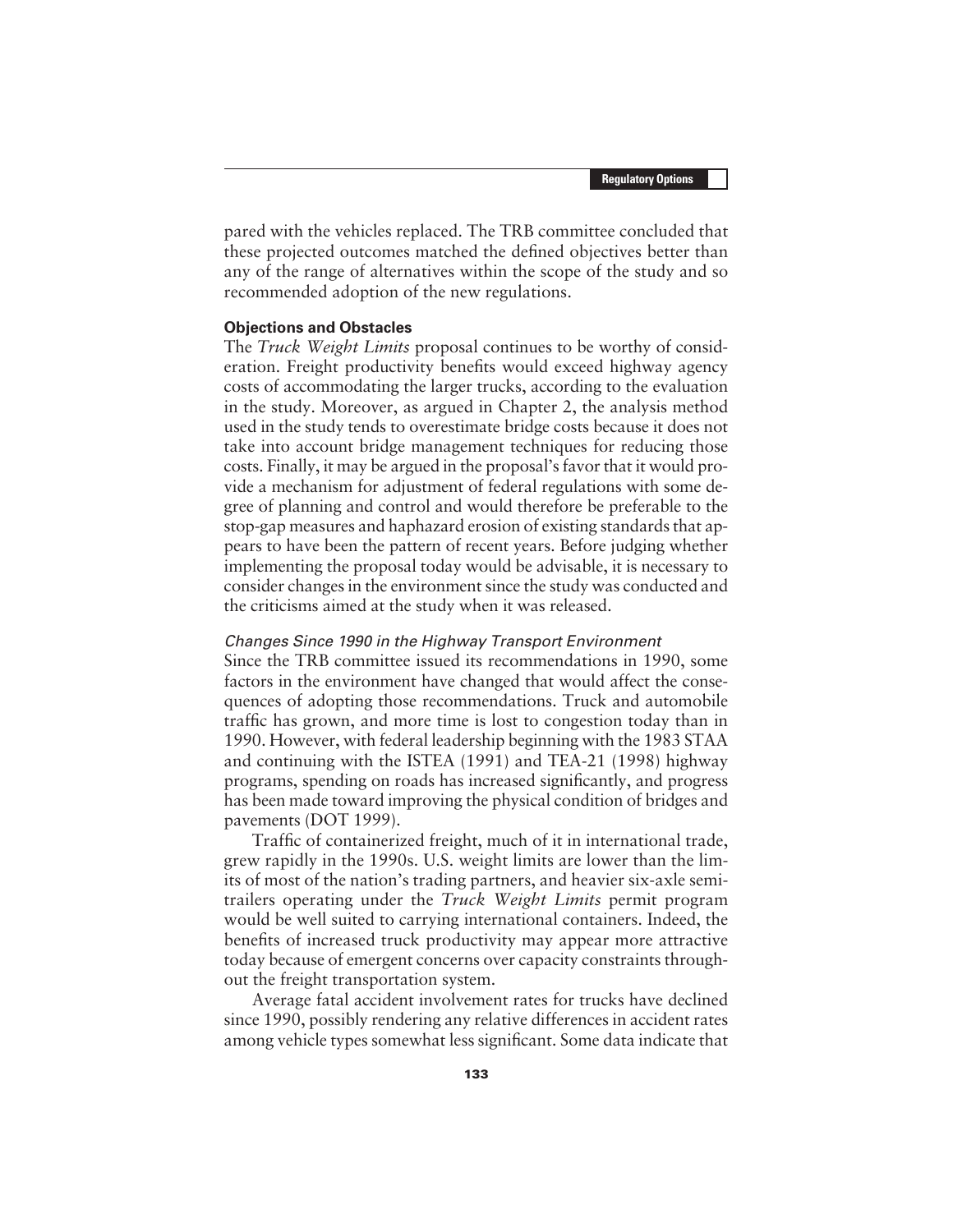pared with the vehicles replaced. The TRB committee concluded that these projected outcomes matched the defined objectives better than any of the range of alternatives within the scope of the study and so recommended adoption of the new regulations.

## **Objections and Obstacles**

The *Truck Weight Limits* proposal continues to be worthy of consideration. Freight productivity benefits would exceed highway agency costs of accommodating the larger trucks, according to the evaluation in the study. Moreover, as argued in Chapter 2, the analysis method used in the study tends to overestimate bridge costs because it does not take into account bridge management techniques for reducing those costs. Finally, it may be argued in the proposal's favor that it would provide a mechanism for adjustment of federal regulations with some degree of planning and control and would therefore be preferable to the stop-gap measures and haphazard erosion of existing standards that appears to have been the pattern of recent years. Before judging whether implementing the proposal today would be advisable, it is necessary to consider changes in the environment since the study was conducted and the criticisms aimed at the study when it was released.

## Changes Since 1990 in the Highway Transport Environment

Since the TRB committee issued its recommendations in 1990, some factors in the environment have changed that would affect the consequences of adopting those recommendations. Truck and automobile traffic has grown, and more time is lost to congestion today than in 1990. However, with federal leadership beginning with the 1983 STAA and continuing with the ISTEA (1991) and TEA-21 (1998) highway programs, spending on roads has increased significantly, and progress has been made toward improving the physical condition of bridges and pavements (DOT 1999).

Traffic of containerized freight, much of it in international trade, grew rapidly in the 1990s. U.S. weight limits are lower than the limits of most of the nation's trading partners, and heavier six-axle semitrailers operating under the *Truck Weight Limits* permit program would be well suited to carrying international containers. Indeed, the benefits of increased truck productivity may appear more attractive today because of emergent concerns over capacity constraints throughout the freight transportation system.

Average fatal accident involvement rates for trucks have declined since 1990, possibly rendering any relative differences in accident rates among vehicle types somewhat less significant. Some data indicate that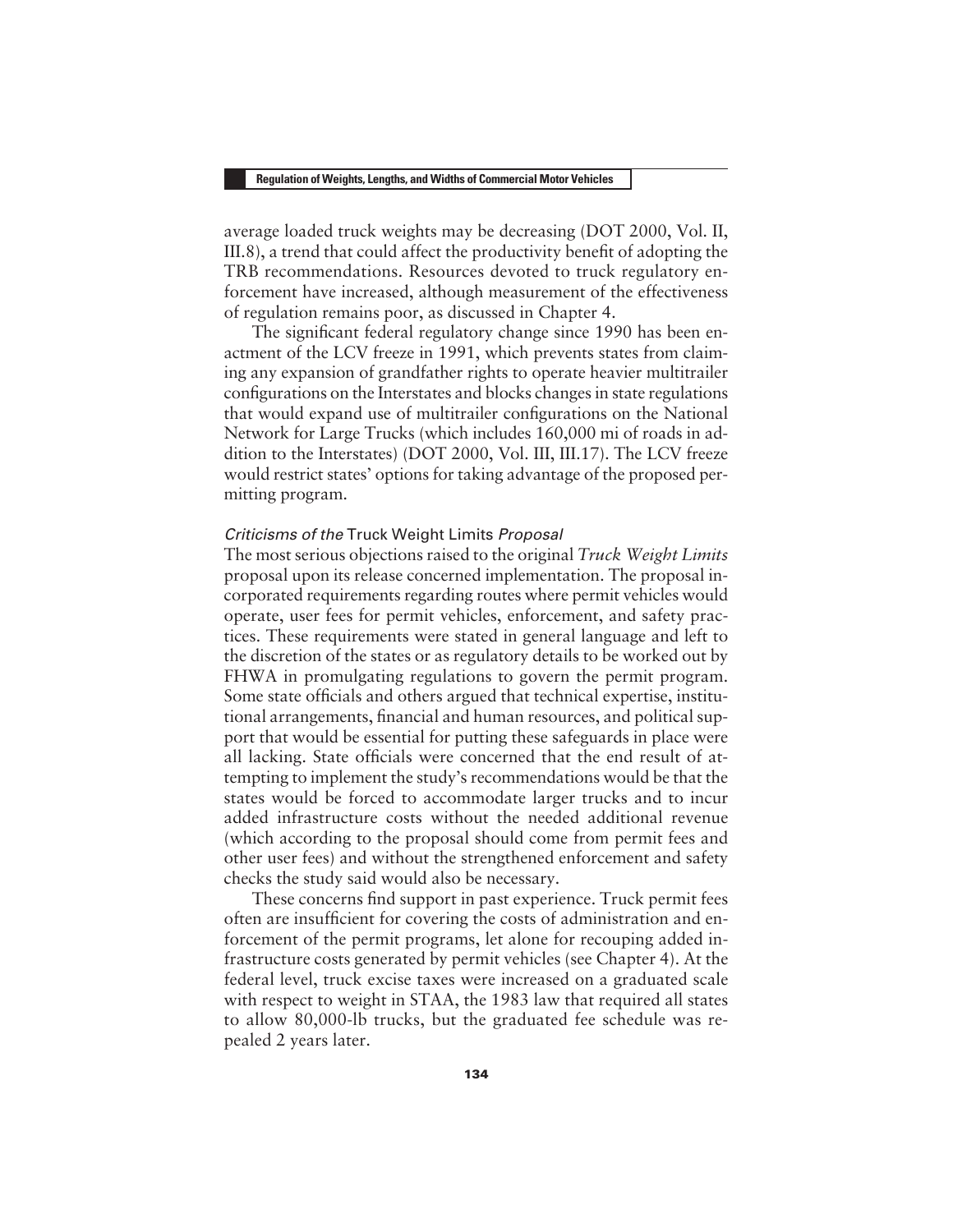average loaded truck weights may be decreasing (DOT 2000, Vol. II, III.8), a trend that could affect the productivity benefit of adopting the TRB recommendations. Resources devoted to truck regulatory enforcement have increased, although measurement of the effectiveness of regulation remains poor, as discussed in Chapter 4.

The significant federal regulatory change since 1990 has been enactment of the LCV freeze in 1991, which prevents states from claiming any expansion of grandfather rights to operate heavier multitrailer configurations on the Interstates and blocks changes in state regulations that would expand use of multitrailer configurations on the National Network for Large Trucks (which includes 160,000 mi of roads in addition to the Interstates) (DOT 2000, Vol. III, III.17). The LCV freeze would restrict states' options for taking advantage of the proposed permitting program.

## Criticisms of the Truck Weight Limits Proposal

The most serious objections raised to the original *Truck Weight Limits* proposal upon its release concerned implementation. The proposal incorporated requirements regarding routes where permit vehicles would operate, user fees for permit vehicles, enforcement, and safety practices. These requirements were stated in general language and left to the discretion of the states or as regulatory details to be worked out by FHWA in promulgating regulations to govern the permit program. Some state officials and others argued that technical expertise, institutional arrangements, financial and human resources, and political support that would be essential for putting these safeguards in place were all lacking. State officials were concerned that the end result of attempting to implement the study's recommendations would be that the states would be forced to accommodate larger trucks and to incur added infrastructure costs without the needed additional revenue (which according to the proposal should come from permit fees and other user fees) and without the strengthened enforcement and safety checks the study said would also be necessary.

These concerns find support in past experience. Truck permit fees often are insufficient for covering the costs of administration and enforcement of the permit programs, let alone for recouping added infrastructure costs generated by permit vehicles (see Chapter 4). At the federal level, truck excise taxes were increased on a graduated scale with respect to weight in STAA, the 1983 law that required all states to allow 80,000-lb trucks, but the graduated fee schedule was repealed 2 years later.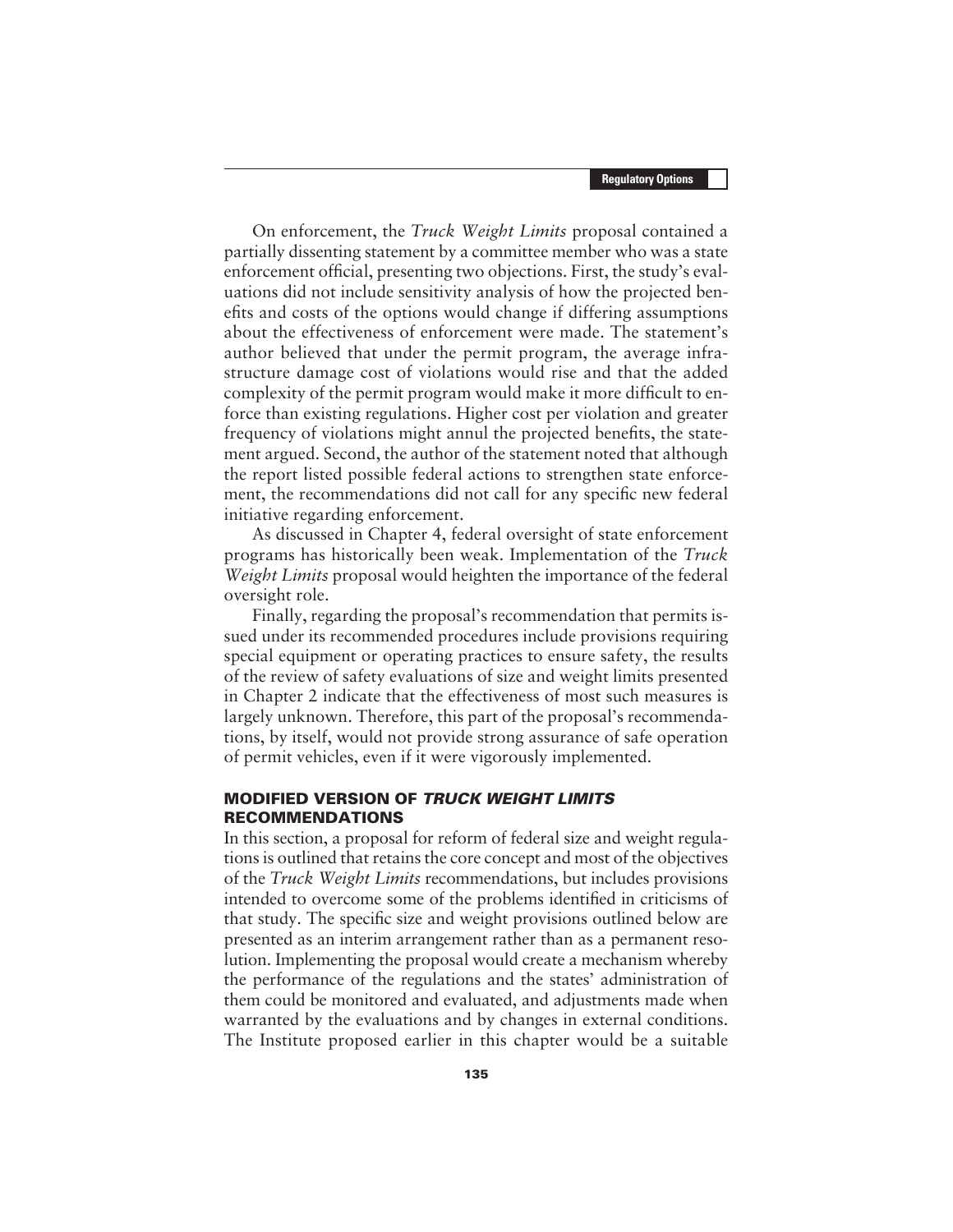On enforcement, the *Truck Weight Limits* proposal contained a partially dissenting statement by a committee member who was a state enforcement official, presenting two objections. First, the study's evaluations did not include sensitivity analysis of how the projected benefits and costs of the options would change if differing assumptions about the effectiveness of enforcement were made. The statement's author believed that under the permit program, the average infrastructure damage cost of violations would rise and that the added complexity of the permit program would make it more difficult to enforce than existing regulations. Higher cost per violation and greater frequency of violations might annul the projected benefits, the statement argued. Second, the author of the statement noted that although the report listed possible federal actions to strengthen state enforcement, the recommendations did not call for any specific new federal initiative regarding enforcement.

As discussed in Chapter 4, federal oversight of state enforcement programs has historically been weak. Implementation of the *Truck Weight Limits* proposal would heighten the importance of the federal oversight role.

Finally, regarding the proposal's recommendation that permits issued under its recommended procedures include provisions requiring special equipment or operating practices to ensure safety, the results of the review of safety evaluations of size and weight limits presented in Chapter 2 indicate that the effectiveness of most such measures is largely unknown. Therefore, this part of the proposal's recommendations, by itself, would not provide strong assurance of safe operation of permit vehicles, even if it were vigorously implemented.

## **MODIFIED VERSION OF** *TRUCK WEIGHT LIMITS* **RECOMMENDATIONS**

In this section, a proposal for reform of federal size and weight regulations is outlined that retains the core concept and most of the objectives of the *Truck Weight Limits* recommendations, but includes provisions intended to overcome some of the problems identified in criticisms of that study. The specific size and weight provisions outlined below are presented as an interim arrangement rather than as a permanent resolution. Implementing the proposal would create a mechanism whereby the performance of the regulations and the states' administration of them could be monitored and evaluated, and adjustments made when warranted by the evaluations and by changes in external conditions. The Institute proposed earlier in this chapter would be a suitable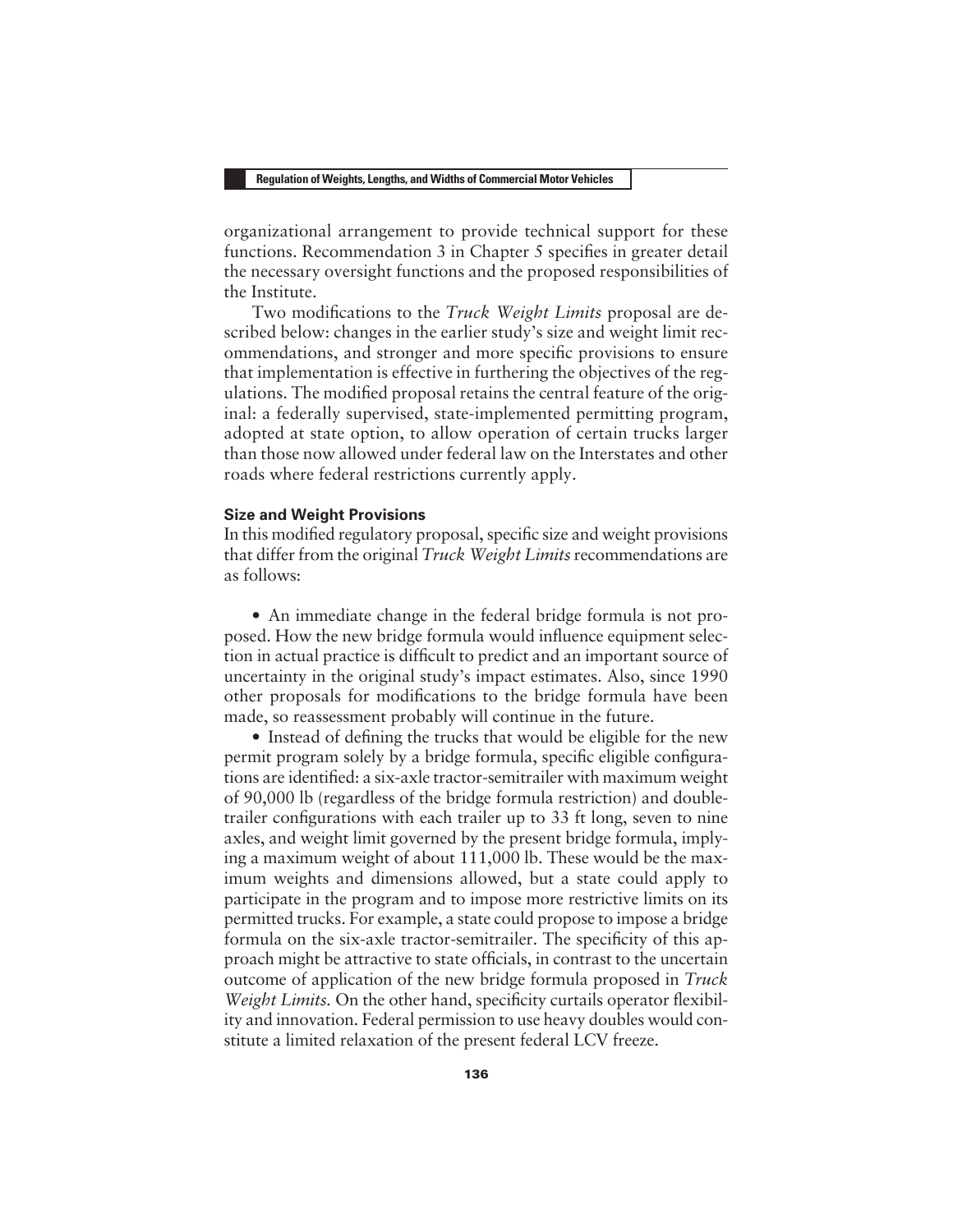organizational arrangement to provide technical support for these functions. Recommendation 3 in Chapter 5 specifies in greater detail the necessary oversight functions and the proposed responsibilities of the Institute.

Two modifications to the *Truck Weight Limits* proposal are described below: changes in the earlier study's size and weight limit recommendations, and stronger and more specific provisions to ensure that implementation is effective in furthering the objectives of the regulations. The modified proposal retains the central feature of the original: a federally supervised, state-implemented permitting program, adopted at state option, to allow operation of certain trucks larger than those now allowed under federal law on the Interstates and other roads where federal restrictions currently apply.

#### **Size and Weight Provisions**

In this modified regulatory proposal, specific size and weight provisions that differ from the original *Truck Weight Limits*recommendations are as follows:

• An immediate change in the federal bridge formula is not proposed. How the new bridge formula would influence equipment selection in actual practice is difficult to predict and an important source of uncertainty in the original study's impact estimates. Also, since 1990 other proposals for modifications to the bridge formula have been made, so reassessment probably will continue in the future.

• Instead of defining the trucks that would be eligible for the new permit program solely by a bridge formula, specific eligible configurations are identified: a six-axle tractor-semitrailer with maximum weight of 90,000 lb (regardless of the bridge formula restriction) and doubletrailer configurations with each trailer up to 33 ft long, seven to nine axles, and weight limit governed by the present bridge formula, implying a maximum weight of about 111,000 lb. These would be the maximum weights and dimensions allowed, but a state could apply to participate in the program and to impose more restrictive limits on its permitted trucks. For example, a state could propose to impose a bridge formula on the six-axle tractor-semitrailer. The specificity of this approach might be attractive to state officials, in contrast to the uncertain outcome of application of the new bridge formula proposed in *Truck Weight Limits.* On the other hand, specificity curtails operator flexibility and innovation. Federal permission to use heavy doubles would constitute a limited relaxation of the present federal LCV freeze.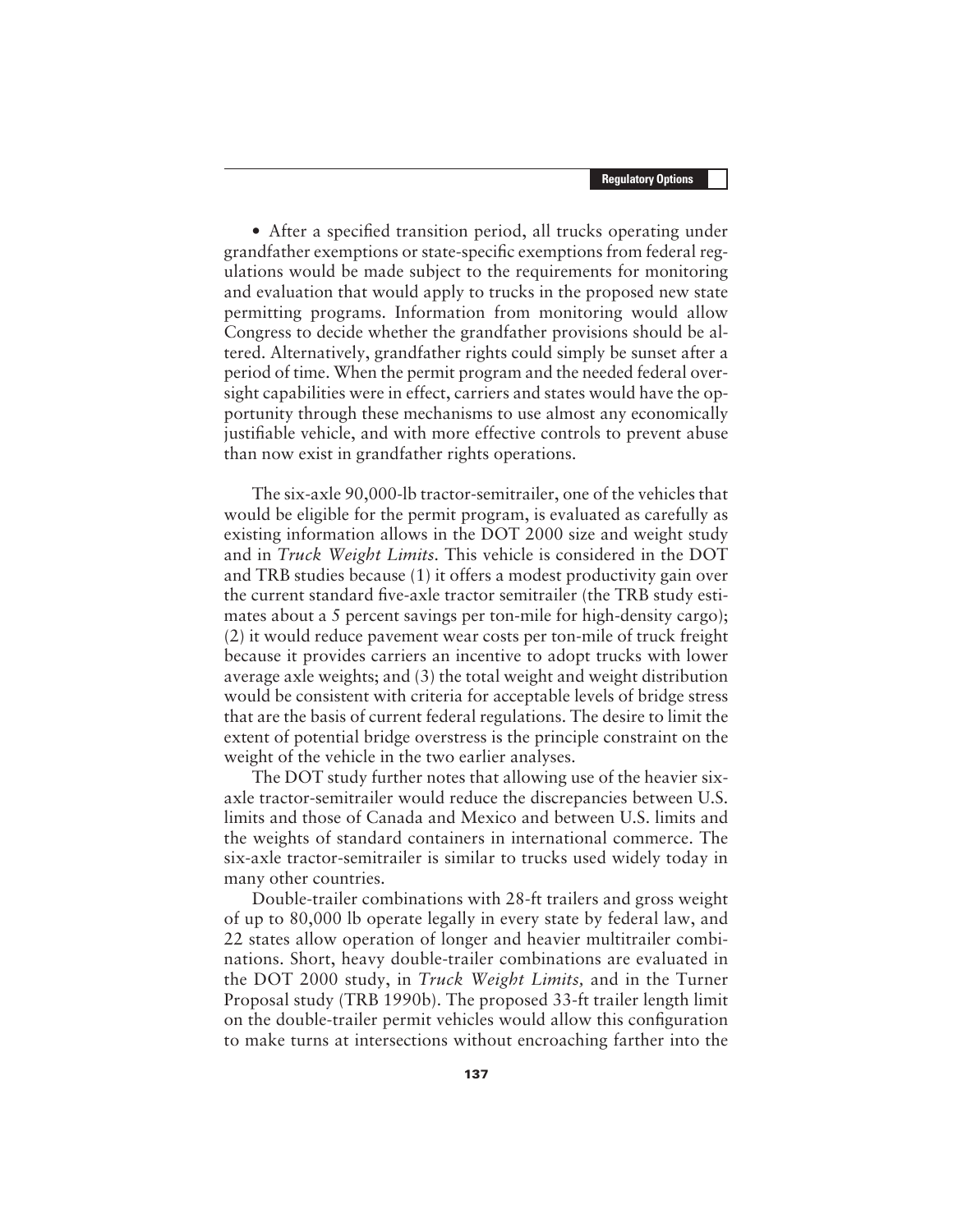• After a specified transition period, all trucks operating under grandfather exemptions or state-specific exemptions from federal regulations would be made subject to the requirements for monitoring and evaluation that would apply to trucks in the proposed new state permitting programs. Information from monitoring would allow Congress to decide whether the grandfather provisions should be altered. Alternatively, grandfather rights could simply be sunset after a period of time. When the permit program and the needed federal oversight capabilities were in effect, carriers and states would have the opportunity through these mechanisms to use almost any economically justifiable vehicle, and with more effective controls to prevent abuse than now exist in grandfather rights operations.

The six-axle 90,000-lb tractor-semitrailer, one of the vehicles that would be eligible for the permit program, is evaluated as carefully as existing information allows in the DOT 2000 size and weight study and in *Truck Weight Limits.* This vehicle is considered in the DOT and TRB studies because (1) it offers a modest productivity gain over the current standard five-axle tractor semitrailer (the TRB study estimates about a 5 percent savings per ton-mile for high-density cargo); (2) it would reduce pavement wear costs per ton-mile of truck freight because it provides carriers an incentive to adopt trucks with lower average axle weights; and (3) the total weight and weight distribution would be consistent with criteria for acceptable levels of bridge stress that are the basis of current federal regulations. The desire to limit the extent of potential bridge overstress is the principle constraint on the weight of the vehicle in the two earlier analyses.

The DOT study further notes that allowing use of the heavier sixaxle tractor-semitrailer would reduce the discrepancies between U.S. limits and those of Canada and Mexico and between U.S. limits and the weights of standard containers in international commerce. The six-axle tractor-semitrailer is similar to trucks used widely today in many other countries.

Double-trailer combinations with 28-ft trailers and gross weight of up to 80,000 lb operate legally in every state by federal law, and 22 states allow operation of longer and heavier multitrailer combinations. Short, heavy double-trailer combinations are evaluated in the DOT 2000 study, in *Truck Weight Limits,* and in the Turner Proposal study (TRB 1990b). The proposed 33-ft trailer length limit on the double-trailer permit vehicles would allow this configuration to make turns at intersections without encroaching farther into the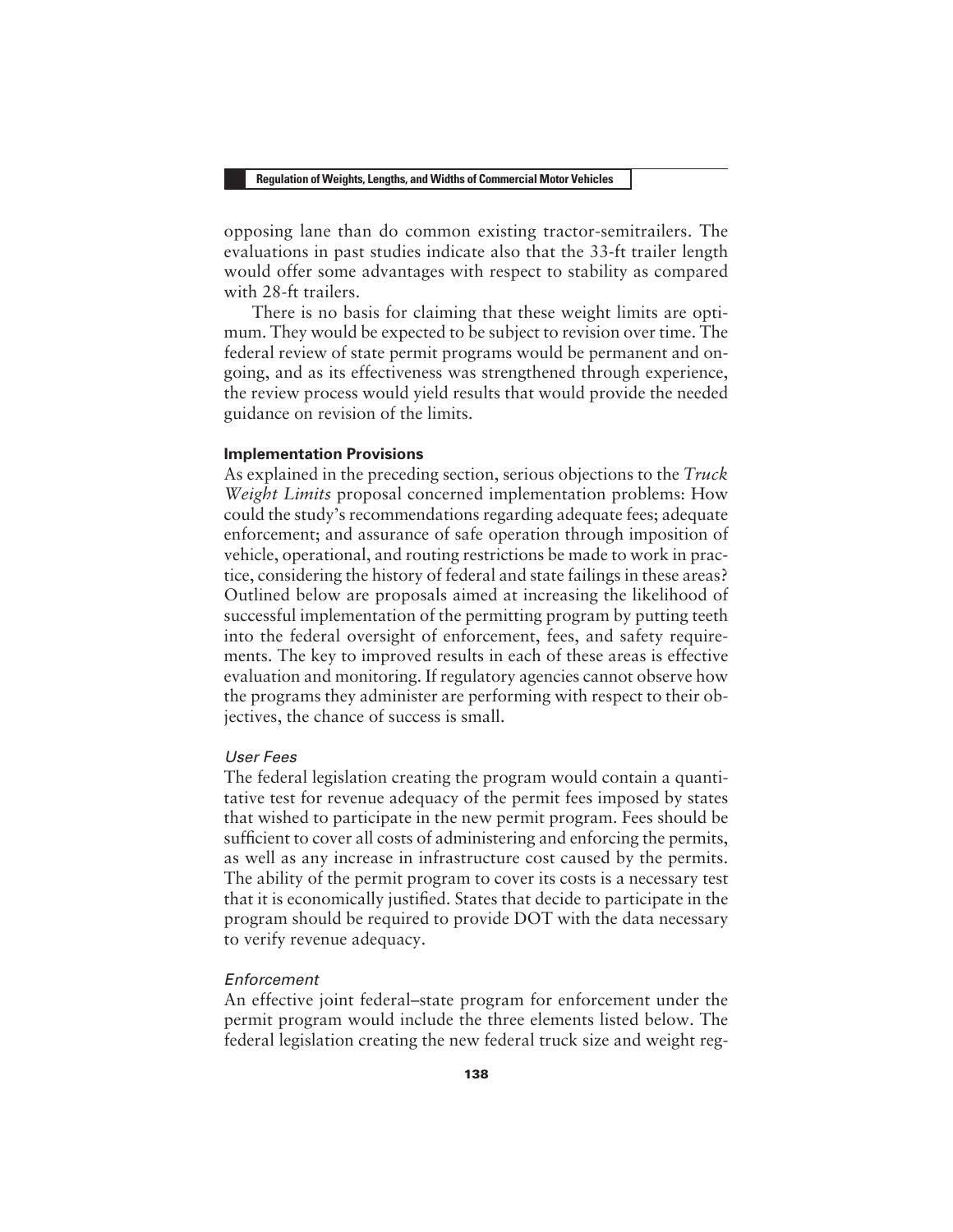opposing lane than do common existing tractor-semitrailers. The evaluations in past studies indicate also that the 33-ft trailer length would offer some advantages with respect to stability as compared with 28-ft trailers.

There is no basis for claiming that these weight limits are optimum. They would be expected to be subject to revision over time. The federal review of state permit programs would be permanent and ongoing, and as its effectiveness was strengthened through experience, the review process would yield results that would provide the needed guidance on revision of the limits.

## **Implementation Provisions**

As explained in the preceding section, serious objections to the *Truck Weight Limits* proposal concerned implementation problems: How could the study's recommendations regarding adequate fees; adequate enforcement; and assurance of safe operation through imposition of vehicle, operational, and routing restrictions be made to work in practice, considering the history of federal and state failings in these areas? Outlined below are proposals aimed at increasing the likelihood of successful implementation of the permitting program by putting teeth into the federal oversight of enforcement, fees, and safety requirements. The key to improved results in each of these areas is effective evaluation and monitoring. If regulatory agencies cannot observe how the programs they administer are performing with respect to their objectives, the chance of success is small.

# User Fees

The federal legislation creating the program would contain a quantitative test for revenue adequacy of the permit fees imposed by states that wished to participate in the new permit program. Fees should be sufficient to cover all costs of administering and enforcing the permits, as well as any increase in infrastructure cost caused by the permits. The ability of the permit program to cover its costs is a necessary test that it is economically justified. States that decide to participate in the program should be required to provide DOT with the data necessary to verify revenue adequacy.

# Enforcement

An effective joint federal–state program for enforcement under the permit program would include the three elements listed below. The federal legislation creating the new federal truck size and weight reg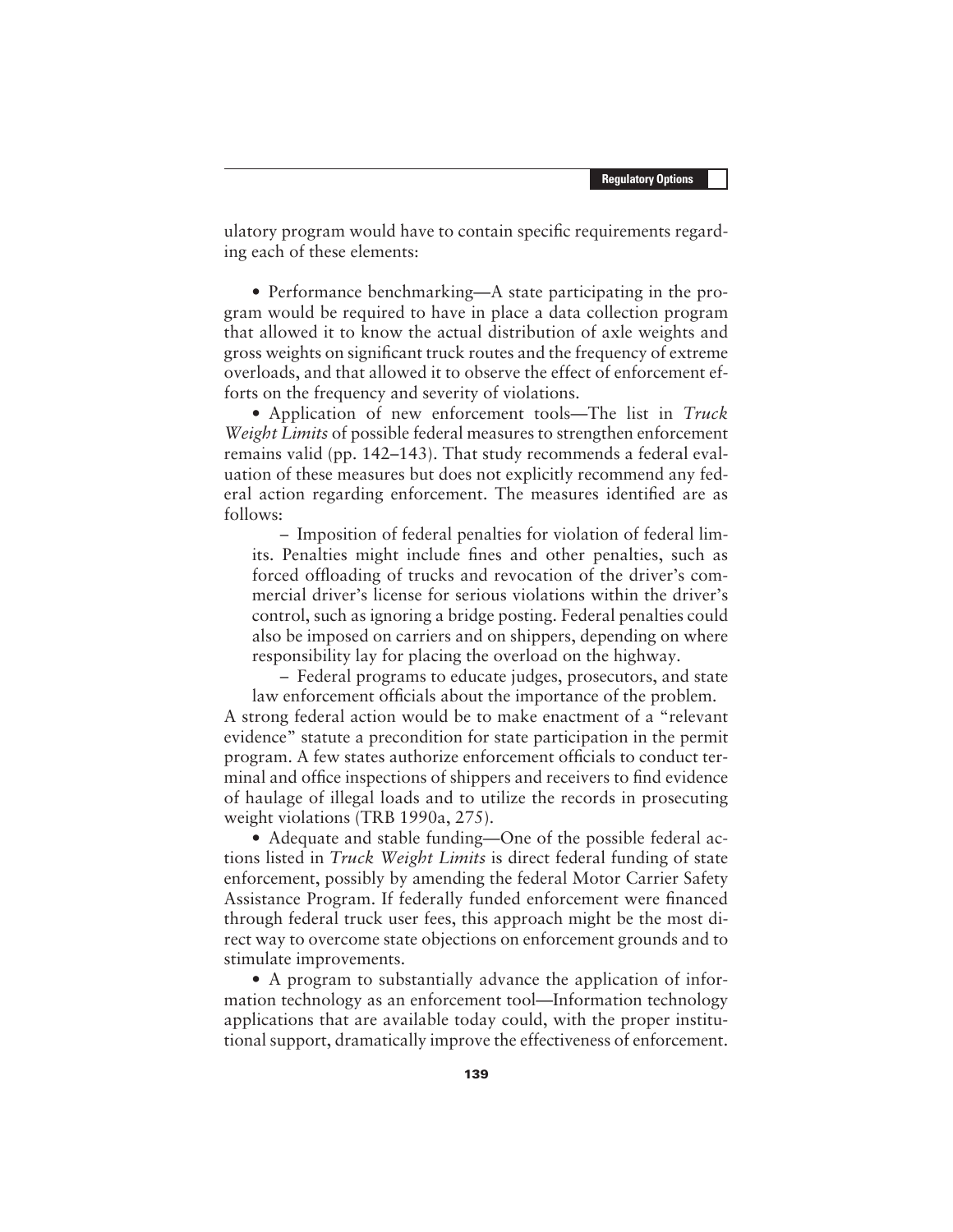ulatory program would have to contain specific requirements regarding each of these elements:

• Performance benchmarking—A state participating in the program would be required to have in place a data collection program that allowed it to know the actual distribution of axle weights and gross weights on significant truck routes and the frequency of extreme overloads, and that allowed it to observe the effect of enforcement efforts on the frequency and severity of violations.

• Application of new enforcement tools—The list in *Truck Weight Limits* of possible federal measures to strengthen enforcement remains valid (pp. 142–143). That study recommends a federal evaluation of these measures but does not explicitly recommend any federal action regarding enforcement. The measures identified are as follows:

– Imposition of federal penalties for violation of federal limits. Penalties might include fines and other penalties, such as forced offloading of trucks and revocation of the driver's commercial driver's license for serious violations within the driver's control, such as ignoring a bridge posting. Federal penalties could also be imposed on carriers and on shippers, depending on where responsibility lay for placing the overload on the highway.

– Federal programs to educate judges, prosecutors, and state law enforcement officials about the importance of the problem. A strong federal action would be to make enactment of a "relevant evidence" statute a precondition for state participation in the permit program. A few states authorize enforcement officials to conduct terminal and office inspections of shippers and receivers to find evidence of haulage of illegal loads and to utilize the records in prosecuting weight violations (TRB 1990a, 275).

• Adequate and stable funding—One of the possible federal actions listed in *Truck Weight Limits* is direct federal funding of state enforcement, possibly by amending the federal Motor Carrier Safety Assistance Program. If federally funded enforcement were financed through federal truck user fees, this approach might be the most direct way to overcome state objections on enforcement grounds and to stimulate improvements.

• A program to substantially advance the application of information technology as an enforcement tool—Information technology applications that are available today could, with the proper institutional support, dramatically improve the effectiveness of enforcement.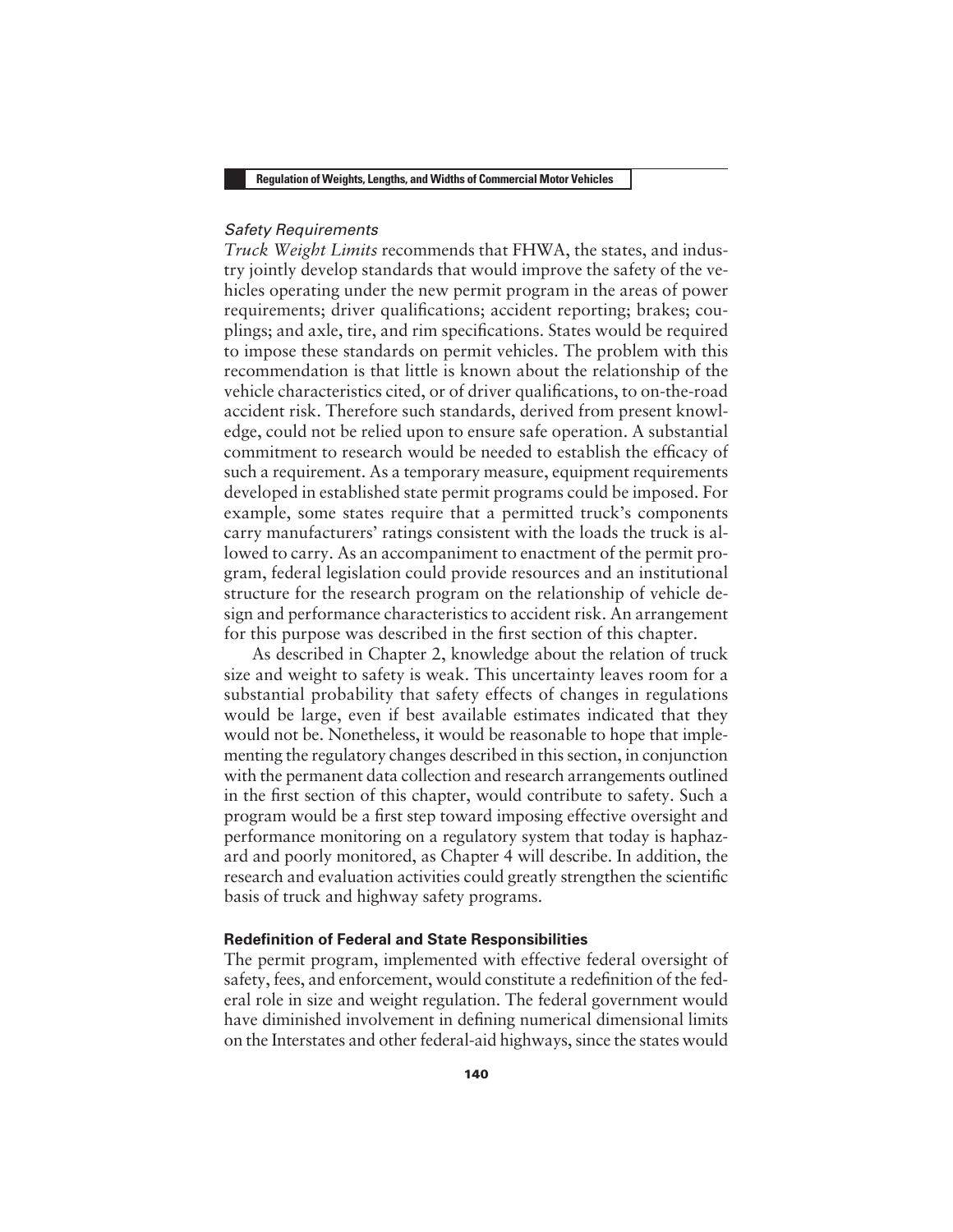#### Safety Requirements

*Truck Weight Limits* recommends that FHWA, the states, and industry jointly develop standards that would improve the safety of the vehicles operating under the new permit program in the areas of power requirements; driver qualifications; accident reporting; brakes; couplings; and axle, tire, and rim specifications. States would be required to impose these standards on permit vehicles. The problem with this recommendation is that little is known about the relationship of the vehicle characteristics cited, or of driver qualifications, to on-the-road accident risk. Therefore such standards, derived from present knowledge, could not be relied upon to ensure safe operation. A substantial commitment to research would be needed to establish the efficacy of such a requirement. As a temporary measure, equipment requirements developed in established state permit programs could be imposed. For example, some states require that a permitted truck's components carry manufacturers' ratings consistent with the loads the truck is allowed to carry. As an accompaniment to enactment of the permit program, federal legislation could provide resources and an institutional structure for the research program on the relationship of vehicle design and performance characteristics to accident risk. An arrangement for this purpose was described in the first section of this chapter.

As described in Chapter 2, knowledge about the relation of truck size and weight to safety is weak. This uncertainty leaves room for a substantial probability that safety effects of changes in regulations would be large, even if best available estimates indicated that they would not be. Nonetheless, it would be reasonable to hope that implementing the regulatory changes described in this section, in conjunction with the permanent data collection and research arrangements outlined in the first section of this chapter, would contribute to safety. Such a program would be a first step toward imposing effective oversight and performance monitoring on a regulatory system that today is haphazard and poorly monitored, as Chapter 4 will describe. In addition, the research and evaluation activities could greatly strengthen the scientific basis of truck and highway safety programs.

#### **Redefinition of Federal and State Responsibilities**

The permit program, implemented with effective federal oversight of safety, fees, and enforcement, would constitute a redefinition of the federal role in size and weight regulation. The federal government would have diminished involvement in defining numerical dimensional limits on the Interstates and other federal-aid highways, since the states would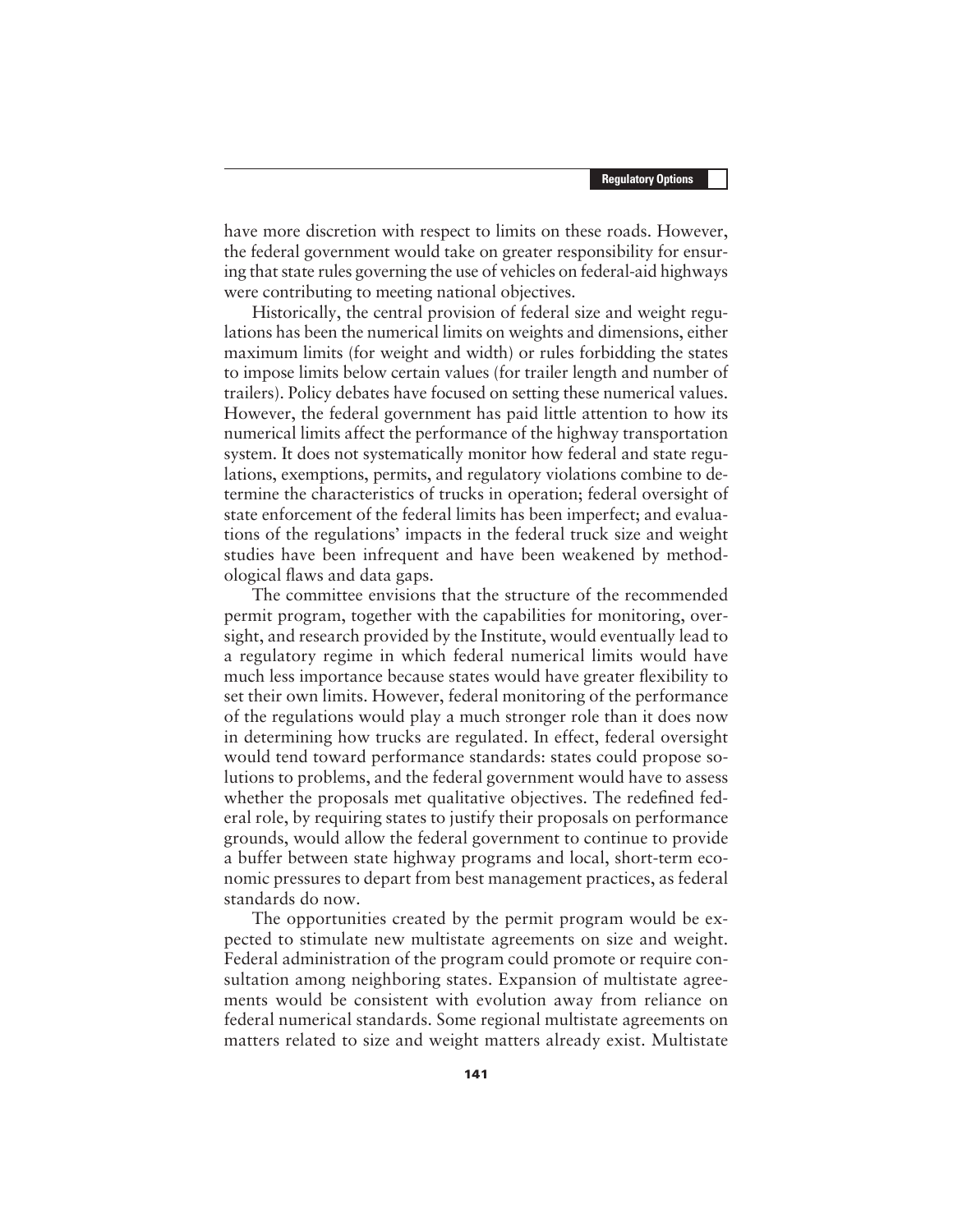have more discretion with respect to limits on these roads. However, the federal government would take on greater responsibility for ensuring that state rules governing the use of vehicles on federal-aid highways were contributing to meeting national objectives.

Historically, the central provision of federal size and weight regulations has been the numerical limits on weights and dimensions, either maximum limits (for weight and width) or rules forbidding the states to impose limits below certain values (for trailer length and number of trailers). Policy debates have focused on setting these numerical values. However, the federal government has paid little attention to how its numerical limits affect the performance of the highway transportation system. It does not systematically monitor how federal and state regulations, exemptions, permits, and regulatory violations combine to determine the characteristics of trucks in operation; federal oversight of state enforcement of the federal limits has been imperfect; and evaluations of the regulations' impacts in the federal truck size and weight studies have been infrequent and have been weakened by methodological flaws and data gaps.

The committee envisions that the structure of the recommended permit program, together with the capabilities for monitoring, oversight, and research provided by the Institute, would eventually lead to a regulatory regime in which federal numerical limits would have much less importance because states would have greater flexibility to set their own limits. However, federal monitoring of the performance of the regulations would play a much stronger role than it does now in determining how trucks are regulated. In effect, federal oversight would tend toward performance standards: states could propose solutions to problems, and the federal government would have to assess whether the proposals met qualitative objectives. The redefined federal role, by requiring states to justify their proposals on performance grounds, would allow the federal government to continue to provide a buffer between state highway programs and local, short-term economic pressures to depart from best management practices, as federal standards do now.

The opportunities created by the permit program would be expected to stimulate new multistate agreements on size and weight. Federal administration of the program could promote or require consultation among neighboring states. Expansion of multistate agreements would be consistent with evolution away from reliance on federal numerical standards. Some regional multistate agreements on matters related to size and weight matters already exist. Multistate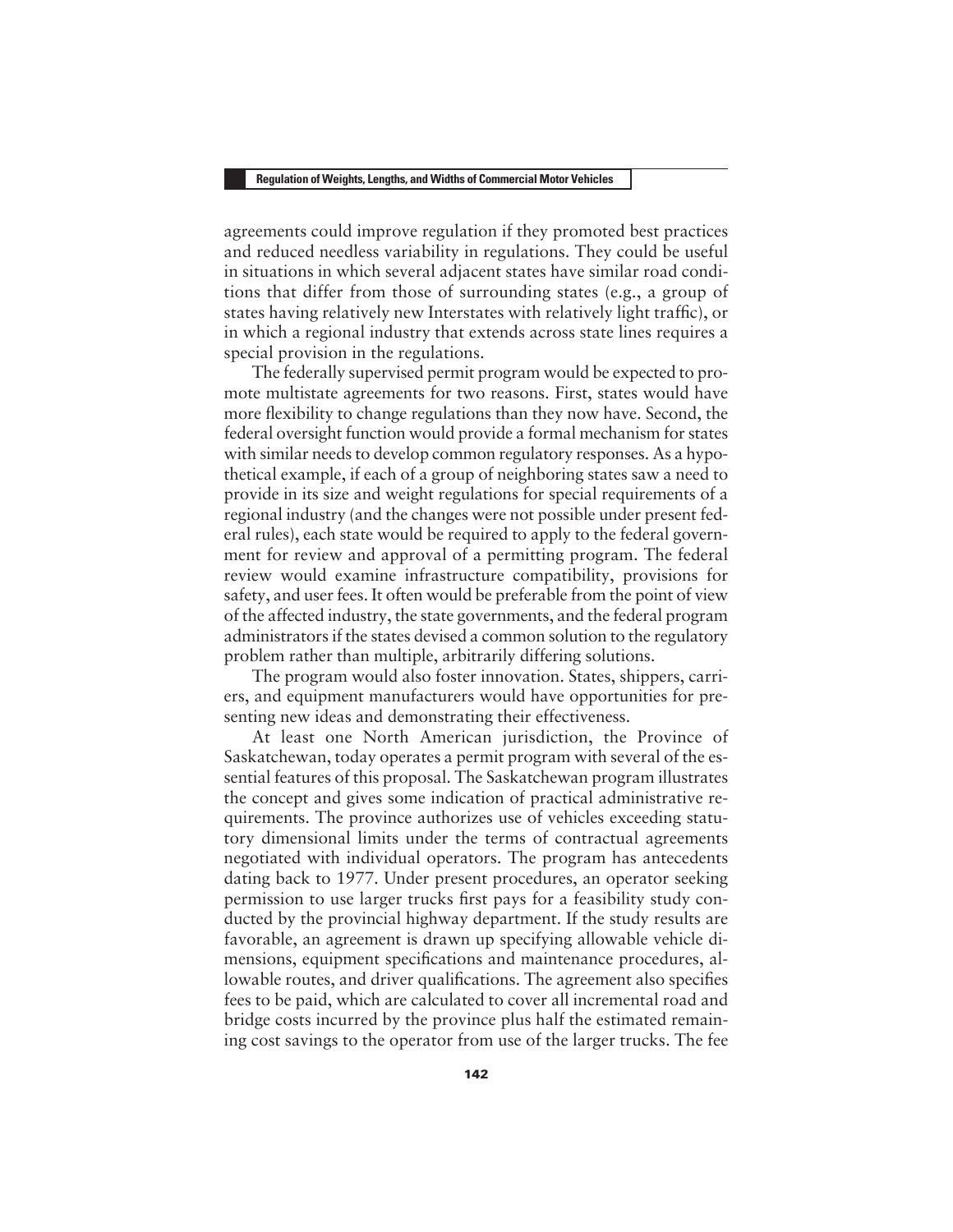agreements could improve regulation if they promoted best practices and reduced needless variability in regulations. They could be useful in situations in which several adjacent states have similar road conditions that differ from those of surrounding states (e.g., a group of states having relatively new Interstates with relatively light traffic), or in which a regional industry that extends across state lines requires a special provision in the regulations.

The federally supervised permit program would be expected to promote multistate agreements for two reasons. First, states would have more flexibility to change regulations than they now have. Second, the federal oversight function would provide a formal mechanism for states with similar needs to develop common regulatory responses. As a hypothetical example, if each of a group of neighboring states saw a need to provide in its size and weight regulations for special requirements of a regional industry (and the changes were not possible under present federal rules), each state would be required to apply to the federal government for review and approval of a permitting program. The federal review would examine infrastructure compatibility, provisions for safety, and user fees. It often would be preferable from the point of view of the affected industry, the state governments, and the federal program administrators if the states devised a common solution to the regulatory problem rather than multiple, arbitrarily differing solutions.

The program would also foster innovation. States, shippers, carriers, and equipment manufacturers would have opportunities for presenting new ideas and demonstrating their effectiveness.

At least one North American jurisdiction, the Province of Saskatchewan, today operates a permit program with several of the essential features of this proposal. The Saskatchewan program illustrates the concept and gives some indication of practical administrative requirements. The province authorizes use of vehicles exceeding statutory dimensional limits under the terms of contractual agreements negotiated with individual operators. The program has antecedents dating back to 1977. Under present procedures, an operator seeking permission to use larger trucks first pays for a feasibility study conducted by the provincial highway department. If the study results are favorable, an agreement is drawn up specifying allowable vehicle dimensions, equipment specifications and maintenance procedures, allowable routes, and driver qualifications. The agreement also specifies fees to be paid, which are calculated to cover all incremental road and bridge costs incurred by the province plus half the estimated remaining cost savings to the operator from use of the larger trucks. The fee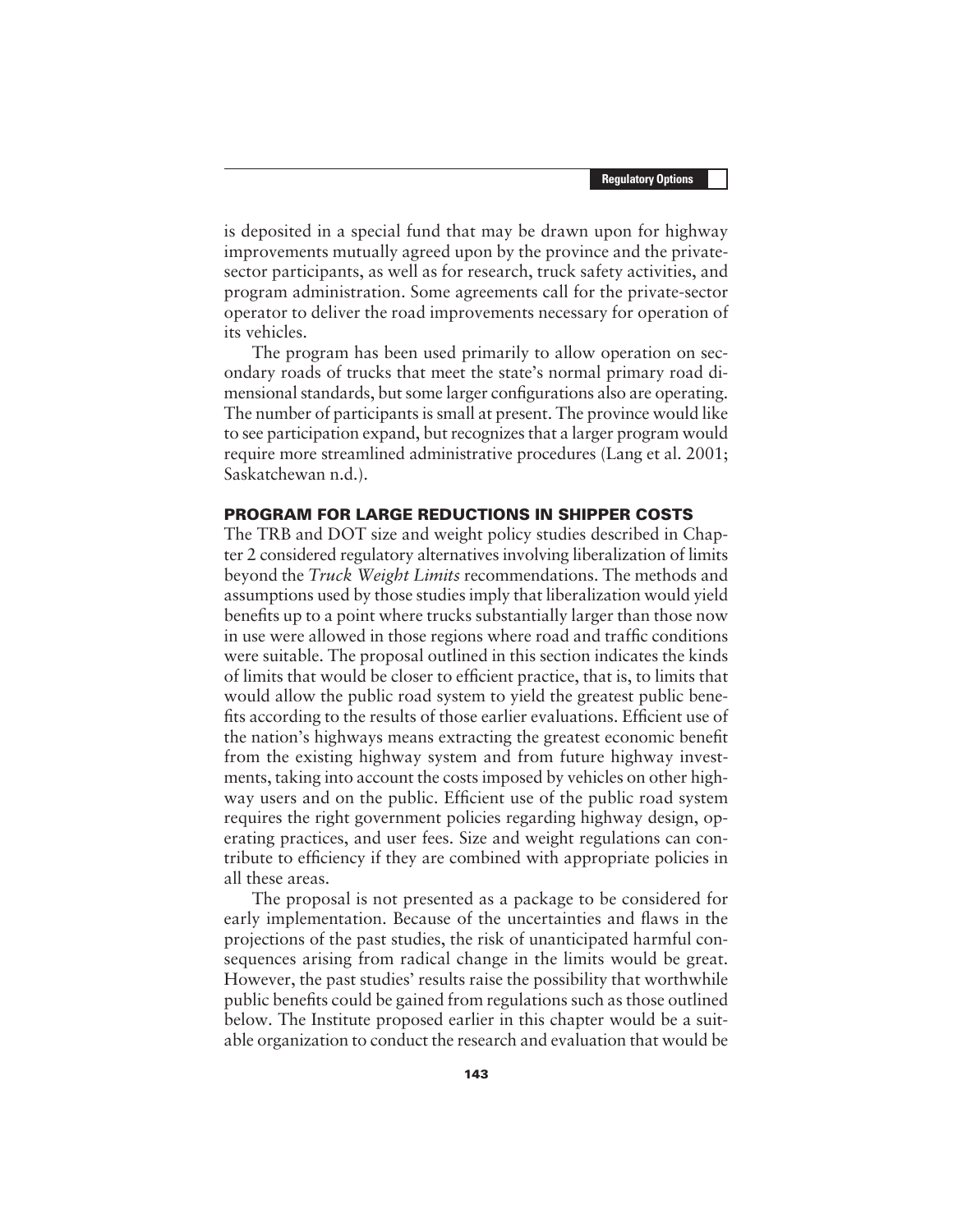is deposited in a special fund that may be drawn upon for highway improvements mutually agreed upon by the province and the privatesector participants, as well as for research, truck safety activities, and program administration. Some agreements call for the private-sector operator to deliver the road improvements necessary for operation of its vehicles.

The program has been used primarily to allow operation on secondary roads of trucks that meet the state's normal primary road dimensional standards, but some larger configurations also are operating. The number of participants is small at present. The province would like to see participation expand, but recognizes that a larger program would require more streamlined administrative procedures (Lang et al. 2001; Saskatchewan n.d.).

## **PROGRAM FOR LARGE REDUCTIONS IN SHIPPER COSTS**

The TRB and DOT size and weight policy studies described in Chapter 2 considered regulatory alternatives involving liberalization of limits beyond the *Truck Weight Limits* recommendations. The methods and assumptions used by those studies imply that liberalization would yield benefits up to a point where trucks substantially larger than those now in use were allowed in those regions where road and traffic conditions were suitable. The proposal outlined in this section indicates the kinds of limits that would be closer to efficient practice, that is, to limits that would allow the public road system to yield the greatest public benefits according to the results of those earlier evaluations. Efficient use of the nation's highways means extracting the greatest economic benefit from the existing highway system and from future highway investments, taking into account the costs imposed by vehicles on other highway users and on the public. Efficient use of the public road system requires the right government policies regarding highway design, operating practices, and user fees. Size and weight regulations can contribute to efficiency if they are combined with appropriate policies in all these areas.

The proposal is not presented as a package to be considered for early implementation. Because of the uncertainties and flaws in the projections of the past studies, the risk of unanticipated harmful consequences arising from radical change in the limits would be great. However, the past studies' results raise the possibility that worthwhile public benefits could be gained from regulations such as those outlined below. The Institute proposed earlier in this chapter would be a suitable organization to conduct the research and evaluation that would be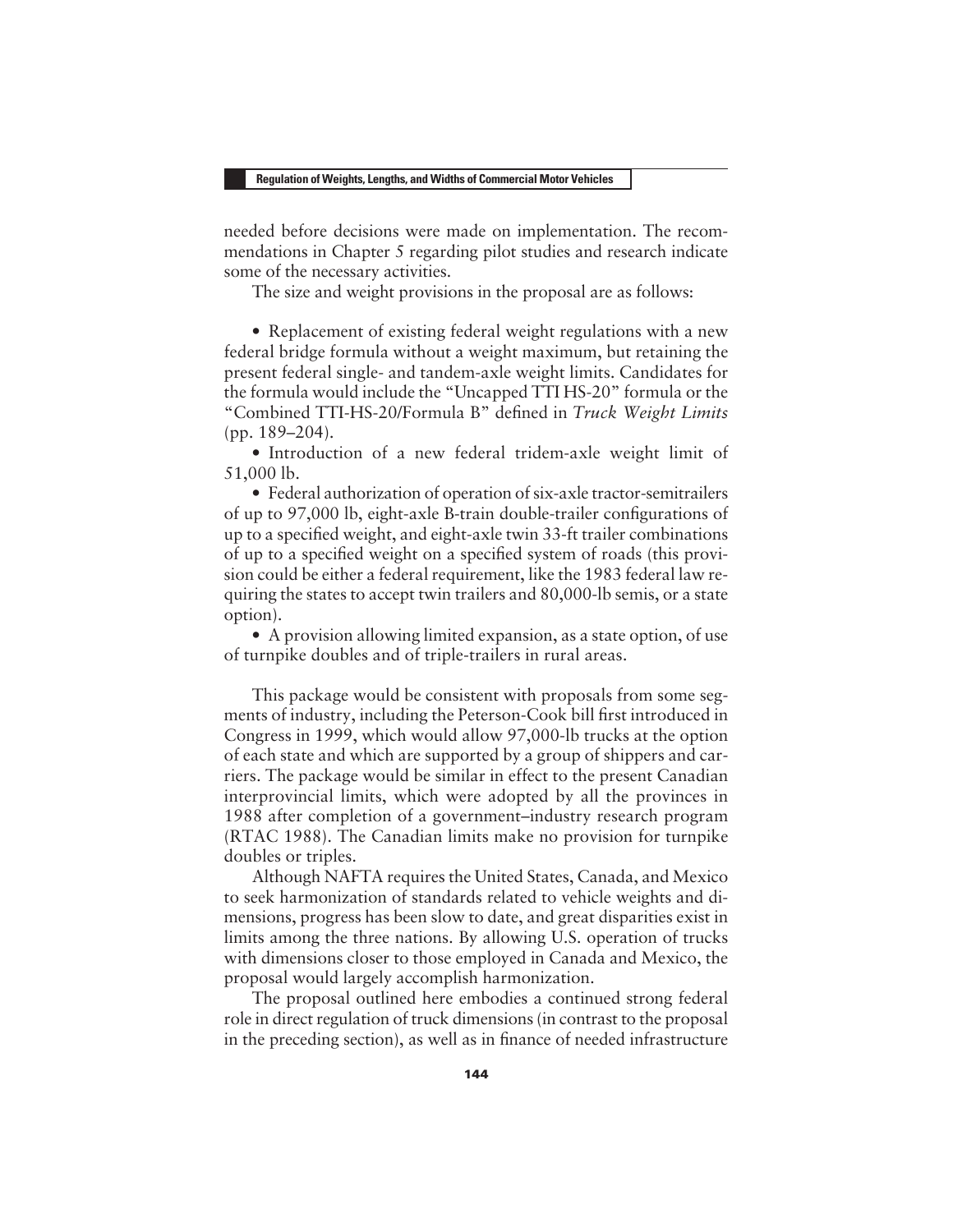needed before decisions were made on implementation. The recommendations in Chapter 5 regarding pilot studies and research indicate some of the necessary activities.

The size and weight provisions in the proposal are as follows:

• Replacement of existing federal weight regulations with a new federal bridge formula without a weight maximum, but retaining the present federal single- and tandem-axle weight limits. Candidates for the formula would include the "Uncapped TTI HS-20" formula or the "Combined TTI-HS-20/Formula B" defined in *Truck Weight Limits* (pp. 189–204).

• Introduction of a new federal tridem-axle weight limit of 51,000 lb.

• Federal authorization of operation of six-axle tractor-semitrailers of up to 97,000 lb, eight-axle B-train double-trailer configurations of up to a specified weight, and eight-axle twin 33-ft trailer combinations of up to a specified weight on a specified system of roads (this provision could be either a federal requirement, like the 1983 federal law requiring the states to accept twin trailers and 80,000-lb semis, or a state option).

• A provision allowing limited expansion, as a state option, of use of turnpike doubles and of triple-trailers in rural areas.

This package would be consistent with proposals from some segments of industry, including the Peterson-Cook bill first introduced in Congress in 1999, which would allow 97,000-lb trucks at the option of each state and which are supported by a group of shippers and carriers. The package would be similar in effect to the present Canadian interprovincial limits, which were adopted by all the provinces in 1988 after completion of a government–industry research program (RTAC 1988). The Canadian limits make no provision for turnpike doubles or triples.

Although NAFTA requires the United States, Canada, and Mexico to seek harmonization of standards related to vehicle weights and dimensions, progress has been slow to date, and great disparities exist in limits among the three nations. By allowing U.S. operation of trucks with dimensions closer to those employed in Canada and Mexico, the proposal would largely accomplish harmonization.

The proposal outlined here embodies a continued strong federal role in direct regulation of truck dimensions (in contrast to the proposal in the preceding section), as well as in finance of needed infrastructure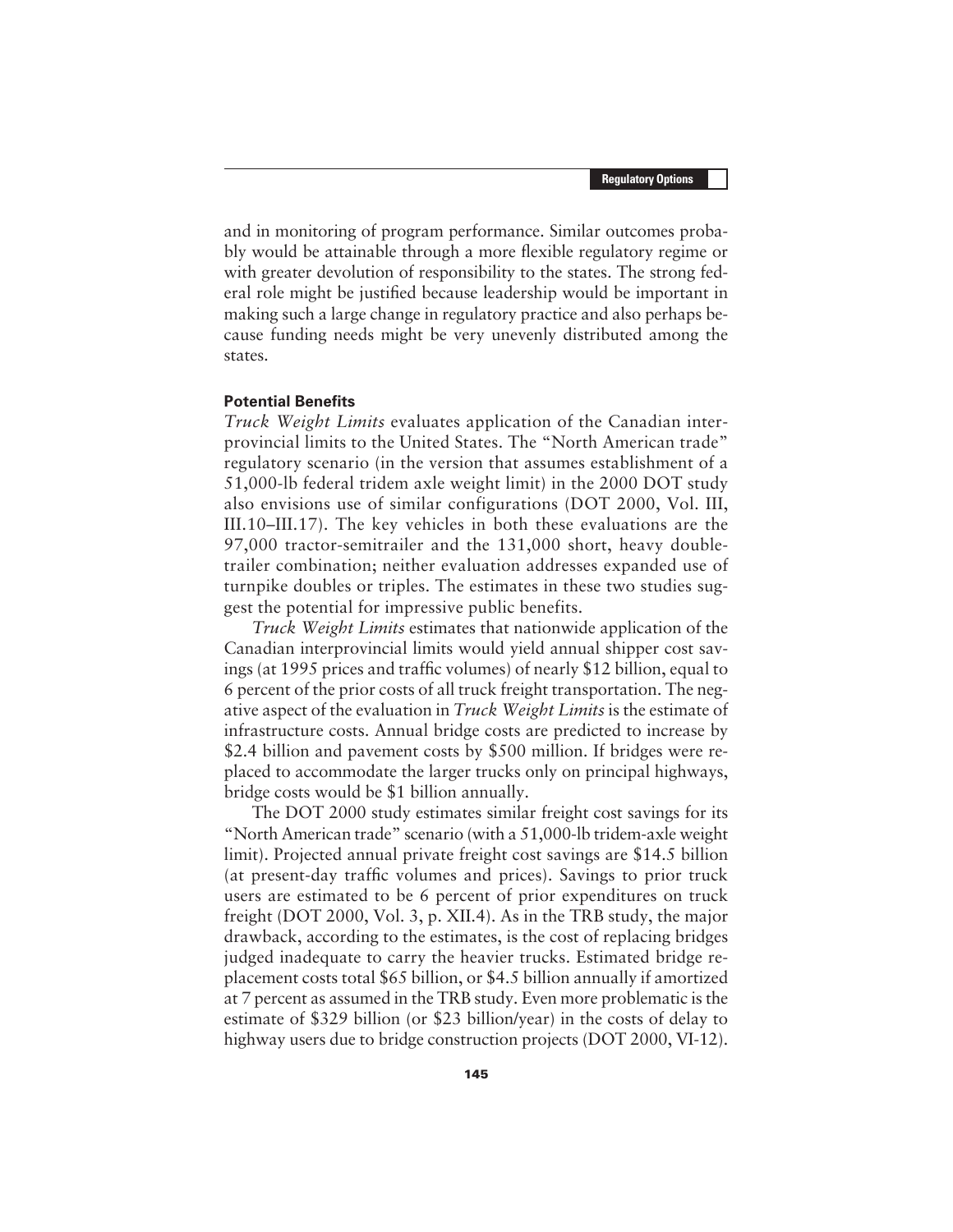and in monitoring of program performance. Similar outcomes probably would be attainable through a more flexible regulatory regime or with greater devolution of responsibility to the states. The strong federal role might be justified because leadership would be important in making such a large change in regulatory practice and also perhaps because funding needs might be very unevenly distributed among the states.

## **Potential Benefits**

*Truck Weight Limits* evaluates application of the Canadian interprovincial limits to the United States. The "North American trade" regulatory scenario (in the version that assumes establishment of a 51,000-lb federal tridem axle weight limit) in the 2000 DOT study also envisions use of similar configurations (DOT 2000, Vol. III, III.10–III.17). The key vehicles in both these evaluations are the 97,000 tractor-semitrailer and the 131,000 short, heavy doubletrailer combination; neither evaluation addresses expanded use of turnpike doubles or triples. The estimates in these two studies suggest the potential for impressive public benefits.

*Truck Weight Limits* estimates that nationwide application of the Canadian interprovincial limits would yield annual shipper cost savings (at 1995 prices and traffic volumes) of nearly \$12 billion, equal to 6 percent of the prior costs of all truck freight transportation. The negative aspect of the evaluation in *Truck Weight Limits* is the estimate of infrastructure costs. Annual bridge costs are predicted to increase by \$2.4 billion and pavement costs by \$500 million. If bridges were replaced to accommodate the larger trucks only on principal highways, bridge costs would be \$1 billion annually.

The DOT 2000 study estimates similar freight cost savings for its "North American trade" scenario (with a 51,000-lb tridem-axle weight limit). Projected annual private freight cost savings are \$14.5 billion (at present-day traffic volumes and prices). Savings to prior truck users are estimated to be 6 percent of prior expenditures on truck freight (DOT 2000, Vol. 3, p. XII.4). As in the TRB study, the major drawback, according to the estimates, is the cost of replacing bridges judged inadequate to carry the heavier trucks. Estimated bridge replacement costs total \$65 billion, or \$4.5 billion annually if amortized at 7 percent as assumed in the TRB study. Even more problematic is the estimate of \$329 billion (or \$23 billion/year) in the costs of delay to highway users due to bridge construction projects (DOT 2000, VI-12).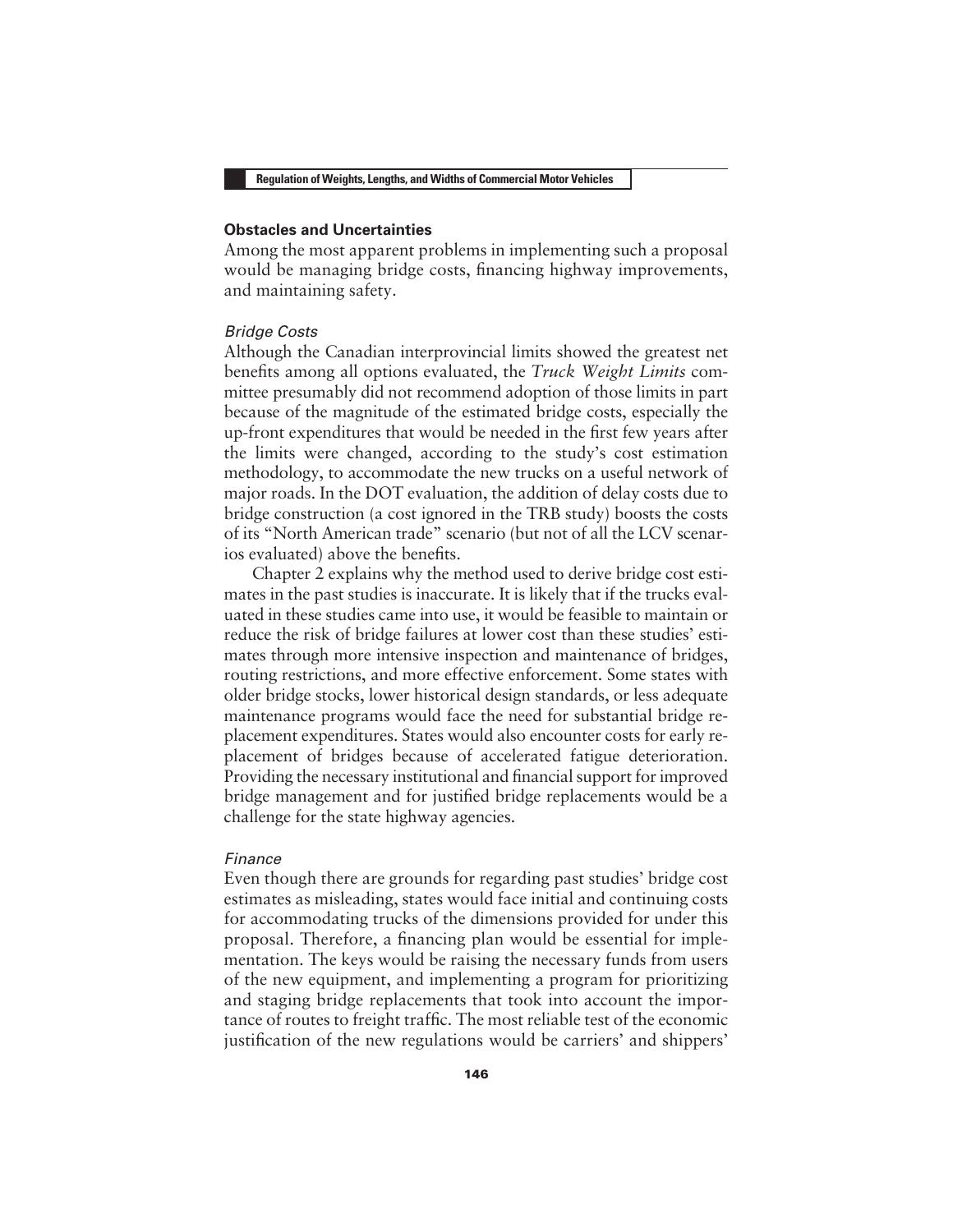#### **Obstacles and Uncertainties**

Among the most apparent problems in implementing such a proposal would be managing bridge costs, financing highway improvements, and maintaining safety.

## Bridge Costs

Although the Canadian interprovincial limits showed the greatest net benefits among all options evaluated, the *Truck Weight Limits* committee presumably did not recommend adoption of those limits in part because of the magnitude of the estimated bridge costs, especially the up-front expenditures that would be needed in the first few years after the limits were changed, according to the study's cost estimation methodology, to accommodate the new trucks on a useful network of major roads. In the DOT evaluation, the addition of delay costs due to bridge construction (a cost ignored in the TRB study) boosts the costs of its "North American trade" scenario (but not of all the LCV scenarios evaluated) above the benefits.

Chapter 2 explains why the method used to derive bridge cost estimates in the past studies is inaccurate. It is likely that if the trucks evaluated in these studies came into use, it would be feasible to maintain or reduce the risk of bridge failures at lower cost than these studies' estimates through more intensive inspection and maintenance of bridges, routing restrictions, and more effective enforcement. Some states with older bridge stocks, lower historical design standards, or less adequate maintenance programs would face the need for substantial bridge replacement expenditures. States would also encounter costs for early replacement of bridges because of accelerated fatigue deterioration. Providing the necessary institutional and financial support for improved bridge management and for justified bridge replacements would be a challenge for the state highway agencies.

## Finance

Even though there are grounds for regarding past studies' bridge cost estimates as misleading, states would face initial and continuing costs for accommodating trucks of the dimensions provided for under this proposal. Therefore, a financing plan would be essential for implementation. The keys would be raising the necessary funds from users of the new equipment, and implementing a program for prioritizing and staging bridge replacements that took into account the importance of routes to freight traffic. The most reliable test of the economic justification of the new regulations would be carriers' and shippers'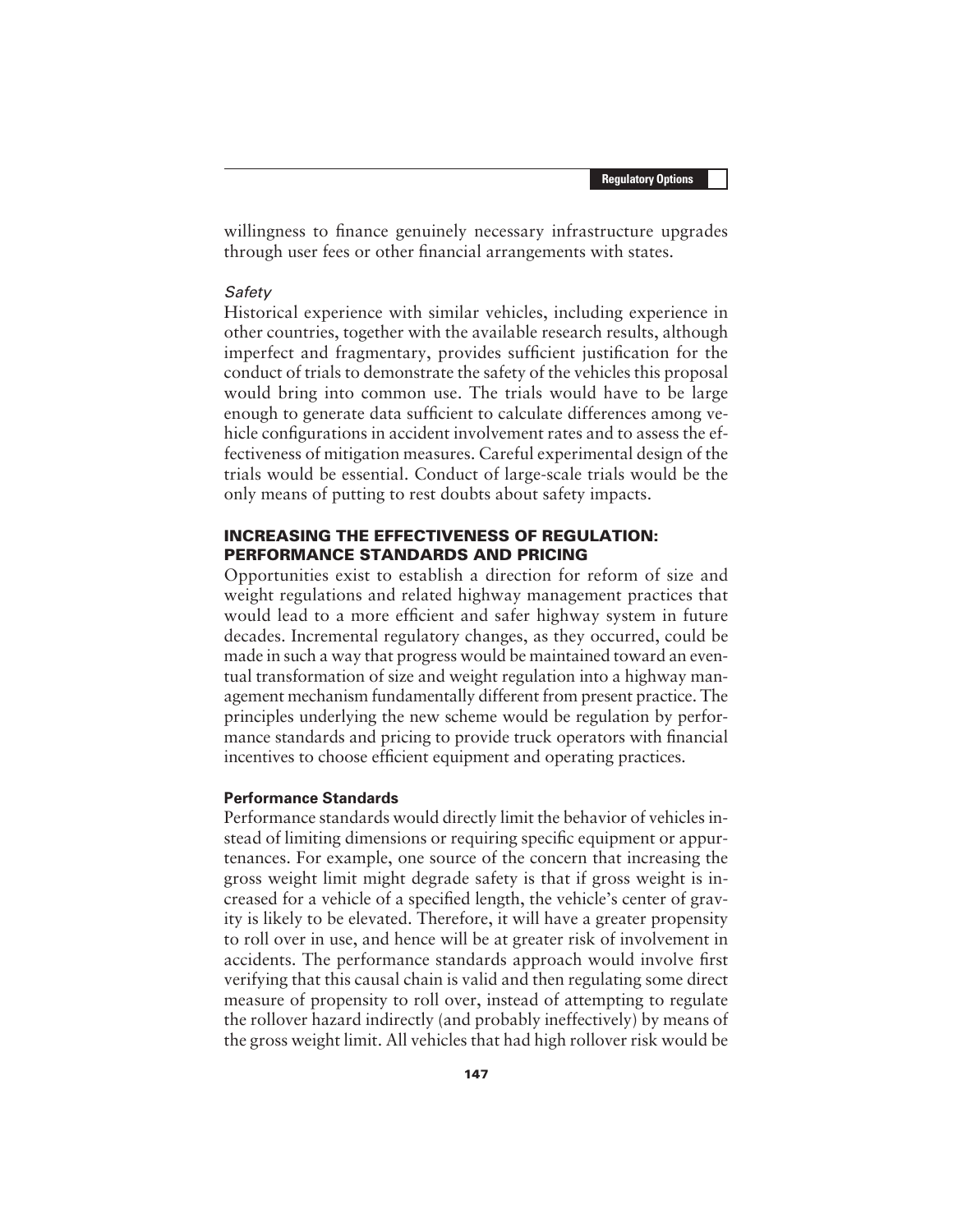willingness to finance genuinely necessary infrastructure upgrades through user fees or other financial arrangements with states.

## **Safety**

Historical experience with similar vehicles, including experience in other countries, together with the available research results, although imperfect and fragmentary, provides sufficient justification for the conduct of trials to demonstrate the safety of the vehicles this proposal would bring into common use. The trials would have to be large enough to generate data sufficient to calculate differences among vehicle configurations in accident involvement rates and to assess the effectiveness of mitigation measures. Careful experimental design of the trials would be essential. Conduct of large-scale trials would be the only means of putting to rest doubts about safety impacts.

## **INCREASING THE EFFECTIVENESS OF REGULATION: PERFORMANCE STANDARDS AND PRICING**

Opportunities exist to establish a direction for reform of size and weight regulations and related highway management practices that would lead to a more efficient and safer highway system in future decades. Incremental regulatory changes, as they occurred, could be made in such a way that progress would be maintained toward an eventual transformation of size and weight regulation into a highway management mechanism fundamentally different from present practice. The principles underlying the new scheme would be regulation by performance standards and pricing to provide truck operators with financial incentives to choose efficient equipment and operating practices.

#### **Performance Standards**

Performance standards would directly limit the behavior of vehicles instead of limiting dimensions or requiring specific equipment or appurtenances. For example, one source of the concern that increasing the gross weight limit might degrade safety is that if gross weight is increased for a vehicle of a specified length, the vehicle's center of gravity is likely to be elevated. Therefore, it will have a greater propensity to roll over in use, and hence will be at greater risk of involvement in accidents. The performance standards approach would involve first verifying that this causal chain is valid and then regulating some direct measure of propensity to roll over, instead of attempting to regulate the rollover hazard indirectly (and probably ineffectively) by means of the gross weight limit. All vehicles that had high rollover risk would be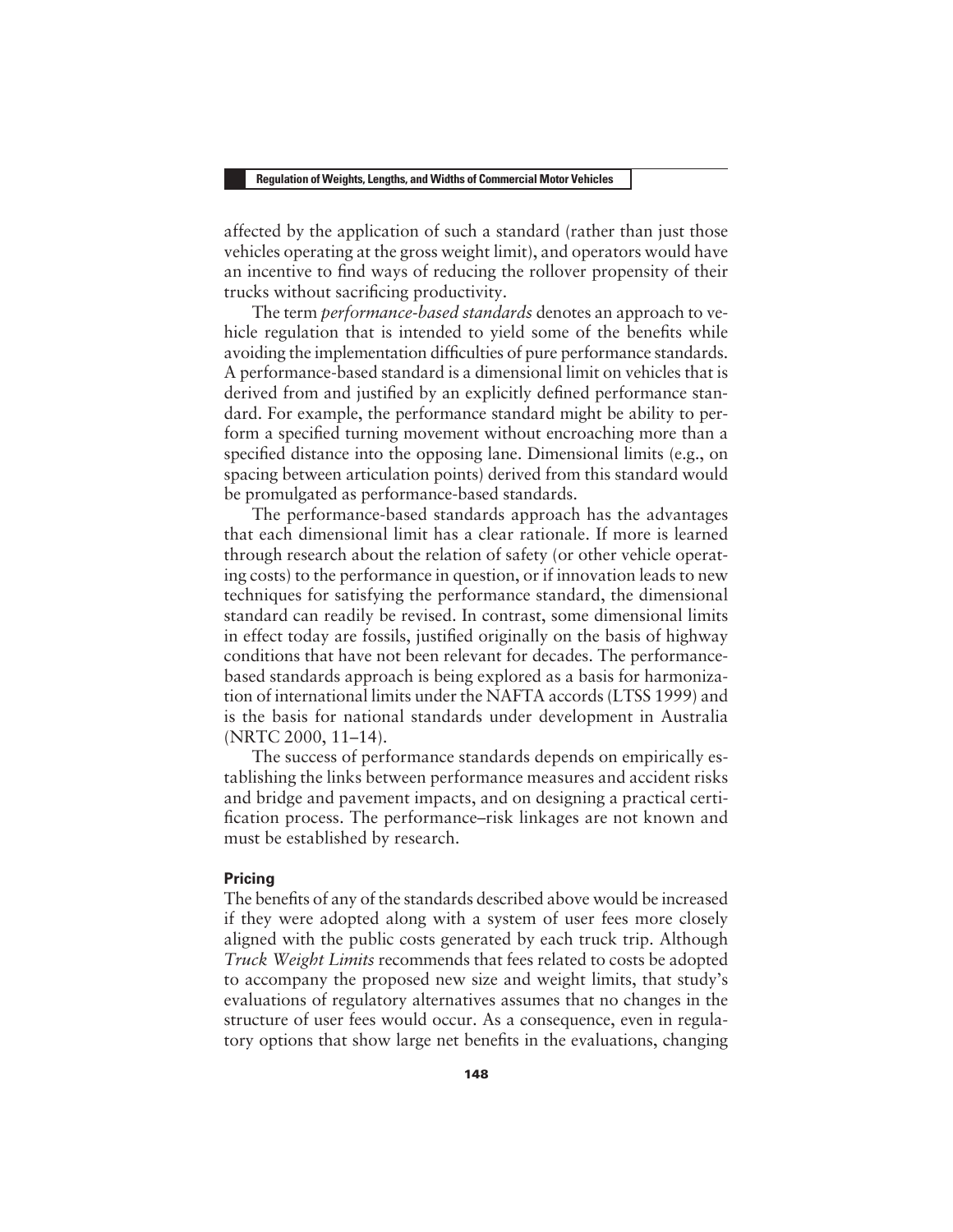affected by the application of such a standard (rather than just those vehicles operating at the gross weight limit), and operators would have an incentive to find ways of reducing the rollover propensity of their trucks without sacrificing productivity.

The term *performance-based standards* denotes an approach to vehicle regulation that is intended to yield some of the benefits while avoiding the implementation difficulties of pure performance standards. A performance-based standard is a dimensional limit on vehicles that is derived from and justified by an explicitly defined performance standard. For example, the performance standard might be ability to perform a specified turning movement without encroaching more than a specified distance into the opposing lane. Dimensional limits (e.g., on spacing between articulation points) derived from this standard would be promulgated as performance-based standards.

The performance-based standards approach has the advantages that each dimensional limit has a clear rationale. If more is learned through research about the relation of safety (or other vehicle operating costs) to the performance in question, or if innovation leads to new techniques for satisfying the performance standard, the dimensional standard can readily be revised. In contrast, some dimensional limits in effect today are fossils, justified originally on the basis of highway conditions that have not been relevant for decades. The performancebased standards approach is being explored as a basis for harmonization of international limits under the NAFTA accords (LTSS 1999) and is the basis for national standards under development in Australia (NRTC 2000, 11–14).

The success of performance standards depends on empirically establishing the links between performance measures and accident risks and bridge and pavement impacts, and on designing a practical certification process. The performance–risk linkages are not known and must be established by research.

## **Pricing**

The benefits of any of the standards described above would be increased if they were adopted along with a system of user fees more closely aligned with the public costs generated by each truck trip. Although *Truck Weight Limits* recommends that fees related to costs be adopted to accompany the proposed new size and weight limits, that study's evaluations of regulatory alternatives assumes that no changes in the structure of user fees would occur. As a consequence, even in regulatory options that show large net benefits in the evaluations, changing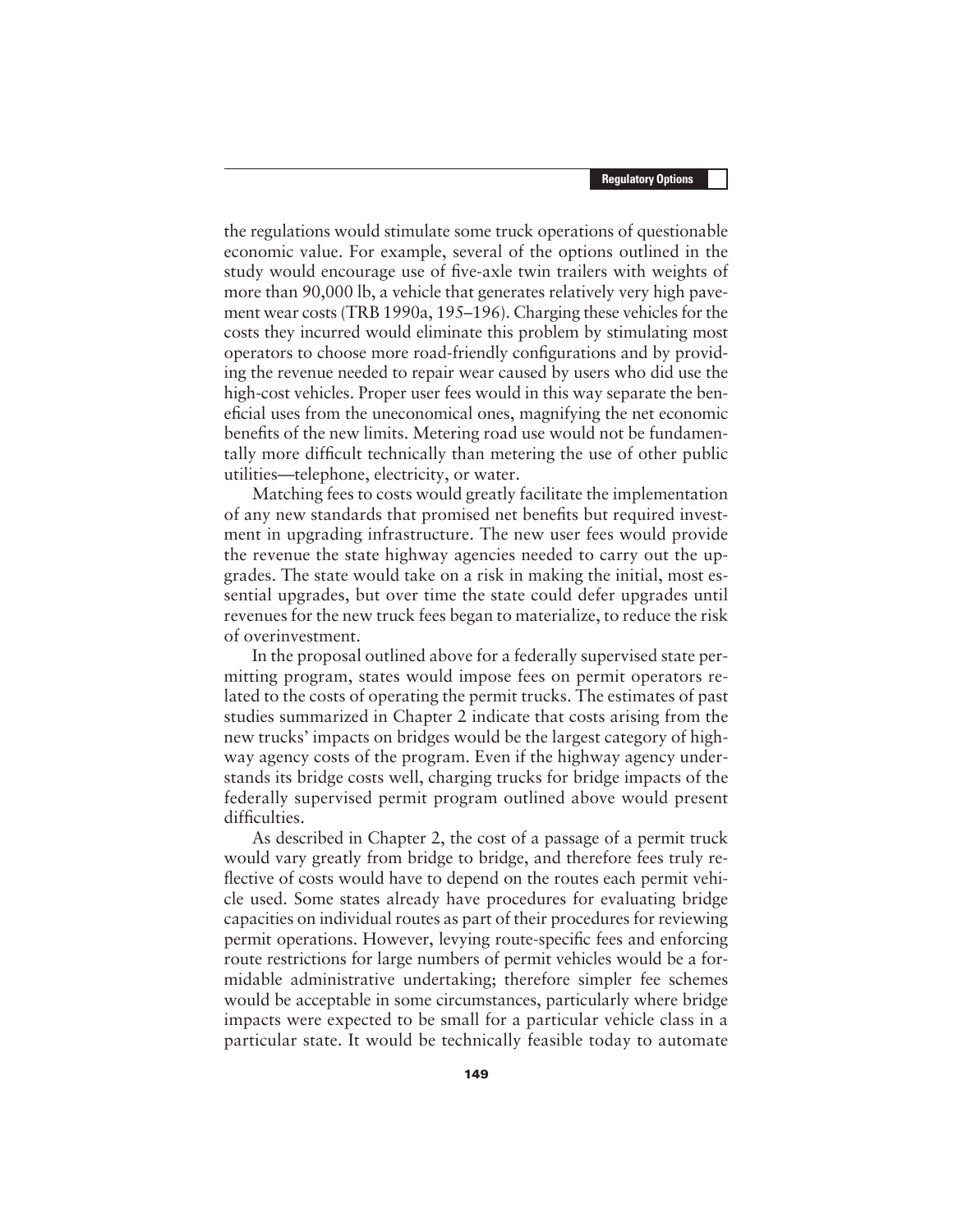the regulations would stimulate some truck operations of questionable economic value. For example, several of the options outlined in the study would encourage use of five-axle twin trailers with weights of more than 90,000 lb, a vehicle that generates relatively very high pavement wear costs (TRB 1990a, 195–196). Charging these vehicles for the costs they incurred would eliminate this problem by stimulating most operators to choose more road-friendly configurations and by providing the revenue needed to repair wear caused by users who did use the high-cost vehicles. Proper user fees would in this way separate the beneficial uses from the uneconomical ones, magnifying the net economic benefits of the new limits. Metering road use would not be fundamentally more difficult technically than metering the use of other public utilities—telephone, electricity, or water.

Matching fees to costs would greatly facilitate the implementation of any new standards that promised net benefits but required investment in upgrading infrastructure. The new user fees would provide the revenue the state highway agencies needed to carry out the upgrades. The state would take on a risk in making the initial, most essential upgrades, but over time the state could defer upgrades until revenues for the new truck fees began to materialize, to reduce the risk of overinvestment.

In the proposal outlined above for a federally supervised state permitting program, states would impose fees on permit operators related to the costs of operating the permit trucks. The estimates of past studies summarized in Chapter 2 indicate that costs arising from the new trucks' impacts on bridges would be the largest category of highway agency costs of the program. Even if the highway agency understands its bridge costs well, charging trucks for bridge impacts of the federally supervised permit program outlined above would present difficulties.

As described in Chapter 2, the cost of a passage of a permit truck would vary greatly from bridge to bridge, and therefore fees truly reflective of costs would have to depend on the routes each permit vehicle used. Some states already have procedures for evaluating bridge capacities on individual routes as part of their procedures for reviewing permit operations. However, levying route-specific fees and enforcing route restrictions for large numbers of permit vehicles would be a formidable administrative undertaking; therefore simpler fee schemes would be acceptable in some circumstances, particularly where bridge impacts were expected to be small for a particular vehicle class in a particular state. It would be technically feasible today to automate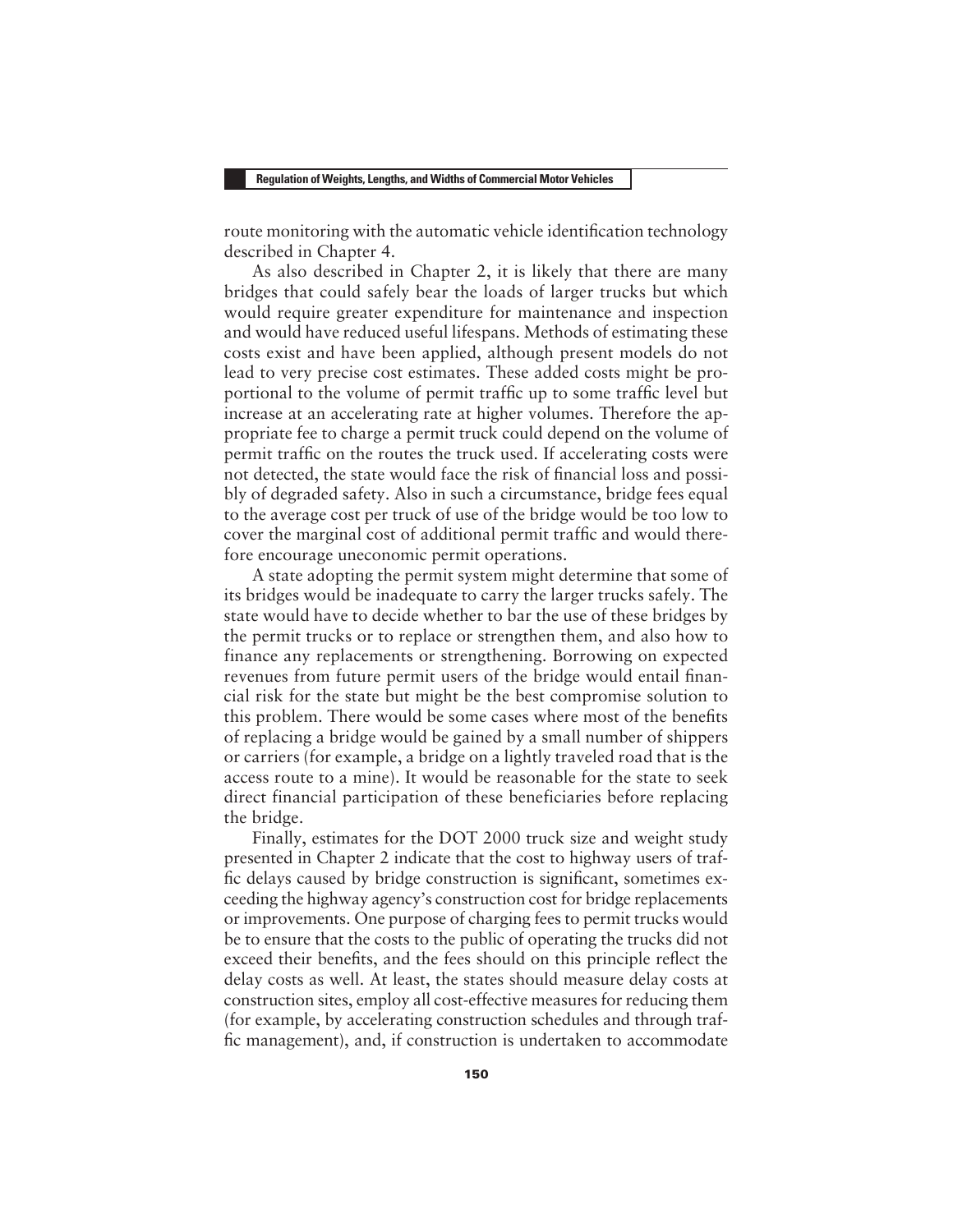route monitoring with the automatic vehicle identification technology described in Chapter 4.

As also described in Chapter 2, it is likely that there are many bridges that could safely bear the loads of larger trucks but which would require greater expenditure for maintenance and inspection and would have reduced useful lifespans. Methods of estimating these costs exist and have been applied, although present models do not lead to very precise cost estimates. These added costs might be proportional to the volume of permit traffic up to some traffic level but increase at an accelerating rate at higher volumes. Therefore the appropriate fee to charge a permit truck could depend on the volume of permit traffic on the routes the truck used. If accelerating costs were not detected, the state would face the risk of financial loss and possibly of degraded safety. Also in such a circumstance, bridge fees equal to the average cost per truck of use of the bridge would be too low to cover the marginal cost of additional permit traffic and would therefore encourage uneconomic permit operations.

A state adopting the permit system might determine that some of its bridges would be inadequate to carry the larger trucks safely. The state would have to decide whether to bar the use of these bridges by the permit trucks or to replace or strengthen them, and also how to finance any replacements or strengthening. Borrowing on expected revenues from future permit users of the bridge would entail financial risk for the state but might be the best compromise solution to this problem. There would be some cases where most of the benefits of replacing a bridge would be gained by a small number of shippers or carriers (for example, a bridge on a lightly traveled road that is the access route to a mine). It would be reasonable for the state to seek direct financial participation of these beneficiaries before replacing the bridge.

Finally, estimates for the DOT 2000 truck size and weight study presented in Chapter 2 indicate that the cost to highway users of traffic delays caused by bridge construction is significant, sometimes exceeding the highway agency's construction cost for bridge replacements or improvements. One purpose of charging fees to permit trucks would be to ensure that the costs to the public of operating the trucks did not exceed their benefits, and the fees should on this principle reflect the delay costs as well. At least, the states should measure delay costs at construction sites, employ all cost-effective measures for reducing them (for example, by accelerating construction schedules and through traffic management), and, if construction is undertaken to accommodate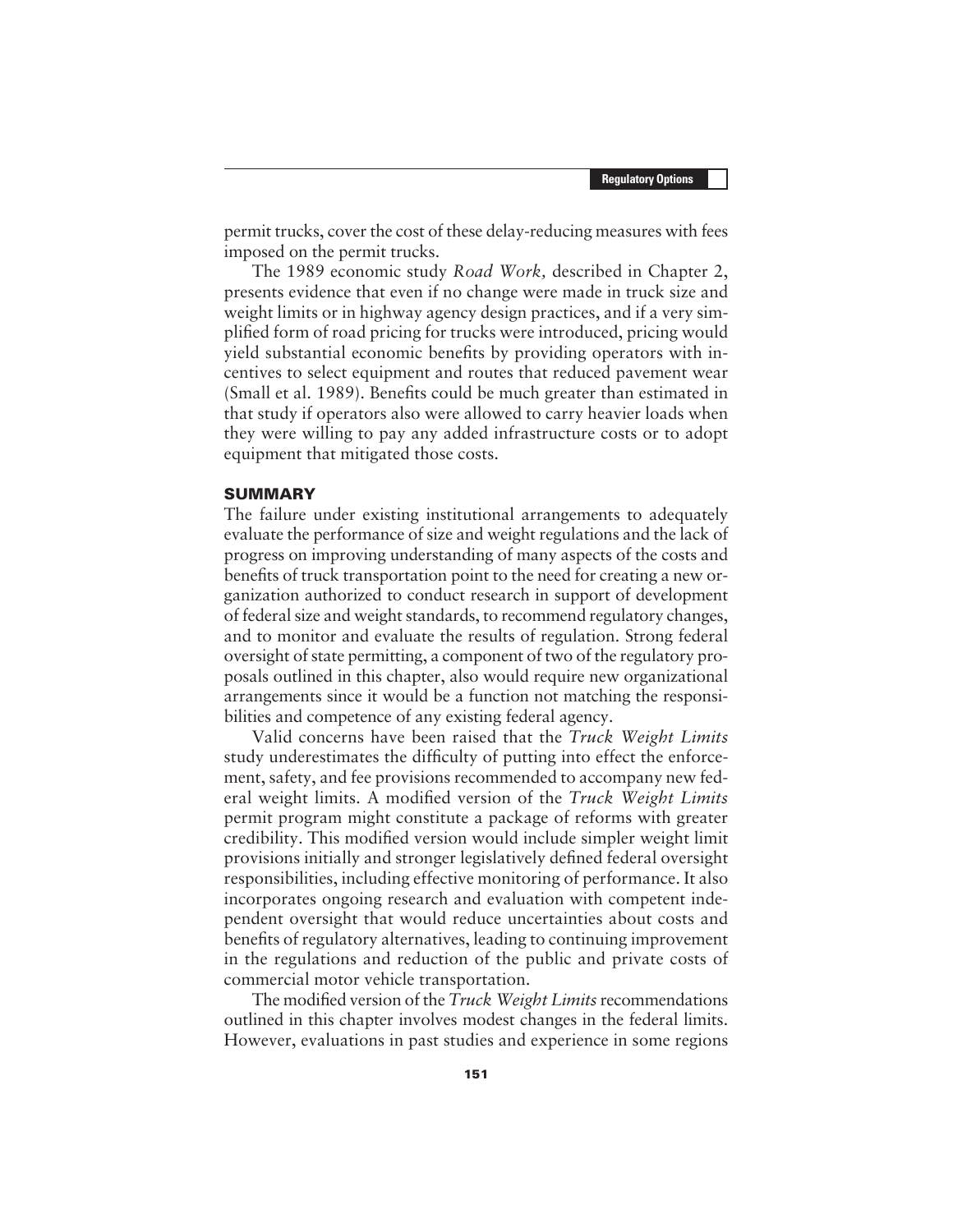permit trucks, cover the cost of these delay-reducing measures with fees imposed on the permit trucks.

The 1989 economic study *Road Work,* described in Chapter 2, presents evidence that even if no change were made in truck size and weight limits or in highway agency design practices, and if a very simplified form of road pricing for trucks were introduced, pricing would yield substantial economic benefits by providing operators with incentives to select equipment and routes that reduced pavement wear (Small et al. 1989). Benefits could be much greater than estimated in that study if operators also were allowed to carry heavier loads when they were willing to pay any added infrastructure costs or to adopt equipment that mitigated those costs.

## **SUMMARY**

The failure under existing institutional arrangements to adequately evaluate the performance of size and weight regulations and the lack of progress on improving understanding of many aspects of the costs and benefits of truck transportation point to the need for creating a new organization authorized to conduct research in support of development of federal size and weight standards, to recommend regulatory changes, and to monitor and evaluate the results of regulation. Strong federal oversight of state permitting, a component of two of the regulatory proposals outlined in this chapter, also would require new organizational arrangements since it would be a function not matching the responsibilities and competence of any existing federal agency.

Valid concerns have been raised that the *Truck Weight Limits* study underestimates the difficulty of putting into effect the enforcement, safety, and fee provisions recommended to accompany new federal weight limits. A modified version of the *Truck Weight Limits* permit program might constitute a package of reforms with greater credibility. This modified version would include simpler weight limit provisions initially and stronger legislatively defined federal oversight responsibilities, including effective monitoring of performance. It also incorporates ongoing research and evaluation with competent independent oversight that would reduce uncertainties about costs and benefits of regulatory alternatives, leading to continuing improvement in the regulations and reduction of the public and private costs of commercial motor vehicle transportation.

The modified version of the *Truck Weight Limits*recommendations outlined in this chapter involves modest changes in the federal limits. However, evaluations in past studies and experience in some regions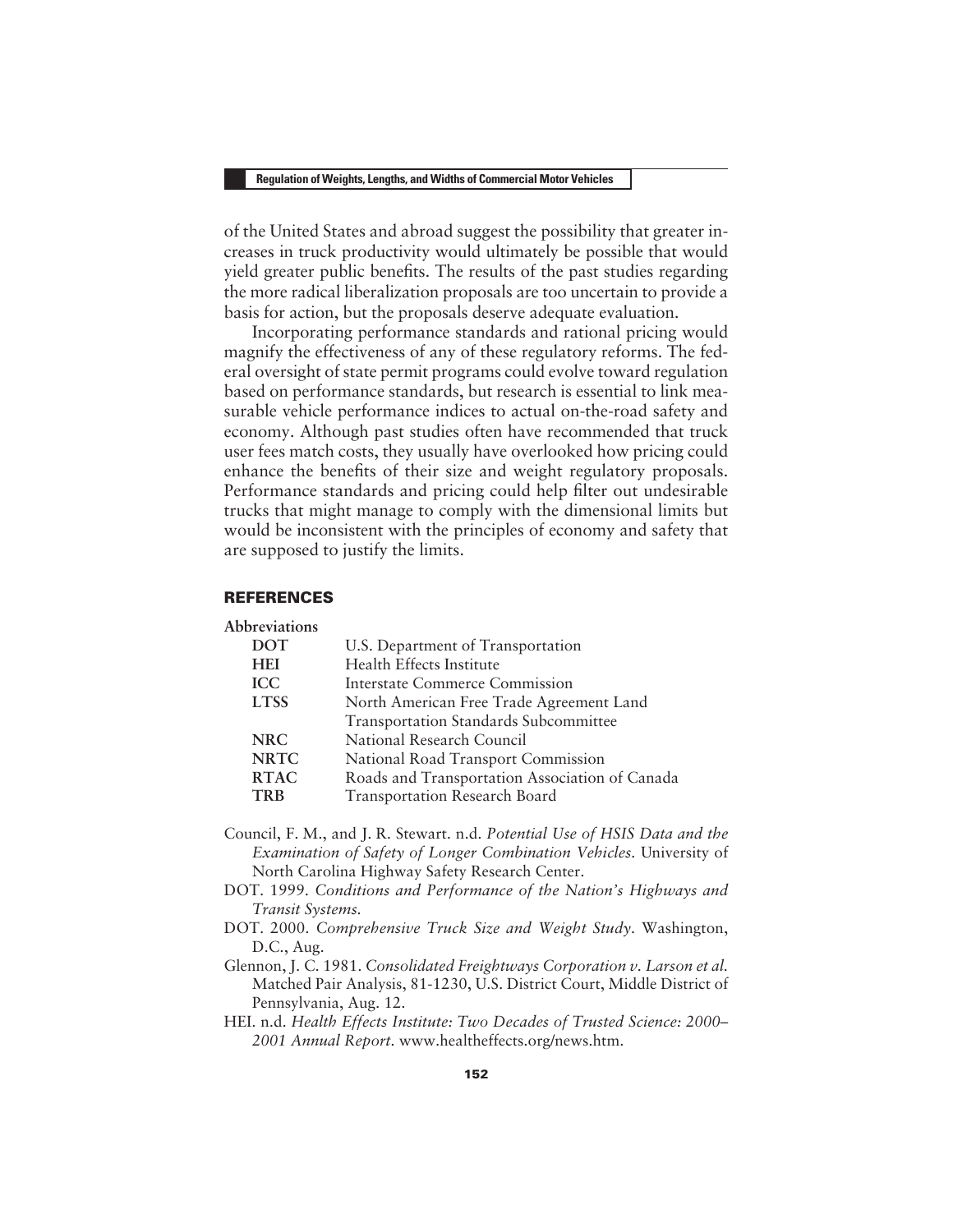of the United States and abroad suggest the possibility that greater increases in truck productivity would ultimately be possible that would yield greater public benefits. The results of the past studies regarding the more radical liberalization proposals are too uncertain to provide a basis for action, but the proposals deserve adequate evaluation.

Incorporating performance standards and rational pricing would magnify the effectiveness of any of these regulatory reforms. The federal oversight of state permit programs could evolve toward regulation based on performance standards, but research is essential to link measurable vehicle performance indices to actual on-the-road safety and economy. Although past studies often have recommended that truck user fees match costs, they usually have overlooked how pricing could enhance the benefits of their size and weight regulatory proposals. Performance standards and pricing could help filter out undesirable trucks that might manage to comply with the dimensional limits but would be inconsistent with the principles of economy and safety that are supposed to justify the limits.

#### **REFERENCES**

| <b>Abbreviations</b> |                                                |
|----------------------|------------------------------------------------|
| <b>DOT</b>           | U.S. Department of Transportation              |
| <b>HEI</b>           | Health Effects Institute                       |
| <b>ICC</b>           | Interstate Commerce Commission                 |
| <b>LTSS</b>          | North American Free Trade Agreement Land       |
|                      | <b>Transportation Standards Subcommittee</b>   |
| <b>NRC</b>           | National Research Council                      |
| <b>NRTC</b>          | National Road Transport Commission             |
| <b>RTAC</b>          | Roads and Transportation Association of Canada |
| <b>TRB</b>           | <b>Transportation Research Board</b>           |
|                      |                                                |

- Council, F. M., and J. R. Stewart. n.d. *Potential Use of HSIS Data and the Examination of Safety of Longer Combination Vehicles.* University of North Carolina Highway Safety Research Center.
- DOT. 1999. *Conditions and Performance of the Nation's Highways and Transit Systems.*
- DOT. 2000. *Comprehensive Truck Size and Weight Study.* Washington, D.C., Aug.
- Glennon, J. C. 1981. *Consolidated Freightways Corporation v. Larson et al.* Matched Pair Analysis, 81-1230, U.S. District Court, Middle District of Pennsylvania, Aug. 12.
- HEI. n.d. *Health Effects Institute: Two Decades of Trusted Science: 2000– 2001 Annual Report.* www.healtheffects.org/news.htm.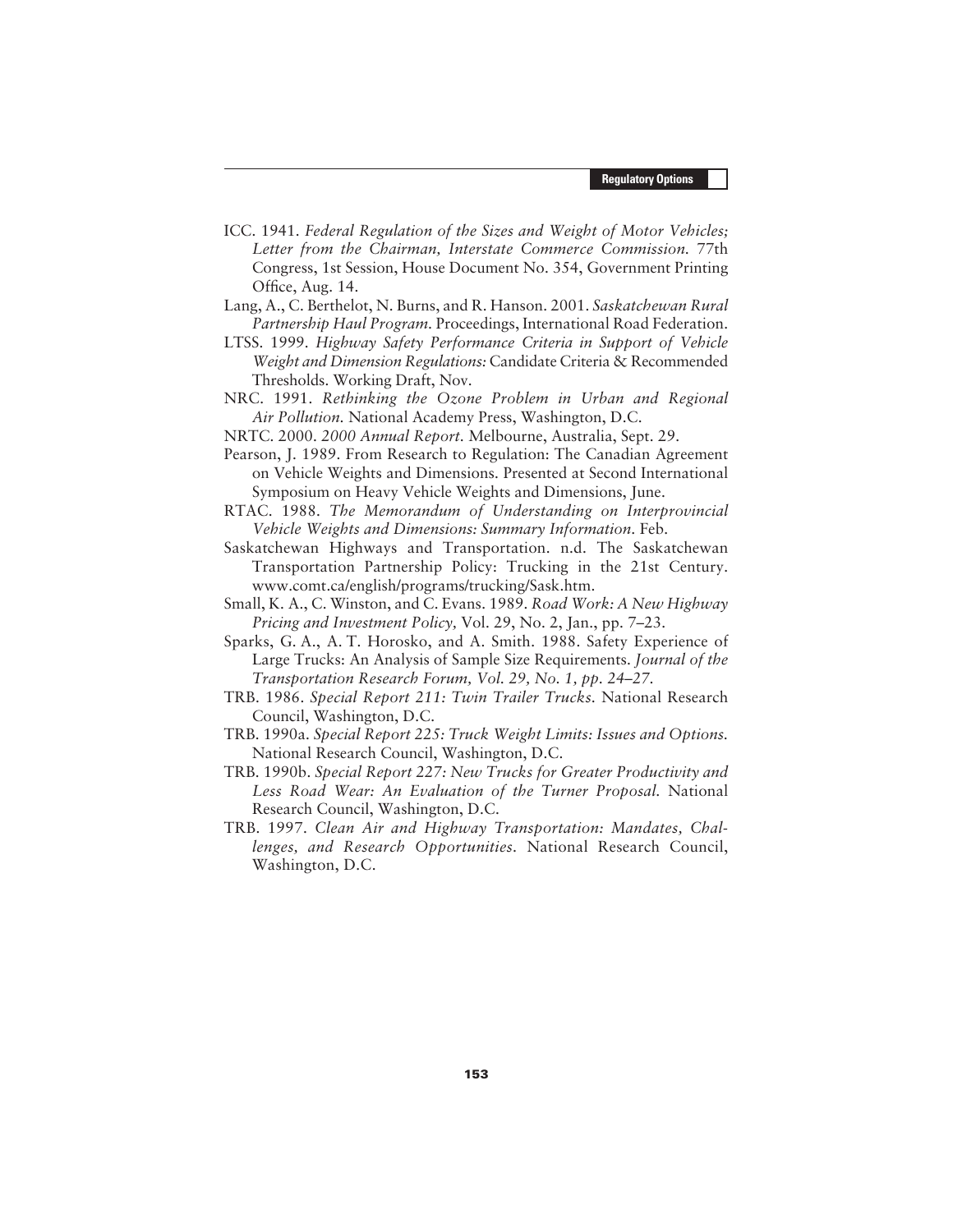- ICC. 1941. *Federal Regulation of the Sizes and Weight of Motor Vehicles; Letter from the Chairman, Interstate Commerce Commission.* 77th Congress, 1st Session, House Document No. 354, Government Printing Office, Aug. 14.
- Lang, A., C. Berthelot, N. Burns, and R. Hanson. 2001. *Saskatchewan Rural Partnership Haul Program.* Proceedings, International Road Federation.
- LTSS. 1999. *Highway Safety Performance Criteria in Support of Vehicle Weight and Dimension Regulations:* Candidate Criteria & Recommended Thresholds. Working Draft, Nov.
- NRC. 1991. *Rethinking the Ozone Problem in Urban and Regional Air Pollution.* National Academy Press, Washington, D.C.
- NRTC. 2000. *2000 Annual Report.* Melbourne, Australia, Sept. 29.
- Pearson, J. 1989. From Research to Regulation: The Canadian Agreement on Vehicle Weights and Dimensions. Presented at Second International Symposium on Heavy Vehicle Weights and Dimensions, June.
- RTAC. 1988. *The Memorandum of Understanding on Interprovincial Vehicle Weights and Dimensions: Summary Information.* Feb.
- Saskatchewan Highways and Transportation. n.d. The Saskatchewan Transportation Partnership Policy: Trucking in the 21st Century. www.comt.ca/english/programs/trucking/Sask.htm.
- Small, K. A., C. Winston, and C. Evans. 1989. *Road Work: A New Highway Pricing and Investment Policy,* Vol. 29, No. 2, Jan., pp. 7–23.
- Sparks, G. A., A. T. Horosko, and A. Smith. 1988. Safety Experience of Large Trucks: An Analysis of Sample Size Requirements. *Journal of the Transportation Research Forum, Vol. 29, No. 1, pp. 24–27.*
- TRB. 1986. *Special Report 211: Twin Trailer Trucks.* National Research Council, Washington, D.C.
- TRB. 1990a. *Special Report 225: Truck Weight Limits: Issues and Options.* National Research Council, Washington, D.C.
- TRB. 1990b. *Special Report 227: New Trucks for Greater Productivity and Less Road Wear: An Evaluation of the Turner Proposal.* National Research Council, Washington, D.C.
- TRB. 1997. *Clean Air and Highway Transportation: Mandates, Challenges, and Research Opportunities.* National Research Council, Washington, D.C.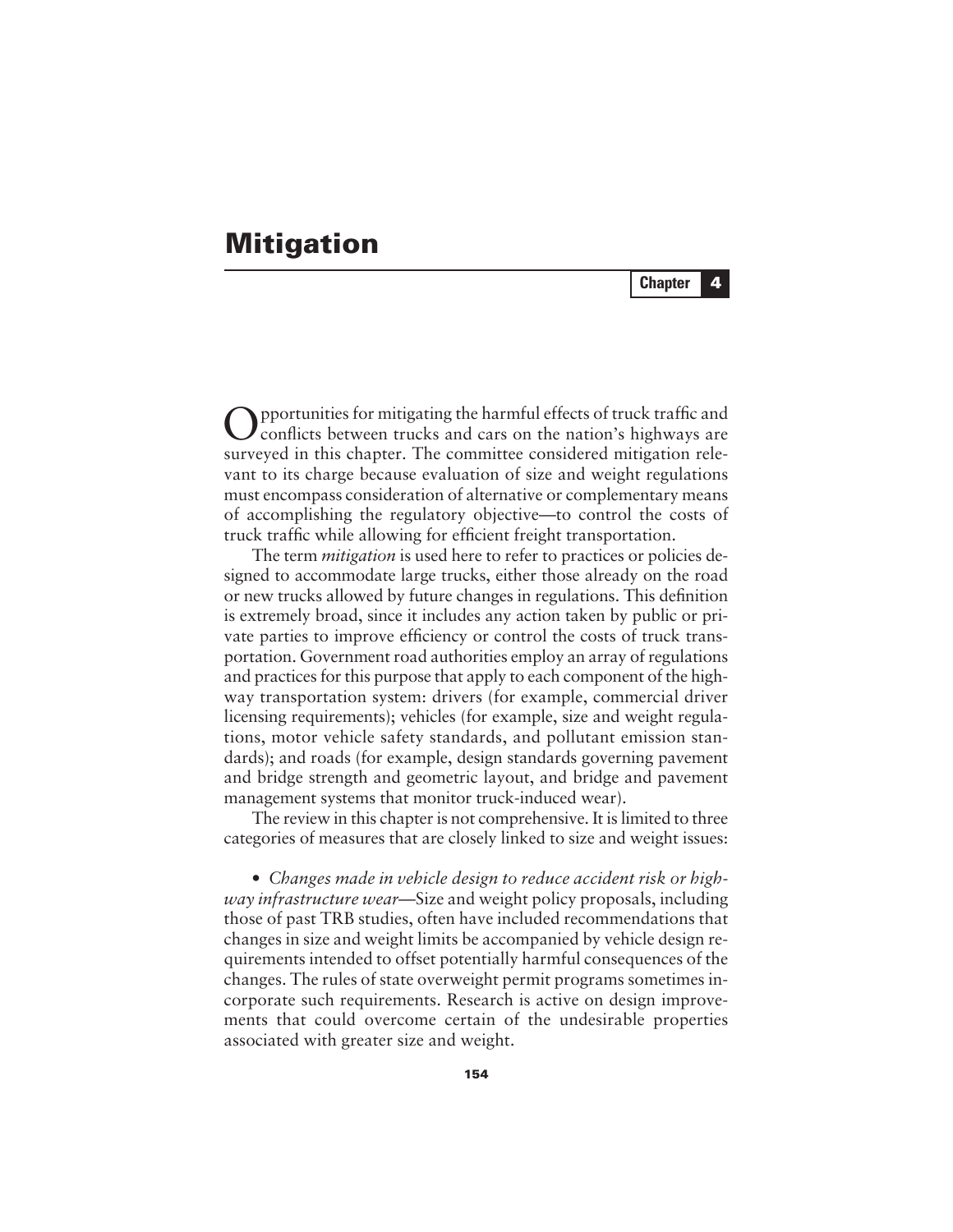Opportunities for mitigating the harmful effects of truck traffic and conflicts between trucks and cars on the nation's highways are surveyed in this chapter. The committee considered mitigation relevant to its charge because evaluation of size and weight regulations must encompass consideration of alternative or complementary means of accomplishing the regulatory objective—to control the costs of truck traffic while allowing for efficient freight transportation.

The term *mitigation* is used here to refer to practices or policies designed to accommodate large trucks, either those already on the road or new trucks allowed by future changes in regulations. This definition is extremely broad, since it includes any action taken by public or private parties to improve efficiency or control the costs of truck transportation. Government road authorities employ an array of regulations and practices for this purpose that apply to each component of the highway transportation system: drivers (for example, commercial driver licensing requirements); vehicles (for example, size and weight regulations, motor vehicle safety standards, and pollutant emission standards); and roads (for example, design standards governing pavement and bridge strength and geometric layout, and bridge and pavement management systems that monitor truck-induced wear).

The review in this chapter is not comprehensive. It is limited to three categories of measures that are closely linked to size and weight issues:

• *Changes made in vehicle design to reduce accident risk or highway infrastructure wear*—Size and weight policy proposals, including those of past TRB studies, often have included recommendations that changes in size and weight limits be accompanied by vehicle design requirements intended to offset potentially harmful consequences of the changes. The rules of state overweight permit programs sometimes incorporate such requirements. Research is active on design improvements that could overcome certain of the undesirable properties associated with greater size and weight.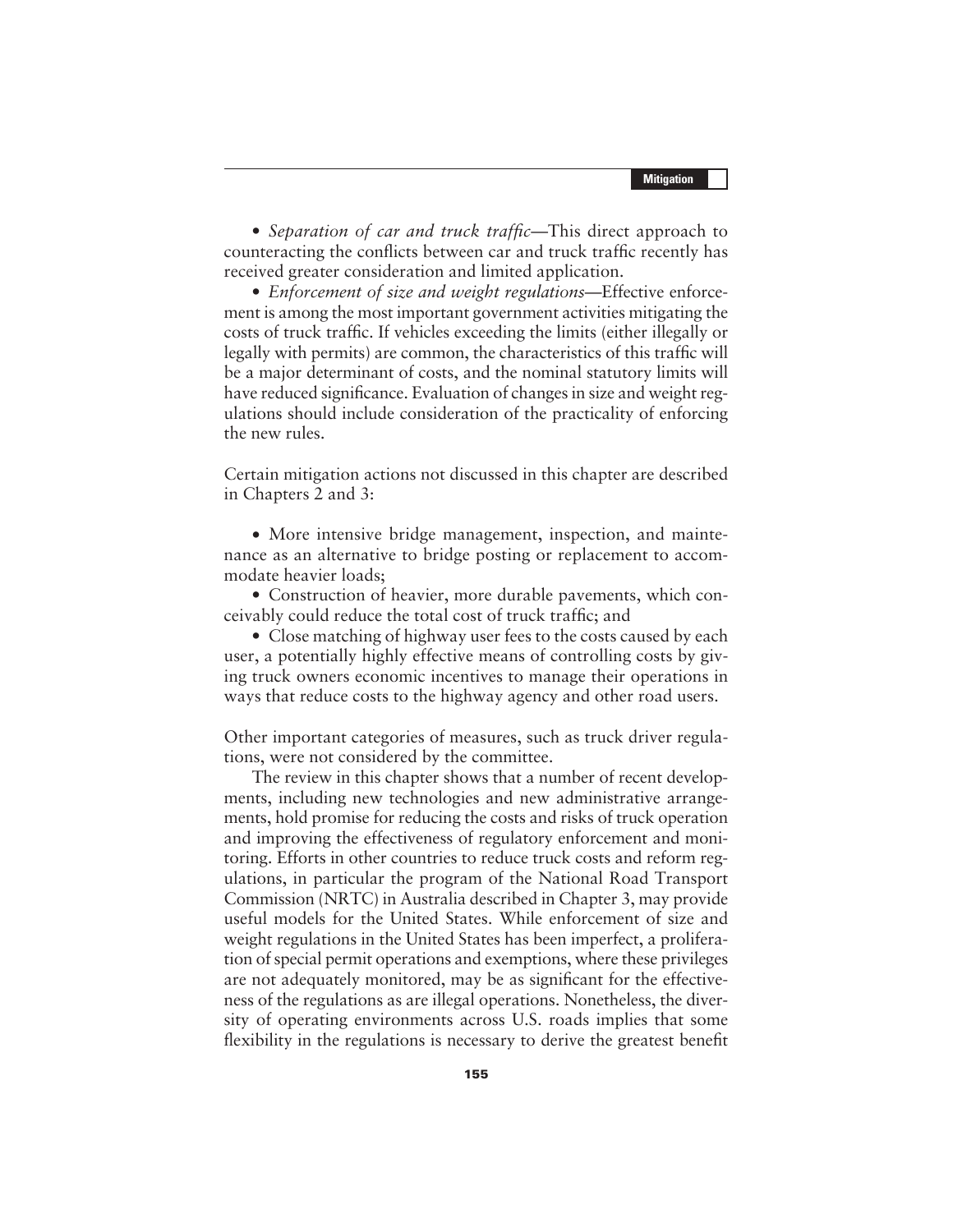• *Separation of car and truck traffic*—This direct approach to counteracting the conflicts between car and truck traffic recently has received greater consideration and limited application.

• *Enforcement of size and weight regulations*—Effective enforcement is among the most important government activities mitigating the costs of truck traffic. If vehicles exceeding the limits (either illegally or legally with permits) are common, the characteristics of this traffic will be a major determinant of costs, and the nominal statutory limits will have reduced significance. Evaluation of changes in size and weight regulations should include consideration of the practicality of enforcing the new rules.

Certain mitigation actions not discussed in this chapter are described in Chapters 2 and 3:

• More intensive bridge management, inspection, and maintenance as an alternative to bridge posting or replacement to accommodate heavier loads;

• Construction of heavier, more durable pavements, which conceivably could reduce the total cost of truck traffic; and

• Close matching of highway user fees to the costs caused by each user, a potentially highly effective means of controlling costs by giving truck owners economic incentives to manage their operations in ways that reduce costs to the highway agency and other road users.

Other important categories of measures, such as truck driver regulations, were not considered by the committee.

The review in this chapter shows that a number of recent developments, including new technologies and new administrative arrangements, hold promise for reducing the costs and risks of truck operation and improving the effectiveness of regulatory enforcement and monitoring. Efforts in other countries to reduce truck costs and reform regulations, in particular the program of the National Road Transport Commission (NRTC) in Australia described in Chapter 3, may provide useful models for the United States. While enforcement of size and weight regulations in the United States has been imperfect, a proliferation of special permit operations and exemptions, where these privileges are not adequately monitored, may be as significant for the effectiveness of the regulations as are illegal operations. Nonetheless, the diversity of operating environments across U.S. roads implies that some flexibility in the regulations is necessary to derive the greatest benefit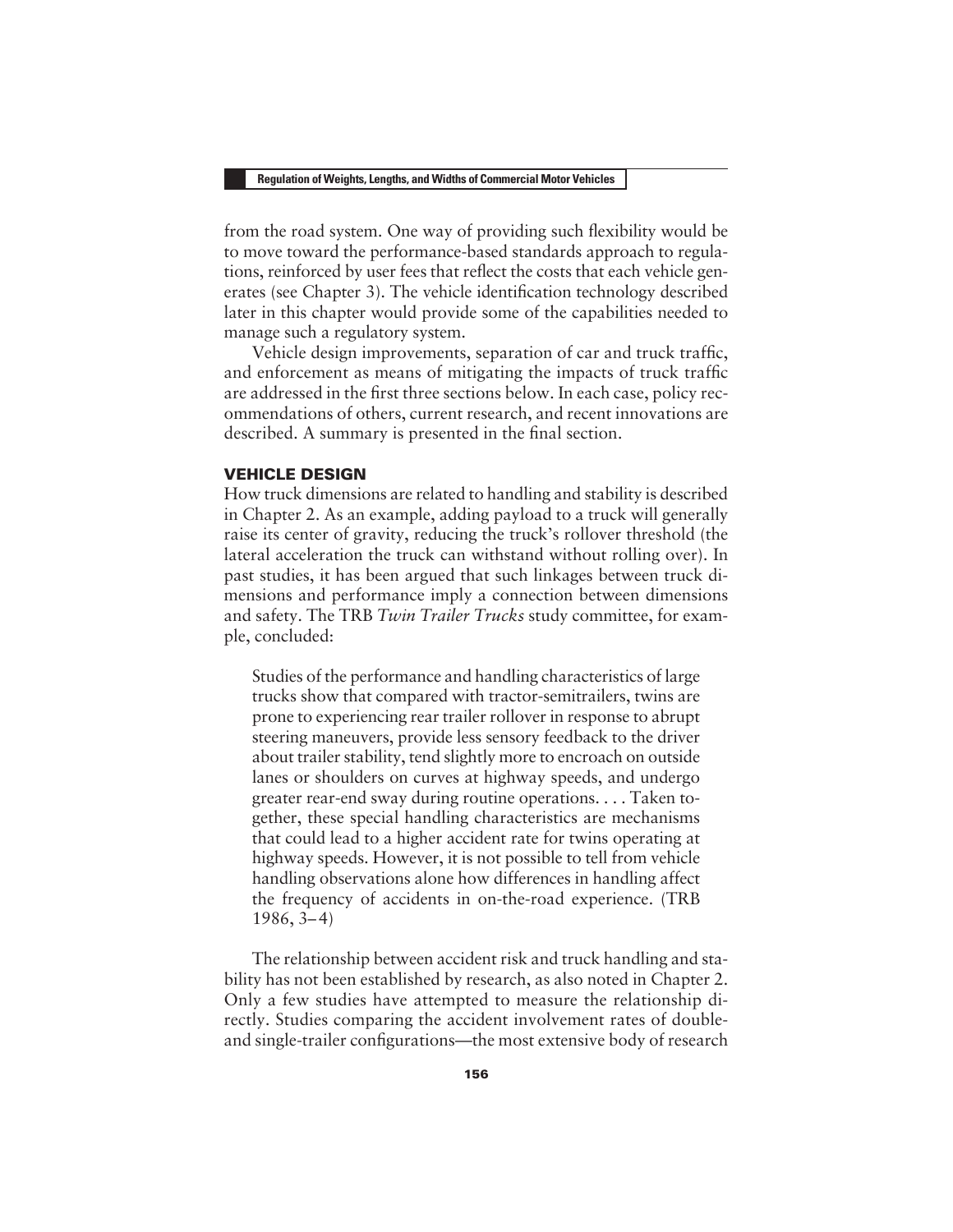from the road system. One way of providing such flexibility would be to move toward the performance-based standards approach to regulations, reinforced by user fees that reflect the costs that each vehicle generates (see Chapter 3). The vehicle identification technology described later in this chapter would provide some of the capabilities needed to manage such a regulatory system.

Vehicle design improvements, separation of car and truck traffic, and enforcement as means of mitigating the impacts of truck traffic are addressed in the first three sections below. In each case, policy recommendations of others, current research, and recent innovations are described. A summary is presented in the final section.

# **VEHICLE DESIGN**

How truck dimensions are related to handling and stability is described in Chapter 2. As an example, adding payload to a truck will generally raise its center of gravity, reducing the truck's rollover threshold (the lateral acceleration the truck can withstand without rolling over). In past studies, it has been argued that such linkages between truck dimensions and performance imply a connection between dimensions and safety. The TRB *Twin Trailer Trucks* study committee, for example, concluded:

Studies of the performance and handling characteristics of large trucks show that compared with tractor-semitrailers, twins are prone to experiencing rear trailer rollover in response to abrupt steering maneuvers, provide less sensory feedback to the driver about trailer stability, tend slightly more to encroach on outside lanes or shoulders on curves at highway speeds, and undergo greater rear-end sway during routine operations. . . . Taken together, these special handling characteristics are mechanisms that could lead to a higher accident rate for twins operating at highway speeds. However, it is not possible to tell from vehicle handling observations alone how differences in handling affect the frequency of accidents in on-the-road experience. (TRB 1986, 3– 4)

The relationship between accident risk and truck handling and stability has not been established by research, as also noted in Chapter 2. Only a few studies have attempted to measure the relationship directly. Studies comparing the accident involvement rates of doubleand single-trailer configurations—the most extensive body of research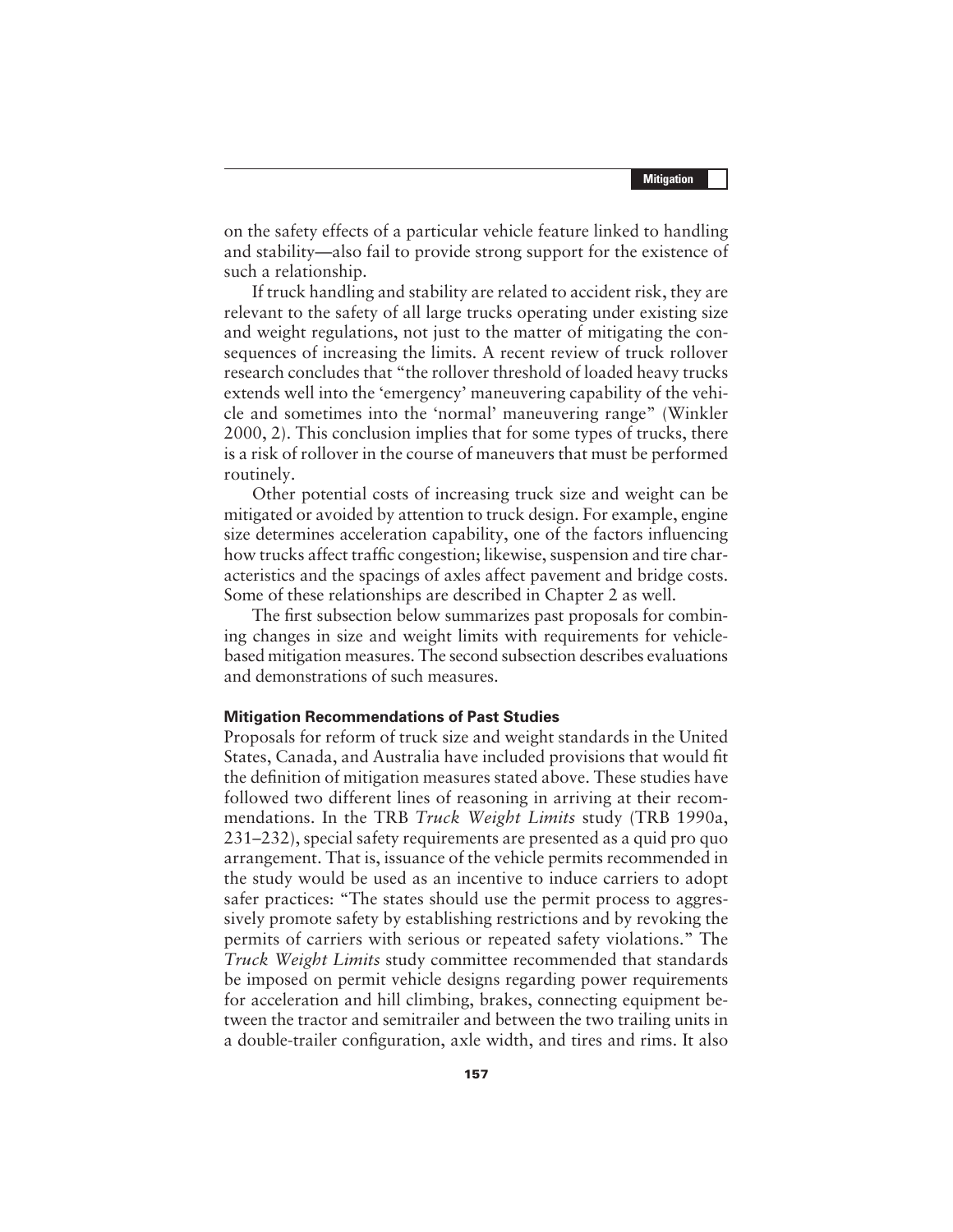on the safety effects of a particular vehicle feature linked to handling and stability—also fail to provide strong support for the existence of such a relationship.

If truck handling and stability are related to accident risk, they are relevant to the safety of all large trucks operating under existing size and weight regulations, not just to the matter of mitigating the consequences of increasing the limits. A recent review of truck rollover research concludes that "the rollover threshold of loaded heavy trucks extends well into the 'emergency' maneuvering capability of the vehicle and sometimes into the 'normal' maneuvering range" (Winkler 2000, 2). This conclusion implies that for some types of trucks, there is a risk of rollover in the course of maneuvers that must be performed routinely.

Other potential costs of increasing truck size and weight can be mitigated or avoided by attention to truck design. For example, engine size determines acceleration capability, one of the factors influencing how trucks affect traffic congestion; likewise, suspension and tire characteristics and the spacings of axles affect pavement and bridge costs. Some of these relationships are described in Chapter 2 as well.

The first subsection below summarizes past proposals for combining changes in size and weight limits with requirements for vehiclebased mitigation measures. The second subsection describes evaluations and demonstrations of such measures.

#### **Mitigation Recommendations of Past Studies**

Proposals for reform of truck size and weight standards in the United States, Canada, and Australia have included provisions that would fit the definition of mitigation measures stated above. These studies have followed two different lines of reasoning in arriving at their recommendations. In the TRB *Truck Weight Limits* study (TRB 1990a, 231–232), special safety requirements are presented as a quid pro quo arrangement. That is, issuance of the vehicle permits recommended in the study would be used as an incentive to induce carriers to adopt safer practices: "The states should use the permit process to aggressively promote safety by establishing restrictions and by revoking the permits of carriers with serious or repeated safety violations." The *Truck Weight Limits* study committee recommended that standards be imposed on permit vehicle designs regarding power requirements for acceleration and hill climbing, brakes, connecting equipment between the tractor and semitrailer and between the two trailing units in a double-trailer configuration, axle width, and tires and rims. It also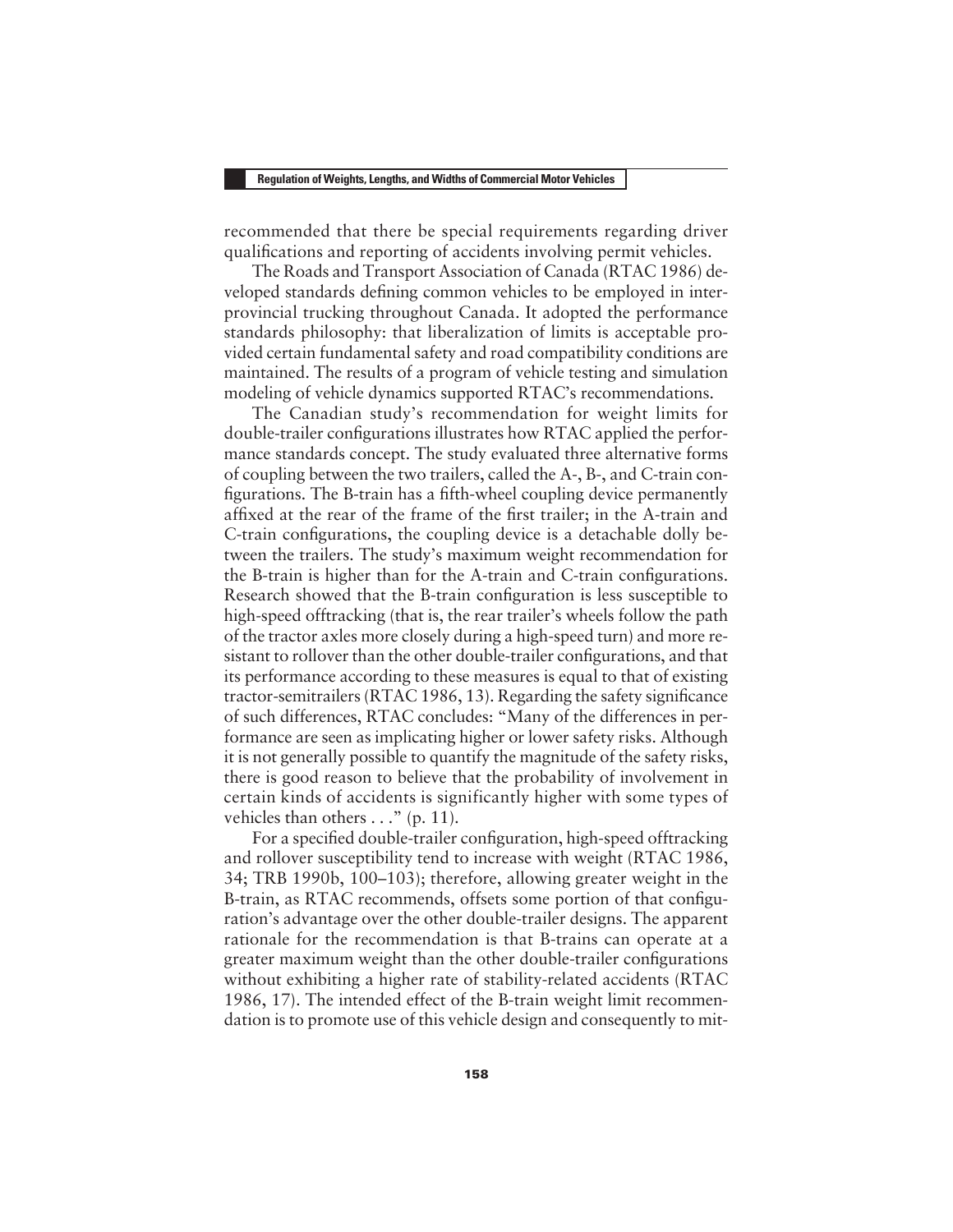recommended that there be special requirements regarding driver qualifications and reporting of accidents involving permit vehicles.

The Roads and Transport Association of Canada (RTAC 1986) developed standards defining common vehicles to be employed in interprovincial trucking throughout Canada. It adopted the performance standards philosophy: that liberalization of limits is acceptable provided certain fundamental safety and road compatibility conditions are maintained. The results of a program of vehicle testing and simulation modeling of vehicle dynamics supported RTAC's recommendations.

The Canadian study's recommendation for weight limits for double-trailer configurations illustrates how RTAC applied the performance standards concept. The study evaluated three alternative forms of coupling between the two trailers, called the A-, B-, and C-train configurations. The B-train has a fifth-wheel coupling device permanently affixed at the rear of the frame of the first trailer; in the A-train and C-train configurations, the coupling device is a detachable dolly between the trailers. The study's maximum weight recommendation for the B-train is higher than for the A-train and C-train configurations. Research showed that the B-train configuration is less susceptible to high-speed offtracking (that is, the rear trailer's wheels follow the path of the tractor axles more closely during a high-speed turn) and more resistant to rollover than the other double-trailer configurations, and that its performance according to these measures is equal to that of existing tractor-semitrailers (RTAC 1986, 13). Regarding the safety significance of such differences, RTAC concludes: "Many of the differences in performance are seen as implicating higher or lower safety risks. Although it is not generally possible to quantify the magnitude of the safety risks, there is good reason to believe that the probability of involvement in certain kinds of accidents is significantly higher with some types of vehicles than others . . ." (p. 11).

For a specified double-trailer configuration, high-speed offtracking and rollover susceptibility tend to increase with weight (RTAC 1986, 34; TRB 1990b, 100–103); therefore, allowing greater weight in the B-train, as RTAC recommends, offsets some portion of that configuration's advantage over the other double-trailer designs. The apparent rationale for the recommendation is that B-trains can operate at a greater maximum weight than the other double-trailer configurations without exhibiting a higher rate of stability-related accidents (RTAC 1986, 17). The intended effect of the B-train weight limit recommendation is to promote use of this vehicle design and consequently to mit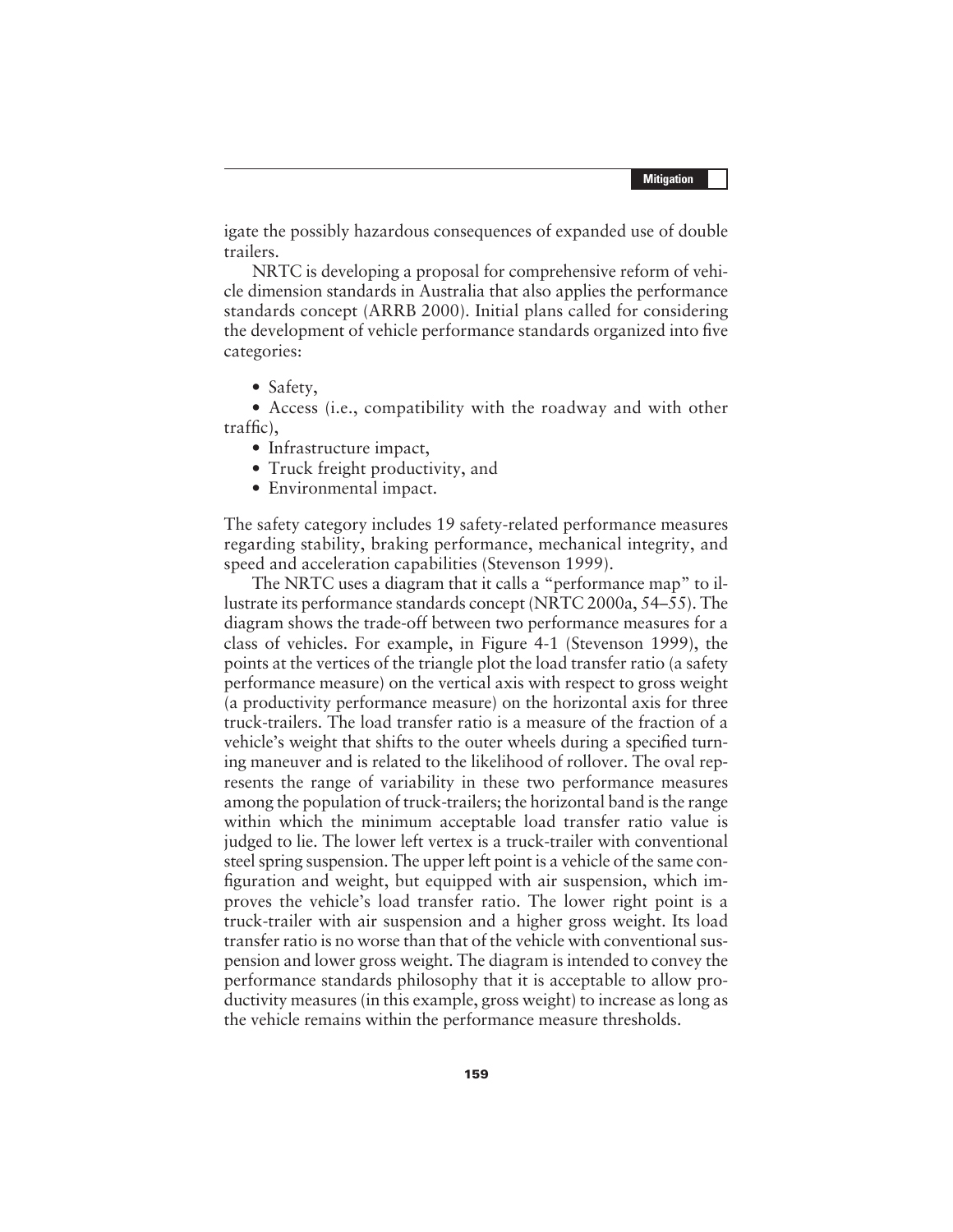igate the possibly hazardous consequences of expanded use of double trailers.

NRTC is developing a proposal for comprehensive reform of vehicle dimension standards in Australia that also applies the performance standards concept (ARRB 2000). Initial plans called for considering the development of vehicle performance standards organized into five categories:

• Safety,

• Access (i.e., compatibility with the roadway and with other traffic),

- Infrastructure impact,
- Truck freight productivity, and
- Environmental impact.

The safety category includes 19 safety-related performance measures regarding stability, braking performance, mechanical integrity, and speed and acceleration capabilities (Stevenson 1999).

The NRTC uses a diagram that it calls a "performance map" to illustrate its performance standards concept (NRTC 2000a, 54–55). The diagram shows the trade-off between two performance measures for a class of vehicles. For example, in Figure 4-1 (Stevenson 1999), the points at the vertices of the triangle plot the load transfer ratio (a safety performance measure) on the vertical axis with respect to gross weight (a productivity performance measure) on the horizontal axis for three truck-trailers. The load transfer ratio is a measure of the fraction of a vehicle's weight that shifts to the outer wheels during a specified turning maneuver and is related to the likelihood of rollover. The oval represents the range of variability in these two performance measures among the population of truck-trailers; the horizontal band is the range within which the minimum acceptable load transfer ratio value is judged to lie. The lower left vertex is a truck-trailer with conventional steel spring suspension. The upper left point is a vehicle of the same configuration and weight, but equipped with air suspension, which improves the vehicle's load transfer ratio. The lower right point is a truck-trailer with air suspension and a higher gross weight. Its load transfer ratio is no worse than that of the vehicle with conventional suspension and lower gross weight. The diagram is intended to convey the performance standards philosophy that it is acceptable to allow productivity measures (in this example, gross weight) to increase as long as the vehicle remains within the performance measure thresholds.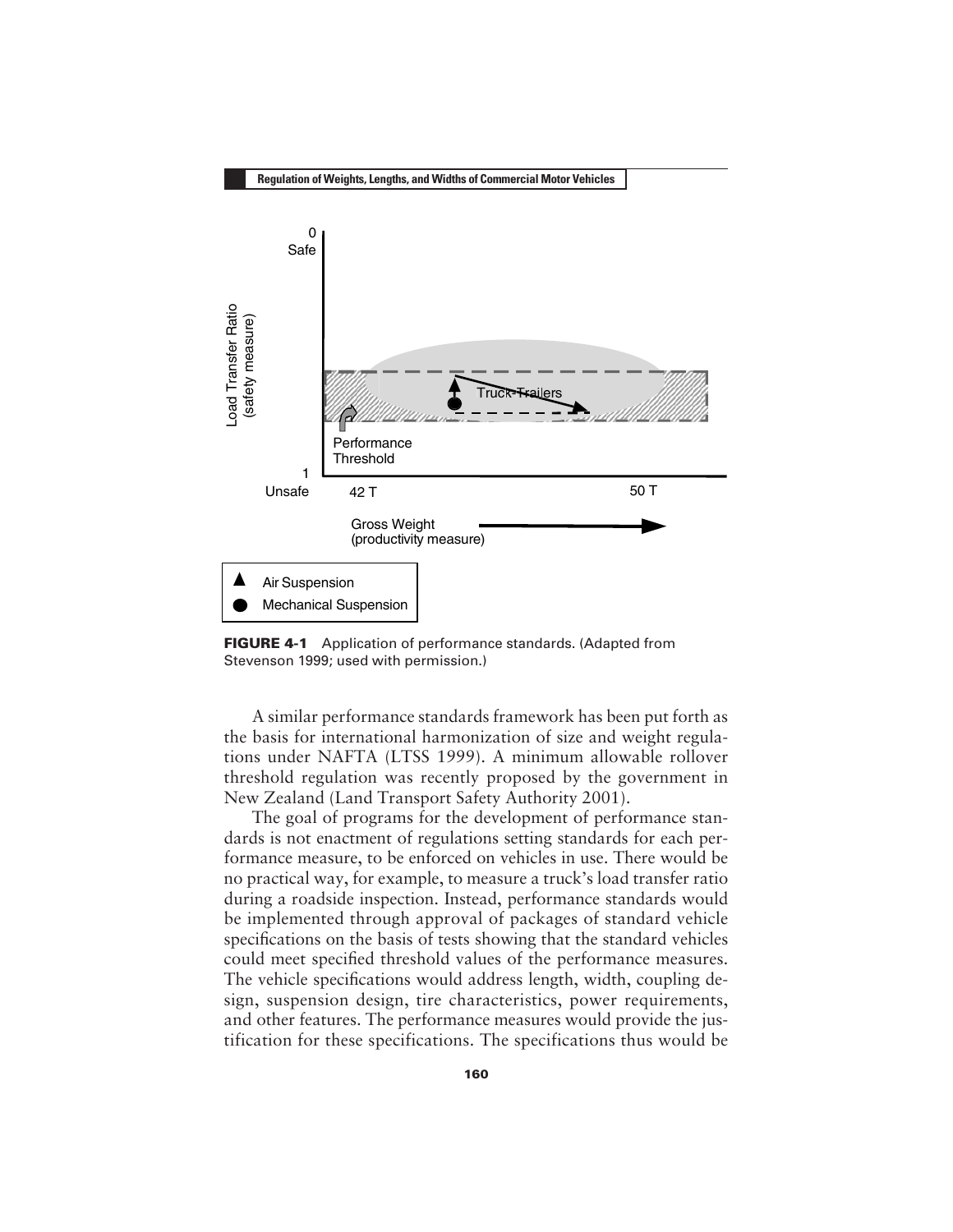

**FIGURE 4-1** Application of performance standards. (Adapted from Stevenson 1999; used with permission.)

A similar performance standards framework has been put forth as the basis for international harmonization of size and weight regulations under NAFTA (LTSS 1999). A minimum allowable rollover threshold regulation was recently proposed by the government in New Zealand (Land Transport Safety Authority 2001).

The goal of programs for the development of performance standards is not enactment of regulations setting standards for each performance measure, to be enforced on vehicles in use. There would be no practical way, for example, to measure a truck's load transfer ratio during a roadside inspection. Instead, performance standards would be implemented through approval of packages of standard vehicle specifications on the basis of tests showing that the standard vehicles could meet specified threshold values of the performance measures. The vehicle specifications would address length, width, coupling design, suspension design, tire characteristics, power requirements, and other features. The performance measures would provide the justification for these specifications. The specifications thus would be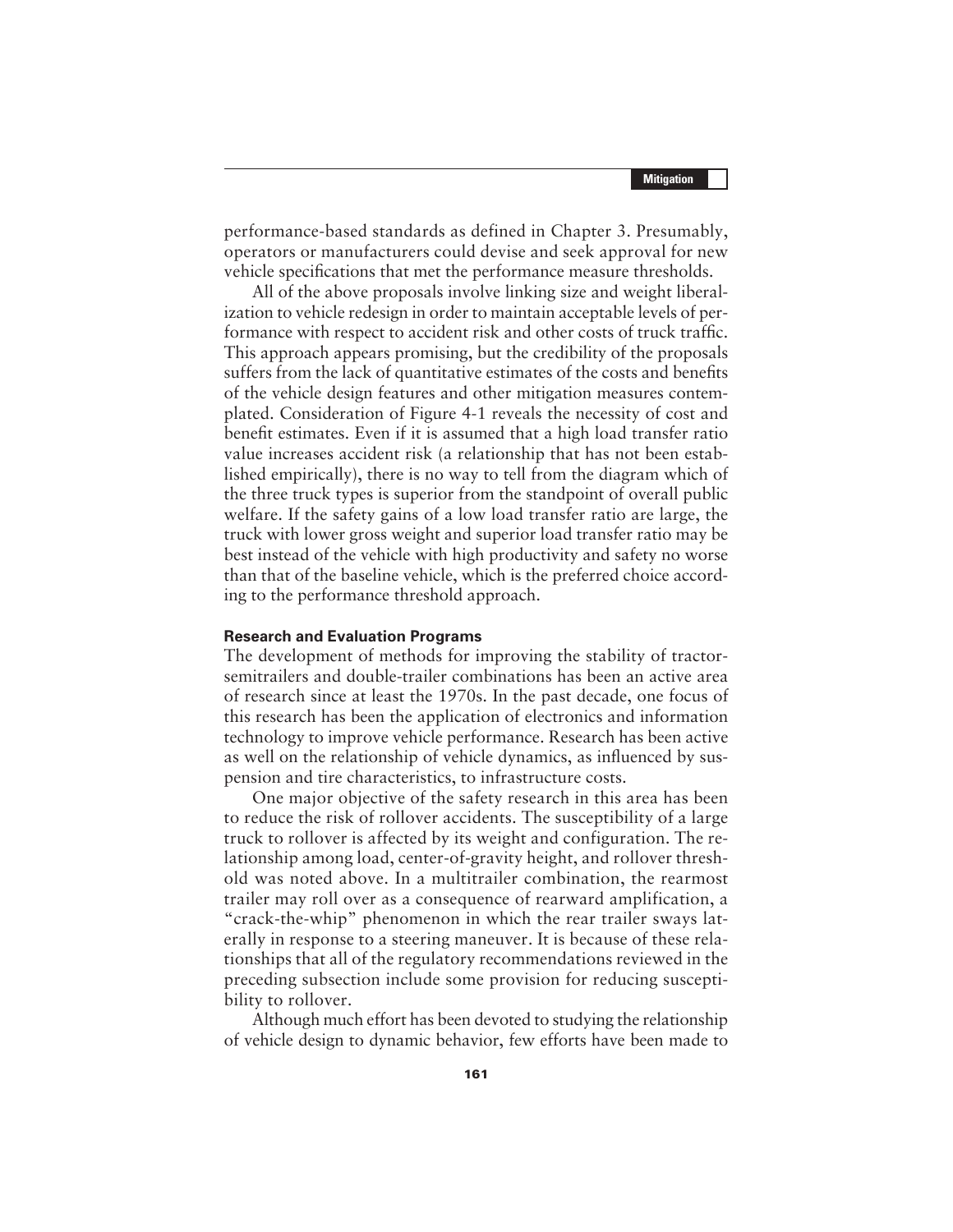performance-based standards as defined in Chapter 3. Presumably, operators or manufacturers could devise and seek approval for new vehicle specifications that met the performance measure thresholds.

All of the above proposals involve linking size and weight liberalization to vehicle redesign in order to maintain acceptable levels of performance with respect to accident risk and other costs of truck traffic. This approach appears promising, but the credibility of the proposals suffers from the lack of quantitative estimates of the costs and benefits of the vehicle design features and other mitigation measures contemplated. Consideration of Figure 4-1 reveals the necessity of cost and benefit estimates. Even if it is assumed that a high load transfer ratio value increases accident risk (a relationship that has not been established empirically), there is no way to tell from the diagram which of the three truck types is superior from the standpoint of overall public welfare. If the safety gains of a low load transfer ratio are large, the truck with lower gross weight and superior load transfer ratio may be best instead of the vehicle with high productivity and safety no worse than that of the baseline vehicle, which is the preferred choice according to the performance threshold approach.

#### **Research and Evaluation Programs**

The development of methods for improving the stability of tractorsemitrailers and double-trailer combinations has been an active area of research since at least the 1970s. In the past decade, one focus of this research has been the application of electronics and information technology to improve vehicle performance. Research has been active as well on the relationship of vehicle dynamics, as influenced by suspension and tire characteristics, to infrastructure costs.

One major objective of the safety research in this area has been to reduce the risk of rollover accidents. The susceptibility of a large truck to rollover is affected by its weight and configuration. The relationship among load, center-of-gravity height, and rollover threshold was noted above. In a multitrailer combination, the rearmost trailer may roll over as a consequence of rearward amplification, a "crack-the-whip" phenomenon in which the rear trailer sways laterally in response to a steering maneuver. It is because of these relationships that all of the regulatory recommendations reviewed in the preceding subsection include some provision for reducing susceptibility to rollover.

Although much effort has been devoted to studying the relationship of vehicle design to dynamic behavior, few efforts have been made to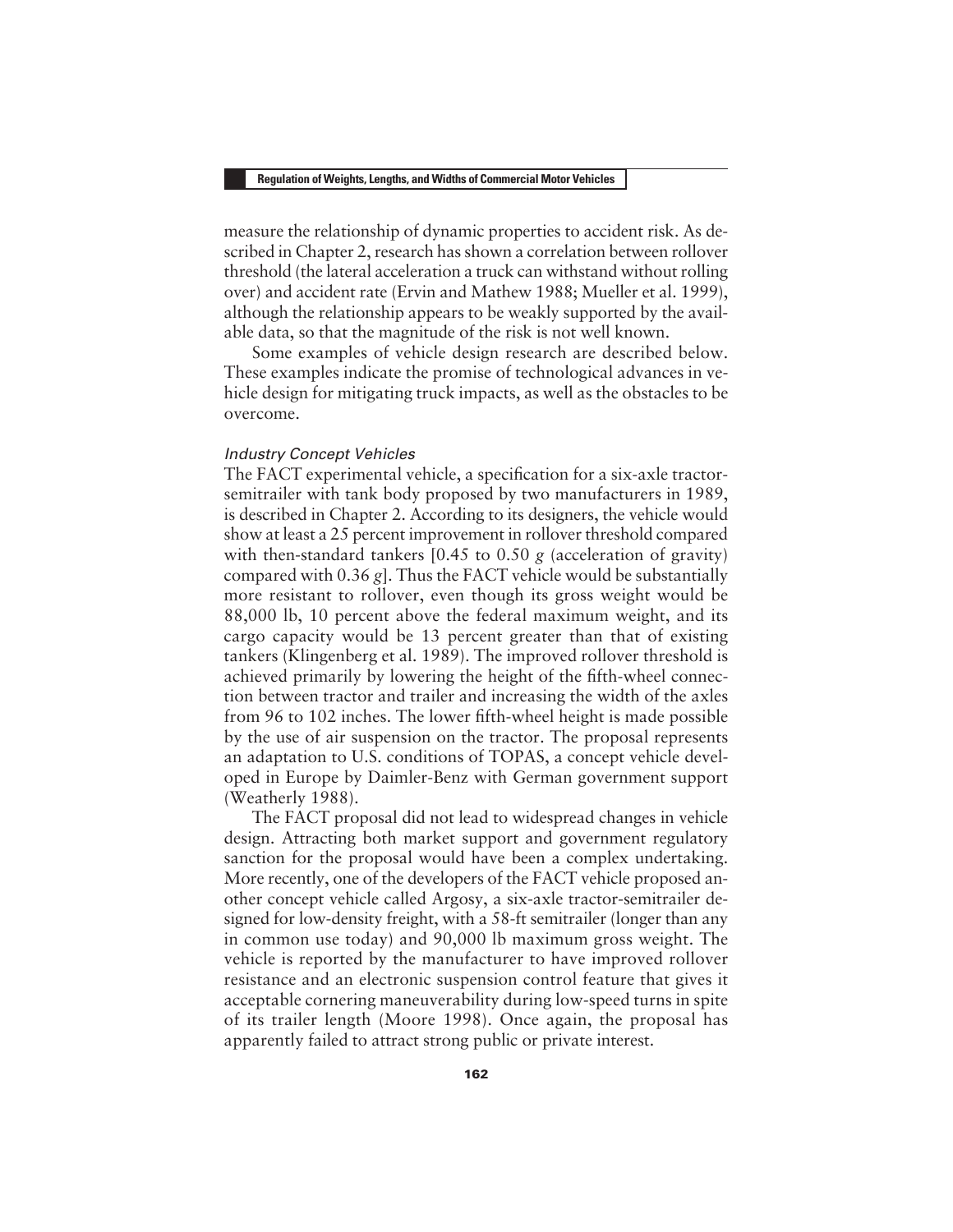measure the relationship of dynamic properties to accident risk. As described in Chapter 2, research has shown a correlation between rollover threshold (the lateral acceleration a truck can withstand without rolling over) and accident rate (Ervin and Mathew 1988; Mueller et al. 1999), although the relationship appears to be weakly supported by the available data, so that the magnitude of the risk is not well known.

Some examples of vehicle design research are described below. These examples indicate the promise of technological advances in vehicle design for mitigating truck impacts, as well as the obstacles to be overcome.

## Industry Concept Vehicles

The FACT experimental vehicle, a specification for a six-axle tractorsemitrailer with tank body proposed by two manufacturers in 1989, is described in Chapter 2. According to its designers, the vehicle would show at least a 25 percent improvement in rollover threshold compared with then-standard tankers [0.45 to 0.50 *g* (acceleration of gravity) compared with 0.36 *g*]. Thus the FACT vehicle would be substantially more resistant to rollover, even though its gross weight would be 88,000 lb, 10 percent above the federal maximum weight, and its cargo capacity would be 13 percent greater than that of existing tankers (Klingenberg et al. 1989). The improved rollover threshold is achieved primarily by lowering the height of the fifth-wheel connection between tractor and trailer and increasing the width of the axles from 96 to 102 inches. The lower fifth-wheel height is made possible by the use of air suspension on the tractor. The proposal represents an adaptation to U.S. conditions of TOPAS, a concept vehicle developed in Europe by Daimler-Benz with German government support (Weatherly 1988).

The FACT proposal did not lead to widespread changes in vehicle design. Attracting both market support and government regulatory sanction for the proposal would have been a complex undertaking. More recently, one of the developers of the FACT vehicle proposed another concept vehicle called Argosy, a six-axle tractor-semitrailer designed for low-density freight, with a 58-ft semitrailer (longer than any in common use today) and 90,000 lb maximum gross weight. The vehicle is reported by the manufacturer to have improved rollover resistance and an electronic suspension control feature that gives it acceptable cornering maneuverability during low-speed turns in spite of its trailer length (Moore 1998). Once again, the proposal has apparently failed to attract strong public or private interest.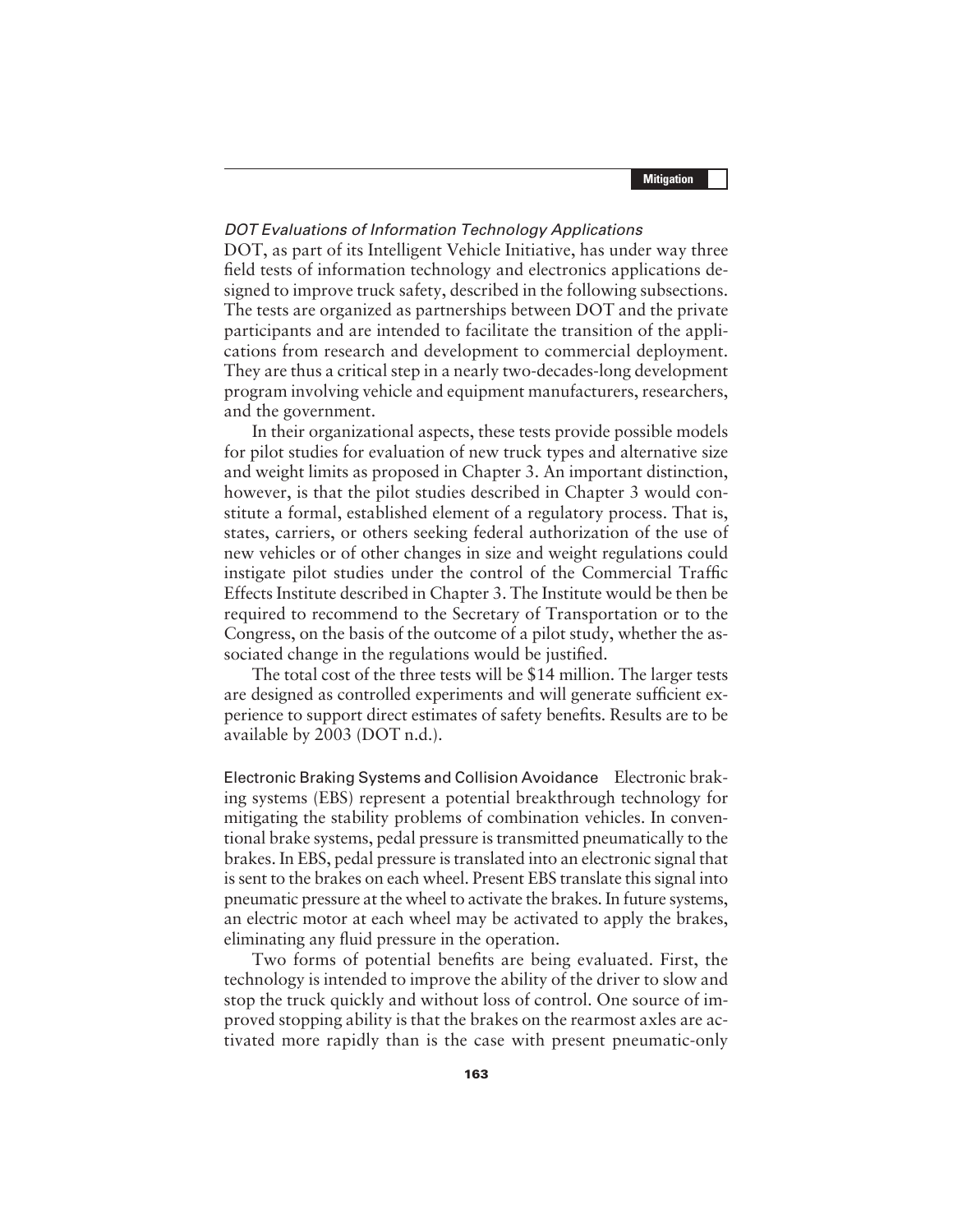#### DOT Evaluations of Information Technology Applications

DOT, as part of its Intelligent Vehicle Initiative, has under way three field tests of information technology and electronics applications designed to improve truck safety, described in the following subsections. The tests are organized as partnerships between DOT and the private participants and are intended to facilitate the transition of the applications from research and development to commercial deployment. They are thus a critical step in a nearly two-decades-long development program involving vehicle and equipment manufacturers, researchers, and the government.

In their organizational aspects, these tests provide possible models for pilot studies for evaluation of new truck types and alternative size and weight limits as proposed in Chapter 3. An important distinction, however, is that the pilot studies described in Chapter 3 would constitute a formal, established element of a regulatory process. That is, states, carriers, or others seeking federal authorization of the use of new vehicles or of other changes in size and weight regulations could instigate pilot studies under the control of the Commercial Traffic Effects Institute described in Chapter 3. The Institute would be then be required to recommend to the Secretary of Transportation or to the Congress, on the basis of the outcome of a pilot study, whether the associated change in the regulations would be justified.

The total cost of the three tests will be \$14 million. The larger tests are designed as controlled experiments and will generate sufficient experience to support direct estimates of safety benefits. Results are to be available by 2003 (DOT n.d.).

Electronic Braking Systems and Collision Avoidance Electronic braking systems (EBS) represent a potential breakthrough technology for mitigating the stability problems of combination vehicles. In conventional brake systems, pedal pressure is transmitted pneumatically to the brakes. In EBS, pedal pressure is translated into an electronic signal that is sent to the brakes on each wheel. Present EBS translate this signal into pneumatic pressure at the wheel to activate the brakes. In future systems, an electric motor at each wheel may be activated to apply the brakes, eliminating any fluid pressure in the operation.

Two forms of potential benefits are being evaluated. First, the technology is intended to improve the ability of the driver to slow and stop the truck quickly and without loss of control. One source of improved stopping ability is that the brakes on the rearmost axles are activated more rapidly than is the case with present pneumatic-only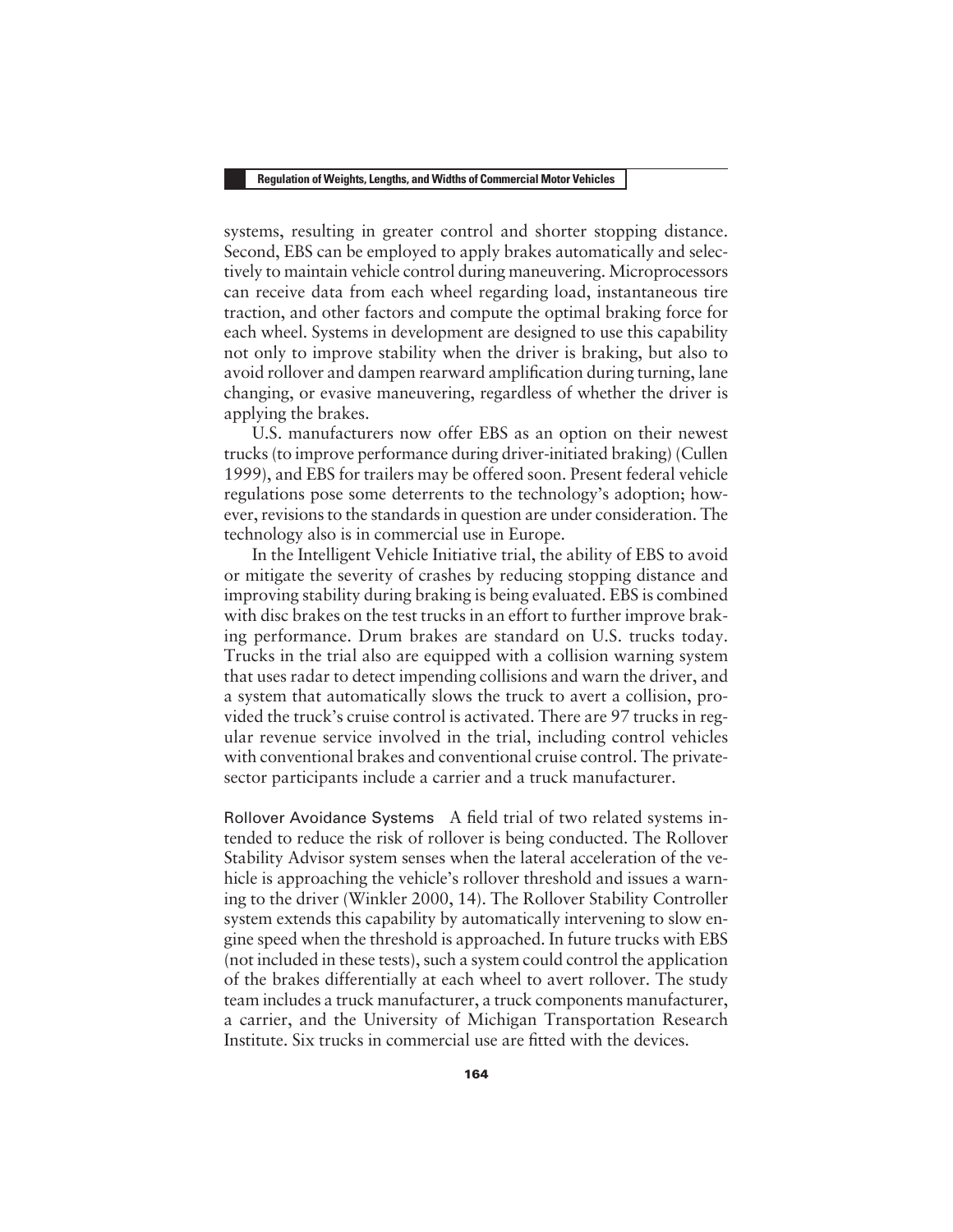systems, resulting in greater control and shorter stopping distance. Second, EBS can be employed to apply brakes automatically and selectively to maintain vehicle control during maneuvering. Microprocessors can receive data from each wheel regarding load, instantaneous tire traction, and other factors and compute the optimal braking force for each wheel. Systems in development are designed to use this capability not only to improve stability when the driver is braking, but also to avoid rollover and dampen rearward amplification during turning, lane changing, or evasive maneuvering, regardless of whether the driver is applying the brakes.

U.S. manufacturers now offer EBS as an option on their newest trucks (to improve performance during driver-initiated braking) (Cullen 1999), and EBS for trailers may be offered soon. Present federal vehicle regulations pose some deterrents to the technology's adoption; however, revisions to the standards in question are under consideration. The technology also is in commercial use in Europe.

In the Intelligent Vehicle Initiative trial, the ability of EBS to avoid or mitigate the severity of crashes by reducing stopping distance and improving stability during braking is being evaluated. EBS is combined with disc brakes on the test trucks in an effort to further improve braking performance. Drum brakes are standard on U.S. trucks today. Trucks in the trial also are equipped with a collision warning system that uses radar to detect impending collisions and warn the driver, and a system that automatically slows the truck to avert a collision, provided the truck's cruise control is activated. There are 97 trucks in regular revenue service involved in the trial, including control vehicles with conventional brakes and conventional cruise control. The privatesector participants include a carrier and a truck manufacturer.

Rollover Avoidance Systems A field trial of two related systems intended to reduce the risk of rollover is being conducted. The Rollover Stability Advisor system senses when the lateral acceleration of the vehicle is approaching the vehicle's rollover threshold and issues a warning to the driver (Winkler 2000, 14). The Rollover Stability Controller system extends this capability by automatically intervening to slow engine speed when the threshold is approached. In future trucks with EBS (not included in these tests), such a system could control the application of the brakes differentially at each wheel to avert rollover. The study team includes a truck manufacturer, a truck components manufacturer, a carrier, and the University of Michigan Transportation Research Institute. Six trucks in commercial use are fitted with the devices.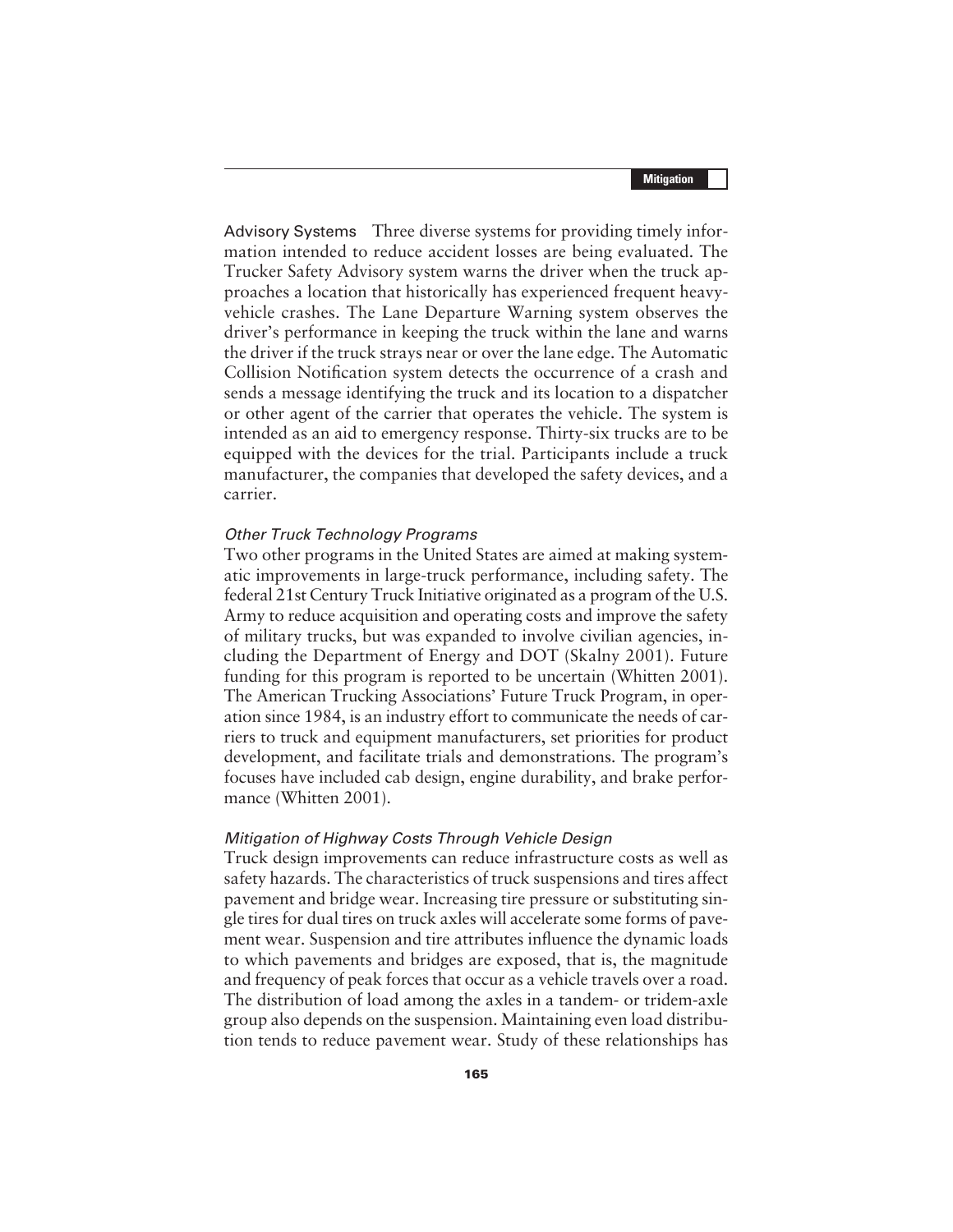Advisory Systems Three diverse systems for providing timely information intended to reduce accident losses are being evaluated. The Trucker Safety Advisory system warns the driver when the truck approaches a location that historically has experienced frequent heavyvehicle crashes. The Lane Departure Warning system observes the driver's performance in keeping the truck within the lane and warns the driver if the truck strays near or over the lane edge. The Automatic Collision Notification system detects the occurrence of a crash and sends a message identifying the truck and its location to a dispatcher or other agent of the carrier that operates the vehicle. The system is intended as an aid to emergency response. Thirty-six trucks are to be equipped with the devices for the trial. Participants include a truck manufacturer, the companies that developed the safety devices, and a carrier.

#### Other Truck Technology Programs

Two other programs in the United States are aimed at making systematic improvements in large-truck performance, including safety. The federal 21st Century Truck Initiative originated as a program of the U.S. Army to reduce acquisition and operating costs and improve the safety of military trucks, but was expanded to involve civilian agencies, including the Department of Energy and DOT (Skalny 2001). Future funding for this program is reported to be uncertain (Whitten 2001). The American Trucking Associations' Future Truck Program, in operation since 1984, is an industry effort to communicate the needs of carriers to truck and equipment manufacturers, set priorities for product development, and facilitate trials and demonstrations. The program's focuses have included cab design, engine durability, and brake performance (Whitten 2001).

#### Mitigation of Highway Costs Through Vehicle Design

Truck design improvements can reduce infrastructure costs as well as safety hazards. The characteristics of truck suspensions and tires affect pavement and bridge wear. Increasing tire pressure or substituting single tires for dual tires on truck axles will accelerate some forms of pavement wear. Suspension and tire attributes influence the dynamic loads to which pavements and bridges are exposed, that is, the magnitude and frequency of peak forces that occur as a vehicle travels over a road. The distribution of load among the axles in a tandem- or tridem-axle group also depends on the suspension. Maintaining even load distribution tends to reduce pavement wear. Study of these relationships has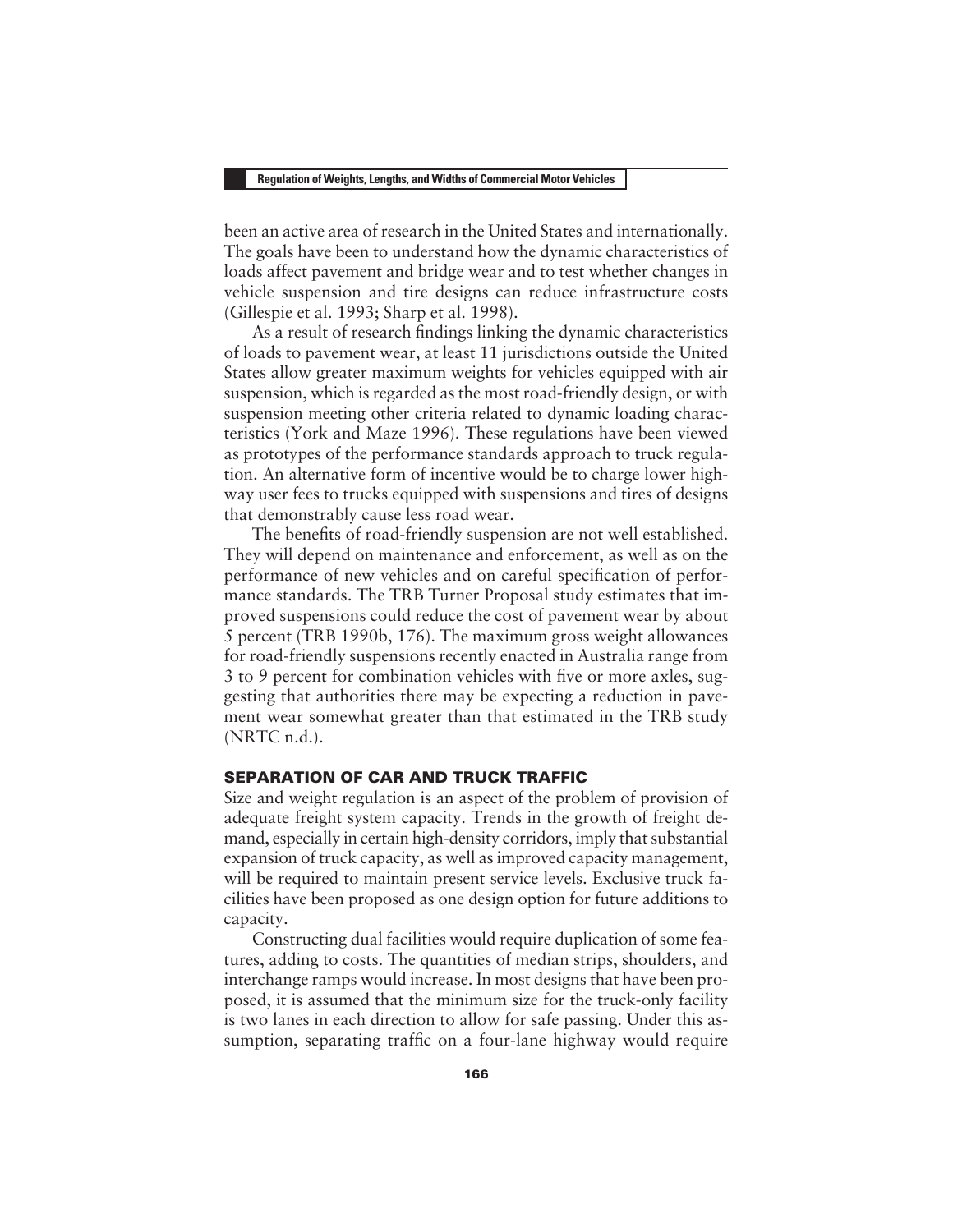been an active area of research in the United States and internationally. The goals have been to understand how the dynamic characteristics of loads affect pavement and bridge wear and to test whether changes in vehicle suspension and tire designs can reduce infrastructure costs (Gillespie et al. 1993; Sharp et al. 1998).

As a result of research findings linking the dynamic characteristics of loads to pavement wear, at least 11 jurisdictions outside the United States allow greater maximum weights for vehicles equipped with air suspension, which is regarded as the most road-friendly design, or with suspension meeting other criteria related to dynamic loading characteristics (York and Maze 1996). These regulations have been viewed as prototypes of the performance standards approach to truck regulation. An alternative form of incentive would be to charge lower highway user fees to trucks equipped with suspensions and tires of designs that demonstrably cause less road wear.

The benefits of road-friendly suspension are not well established. They will depend on maintenance and enforcement, as well as on the performance of new vehicles and on careful specification of performance standards. The TRB Turner Proposal study estimates that improved suspensions could reduce the cost of pavement wear by about 5 percent (TRB 1990b, 176). The maximum gross weight allowances for road-friendly suspensions recently enacted in Australia range from 3 to 9 percent for combination vehicles with five or more axles, suggesting that authorities there may be expecting a reduction in pavement wear somewhat greater than that estimated in the TRB study (NRTC n.d.).

# **SEPARATION OF CAR AND TRUCK TRAFFIC**

Size and weight regulation is an aspect of the problem of provision of adequate freight system capacity. Trends in the growth of freight demand, especially in certain high-density corridors, imply that substantial expansion of truck capacity, as well as improved capacity management, will be required to maintain present service levels. Exclusive truck facilities have been proposed as one design option for future additions to capacity.

Constructing dual facilities would require duplication of some features, adding to costs. The quantities of median strips, shoulders, and interchange ramps would increase. In most designs that have been proposed, it is assumed that the minimum size for the truck-only facility is two lanes in each direction to allow for safe passing. Under this assumption, separating traffic on a four-lane highway would require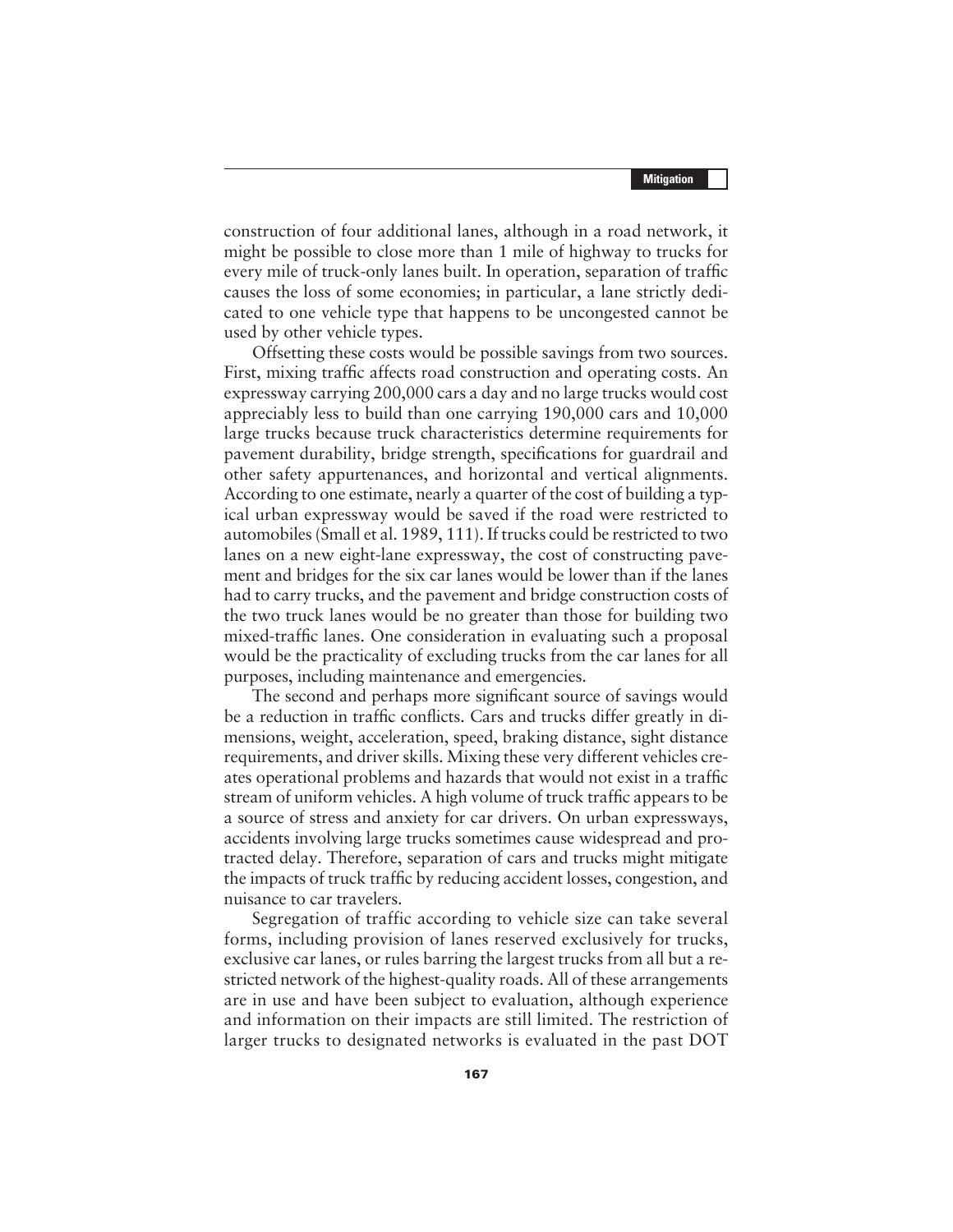construction of four additional lanes, although in a road network, it might be possible to close more than 1 mile of highway to trucks for every mile of truck-only lanes built. In operation, separation of traffic causes the loss of some economies; in particular, a lane strictly dedicated to one vehicle type that happens to be uncongested cannot be used by other vehicle types.

Offsetting these costs would be possible savings from two sources. First, mixing traffic affects road construction and operating costs. An expressway carrying 200,000 cars a day and no large trucks would cost appreciably less to build than one carrying 190,000 cars and 10,000 large trucks because truck characteristics determine requirements for pavement durability, bridge strength, specifications for guardrail and other safety appurtenances, and horizontal and vertical alignments. According to one estimate, nearly a quarter of the cost of building a typical urban expressway would be saved if the road were restricted to automobiles (Small et al. 1989, 111). If trucks could be restricted to two lanes on a new eight-lane expressway, the cost of constructing pavement and bridges for the six car lanes would be lower than if the lanes had to carry trucks, and the pavement and bridge construction costs of the two truck lanes would be no greater than those for building two mixed-traffic lanes. One consideration in evaluating such a proposal would be the practicality of excluding trucks from the car lanes for all purposes, including maintenance and emergencies.

The second and perhaps more significant source of savings would be a reduction in traffic conflicts. Cars and trucks differ greatly in dimensions, weight, acceleration, speed, braking distance, sight distance requirements, and driver skills. Mixing these very different vehicles creates operational problems and hazards that would not exist in a traffic stream of uniform vehicles. A high volume of truck traffic appears to be a source of stress and anxiety for car drivers. On urban expressways, accidents involving large trucks sometimes cause widespread and protracted delay. Therefore, separation of cars and trucks might mitigate the impacts of truck traffic by reducing accident losses, congestion, and nuisance to car travelers.

Segregation of traffic according to vehicle size can take several forms, including provision of lanes reserved exclusively for trucks, exclusive car lanes, or rules barring the largest trucks from all but a restricted network of the highest-quality roads. All of these arrangements are in use and have been subject to evaluation, although experience and information on their impacts are still limited. The restriction of larger trucks to designated networks is evaluated in the past DOT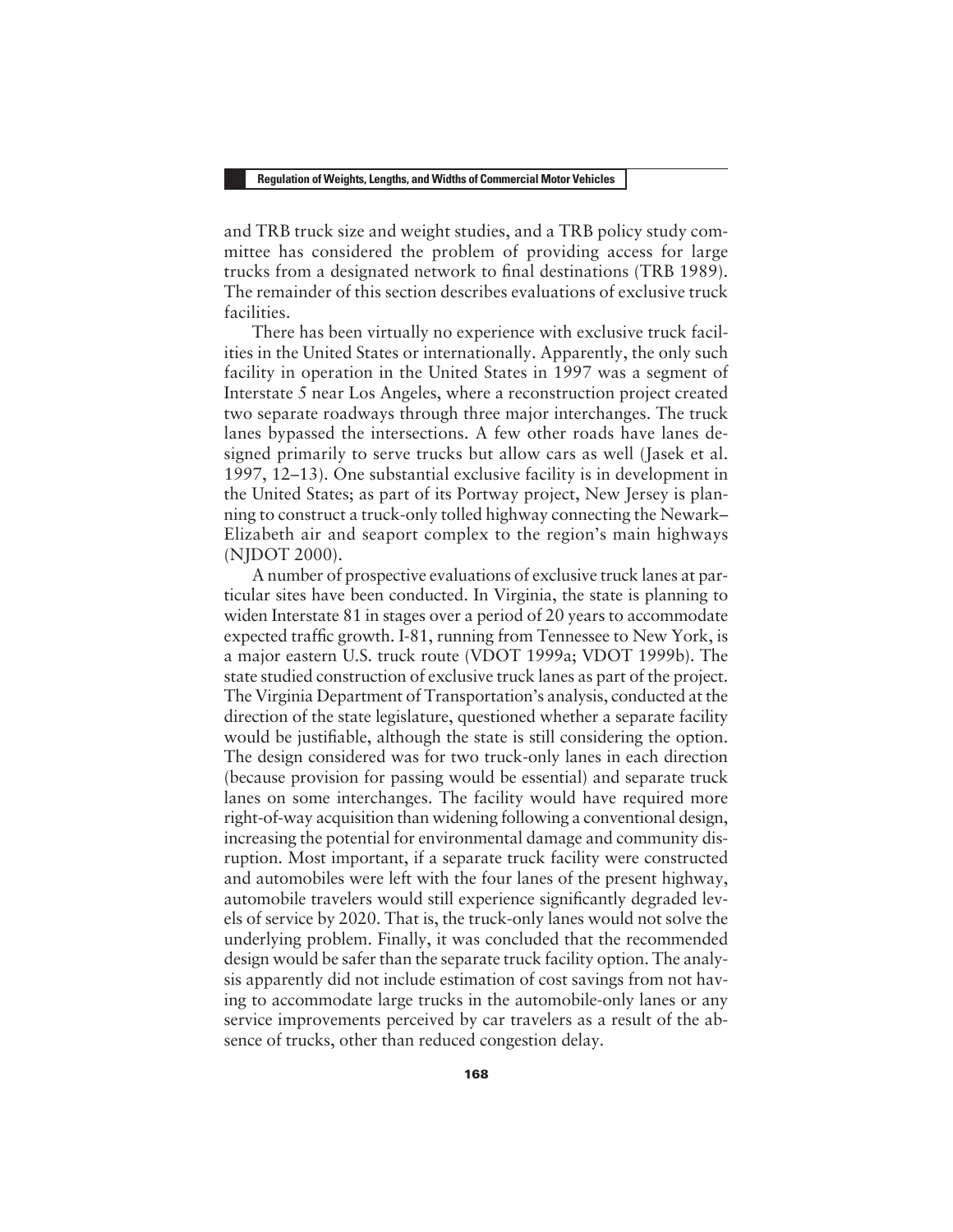and TRB truck size and weight studies, and a TRB policy study committee has considered the problem of providing access for large trucks from a designated network to final destinations (TRB 1989). The remainder of this section describes evaluations of exclusive truck facilities.

There has been virtually no experience with exclusive truck facilities in the United States or internationally. Apparently, the only such facility in operation in the United States in 1997 was a segment of Interstate 5 near Los Angeles, where a reconstruction project created two separate roadways through three major interchanges. The truck lanes bypassed the intersections. A few other roads have lanes designed primarily to serve trucks but allow cars as well (Jasek et al. 1997, 12–13). One substantial exclusive facility is in development in the United States; as part of its Portway project, New Jersey is planning to construct a truck-only tolled highway connecting the Newark– Elizabeth air and seaport complex to the region's main highways (NJDOT 2000).

A number of prospective evaluations of exclusive truck lanes at particular sites have been conducted. In Virginia, the state is planning to widen Interstate 81 in stages over a period of 20 years to accommodate expected traffic growth. I-81, running from Tennessee to New York, is a major eastern U.S. truck route (VDOT 1999a; VDOT 1999b). The state studied construction of exclusive truck lanes as part of the project. The Virginia Department of Transportation's analysis, conducted at the direction of the state legislature, questioned whether a separate facility would be justifiable, although the state is still considering the option. The design considered was for two truck-only lanes in each direction (because provision for passing would be essential) and separate truck lanes on some interchanges. The facility would have required more right-of-way acquisition than widening following a conventional design, increasing the potential for environmental damage and community disruption. Most important, if a separate truck facility were constructed and automobiles were left with the four lanes of the present highway, automobile travelers would still experience significantly degraded levels of service by 2020. That is, the truck-only lanes would not solve the underlying problem. Finally, it was concluded that the recommended design would be safer than the separate truck facility option. The analysis apparently did not include estimation of cost savings from not having to accommodate large trucks in the automobile-only lanes or any service improvements perceived by car travelers as a result of the absence of trucks, other than reduced congestion delay.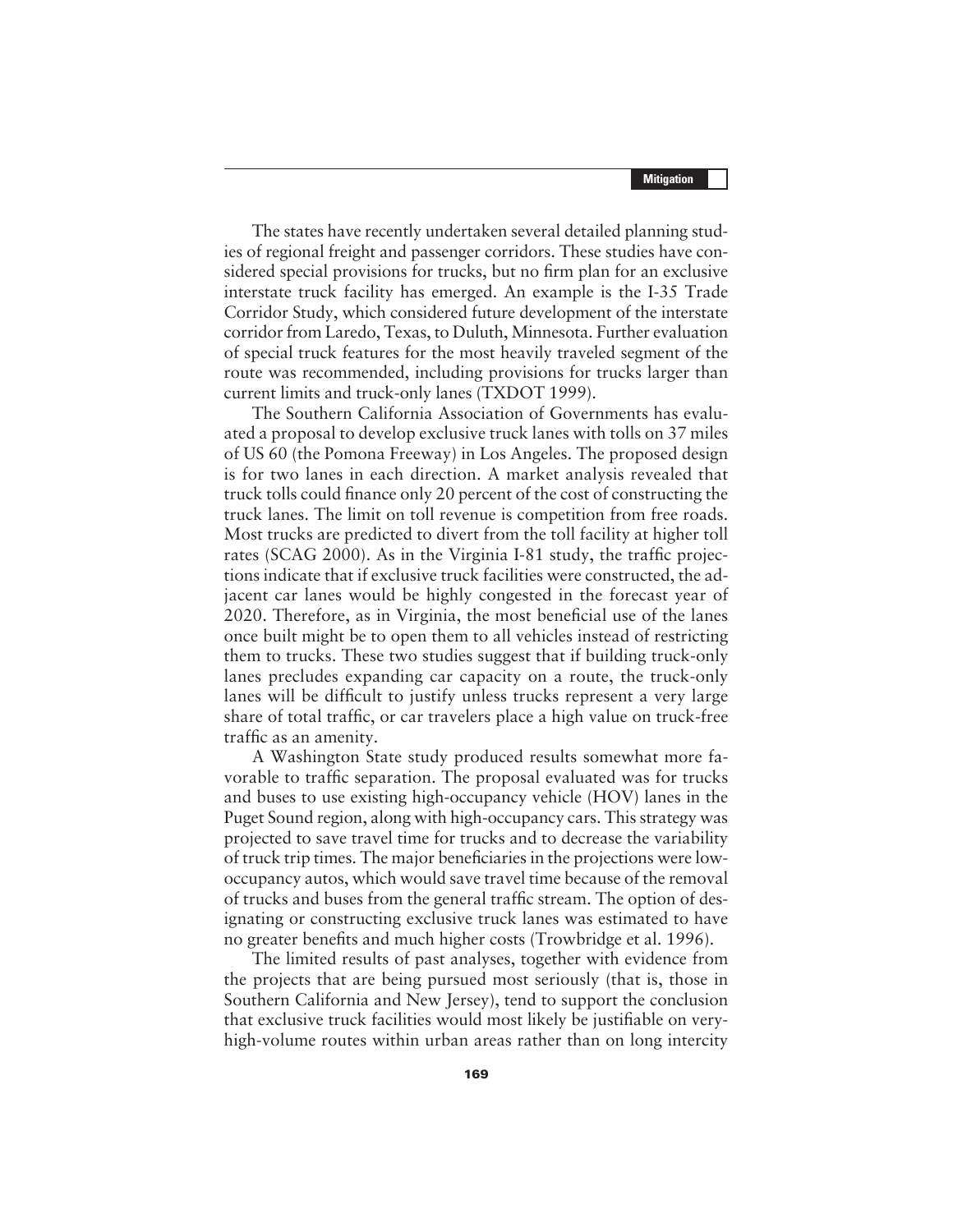The states have recently undertaken several detailed planning studies of regional freight and passenger corridors. These studies have considered special provisions for trucks, but no firm plan for an exclusive interstate truck facility has emerged. An example is the I-35 Trade Corridor Study, which considered future development of the interstate corridor from Laredo, Texas, to Duluth, Minnesota. Further evaluation of special truck features for the most heavily traveled segment of the route was recommended, including provisions for trucks larger than current limits and truck-only lanes (TXDOT 1999).

The Southern California Association of Governments has evaluated a proposal to develop exclusive truck lanes with tolls on 37 miles of US 60 (the Pomona Freeway) in Los Angeles. The proposed design is for two lanes in each direction. A market analysis revealed that truck tolls could finance only 20 percent of the cost of constructing the truck lanes. The limit on toll revenue is competition from free roads. Most trucks are predicted to divert from the toll facility at higher toll rates (SCAG 2000). As in the Virginia I-81 study, the traffic projections indicate that if exclusive truck facilities were constructed, the adjacent car lanes would be highly congested in the forecast year of 2020. Therefore, as in Virginia, the most beneficial use of the lanes once built might be to open them to all vehicles instead of restricting them to trucks. These two studies suggest that if building truck-only lanes precludes expanding car capacity on a route, the truck-only lanes will be difficult to justify unless trucks represent a very large share of total traffic, or car travelers place a high value on truck-free traffic as an amenity.

A Washington State study produced results somewhat more favorable to traffic separation. The proposal evaluated was for trucks and buses to use existing high-occupancy vehicle (HOV) lanes in the Puget Sound region, along with high-occupancy cars. This strategy was projected to save travel time for trucks and to decrease the variability of truck trip times. The major beneficiaries in the projections were lowoccupancy autos, which would save travel time because of the removal of trucks and buses from the general traffic stream. The option of designating or constructing exclusive truck lanes was estimated to have no greater benefits and much higher costs (Trowbridge et al. 1996).

The limited results of past analyses, together with evidence from the projects that are being pursued most seriously (that is, those in Southern California and New Jersey), tend to support the conclusion that exclusive truck facilities would most likely be justifiable on veryhigh-volume routes within urban areas rather than on long intercity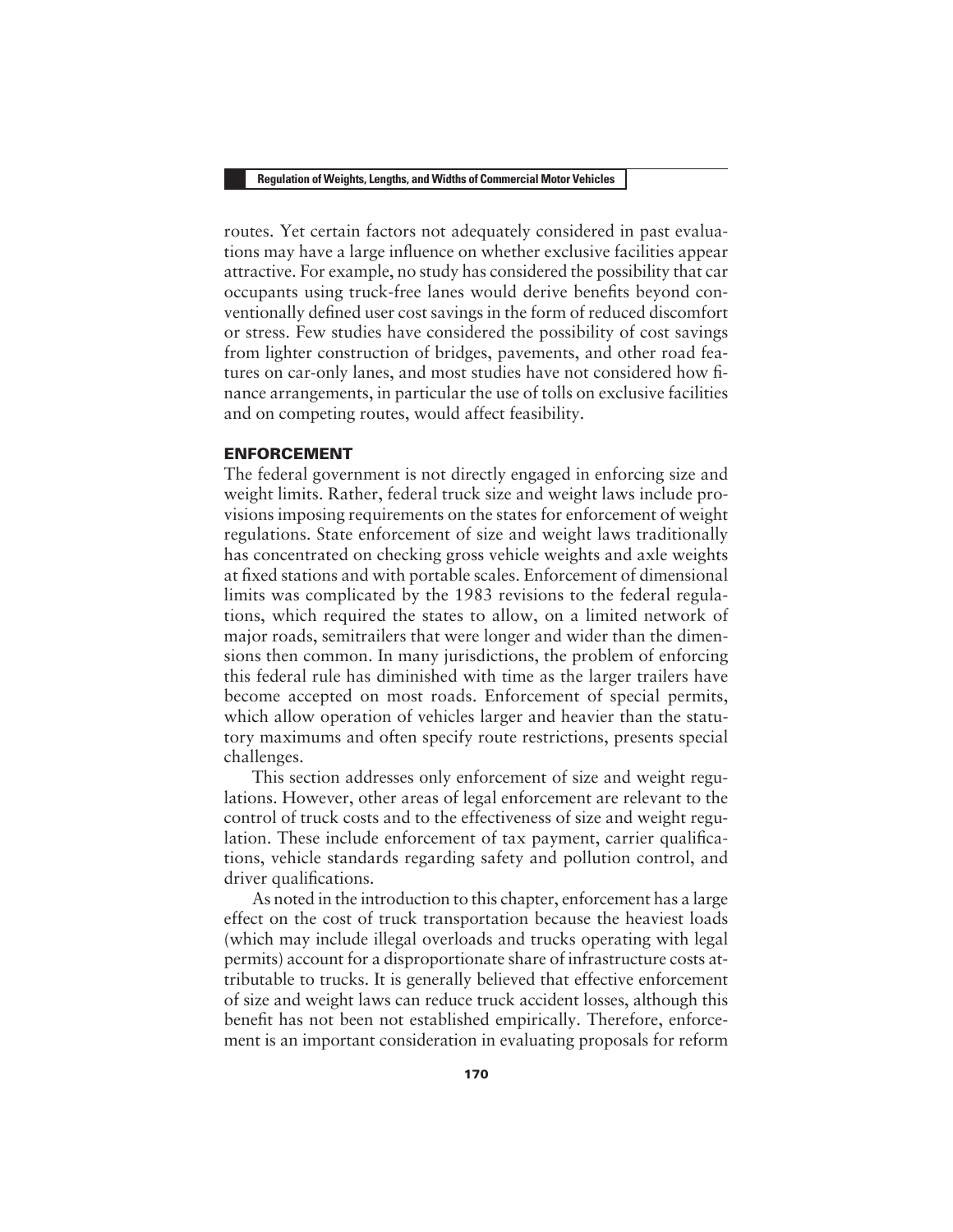routes. Yet certain factors not adequately considered in past evaluations may have a large influence on whether exclusive facilities appear attractive. For example, no study has considered the possibility that car occupants using truck-free lanes would derive benefits beyond conventionally defined user cost savings in the form of reduced discomfort or stress. Few studies have considered the possibility of cost savings from lighter construction of bridges, pavements, and other road features on car-only lanes, and most studies have not considered how finance arrangements, in particular the use of tolls on exclusive facilities and on competing routes, would affect feasibility.

## **ENFORCEMENT**

The federal government is not directly engaged in enforcing size and weight limits. Rather, federal truck size and weight laws include provisions imposing requirements on the states for enforcement of weight regulations. State enforcement of size and weight laws traditionally has concentrated on checking gross vehicle weights and axle weights at fixed stations and with portable scales. Enforcement of dimensional limits was complicated by the 1983 revisions to the federal regulations, which required the states to allow, on a limited network of major roads, semitrailers that were longer and wider than the dimensions then common. In many jurisdictions, the problem of enforcing this federal rule has diminished with time as the larger trailers have become accepted on most roads. Enforcement of special permits, which allow operation of vehicles larger and heavier than the statutory maximums and often specify route restrictions, presents special challenges.

This section addresses only enforcement of size and weight regulations. However, other areas of legal enforcement are relevant to the control of truck costs and to the effectiveness of size and weight regulation. These include enforcement of tax payment, carrier qualifications, vehicle standards regarding safety and pollution control, and driver qualifications.

As noted in the introduction to this chapter, enforcement has a large effect on the cost of truck transportation because the heaviest loads (which may include illegal overloads and trucks operating with legal permits) account for a disproportionate share of infrastructure costs attributable to trucks. It is generally believed that effective enforcement of size and weight laws can reduce truck accident losses, although this benefit has not been not established empirically. Therefore, enforcement is an important consideration in evaluating proposals for reform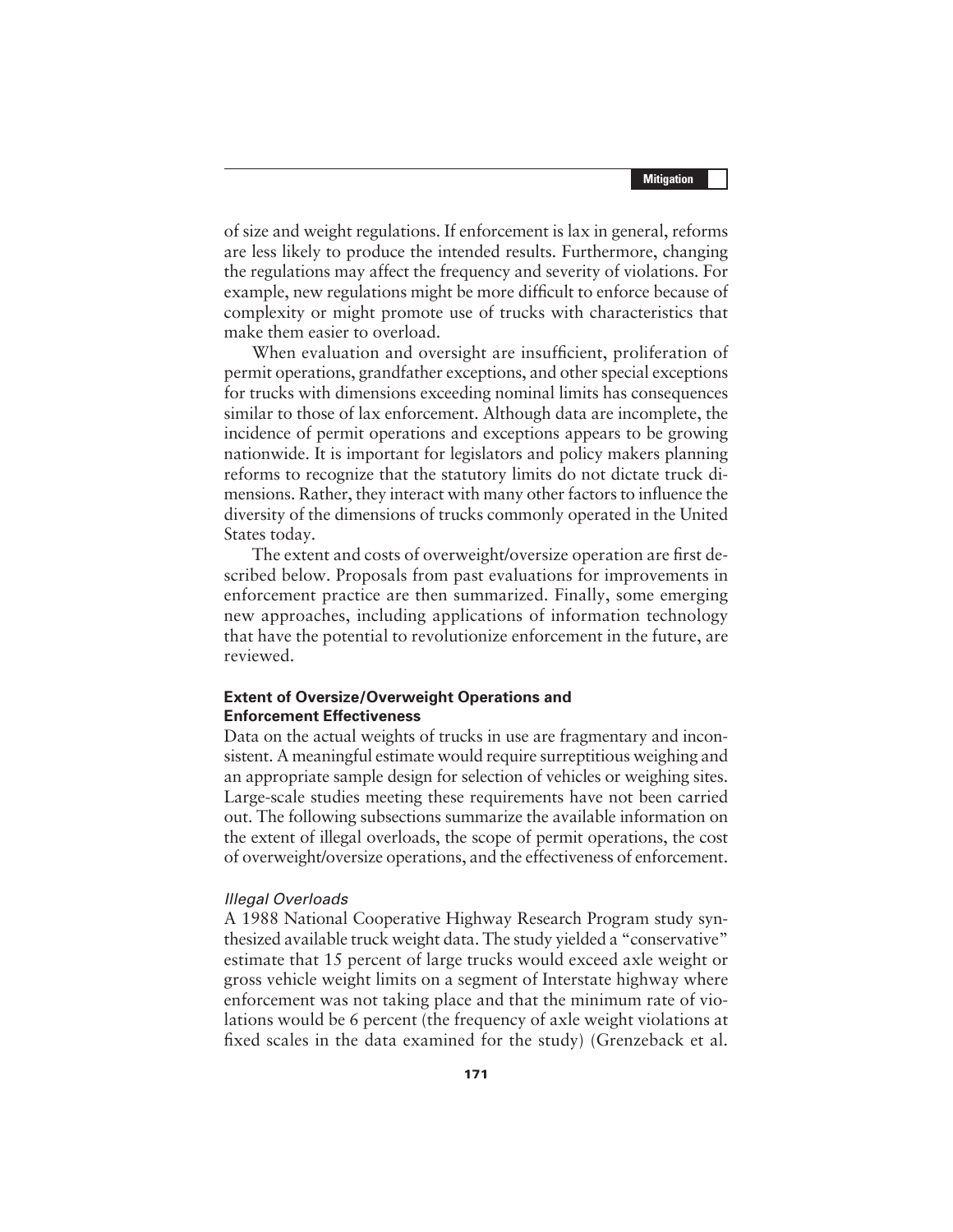of size and weight regulations. If enforcement is lax in general, reforms are less likely to produce the intended results. Furthermore, changing the regulations may affect the frequency and severity of violations. For example, new regulations might be more difficult to enforce because of complexity or might promote use of trucks with characteristics that make them easier to overload.

When evaluation and oversight are insufficient, proliferation of permit operations, grandfather exceptions, and other special exceptions for trucks with dimensions exceeding nominal limits has consequences similar to those of lax enforcement. Although data are incomplete, the incidence of permit operations and exceptions appears to be growing nationwide. It is important for legislators and policy makers planning reforms to recognize that the statutory limits do not dictate truck dimensions. Rather, they interact with many other factors to influence the diversity of the dimensions of trucks commonly operated in the United States today.

The extent and costs of overweight/oversize operation are first described below. Proposals from past evaluations for improvements in enforcement practice are then summarized. Finally, some emerging new approaches, including applications of information technology that have the potential to revolutionize enforcement in the future, are reviewed.

## **Extent of Oversize/Overweight Operations and Enforcement Effectiveness**

Data on the actual weights of trucks in use are fragmentary and inconsistent. A meaningful estimate would require surreptitious weighing and an appropriate sample design for selection of vehicles or weighing sites. Large-scale studies meeting these requirements have not been carried out. The following subsections summarize the available information on the extent of illegal overloads, the scope of permit operations, the cost of overweight/oversize operations, and the effectiveness of enforcement.

#### Illegal Overloads

A 1988 National Cooperative Highway Research Program study synthesized available truck weight data. The study yielded a "conservative" estimate that 15 percent of large trucks would exceed axle weight or gross vehicle weight limits on a segment of Interstate highway where enforcement was not taking place and that the minimum rate of violations would be 6 percent (the frequency of axle weight violations at fixed scales in the data examined for the study) (Grenzeback et al.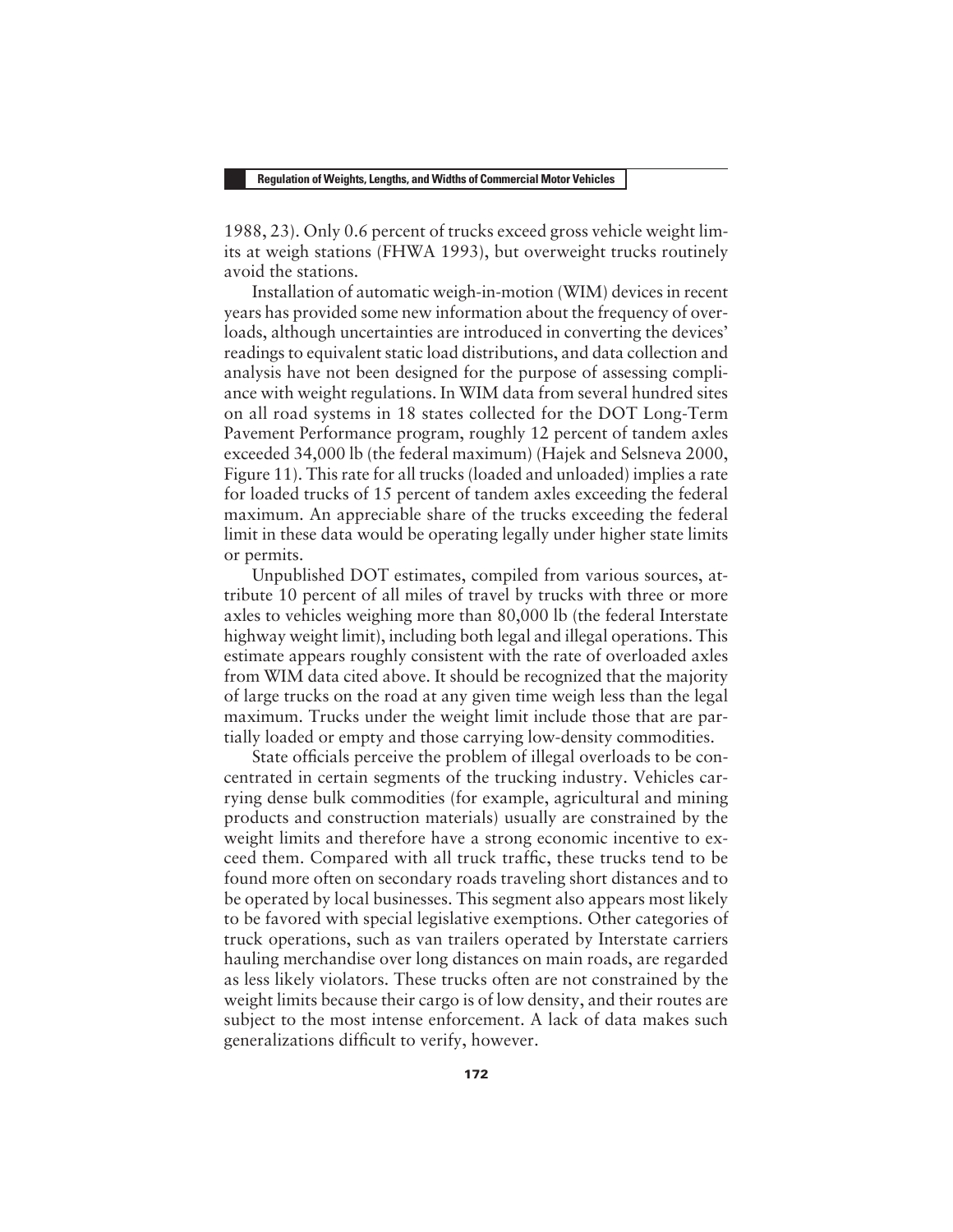1988, 23). Only 0.6 percent of trucks exceed gross vehicle weight limits at weigh stations (FHWA 1993), but overweight trucks routinely avoid the stations.

Installation of automatic weigh-in-motion (WIM) devices in recent years has provided some new information about the frequency of overloads, although uncertainties are introduced in converting the devices' readings to equivalent static load distributions, and data collection and analysis have not been designed for the purpose of assessing compliance with weight regulations. In WIM data from several hundred sites on all road systems in 18 states collected for the DOT Long-Term Pavement Performance program, roughly 12 percent of tandem axles exceeded 34,000 lb (the federal maximum) (Hajek and Selsneva 2000, Figure 11). This rate for all trucks (loaded and unloaded) implies a rate for loaded trucks of 15 percent of tandem axles exceeding the federal maximum. An appreciable share of the trucks exceeding the federal limit in these data would be operating legally under higher state limits or permits.

Unpublished DOT estimates, compiled from various sources, attribute 10 percent of all miles of travel by trucks with three or more axles to vehicles weighing more than 80,000 lb (the federal Interstate highway weight limit), including both legal and illegal operations. This estimate appears roughly consistent with the rate of overloaded axles from WIM data cited above. It should be recognized that the majority of large trucks on the road at any given time weigh less than the legal maximum. Trucks under the weight limit include those that are partially loaded or empty and those carrying low-density commodities.

State officials perceive the problem of illegal overloads to be concentrated in certain segments of the trucking industry. Vehicles carrying dense bulk commodities (for example, agricultural and mining products and construction materials) usually are constrained by the weight limits and therefore have a strong economic incentive to exceed them. Compared with all truck traffic, these trucks tend to be found more often on secondary roads traveling short distances and to be operated by local businesses. This segment also appears most likely to be favored with special legislative exemptions. Other categories of truck operations, such as van trailers operated by Interstate carriers hauling merchandise over long distances on main roads, are regarded as less likely violators. These trucks often are not constrained by the weight limits because their cargo is of low density, and their routes are subject to the most intense enforcement. A lack of data makes such generalizations difficult to verify, however.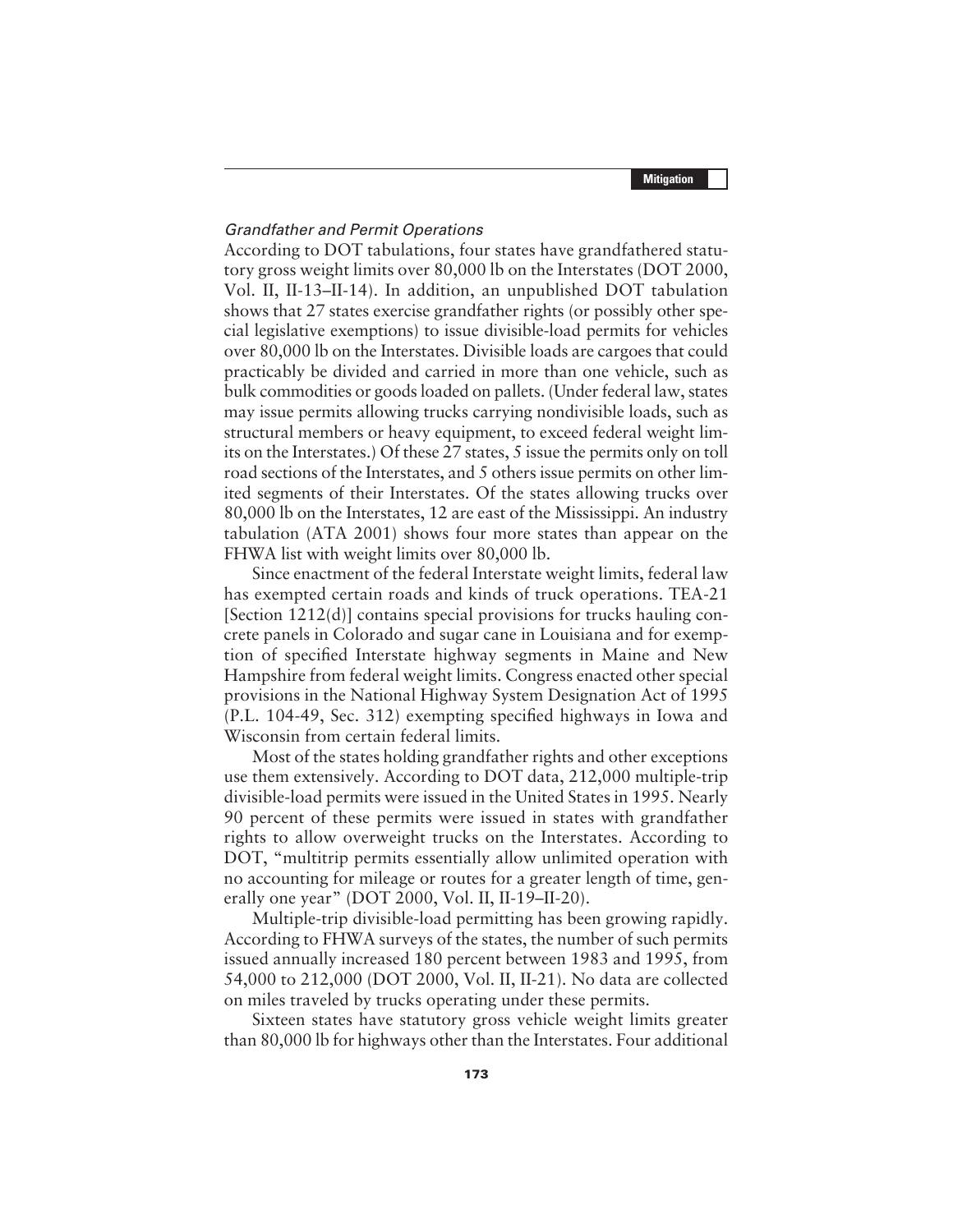## Grandfather and Permit Operations

According to DOT tabulations, four states have grandfathered statutory gross weight limits over 80,000 lb on the Interstates (DOT 2000, Vol. II, II-13–II-14). In addition, an unpublished DOT tabulation shows that 27 states exercise grandfather rights (or possibly other special legislative exemptions) to issue divisible-load permits for vehicles over 80,000 lb on the Interstates. Divisible loads are cargoes that could practicably be divided and carried in more than one vehicle, such as bulk commodities or goods loaded on pallets. (Under federal law, states may issue permits allowing trucks carrying nondivisible loads, such as structural members or heavy equipment, to exceed federal weight limits on the Interstates.) Of these 27 states, 5 issue the permits only on toll road sections of the Interstates, and 5 others issue permits on other limited segments of their Interstates. Of the states allowing trucks over 80,000 lb on the Interstates, 12 are east of the Mississippi. An industry tabulation (ATA 2001) shows four more states than appear on the FHWA list with weight limits over 80,000 lb.

Since enactment of the federal Interstate weight limits, federal law has exempted certain roads and kinds of truck operations. TEA-21 [Section 1212(d)] contains special provisions for trucks hauling concrete panels in Colorado and sugar cane in Louisiana and for exemption of specified Interstate highway segments in Maine and New Hampshire from federal weight limits. Congress enacted other special provisions in the National Highway System Designation Act of 1995 (P.L. 104-49, Sec. 312) exempting specified highways in Iowa and Wisconsin from certain federal limits.

Most of the states holding grandfather rights and other exceptions use them extensively. According to DOT data, 212,000 multiple-trip divisible-load permits were issued in the United States in 1995. Nearly 90 percent of these permits were issued in states with grandfather rights to allow overweight trucks on the Interstates. According to DOT, "multitrip permits essentially allow unlimited operation with no accounting for mileage or routes for a greater length of time, generally one year" (DOT 2000, Vol. II, II-19–II-20).

Multiple-trip divisible-load permitting has been growing rapidly. According to FHWA surveys of the states, the number of such permits issued annually increased 180 percent between 1983 and 1995, from 54,000 to 212,000 (DOT 2000, Vol. II, II-21). No data are collected on miles traveled by trucks operating under these permits.

Sixteen states have statutory gross vehicle weight limits greater than 80,000 lb for highways other than the Interstates. Four additional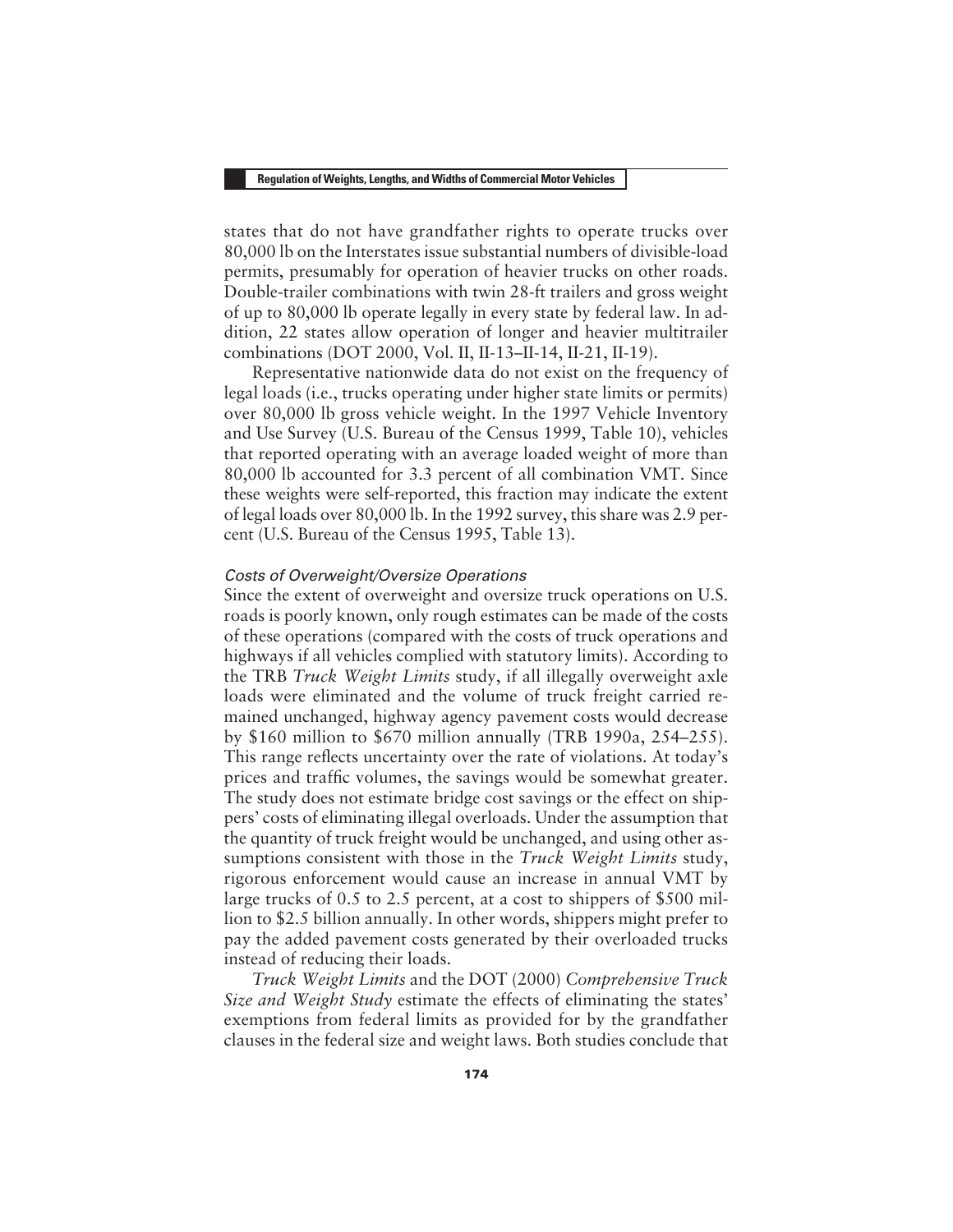states that do not have grandfather rights to operate trucks over 80,000 lb on the Interstates issue substantial numbers of divisible-load permits, presumably for operation of heavier trucks on other roads. Double-trailer combinations with twin 28-ft trailers and gross weight of up to 80,000 lb operate legally in every state by federal law. In addition, 22 states allow operation of longer and heavier multitrailer combinations (DOT 2000, Vol. II, II-13–II-14, II-21, II-19).

Representative nationwide data do not exist on the frequency of legal loads (i.e., trucks operating under higher state limits or permits) over 80,000 lb gross vehicle weight. In the 1997 Vehicle Inventory and Use Survey (U.S. Bureau of the Census 1999, Table 10), vehicles that reported operating with an average loaded weight of more than 80,000 lb accounted for 3.3 percent of all combination VMT. Since these weights were self-reported, this fraction may indicate the extent of legal loads over 80,000 lb. In the 1992 survey, this share was 2.9 percent (U.S. Bureau of the Census 1995, Table 13).

## Costs of Overweight/Oversize Operations

Since the extent of overweight and oversize truck operations on U.S. roads is poorly known, only rough estimates can be made of the costs of these operations (compared with the costs of truck operations and highways if all vehicles complied with statutory limits). According to the TRB *Truck Weight Limits* study, if all illegally overweight axle loads were eliminated and the volume of truck freight carried remained unchanged, highway agency pavement costs would decrease by \$160 million to \$670 million annually (TRB 1990a, 254–255). This range reflects uncertainty over the rate of violations. At today's prices and traffic volumes, the savings would be somewhat greater. The study does not estimate bridge cost savings or the effect on shippers' costs of eliminating illegal overloads. Under the assumption that the quantity of truck freight would be unchanged, and using other assumptions consistent with those in the *Truck Weight Limits* study, rigorous enforcement would cause an increase in annual VMT by large trucks of 0.5 to 2.5 percent, at a cost to shippers of \$500 million to \$2.5 billion annually. In other words, shippers might prefer to pay the added pavement costs generated by their overloaded trucks instead of reducing their loads.

*Truck Weight Limits* and the DOT (2000) *Comprehensive Truck Size and Weight Study* estimate the effects of eliminating the states' exemptions from federal limits as provided for by the grandfather clauses in the federal size and weight laws. Both studies conclude that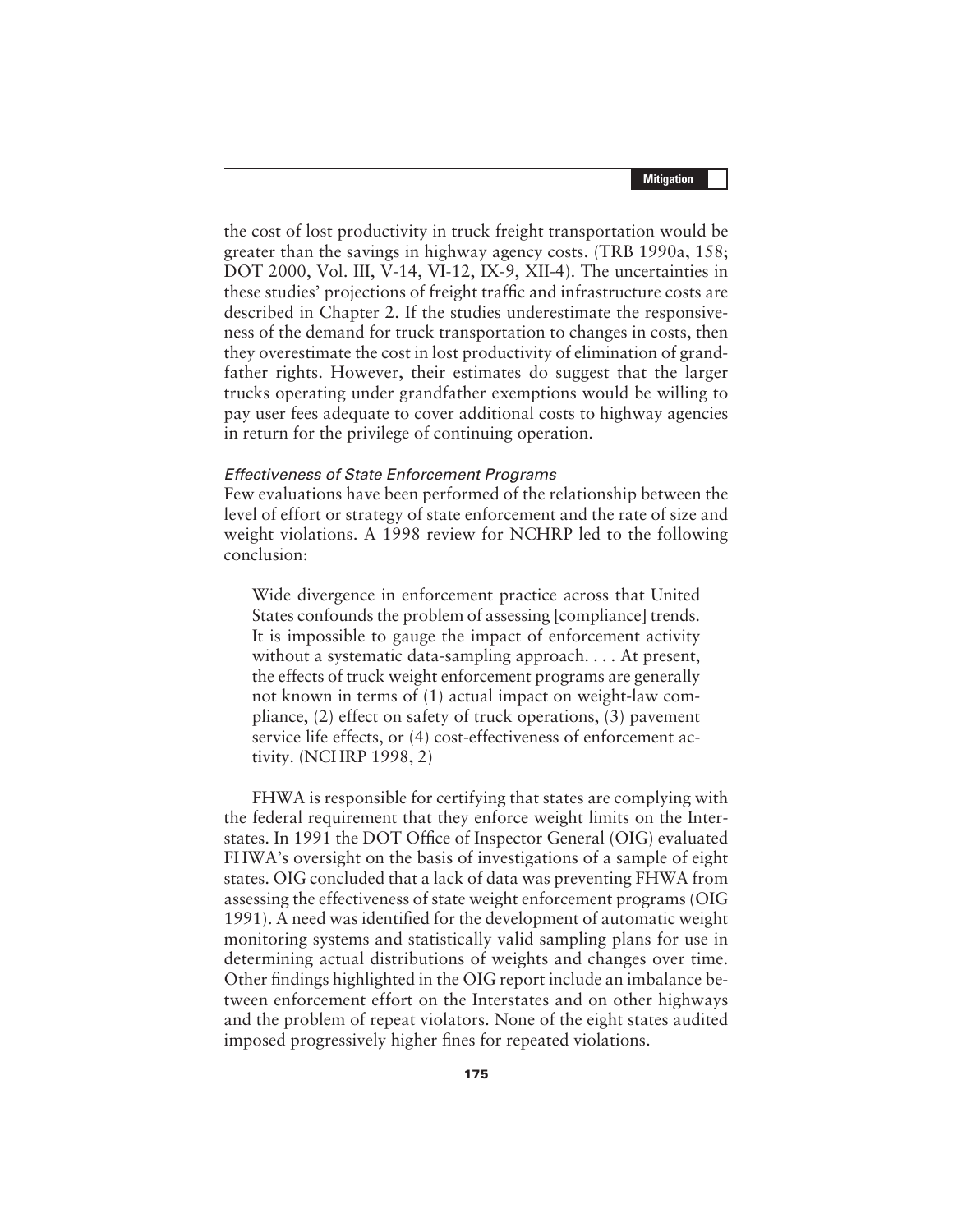the cost of lost productivity in truck freight transportation would be greater than the savings in highway agency costs. (TRB 1990a, 158; DOT 2000, Vol. III, V-14, VI-12, IX-9, XII-4). The uncertainties in these studies' projections of freight traffic and infrastructure costs are described in Chapter 2. If the studies underestimate the responsiveness of the demand for truck transportation to changes in costs, then they overestimate the cost in lost productivity of elimination of grandfather rights. However, their estimates do suggest that the larger trucks operating under grandfather exemptions would be willing to pay user fees adequate to cover additional costs to highway agencies in return for the privilege of continuing operation.

#### Effectiveness of State Enforcement Programs

Few evaluations have been performed of the relationship between the level of effort or strategy of state enforcement and the rate of size and weight violations. A 1998 review for NCHRP led to the following conclusion:

Wide divergence in enforcement practice across that United States confounds the problem of assessing [compliance] trends. It is impossible to gauge the impact of enforcement activity without a systematic data-sampling approach. . . . At present, the effects of truck weight enforcement programs are generally not known in terms of (1) actual impact on weight-law compliance, (2) effect on safety of truck operations, (3) pavement service life effects, or (4) cost-effectiveness of enforcement activity. (NCHRP 1998, 2)

FHWA is responsible for certifying that states are complying with the federal requirement that they enforce weight limits on the Interstates. In 1991 the DOT Office of Inspector General (OIG) evaluated FHWA's oversight on the basis of investigations of a sample of eight states. OIG concluded that a lack of data was preventing FHWA from assessing the effectiveness of state weight enforcement programs (OIG 1991). A need was identified for the development of automatic weight monitoring systems and statistically valid sampling plans for use in determining actual distributions of weights and changes over time. Other findings highlighted in the OIG report include an imbalance between enforcement effort on the Interstates and on other highways and the problem of repeat violators. None of the eight states audited imposed progressively higher fines for repeated violations.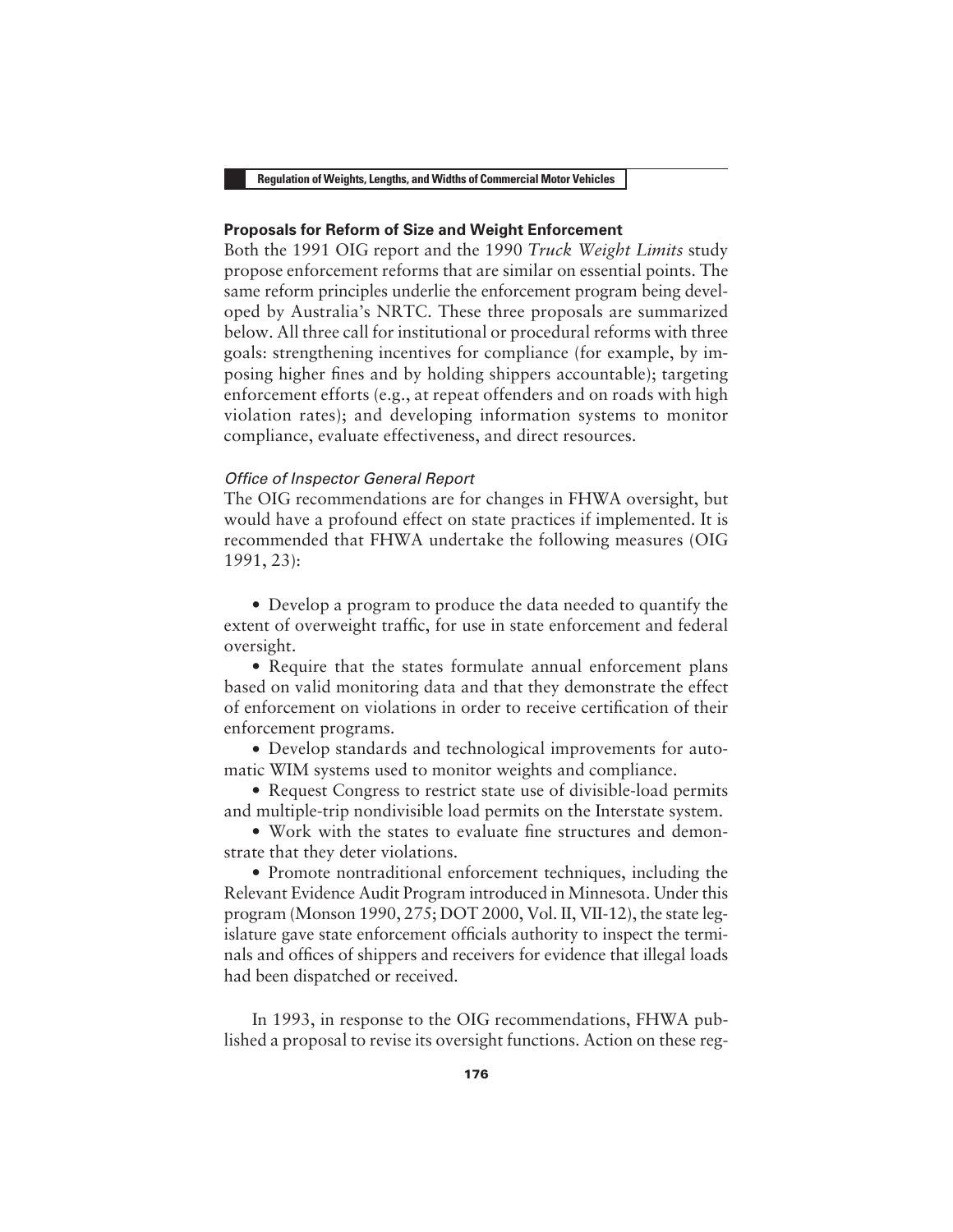## **Proposals for Reform of Size and Weight Enforcement**

Both the 1991 OIG report and the 1990 *Truck Weight Limits* study propose enforcement reforms that are similar on essential points. The same reform principles underlie the enforcement program being developed by Australia's NRTC. These three proposals are summarized below. All three call for institutional or procedural reforms with three goals: strengthening incentives for compliance (for example, by imposing higher fines and by holding shippers accountable); targeting enforcement efforts (e.g., at repeat offenders and on roads with high violation rates); and developing information systems to monitor compliance, evaluate effectiveness, and direct resources.

# Office of Inspector General Report

The OIG recommendations are for changes in FHWA oversight, but would have a profound effect on state practices if implemented. It is recommended that FHWA undertake the following measures (OIG 1991, 23):

• Develop a program to produce the data needed to quantify the extent of overweight traffic, for use in state enforcement and federal oversight.

• Require that the states formulate annual enforcement plans based on valid monitoring data and that they demonstrate the effect of enforcement on violations in order to receive certification of their enforcement programs.

• Develop standards and technological improvements for automatic WIM systems used to monitor weights and compliance.

• Request Congress to restrict state use of divisible-load permits and multiple-trip nondivisible load permits on the Interstate system.

• Work with the states to evaluate fine structures and demonstrate that they deter violations.

• Promote nontraditional enforcement techniques, including the Relevant Evidence Audit Program introduced in Minnesota. Under this program (Monson 1990, 275; DOT 2000, Vol. II, VII-12), the state legislature gave state enforcement officials authority to inspect the terminals and offices of shippers and receivers for evidence that illegal loads had been dispatched or received.

In 1993, in response to the OIG recommendations, FHWA published a proposal to revise its oversight functions. Action on these reg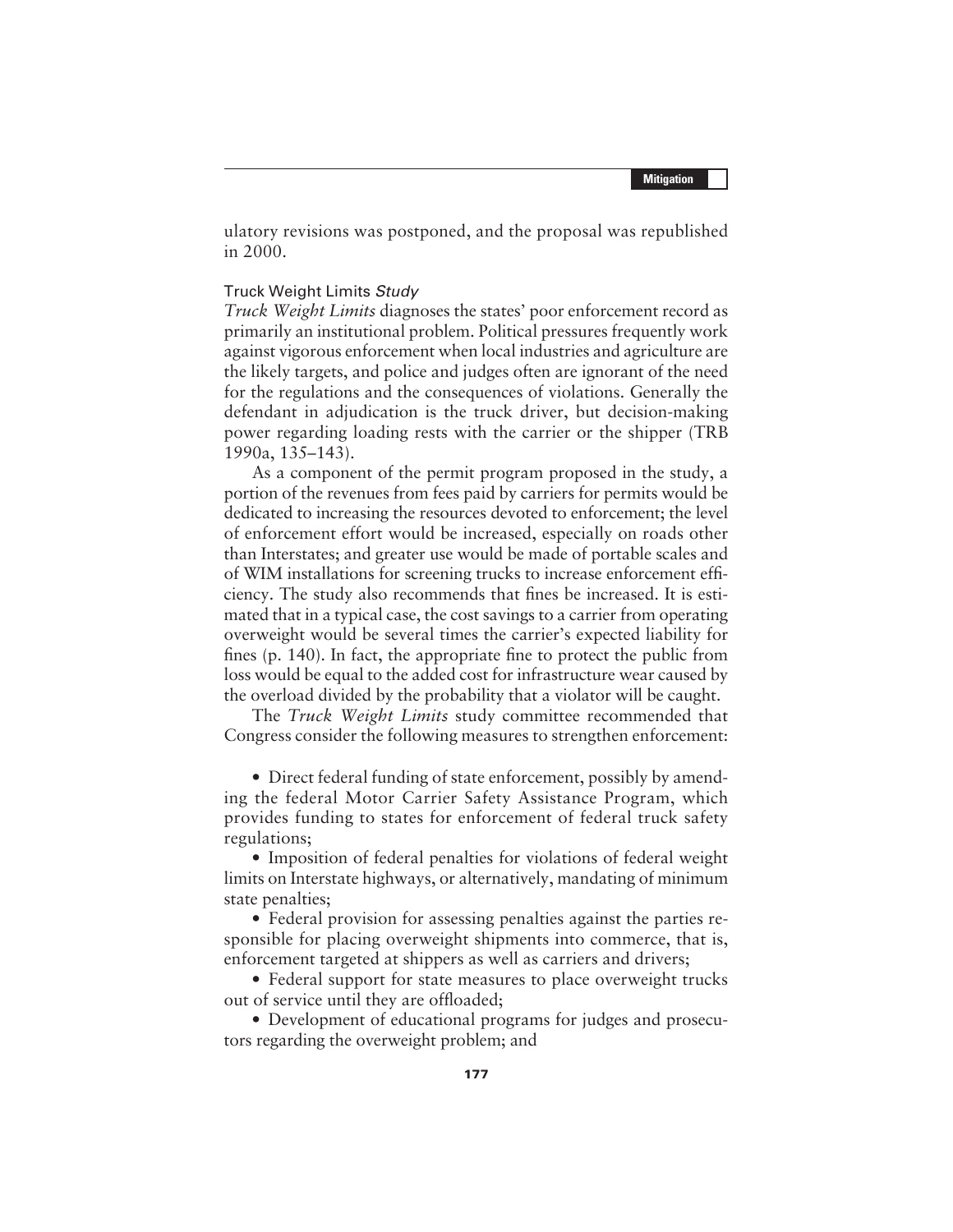ulatory revisions was postponed, and the proposal was republished in 2000.

## Truck Weight Limits Study

*Truck Weight Limits* diagnoses the states' poor enforcement record as primarily an institutional problem. Political pressures frequently work against vigorous enforcement when local industries and agriculture are the likely targets, and police and judges often are ignorant of the need for the regulations and the consequences of violations. Generally the defendant in adjudication is the truck driver, but decision-making power regarding loading rests with the carrier or the shipper (TRB 1990a, 135–143).

As a component of the permit program proposed in the study, a portion of the revenues from fees paid by carriers for permits would be dedicated to increasing the resources devoted to enforcement; the level of enforcement effort would be increased, especially on roads other than Interstates; and greater use would be made of portable scales and of WIM installations for screening trucks to increase enforcement efficiency. The study also recommends that fines be increased. It is estimated that in a typical case, the cost savings to a carrier from operating overweight would be several times the carrier's expected liability for fines (p. 140). In fact, the appropriate fine to protect the public from loss would be equal to the added cost for infrastructure wear caused by the overload divided by the probability that a violator will be caught.

The *Truck Weight Limits* study committee recommended that Congress consider the following measures to strengthen enforcement:

• Direct federal funding of state enforcement, possibly by amending the federal Motor Carrier Safety Assistance Program, which provides funding to states for enforcement of federal truck safety regulations;

• Imposition of federal penalties for violations of federal weight limits on Interstate highways, or alternatively, mandating of minimum state penalties;

• Federal provision for assessing penalties against the parties responsible for placing overweight shipments into commerce, that is, enforcement targeted at shippers as well as carriers and drivers;

• Federal support for state measures to place overweight trucks out of service until they are offloaded;

• Development of educational programs for judges and prosecutors regarding the overweight problem; and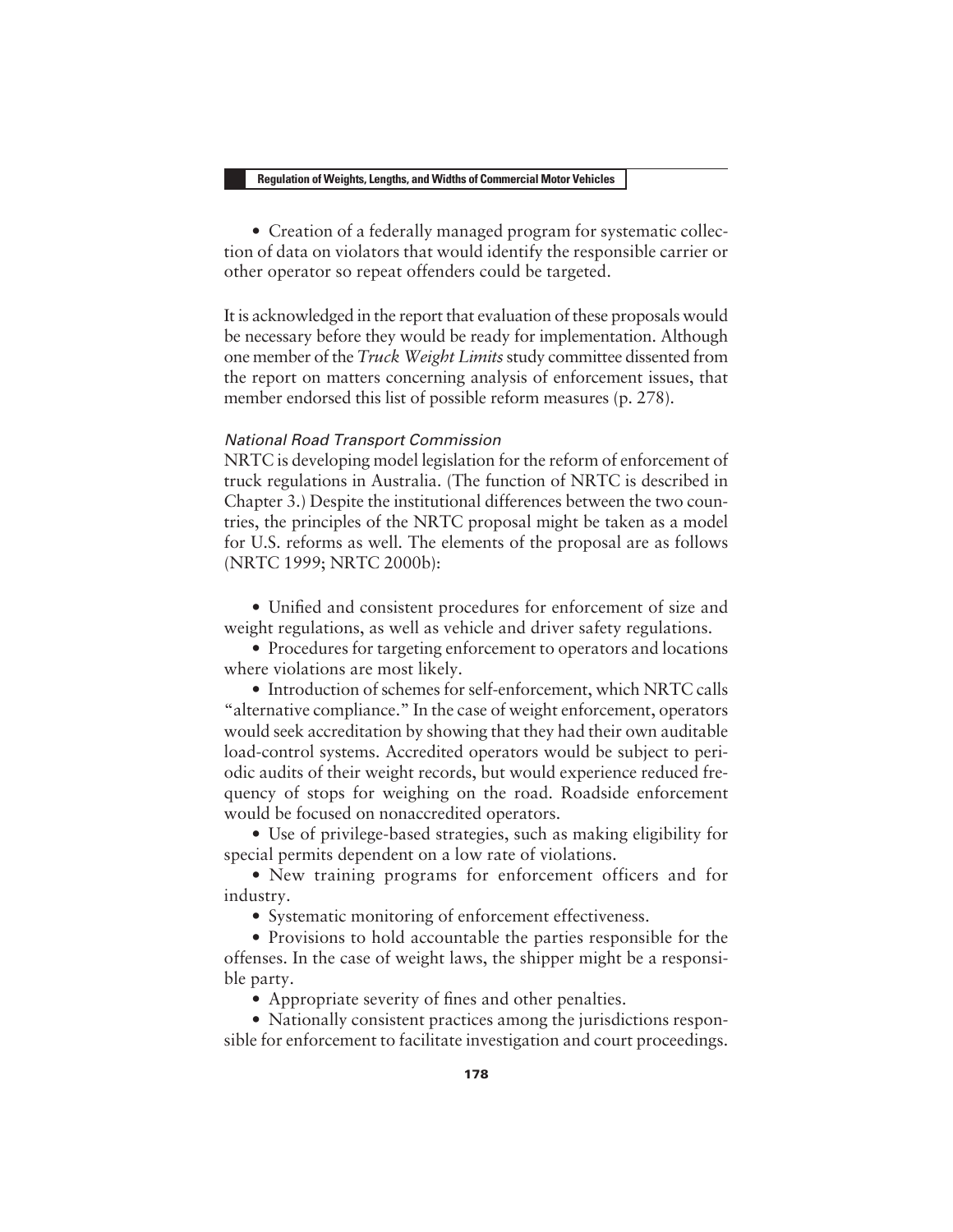• Creation of a federally managed program for systematic collection of data on violators that would identify the responsible carrier or other operator so repeat offenders could be targeted.

It is acknowledged in the report that evaluation of these proposals would be necessary before they would be ready for implementation. Although one member of the *Truck Weight Limits*study committee dissented from the report on matters concerning analysis of enforcement issues, that member endorsed this list of possible reform measures (p. 278).

# National Road Transport Commission

NRTC is developing model legislation for the reform of enforcement of truck regulations in Australia. (The function of NRTC is described in Chapter 3.) Despite the institutional differences between the two countries, the principles of the NRTC proposal might be taken as a model for U.S. reforms as well. The elements of the proposal are as follows (NRTC 1999; NRTC 2000b):

• Unified and consistent procedures for enforcement of size and weight regulations, as well as vehicle and driver safety regulations.

• Procedures for targeting enforcement to operators and locations where violations are most likely.

• Introduction of schemes for self-enforcement, which NRTC calls "alternative compliance." In the case of weight enforcement, operators would seek accreditation by showing that they had their own auditable load-control systems. Accredited operators would be subject to periodic audits of their weight records, but would experience reduced frequency of stops for weighing on the road. Roadside enforcement would be focused on nonaccredited operators.

• Use of privilege-based strategies, such as making eligibility for special permits dependent on a low rate of violations.

• New training programs for enforcement officers and for industry.

• Systematic monitoring of enforcement effectiveness.

• Provisions to hold accountable the parties responsible for the offenses. In the case of weight laws, the shipper might be a responsible party.

• Appropriate severity of fines and other penalties.

• Nationally consistent practices among the jurisdictions responsible for enforcement to facilitate investigation and court proceedings.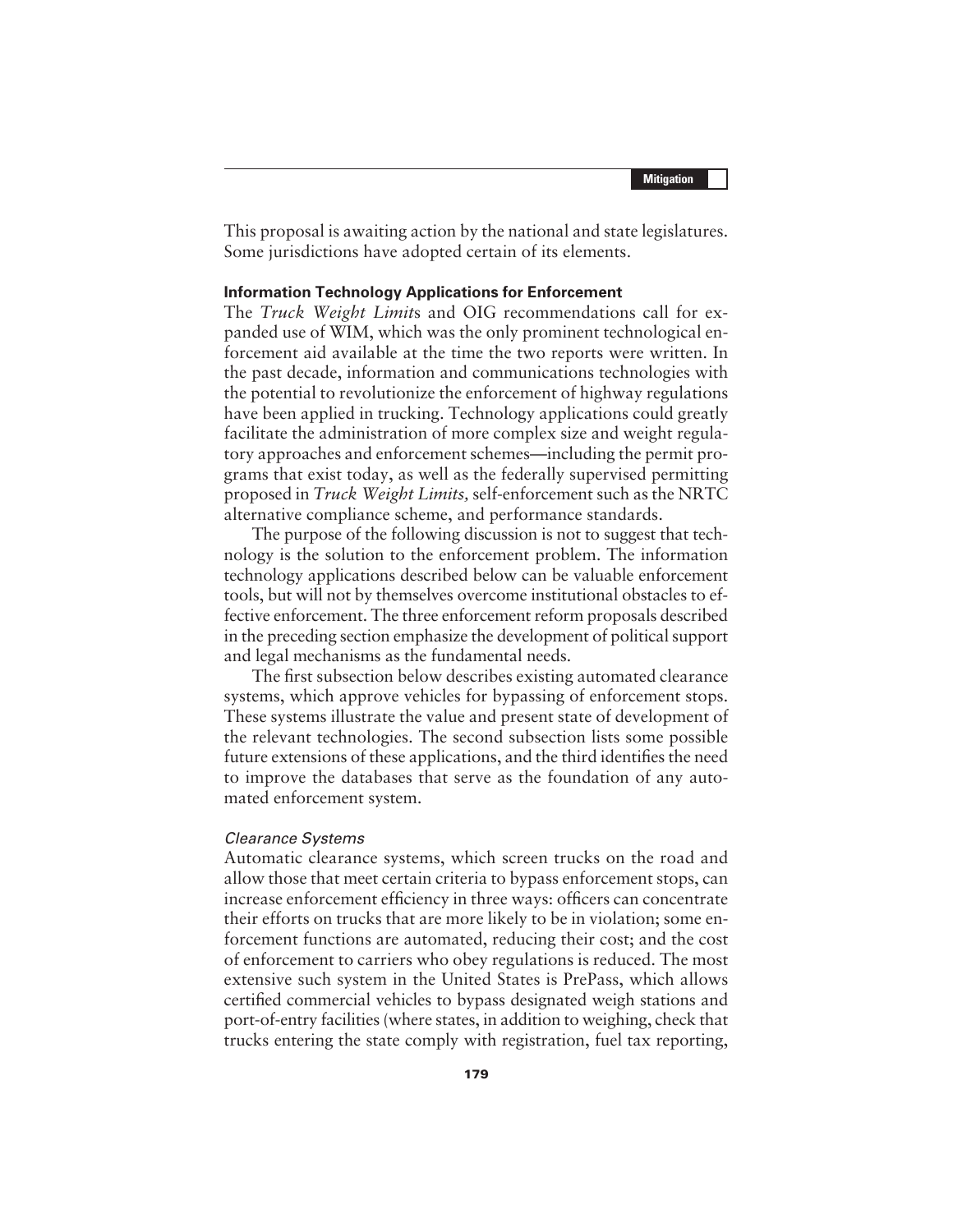This proposal is awaiting action by the national and state legislatures. Some jurisdictions have adopted certain of its elements.

## **Information Technology Applications for Enforcement**

The *Truck Weight Limit*s and OIG recommendations call for expanded use of WIM, which was the only prominent technological enforcement aid available at the time the two reports were written. In the past decade, information and communications technologies with the potential to revolutionize the enforcement of highway regulations have been applied in trucking. Technology applications could greatly facilitate the administration of more complex size and weight regulatory approaches and enforcement schemes—including the permit programs that exist today, as well as the federally supervised permitting proposed in *Truck Weight Limits,* self-enforcement such as the NRTC alternative compliance scheme, and performance standards.

The purpose of the following discussion is not to suggest that technology is the solution to the enforcement problem. The information technology applications described below can be valuable enforcement tools, but will not by themselves overcome institutional obstacles to effective enforcement. The three enforcement reform proposals described in the preceding section emphasize the development of political support and legal mechanisms as the fundamental needs.

The first subsection below describes existing automated clearance systems, which approve vehicles for bypassing of enforcement stops. These systems illustrate the value and present state of development of the relevant technologies. The second subsection lists some possible future extensions of these applications, and the third identifies the need to improve the databases that serve as the foundation of any automated enforcement system.

#### Clearance Systems

Automatic clearance systems, which screen trucks on the road and allow those that meet certain criteria to bypass enforcement stops, can increase enforcement efficiency in three ways: officers can concentrate their efforts on trucks that are more likely to be in violation; some enforcement functions are automated, reducing their cost; and the cost of enforcement to carriers who obey regulations is reduced. The most extensive such system in the United States is PrePass, which allows certified commercial vehicles to bypass designated weigh stations and port-of-entry facilities (where states, in addition to weighing, check that trucks entering the state comply with registration, fuel tax reporting,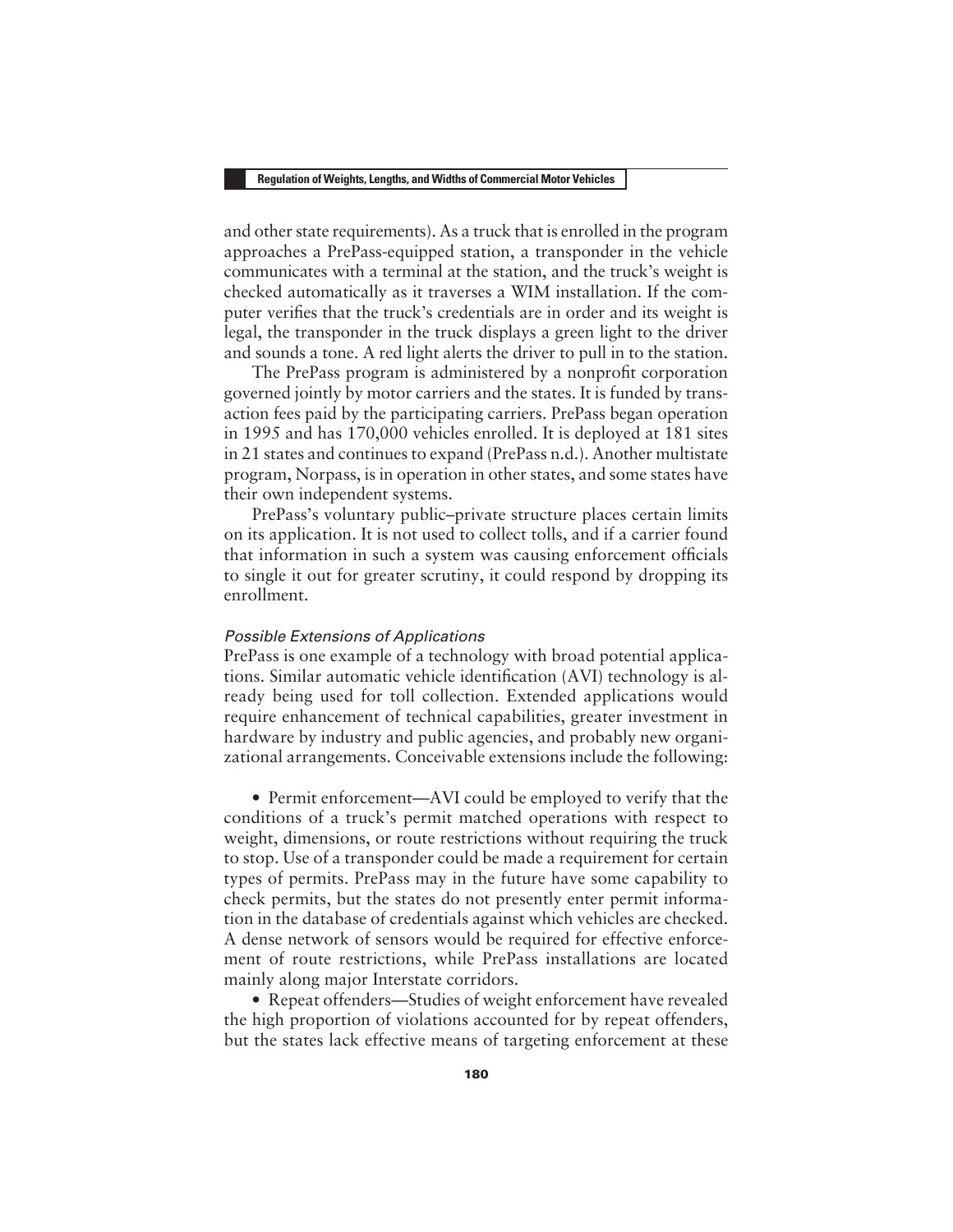and other state requirements). As a truck that is enrolled in the program approaches a PrePass-equipped station, a transponder in the vehicle communicates with a terminal at the station, and the truck's weight is checked automatically as it traverses a WIM installation. If the computer verifies that the truck's credentials are in order and its weight is legal, the transponder in the truck displays a green light to the driver and sounds a tone. A red light alerts the driver to pull in to the station.

The PrePass program is administered by a nonprofit corporation governed jointly by motor carriers and the states. It is funded by transaction fees paid by the participating carriers. PrePass began operation in 1995 and has 170,000 vehicles enrolled. It is deployed at 181 sites in 21 states and continues to expand (PrePass n.d.). Another multistate program, Norpass, is in operation in other states, and some states have their own independent systems.

PrePass's voluntary public–private structure places certain limits on its application. It is not used to collect tolls, and if a carrier found that information in such a system was causing enforcement officials to single it out for greater scrutiny, it could respond by dropping its enrollment.

## Possible Extensions of Applications

PrePass is one example of a technology with broad potential applications. Similar automatic vehicle identification (AVI) technology is already being used for toll collection. Extended applications would require enhancement of technical capabilities, greater investment in hardware by industry and public agencies, and probably new organizational arrangements. Conceivable extensions include the following:

• Permit enforcement—AVI could be employed to verify that the conditions of a truck's permit matched operations with respect to weight, dimensions, or route restrictions without requiring the truck to stop. Use of a transponder could be made a requirement for certain types of permits. PrePass may in the future have some capability to check permits, but the states do not presently enter permit information in the database of credentials against which vehicles are checked. A dense network of sensors would be required for effective enforcement of route restrictions, while PrePass installations are located mainly along major Interstate corridors.

• Repeat offenders—Studies of weight enforcement have revealed the high proportion of violations accounted for by repeat offenders, but the states lack effective means of targeting enforcement at these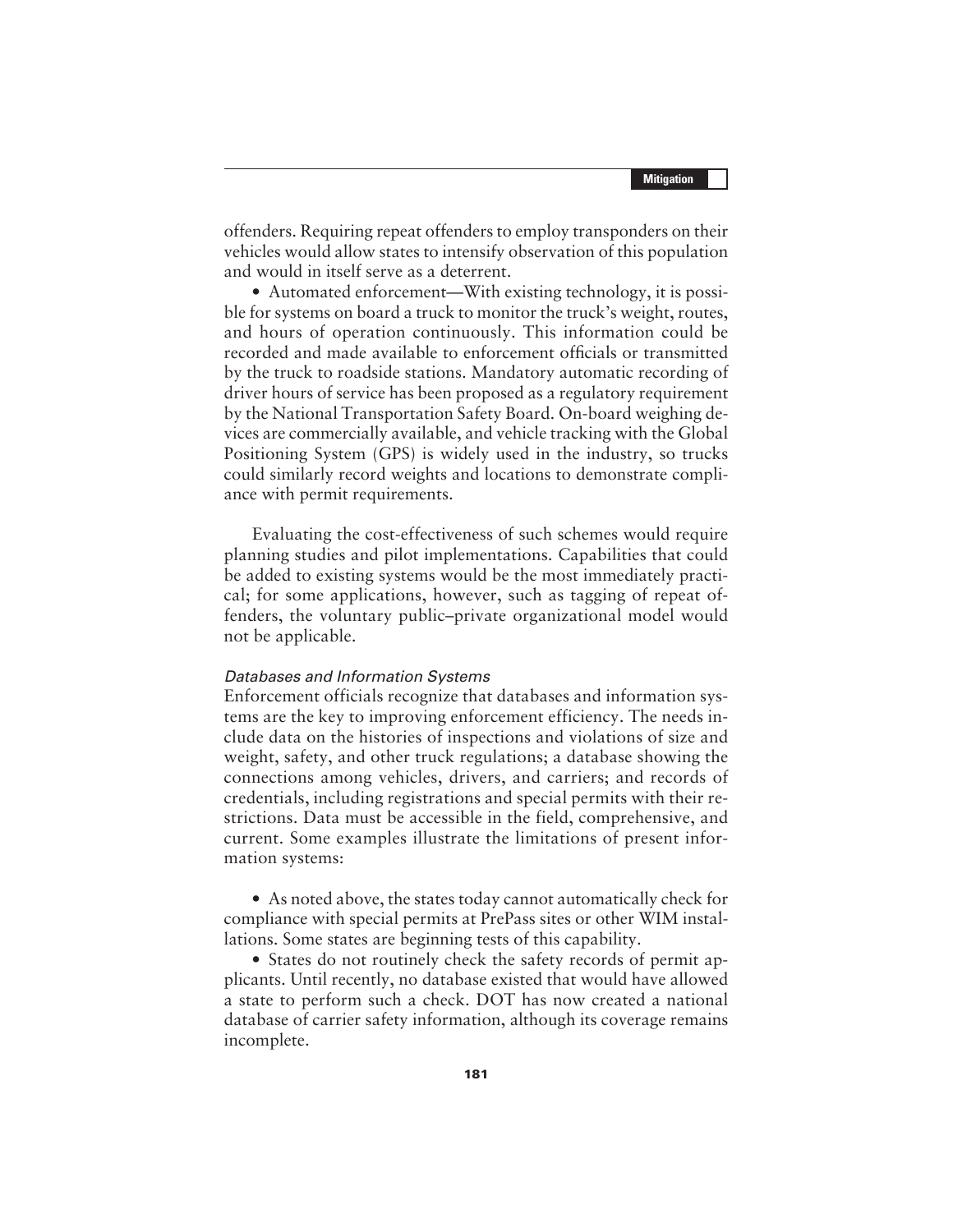offenders. Requiring repeat offenders to employ transponders on their vehicles would allow states to intensify observation of this population and would in itself serve as a deterrent.

• Automated enforcement—With existing technology, it is possible for systems on board a truck to monitor the truck's weight, routes, and hours of operation continuously. This information could be recorded and made available to enforcement officials or transmitted by the truck to roadside stations. Mandatory automatic recording of driver hours of service has been proposed as a regulatory requirement by the National Transportation Safety Board. On-board weighing devices are commercially available, and vehicle tracking with the Global Positioning System (GPS) is widely used in the industry, so trucks could similarly record weights and locations to demonstrate compliance with permit requirements.

Evaluating the cost-effectiveness of such schemes would require planning studies and pilot implementations. Capabilities that could be added to existing systems would be the most immediately practical; for some applications, however, such as tagging of repeat offenders, the voluntary public–private organizational model would not be applicable.

## Databases and Information Systems

Enforcement officials recognize that databases and information systems are the key to improving enforcement efficiency. The needs include data on the histories of inspections and violations of size and weight, safety, and other truck regulations; a database showing the connections among vehicles, drivers, and carriers; and records of credentials, including registrations and special permits with their restrictions. Data must be accessible in the field, comprehensive, and current. Some examples illustrate the limitations of present information systems:

• As noted above, the states today cannot automatically check for compliance with special permits at PrePass sites or other WIM installations. Some states are beginning tests of this capability.

• States do not routinely check the safety records of permit applicants. Until recently, no database existed that would have allowed a state to perform such a check. DOT has now created a national database of carrier safety information, although its coverage remains incomplete.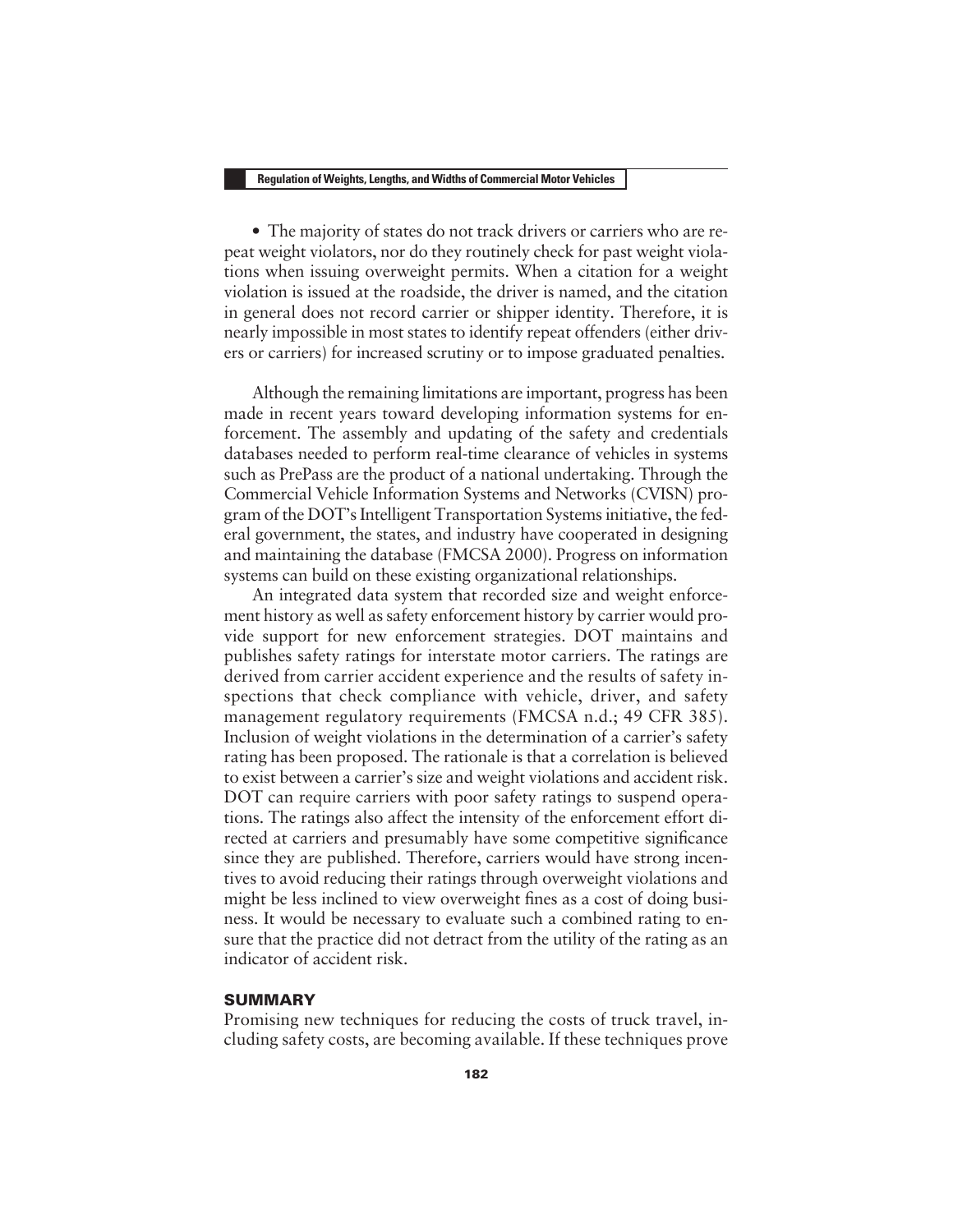• The majority of states do not track drivers or carriers who are repeat weight violators, nor do they routinely check for past weight violations when issuing overweight permits. When a citation for a weight violation is issued at the roadside, the driver is named, and the citation in general does not record carrier or shipper identity. Therefore, it is nearly impossible in most states to identify repeat offenders (either drivers or carriers) for increased scrutiny or to impose graduated penalties.

Although the remaining limitations are important, progress has been made in recent years toward developing information systems for enforcement. The assembly and updating of the safety and credentials databases needed to perform real-time clearance of vehicles in systems such as PrePass are the product of a national undertaking. Through the Commercial Vehicle Information Systems and Networks (CVISN) program of the DOT's Intelligent Transportation Systems initiative, the federal government, the states, and industry have cooperated in designing and maintaining the database (FMCSA 2000). Progress on information systems can build on these existing organizational relationships.

An integrated data system that recorded size and weight enforcement history as well as safety enforcement history by carrier would provide support for new enforcement strategies. DOT maintains and publishes safety ratings for interstate motor carriers. The ratings are derived from carrier accident experience and the results of safety inspections that check compliance with vehicle, driver, and safety management regulatory requirements (FMCSA n.d.; 49 CFR 385). Inclusion of weight violations in the determination of a carrier's safety rating has been proposed. The rationale is that a correlation is believed to exist between a carrier's size and weight violations and accident risk. DOT can require carriers with poor safety ratings to suspend operations. The ratings also affect the intensity of the enforcement effort directed at carriers and presumably have some competitive significance since they are published. Therefore, carriers would have strong incentives to avoid reducing their ratings through overweight violations and might be less inclined to view overweight fines as a cost of doing business. It would be necessary to evaluate such a combined rating to ensure that the practice did not detract from the utility of the rating as an indicator of accident risk.

## **SUMMARY**

Promising new techniques for reducing the costs of truck travel, including safety costs, are becoming available. If these techniques prove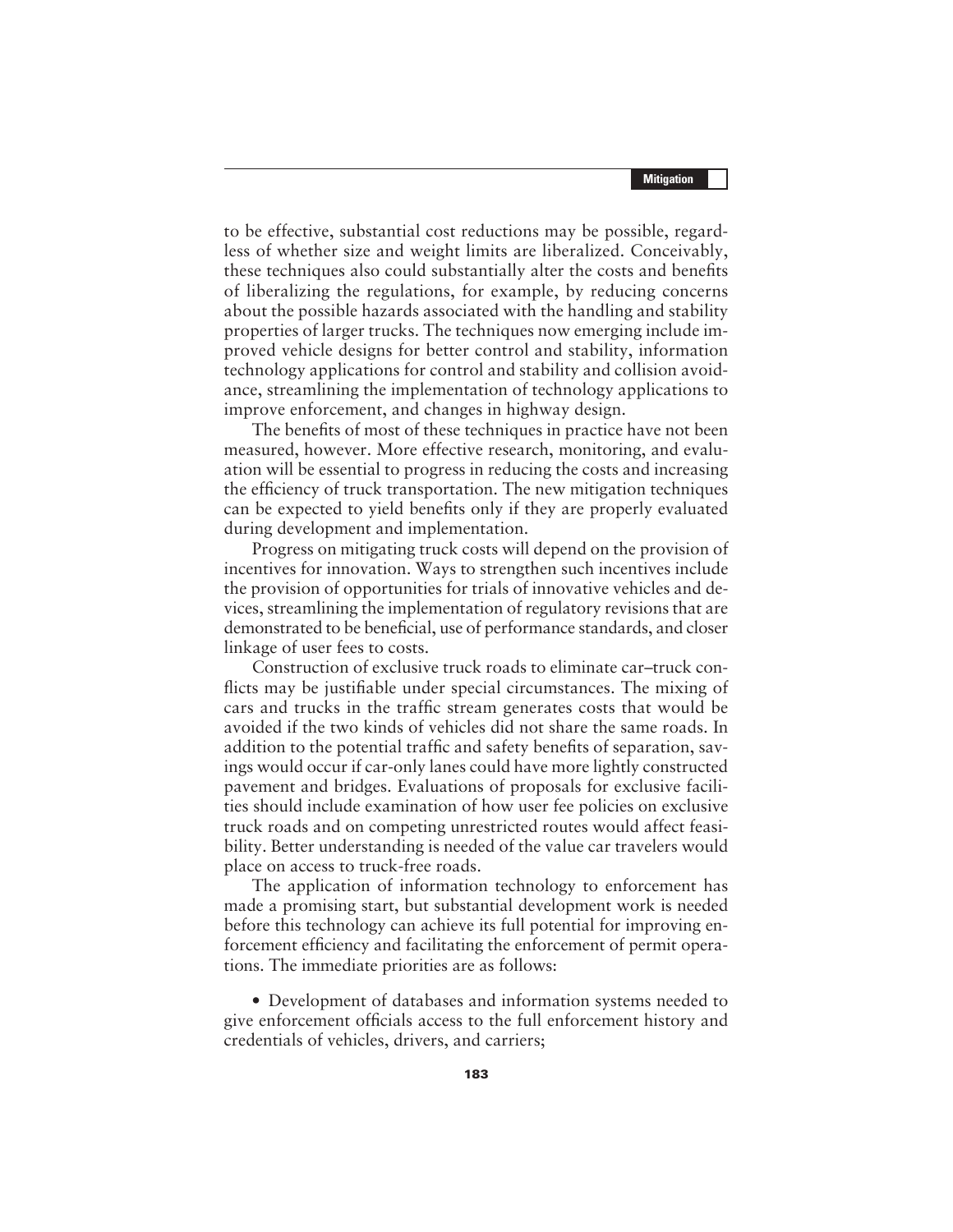to be effective, substantial cost reductions may be possible, regardless of whether size and weight limits are liberalized. Conceivably, these techniques also could substantially alter the costs and benefits of liberalizing the regulations, for example, by reducing concerns about the possible hazards associated with the handling and stability properties of larger trucks. The techniques now emerging include improved vehicle designs for better control and stability, information technology applications for control and stability and collision avoidance, streamlining the implementation of technology applications to improve enforcement, and changes in highway design.

The benefits of most of these techniques in practice have not been measured, however. More effective research, monitoring, and evaluation will be essential to progress in reducing the costs and increasing the efficiency of truck transportation. The new mitigation techniques can be expected to yield benefits only if they are properly evaluated during development and implementation.

Progress on mitigating truck costs will depend on the provision of incentives for innovation. Ways to strengthen such incentives include the provision of opportunities for trials of innovative vehicles and devices, streamlining the implementation of regulatory revisions that are demonstrated to be beneficial, use of performance standards, and closer linkage of user fees to costs.

Construction of exclusive truck roads to eliminate car–truck conflicts may be justifiable under special circumstances. The mixing of cars and trucks in the traffic stream generates costs that would be avoided if the two kinds of vehicles did not share the same roads. In addition to the potential traffic and safety benefits of separation, savings would occur if car-only lanes could have more lightly constructed pavement and bridges. Evaluations of proposals for exclusive facilities should include examination of how user fee policies on exclusive truck roads and on competing unrestricted routes would affect feasibility. Better understanding is needed of the value car travelers would place on access to truck-free roads.

The application of information technology to enforcement has made a promising start, but substantial development work is needed before this technology can achieve its full potential for improving enforcement efficiency and facilitating the enforcement of permit operations. The immediate priorities are as follows:

• Development of databases and information systems needed to give enforcement officials access to the full enforcement history and credentials of vehicles, drivers, and carriers;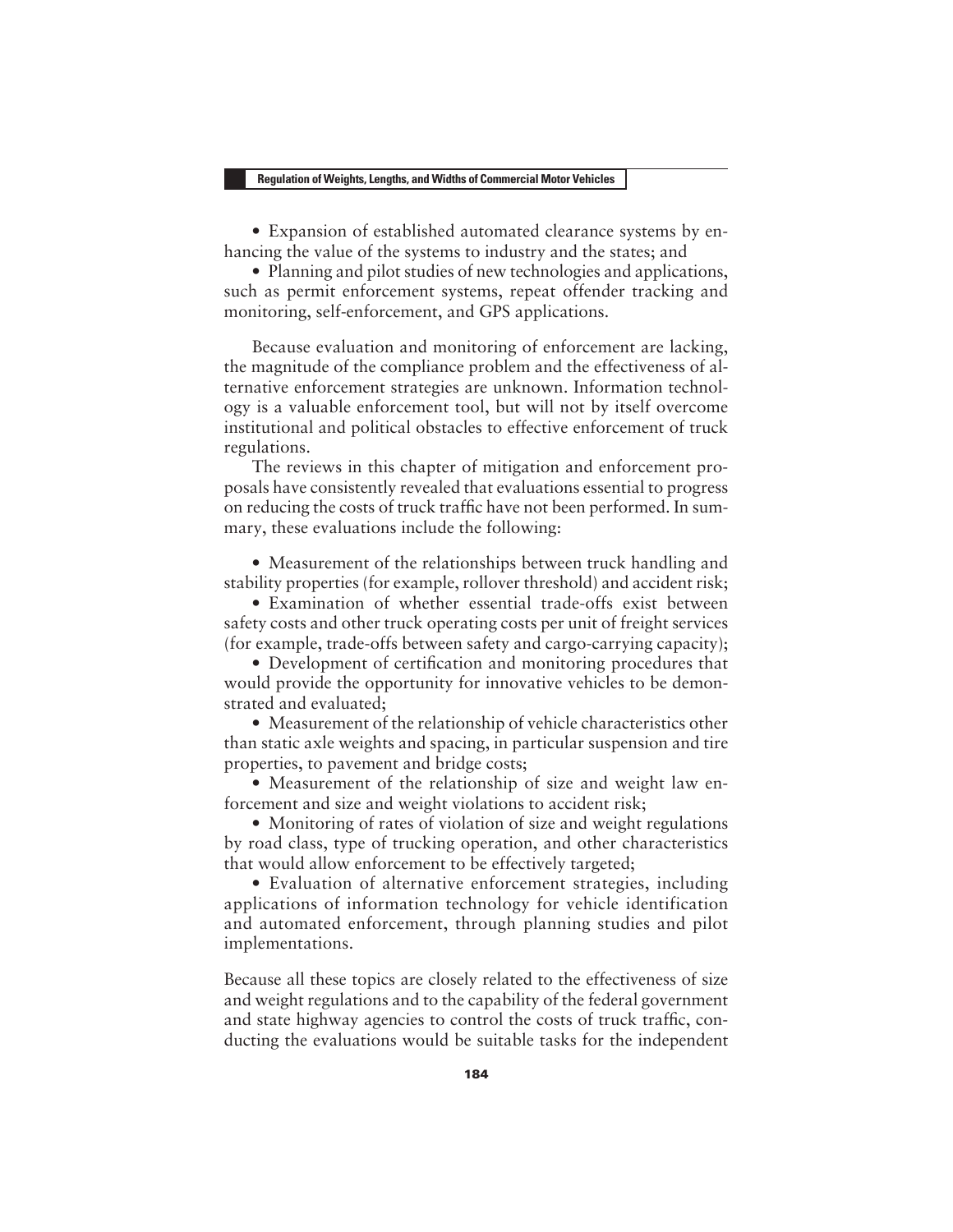• Expansion of established automated clearance systems by enhancing the value of the systems to industry and the states; and

• Planning and pilot studies of new technologies and applications, such as permit enforcement systems, repeat offender tracking and monitoring, self-enforcement, and GPS applications.

Because evaluation and monitoring of enforcement are lacking, the magnitude of the compliance problem and the effectiveness of alternative enforcement strategies are unknown. Information technology is a valuable enforcement tool, but will not by itself overcome institutional and political obstacles to effective enforcement of truck regulations.

The reviews in this chapter of mitigation and enforcement proposals have consistently revealed that evaluations essential to progress on reducing the costs of truck traffic have not been performed. In summary, these evaluations include the following:

• Measurement of the relationships between truck handling and stability properties (for example, rollover threshold) and accident risk;

• Examination of whether essential trade-offs exist between safety costs and other truck operating costs per unit of freight services (for example, trade-offs between safety and cargo-carrying capacity);

• Development of certification and monitoring procedures that would provide the opportunity for innovative vehicles to be demonstrated and evaluated;

• Measurement of the relationship of vehicle characteristics other than static axle weights and spacing, in particular suspension and tire properties, to pavement and bridge costs;

• Measurement of the relationship of size and weight law enforcement and size and weight violations to accident risk;

• Monitoring of rates of violation of size and weight regulations by road class, type of trucking operation, and other characteristics that would allow enforcement to be effectively targeted;

• Evaluation of alternative enforcement strategies, including applications of information technology for vehicle identification and automated enforcement, through planning studies and pilot implementations.

Because all these topics are closely related to the effectiveness of size and weight regulations and to the capability of the federal government and state highway agencies to control the costs of truck traffic, conducting the evaluations would be suitable tasks for the independent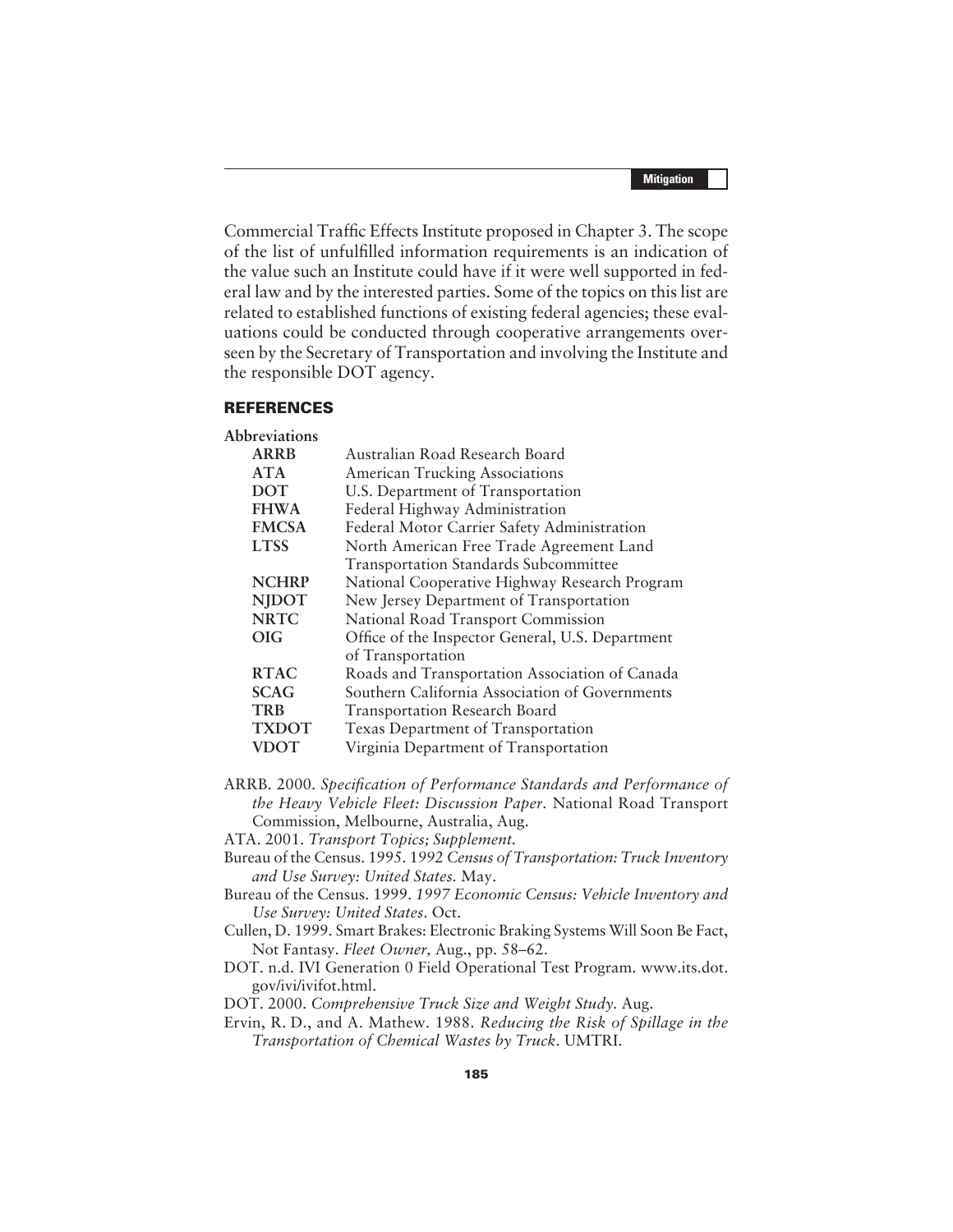Commercial Traffic Effects Institute proposed in Chapter 3. The scope of the list of unfulfilled information requirements is an indication of the value such an Institute could have if it were well supported in federal law and by the interested parties. Some of the topics on this list are related to established functions of existing federal agencies; these evaluations could be conducted through cooperative arrangements overseen by the Secretary of Transportation and involving the Institute and the responsible DOT agency.

## **REFERENCES**

| Abbreviations |                                                  |
|---------------|--------------------------------------------------|
| <b>ARRB</b>   | Australian Road Research Board                   |
| ATA           | American Trucking Associations                   |
| <b>DOT</b>    | U.S. Department of Transportation                |
| <b>FHWA</b>   | Federal Highway Administration                   |
| <b>FMCSA</b>  | Federal Motor Carrier Safety Administration      |
| <b>LTSS</b>   | North American Free Trade Agreement Land         |
|               | <b>Transportation Standards Subcommittee</b>     |
| <b>NCHRP</b>  | National Cooperative Highway Research Program    |
| <b>NJDOT</b>  | New Jersey Department of Transportation          |
| <b>NRTC</b>   | National Road Transport Commission               |
| OIG           | Office of the Inspector General, U.S. Department |
|               | of Transportation                                |
| <b>RTAC</b>   | Roads and Transportation Association of Canada   |
| <b>SCAG</b>   | Southern California Association of Governments   |
| <b>TRB</b>    | <b>Transportation Research Board</b>             |
| <b>TXDOT</b>  | Texas Department of Transportation               |
| VDOT          | Virginia Department of Transportation            |

- ARRB. 2000. *Specification of Performance Standards and Performance of the Heavy Vehicle Fleet: Discussion Paper.* National Road Transport Commission, Melbourne, Australia, Aug.
- ATA. 2001. *Transport Topics; Supplement.*
- Bureau of the Census. 1995. 1*992 Census of Transportation: Truck Inventory and Use Survey: United States.* May.
- Bureau of the Census. 1999. *1997 Economic Census: Vehicle Inventory and Use Survey: United States*. Oct.
- Cullen, D. 1999. Smart Brakes: Electronic Braking Systems Will Soon Be Fact, Not Fantasy. *Fleet Owner,* Aug., pp. 58–62.
- DOT. n.d. IVI Generation 0 Field Operational Test Program. www.its.dot. gov/ivi/ivifot.html.
- DOT. 2000. *Comprehensive Truck Size and Weight Study.* Aug.
- Ervin, R. D., and A. Mathew. 1988. *Reducing the Risk of Spillage in the Transportation of Chemical Wastes by Truck.* UMTRI.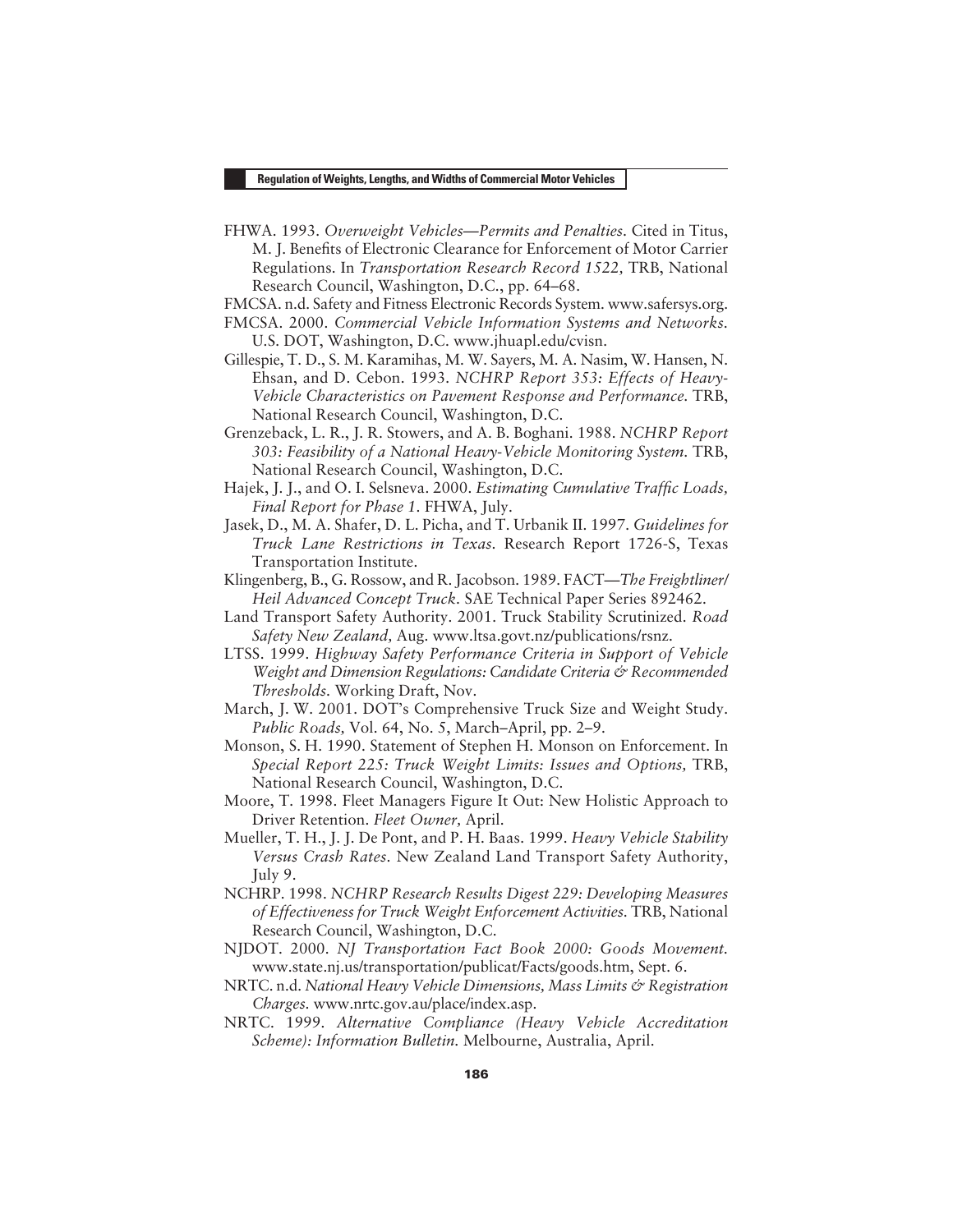- FHWA. 1993. *Overweight Vehicles—Permits and Penalties.* Cited in Titus, M. J. Benefits of Electronic Clearance for Enforcement of Motor Carrier Regulations. In *Transportation Research Record 1522,* TRB, National Research Council, Washington, D.C., pp. 64–68.
- FMCSA. n.d. Safety and Fitness Electronic Records System. www.safersys.org.
- FMCSA. 2000. *Commercial Vehicle Information Systems and Networks.* U.S. DOT, Washington, D.C. www.jhuapl.edu/cvisn.
- Gillespie, T. D., S. M. Karamihas, M. W. Sayers, M. A. Nasim, W. Hansen, N. Ehsan, and D. Cebon. 1993. *NCHRP Report 353: Effects of Heavy-Vehicle Characteristics on Pavement Response and Performance.* TRB, National Research Council, Washington, D.C.
- Grenzeback, L. R., J. R. Stowers, and A. B. Boghani. 1988. *NCHRP Report 303: Feasibility of a National Heavy-Vehicle Monitoring System.* TRB, National Research Council, Washington, D.C.
- Hajek, J. J., and O. I. Selsneva. 2000. *Estimating Cumulative Traffic Loads, Final Report for Phase 1.* FHWA, July.
- Jasek, D., M. A. Shafer, D. L. Picha, and T. Urbanik II. 1997. *Guidelines for Truck Lane Restrictions in Texas.* Research Report 1726-S, Texas Transportation Institute.
- Klingenberg, B., G. Rossow, and R. Jacobson. 1989. FACT—*The Freightliner/ Heil Advanced Concept Truck.* SAE Technical Paper Series 892462.
- Land Transport Safety Authority. 2001. Truck Stability Scrutinized. *Road Safety New Zealand,* Aug. www.ltsa.govt.nz/publications/rsnz.
- LTSS. 1999. *Highway Safety Performance Criteria in Support of Vehicle Weight and Dimension Regulations: Candidate Criteria & Recommended Thresholds.* Working Draft, Nov.
- March, J. W. 2001. DOT's Comprehensive Truck Size and Weight Study. *Public Roads,* Vol. 64, No. 5, March–April, pp. 2–9.
- Monson, S. H. 1990. Statement of Stephen H. Monson on Enforcement. In *Special Report 225: Truck Weight Limits: Issues and Options,* TRB, National Research Council, Washington, D.C.
- Moore, T. 1998. Fleet Managers Figure It Out: New Holistic Approach to Driver Retention. *Fleet Owner,* April.
- Mueller, T. H., J. J. De Pont, and P. H. Baas. 1999. *Heavy Vehicle Stability Versus Crash Rates.* New Zealand Land Transport Safety Authority, July 9.
- NCHRP. 1998. *NCHRP Research Results Digest 229: Developing Measures of Effectiveness for Truck Weight Enforcement Activities.* TRB, National Research Council, Washington, D.C.
- NJDOT. 2000. *NJ Transportation Fact Book 2000: Goods Movement.* www.state.nj.us/transportation/publicat/Facts/goods.htm, Sept. 6.
- NRTC. n.d. *National Heavy Vehicle Dimensions, Mass Limits & Registration Charges.* www.nrtc.gov.au/place/index.asp.
- NRTC. 1999. *Alternative Compliance (Heavy Vehicle Accreditation Scheme): Information Bulletin.* Melbourne, Australia, April.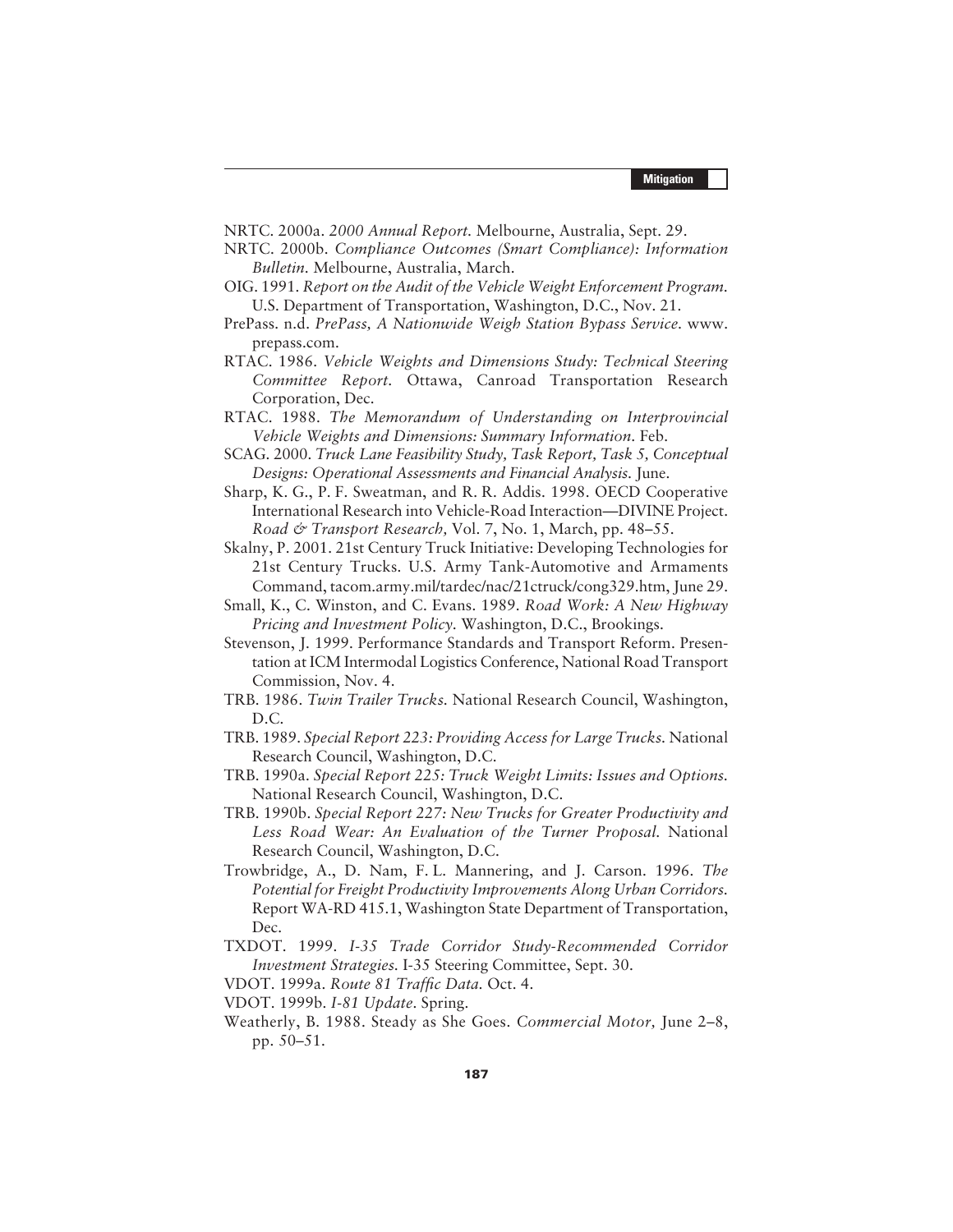NRTC. 2000a. *2000 Annual Report.* Melbourne, Australia, Sept. 29.

- NRTC. 2000b. *Compliance Outcomes (Smart Compliance): Information Bulletin.* Melbourne, Australia, March.
- OIG. 1991. *Report on the Audit of the Vehicle Weight Enforcement Program.* U.S. Department of Transportation, Washington, D.C., Nov. 21.
- PrePass. n.d. *PrePass, A Nationwide Weigh Station Bypass Service.* www. prepass.com.
- RTAC. 1986. *Vehicle Weights and Dimensions Study: Technical Steering Committee Report.* Ottawa, Canroad Transportation Research Corporation, Dec.
- RTAC. 1988. *The Memorandum of Understanding on Interprovincial Vehicle Weights and Dimensions: Summary Information.* Feb.
- SCAG. 2000. *Truck Lane Feasibility Study, Task Report, Task 5, Conceptual Designs: Operational Assessments and Financial Analysis.* June.
- Sharp, K. G., P. F. Sweatman, and R. R. Addis. 1998. OECD Cooperative International Research into Vehicle-Road Interaction—DIVINE Project. *Road & Transport Research,* Vol. 7, No. 1, March, pp. 48–55.
- Skalny, P. 2001. 21st Century Truck Initiative: Developing Technologies for 21st Century Trucks. U.S. Army Tank-Automotive and Armaments Command, tacom.army.mil/tardec/nac/21ctruck/cong329.htm, June 29.
- Small, K., C. Winston, and C. Evans. 1989. *Road Work: A New Highway Pricing and Investment Policy.* Washington, D.C., Brookings.
- Stevenson, J. 1999. Performance Standards and Transport Reform. Presentation at ICM Intermodal Logistics Conference, National Road Transport Commission, Nov. 4.
- TRB. 1986. *Twin Trailer Trucks.* National Research Council, Washington, D.C.
- TRB. 1989. *Special Report 223: Providing Access for Large Trucks.* National Research Council, Washington, D.C.
- TRB. 1990a. *Special Report 225: Truck Weight Limits: Issues and Options.* National Research Council, Washington, D.C.
- TRB. 1990b. *Special Report 227: New Trucks for Greater Productivity and Less Road Wear: An Evaluation of the Turner Proposal.* National Research Council, Washington, D.C.
- Trowbridge, A., D. Nam, F. L. Mannering, and J. Carson. 1996. *The Potential for Freight Productivity Improvements Along Urban Corridors.* Report WA-RD 415.1, Washington State Department of Transportation, Dec.
- TXDOT. 1999. *I-35 Trade Corridor Study-Recommended Corridor Investment Strategies.* I-35 Steering Committee, Sept. 30.
- VDOT. 1999a. *Route 81 Traffic Data.* Oct. 4.
- VDOT. 1999b. *I-81 Update*. Spring.
- Weatherly, B. 1988. Steady as She Goes. *Commercial Motor,* June 2–8, pp. 50–51.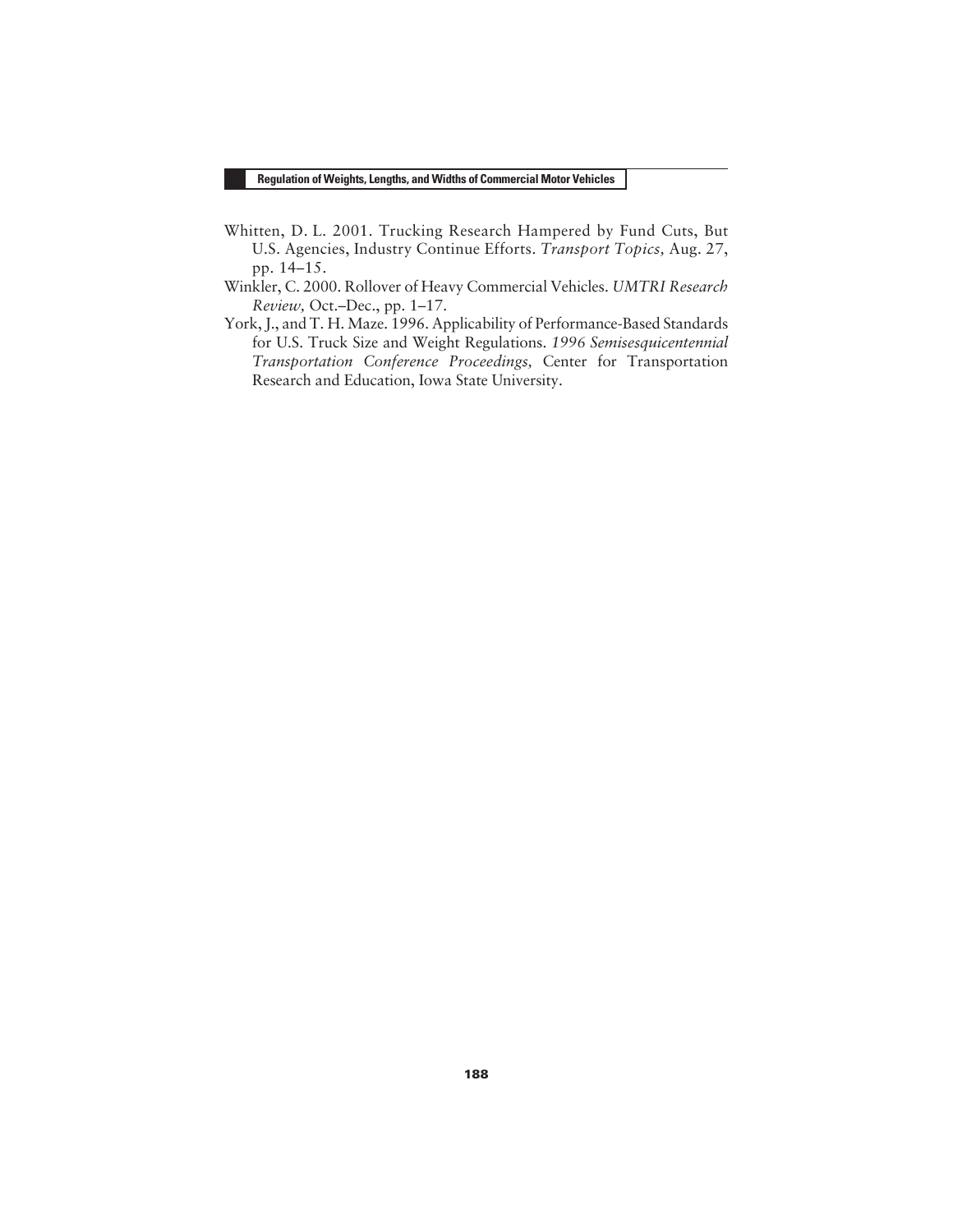- Whitten, D. L. 2001. Trucking Research Hampered by Fund Cuts, But U.S. Agencies, Industry Continue Efforts. *Transport Topics,* Aug. 27, pp. 14–15.
- Winkler, C. 2000. Rollover of Heavy Commercial Vehicles. *UMTRI Research Review,* Oct.–Dec., pp. 1–17.
- York, J., and T. H. Maze. 1996. Applicability of Performance-Based Standards for U.S. Truck Size and Weight Regulations. *1996 Semisesquicentennial Transportation Conference Proceedings,* Center for Transportation Research and Education, Iowa State University.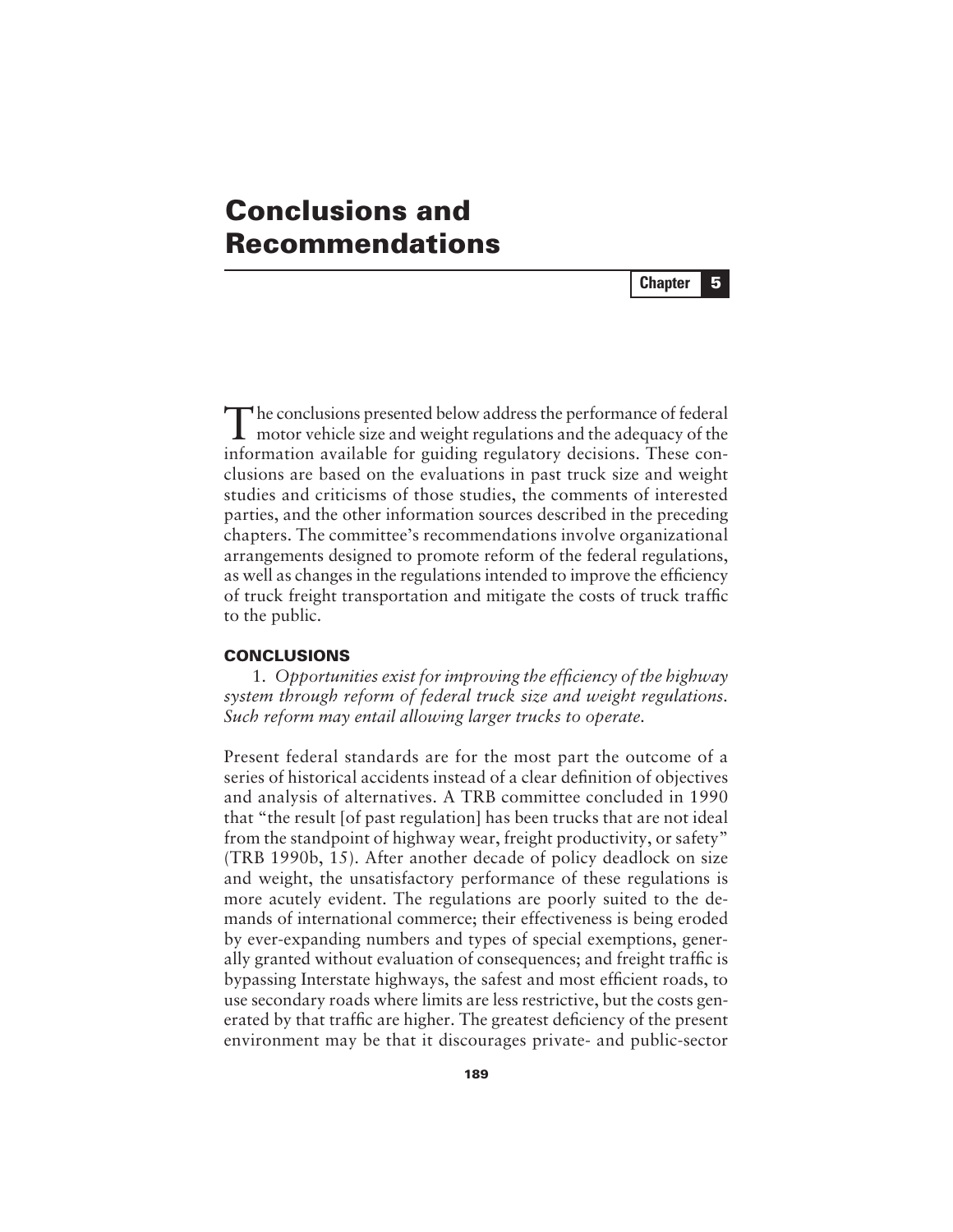# **Conclusions and Recommendations**

**Chapter 5**

The conclusions presented below address the performance of federal<br>motor vehicle size and weight regulations and the adequacy of the information available for guiding regulatory decisions. These conclusions are based on the evaluations in past truck size and weight studies and criticisms of those studies, the comments of interested parties, and the other information sources described in the preceding chapters. The committee's recommendations involve organizational arrangements designed to promote reform of the federal regulations, as well as changes in the regulations intended to improve the efficiency of truck freight transportation and mitigate the costs of truck traffic to the public.

## **CONCLUSIONS**

1. *Opportunities exist for improving the efficiency of the highway system through reform of federal truck size and weight regulations. Such reform may entail allowing larger trucks to operate.*

Present federal standards are for the most part the outcome of a series of historical accidents instead of a clear definition of objectives and analysis of alternatives. A TRB committee concluded in 1990 that "the result [of past regulation] has been trucks that are not ideal from the standpoint of highway wear, freight productivity, or safety" (TRB 1990b, 15). After another decade of policy deadlock on size and weight, the unsatisfactory performance of these regulations is more acutely evident. The regulations are poorly suited to the demands of international commerce; their effectiveness is being eroded by ever-expanding numbers and types of special exemptions, generally granted without evaluation of consequences; and freight traffic is bypassing Interstate highways, the safest and most efficient roads, to use secondary roads where limits are less restrictive, but the costs generated by that traffic are higher. The greatest deficiency of the present environment may be that it discourages private- and public-sector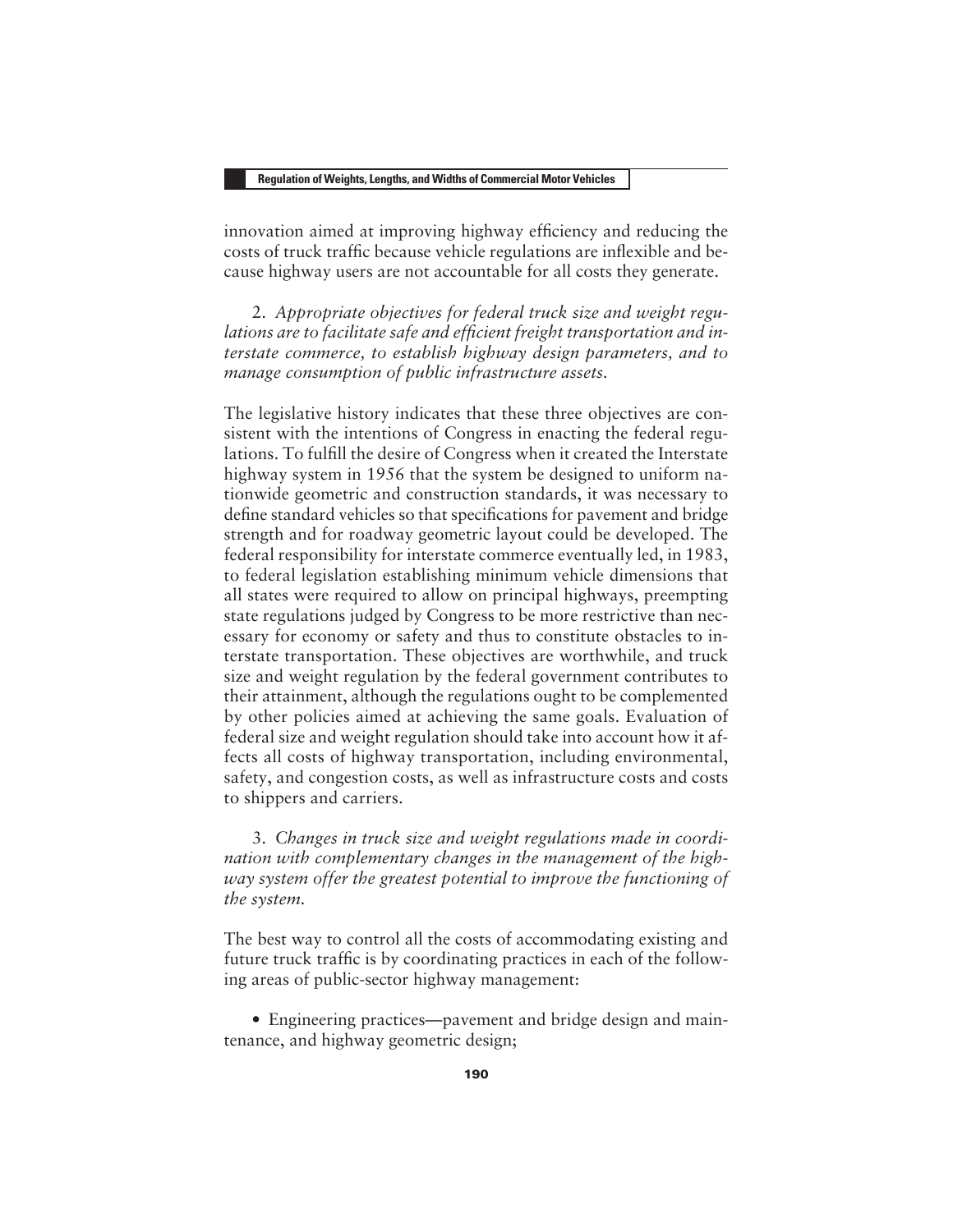innovation aimed at improving highway efficiency and reducing the costs of truck traffic because vehicle regulations are inflexible and because highway users are not accountable for all costs they generate.

2. *Appropriate objectives for federal truck size and weight regulations are to facilitate safe and efficient freight transportation and interstate commerce, to establish highway design parameters, and to manage consumption of public infrastructure assets.*

The legislative history indicates that these three objectives are consistent with the intentions of Congress in enacting the federal regulations. To fulfill the desire of Congress when it created the Interstate highway system in 1956 that the system be designed to uniform nationwide geometric and construction standards, it was necessary to define standard vehicles so that specifications for pavement and bridge strength and for roadway geometric layout could be developed. The federal responsibility for interstate commerce eventually led, in 1983, to federal legislation establishing minimum vehicle dimensions that all states were required to allow on principal highways, preempting state regulations judged by Congress to be more restrictive than necessary for economy or safety and thus to constitute obstacles to interstate transportation. These objectives are worthwhile, and truck size and weight regulation by the federal government contributes to their attainment, although the regulations ought to be complemented by other policies aimed at achieving the same goals. Evaluation of federal size and weight regulation should take into account how it affects all costs of highway transportation, including environmental, safety, and congestion costs, as well as infrastructure costs and costs to shippers and carriers.

3. *Changes in truck size and weight regulations made in coordination with complementary changes in the management of the highway system offer the greatest potential to improve the functioning of the system.*

The best way to control all the costs of accommodating existing and future truck traffic is by coordinating practices in each of the following areas of public-sector highway management:

• Engineering practices—pavement and bridge design and maintenance, and highway geometric design;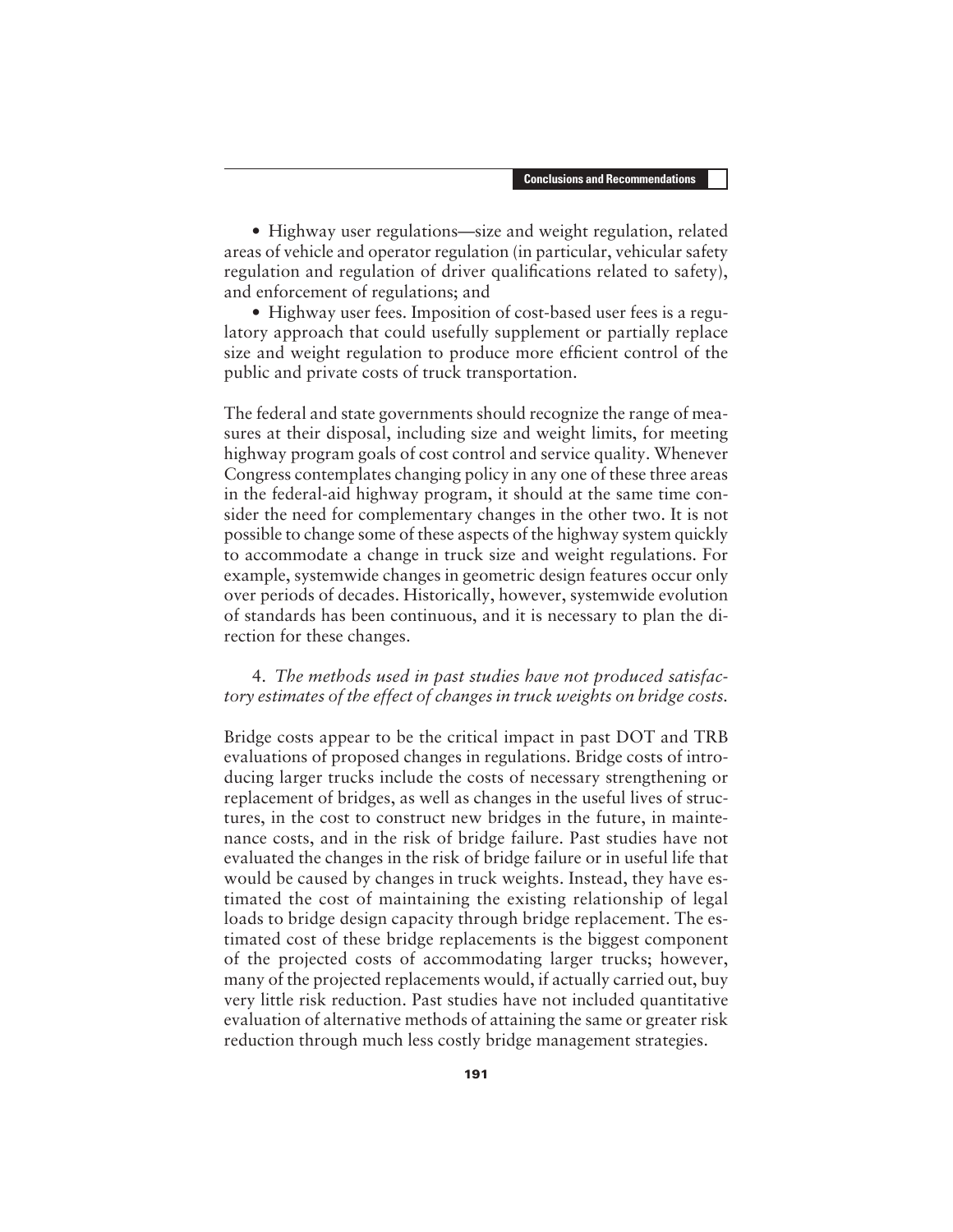• Highway user regulations—size and weight regulation, related areas of vehicle and operator regulation (in particular, vehicular safety regulation and regulation of driver qualifications related to safety), and enforcement of regulations; and

• Highway user fees. Imposition of cost-based user fees is a regulatory approach that could usefully supplement or partially replace size and weight regulation to produce more efficient control of the public and private costs of truck transportation.

The federal and state governments should recognize the range of measures at their disposal, including size and weight limits, for meeting highway program goals of cost control and service quality. Whenever Congress contemplates changing policy in any one of these three areas in the federal-aid highway program, it should at the same time consider the need for complementary changes in the other two. It is not possible to change some of these aspects of the highway system quickly to accommodate a change in truck size and weight regulations. For example, systemwide changes in geometric design features occur only over periods of decades. Historically, however, systemwide evolution of standards has been continuous, and it is necessary to plan the direction for these changes.

## 4. *The methods used in past studies have not produced satisfactory estimates of the effect of changes in truck weights on bridge costs.*

Bridge costs appear to be the critical impact in past DOT and TRB evaluations of proposed changes in regulations. Bridge costs of introducing larger trucks include the costs of necessary strengthening or replacement of bridges, as well as changes in the useful lives of structures, in the cost to construct new bridges in the future, in maintenance costs, and in the risk of bridge failure. Past studies have not evaluated the changes in the risk of bridge failure or in useful life that would be caused by changes in truck weights. Instead, they have estimated the cost of maintaining the existing relationship of legal loads to bridge design capacity through bridge replacement. The estimated cost of these bridge replacements is the biggest component of the projected costs of accommodating larger trucks; however, many of the projected replacements would, if actually carried out, buy very little risk reduction. Past studies have not included quantitative evaluation of alternative methods of attaining the same or greater risk reduction through much less costly bridge management strategies.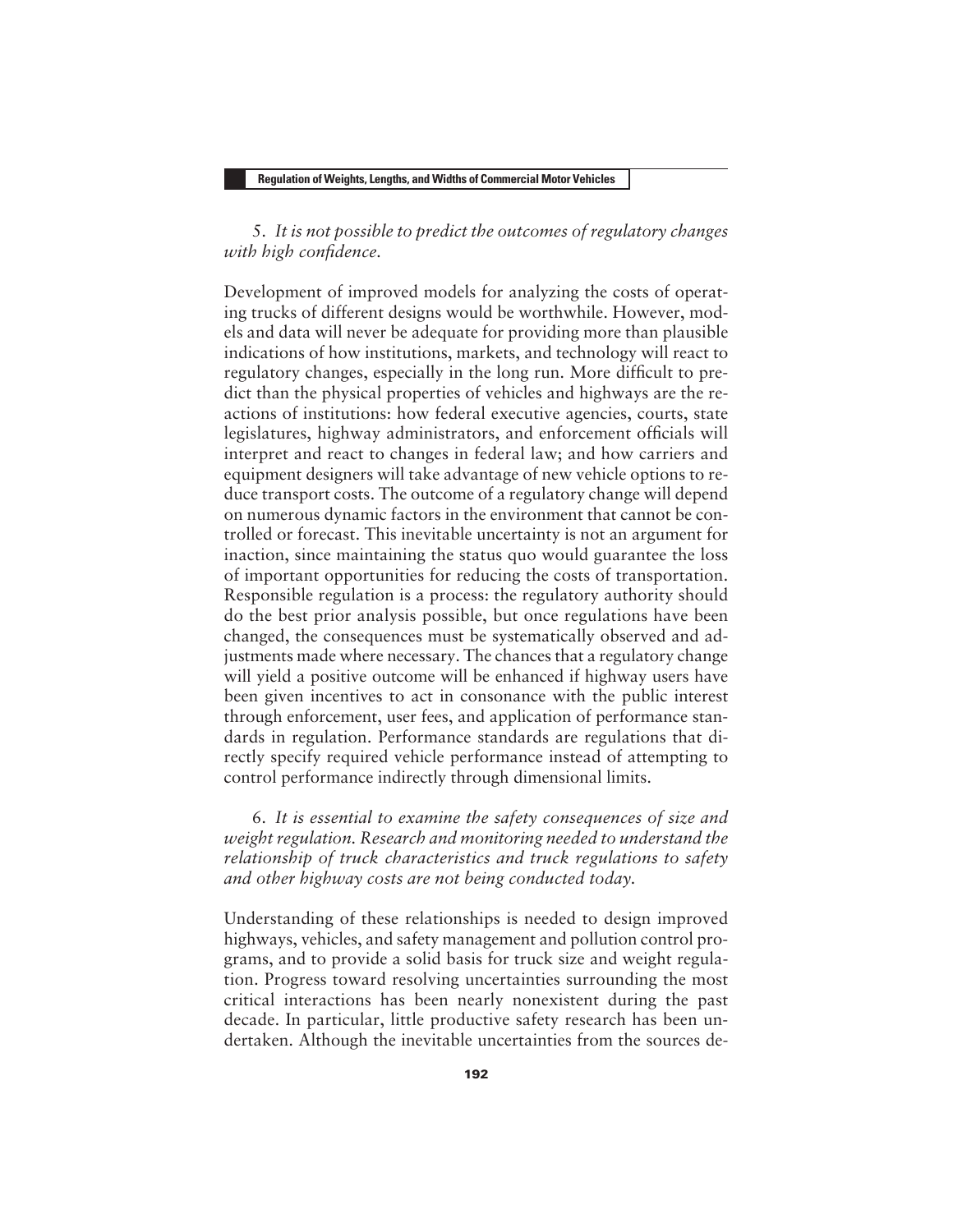5. *It is not possible to predict the outcomes of regulatory changes with high confidence.*

Development of improved models for analyzing the costs of operating trucks of different designs would be worthwhile. However, models and data will never be adequate for providing more than plausible indications of how institutions, markets, and technology will react to regulatory changes, especially in the long run. More difficult to predict than the physical properties of vehicles and highways are the reactions of institutions: how federal executive agencies, courts, state legislatures, highway administrators, and enforcement officials will interpret and react to changes in federal law; and how carriers and equipment designers will take advantage of new vehicle options to reduce transport costs. The outcome of a regulatory change will depend on numerous dynamic factors in the environment that cannot be controlled or forecast. This inevitable uncertainty is not an argument for inaction, since maintaining the status quo would guarantee the loss of important opportunities for reducing the costs of transportation. Responsible regulation is a process: the regulatory authority should do the best prior analysis possible, but once regulations have been changed, the consequences must be systematically observed and adjustments made where necessary. The chances that a regulatory change will yield a positive outcome will be enhanced if highway users have been given incentives to act in consonance with the public interest through enforcement, user fees, and application of performance standards in regulation. Performance standards are regulations that directly specify required vehicle performance instead of attempting to control performance indirectly through dimensional limits.

6. *It is essential to examine the safety consequences of size and weight regulation. Research and monitoring needed to understand the relationship of truck characteristics and truck regulations to safety and other highway costs are not being conducted today.*

Understanding of these relationships is needed to design improved highways, vehicles, and safety management and pollution control programs, and to provide a solid basis for truck size and weight regulation. Progress toward resolving uncertainties surrounding the most critical interactions has been nearly nonexistent during the past decade. In particular, little productive safety research has been undertaken. Although the inevitable uncertainties from the sources de-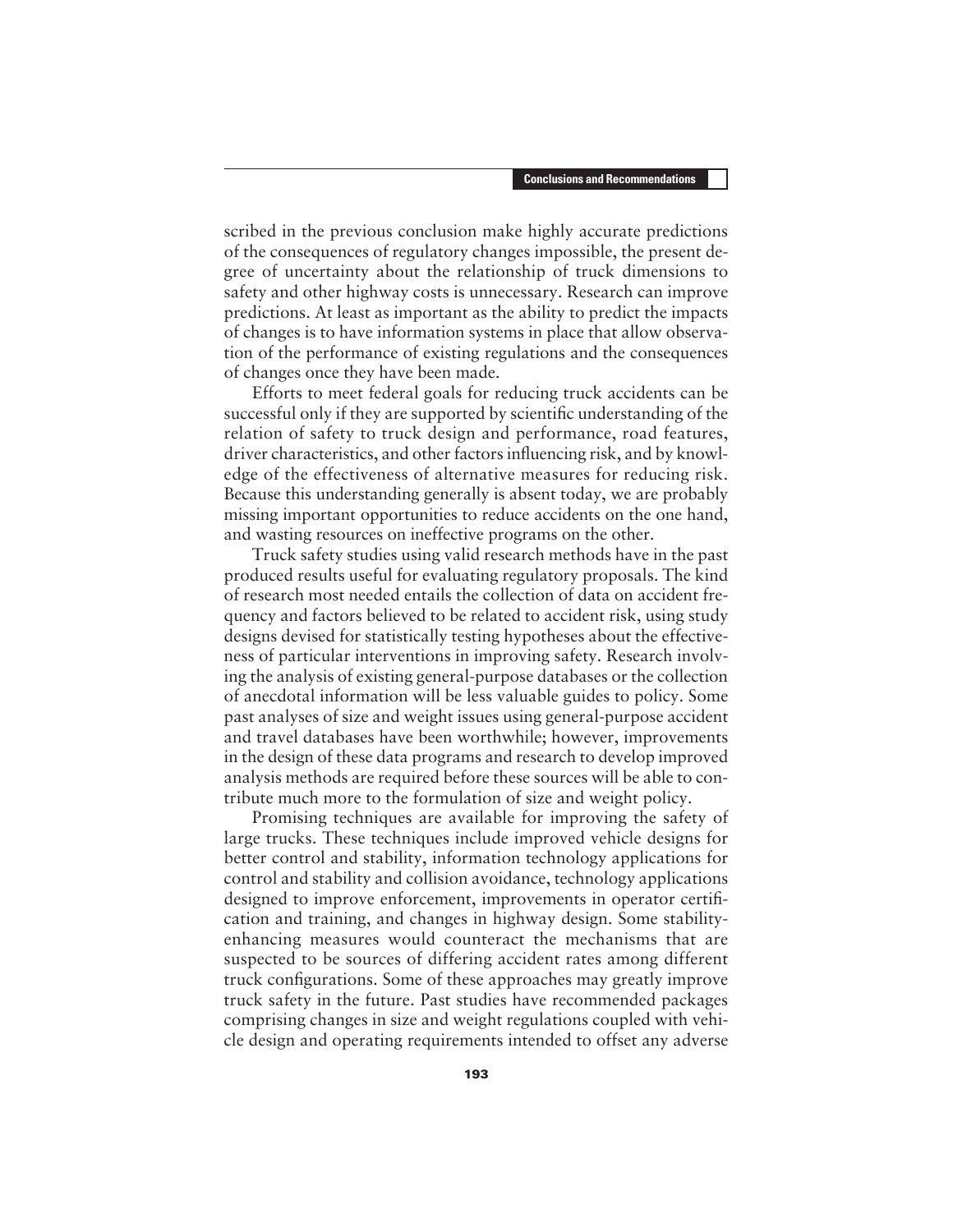scribed in the previous conclusion make highly accurate predictions of the consequences of regulatory changes impossible, the present degree of uncertainty about the relationship of truck dimensions to safety and other highway costs is unnecessary. Research can improve predictions. At least as important as the ability to predict the impacts of changes is to have information systems in place that allow observation of the performance of existing regulations and the consequences of changes once they have been made.

Efforts to meet federal goals for reducing truck accidents can be successful only if they are supported by scientific understanding of the relation of safety to truck design and performance, road features, driver characteristics, and other factors influencing risk, and by knowledge of the effectiveness of alternative measures for reducing risk. Because this understanding generally is absent today, we are probably missing important opportunities to reduce accidents on the one hand, and wasting resources on ineffective programs on the other.

Truck safety studies using valid research methods have in the past produced results useful for evaluating regulatory proposals. The kind of research most needed entails the collection of data on accident frequency and factors believed to be related to accident risk, using study designs devised for statistically testing hypotheses about the effectiveness of particular interventions in improving safety. Research involving the analysis of existing general-purpose databases or the collection of anecdotal information will be less valuable guides to policy. Some past analyses of size and weight issues using general-purpose accident and travel databases have been worthwhile; however, improvements in the design of these data programs and research to develop improved analysis methods are required before these sources will be able to contribute much more to the formulation of size and weight policy.

Promising techniques are available for improving the safety of large trucks. These techniques include improved vehicle designs for better control and stability, information technology applications for control and stability and collision avoidance, technology applications designed to improve enforcement, improvements in operator certification and training, and changes in highway design. Some stabilityenhancing measures would counteract the mechanisms that are suspected to be sources of differing accident rates among different truck configurations. Some of these approaches may greatly improve truck safety in the future. Past studies have recommended packages comprising changes in size and weight regulations coupled with vehicle design and operating requirements intended to offset any adverse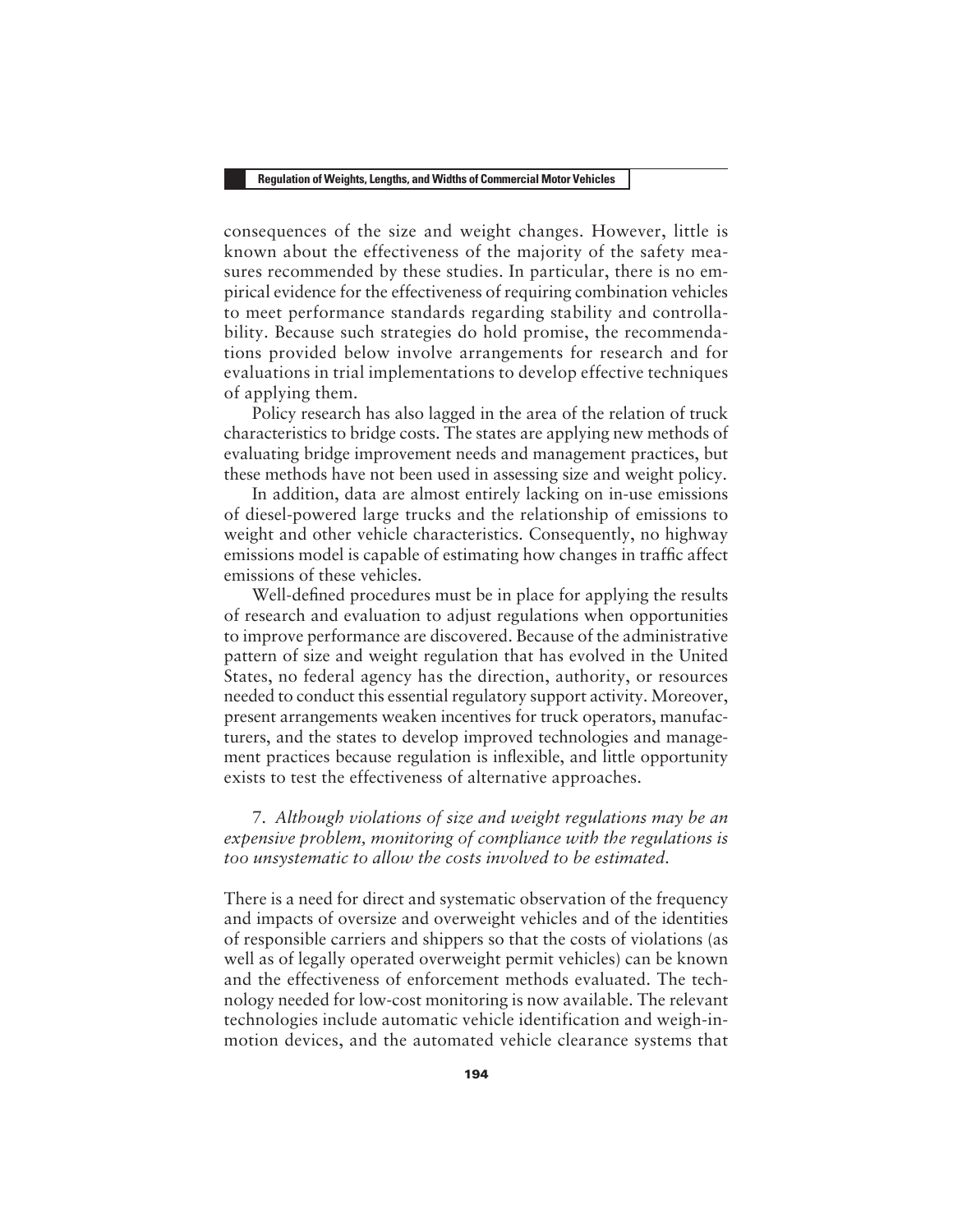consequences of the size and weight changes. However, little is known about the effectiveness of the majority of the safety measures recommended by these studies. In particular, there is no empirical evidence for the effectiveness of requiring combination vehicles to meet performance standards regarding stability and controllability. Because such strategies do hold promise, the recommendations provided below involve arrangements for research and for evaluations in trial implementations to develop effective techniques of applying them.

Policy research has also lagged in the area of the relation of truck characteristics to bridge costs. The states are applying new methods of evaluating bridge improvement needs and management practices, but these methods have not been used in assessing size and weight policy.

In addition, data are almost entirely lacking on in-use emissions of diesel-powered large trucks and the relationship of emissions to weight and other vehicle characteristics. Consequently, no highway emissions model is capable of estimating how changes in traffic affect emissions of these vehicles.

Well-defined procedures must be in place for applying the results of research and evaluation to adjust regulations when opportunities to improve performance are discovered. Because of the administrative pattern of size and weight regulation that has evolved in the United States, no federal agency has the direction, authority, or resources needed to conduct this essential regulatory support activity. Moreover, present arrangements weaken incentives for truck operators, manufacturers, and the states to develop improved technologies and management practices because regulation is inflexible, and little opportunity exists to test the effectiveness of alternative approaches.

# 7. *Although violations of size and weight regulations may be an expensive problem, monitoring of compliance with the regulations is too unsystematic to allow the costs involved to be estimated.*

There is a need for direct and systematic observation of the frequency and impacts of oversize and overweight vehicles and of the identities of responsible carriers and shippers so that the costs of violations (as well as of legally operated overweight permit vehicles) can be known and the effectiveness of enforcement methods evaluated. The technology needed for low-cost monitoring is now available. The relevant technologies include automatic vehicle identification and weigh-inmotion devices, and the automated vehicle clearance systems that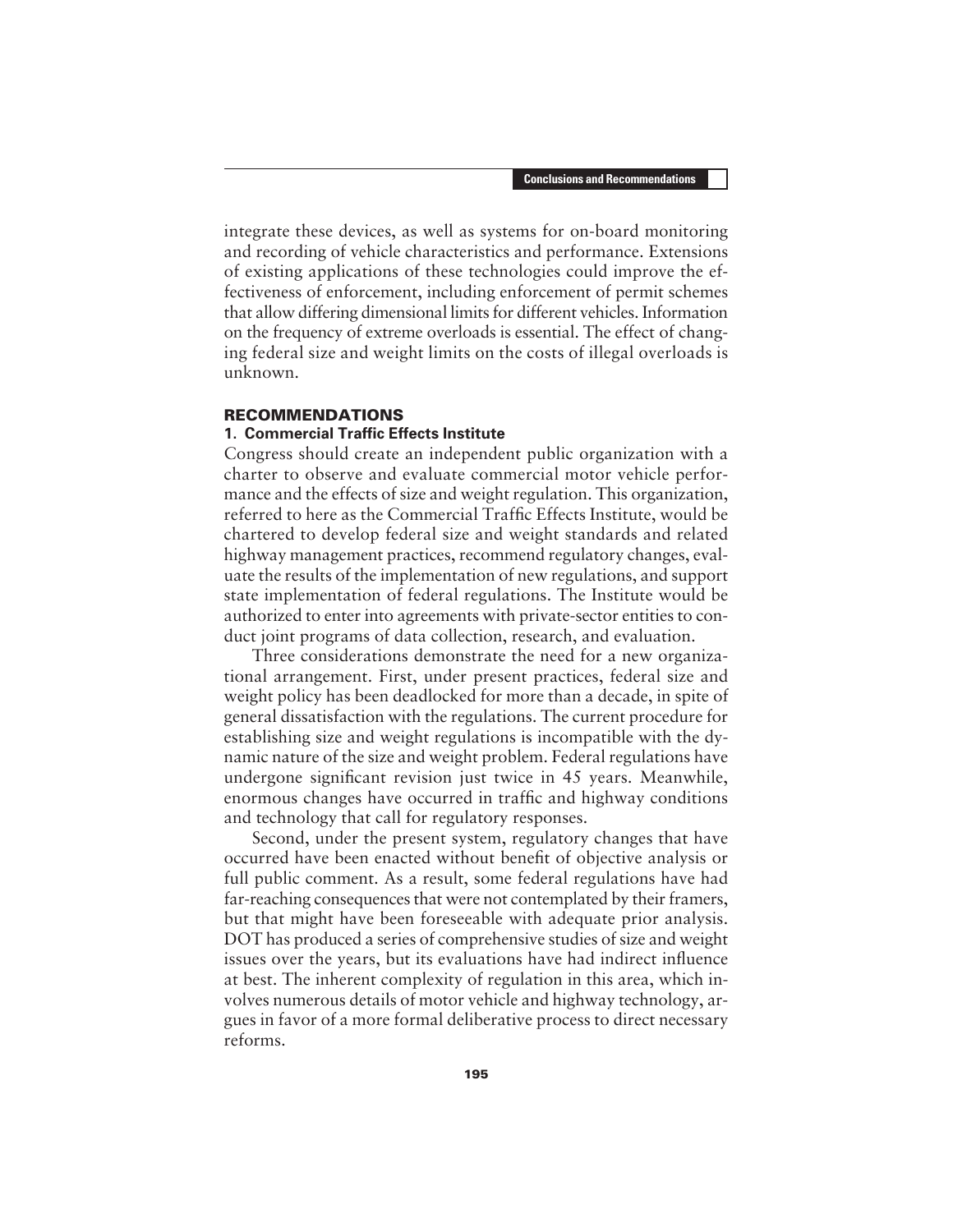integrate these devices, as well as systems for on-board monitoring and recording of vehicle characteristics and performance. Extensions of existing applications of these technologies could improve the effectiveness of enforcement, including enforcement of permit schemes that allow differing dimensional limits for different vehicles. Information on the frequency of extreme overloads is essential. The effect of changing federal size and weight limits on the costs of illegal overloads is unknown.

#### **RECOMMENDATIONS**

## **1. Commercial Traffic Effects Institute**

Congress should create an independent public organization with a charter to observe and evaluate commercial motor vehicle performance and the effects of size and weight regulation. This organization, referred to here as the Commercial Traffic Effects Institute, would be chartered to develop federal size and weight standards and related highway management practices, recommend regulatory changes, evaluate the results of the implementation of new regulations, and support state implementation of federal regulations. The Institute would be authorized to enter into agreements with private-sector entities to conduct joint programs of data collection, research, and evaluation.

Three considerations demonstrate the need for a new organizational arrangement. First, under present practices, federal size and weight policy has been deadlocked for more than a decade, in spite of general dissatisfaction with the regulations. The current procedure for establishing size and weight regulations is incompatible with the dynamic nature of the size and weight problem. Federal regulations have undergone significant revision just twice in 45 years. Meanwhile, enormous changes have occurred in traffic and highway conditions and technology that call for regulatory responses.

Second, under the present system, regulatory changes that have occurred have been enacted without benefit of objective analysis or full public comment. As a result, some federal regulations have had far-reaching consequences that were not contemplated by their framers, but that might have been foreseeable with adequate prior analysis. DOT has produced a series of comprehensive studies of size and weight issues over the years, but its evaluations have had indirect influence at best. The inherent complexity of regulation in this area, which involves numerous details of motor vehicle and highway technology, argues in favor of a more formal deliberative process to direct necessary reforms.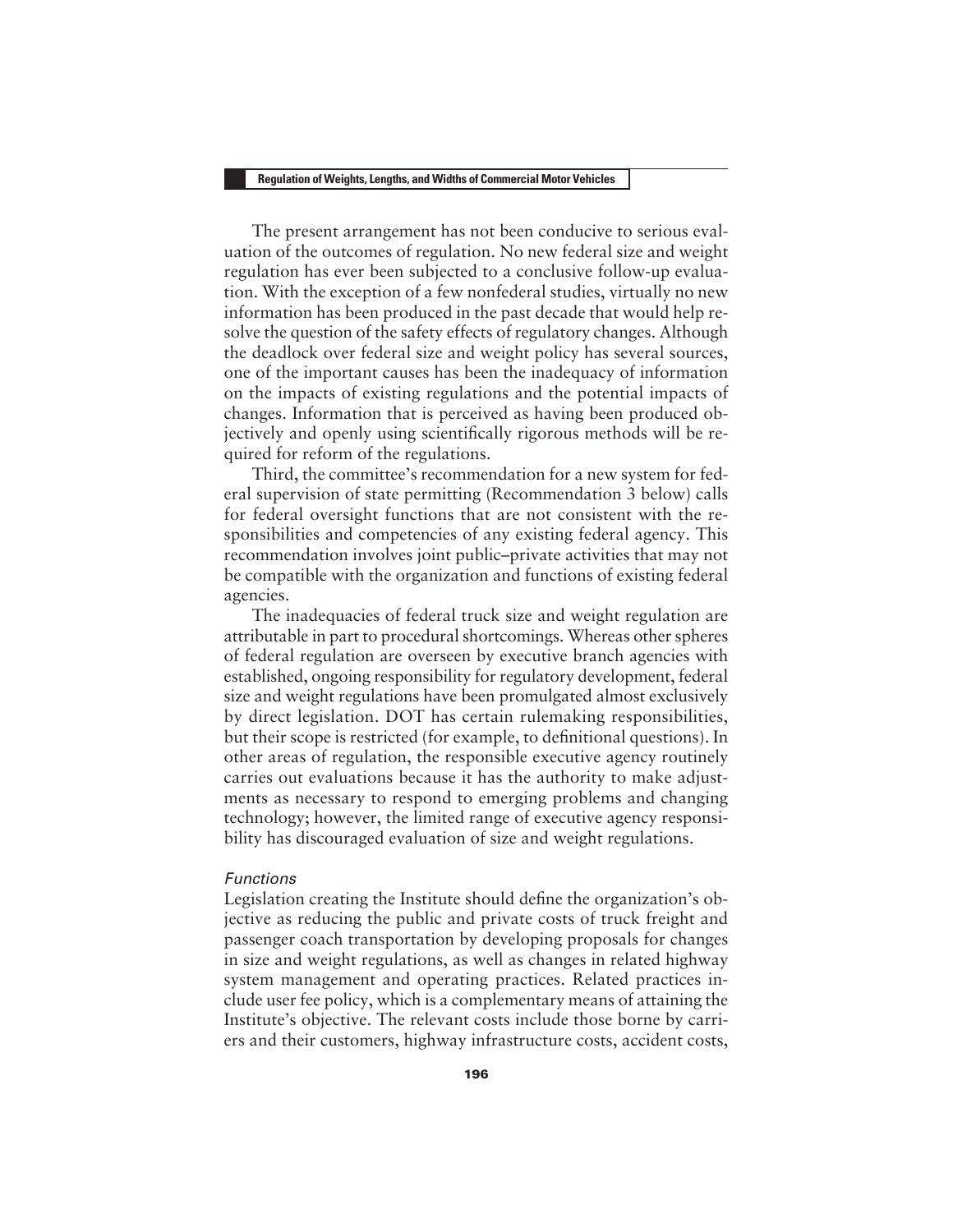The present arrangement has not been conducive to serious evaluation of the outcomes of regulation. No new federal size and weight regulation has ever been subjected to a conclusive follow-up evaluation. With the exception of a few nonfederal studies, virtually no new information has been produced in the past decade that would help resolve the question of the safety effects of regulatory changes. Although the deadlock over federal size and weight policy has several sources, one of the important causes has been the inadequacy of information on the impacts of existing regulations and the potential impacts of changes. Information that is perceived as having been produced objectively and openly using scientifically rigorous methods will be required for reform of the regulations.

Third, the committee's recommendation for a new system for federal supervision of state permitting (Recommendation 3 below) calls for federal oversight functions that are not consistent with the responsibilities and competencies of any existing federal agency. This recommendation involves joint public–private activities that may not be compatible with the organization and functions of existing federal agencies.

The inadequacies of federal truck size and weight regulation are attributable in part to procedural shortcomings. Whereas other spheres of federal regulation are overseen by executive branch agencies with established, ongoing responsibility for regulatory development, federal size and weight regulations have been promulgated almost exclusively by direct legislation. DOT has certain rulemaking responsibilities, but their scope is restricted (for example, to definitional questions). In other areas of regulation, the responsible executive agency routinely carries out evaluations because it has the authority to make adjustments as necessary to respond to emerging problems and changing technology; however, the limited range of executive agency responsibility has discouraged evaluation of size and weight regulations.

## Functions

Legislation creating the Institute should define the organization's objective as reducing the public and private costs of truck freight and passenger coach transportation by developing proposals for changes in size and weight regulations, as well as changes in related highway system management and operating practices. Related practices include user fee policy, which is a complementary means of attaining the Institute's objective. The relevant costs include those borne by carriers and their customers, highway infrastructure costs, accident costs,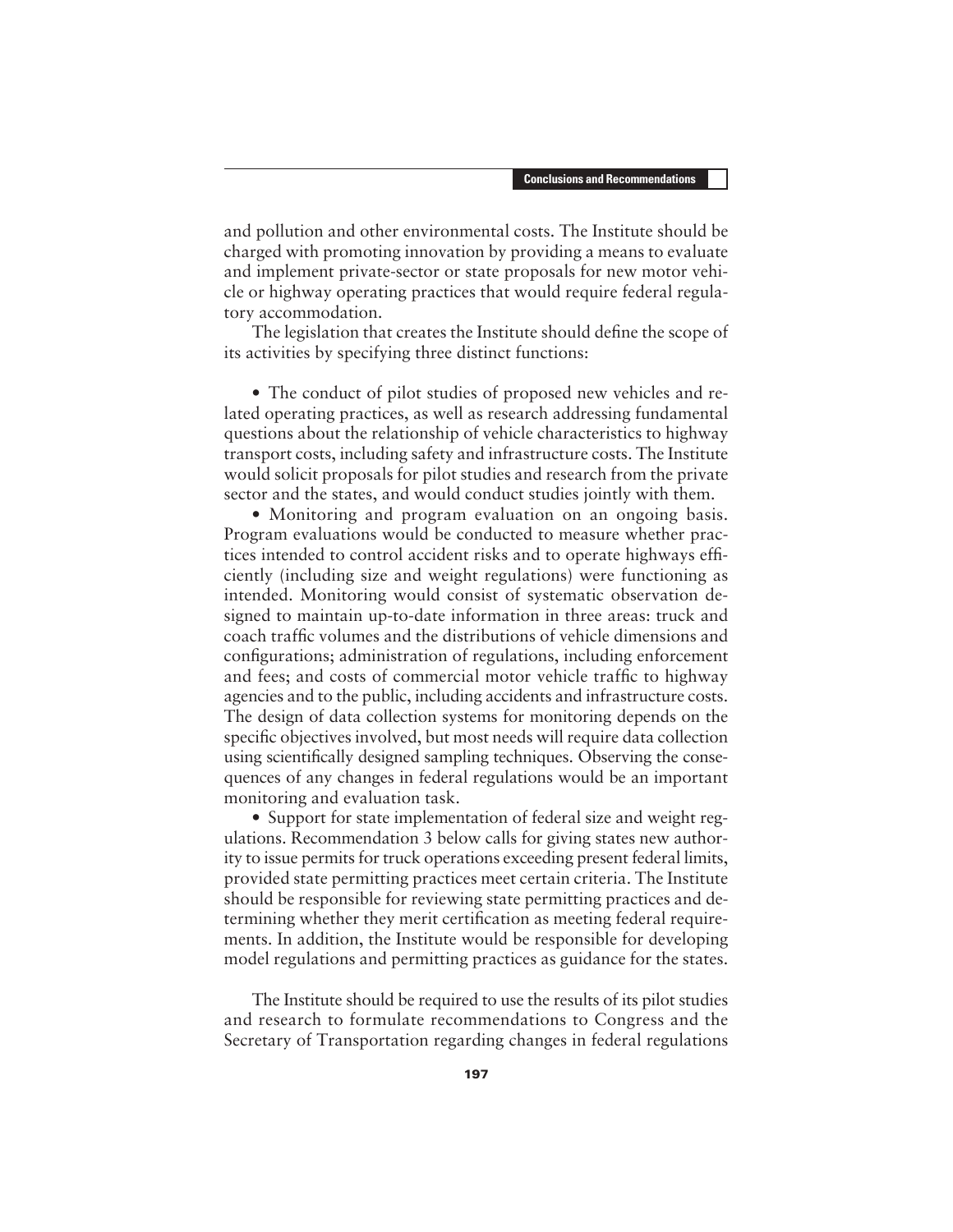and pollution and other environmental costs. The Institute should be charged with promoting innovation by providing a means to evaluate and implement private-sector or state proposals for new motor vehicle or highway operating practices that would require federal regulatory accommodation.

The legislation that creates the Institute should define the scope of its activities by specifying three distinct functions:

• The conduct of pilot studies of proposed new vehicles and related operating practices, as well as research addressing fundamental questions about the relationship of vehicle characteristics to highway transport costs, including safety and infrastructure costs. The Institute would solicit proposals for pilot studies and research from the private sector and the states, and would conduct studies jointly with them.

• Monitoring and program evaluation on an ongoing basis. Program evaluations would be conducted to measure whether practices intended to control accident risks and to operate highways efficiently (including size and weight regulations) were functioning as intended. Monitoring would consist of systematic observation designed to maintain up-to-date information in three areas: truck and coach traffic volumes and the distributions of vehicle dimensions and configurations; administration of regulations, including enforcement and fees; and costs of commercial motor vehicle traffic to highway agencies and to the public, including accidents and infrastructure costs. The design of data collection systems for monitoring depends on the specific objectives involved, but most needs will require data collection using scientifically designed sampling techniques. Observing the consequences of any changes in federal regulations would be an important monitoring and evaluation task.

• Support for state implementation of federal size and weight regulations. Recommendation 3 below calls for giving states new authority to issue permits for truck operations exceeding present federal limits, provided state permitting practices meet certain criteria. The Institute should be responsible for reviewing state permitting practices and determining whether they merit certification as meeting federal requirements. In addition, the Institute would be responsible for developing model regulations and permitting practices as guidance for the states.

The Institute should be required to use the results of its pilot studies and research to formulate recommendations to Congress and the Secretary of Transportation regarding changes in federal regulations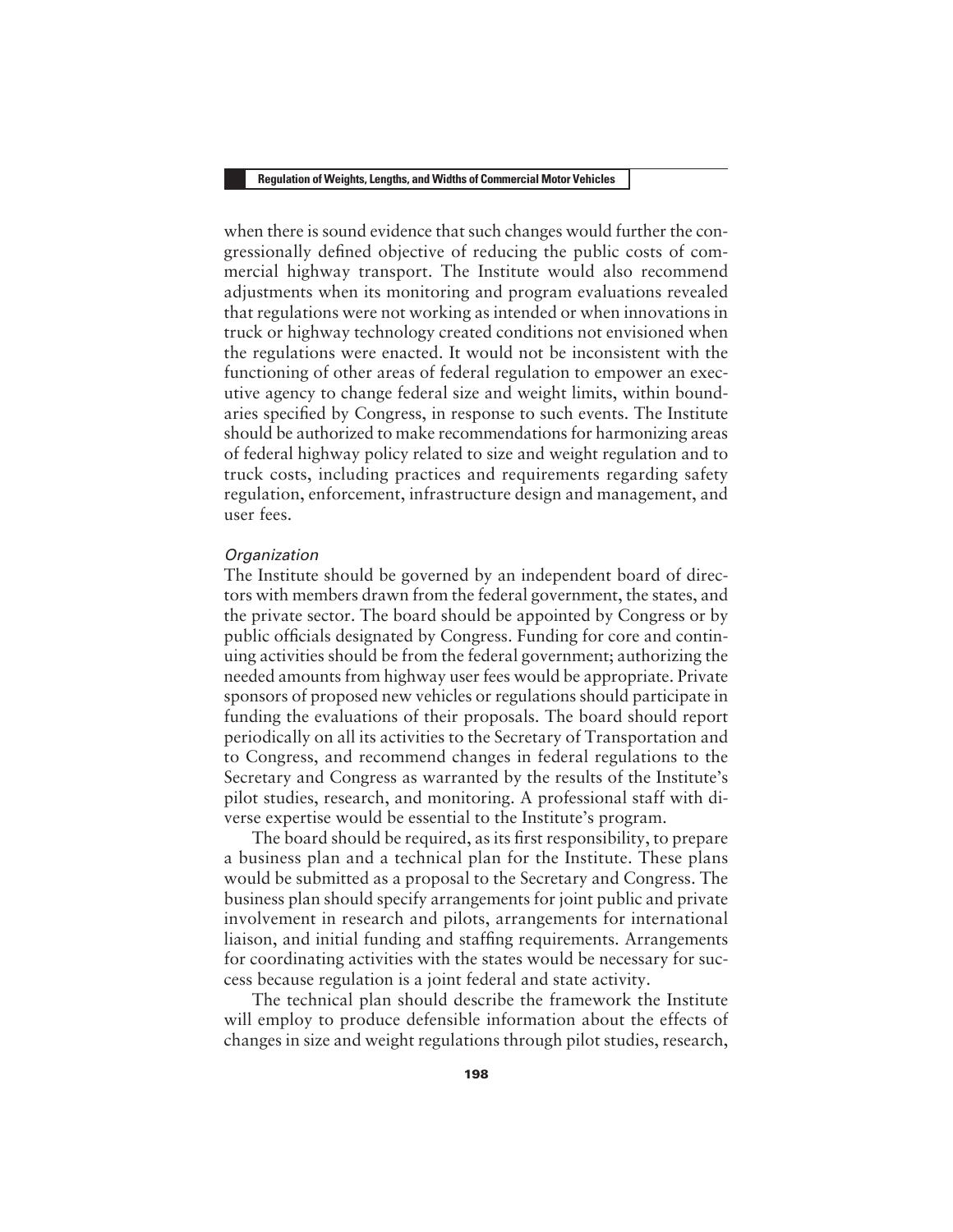when there is sound evidence that such changes would further the congressionally defined objective of reducing the public costs of commercial highway transport. The Institute would also recommend adjustments when its monitoring and program evaluations revealed that regulations were not working as intended or when innovations in truck or highway technology created conditions not envisioned when the regulations were enacted. It would not be inconsistent with the functioning of other areas of federal regulation to empower an executive agency to change federal size and weight limits, within boundaries specified by Congress, in response to such events. The Institute should be authorized to make recommendations for harmonizing areas of federal highway policy related to size and weight regulation and to truck costs, including practices and requirements regarding safety regulation, enforcement, infrastructure design and management, and user fees.

## **Organization**

The Institute should be governed by an independent board of directors with members drawn from the federal government, the states, and the private sector. The board should be appointed by Congress or by public officials designated by Congress. Funding for core and continuing activities should be from the federal government; authorizing the needed amounts from highway user fees would be appropriate. Private sponsors of proposed new vehicles or regulations should participate in funding the evaluations of their proposals. The board should report periodically on all its activities to the Secretary of Transportation and to Congress, and recommend changes in federal regulations to the Secretary and Congress as warranted by the results of the Institute's pilot studies, research, and monitoring. A professional staff with diverse expertise would be essential to the Institute's program.

The board should be required, as its first responsibility, to prepare a business plan and a technical plan for the Institute. These plans would be submitted as a proposal to the Secretary and Congress. The business plan should specify arrangements for joint public and private involvement in research and pilots, arrangements for international liaison, and initial funding and staffing requirements. Arrangements for coordinating activities with the states would be necessary for success because regulation is a joint federal and state activity.

The technical plan should describe the framework the Institute will employ to produce defensible information about the effects of changes in size and weight regulations through pilot studies, research,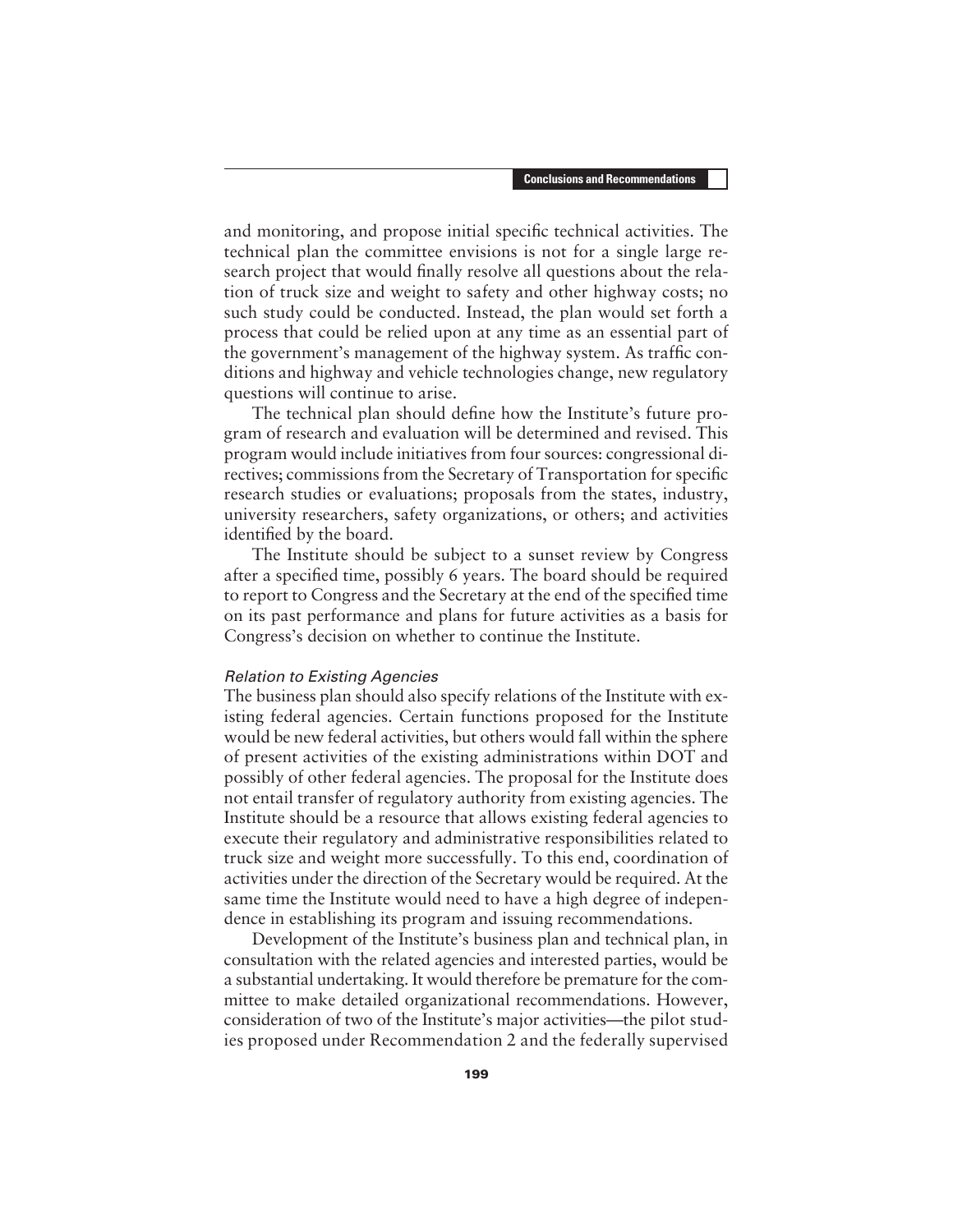and monitoring, and propose initial specific technical activities. The technical plan the committee envisions is not for a single large research project that would finally resolve all questions about the relation of truck size and weight to safety and other highway costs; no such study could be conducted. Instead, the plan would set forth a process that could be relied upon at any time as an essential part of the government's management of the highway system. As traffic conditions and highway and vehicle technologies change, new regulatory questions will continue to arise.

The technical plan should define how the Institute's future program of research and evaluation will be determined and revised. This program would include initiatives from four sources: congressional directives; commissions from the Secretary of Transportation for specific research studies or evaluations; proposals from the states, industry, university researchers, safety organizations, or others; and activities identified by the board.

The Institute should be subject to a sunset review by Congress after a specified time, possibly 6 years. The board should be required to report to Congress and the Secretary at the end of the specified time on its past performance and plans for future activities as a basis for Congress's decision on whether to continue the Institute.

#### Relation to Existing Agencies

The business plan should also specify relations of the Institute with existing federal agencies. Certain functions proposed for the Institute would be new federal activities, but others would fall within the sphere of present activities of the existing administrations within DOT and possibly of other federal agencies. The proposal for the Institute does not entail transfer of regulatory authority from existing agencies. The Institute should be a resource that allows existing federal agencies to execute their regulatory and administrative responsibilities related to truck size and weight more successfully. To this end, coordination of activities under the direction of the Secretary would be required. At the same time the Institute would need to have a high degree of independence in establishing its program and issuing recommendations.

Development of the Institute's business plan and technical plan, in consultation with the related agencies and interested parties, would be a substantial undertaking. It would therefore be premature for the committee to make detailed organizational recommendations. However, consideration of two of the Institute's major activities—the pilot studies proposed under Recommendation 2 and the federally supervised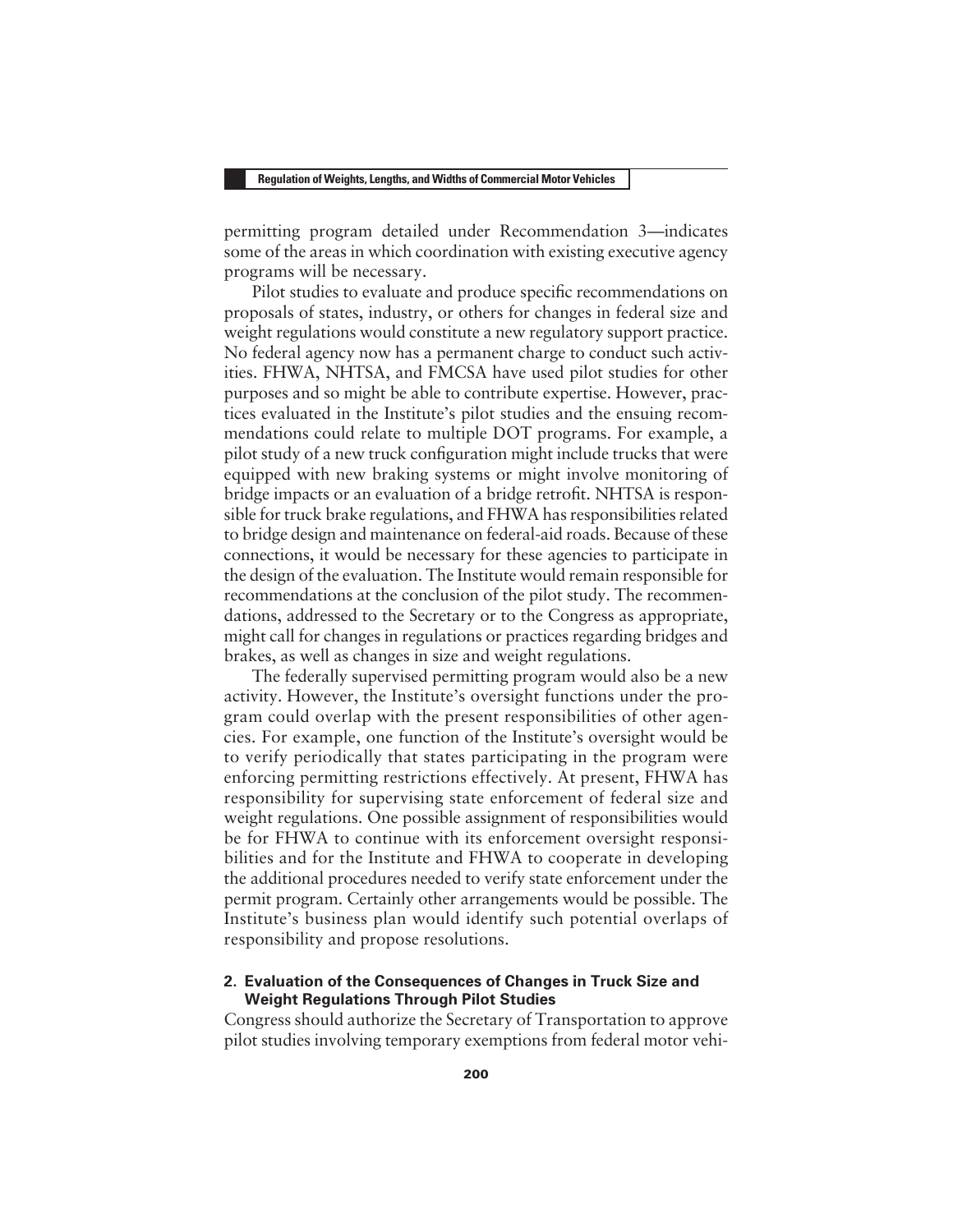permitting program detailed under Recommendation 3—indicates some of the areas in which coordination with existing executive agency programs will be necessary.

Pilot studies to evaluate and produce specific recommendations on proposals of states, industry, or others for changes in federal size and weight regulations would constitute a new regulatory support practice. No federal agency now has a permanent charge to conduct such activities. FHWA, NHTSA, and FMCSA have used pilot studies for other purposes and so might be able to contribute expertise. However, practices evaluated in the Institute's pilot studies and the ensuing recommendations could relate to multiple DOT programs. For example, a pilot study of a new truck configuration might include trucks that were equipped with new braking systems or might involve monitoring of bridge impacts or an evaluation of a bridge retrofit. NHTSA is responsible for truck brake regulations, and FHWA has responsibilities related to bridge design and maintenance on federal-aid roads. Because of these connections, it would be necessary for these agencies to participate in the design of the evaluation. The Institute would remain responsible for recommendations at the conclusion of the pilot study. The recommendations, addressed to the Secretary or to the Congress as appropriate, might call for changes in regulations or practices regarding bridges and brakes, as well as changes in size and weight regulations.

The federally supervised permitting program would also be a new activity. However, the Institute's oversight functions under the program could overlap with the present responsibilities of other agencies. For example, one function of the Institute's oversight would be to verify periodically that states participating in the program were enforcing permitting restrictions effectively. At present, FHWA has responsibility for supervising state enforcement of federal size and weight regulations. One possible assignment of responsibilities would be for FHWA to continue with its enforcement oversight responsibilities and for the Institute and FHWA to cooperate in developing the additional procedures needed to verify state enforcement under the permit program. Certainly other arrangements would be possible. The Institute's business plan would identify such potential overlaps of responsibility and propose resolutions.

## **2. Evaluation of the Consequences of Changes in Truck Size and Weight Regulations Through Pilot Studies**

Congress should authorize the Secretary of Transportation to approve pilot studies involving temporary exemptions from federal motor vehi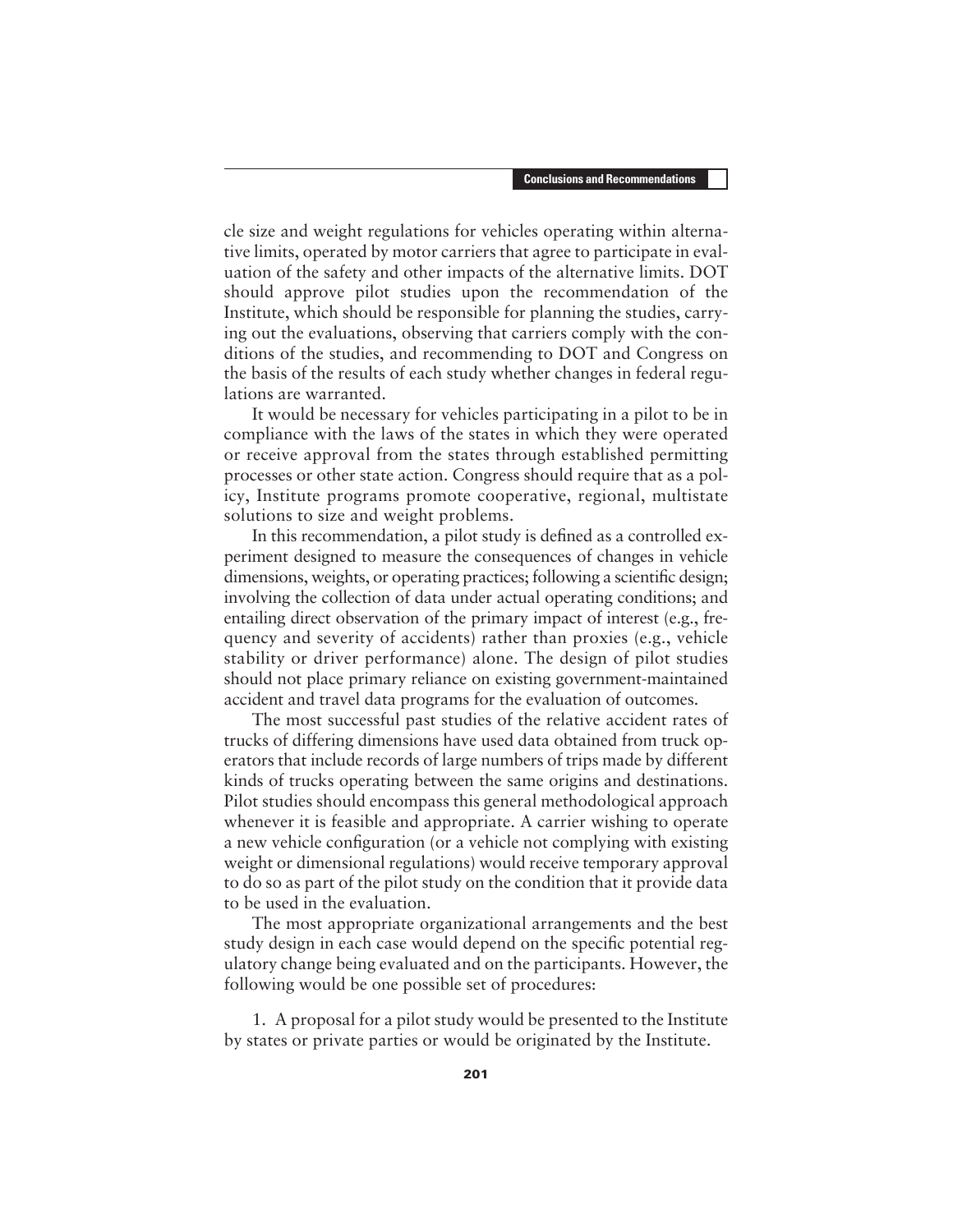cle size and weight regulations for vehicles operating within alternative limits, operated by motor carriers that agree to participate in evaluation of the safety and other impacts of the alternative limits. DOT should approve pilot studies upon the recommendation of the Institute, which should be responsible for planning the studies, carrying out the evaluations, observing that carriers comply with the conditions of the studies, and recommending to DOT and Congress on the basis of the results of each study whether changes in federal regulations are warranted.

It would be necessary for vehicles participating in a pilot to be in compliance with the laws of the states in which they were operated or receive approval from the states through established permitting processes or other state action. Congress should require that as a policy, Institute programs promote cooperative, regional, multistate solutions to size and weight problems.

In this recommendation, a pilot study is defined as a controlled experiment designed to measure the consequences of changes in vehicle dimensions, weights, or operating practices; following a scientific design; involving the collection of data under actual operating conditions; and entailing direct observation of the primary impact of interest (e.g., frequency and severity of accidents) rather than proxies (e.g., vehicle stability or driver performance) alone. The design of pilot studies should not place primary reliance on existing government-maintained accident and travel data programs for the evaluation of outcomes.

The most successful past studies of the relative accident rates of trucks of differing dimensions have used data obtained from truck operators that include records of large numbers of trips made by different kinds of trucks operating between the same origins and destinations. Pilot studies should encompass this general methodological approach whenever it is feasible and appropriate. A carrier wishing to operate a new vehicle configuration (or a vehicle not complying with existing weight or dimensional regulations) would receive temporary approval to do so as part of the pilot study on the condition that it provide data to be used in the evaluation.

The most appropriate organizational arrangements and the best study design in each case would depend on the specific potential regulatory change being evaluated and on the participants. However, the following would be one possible set of procedures:

1. A proposal for a pilot study would be presented to the Institute by states or private parties or would be originated by the Institute.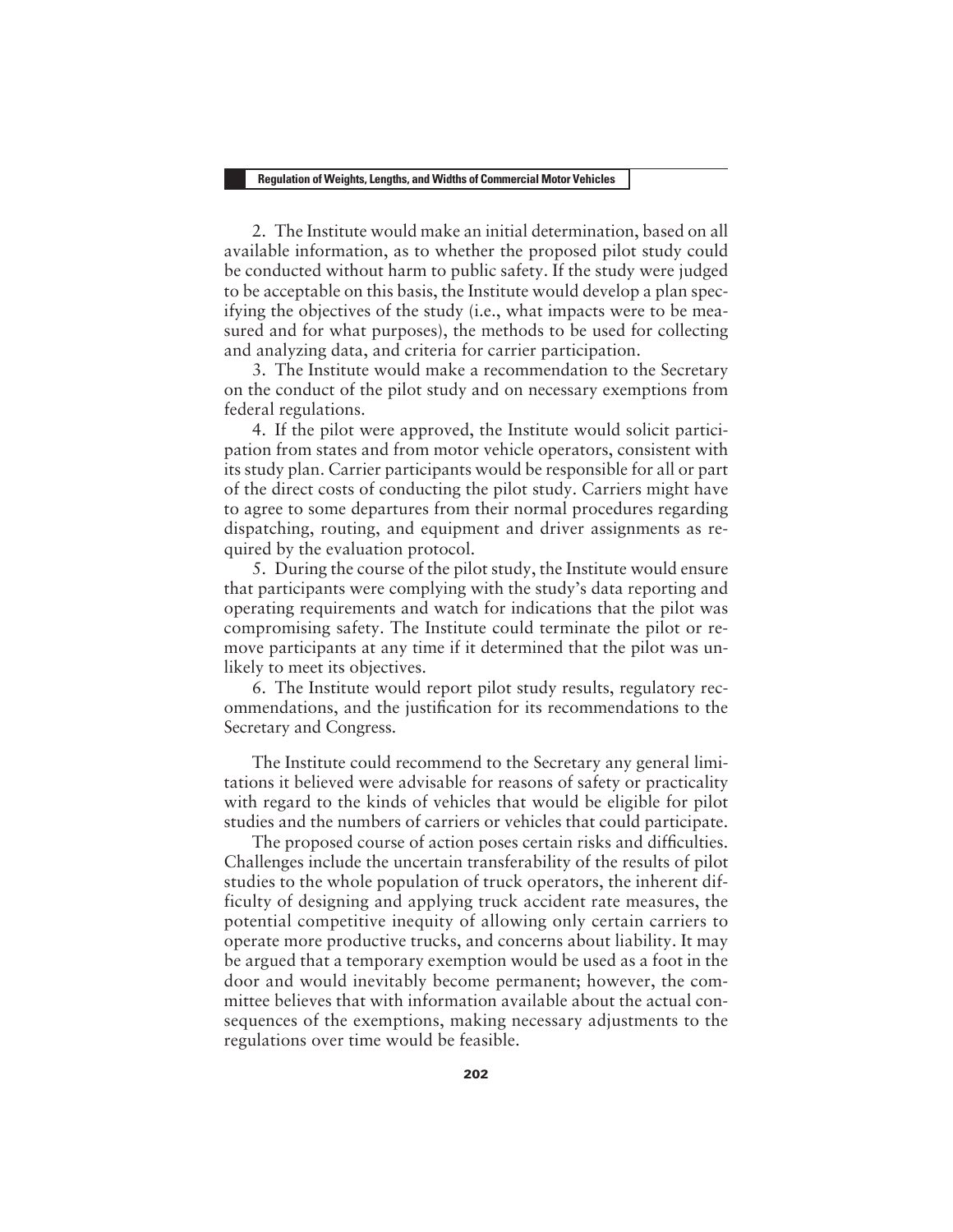2. The Institute would make an initial determination, based on all available information, as to whether the proposed pilot study could be conducted without harm to public safety. If the study were judged to be acceptable on this basis, the Institute would develop a plan specifying the objectives of the study (i.e., what impacts were to be measured and for what purposes), the methods to be used for collecting and analyzing data, and criteria for carrier participation.

3. The Institute would make a recommendation to the Secretary on the conduct of the pilot study and on necessary exemptions from federal regulations.

4. If the pilot were approved, the Institute would solicit participation from states and from motor vehicle operators, consistent with its study plan. Carrier participants would be responsible for all or part of the direct costs of conducting the pilot study. Carriers might have to agree to some departures from their normal procedures regarding dispatching, routing, and equipment and driver assignments as required by the evaluation protocol.

5. During the course of the pilot study, the Institute would ensure that participants were complying with the study's data reporting and operating requirements and watch for indications that the pilot was compromising safety. The Institute could terminate the pilot or remove participants at any time if it determined that the pilot was unlikely to meet its objectives.

6. The Institute would report pilot study results, regulatory recommendations, and the justification for its recommendations to the Secretary and Congress.

The Institute could recommend to the Secretary any general limitations it believed were advisable for reasons of safety or practicality with regard to the kinds of vehicles that would be eligible for pilot studies and the numbers of carriers or vehicles that could participate.

The proposed course of action poses certain risks and difficulties. Challenges include the uncertain transferability of the results of pilot studies to the whole population of truck operators, the inherent difficulty of designing and applying truck accident rate measures, the potential competitive inequity of allowing only certain carriers to operate more productive trucks, and concerns about liability. It may be argued that a temporary exemption would be used as a foot in the door and would inevitably become permanent; however, the committee believes that with information available about the actual consequences of the exemptions, making necessary adjustments to the regulations over time would be feasible.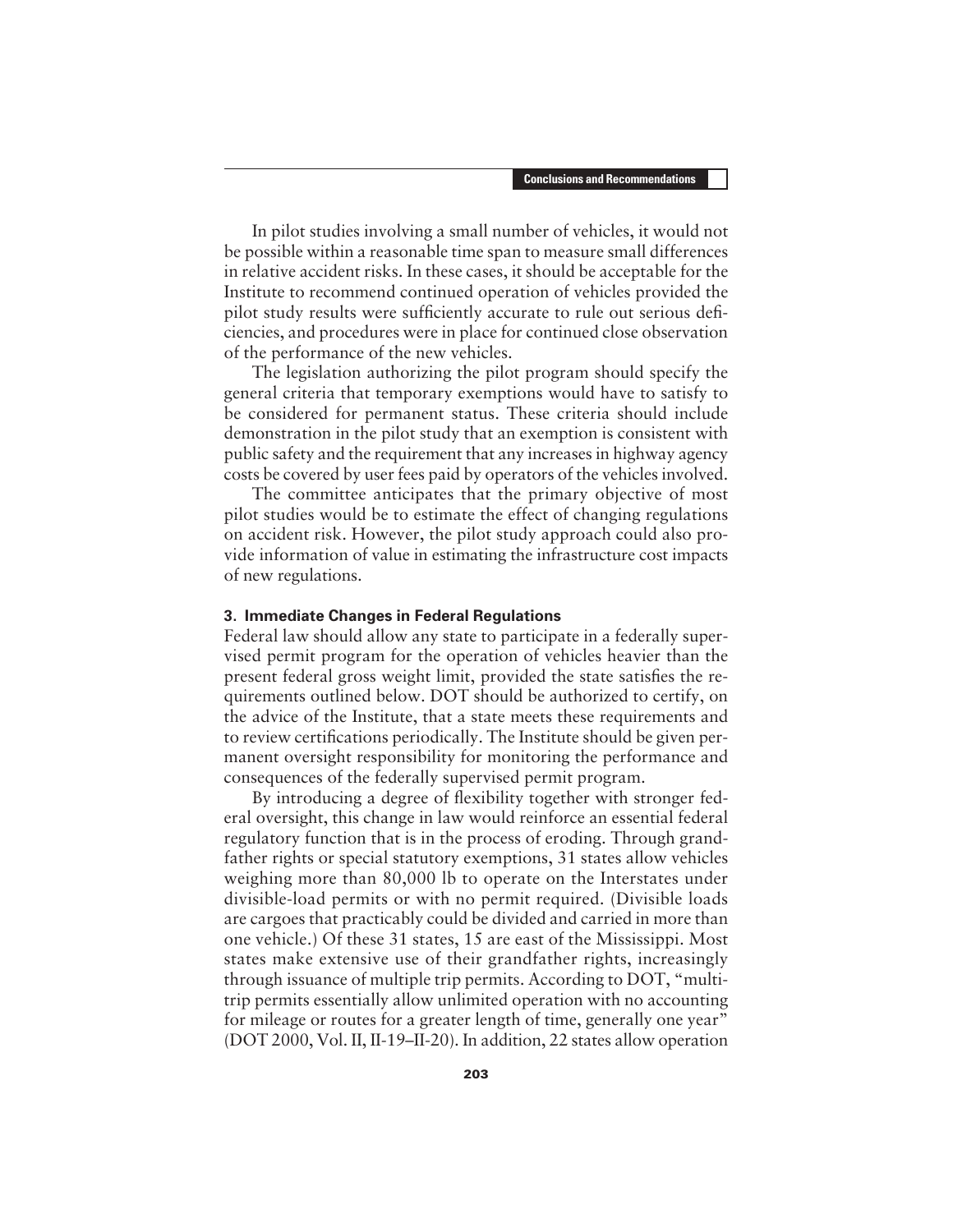In pilot studies involving a small number of vehicles, it would not be possible within a reasonable time span to measure small differences in relative accident risks. In these cases, it should be acceptable for the Institute to recommend continued operation of vehicles provided the pilot study results were sufficiently accurate to rule out serious deficiencies, and procedures were in place for continued close observation of the performance of the new vehicles.

The legislation authorizing the pilot program should specify the general criteria that temporary exemptions would have to satisfy to be considered for permanent status. These criteria should include demonstration in the pilot study that an exemption is consistent with public safety and the requirement that any increases in highway agency costs be covered by user fees paid by operators of the vehicles involved.

The committee anticipates that the primary objective of most pilot studies would be to estimate the effect of changing regulations on accident risk. However, the pilot study approach could also provide information of value in estimating the infrastructure cost impacts of new regulations.

#### **3. Immediate Changes in Federal Regulations**

Federal law should allow any state to participate in a federally supervised permit program for the operation of vehicles heavier than the present federal gross weight limit, provided the state satisfies the requirements outlined below. DOT should be authorized to certify, on the advice of the Institute, that a state meets these requirements and to review certifications periodically. The Institute should be given permanent oversight responsibility for monitoring the performance and consequences of the federally supervised permit program.

By introducing a degree of flexibility together with stronger federal oversight, this change in law would reinforce an essential federal regulatory function that is in the process of eroding. Through grandfather rights or special statutory exemptions, 31 states allow vehicles weighing more than 80,000 lb to operate on the Interstates under divisible-load permits or with no permit required. (Divisible loads are cargoes that practicably could be divided and carried in more than one vehicle.) Of these 31 states, 15 are east of the Mississippi. Most states make extensive use of their grandfather rights, increasingly through issuance of multiple trip permits. According to DOT, "multitrip permits essentially allow unlimited operation with no accounting for mileage or routes for a greater length of time, generally one year" (DOT 2000, Vol. II, II-19–II-20). In addition, 22 states allow operation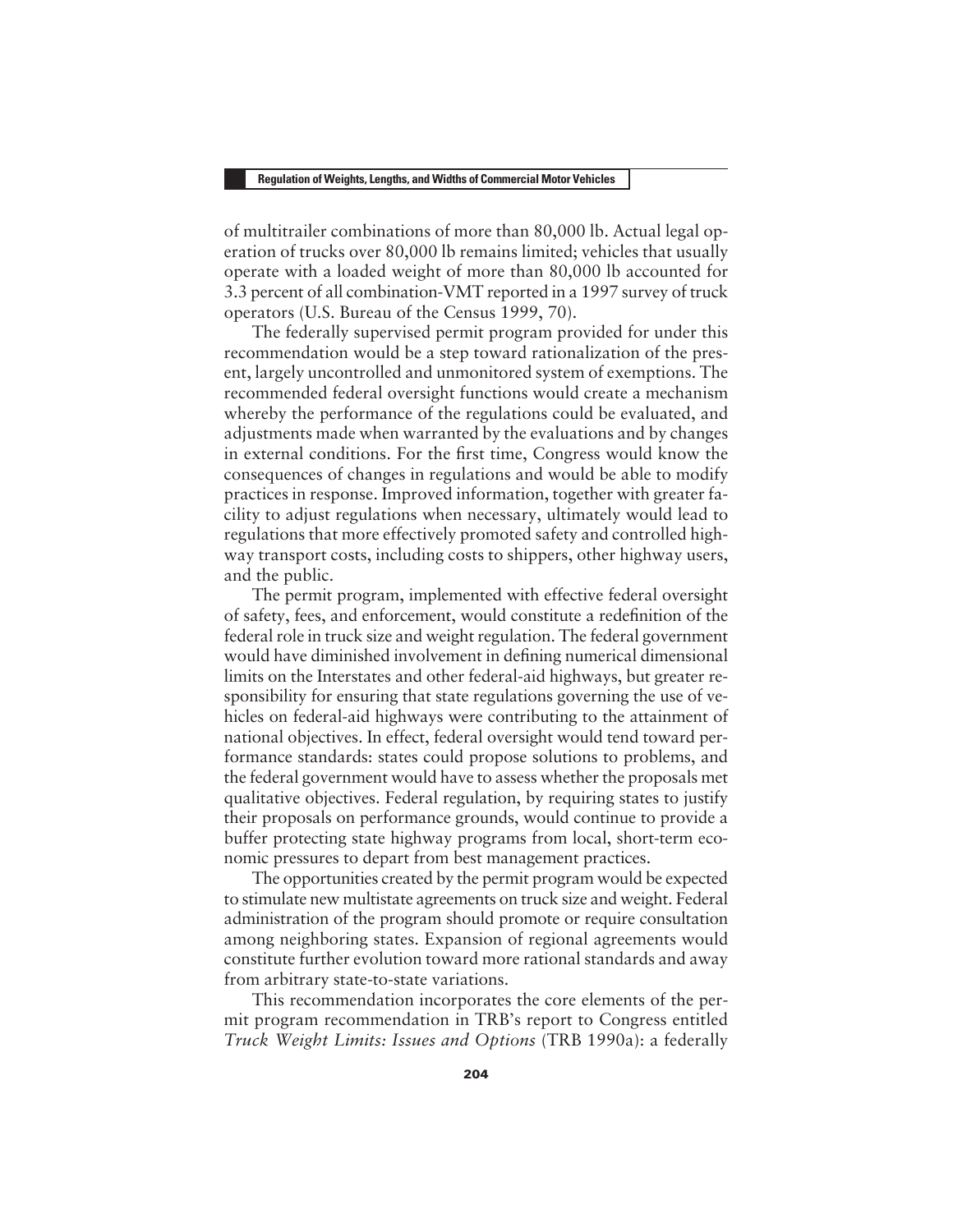of multitrailer combinations of more than 80,000 lb. Actual legal operation of trucks over 80,000 lb remains limited; vehicles that usually operate with a loaded weight of more than 80,000 lb accounted for 3.3 percent of all combination-VMT reported in a 1997 survey of truck operators (U.S. Bureau of the Census 1999, 70).

The federally supervised permit program provided for under this recommendation would be a step toward rationalization of the present, largely uncontrolled and unmonitored system of exemptions. The recommended federal oversight functions would create a mechanism whereby the performance of the regulations could be evaluated, and adjustments made when warranted by the evaluations and by changes in external conditions. For the first time, Congress would know the consequences of changes in regulations and would be able to modify practices in response. Improved information, together with greater facility to adjust regulations when necessary, ultimately would lead to regulations that more effectively promoted safety and controlled highway transport costs, including costs to shippers, other highway users, and the public.

The permit program, implemented with effective federal oversight of safety, fees, and enforcement, would constitute a redefinition of the federal role in truck size and weight regulation. The federal government would have diminished involvement in defining numerical dimensional limits on the Interstates and other federal-aid highways, but greater responsibility for ensuring that state regulations governing the use of vehicles on federal-aid highways were contributing to the attainment of national objectives. In effect, federal oversight would tend toward performance standards: states could propose solutions to problems, and the federal government would have to assess whether the proposals met qualitative objectives. Federal regulation, by requiring states to justify their proposals on performance grounds, would continue to provide a buffer protecting state highway programs from local, short-term economic pressures to depart from best management practices.

The opportunities created by the permit program would be expected to stimulate new multistate agreements on truck size and weight. Federal administration of the program should promote or require consultation among neighboring states. Expansion of regional agreements would constitute further evolution toward more rational standards and away from arbitrary state-to-state variations.

This recommendation incorporates the core elements of the permit program recommendation in TRB's report to Congress entitled *Truck Weight Limits: Issues and Options* (TRB 1990a): a federally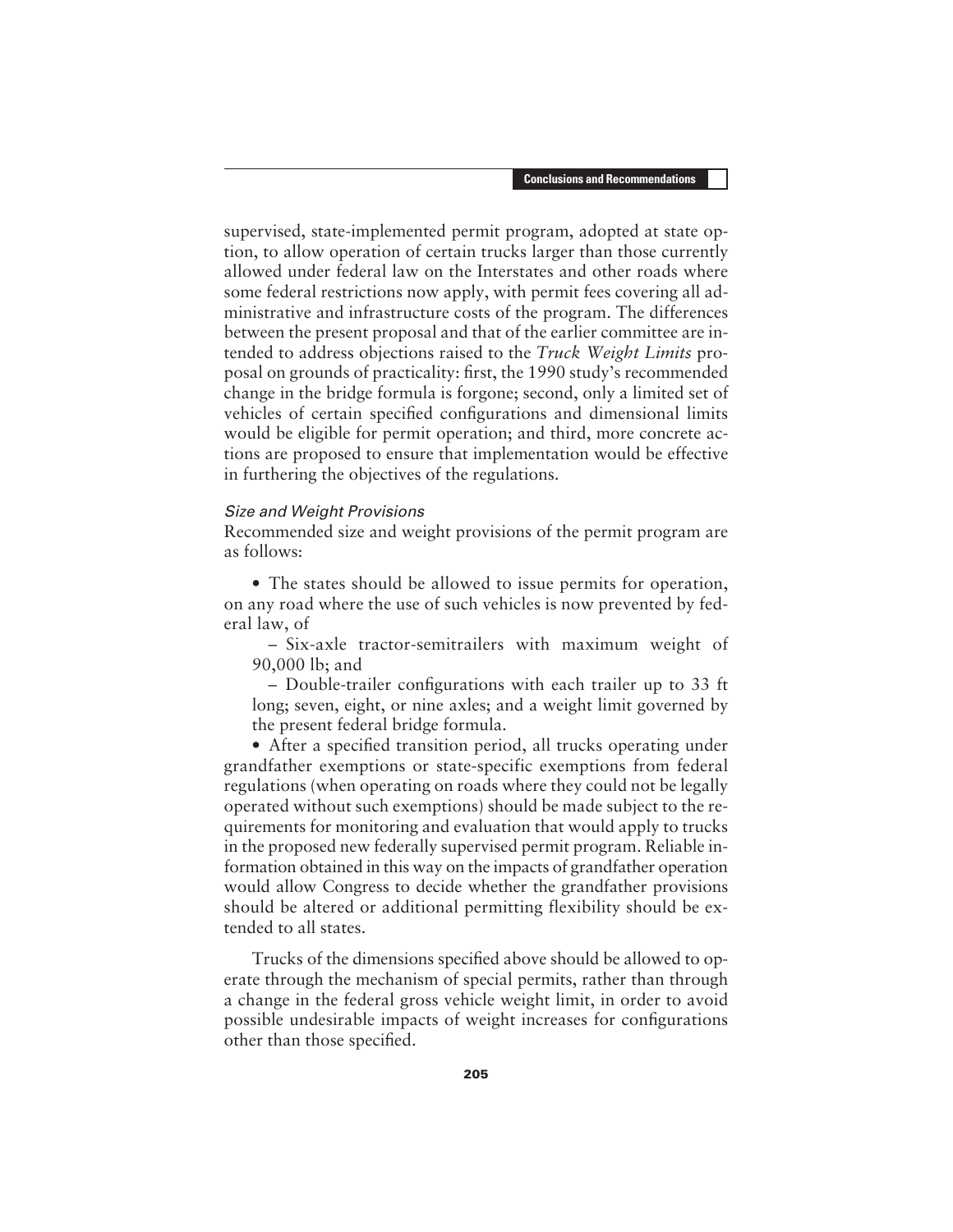supervised, state-implemented permit program, adopted at state option, to allow operation of certain trucks larger than those currently allowed under federal law on the Interstates and other roads where some federal restrictions now apply, with permit fees covering all administrative and infrastructure costs of the program. The differences between the present proposal and that of the earlier committee are intended to address objections raised to the *Truck Weight Limits* proposal on grounds of practicality: first, the 1990 study's recommended change in the bridge formula is forgone; second, only a limited set of vehicles of certain specified configurations and dimensional limits would be eligible for permit operation; and third, more concrete actions are proposed to ensure that implementation would be effective in furthering the objectives of the regulations.

#### Size and Weight Provisions

Recommended size and weight provisions of the permit program are as follows:

• The states should be allowed to issue permits for operation, on any road where the use of such vehicles is now prevented by federal law, of

– Six-axle tractor-semitrailers with maximum weight of 90,000 lb; and

– Double-trailer configurations with each trailer up to 33 ft long; seven, eight, or nine axles; and a weight limit governed by the present federal bridge formula.

• After a specified transition period, all trucks operating under grandfather exemptions or state-specific exemptions from federal regulations (when operating on roads where they could not be legally operated without such exemptions) should be made subject to the requirements for monitoring and evaluation that would apply to trucks in the proposed new federally supervised permit program. Reliable information obtained in this way on the impacts of grandfather operation would allow Congress to decide whether the grandfather provisions should be altered or additional permitting flexibility should be extended to all states.

Trucks of the dimensions specified above should be allowed to operate through the mechanism of special permits, rather than through a change in the federal gross vehicle weight limit, in order to avoid possible undesirable impacts of weight increases for configurations other than those specified.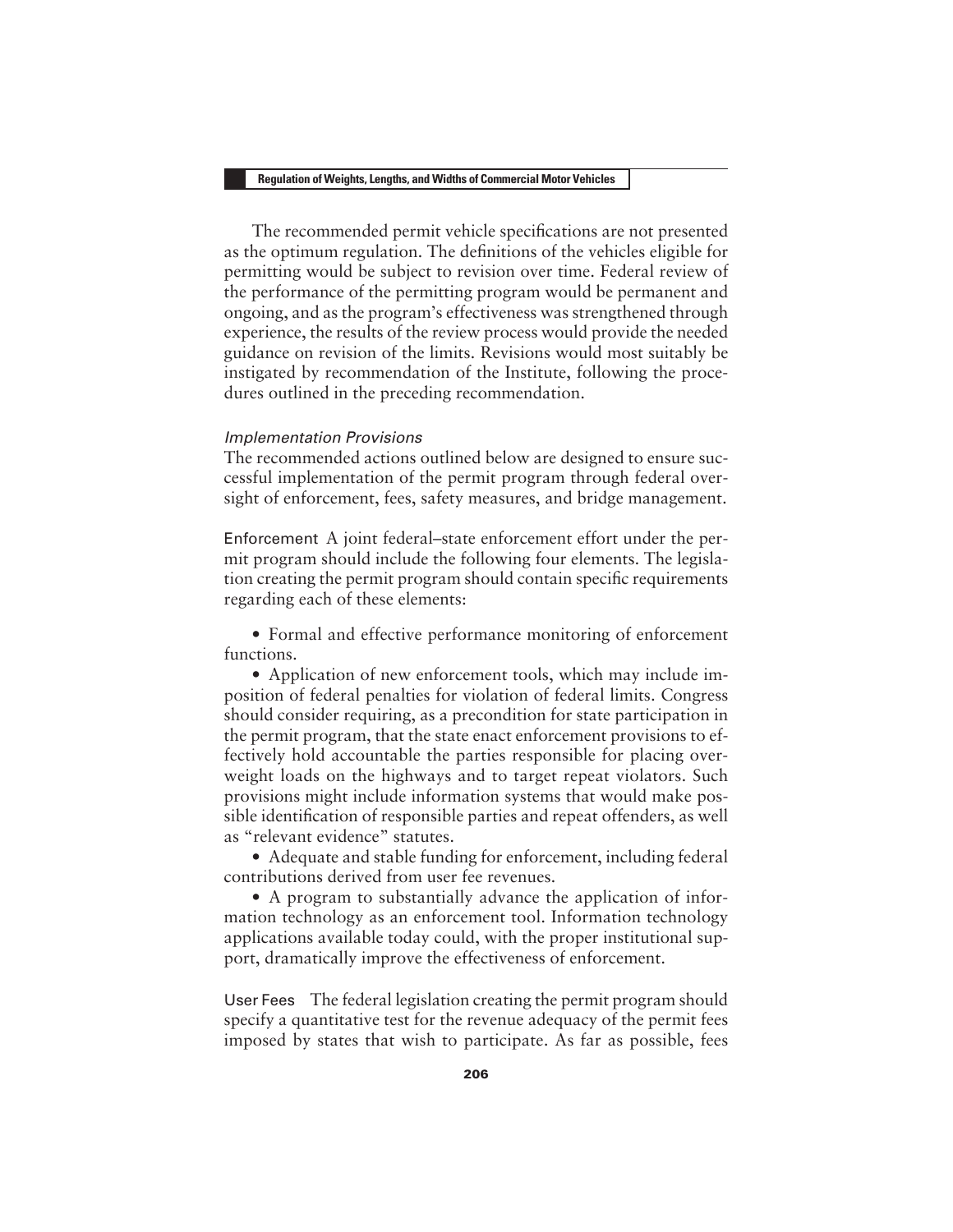The recommended permit vehicle specifications are not presented as the optimum regulation. The definitions of the vehicles eligible for permitting would be subject to revision over time. Federal review of the performance of the permitting program would be permanent and ongoing, and as the program's effectiveness was strengthened through experience, the results of the review process would provide the needed guidance on revision of the limits. Revisions would most suitably be instigated by recommendation of the Institute, following the procedures outlined in the preceding recommendation.

### Implementation Provisions

The recommended actions outlined below are designed to ensure successful implementation of the permit program through federal oversight of enforcement, fees, safety measures, and bridge management.

Enforcement A joint federal–state enforcement effort under the permit program should include the following four elements. The legislation creating the permit program should contain specific requirements regarding each of these elements:

• Formal and effective performance monitoring of enforcement functions.

• Application of new enforcement tools, which may include imposition of federal penalties for violation of federal limits. Congress should consider requiring, as a precondition for state participation in the permit program, that the state enact enforcement provisions to effectively hold accountable the parties responsible for placing overweight loads on the highways and to target repeat violators. Such provisions might include information systems that would make possible identification of responsible parties and repeat offenders, as well as "relevant evidence" statutes.

• Adequate and stable funding for enforcement, including federal contributions derived from user fee revenues.

• A program to substantially advance the application of information technology as an enforcement tool. Information technology applications available today could, with the proper institutional support, dramatically improve the effectiveness of enforcement.

User Fees The federal legislation creating the permit program should specify a quantitative test for the revenue adequacy of the permit fees imposed by states that wish to participate. As far as possible, fees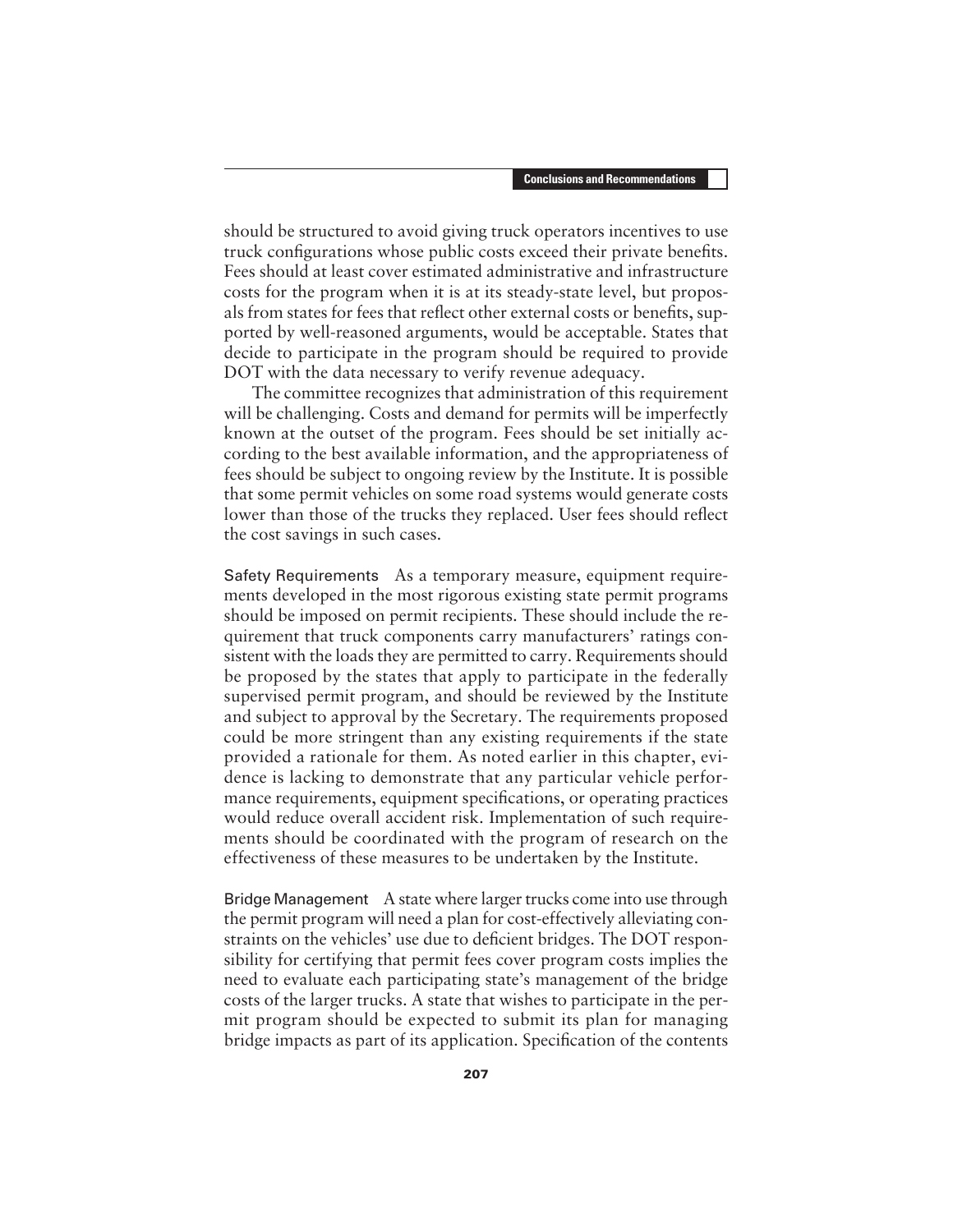should be structured to avoid giving truck operators incentives to use truck configurations whose public costs exceed their private benefits. Fees should at least cover estimated administrative and infrastructure costs for the program when it is at its steady-state level, but proposals from states for fees that reflect other external costs or benefits, supported by well-reasoned arguments, would be acceptable. States that decide to participate in the program should be required to provide DOT with the data necessary to verify revenue adequacy.

The committee recognizes that administration of this requirement will be challenging. Costs and demand for permits will be imperfectly known at the outset of the program. Fees should be set initially according to the best available information, and the appropriateness of fees should be subject to ongoing review by the Institute. It is possible that some permit vehicles on some road systems would generate costs lower than those of the trucks they replaced. User fees should reflect the cost savings in such cases.

Safety Requirements As a temporary measure, equipment requirements developed in the most rigorous existing state permit programs should be imposed on permit recipients. These should include the requirement that truck components carry manufacturers' ratings consistent with the loads they are permitted to carry. Requirements should be proposed by the states that apply to participate in the federally supervised permit program, and should be reviewed by the Institute and subject to approval by the Secretary. The requirements proposed could be more stringent than any existing requirements if the state provided a rationale for them. As noted earlier in this chapter, evidence is lacking to demonstrate that any particular vehicle performance requirements, equipment specifications, or operating practices would reduce overall accident risk. Implementation of such requirements should be coordinated with the program of research on the effectiveness of these measures to be undertaken by the Institute.

Bridge Management A state where larger trucks come into use through the permit program will need a plan for cost-effectively alleviating constraints on the vehicles' use due to deficient bridges. The DOT responsibility for certifying that permit fees cover program costs implies the need to evaluate each participating state's management of the bridge costs of the larger trucks. A state that wishes to participate in the permit program should be expected to submit its plan for managing bridge impacts as part of its application. Specification of the contents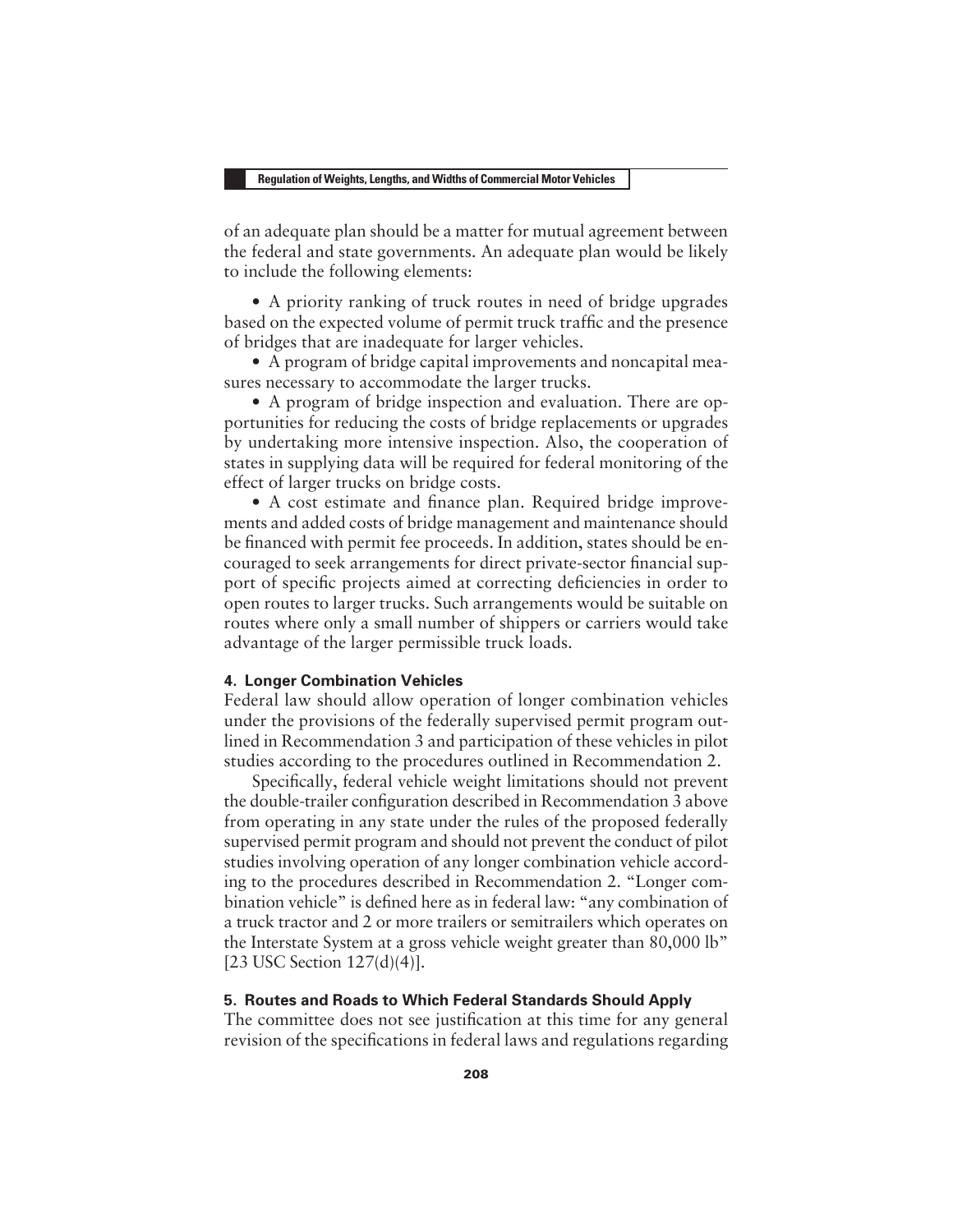of an adequate plan should be a matter for mutual agreement between the federal and state governments. An adequate plan would be likely to include the following elements:

• A priority ranking of truck routes in need of bridge upgrades based on the expected volume of permit truck traffic and the presence of bridges that are inadequate for larger vehicles.

• A program of bridge capital improvements and noncapital measures necessary to accommodate the larger trucks.

• A program of bridge inspection and evaluation. There are opportunities for reducing the costs of bridge replacements or upgrades by undertaking more intensive inspection. Also, the cooperation of states in supplying data will be required for federal monitoring of the effect of larger trucks on bridge costs.

• A cost estimate and finance plan. Required bridge improvements and added costs of bridge management and maintenance should be financed with permit fee proceeds. In addition, states should be encouraged to seek arrangements for direct private-sector financial support of specific projects aimed at correcting deficiencies in order to open routes to larger trucks. Such arrangements would be suitable on routes where only a small number of shippers or carriers would take advantage of the larger permissible truck loads.

## **4. Longer Combination Vehicles**

Federal law should allow operation of longer combination vehicles under the provisions of the federally supervised permit program outlined in Recommendation 3 and participation of these vehicles in pilot studies according to the procedures outlined in Recommendation 2.

Specifically, federal vehicle weight limitations should not prevent the double-trailer configuration described in Recommendation 3 above from operating in any state under the rules of the proposed federally supervised permit program and should not prevent the conduct of pilot studies involving operation of any longer combination vehicle according to the procedures described in Recommendation 2. "Longer combination vehicle" is defined here as in federal law: "any combination of a truck tractor and 2 or more trailers or semitrailers which operates on the Interstate System at a gross vehicle weight greater than 80,000 lb" [23 USC Section 127(d)(4)].

## **5. Routes and Roads to Which Federal Standards Should Apply**

The committee does not see justification at this time for any general revision of the specifications in federal laws and regulations regarding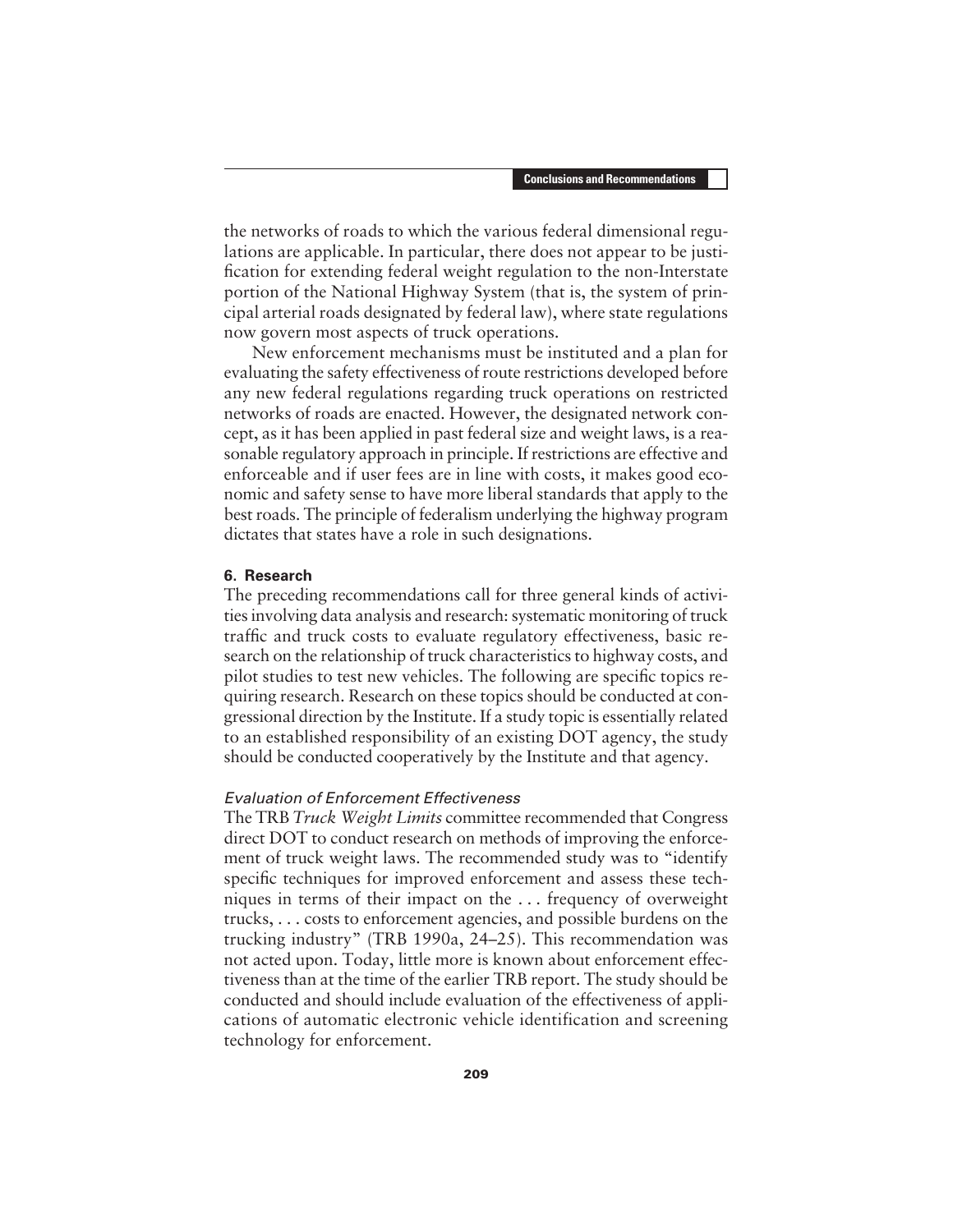the networks of roads to which the various federal dimensional regulations are applicable. In particular, there does not appear to be justification for extending federal weight regulation to the non-Interstate portion of the National Highway System (that is, the system of principal arterial roads designated by federal law), where state regulations now govern most aspects of truck operations.

New enforcement mechanisms must be instituted and a plan for evaluating the safety effectiveness of route restrictions developed before any new federal regulations regarding truck operations on restricted networks of roads are enacted. However, the designated network concept, as it has been applied in past federal size and weight laws, is a reasonable regulatory approach in principle. If restrictions are effective and enforceable and if user fees are in line with costs, it makes good economic and safety sense to have more liberal standards that apply to the best roads. The principle of federalism underlying the highway program dictates that states have a role in such designations.

#### **6. Research**

The preceding recommendations call for three general kinds of activities involving data analysis and research: systematic monitoring of truck traffic and truck costs to evaluate regulatory effectiveness, basic research on the relationship of truck characteristics to highway costs, and pilot studies to test new vehicles. The following are specific topics requiring research. Research on these topics should be conducted at congressional direction by the Institute. If a study topic is essentially related to an established responsibility of an existing DOT agency, the study should be conducted cooperatively by the Institute and that agency.

#### Evaluation of Enforcement Effectiveness

The TRB *Truck Weight Limits* committee recommended that Congress direct DOT to conduct research on methods of improving the enforcement of truck weight laws. The recommended study was to "identify specific techniques for improved enforcement and assess these techniques in terms of their impact on the . . . frequency of overweight trucks, . . . costs to enforcement agencies, and possible burdens on the trucking industry" (TRB 1990a, 24–25). This recommendation was not acted upon. Today, little more is known about enforcement effectiveness than at the time of the earlier TRB report. The study should be conducted and should include evaluation of the effectiveness of applications of automatic electronic vehicle identification and screening technology for enforcement.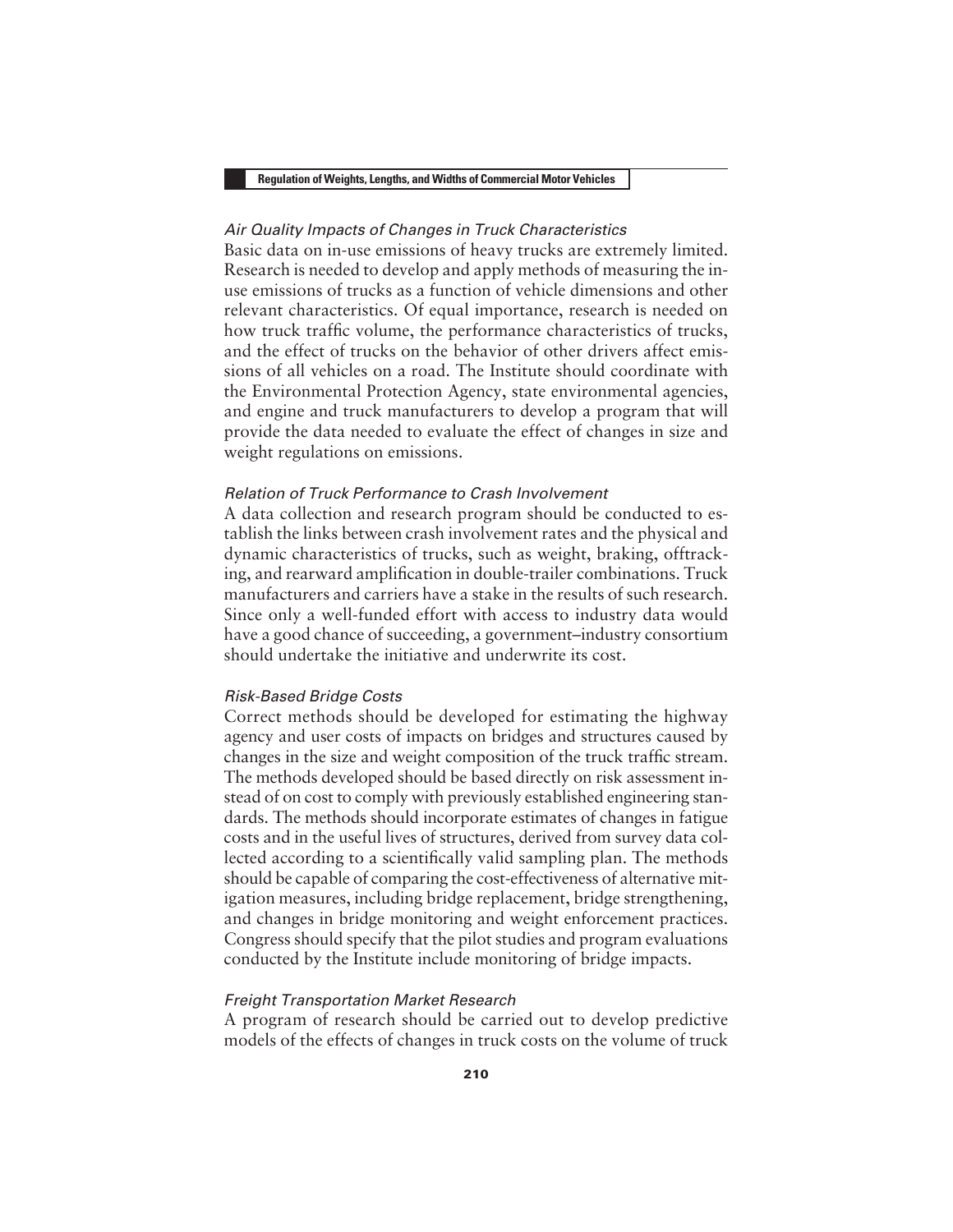# Air Quality Impacts of Changes in Truck Characteristics

Basic data on in-use emissions of heavy trucks are extremely limited. Research is needed to develop and apply methods of measuring the inuse emissions of trucks as a function of vehicle dimensions and other relevant characteristics. Of equal importance, research is needed on how truck traffic volume, the performance characteristics of trucks, and the effect of trucks on the behavior of other drivers affect emissions of all vehicles on a road. The Institute should coordinate with the Environmental Protection Agency, state environmental agencies, and engine and truck manufacturers to develop a program that will provide the data needed to evaluate the effect of changes in size and weight regulations on emissions.

## Relation of Truck Performance to Crash Involvement

A data collection and research program should be conducted to establish the links between crash involvement rates and the physical and dynamic characteristics of trucks, such as weight, braking, offtracking, and rearward amplification in double-trailer combinations. Truck manufacturers and carriers have a stake in the results of such research. Since only a well-funded effort with access to industry data would have a good chance of succeeding, a government–industry consortium should undertake the initiative and underwrite its cost.

## Risk-Based Bridge Costs

Correct methods should be developed for estimating the highway agency and user costs of impacts on bridges and structures caused by changes in the size and weight composition of the truck traffic stream. The methods developed should be based directly on risk assessment instead of on cost to comply with previously established engineering standards. The methods should incorporate estimates of changes in fatigue costs and in the useful lives of structures, derived from survey data collected according to a scientifically valid sampling plan. The methods should be capable of comparing the cost-effectiveness of alternative mitigation measures, including bridge replacement, bridge strengthening, and changes in bridge monitoring and weight enforcement practices. Congress should specify that the pilot studies and program evaluations conducted by the Institute include monitoring of bridge impacts.

## Freight Transportation Market Research

A program of research should be carried out to develop predictive models of the effects of changes in truck costs on the volume of truck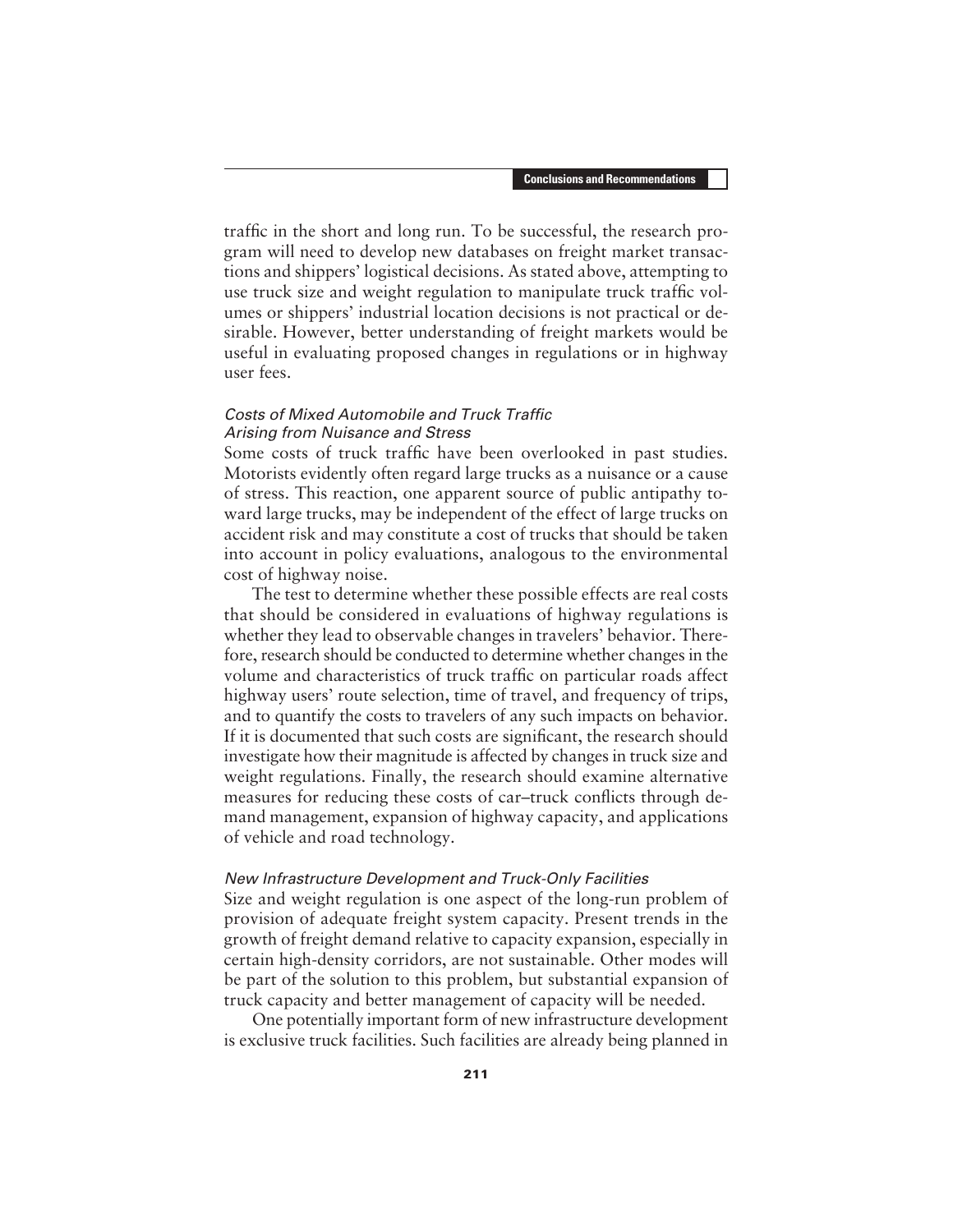traffic in the short and long run. To be successful, the research program will need to develop new databases on freight market transactions and shippers' logistical decisions. As stated above, attempting to use truck size and weight regulation to manipulate truck traffic volumes or shippers' industrial location decisions is not practical or desirable. However, better understanding of freight markets would be useful in evaluating proposed changes in regulations or in highway user fees.

### Costs of Mixed Automobile and Truck Traffic Arising from Nuisance and Stress

Some costs of truck traffic have been overlooked in past studies. Motorists evidently often regard large trucks as a nuisance or a cause of stress. This reaction, one apparent source of public antipathy toward large trucks, may be independent of the effect of large trucks on accident risk and may constitute a cost of trucks that should be taken into account in policy evaluations, analogous to the environmental cost of highway noise.

The test to determine whether these possible effects are real costs that should be considered in evaluations of highway regulations is whether they lead to observable changes in travelers' behavior. Therefore, research should be conducted to determine whether changes in the volume and characteristics of truck traffic on particular roads affect highway users' route selection, time of travel, and frequency of trips, and to quantify the costs to travelers of any such impacts on behavior. If it is documented that such costs are significant, the research should investigate how their magnitude is affected by changes in truck size and weight regulations. Finally, the research should examine alternative measures for reducing these costs of car–truck conflicts through demand management, expansion of highway capacity, and applications of vehicle and road technology.

#### New Infrastructure Development and Truck-Only Facilities

Size and weight regulation is one aspect of the long-run problem of provision of adequate freight system capacity. Present trends in the growth of freight demand relative to capacity expansion, especially in certain high-density corridors, are not sustainable. Other modes will be part of the solution to this problem, but substantial expansion of truck capacity and better management of capacity will be needed.

One potentially important form of new infrastructure development is exclusive truck facilities. Such facilities are already being planned in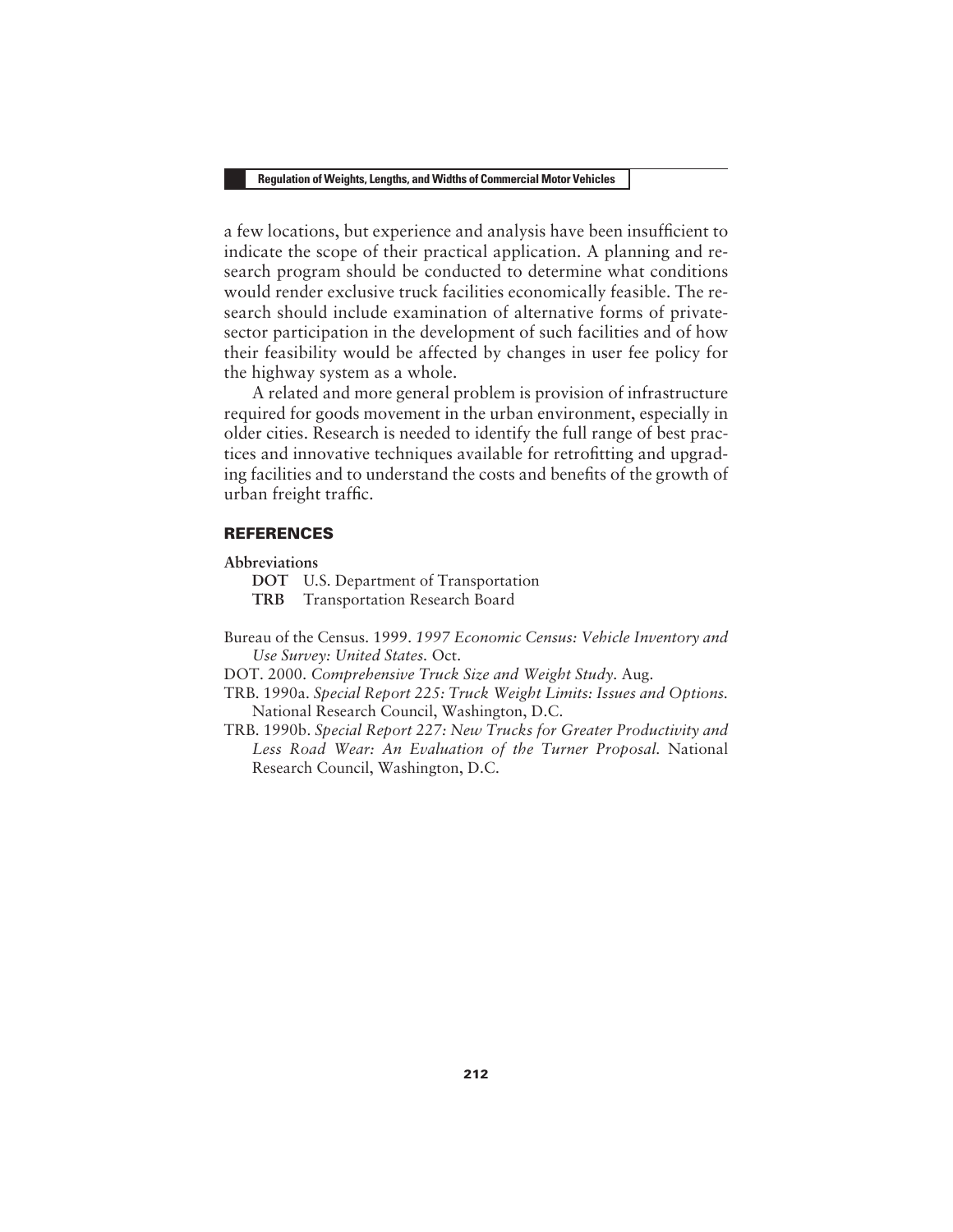a few locations, but experience and analysis have been insufficient to indicate the scope of their practical application. A planning and research program should be conducted to determine what conditions would render exclusive truck facilities economically feasible. The research should include examination of alternative forms of privatesector participation in the development of such facilities and of how their feasibility would be affected by changes in user fee policy for the highway system as a whole.

A related and more general problem is provision of infrastructure required for goods movement in the urban environment, especially in older cities. Research is needed to identify the full range of best practices and innovative techniques available for retrofitting and upgrading facilities and to understand the costs and benefits of the growth of urban freight traffic.

#### **REFERENCES**

#### **Abbreviations**

- **DOT** U.S. Department of Transportation
- **TRB** Transportation Research Board
- Bureau of the Census. 1999. *1997 Economic Census: Vehicle Inventory and Use Survey: United States.* Oct.
- DOT. 2000. *Comprehensive Truck Size and Weight Study.* Aug.
- TRB. 1990a. *Special Report 225: Truck Weight Limits: Issues and Options.* National Research Council, Washington, D.C.
- TRB. 1990b. *Special Report 227: New Trucks for Greater Productivity and Less Road Wear: An Evaluation of the Turner Proposal.* National Research Council, Washington, D.C.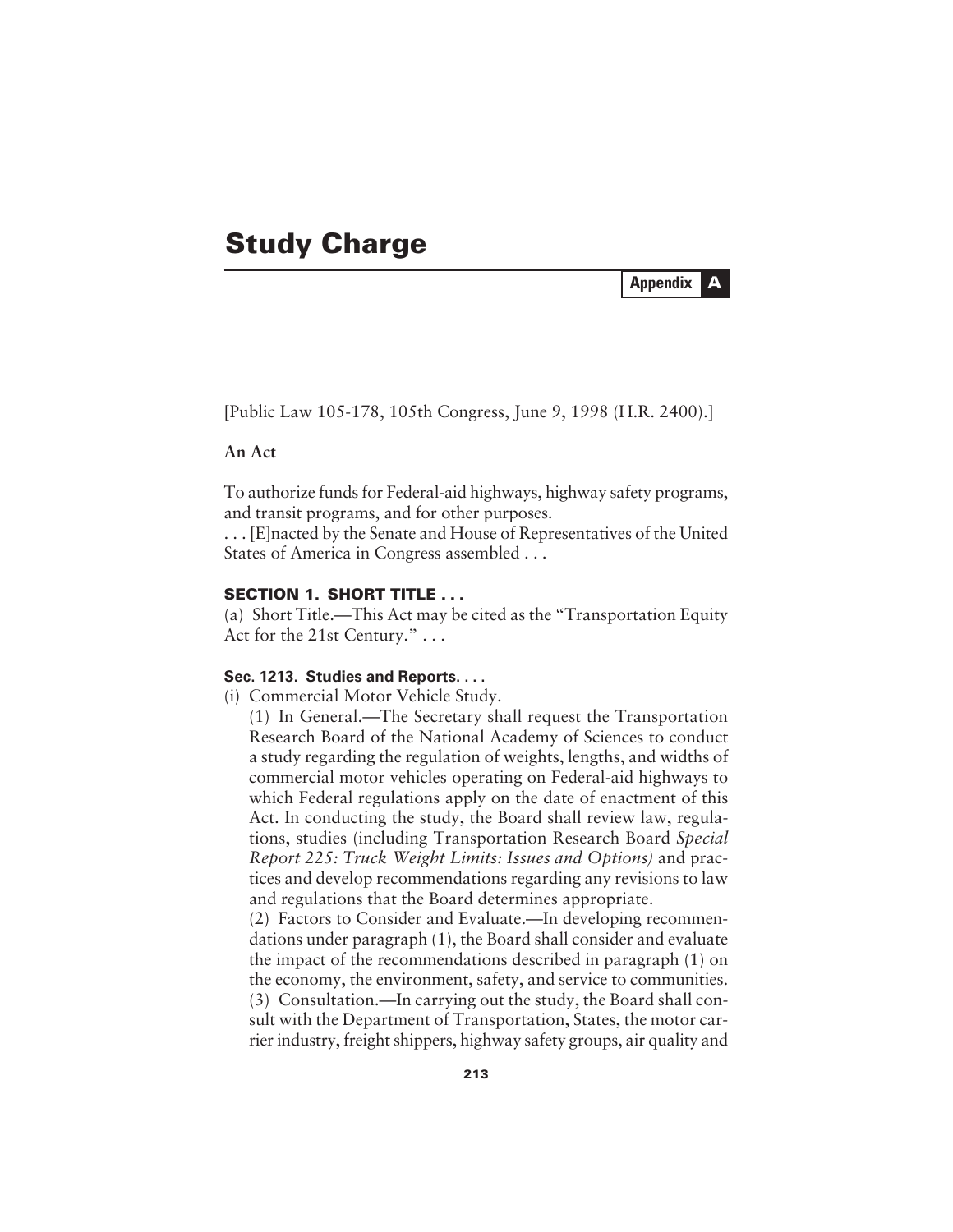[Public Law 105-178, 105th Congress, June 9, 1998 (H.R. 2400).]

# **An Act**

To authorize funds for Federal-aid highways, highway safety programs, and transit programs, and for other purposes.

. . . [E]nacted by the Senate and House of Representatives of the United States of America in Congress assembled . . .

# **SECTION 1. SHORT TITLE . . .**

(a) Short Title.—This Act may be cited as the "Transportation Equity Act for the 21st Century." . . .

## **Sec. 1213. Studies and Reports. . . .**

(i) Commercial Motor Vehicle Study.

(1) In General.—The Secretary shall request the Transportation Research Board of the National Academy of Sciences to conduct a study regarding the regulation of weights, lengths, and widths of commercial motor vehicles operating on Federal-aid highways to which Federal regulations apply on the date of enactment of this Act. In conducting the study, the Board shall review law, regulations, studies (including Transportation Research Board *Special Report 225: Truck Weight Limits: Issues and Options)* and practices and develop recommendations regarding any revisions to law and regulations that the Board determines appropriate.

(2) Factors to Consider and Evaluate.—In developing recommendations under paragraph (1), the Board shall consider and evaluate the impact of the recommendations described in paragraph (1) on the economy, the environment, safety, and service to communities. (3) Consultation.—In carrying out the study, the Board shall consult with the Department of Transportation, States, the motor carrier industry, freight shippers, highway safety groups, air quality and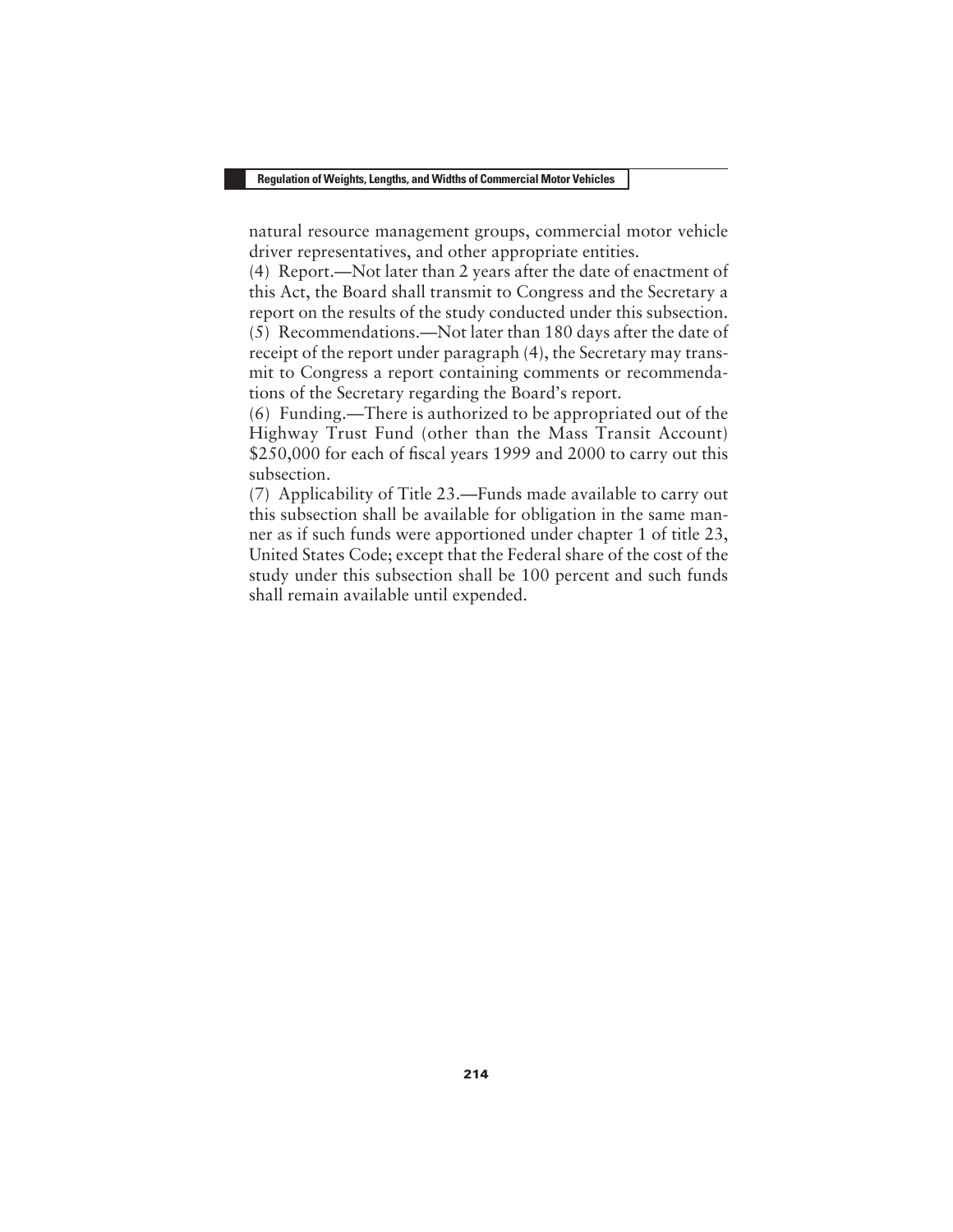natural resource management groups, commercial motor vehicle driver representatives, and other appropriate entities.

(4) Report.—Not later than 2 years after the date of enactment of this Act, the Board shall transmit to Congress and the Secretary a report on the results of the study conducted under this subsection.

(5) Recommendations.—Not later than 180 days after the date of receipt of the report under paragraph (4), the Secretary may transmit to Congress a report containing comments or recommendations of the Secretary regarding the Board's report.

(6) Funding.—There is authorized to be appropriated out of the Highway Trust Fund (other than the Mass Transit Account) \$250,000 for each of fiscal years 1999 and 2000 to carry out this subsection.

(7) Applicability of Title 23.—Funds made available to carry out this subsection shall be available for obligation in the same manner as if such funds were apportioned under chapter 1 of title 23, United States Code; except that the Federal share of the cost of the study under this subsection shall be 100 percent and such funds shall remain available until expended.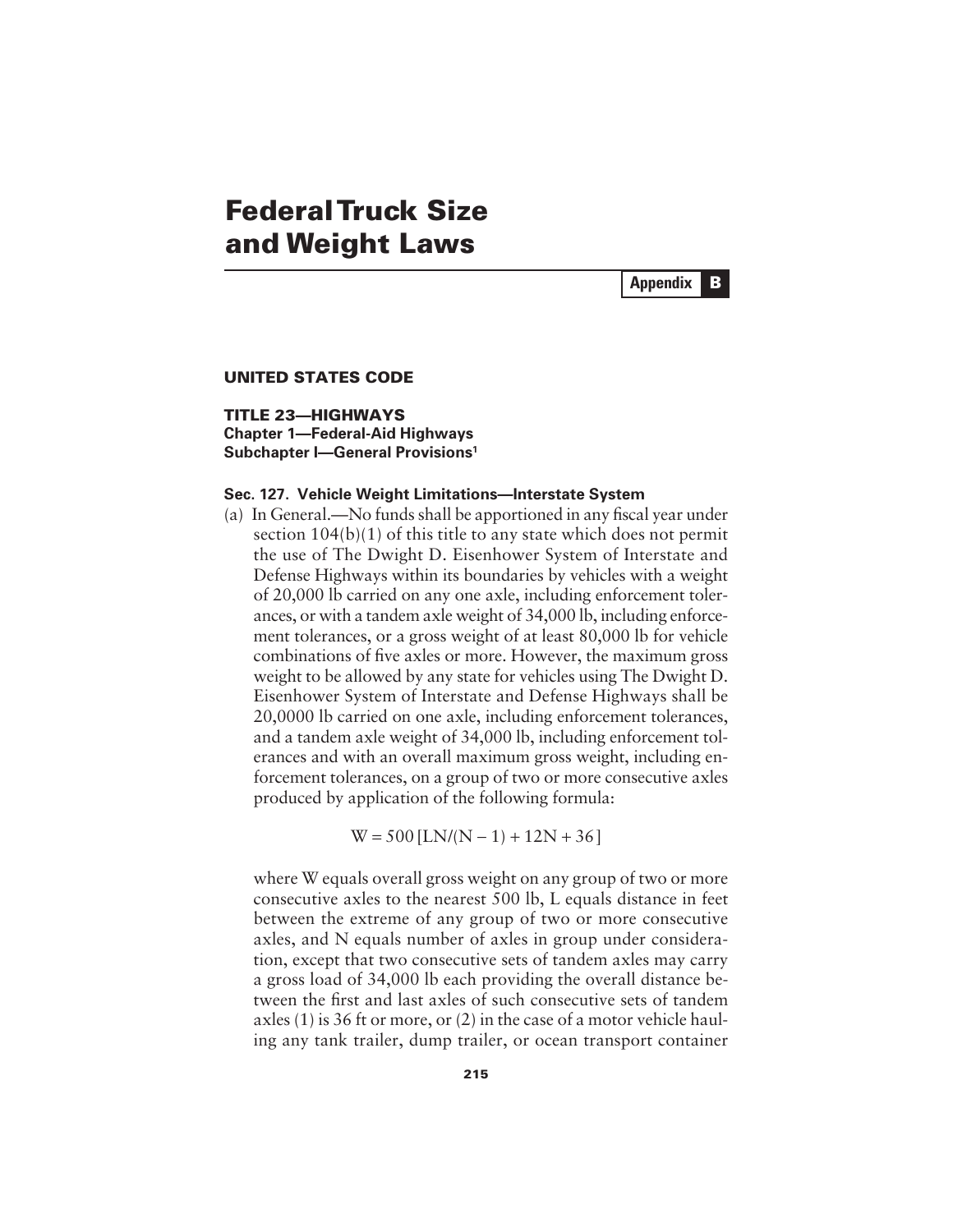# **Federal Truck Size and Weight Laws**

**Appendix B**

## **UNITED STATES CODE**

**TITLE 23—HIGHWAYS Chapter 1—Federal-Aid Highways Subchapter I—General Provisions1**

#### **Sec. 127. Vehicle Weight Limitations—Interstate System**

(a) In General.—No funds shall be apportioned in any fiscal year under section 104(b)(1) of this title to any state which does not permit the use of The Dwight D. Eisenhower System of Interstate and Defense Highways within its boundaries by vehicles with a weight of 20,000 lb carried on any one axle, including enforcement tolerances, or with a tandem axle weight of 34,000 lb, including enforcement tolerances, or a gross weight of at least 80,000 lb for vehicle combinations of five axles or more. However, the maximum gross weight to be allowed by any state for vehicles using The Dwight D. Eisenhower System of Interstate and Defense Highways shall be 20,0000 lb carried on one axle, including enforcement tolerances, and a tandem axle weight of 34,000 lb, including enforcement tolerances and with an overall maximum gross weight, including enforcement tolerances, on a group of two or more consecutive axles produced by application of the following formula:

$$
W = 500 [LN/(N - 1) + 12N + 36]
$$

where W equals overall gross weight on any group of two or more consecutive axles to the nearest 500 lb, L equals distance in feet between the extreme of any group of two or more consecutive axles, and N equals number of axles in group under consideration, except that two consecutive sets of tandem axles may carry a gross load of 34,000 lb each providing the overall distance between the first and last axles of such consecutive sets of tandem axles (1) is 36 ft or more, or (2) in the case of a motor vehicle hauling any tank trailer, dump trailer, or ocean transport container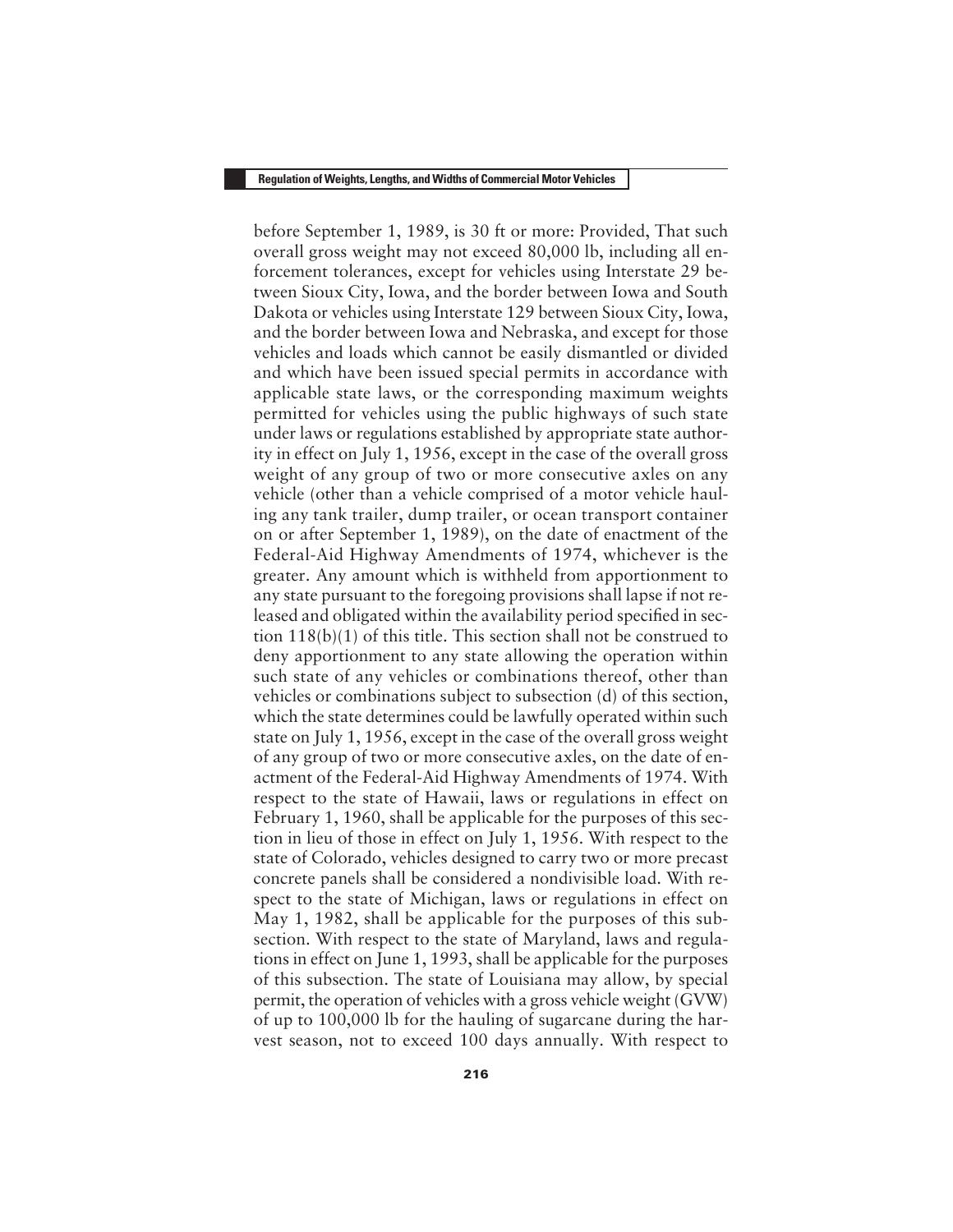before September 1, 1989, is 30 ft or more: Provided, That such overall gross weight may not exceed 80,000 lb, including all enforcement tolerances, except for vehicles using Interstate 29 between Sioux City, Iowa, and the border between Iowa and South Dakota or vehicles using Interstate 129 between Sioux City, Iowa, and the border between Iowa and Nebraska, and except for those vehicles and loads which cannot be easily dismantled or divided and which have been issued special permits in accordance with applicable state laws, or the corresponding maximum weights permitted for vehicles using the public highways of such state under laws or regulations established by appropriate state authority in effect on July 1, 1956, except in the case of the overall gross weight of any group of two or more consecutive axles on any vehicle (other than a vehicle comprised of a motor vehicle hauling any tank trailer, dump trailer, or ocean transport container on or after September 1, 1989), on the date of enactment of the Federal-Aid Highway Amendments of 1974, whichever is the greater. Any amount which is withheld from apportionment to any state pursuant to the foregoing provisions shall lapse if not released and obligated within the availability period specified in section 118(b)(1) of this title. This section shall not be construed to deny apportionment to any state allowing the operation within such state of any vehicles or combinations thereof, other than vehicles or combinations subject to subsection (d) of this section, which the state determines could be lawfully operated within such state on July 1, 1956, except in the case of the overall gross weight of any group of two or more consecutive axles, on the date of enactment of the Federal-Aid Highway Amendments of 1974. With respect to the state of Hawaii, laws or regulations in effect on February 1, 1960, shall be applicable for the purposes of this section in lieu of those in effect on July 1, 1956. With respect to the state of Colorado, vehicles designed to carry two or more precast concrete panels shall be considered a nondivisible load. With respect to the state of Michigan, laws or regulations in effect on May 1, 1982, shall be applicable for the purposes of this subsection. With respect to the state of Maryland, laws and regulations in effect on June 1, 1993, shall be applicable for the purposes of this subsection. The state of Louisiana may allow, by special permit, the operation of vehicles with a gross vehicle weight (GVW) of up to 100,000 lb for the hauling of sugarcane during the harvest season, not to exceed 100 days annually. With respect to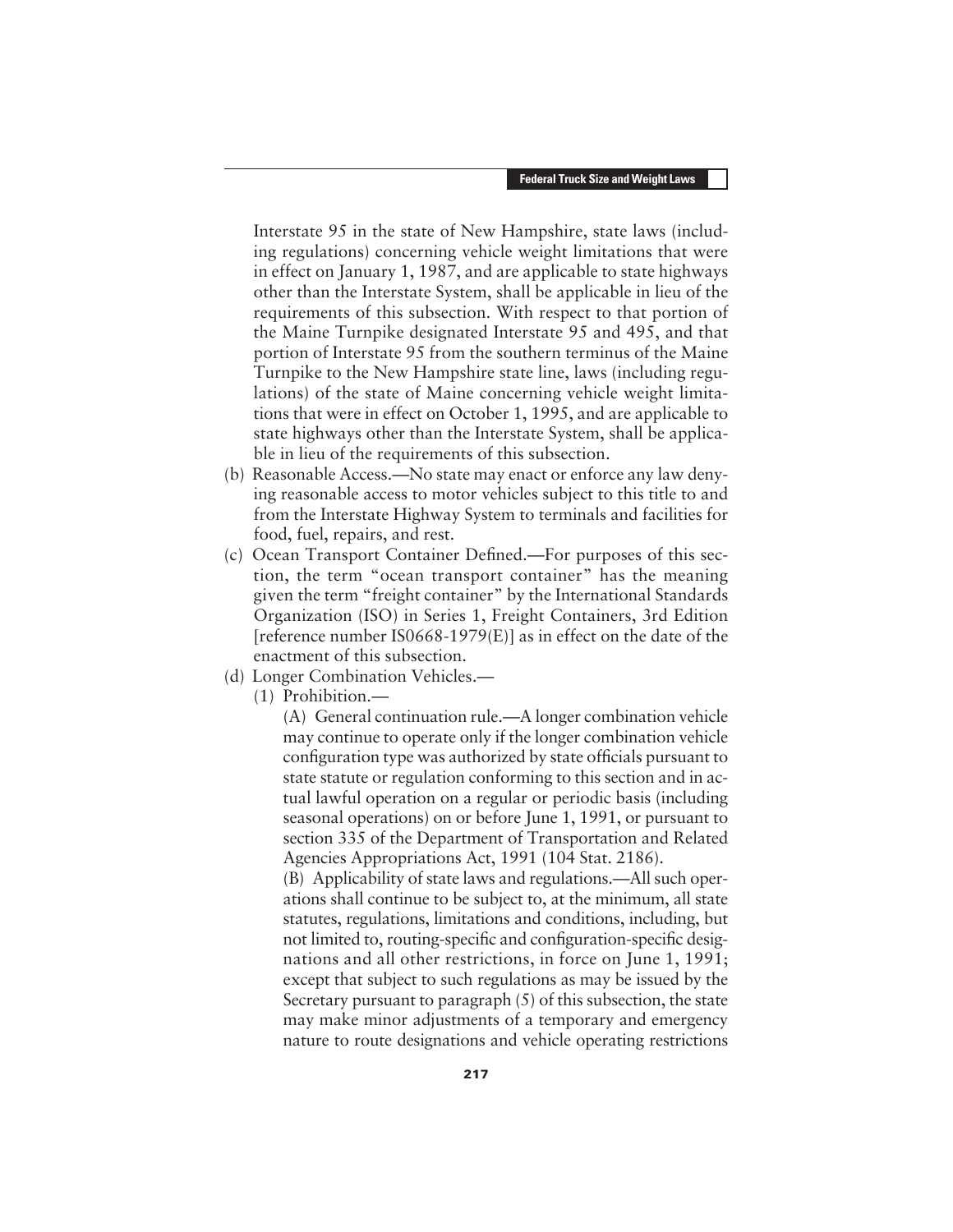Interstate 95 in the state of New Hampshire, state laws (including regulations) concerning vehicle weight limitations that were in effect on January 1, 1987, and are applicable to state highways other than the Interstate System, shall be applicable in lieu of the requirements of this subsection. With respect to that portion of the Maine Turnpike designated Interstate 95 and 495, and that portion of Interstate 95 from the southern terminus of the Maine Turnpike to the New Hampshire state line, laws (including regulations) of the state of Maine concerning vehicle weight limitations that were in effect on October 1, 1995, and are applicable to state highways other than the Interstate System, shall be applicable in lieu of the requirements of this subsection.

- (b) Reasonable Access.—No state may enact or enforce any law denying reasonable access to motor vehicles subject to this title to and from the Interstate Highway System to terminals and facilities for food, fuel, repairs, and rest.
- (c) Ocean Transport Container Defined.—For purposes of this section, the term "ocean transport container" has the meaning given the term "freight container" by the International Standards Organization (ISO) in Series 1, Freight Containers, 3rd Edition [reference number IS0668-1979(E)] as in effect on the date of the enactment of this subsection.
- (d) Longer Combination Vehicles.—
	- (1) Prohibition.—

(A) General continuation rule.—A longer combination vehicle may continue to operate only if the longer combination vehicle configuration type was authorized by state officials pursuant to state statute or regulation conforming to this section and in actual lawful operation on a regular or periodic basis (including seasonal operations) on or before June 1, 1991, or pursuant to section 335 of the Department of Transportation and Related Agencies Appropriations Act, 1991 (104 Stat. 2186).

(B) Applicability of state laws and regulations.—All such operations shall continue to be subject to, at the minimum, all state statutes, regulations, limitations and conditions, including, but not limited to, routing-specific and configuration-specific designations and all other restrictions, in force on June 1, 1991; except that subject to such regulations as may be issued by the Secretary pursuant to paragraph (5) of this subsection, the state may make minor adjustments of a temporary and emergency nature to route designations and vehicle operating restrictions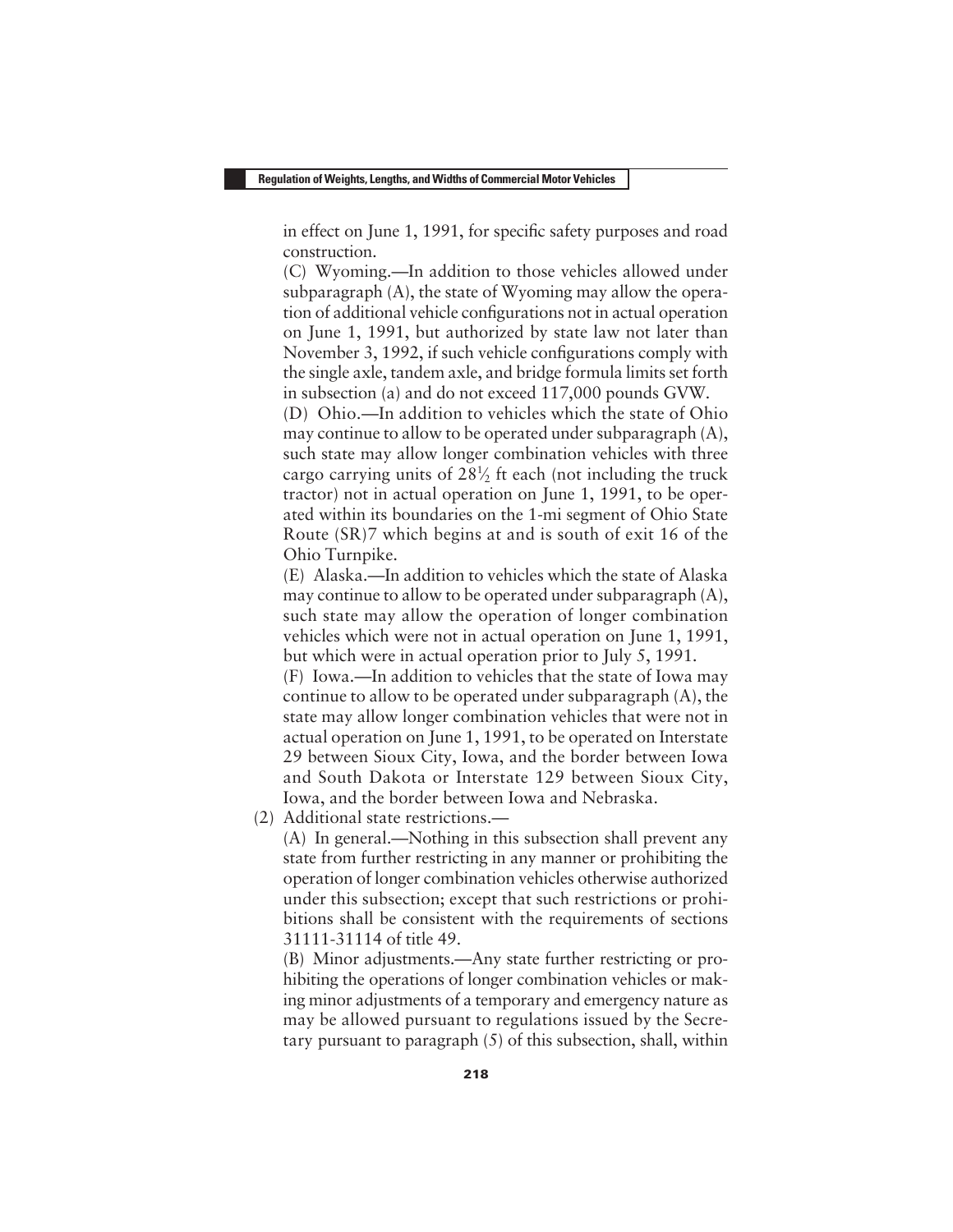in effect on June 1, 1991, for specific safety purposes and road construction.

(C) Wyoming.—In addition to those vehicles allowed under subparagraph (A), the state of Wyoming may allow the operation of additional vehicle configurations not in actual operation on June 1, 1991, but authorized by state law not later than November 3, 1992, if such vehicle configurations comply with the single axle, tandem axle, and bridge formula limits set forth in subsection (a) and do not exceed 117,000 pounds GVW.

(D) Ohio.—In addition to vehicles which the state of Ohio may continue to allow to be operated under subparagraph (A), such state may allow longer combination vehicles with three cargo carrying units of  $28\frac{1}{2}$  ft each (not including the truck ⁄ tractor) not in actual operation on June 1, 1991, to be operated within its boundaries on the 1-mi segment of Ohio State Route (SR)7 which begins at and is south of exit 16 of the Ohio Turnpike.

(E) Alaska.—In addition to vehicles which the state of Alaska may continue to allow to be operated under subparagraph (A), such state may allow the operation of longer combination vehicles which were not in actual operation on June 1, 1991, but which were in actual operation prior to July 5, 1991.

(F) Iowa.—In addition to vehicles that the state of Iowa may continue to allow to be operated under subparagraph (A), the state may allow longer combination vehicles that were not in actual operation on June 1, 1991, to be operated on Interstate 29 between Sioux City, Iowa, and the border between Iowa and South Dakota or Interstate 129 between Sioux City, Iowa, and the border between Iowa and Nebraska.

(2) Additional state restrictions.—

(A) In general.—Nothing in this subsection shall prevent any state from further restricting in any manner or prohibiting the operation of longer combination vehicles otherwise authorized under this subsection; except that such restrictions or prohibitions shall be consistent with the requirements of sections 31111-31114 of title 49.

(B) Minor adjustments.—Any state further restricting or prohibiting the operations of longer combination vehicles or making minor adjustments of a temporary and emergency nature as may be allowed pursuant to regulations issued by the Secretary pursuant to paragraph (5) of this subsection, shall, within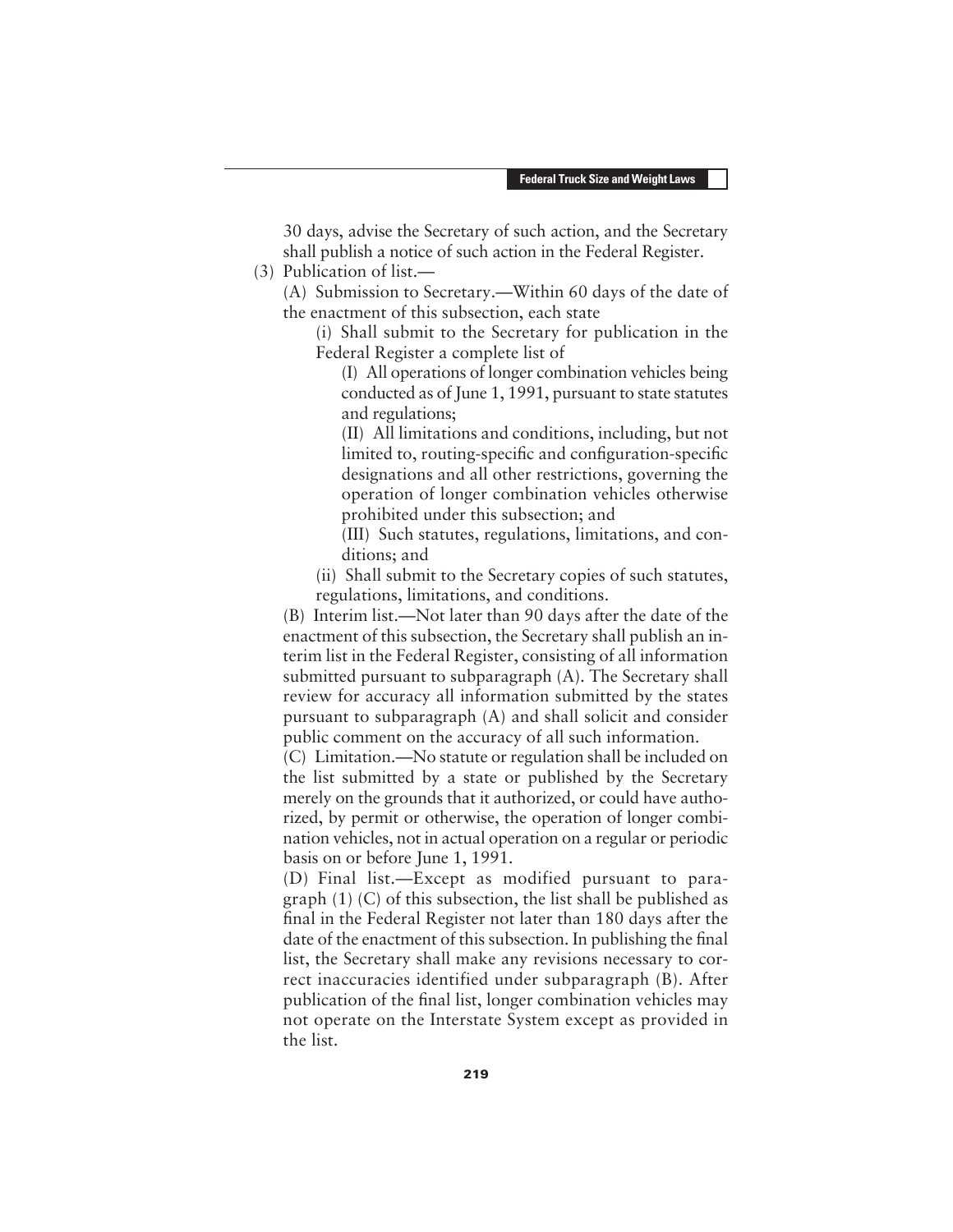30 days, advise the Secretary of such action, and the Secretary shall publish a notice of such action in the Federal Register.

(3) Publication of list.—

(A) Submission to Secretary.—Within 60 days of the date of the enactment of this subsection, each state

(i) Shall submit to the Secretary for publication in the Federal Register a complete list of

(I) All operations of longer combination vehicles being conducted as of June 1, 1991, pursuant to state statutes and regulations;

(II) All limitations and conditions, including, but not limited to, routing-specific and configuration-specific designations and all other restrictions, governing the operation of longer combination vehicles otherwise prohibited under this subsection; and

(III) Such statutes, regulations, limitations, and conditions; and

(ii) Shall submit to the Secretary copies of such statutes, regulations, limitations, and conditions.

(B) Interim list.—Not later than 90 days after the date of the enactment of this subsection, the Secretary shall publish an interim list in the Federal Register, consisting of all information submitted pursuant to subparagraph (A). The Secretary shall review for accuracy all information submitted by the states pursuant to subparagraph (A) and shall solicit and consider public comment on the accuracy of all such information.

(C) Limitation.—No statute or regulation shall be included on the list submitted by a state or published by the Secretary merely on the grounds that it authorized, or could have authorized, by permit or otherwise, the operation of longer combination vehicles, not in actual operation on a regular or periodic basis on or before June 1, 1991.

(D) Final list.—Except as modified pursuant to paragraph (1) (C) of this subsection, the list shall be published as final in the Federal Register not later than 180 days after the date of the enactment of this subsection. In publishing the final list, the Secretary shall make any revisions necessary to correct inaccuracies identified under subparagraph (B). After publication of the final list, longer combination vehicles may not operate on the Interstate System except as provided in the list.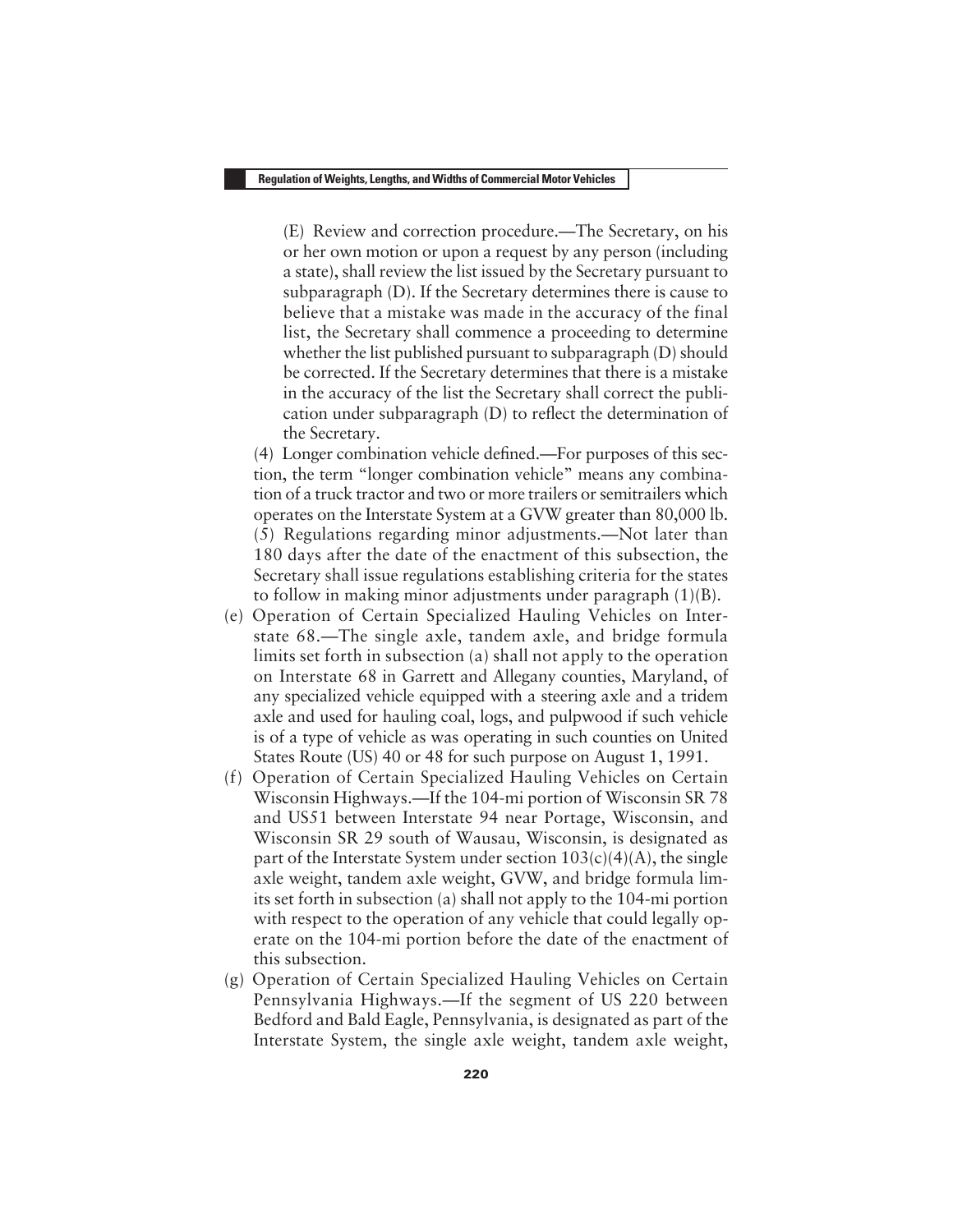(E) Review and correction procedure.—The Secretary, on his or her own motion or upon a request by any person (including a state), shall review the list issued by the Secretary pursuant to subparagraph (D). If the Secretary determines there is cause to believe that a mistake was made in the accuracy of the final list, the Secretary shall commence a proceeding to determine whether the list published pursuant to subparagraph (D) should be corrected. If the Secretary determines that there is a mistake in the accuracy of the list the Secretary shall correct the publication under subparagraph (D) to reflect the determination of the Secretary.

(4) Longer combination vehicle defined.—For purposes of this section, the term "longer combination vehicle" means any combination of a truck tractor and two or more trailers or semitrailers which operates on the Interstate System at a GVW greater than 80,000 lb. (5) Regulations regarding minor adjustments.—Not later than 180 days after the date of the enactment of this subsection, the Secretary shall issue regulations establishing criteria for the states to follow in making minor adjustments under paragraph (1)(B).

- (e) Operation of Certain Specialized Hauling Vehicles on Interstate 68.—The single axle, tandem axle, and bridge formula limits set forth in subsection (a) shall not apply to the operation on Interstate 68 in Garrett and Allegany counties, Maryland, of any specialized vehicle equipped with a steering axle and a tridem axle and used for hauling coal, logs, and pulpwood if such vehicle is of a type of vehicle as was operating in such counties on United States Route (US) 40 or 48 for such purpose on August 1, 1991.
- (f) Operation of Certain Specialized Hauling Vehicles on Certain Wisconsin Highways.—If the 104-mi portion of Wisconsin SR 78 and US51 between Interstate 94 near Portage, Wisconsin, and Wisconsin SR 29 south of Wausau, Wisconsin, is designated as part of the Interstate System under section  $103(c)(4)(A)$ , the single axle weight, tandem axle weight, GVW, and bridge formula limits set forth in subsection (a) shall not apply to the 104-mi portion with respect to the operation of any vehicle that could legally operate on the 104-mi portion before the date of the enactment of this subsection.
- (g) Operation of Certain Specialized Hauling Vehicles on Certain Pennsylvania Highways.—If the segment of US 220 between Bedford and Bald Eagle, Pennsylvania, is designated as part of the Interstate System, the single axle weight, tandem axle weight,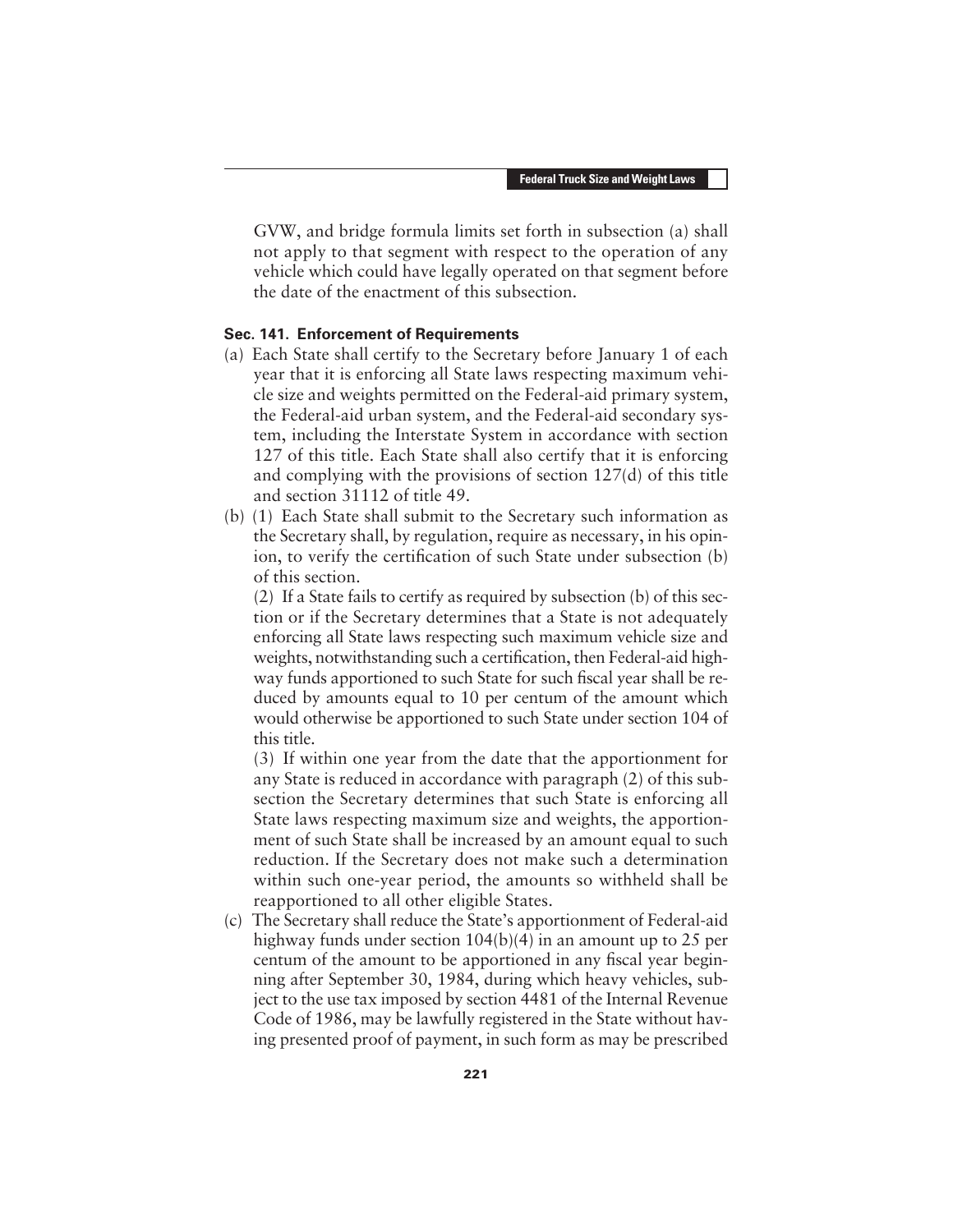GVW, and bridge formula limits set forth in subsection (a) shall not apply to that segment with respect to the operation of any vehicle which could have legally operated on that segment before the date of the enactment of this subsection.

#### **Sec. 141. Enforcement of Requirements**

- (a) Each State shall certify to the Secretary before January 1 of each year that it is enforcing all State laws respecting maximum vehicle size and weights permitted on the Federal-aid primary system, the Federal-aid urban system, and the Federal-aid secondary system, including the Interstate System in accordance with section 127 of this title. Each State shall also certify that it is enforcing and complying with the provisions of section 127(d) of this title and section 31112 of title 49.
- (b) (1) Each State shall submit to the Secretary such information as the Secretary shall, by regulation, require as necessary, in his opinion, to verify the certification of such State under subsection (b) of this section.

(2) If a State fails to certify as required by subsection (b) of this section or if the Secretary determines that a State is not adequately enforcing all State laws respecting such maximum vehicle size and weights, notwithstanding such a certification, then Federal-aid highway funds apportioned to such State for such fiscal year shall be reduced by amounts equal to 10 per centum of the amount which would otherwise be apportioned to such State under section 104 of this title.

(3) If within one year from the date that the apportionment for any State is reduced in accordance with paragraph (2) of this subsection the Secretary determines that such State is enforcing all State laws respecting maximum size and weights, the apportionment of such State shall be increased by an amount equal to such reduction. If the Secretary does not make such a determination within such one-year period, the amounts so withheld shall be reapportioned to all other eligible States.

(c) The Secretary shall reduce the State's apportionment of Federal-aid highway funds under section 104(b)(4) in an amount up to 25 per centum of the amount to be apportioned in any fiscal year beginning after September 30, 1984, during which heavy vehicles, subject to the use tax imposed by section 4481 of the Internal Revenue Code of 1986, may be lawfully registered in the State without having presented proof of payment, in such form as may be prescribed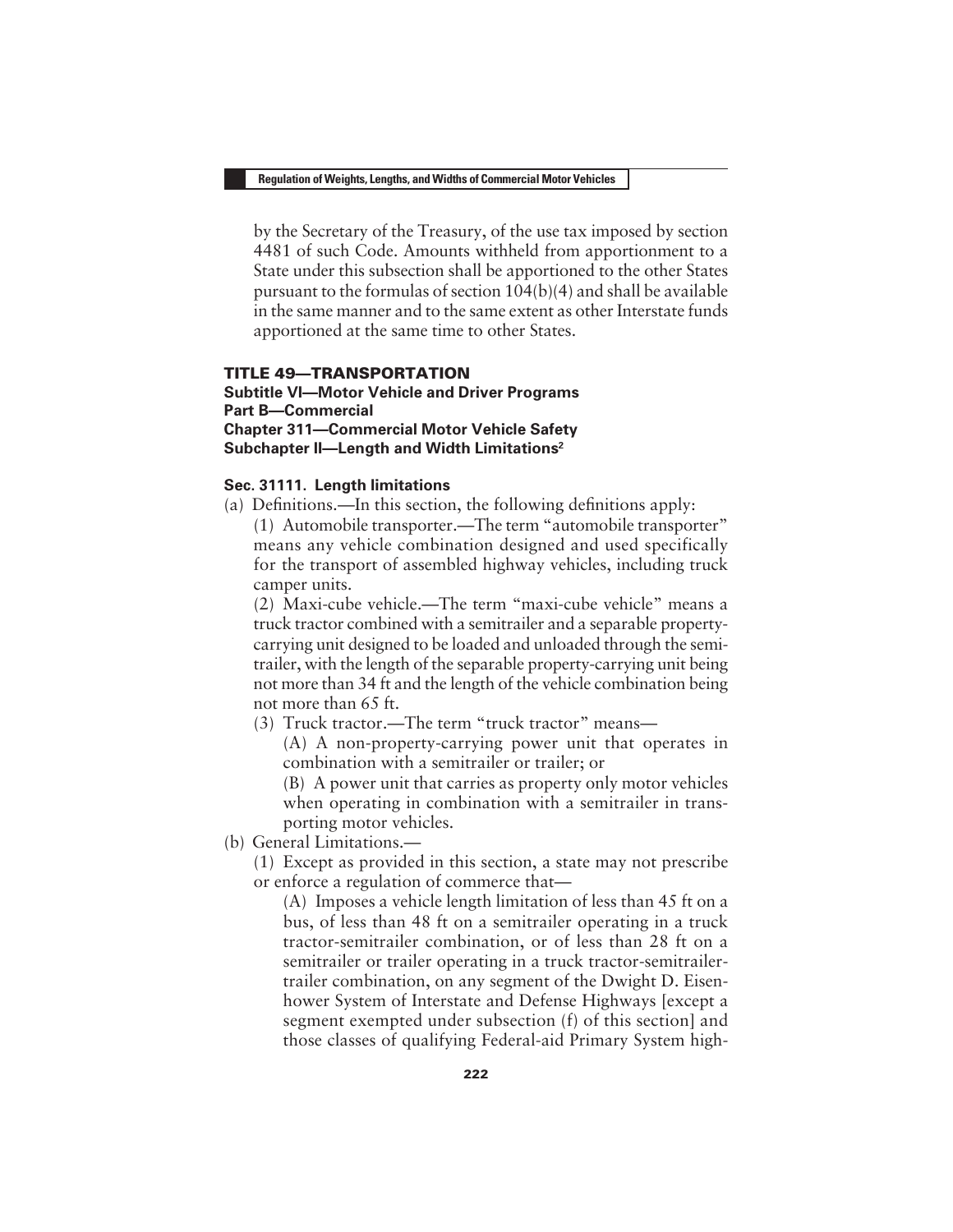by the Secretary of the Treasury, of the use tax imposed by section 4481 of such Code. Amounts withheld from apportionment to a State under this subsection shall be apportioned to the other States pursuant to the formulas of section 104(b)(4) and shall be available in the same manner and to the same extent as other Interstate funds apportioned at the same time to other States.

## **TITLE 49—TRANSPORTATION**

**Subtitle VI—Motor Vehicle and Driver Programs Part B—Commercial Chapter 311—Commercial Motor Vehicle Safety Subchapter II—Length and Width Limitations2**

#### **Sec. 31111. Length limitations**

- (a) Definitions.—In this section, the following definitions apply:
	- (1) Automobile transporter.—The term "automobile transporter" means any vehicle combination designed and used specifically for the transport of assembled highway vehicles, including truck camper units.

(2) Maxi-cube vehicle.—The term "maxi-cube vehicle" means a truck tractor combined with a semitrailer and a separable propertycarrying unit designed to be loaded and unloaded through the semitrailer, with the length of the separable property-carrying unit being not more than 34 ft and the length of the vehicle combination being not more than 65 ft.

(3) Truck tractor.—The term "truck tractor" means—

(A) A non-property-carrying power unit that operates in combination with a semitrailer or trailer; or

(B) A power unit that carries as property only motor vehicles when operating in combination with a semitrailer in transporting motor vehicles.

- (b) General Limitations.—
	- (1) Except as provided in this section, a state may not prescribe or enforce a regulation of commerce that—

(A) Imposes a vehicle length limitation of less than 45 ft on a bus, of less than 48 ft on a semitrailer operating in a truck tractor-semitrailer combination, or of less than 28 ft on a semitrailer or trailer operating in a truck tractor-semitrailertrailer combination, on any segment of the Dwight D. Eisenhower System of Interstate and Defense Highways [except a segment exempted under subsection (f) of this section] and those classes of qualifying Federal-aid Primary System high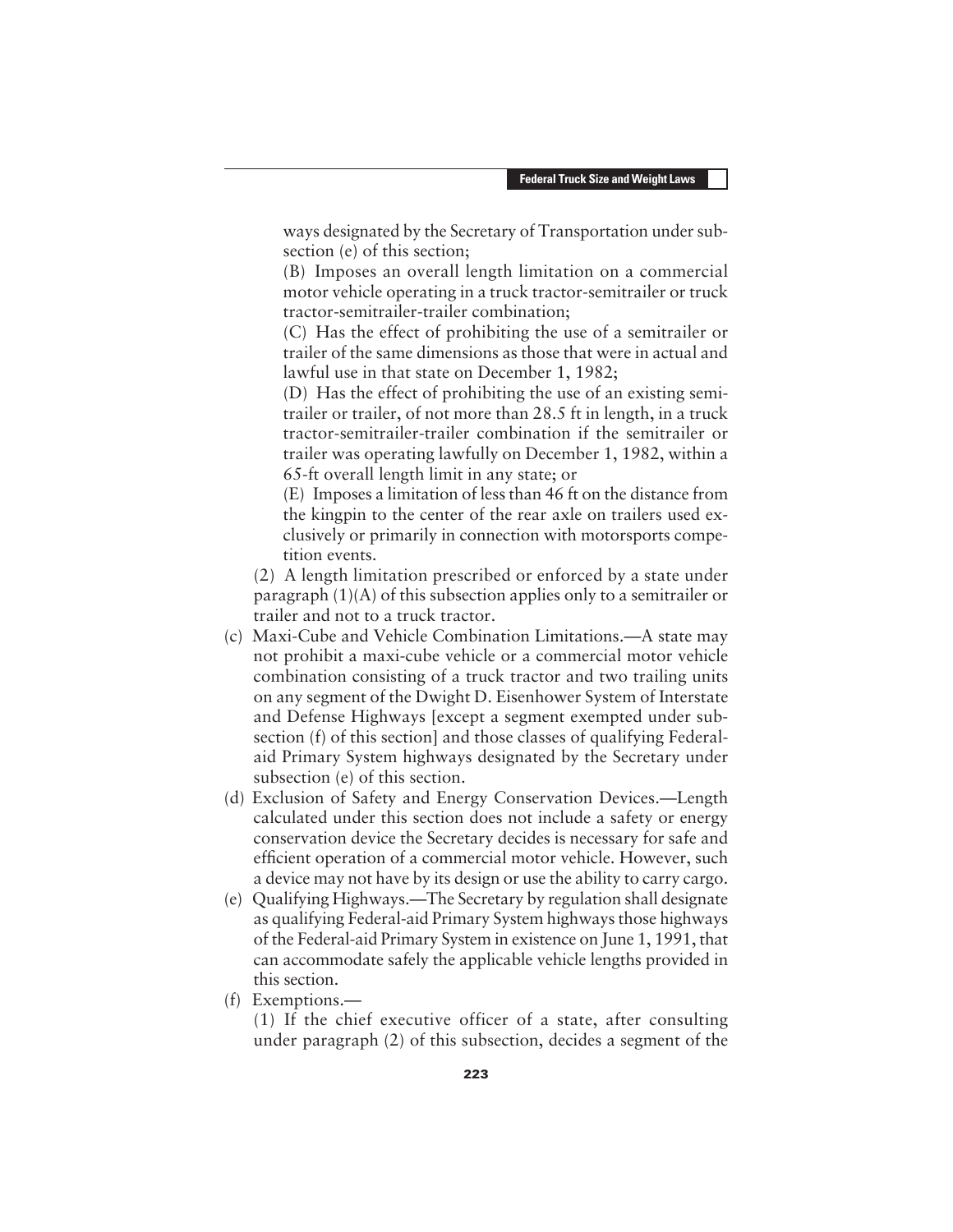ways designated by the Secretary of Transportation under subsection (e) of this section;

(B) Imposes an overall length limitation on a commercial motor vehicle operating in a truck tractor-semitrailer or truck tractor-semitrailer-trailer combination;

(C) Has the effect of prohibiting the use of a semitrailer or trailer of the same dimensions as those that were in actual and lawful use in that state on December 1, 1982;

(D) Has the effect of prohibiting the use of an existing semitrailer or trailer, of not more than 28.5 ft in length, in a truck tractor-semitrailer-trailer combination if the semitrailer or trailer was operating lawfully on December 1, 1982, within a 65-ft overall length limit in any state; or

(E) Imposes a limitation of less than 46 ft on the distance from the kingpin to the center of the rear axle on trailers used exclusively or primarily in connection with motorsports competition events.

(2) A length limitation prescribed or enforced by a state under paragraph (1)(A) of this subsection applies only to a semitrailer or trailer and not to a truck tractor.

- (c) Maxi-Cube and Vehicle Combination Limitations.—A state may not prohibit a maxi-cube vehicle or a commercial motor vehicle combination consisting of a truck tractor and two trailing units on any segment of the Dwight D. Eisenhower System of Interstate and Defense Highways [except a segment exempted under subsection (f) of this section] and those classes of qualifying Federalaid Primary System highways designated by the Secretary under subsection (e) of this section.
- (d) Exclusion of Safety and Energy Conservation Devices.—Length calculated under this section does not include a safety or energy conservation device the Secretary decides is necessary for safe and efficient operation of a commercial motor vehicle. However, such a device may not have by its design or use the ability to carry cargo.
- (e) Qualifying Highways.—The Secretary by regulation shall designate as qualifying Federal-aid Primary System highways those highways of the Federal-aid Primary System in existence on June 1, 1991, that can accommodate safely the applicable vehicle lengths provided in this section.
- (f) Exemptions.—

(1) If the chief executive officer of a state, after consulting under paragraph (2) of this subsection, decides a segment of the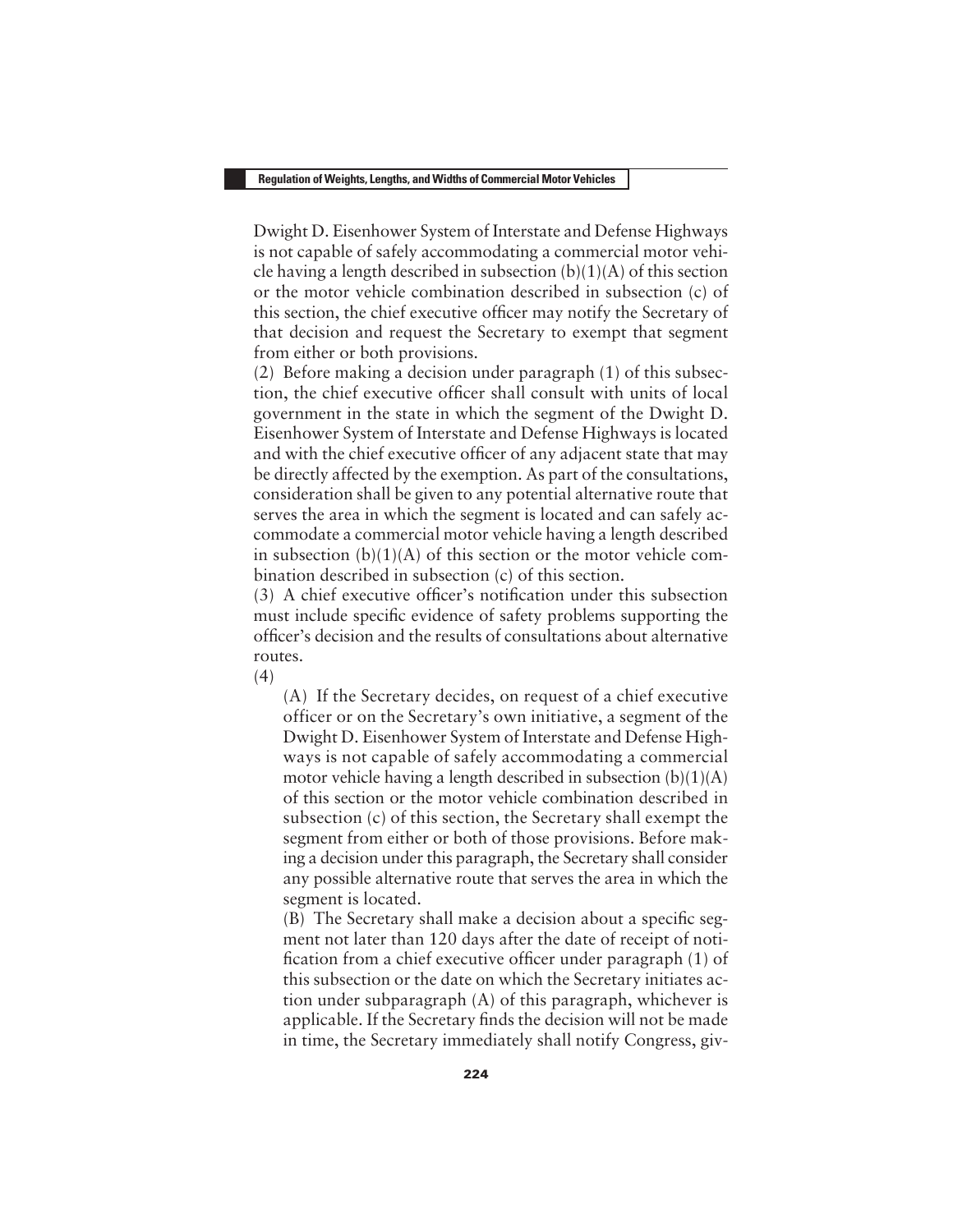Dwight D. Eisenhower System of Interstate and Defense Highways is not capable of safely accommodating a commercial motor vehicle having a length described in subsection  $(b)(1)(A)$  of this section or the motor vehicle combination described in subsection (c) of this section, the chief executive officer may notify the Secretary of that decision and request the Secretary to exempt that segment from either or both provisions.

(2) Before making a decision under paragraph (1) of this subsection, the chief executive officer shall consult with units of local government in the state in which the segment of the Dwight D. Eisenhower System of Interstate and Defense Highways is located and with the chief executive officer of any adjacent state that may be directly affected by the exemption. As part of the consultations, consideration shall be given to any potential alternative route that serves the area in which the segment is located and can safely accommodate a commercial motor vehicle having a length described in subsection  $(b)(1)(A)$  of this section or the motor vehicle combination described in subsection (c) of this section.

(3) A chief executive officer's notification under this subsection must include specific evidence of safety problems supporting the officer's decision and the results of consultations about alternative routes.

(4)

(A) If the Secretary decides, on request of a chief executive officer or on the Secretary's own initiative, a segment of the Dwight D. Eisenhower System of Interstate and Defense Highways is not capable of safely accommodating a commercial motor vehicle having a length described in subsection  $(b)(1)(A)$ of this section or the motor vehicle combination described in subsection (c) of this section, the Secretary shall exempt the segment from either or both of those provisions. Before making a decision under this paragraph, the Secretary shall consider any possible alternative route that serves the area in which the segment is located.

(B) The Secretary shall make a decision about a specific segment not later than 120 days after the date of receipt of notification from a chief executive officer under paragraph (1) of this subsection or the date on which the Secretary initiates action under subparagraph (A) of this paragraph, whichever is applicable. If the Secretary finds the decision will not be made in time, the Secretary immediately shall notify Congress, giv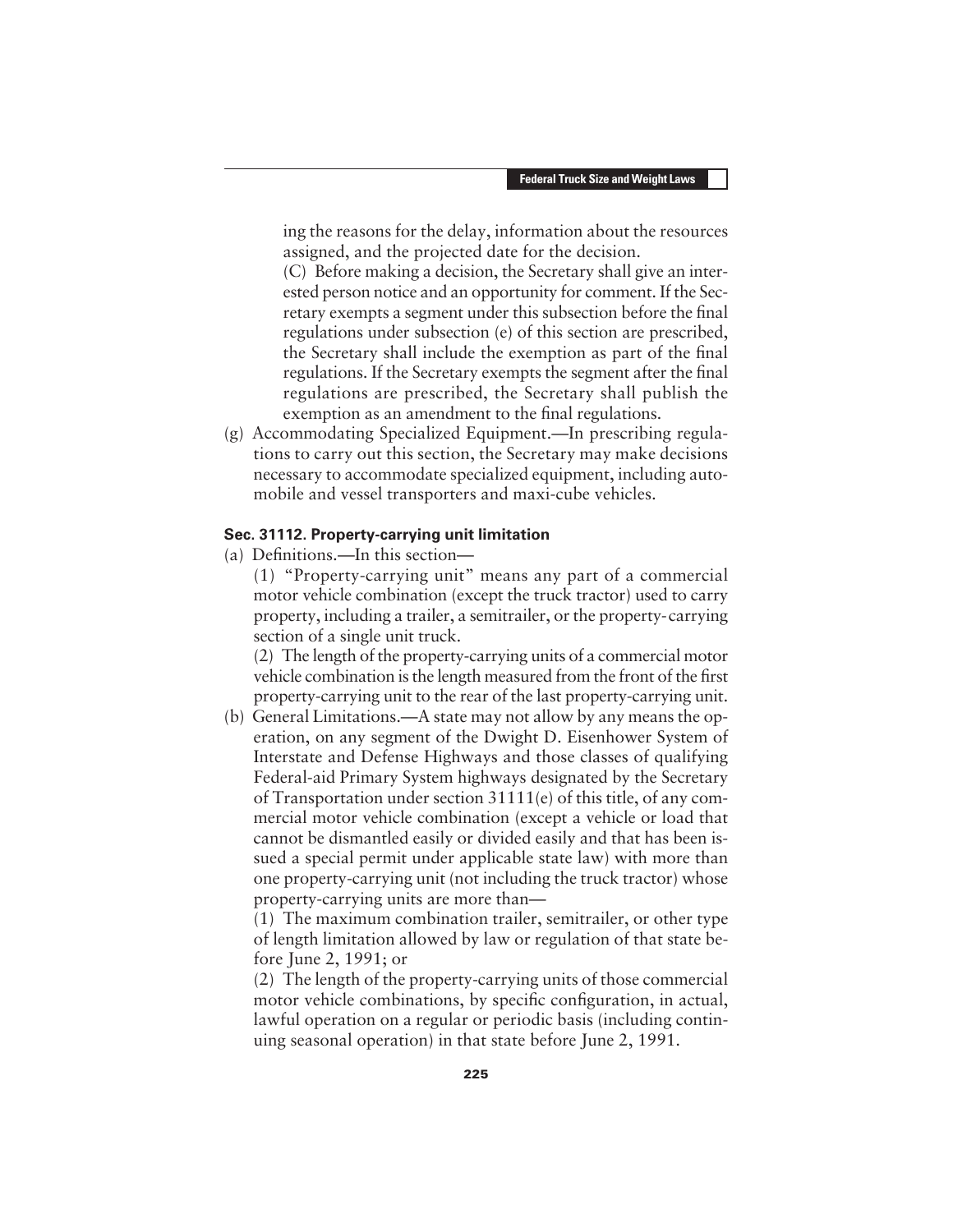ing the reasons for the delay, information about the resources assigned, and the projected date for the decision.

(C) Before making a decision, the Secretary shall give an interested person notice and an opportunity for comment. If the Secretary exempts a segment under this subsection before the final regulations under subsection (e) of this section are prescribed, the Secretary shall include the exemption as part of the final regulations. If the Secretary exempts the segment after the final regulations are prescribed, the Secretary shall publish the exemption as an amendment to the final regulations.

(g) Accommodating Specialized Equipment.—In prescribing regulations to carry out this section, the Secretary may make decisions necessary to accommodate specialized equipment, including automobile and vessel transporters and maxi-cube vehicles.

#### **Sec. 31112. Property-carrying unit limitation**

(a) Definitions.—In this section—

(1) "Property-carrying unit" means any part of a commercial motor vehicle combination (except the truck tractor) used to carry property, including a trailer, a semitrailer, or the property-carrying section of a single unit truck.

(2) The length of the property-carrying units of a commercial motor vehicle combination is the length measured from the front of the first property-carrying unit to the rear of the last property-carrying unit.

(b) General Limitations.—A state may not allow by any means the operation, on any segment of the Dwight D. Eisenhower System of Interstate and Defense Highways and those classes of qualifying Federal-aid Primary System highways designated by the Secretary of Transportation under section 31111(e) of this title, of any commercial motor vehicle combination (except a vehicle or load that cannot be dismantled easily or divided easily and that has been issued a special permit under applicable state law) with more than one property-carrying unit (not including the truck tractor) whose property-carrying units are more than—

(1) The maximum combination trailer, semitrailer, or other type of length limitation allowed by law or regulation of that state before June 2, 1991; or

(2) The length of the property-carrying units of those commercial motor vehicle combinations, by specific configuration, in actual, lawful operation on a regular or periodic basis (including continuing seasonal operation) in that state before June 2, 1991.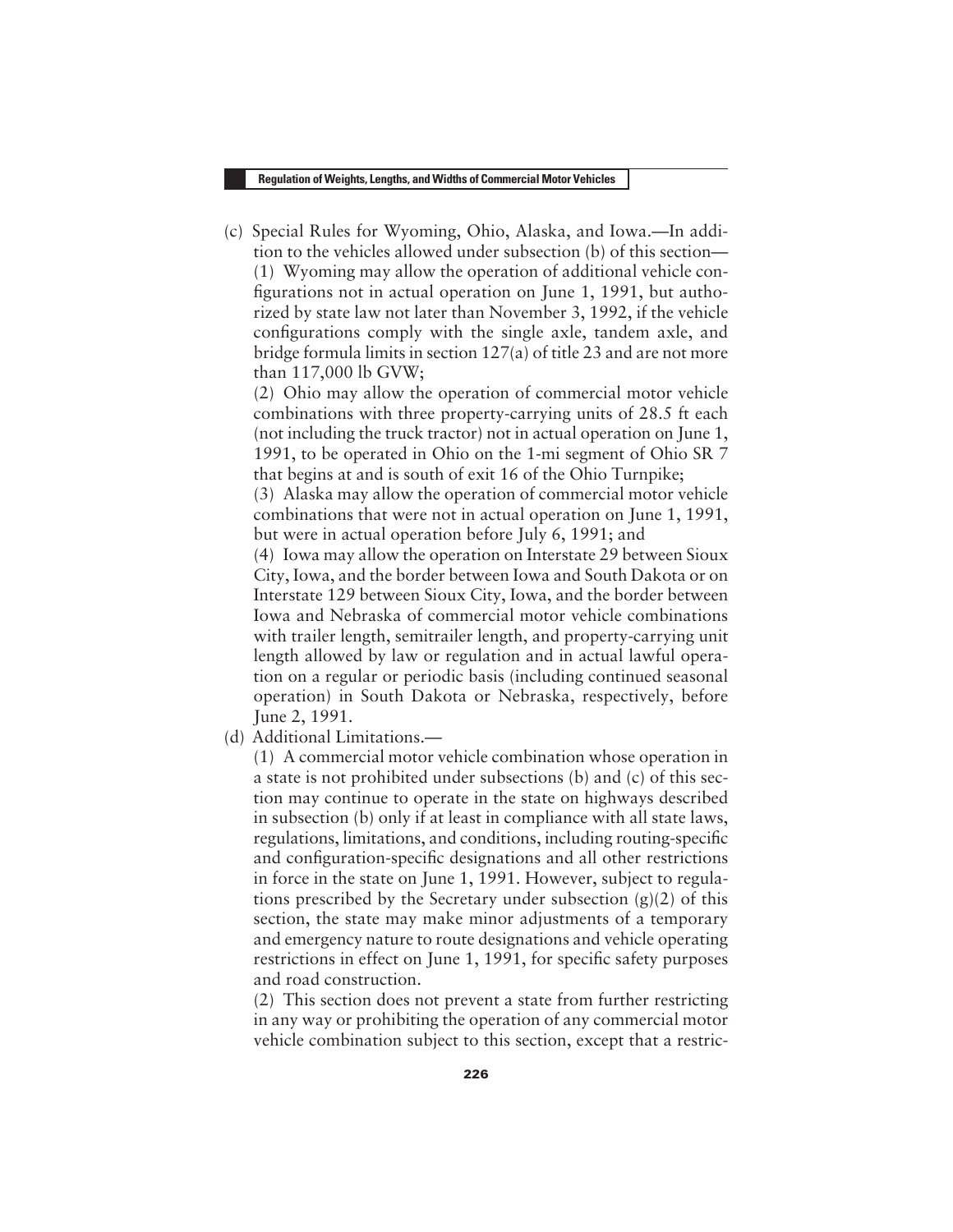(c) Special Rules for Wyoming, Ohio, Alaska, and Iowa.—In addition to the vehicles allowed under subsection (b) of this section— (1) Wyoming may allow the operation of additional vehicle configurations not in actual operation on June 1, 1991, but authorized by state law not later than November 3, 1992, if the vehicle configurations comply with the single axle, tandem axle, and bridge formula limits in section 127(a) of title 23 and are not more than 117,000 lb GVW;

(2) Ohio may allow the operation of commercial motor vehicle combinations with three property-carrying units of 28.5 ft each (not including the truck tractor) not in actual operation on June 1, 1991, to be operated in Ohio on the 1-mi segment of Ohio SR 7 that begins at and is south of exit 16 of the Ohio Turnpike;

(3) Alaska may allow the operation of commercial motor vehicle combinations that were not in actual operation on June 1, 1991, but were in actual operation before July 6, 1991; and

(4) Iowa may allow the operation on Interstate 29 between Sioux City, Iowa, and the border between Iowa and South Dakota or on Interstate 129 between Sioux City, Iowa, and the border between Iowa and Nebraska of commercial motor vehicle combinations with trailer length, semitrailer length, and property-carrying unit length allowed by law or regulation and in actual lawful operation on a regular or periodic basis (including continued seasonal operation) in South Dakota or Nebraska, respectively, before June 2, 1991.

(d) Additional Limitations.—

(1) A commercial motor vehicle combination whose operation in a state is not prohibited under subsections (b) and (c) of this section may continue to operate in the state on highways described in subsection (b) only if at least in compliance with all state laws, regulations, limitations, and conditions, including routing-specific and configuration-specific designations and all other restrictions in force in the state on June 1, 1991. However, subject to regulations prescribed by the Secretary under subsection  $(g)(2)$  of this section, the state may make minor adjustments of a temporary and emergency nature to route designations and vehicle operating restrictions in effect on June 1, 1991, for specific safety purposes and road construction.

(2) This section does not prevent a state from further restricting in any way or prohibiting the operation of any commercial motor vehicle combination subject to this section, except that a restric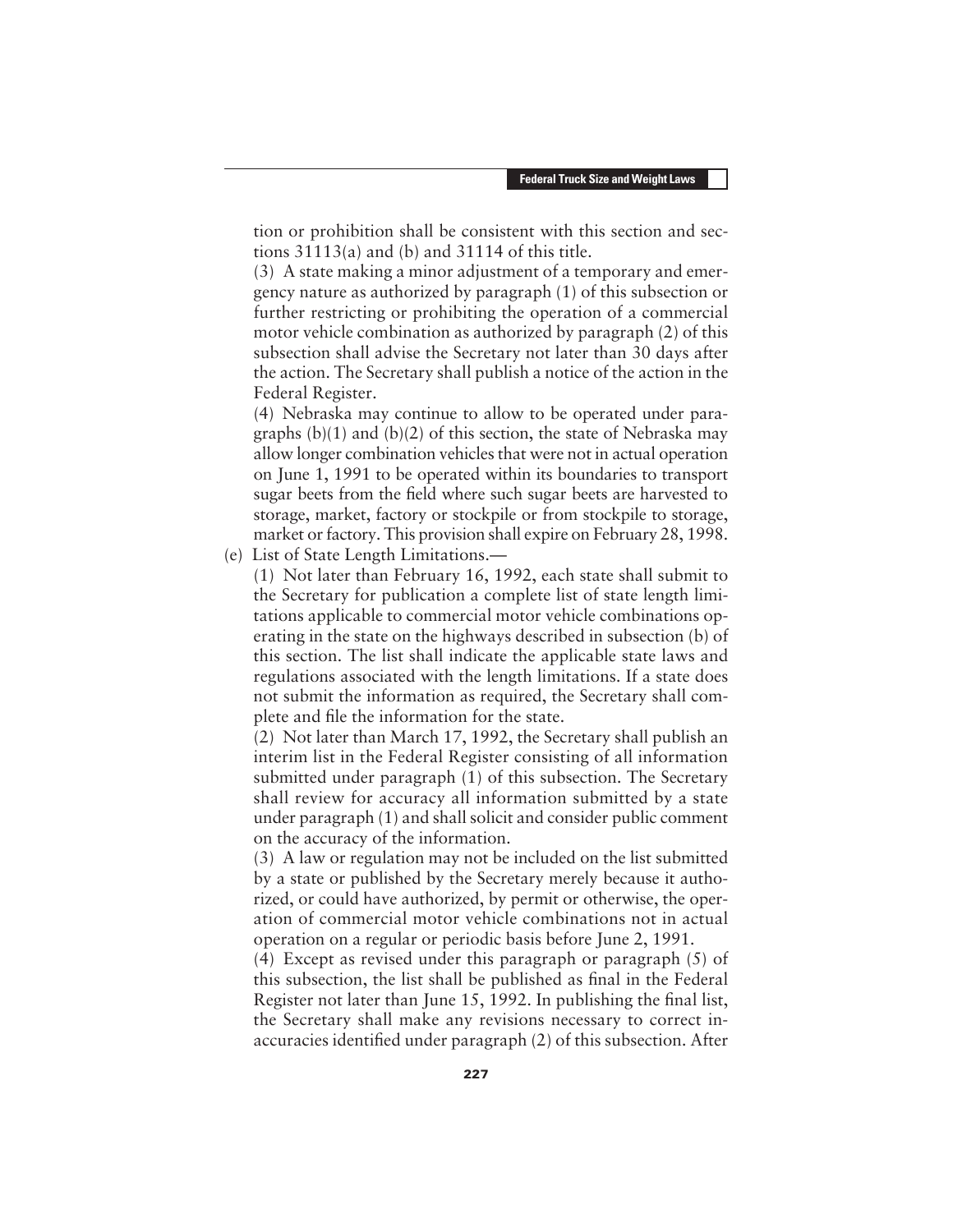tion or prohibition shall be consistent with this section and sections 31113(a) and (b) and 31114 of this title.

(3) A state making a minor adjustment of a temporary and emergency nature as authorized by paragraph (1) of this subsection or further restricting or prohibiting the operation of a commercial motor vehicle combination as authorized by paragraph (2) of this subsection shall advise the Secretary not later than 30 days after the action. The Secretary shall publish a notice of the action in the Federal Register.

(4) Nebraska may continue to allow to be operated under paragraphs  $(b)(1)$  and  $(b)(2)$  of this section, the state of Nebraska may allow longer combination vehicles that were not in actual operation on June 1, 1991 to be operated within its boundaries to transport sugar beets from the field where such sugar beets are harvested to storage, market, factory or stockpile or from stockpile to storage, market or factory. This provision shall expire on February 28, 1998. (e) List of State Length Limitations.—

(1) Not later than February 16, 1992, each state shall submit to the Secretary for publication a complete list of state length limitations applicable to commercial motor vehicle combinations operating in the state on the highways described in subsection (b) of this section. The list shall indicate the applicable state laws and regulations associated with the length limitations. If a state does not submit the information as required, the Secretary shall complete and file the information for the state.

(2) Not later than March 17, 1992, the Secretary shall publish an interim list in the Federal Register consisting of all information submitted under paragraph (1) of this subsection. The Secretary shall review for accuracy all information submitted by a state under paragraph (1) and shall solicit and consider public comment on the accuracy of the information.

(3) A law or regulation may not be included on the list submitted by a state or published by the Secretary merely because it authorized, or could have authorized, by permit or otherwise, the operation of commercial motor vehicle combinations not in actual operation on a regular or periodic basis before June 2, 1991.

(4) Except as revised under this paragraph or paragraph (5) of this subsection, the list shall be published as final in the Federal Register not later than June 15, 1992. In publishing the final list, the Secretary shall make any revisions necessary to correct inaccuracies identified under paragraph (2) of this subsection. After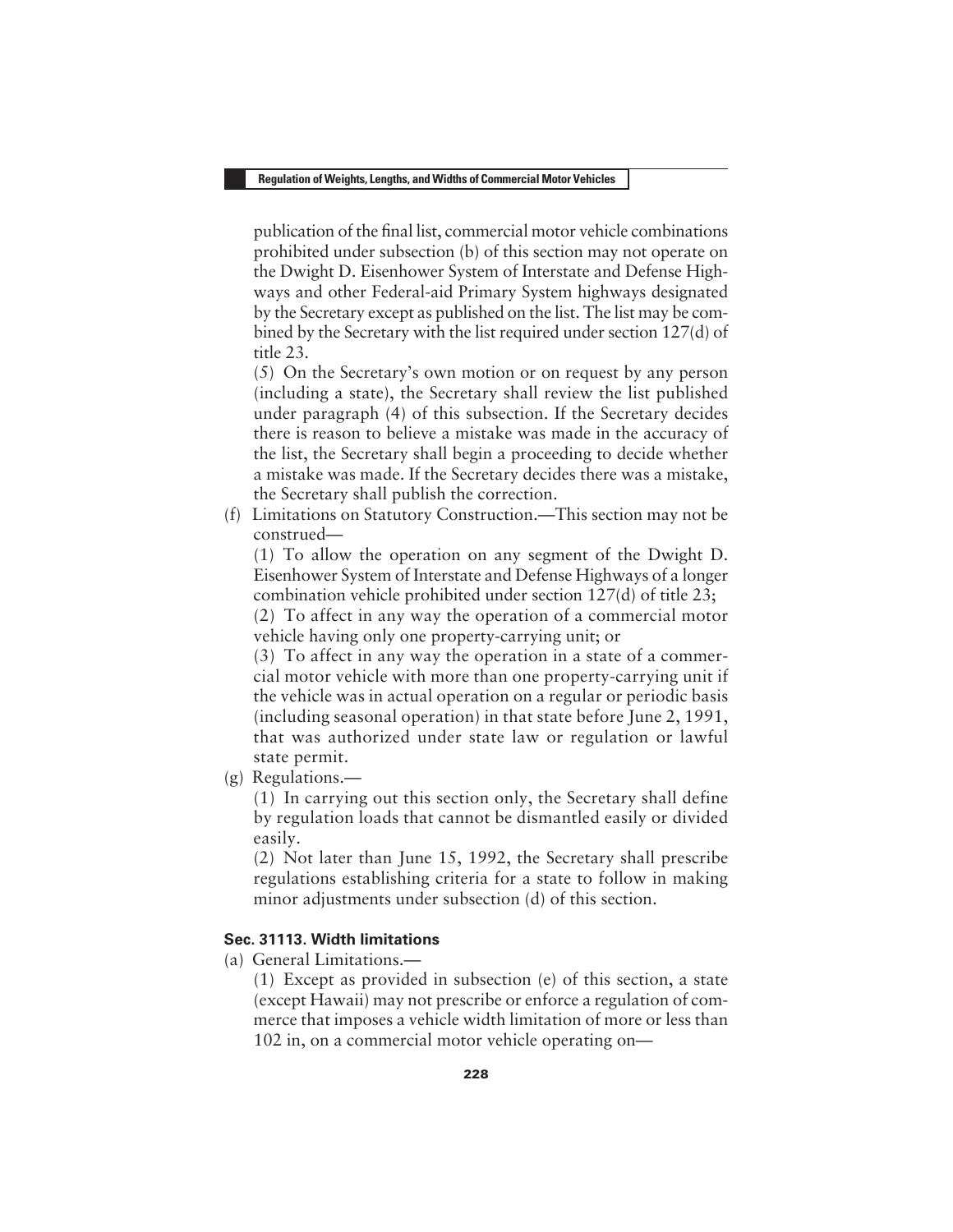publication of the final list, commercial motor vehicle combinations prohibited under subsection (b) of this section may not operate on the Dwight D. Eisenhower System of Interstate and Defense Highways and other Federal-aid Primary System highways designated by the Secretary except as published on the list. The list may be combined by the Secretary with the list required under section 127(d) of title 23.

(5) On the Secretary's own motion or on request by any person (including a state), the Secretary shall review the list published under paragraph (4) of this subsection. If the Secretary decides there is reason to believe a mistake was made in the accuracy of the list, the Secretary shall begin a proceeding to decide whether a mistake was made. If the Secretary decides there was a mistake, the Secretary shall publish the correction.

(f) Limitations on Statutory Construction.—This section may not be construed—

(1) To allow the operation on any segment of the Dwight D. Eisenhower System of Interstate and Defense Highways of a longer combination vehicle prohibited under section 127(d) of title 23;

(2) To affect in any way the operation of a commercial motor vehicle having only one property-carrying unit; or

(3) To affect in any way the operation in a state of a commercial motor vehicle with more than one property-carrying unit if the vehicle was in actual operation on a regular or periodic basis (including seasonal operation) in that state before June 2, 1991, that was authorized under state law or regulation or lawful state permit.

(g) Regulations.—

(1) In carrying out this section only, the Secretary shall define by regulation loads that cannot be dismantled easily or divided easily.

(2) Not later than June 15, 1992, the Secretary shall prescribe regulations establishing criteria for a state to follow in making minor adjustments under subsection (d) of this section.

# **Sec. 31113. Width limitations**

(a) General Limitations.—

(1) Except as provided in subsection (e) of this section, a state (except Hawaii) may not prescribe or enforce a regulation of commerce that imposes a vehicle width limitation of more or less than 102 in, on a commercial motor vehicle operating on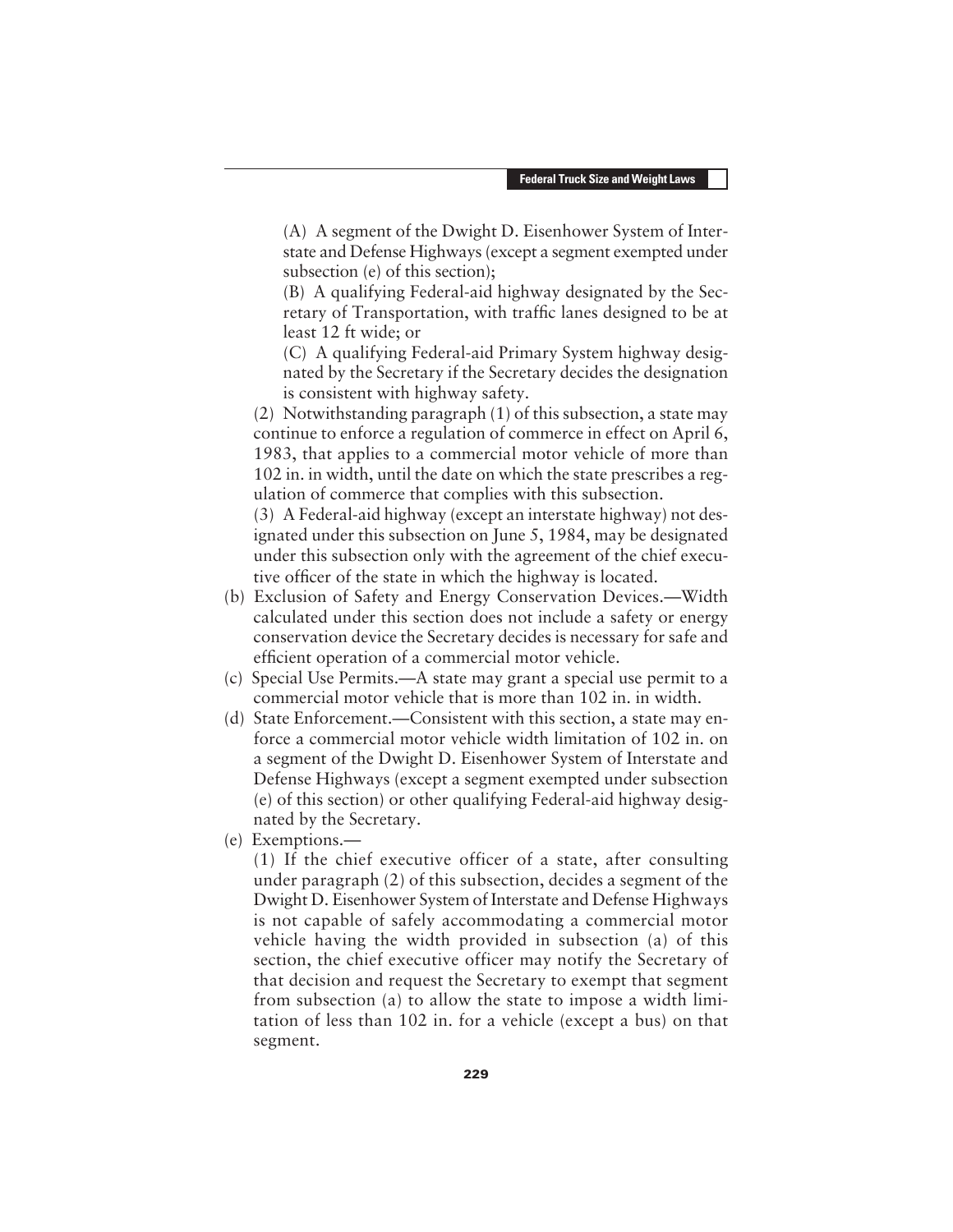(A) A segment of the Dwight D. Eisenhower System of Interstate and Defense Highways (except a segment exempted under subsection (e) of this section);

(B) A qualifying Federal-aid highway designated by the Secretary of Transportation, with traffic lanes designed to be at least 12 ft wide; or

(C) A qualifying Federal-aid Primary System highway designated by the Secretary if the Secretary decides the designation is consistent with highway safety.

(2) Notwithstanding paragraph (1) of this subsection, a state may continue to enforce a regulation of commerce in effect on April 6, 1983, that applies to a commercial motor vehicle of more than 102 in. in width, until the date on which the state prescribes a regulation of commerce that complies with this subsection.

(3) A Federal-aid highway (except an interstate highway) not designated under this subsection on June 5, 1984, may be designated under this subsection only with the agreement of the chief executive officer of the state in which the highway is located.

- (b) Exclusion of Safety and Energy Conservation Devices.—Width calculated under this section does not include a safety or energy conservation device the Secretary decides is necessary for safe and efficient operation of a commercial motor vehicle.
- (c) Special Use Permits.—A state may grant a special use permit to a commercial motor vehicle that is more than 102 in. in width.
- (d) State Enforcement.—Consistent with this section, a state may enforce a commercial motor vehicle width limitation of 102 in. on a segment of the Dwight D. Eisenhower System of Interstate and Defense Highways (except a segment exempted under subsection (e) of this section) or other qualifying Federal-aid highway designated by the Secretary.
- (e) Exemptions.—
	- (1) If the chief executive officer of a state, after consulting under paragraph (2) of this subsection, decides a segment of the Dwight D. Eisenhower System of Interstate and Defense Highways is not capable of safely accommodating a commercial motor vehicle having the width provided in subsection (a) of this section, the chief executive officer may notify the Secretary of that decision and request the Secretary to exempt that segment from subsection (a) to allow the state to impose a width limitation of less than 102 in. for a vehicle (except a bus) on that segment.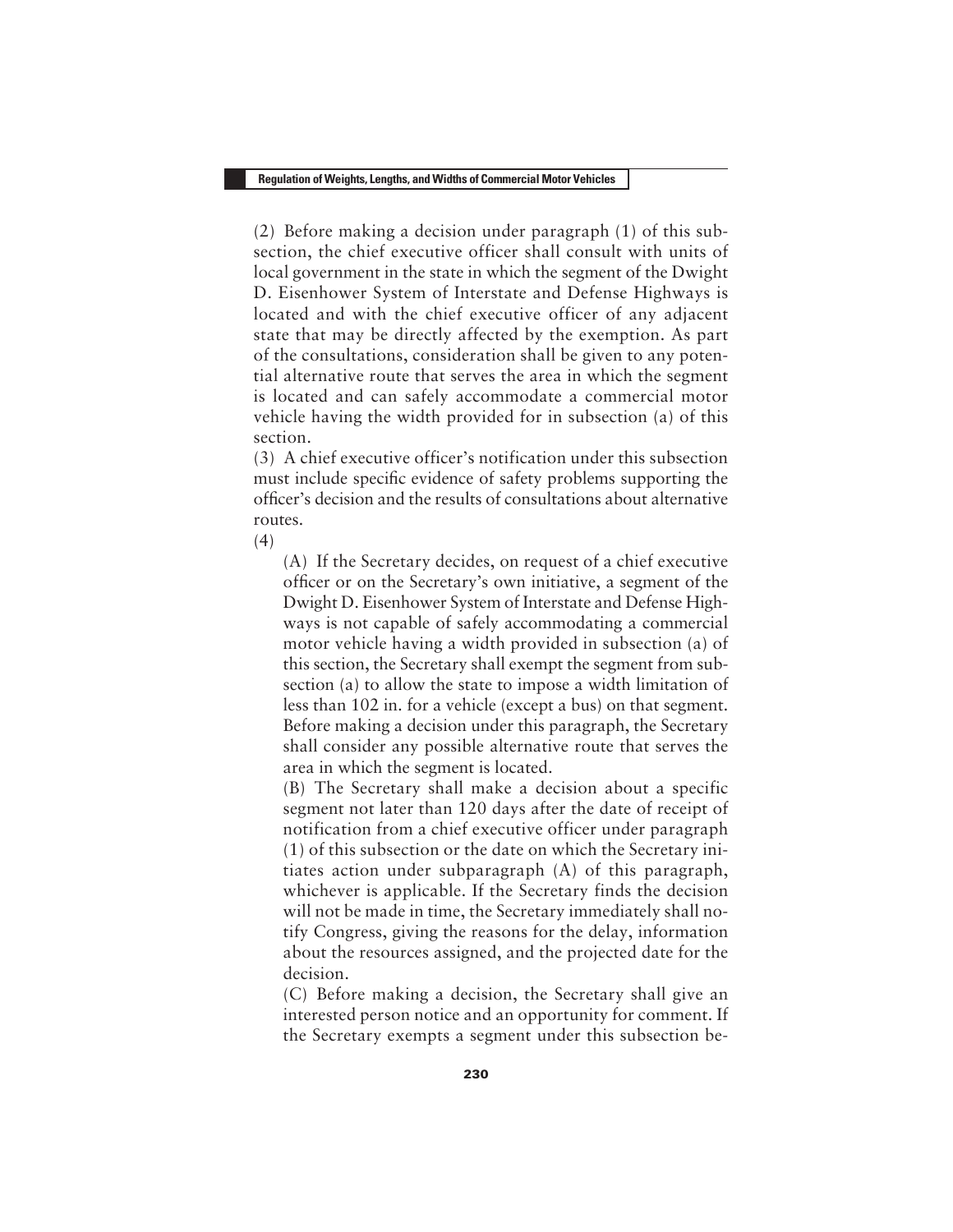(2) Before making a decision under paragraph (1) of this subsection, the chief executive officer shall consult with units of local government in the state in which the segment of the Dwight D. Eisenhower System of Interstate and Defense Highways is located and with the chief executive officer of any adjacent state that may be directly affected by the exemption. As part of the consultations, consideration shall be given to any potential alternative route that serves the area in which the segment is located and can safely accommodate a commercial motor vehicle having the width provided for in subsection (a) of this section.

(3) A chief executive officer's notification under this subsection must include specific evidence of safety problems supporting the officer's decision and the results of consultations about alternative routes.

(4)

(A) If the Secretary decides, on request of a chief executive officer or on the Secretary's own initiative, a segment of the Dwight D. Eisenhower System of Interstate and Defense Highways is not capable of safely accommodating a commercial motor vehicle having a width provided in subsection (a) of this section, the Secretary shall exempt the segment from subsection (a) to allow the state to impose a width limitation of less than 102 in. for a vehicle (except a bus) on that segment. Before making a decision under this paragraph, the Secretary shall consider any possible alternative route that serves the area in which the segment is located.

(B) The Secretary shall make a decision about a specific segment not later than 120 days after the date of receipt of notification from a chief executive officer under paragraph (1) of this subsection or the date on which the Secretary initiates action under subparagraph (A) of this paragraph, whichever is applicable. If the Secretary finds the decision will not be made in time, the Secretary immediately shall notify Congress, giving the reasons for the delay, information about the resources assigned, and the projected date for the decision.

(C) Before making a decision, the Secretary shall give an interested person notice and an opportunity for comment. If the Secretary exempts a segment under this subsection be-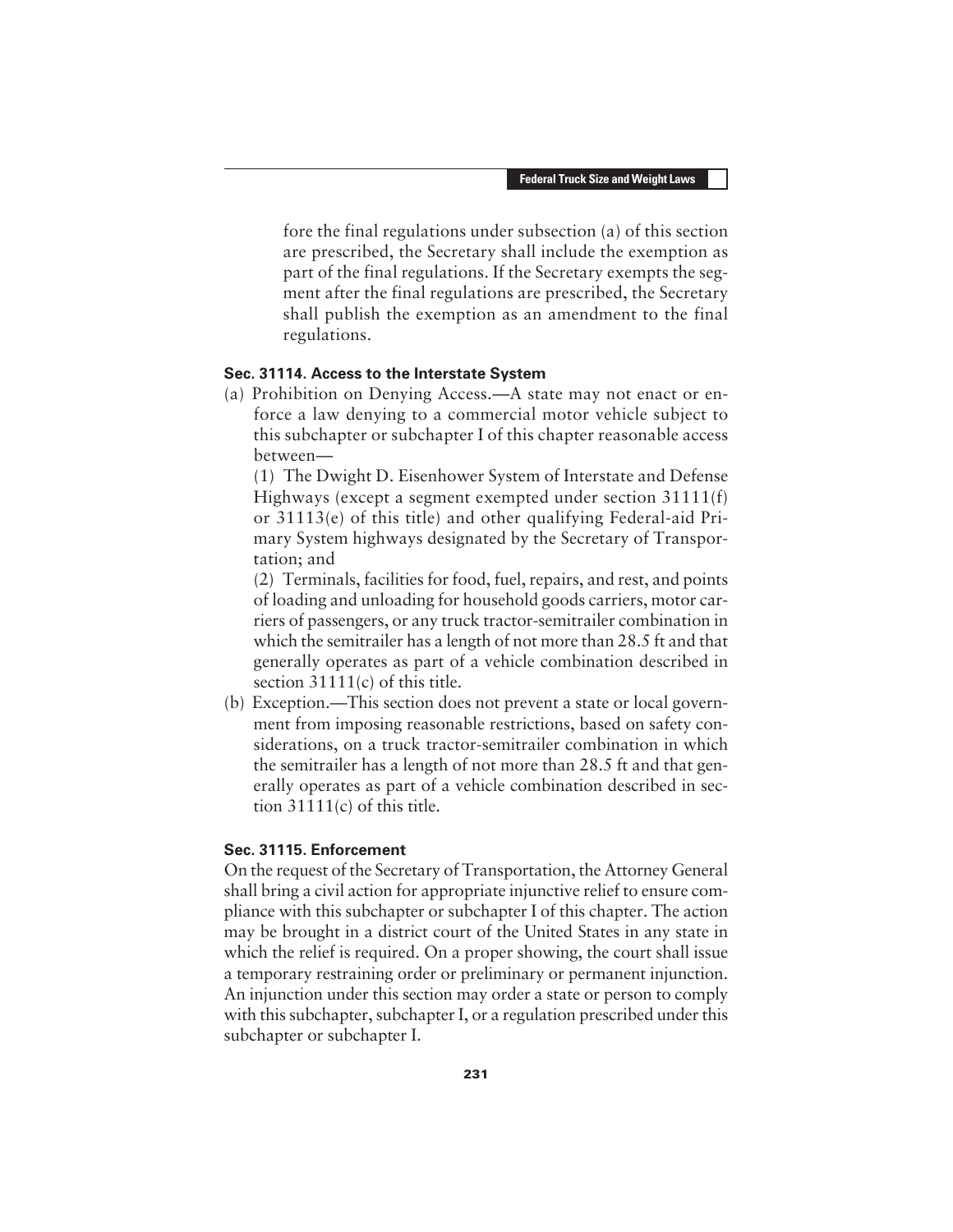fore the final regulations under subsection (a) of this section are prescribed, the Secretary shall include the exemption as part of the final regulations. If the Secretary exempts the segment after the final regulations are prescribed, the Secretary shall publish the exemption as an amendment to the final regulations.

#### **Sec. 31114. Access to the Interstate System**

(a) Prohibition on Denying Access.—A state may not enact or enforce a law denying to a commercial motor vehicle subject to this subchapter or subchapter I of this chapter reasonable access between—

(1) The Dwight D. Eisenhower System of Interstate and Defense Highways (except a segment exempted under section 31111(f) or 31113(e) of this title) and other qualifying Federal-aid Primary System highways designated by the Secretary of Transportation; and

(2) Terminals, facilities for food, fuel, repairs, and rest, and points of loading and unloading for household goods carriers, motor carriers of passengers, or any truck tractor-semitrailer combination in which the semitrailer has a length of not more than 28.5 ft and that generally operates as part of a vehicle combination described in section 31111(c) of this title.

(b) Exception.—This section does not prevent a state or local government from imposing reasonable restrictions, based on safety considerations, on a truck tractor-semitrailer combination in which the semitrailer has a length of not more than 28.5 ft and that generally operates as part of a vehicle combination described in section 31111(c) of this title.

#### **Sec. 31115. Enforcement**

On the request of the Secretary of Transportation, the Attorney General shall bring a civil action for appropriate injunctive relief to ensure compliance with this subchapter or subchapter I of this chapter. The action may be brought in a district court of the United States in any state in which the relief is required. On a proper showing, the court shall issue a temporary restraining order or preliminary or permanent injunction. An injunction under this section may order a state or person to comply with this subchapter, subchapter I, or a regulation prescribed under this subchapter or subchapter I.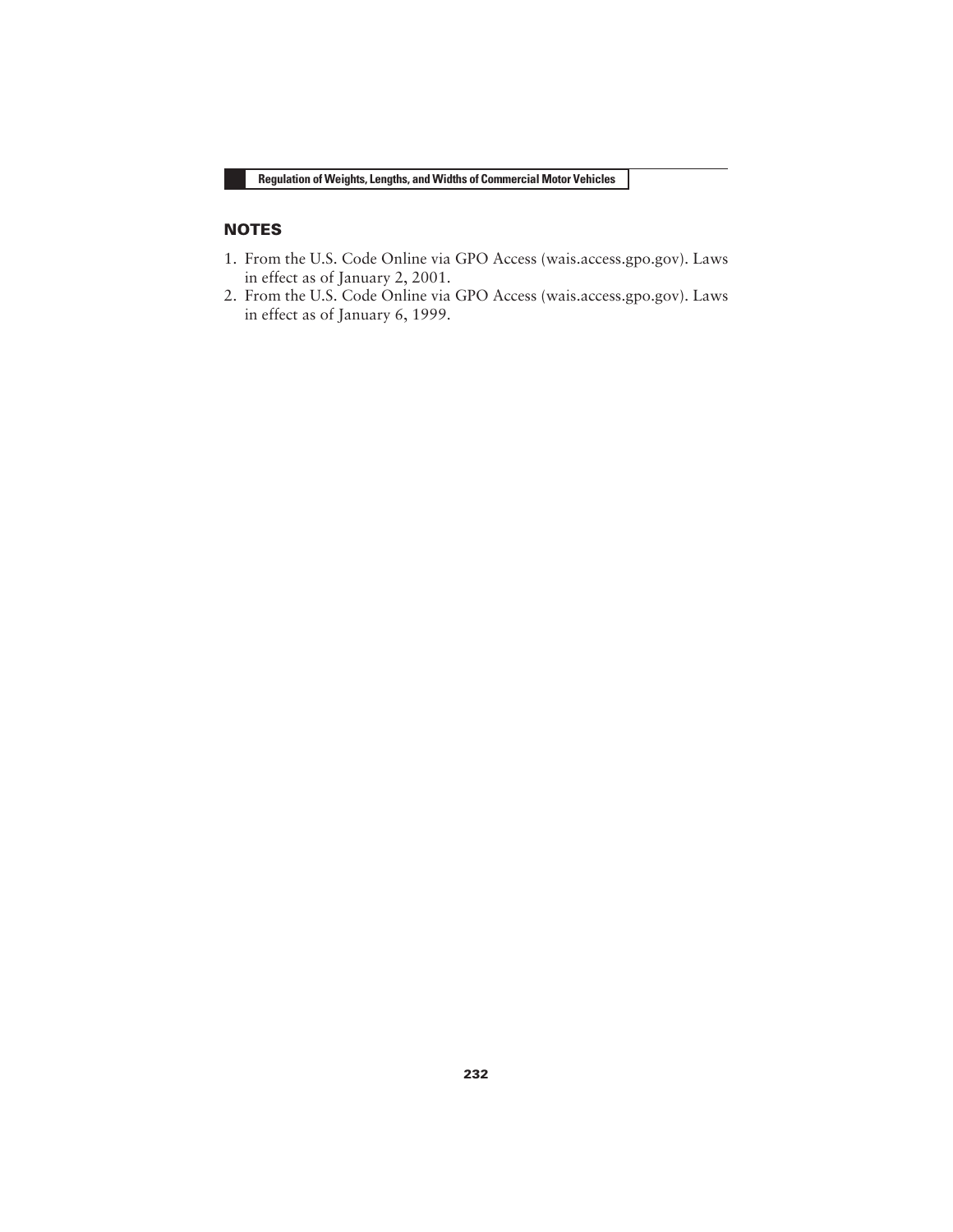#### **NOTES**

- 1. From the U.S. Code Online via GPO Access (wais.access.gpo.gov). Laws in effect as of January 2, 2001.
- 2. From the U.S. Code Online via GPO Access (wais.access.gpo.gov). Laws in effect as of January 6, 1999.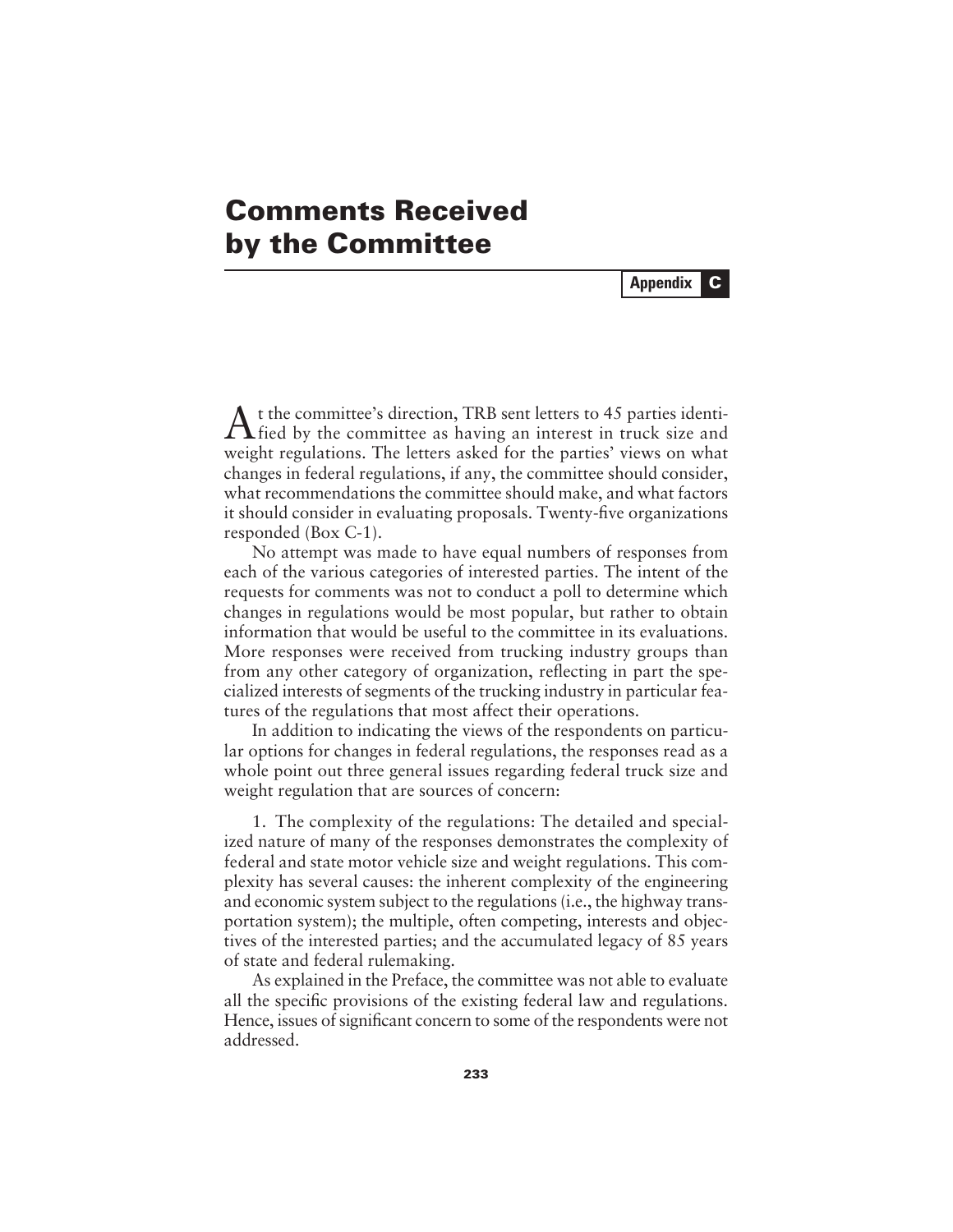# **Comments Received by the Committee**

**Appendix C**

At the committee's direction, TRB sent letters to 45 parties identi-fied by the committee as having an interest in truck size and weight regulations. The letters asked for the parties' views on what changes in federal regulations, if any, the committee should consider, what recommendations the committee should make, and what factors it should consider in evaluating proposals. Twenty-five organizations responded (Box C-1).

No attempt was made to have equal numbers of responses from each of the various categories of interested parties. The intent of the requests for comments was not to conduct a poll to determine which changes in regulations would be most popular, but rather to obtain information that would be useful to the committee in its evaluations. More responses were received from trucking industry groups than from any other category of organization, reflecting in part the specialized interests of segments of the trucking industry in particular features of the regulations that most affect their operations.

In addition to indicating the views of the respondents on particular options for changes in federal regulations, the responses read as a whole point out three general issues regarding federal truck size and weight regulation that are sources of concern:

1. The complexity of the regulations: The detailed and specialized nature of many of the responses demonstrates the complexity of federal and state motor vehicle size and weight regulations. This complexity has several causes: the inherent complexity of the engineering and economic system subject to the regulations (i.e., the highway transportation system); the multiple, often competing, interests and objectives of the interested parties; and the accumulated legacy of 85 years of state and federal rulemaking.

As explained in the Preface, the committee was not able to evaluate all the specific provisions of the existing federal law and regulations. Hence, issues of significant concern to some of the respondents were not addressed.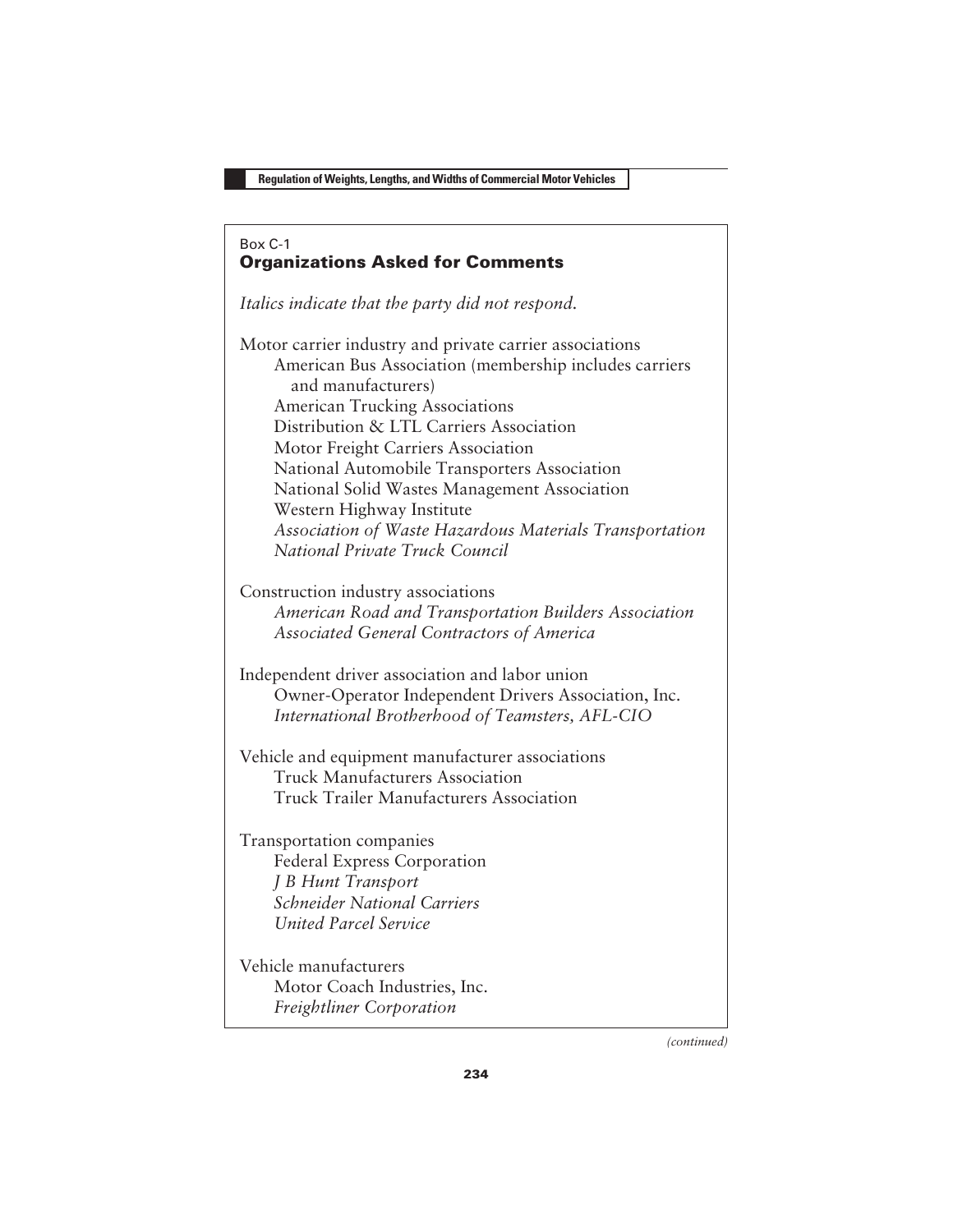## Box C-1 **Organizations Asked for Comments**

*Italics indicate that the party did not respond.*

Motor carrier industry and private carrier associations American Bus Association (membership includes carriers and manufacturers) American Trucking Associations Distribution & LTL Carriers Association Motor Freight Carriers Association National Automobile Transporters Association National Solid Wastes Management Association Western Highway Institute *Association of Waste Hazardous Materials Transportation National Private Truck Council*

Construction industry associations *American Road and Transportation Builders Association Associated General Contractors of America*

Independent driver association and labor union Owner-Operator Independent Drivers Association, Inc. *International Brotherhood of Teamsters, AFL-CIO*

Vehicle and equipment manufacturer associations Truck Manufacturers Association Truck Trailer Manufacturers Association

Transportation companies Federal Express Corporation *J B Hunt Transport Schneider National Carriers United Parcel Service*

Vehicle manufacturers Motor Coach Industries, Inc. *Freightliner Corporation*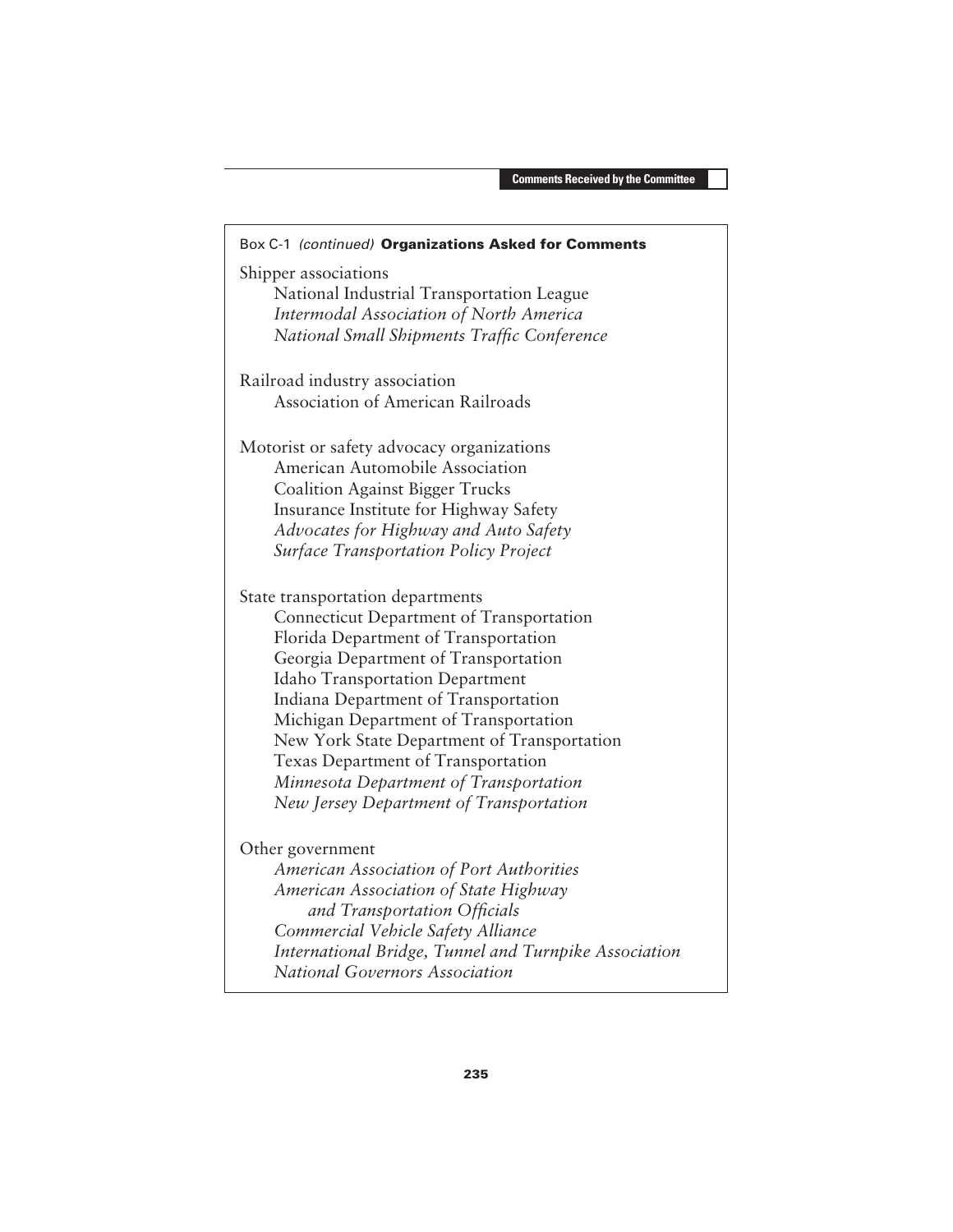Shipper associations National Industrial Transportation League *Intermodal Association of North America National Small Shipments Traffic Conference* Railroad industry association Association of American Railroads Motorist or safety advocacy organizations American Automobile Association Coalition Against Bigger Trucks Insurance Institute for Highway Safety *Advocates for Highway and Auto Safety Surface Transportation Policy Project* State transportation departments Connecticut Department of Transportation Florida Department of Transportation Georgia Department of Transportation Idaho Transportation Department Indiana Department of Transportation Michigan Department of Transportation New York State Department of Transportation Texas Department of Transportation *Minnesota Department of Transportation New Jersey Department of Transportation* Other government *American Association of Port Authorities American Association of State Highway and Transportation Officials Commercial Vehicle Safety Alliance International Bridge, Tunnel and Turnpike Association National Governors Association* Box C-1 (continued) **Organizations Asked for Comments**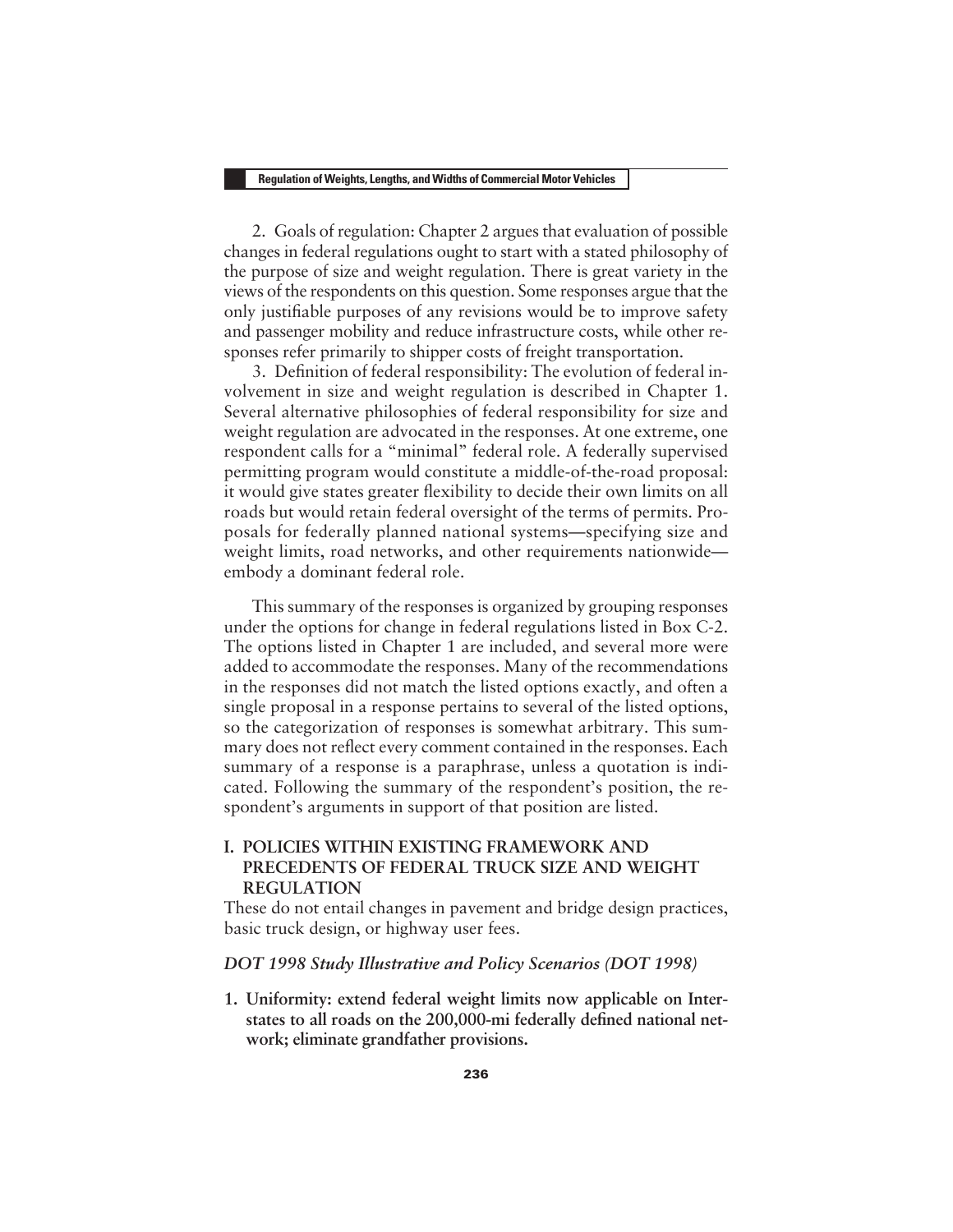2. Goals of regulation: Chapter 2 argues that evaluation of possible changes in federal regulations ought to start with a stated philosophy of the purpose of size and weight regulation. There is great variety in the views of the respondents on this question. Some responses argue that the only justifiable purposes of any revisions would be to improve safety and passenger mobility and reduce infrastructure costs, while other responses refer primarily to shipper costs of freight transportation.

3. Definition of federal responsibility: The evolution of federal involvement in size and weight regulation is described in Chapter 1. Several alternative philosophies of federal responsibility for size and weight regulation are advocated in the responses. At one extreme, one respondent calls for a "minimal" federal role. A federally supervised permitting program would constitute a middle-of-the-road proposal: it would give states greater flexibility to decide their own limits on all roads but would retain federal oversight of the terms of permits. Proposals for federally planned national systems—specifying size and weight limits, road networks, and other requirements nationwide embody a dominant federal role.

This summary of the responses is organized by grouping responses under the options for change in federal regulations listed in Box C-2. The options listed in Chapter 1 are included, and several more were added to accommodate the responses. Many of the recommendations in the responses did not match the listed options exactly, and often a single proposal in a response pertains to several of the listed options, so the categorization of responses is somewhat arbitrary. This summary does not reflect every comment contained in the responses. Each summary of a response is a paraphrase, unless a quotation is indicated. Following the summary of the respondent's position, the respondent's arguments in support of that position are listed.

## **I. POLICIES WITHIN EXISTING FRAMEWORK AND PRECEDENTS OF FEDERAL TRUCK SIZE AND WEIGHT REGULATION**

These do not entail changes in pavement and bridge design practices, basic truck design, or highway user fees.

# *DOT 1998 Study Illustrative and Policy Scenarios (DOT 1998)*

**1. Uniformity: extend federal weight limits now applicable on Interstates to all roads on the 200,000-mi federally defined national network; eliminate grandfather provisions.**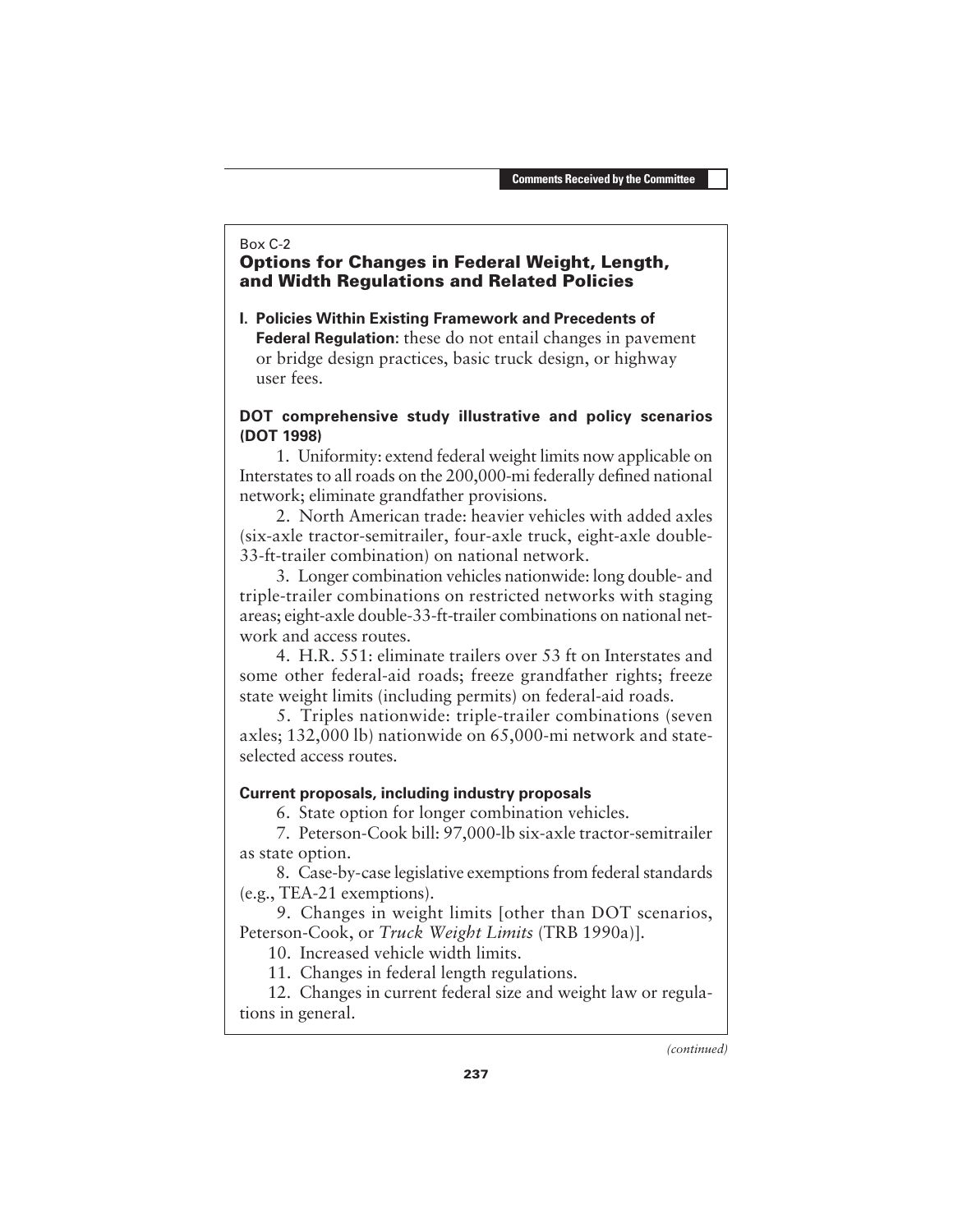## Box C-2

# **Options for Changes in Federal Weight, Length, and Width Regulations and Related Policies**

**I. Policies Within Existing Framework and Precedents of Federal Regulation:** these do not entail changes in pavement or bridge design practices, basic truck design, or highway user fees.

# **DOT comprehensive study illustrative and policy scenarios (DOT 1998)**

1. Uniformity: extend federal weight limits now applicable on Interstates to all roads on the 200,000-mi federally defined national network; eliminate grandfather provisions.

2. North American trade: heavier vehicles with added axles (six-axle tractor-semitrailer, four-axle truck, eight-axle double-33-ft-trailer combination) on national network.

3. Longer combination vehicles nationwide: long double- and triple-trailer combinations on restricted networks with staging areas; eight-axle double-33-ft-trailer combinations on national network and access routes.

4. H.R. 551: eliminate trailers over 53 ft on Interstates and some other federal-aid roads; freeze grandfather rights; freeze state weight limits (including permits) on federal-aid roads.

5. Triples nationwide: triple-trailer combinations (seven axles; 132,000 lb) nationwide on 65,000-mi network and stateselected access routes.

## **Current proposals, including industry proposals**

6. State option for longer combination vehicles.

7. Peterson-Cook bill: 97,000-lb six-axle tractor-semitrailer as state option.

8. Case-by-case legislative exemptions from federal standards (e.g., TEA-21 exemptions).

9. Changes in weight limits [other than DOT scenarios, Peterson-Cook, or *Truck Weight Limits* (TRB 1990a)].

10. Increased vehicle width limits.

11. Changes in federal length regulations.

12. Changes in current federal size and weight law or regulations in general.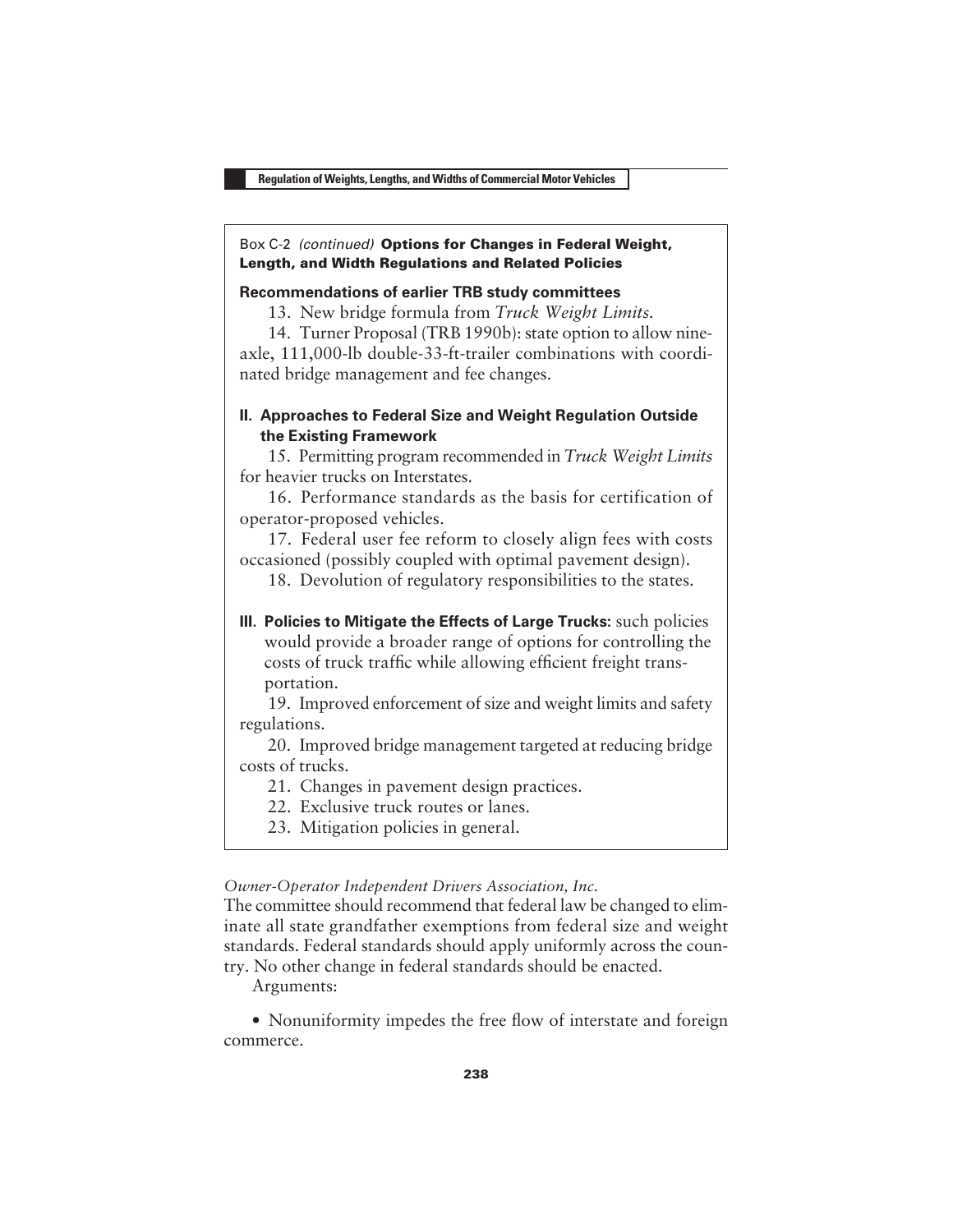#### Box C-2 (continued) **Options for Changes in Federal Weight, Length, and Width Regulations and Related Policies**

### **Recommendations of earlier TRB study committees**

13. New bridge formula from *Truck Weight Limits.*

14. Turner Proposal (TRB 1990b): state option to allow nineaxle, 111,000-lb double-33-ft-trailer combinations with coordinated bridge management and fee changes.

# **II. Approaches to Federal Size and Weight Regulation Outside the Existing Framework**

15. Permitting program recommended in *Truck Weight Limits* for heavier trucks on Interstates.

16. Performance standards as the basis for certification of operator-proposed vehicles.

17. Federal user fee reform to closely align fees with costs occasioned (possibly coupled with optimal pavement design).

18. Devolution of regulatory responsibilities to the states.

**III. Policies to Mitigate the Effects of Large Trucks:** such policies would provide a broader range of options for controlling the costs of truck traffic while allowing efficient freight transportation.

19. Improved enforcement of size and weight limits and safety regulations.

20. Improved bridge management targeted at reducing bridge costs of trucks.

- 21. Changes in pavement design practices.
- 22. Exclusive truck routes or lanes.
- 23. Mitigation policies in general.

# *Owner-Operator Independent Drivers Association, Inc.*

The committee should recommend that federal law be changed to eliminate all state grandfather exemptions from federal size and weight standards. Federal standards should apply uniformly across the country. No other change in federal standards should be enacted.

Arguments:

• Nonuniformity impedes the free flow of interstate and foreign commerce.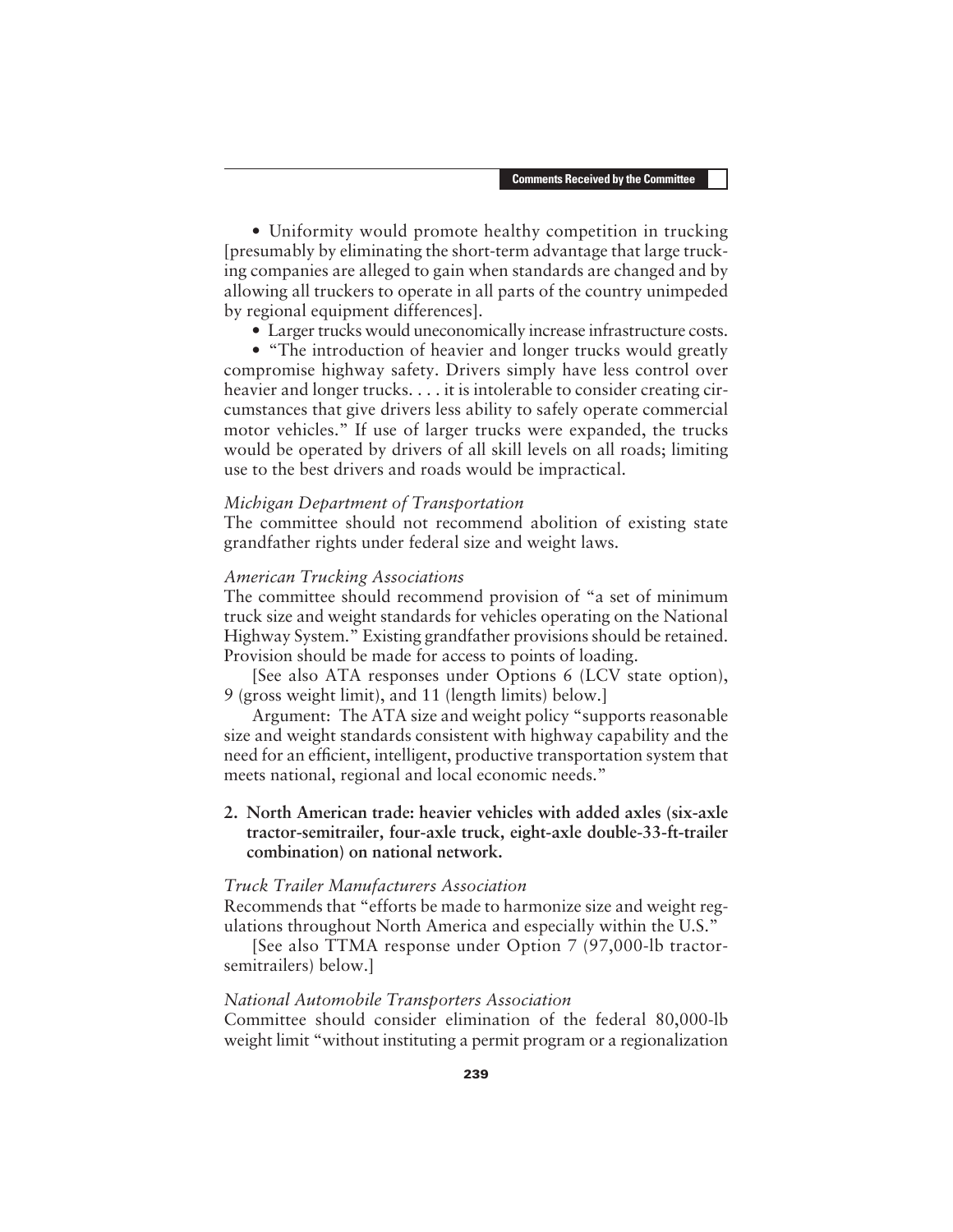• Uniformity would promote healthy competition in trucking [presumably by eliminating the short-term advantage that large trucking companies are alleged to gain when standards are changed and by allowing all truckers to operate in all parts of the country unimpeded by regional equipment differences].

• Larger trucks would uneconomically increase infrastructure costs.

• "The introduction of heavier and longer trucks would greatly compromise highway safety. Drivers simply have less control over heavier and longer trucks. . . . it is intolerable to consider creating circumstances that give drivers less ability to safely operate commercial motor vehicles." If use of larger trucks were expanded, the trucks would be operated by drivers of all skill levels on all roads; limiting use to the best drivers and roads would be impractical.

## *Michigan Department of Transportation*

The committee should not recommend abolition of existing state grandfather rights under federal size and weight laws.

## *American Trucking Associations*

The committee should recommend provision of "a set of minimum truck size and weight standards for vehicles operating on the National Highway System." Existing grandfather provisions should be retained. Provision should be made for access to points of loading.

[See also ATA responses under Options 6 (LCV state option), 9 (gross weight limit), and 11 (length limits) below.]

Argument: The ATA size and weight policy "supports reasonable size and weight standards consistent with highway capability and the need for an efficient, intelligent, productive transportation system that meets national, regional and local economic needs."

## **2. North American trade: heavier vehicles with added axles (six-axle tractor-semitrailer, four-axle truck, eight-axle double-33-ft-trailer combination) on national network.**

#### *Truck Trailer Manufacturers Association*

Recommends that "efforts be made to harmonize size and weight regulations throughout North America and especially within the U.S."

[See also TTMA response under Option 7 (97,000-lb tractorsemitrailers) below.]

#### *National Automobile Transporters Association*

Committee should consider elimination of the federal 80,000-lb weight limit "without instituting a permit program or a regionalization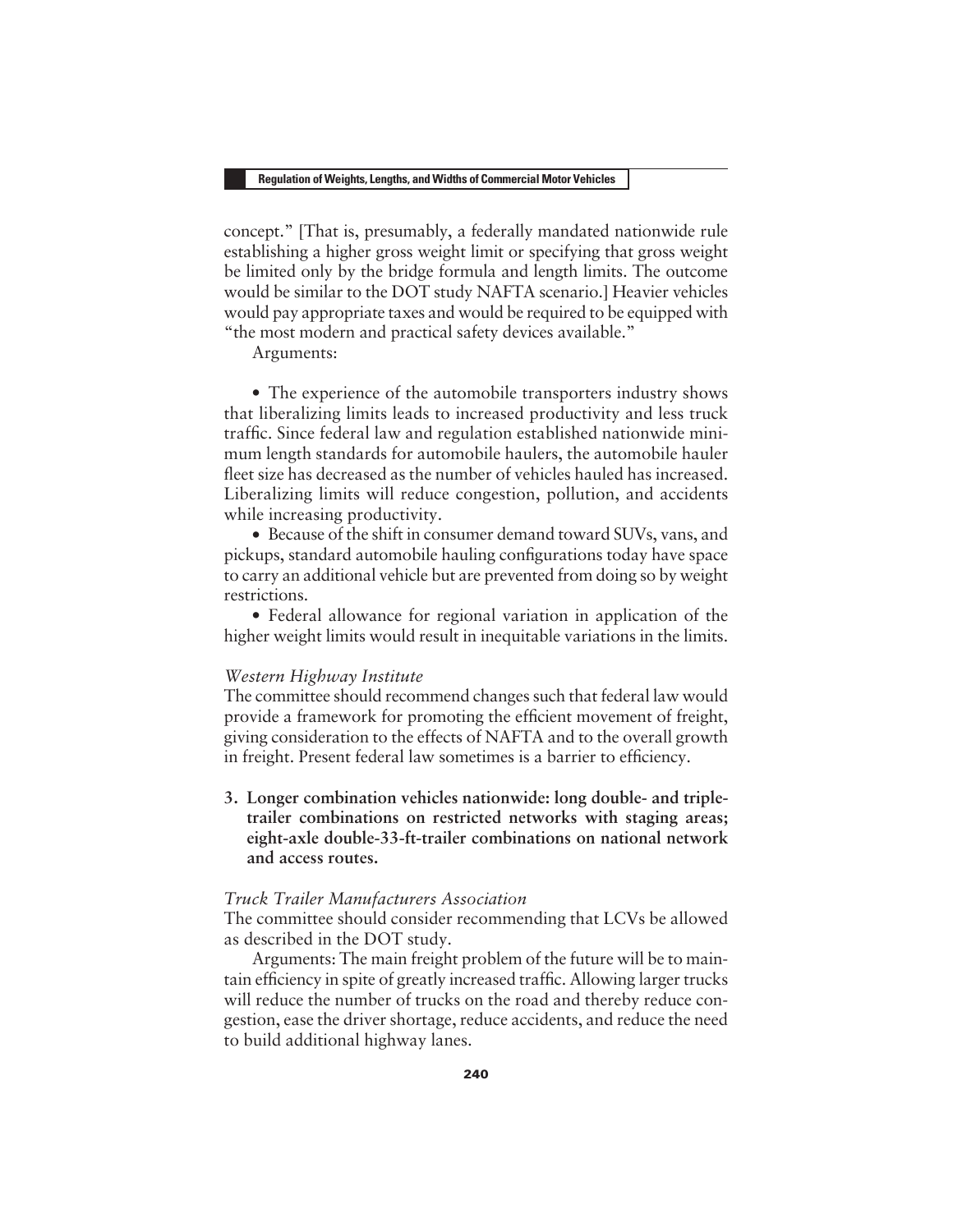concept." [That is, presumably, a federally mandated nationwide rule establishing a higher gross weight limit or specifying that gross weight be limited only by the bridge formula and length limits. The outcome would be similar to the DOT study NAFTA scenario.] Heavier vehicles would pay appropriate taxes and would be required to be equipped with "the most modern and practical safety devices available."

Arguments:

• The experience of the automobile transporters industry shows that liberalizing limits leads to increased productivity and less truck traffic. Since federal law and regulation established nationwide minimum length standards for automobile haulers, the automobile hauler fleet size has decreased as the number of vehicles hauled has increased. Liberalizing limits will reduce congestion, pollution, and accidents while increasing productivity.

• Because of the shift in consumer demand toward SUVs, vans, and pickups, standard automobile hauling configurations today have space to carry an additional vehicle but are prevented from doing so by weight restrictions.

• Federal allowance for regional variation in application of the higher weight limits would result in inequitable variations in the limits.

## *Western Highway Institute*

The committee should recommend changes such that federal law would provide a framework for promoting the efficient movement of freight, giving consideration to the effects of NAFTA and to the overall growth in freight. Present federal law sometimes is a barrier to efficiency.

**3. Longer combination vehicles nationwide: long double- and tripletrailer combinations on restricted networks with staging areas; eight-axle double-33-ft-trailer combinations on national network and access routes.**

## *Truck Trailer Manufacturers Association*

The committee should consider recommending that LCVs be allowed as described in the DOT study.

Arguments: The main freight problem of the future will be to maintain efficiency in spite of greatly increased traffic. Allowing larger trucks will reduce the number of trucks on the road and thereby reduce congestion, ease the driver shortage, reduce accidents, and reduce the need to build additional highway lanes.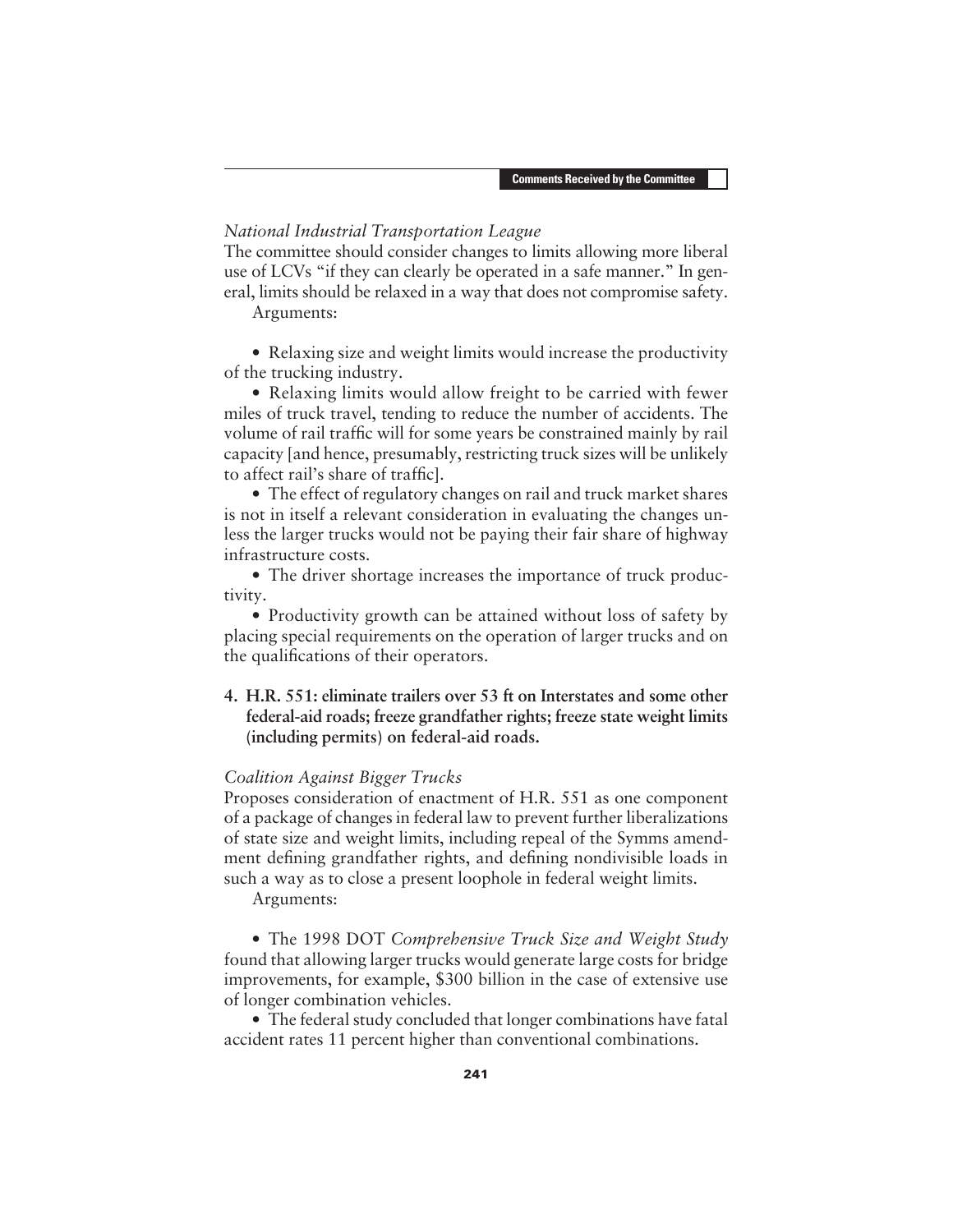#### *National Industrial Transportation League*

The committee should consider changes to limits allowing more liberal use of LCVs "if they can clearly be operated in a safe manner." In general, limits should be relaxed in a way that does not compromise safety.

Arguments:

• Relaxing size and weight limits would increase the productivity of the trucking industry.

• Relaxing limits would allow freight to be carried with fewer miles of truck travel, tending to reduce the number of accidents. The volume of rail traffic will for some years be constrained mainly by rail capacity [and hence, presumably, restricting truck sizes will be unlikely to affect rail's share of traffic].

• The effect of regulatory changes on rail and truck market shares is not in itself a relevant consideration in evaluating the changes unless the larger trucks would not be paying their fair share of highway infrastructure costs.

• The driver shortage increases the importance of truck productivity.

• Productivity growth can be attained without loss of safety by placing special requirements on the operation of larger trucks and on the qualifications of their operators.

## **4. H.R. 551: eliminate trailers over 53 ft on Interstates and some other federal-aid roads; freeze grandfather rights; freeze state weight limits (including permits) on federal-aid roads.**

#### *Coalition Against Bigger Trucks*

Proposes consideration of enactment of H.R. 551 as one component of a package of changes in federal law to prevent further liberalizations of state size and weight limits, including repeal of the Symms amendment defining grandfather rights, and defining nondivisible loads in such a way as to close a present loophole in federal weight limits.

Arguments:

• The 1998 DOT *Comprehensive Truck Size and Weight Study* found that allowing larger trucks would generate large costs for bridge improvements, for example, \$300 billion in the case of extensive use of longer combination vehicles.

• The federal study concluded that longer combinations have fatal accident rates 11 percent higher than conventional combinations.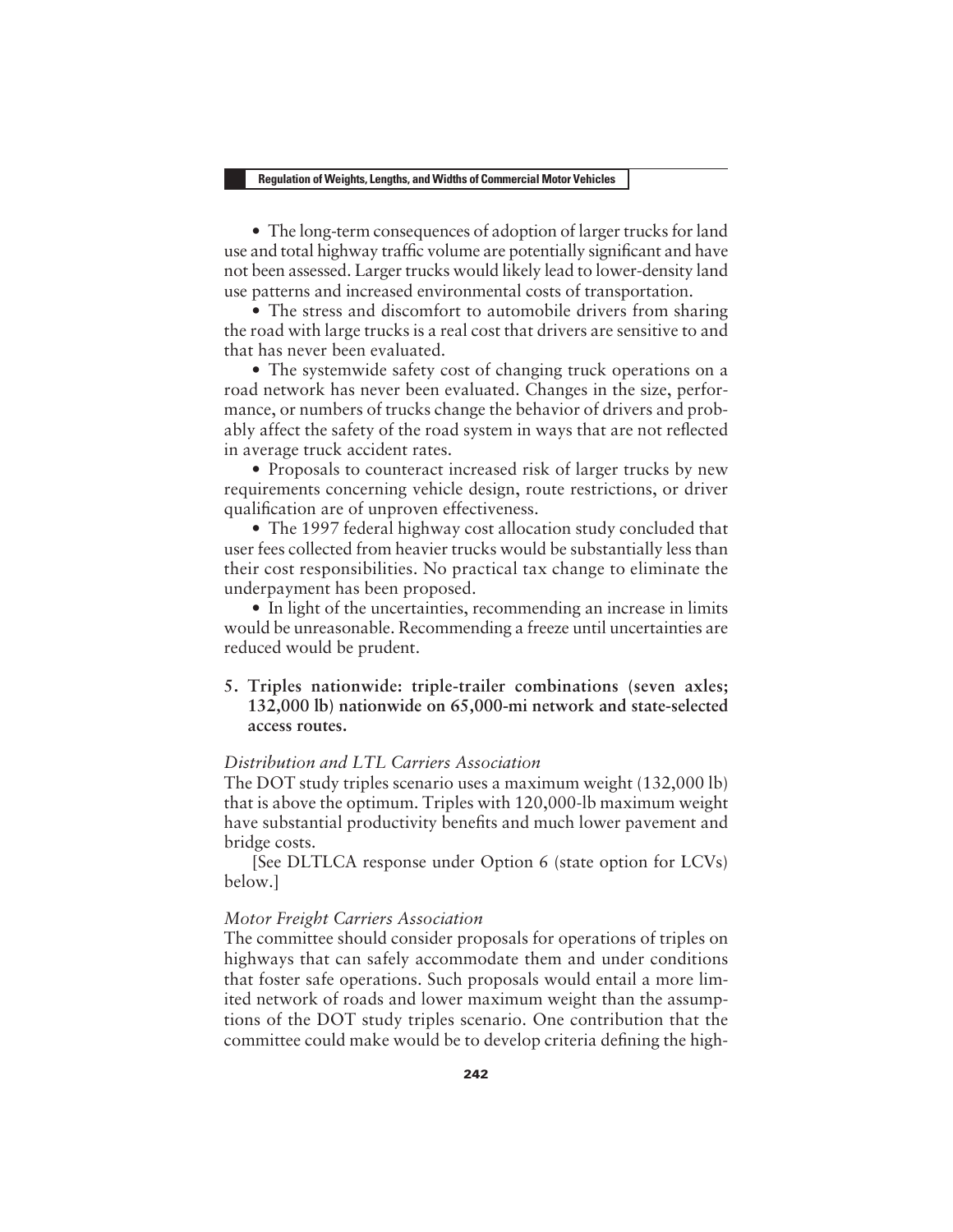• The long-term consequences of adoption of larger trucks for land use and total highway traffic volume are potentially significant and have not been assessed. Larger trucks would likely lead to lower-density land use patterns and increased environmental costs of transportation.

• The stress and discomfort to automobile drivers from sharing the road with large trucks is a real cost that drivers are sensitive to and that has never been evaluated.

• The systemwide safety cost of changing truck operations on a road network has never been evaluated. Changes in the size, performance, or numbers of trucks change the behavior of drivers and probably affect the safety of the road system in ways that are not reflected in average truck accident rates.

• Proposals to counteract increased risk of larger trucks by new requirements concerning vehicle design, route restrictions, or driver qualification are of unproven effectiveness.

• The 1997 federal highway cost allocation study concluded that user fees collected from heavier trucks would be substantially less than their cost responsibilities. No practical tax change to eliminate the underpayment has been proposed.

• In light of the uncertainties, recommending an increase in limits would be unreasonable. Recommending a freeze until uncertainties are reduced would be prudent.

## **5. Triples nationwide: triple-trailer combinations (seven axles; 132,000 lb) nationwide on 65,000-mi network and state-selected access routes.**

#### *Distribution and LTL Carriers Association*

The DOT study triples scenario uses a maximum weight (132,000 lb) that is above the optimum. Triples with 120,000-lb maximum weight have substantial productivity benefits and much lower pavement and bridge costs.

[See DLTLCA response under Option 6 (state option for LCVs) below.]

## *Motor Freight Carriers Association*

The committee should consider proposals for operations of triples on highways that can safely accommodate them and under conditions that foster safe operations. Such proposals would entail a more limited network of roads and lower maximum weight than the assumptions of the DOT study triples scenario. One contribution that the committee could make would be to develop criteria defining the high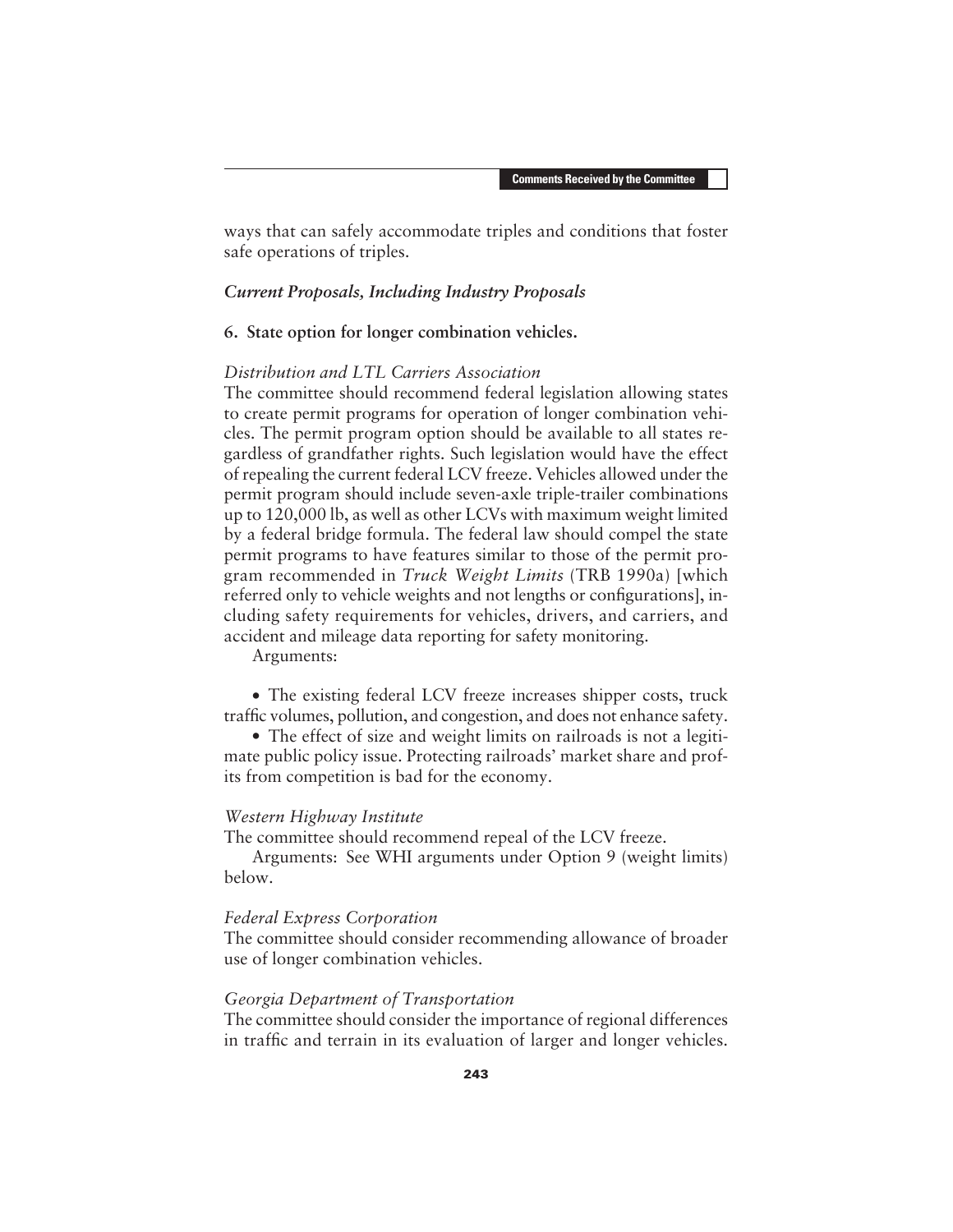ways that can safely accommodate triples and conditions that foster safe operations of triples.

## *Current Proposals, Including Industry Proposals*

#### **6. State option for longer combination vehicles.**

#### *Distribution and LTL Carriers Association*

The committee should recommend federal legislation allowing states to create permit programs for operation of longer combination vehicles. The permit program option should be available to all states regardless of grandfather rights. Such legislation would have the effect of repealing the current federal LCV freeze. Vehicles allowed under the permit program should include seven-axle triple-trailer combinations up to 120,000 lb, as well as other LCVs with maximum weight limited by a federal bridge formula. The federal law should compel the state permit programs to have features similar to those of the permit program recommended in *Truck Weight Limits* (TRB 1990a) [which referred only to vehicle weights and not lengths or configurations], including safety requirements for vehicles, drivers, and carriers, and accident and mileage data reporting for safety monitoring.

Arguments:

• The existing federal LCV freeze increases shipper costs, truck traffic volumes, pollution, and congestion, and does not enhance safety.

• The effect of size and weight limits on railroads is not a legitimate public policy issue. Protecting railroads' market share and profits from competition is bad for the economy.

#### *Western Highway Institute*

The committee should recommend repeal of the LCV freeze.

Arguments: See WHI arguments under Option 9 (weight limits) below.

#### *Federal Express Corporation*

The committee should consider recommending allowance of broader use of longer combination vehicles.

#### *Georgia Department of Transportation*

The committee should consider the importance of regional differences in traffic and terrain in its evaluation of larger and longer vehicles.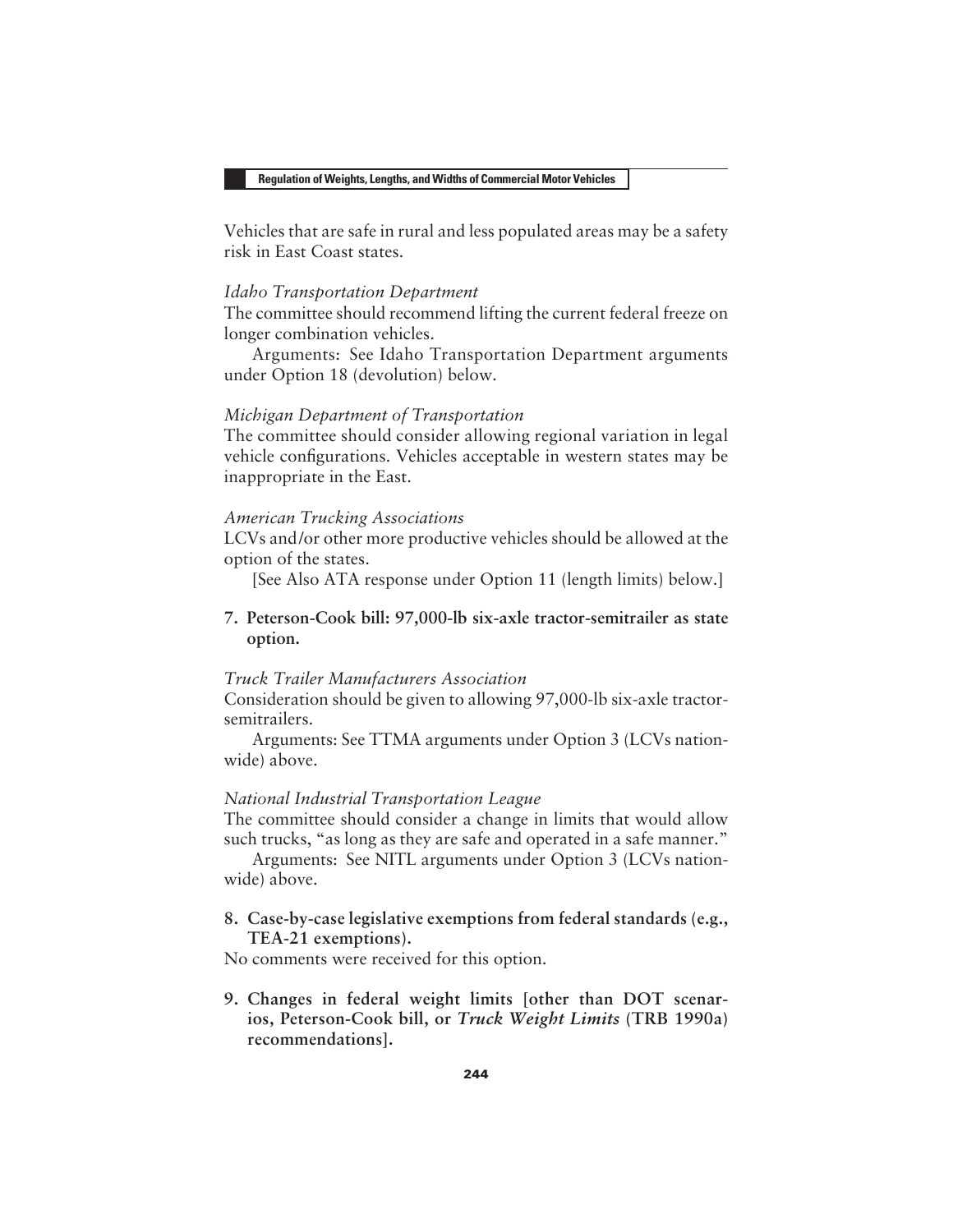Vehicles that are safe in rural and less populated areas may be a safety risk in East Coast states.

#### *Idaho Transportation Department*

The committee should recommend lifting the current federal freeze on longer combination vehicles.

Arguments: See Idaho Transportation Department arguments under Option 18 (devolution) below.

## *Michigan Department of Transportation*

The committee should consider allowing regional variation in legal vehicle configurations. Vehicles acceptable in western states may be inappropriate in the East.

## *American Trucking Associations*

LCVs and/or other more productive vehicles should be allowed at the option of the states.

[See Also ATA response under Option 11 (length limits) below.]

**7. Peterson-Cook bill: 97,000-lb six-axle tractor-semitrailer as state option.**

#### *Truck Trailer Manufacturers Association*

Consideration should be given to allowing 97,000-lb six-axle tractorsemitrailers.

Arguments: See TTMA arguments under Option 3 (LCVs nationwide) above.

## *National Industrial Transportation League*

The committee should consider a change in limits that would allow such trucks, "as long as they are safe and operated in a safe manner."

Arguments: See NITL arguments under Option 3 (LCVs nationwide) above.

## **8. Case-by-case legislative exemptions from federal standards (e.g., TEA-21 exemptions).**

No comments were received for this option.

**9. Changes in federal weight limits [other than DOT scenarios, Peterson-Cook bill, or** *Truck Weight Limits* **(TRB 1990a) recommendations].**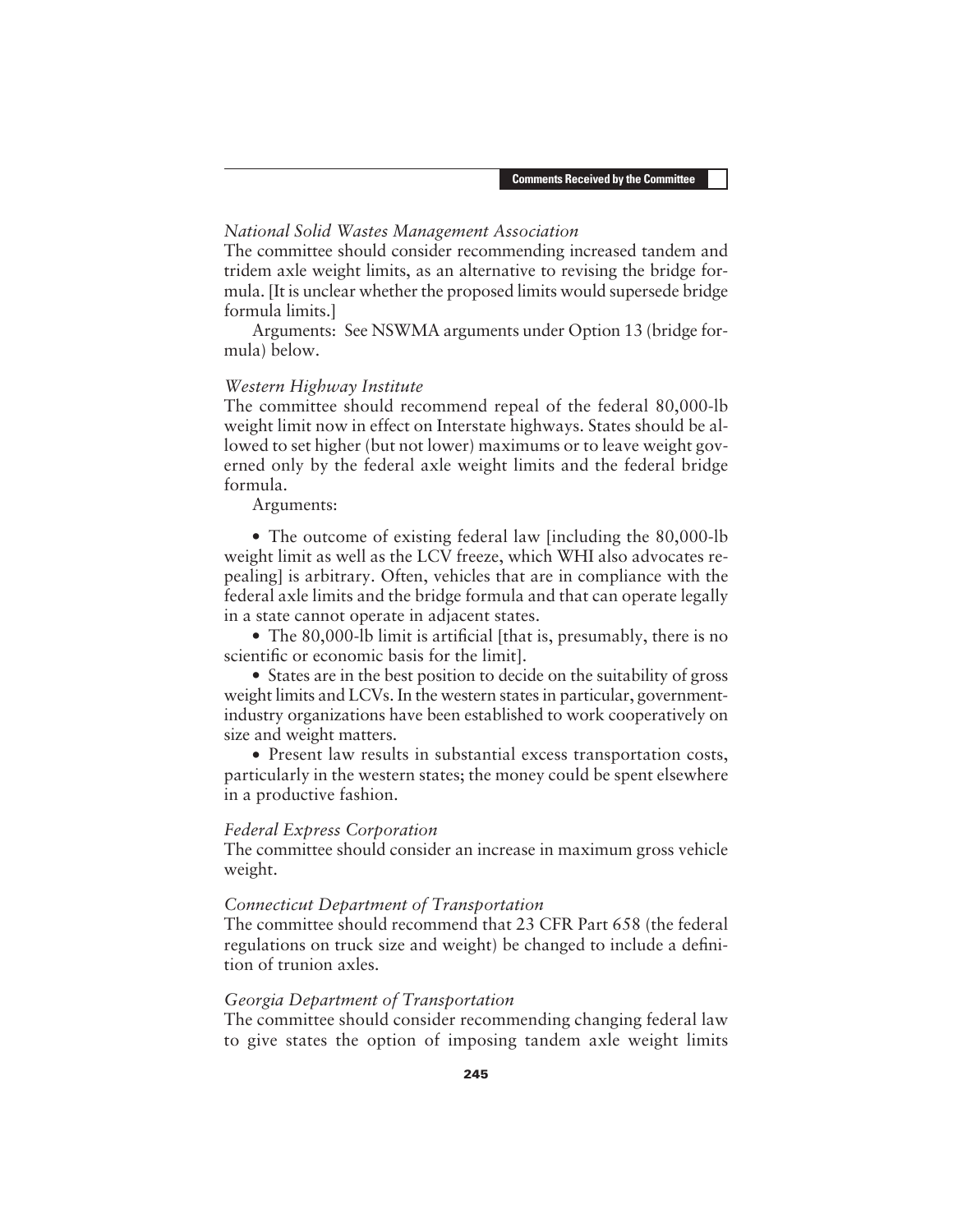#### *National Solid Wastes Management Association*

The committee should consider recommending increased tandem and tridem axle weight limits, as an alternative to revising the bridge formula. [It is unclear whether the proposed limits would supersede bridge formula limits.]

Arguments: See NSWMA arguments under Option 13 (bridge formula) below.

#### *Western Highway Institute*

The committee should recommend repeal of the federal 80,000-lb weight limit now in effect on Interstate highways. States should be allowed to set higher (but not lower) maximums or to leave weight governed only by the federal axle weight limits and the federal bridge formula.

Arguments:

• The outcome of existing federal law [including the 80,000-lb] weight limit as well as the LCV freeze, which WHI also advocates repealing] is arbitrary. Often, vehicles that are in compliance with the federal axle limits and the bridge formula and that can operate legally in a state cannot operate in adjacent states.

• The 80,000-lb limit is artificial [that is, presumably, there is no scientific or economic basis for the limit].

• States are in the best position to decide on the suitability of gross weight limits and LCVs. In the western states in particular, governmentindustry organizations have been established to work cooperatively on size and weight matters.

• Present law results in substantial excess transportation costs, particularly in the western states; the money could be spent elsewhere in a productive fashion.

#### *Federal Express Corporation*

The committee should consider an increase in maximum gross vehicle weight.

#### *Connecticut Department of Transportation*

The committee should recommend that 23 CFR Part 658 (the federal regulations on truck size and weight) be changed to include a definition of trunion axles.

#### *Georgia Department of Transportation*

The committee should consider recommending changing federal law to give states the option of imposing tandem axle weight limits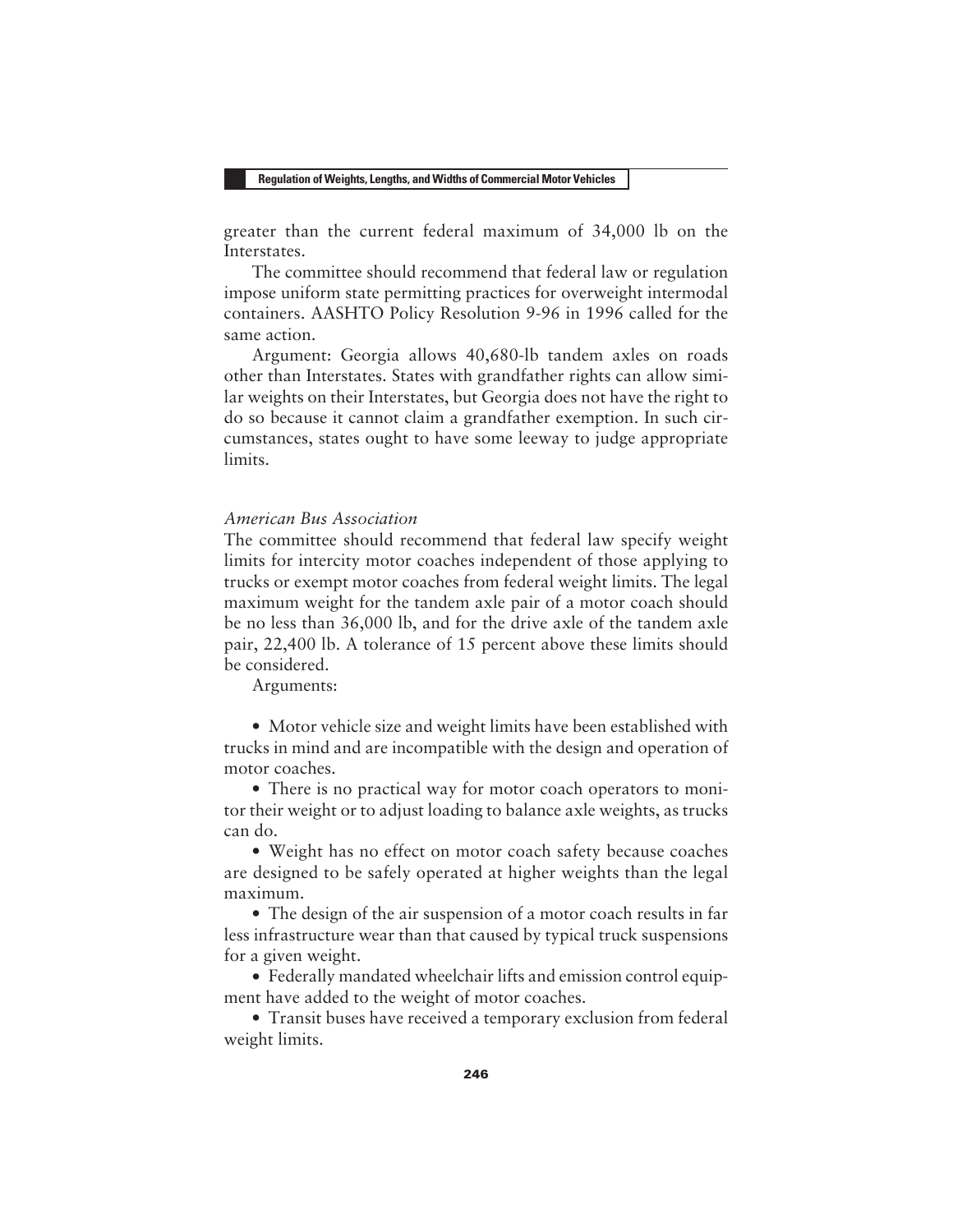greater than the current federal maximum of 34,000 lb on the Interstates.

The committee should recommend that federal law or regulation impose uniform state permitting practices for overweight intermodal containers. AASHTO Policy Resolution 9-96 in 1996 called for the same action.

Argument: Georgia allows 40,680-lb tandem axles on roads other than Interstates. States with grandfather rights can allow similar weights on their Interstates, but Georgia does not have the right to do so because it cannot claim a grandfather exemption. In such circumstances, states ought to have some leeway to judge appropriate limits.

## *American Bus Association*

The committee should recommend that federal law specify weight limits for intercity motor coaches independent of those applying to trucks or exempt motor coaches from federal weight limits. The legal maximum weight for the tandem axle pair of a motor coach should be no less than 36,000 lb, and for the drive axle of the tandem axle pair, 22,400 lb. A tolerance of 15 percent above these limits should be considered.

Arguments:

• Motor vehicle size and weight limits have been established with trucks in mind and are incompatible with the design and operation of motor coaches.

• There is no practical way for motor coach operators to monitor their weight or to adjust loading to balance axle weights, as trucks can do.

• Weight has no effect on motor coach safety because coaches are designed to be safely operated at higher weights than the legal maximum.

• The design of the air suspension of a motor coach results in far less infrastructure wear than that caused by typical truck suspensions for a given weight.

• Federally mandated wheelchair lifts and emission control equipment have added to the weight of motor coaches.

• Transit buses have received a temporary exclusion from federal weight limits.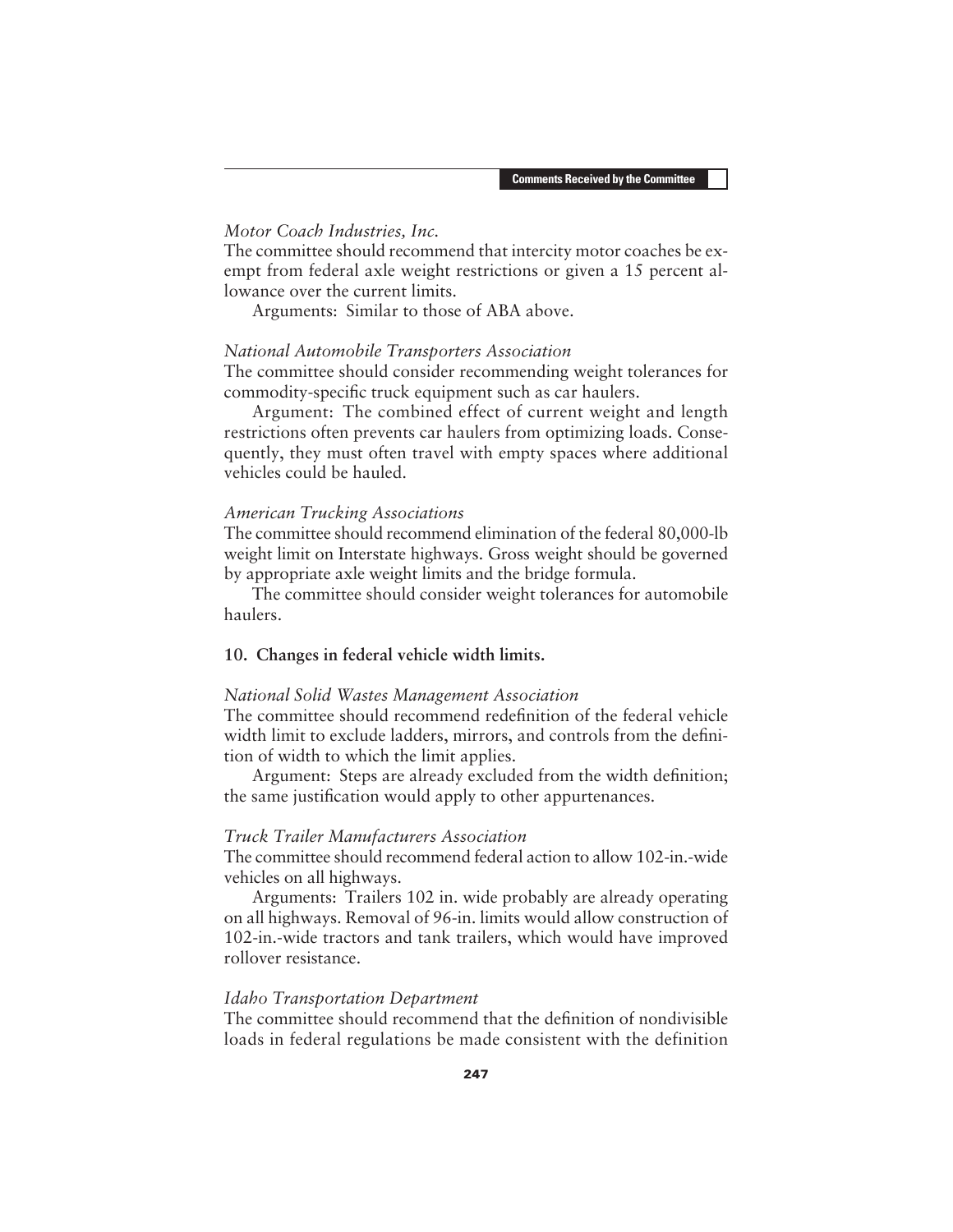#### *Motor Coach Industries, Inc.*

The committee should recommend that intercity motor coaches be exempt from federal axle weight restrictions or given a 15 percent allowance over the current limits.

Arguments: Similar to those of ABA above.

#### *National Automobile Transporters Association*

The committee should consider recommending weight tolerances for commodity-specific truck equipment such as car haulers.

Argument: The combined effect of current weight and length restrictions often prevents car haulers from optimizing loads. Consequently, they must often travel with empty spaces where additional vehicles could be hauled.

#### *American Trucking Associations*

The committee should recommend elimination of the federal 80,000-lb weight limit on Interstate highways. Gross weight should be governed by appropriate axle weight limits and the bridge formula.

The committee should consider weight tolerances for automobile haulers.

#### **10. Changes in federal vehicle width limits.**

#### *National Solid Wastes Management Association*

The committee should recommend redefinition of the federal vehicle width limit to exclude ladders, mirrors, and controls from the definition of width to which the limit applies.

Argument: Steps are already excluded from the width definition; the same justification would apply to other appurtenances.

#### *Truck Trailer Manufacturers Association*

The committee should recommend federal action to allow 102-in.-wide vehicles on all highways.

Arguments: Trailers 102 in. wide probably are already operating on all highways. Removal of 96-in. limits would allow construction of 102-in.-wide tractors and tank trailers, which would have improved rollover resistance.

#### *Idaho Transportation Department*

The committee should recommend that the definition of nondivisible loads in federal regulations be made consistent with the definition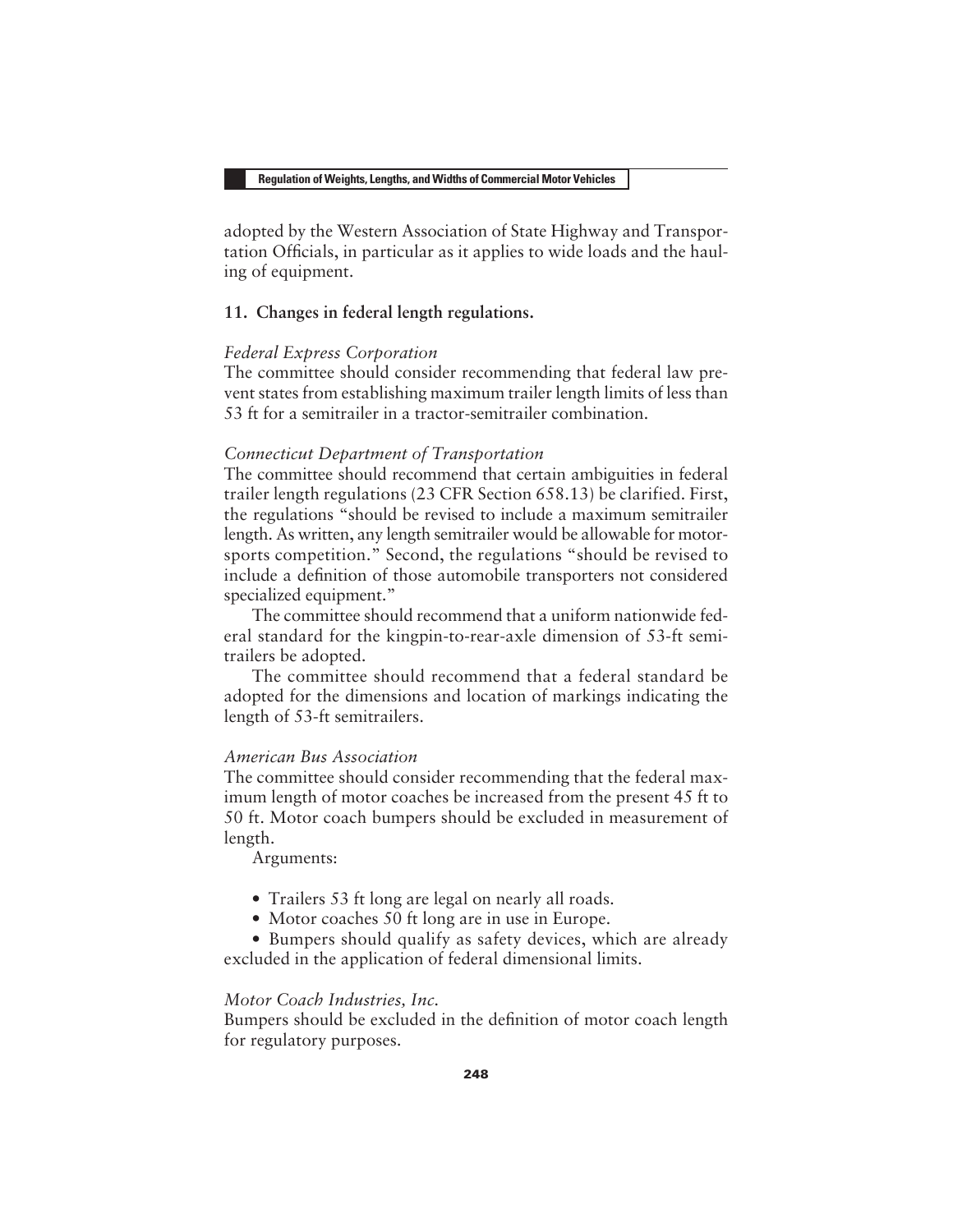adopted by the Western Association of State Highway and Transportation Officials, in particular as it applies to wide loads and the hauling of equipment.

## **11. Changes in federal length regulations.**

## *Federal Express Corporation*

The committee should consider recommending that federal law prevent states from establishing maximum trailer length limits of less than 53 ft for a semitrailer in a tractor-semitrailer combination.

## *Connecticut Department of Transportation*

The committee should recommend that certain ambiguities in federal trailer length regulations (23 CFR Section 658.13) be clarified. First, the regulations "should be revised to include a maximum semitrailer length. As written, any length semitrailer would be allowable for motorsports competition." Second, the regulations "should be revised to include a definition of those automobile transporters not considered specialized equipment."

The committee should recommend that a uniform nationwide federal standard for the kingpin-to-rear-axle dimension of 53-ft semitrailers be adopted.

The committee should recommend that a federal standard be adopted for the dimensions and location of markings indicating the length of 53-ft semitrailers.

## *American Bus Association*

The committee should consider recommending that the federal maximum length of motor coaches be increased from the present 45 ft to 50 ft. Motor coach bumpers should be excluded in measurement of length.

Arguments:

- Trailers 53 ft long are legal on nearly all roads.
- Motor coaches 50 ft long are in use in Europe.

• Bumpers should qualify as safety devices, which are already excluded in the application of federal dimensional limits.

#### *Motor Coach Industries, Inc.*

Bumpers should be excluded in the definition of motor coach length for regulatory purposes.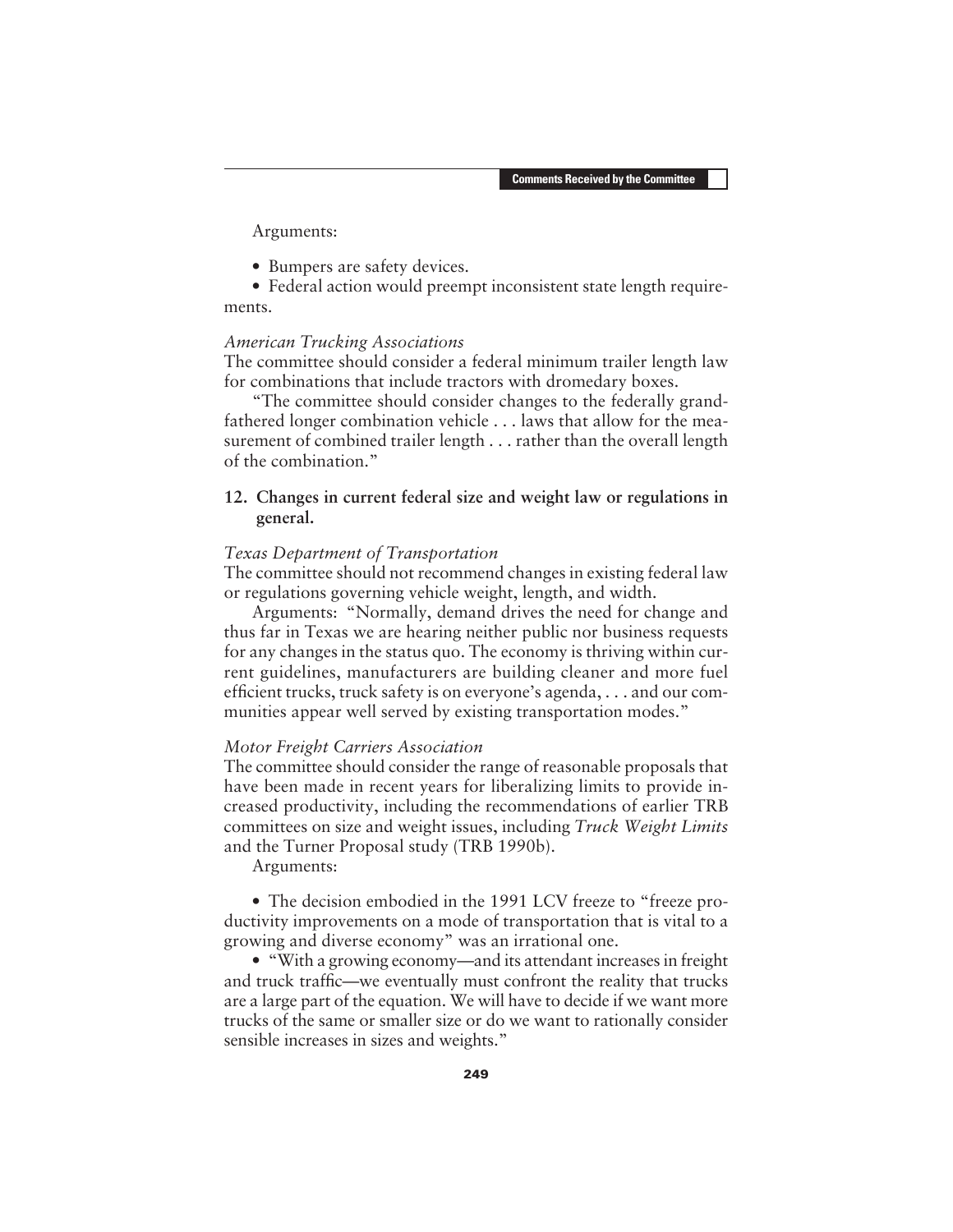Arguments:

• Bumpers are safety devices.

• Federal action would preempt inconsistent state length requirements.

#### *American Trucking Associations*

The committee should consider a federal minimum trailer length law for combinations that include tractors with dromedary boxes.

"The committee should consider changes to the federally grandfathered longer combination vehicle . . . laws that allow for the measurement of combined trailer length . . . rather than the overall length of the combination."

## **12. Changes in current federal size and weight law or regulations in general.**

#### *Texas Department of Transportation*

The committee should not recommend changes in existing federal law or regulations governing vehicle weight, length, and width.

Arguments: "Normally, demand drives the need for change and thus far in Texas we are hearing neither public nor business requests for any changes in the status quo. The economy is thriving within current guidelines, manufacturers are building cleaner and more fuel efficient trucks, truck safety is on everyone's agenda, . . . and our communities appear well served by existing transportation modes."

#### *Motor Freight Carriers Association*

The committee should consider the range of reasonable proposals that have been made in recent years for liberalizing limits to provide increased productivity, including the recommendations of earlier TRB committees on size and weight issues, including *Truck Weight Limits* and the Turner Proposal study (TRB 1990b).

Arguments:

• The decision embodied in the 1991 LCV freeze to "freeze productivity improvements on a mode of transportation that is vital to a growing and diverse economy" was an irrational one.

• "With a growing economy—and its attendant increases in freight and truck traffic—we eventually must confront the reality that trucks are a large part of the equation. We will have to decide if we want more trucks of the same or smaller size or do we want to rationally consider sensible increases in sizes and weights."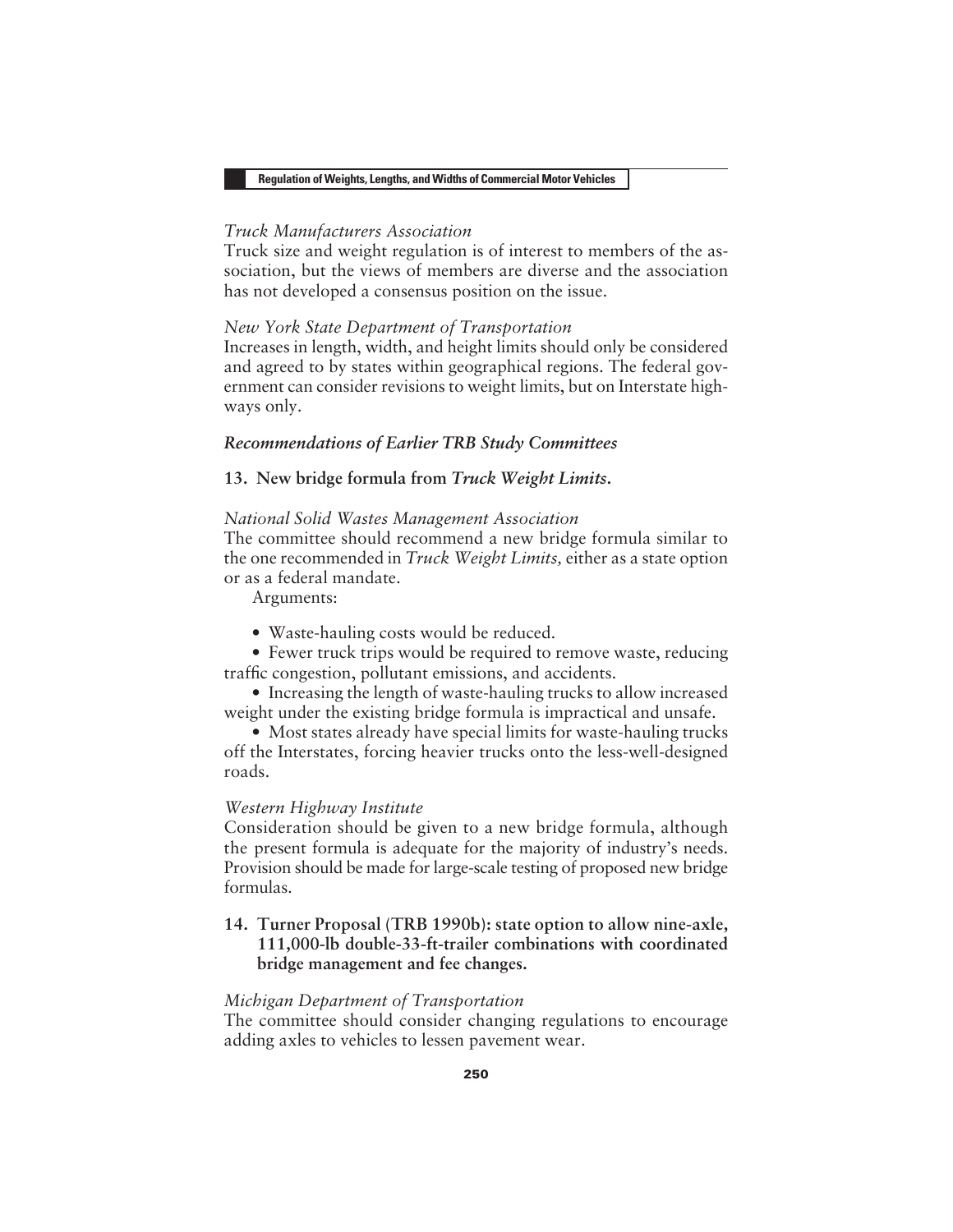## *Truck Manufacturers Association*

Truck size and weight regulation is of interest to members of the association, but the views of members are diverse and the association has not developed a consensus position on the issue.

## *New York State Department of Transportation*

Increases in length, width, and height limits should only be considered and agreed to by states within geographical regions. The federal government can consider revisions to weight limits, but on Interstate highways only.

## *Recommendations of Earlier TRB Study Committees*

## **13. New bridge formula from** *Truck Weight Limits***.**

## *National Solid Wastes Management Association*

The committee should recommend a new bridge formula similar to the one recommended in *Truck Weight Limits,* either as a state option or as a federal mandate.

Arguments:

- Waste-hauling costs would be reduced.
- Fewer truck trips would be required to remove waste, reducing traffic congestion, pollutant emissions, and accidents.
- Increasing the length of waste-hauling trucks to allow increased weight under the existing bridge formula is impractical and unsafe.

• Most states already have special limits for waste-hauling trucks off the Interstates, forcing heavier trucks onto the less-well-designed roads.

## *Western Highway Institute*

Consideration should be given to a new bridge formula, although the present formula is adequate for the majority of industry's needs. Provision should be made for large-scale testing of proposed new bridge formulas.

**14. Turner Proposal (TRB 1990b): state option to allow nine-axle, 111,000-lb double-33-ft-trailer combinations with coordinated bridge management and fee changes.**

## *Michigan Department of Transportation*

The committee should consider changing regulations to encourage adding axles to vehicles to lessen pavement wear.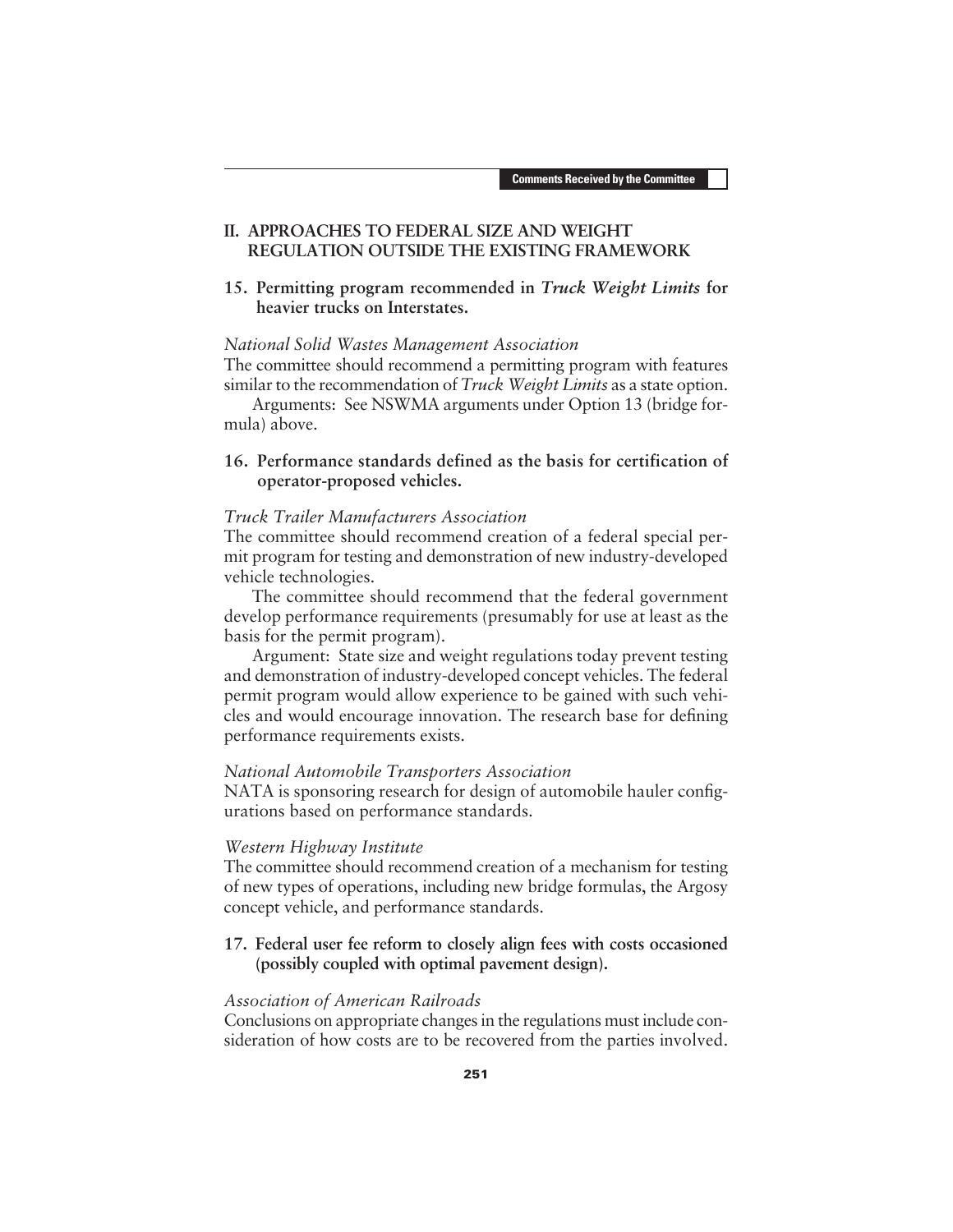## **II. APPROACHES TO FEDERAL SIZE AND WEIGHT REGULATION OUTSIDE THE EXISTING FRAMEWORK**

## **15. Permitting program recommended in** *Truck Weight Limits* **for heavier trucks on Interstates.**

#### *National Solid Wastes Management Association*

The committee should recommend a permitting program with features similar to the recommendation of *Truck Weight Limits* as a state option.

Arguments: See NSWMA arguments under Option 13 (bridge formula) above.

## **16. Performance standards defined as the basis for certification of operator-proposed vehicles.**

#### *Truck Trailer Manufacturers Association*

The committee should recommend creation of a federal special permit program for testing and demonstration of new industry-developed vehicle technologies.

The committee should recommend that the federal government develop performance requirements (presumably for use at least as the basis for the permit program).

Argument: State size and weight regulations today prevent testing and demonstration of industry-developed concept vehicles. The federal permit program would allow experience to be gained with such vehicles and would encourage innovation. The research base for defining performance requirements exists.

#### *National Automobile Transporters Association*

NATA is sponsoring research for design of automobile hauler configurations based on performance standards.

#### *Western Highway Institute*

The committee should recommend creation of a mechanism for testing of new types of operations, including new bridge formulas, the Argosy concept vehicle, and performance standards.

## **17. Federal user fee reform to closely align fees with costs occasioned (possibly coupled with optimal pavement design).**

#### *Association of American Railroads*

Conclusions on appropriate changes in the regulations must include consideration of how costs are to be recovered from the parties involved.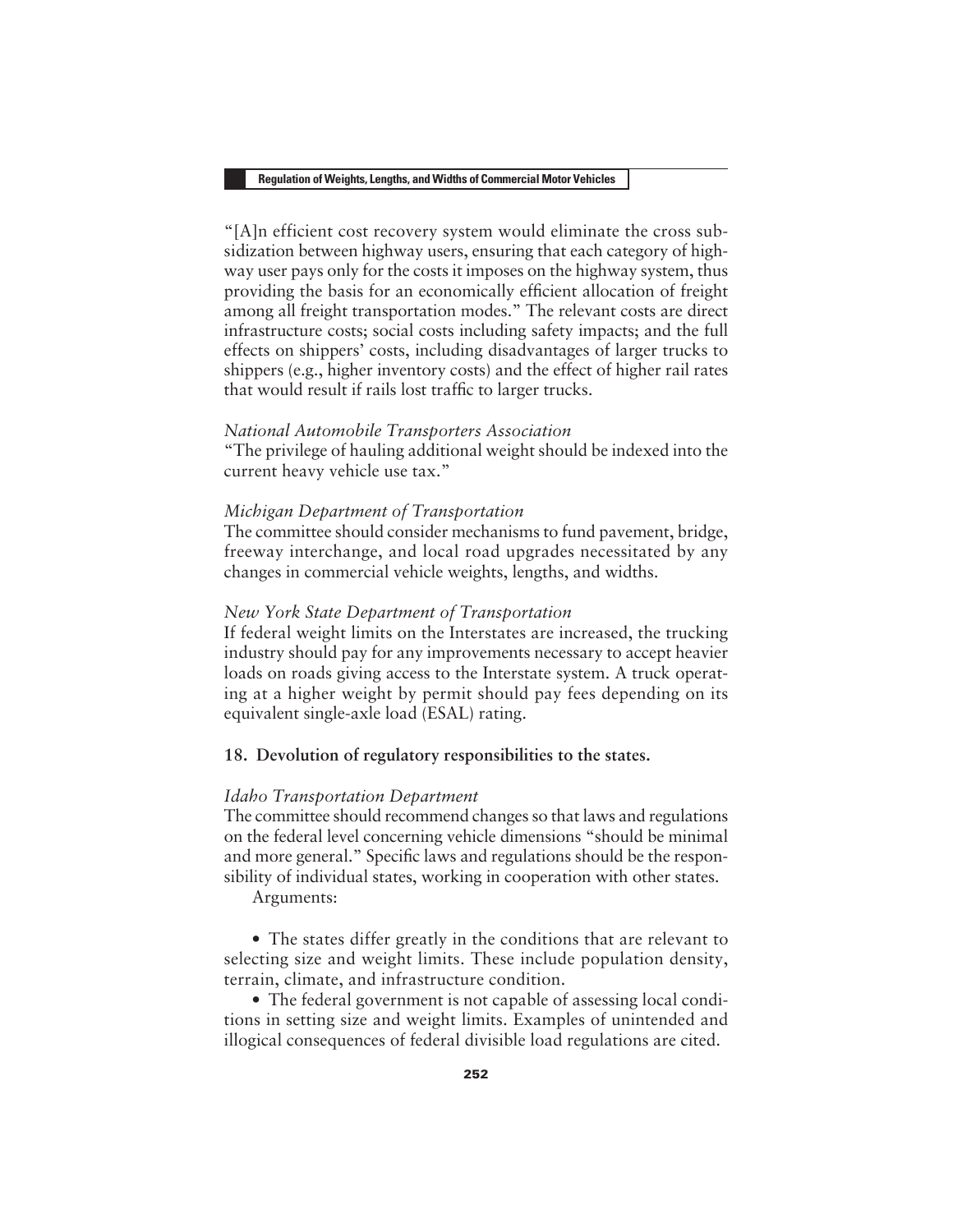"[A]n efficient cost recovery system would eliminate the cross subsidization between highway users, ensuring that each category of highway user pays only for the costs it imposes on the highway system, thus providing the basis for an economically efficient allocation of freight among all freight transportation modes." The relevant costs are direct infrastructure costs; social costs including safety impacts; and the full effects on shippers' costs, including disadvantages of larger trucks to shippers (e.g., higher inventory costs) and the effect of higher rail rates that would result if rails lost traffic to larger trucks.

## *National Automobile Transporters Association*

"The privilege of hauling additional weight should be indexed into the current heavy vehicle use tax."

## *Michigan Department of Transportation*

The committee should consider mechanisms to fund pavement, bridge, freeway interchange, and local road upgrades necessitated by any changes in commercial vehicle weights, lengths, and widths.

## *New York State Department of Transportation*

If federal weight limits on the Interstates are increased, the trucking industry should pay for any improvements necessary to accept heavier loads on roads giving access to the Interstate system. A truck operating at a higher weight by permit should pay fees depending on its equivalent single-axle load (ESAL) rating.

## **18. Devolution of regulatory responsibilities to the states.**

## *Idaho Transportation Department*

The committee should recommend changes so that laws and regulations on the federal level concerning vehicle dimensions "should be minimal and more general." Specific laws and regulations should be the responsibility of individual states, working in cooperation with other states.

Arguments:

• The states differ greatly in the conditions that are relevant to selecting size and weight limits. These include population density, terrain, climate, and infrastructure condition.

• The federal government is not capable of assessing local conditions in setting size and weight limits. Examples of unintended and illogical consequences of federal divisible load regulations are cited.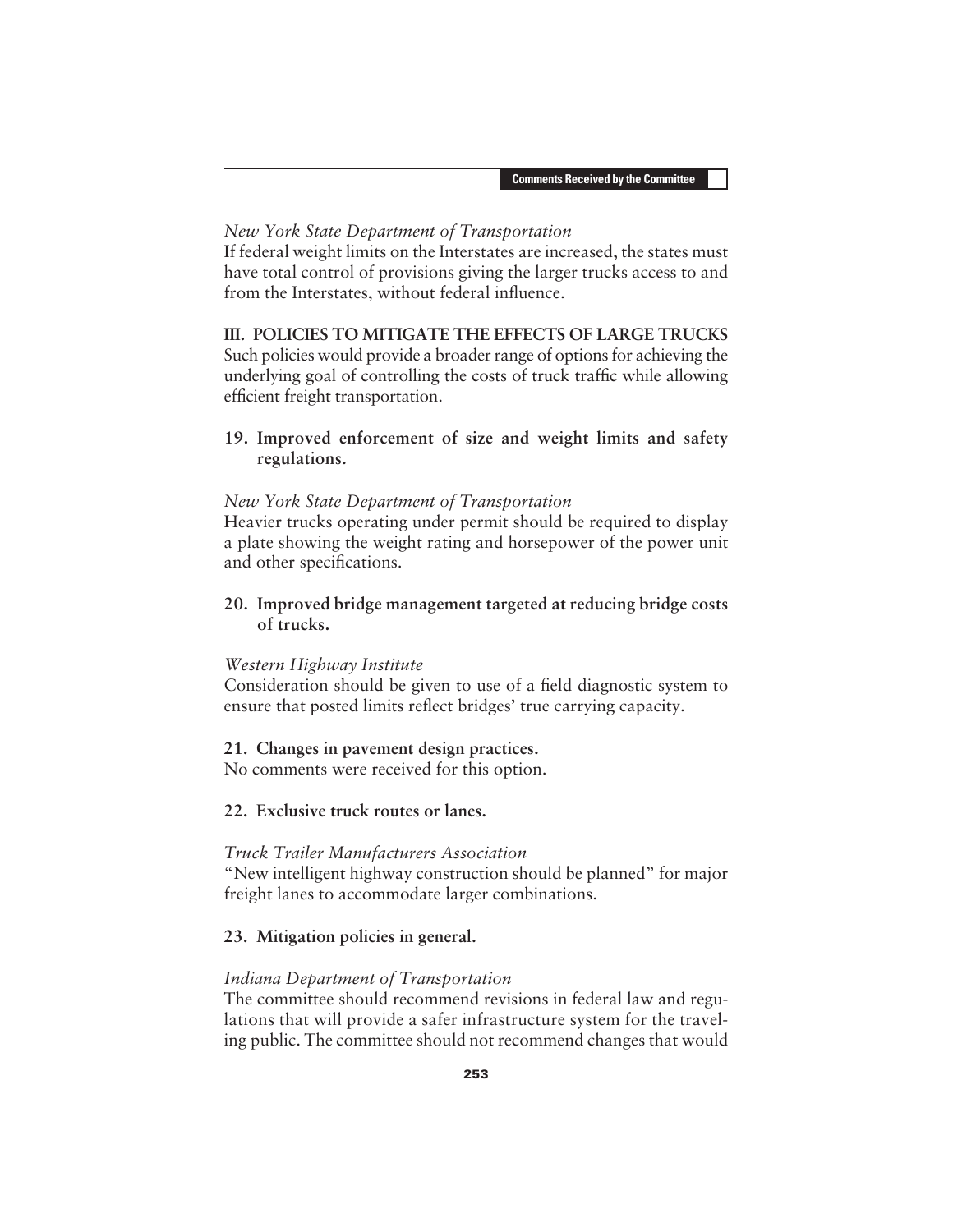## *New York State Department of Transportation*

If federal weight limits on the Interstates are increased, the states must have total control of provisions giving the larger trucks access to and from the Interstates, without federal influence.

## **III. POLICIES TO MITIGATE THE EFFECTS OF LARGE TRUCKS**

Such policies would provide a broader range of options for achieving the underlying goal of controlling the costs of truck traffic while allowing efficient freight transportation.

## **19. Improved enforcement of size and weight limits and safety regulations.**

## *New York State Department of Transportation*

Heavier trucks operating under permit should be required to display a plate showing the weight rating and horsepower of the power unit and other specifications.

## **20. Improved bridge management targeted at reducing bridge costs of trucks.**

## *Western Highway Institute*

Consideration should be given to use of a field diagnostic system to ensure that posted limits reflect bridges' true carrying capacity.

## **21. Changes in pavement design practices.**

No comments were received for this option.

## **22. Exclusive truck routes or lanes.**

#### *Truck Trailer Manufacturers Association*

"New intelligent highway construction should be planned" for major freight lanes to accommodate larger combinations.

## **23. Mitigation policies in general.**

#### *Indiana Department of Transportation*

The committee should recommend revisions in federal law and regulations that will provide a safer infrastructure system for the traveling public. The committee should not recommend changes that would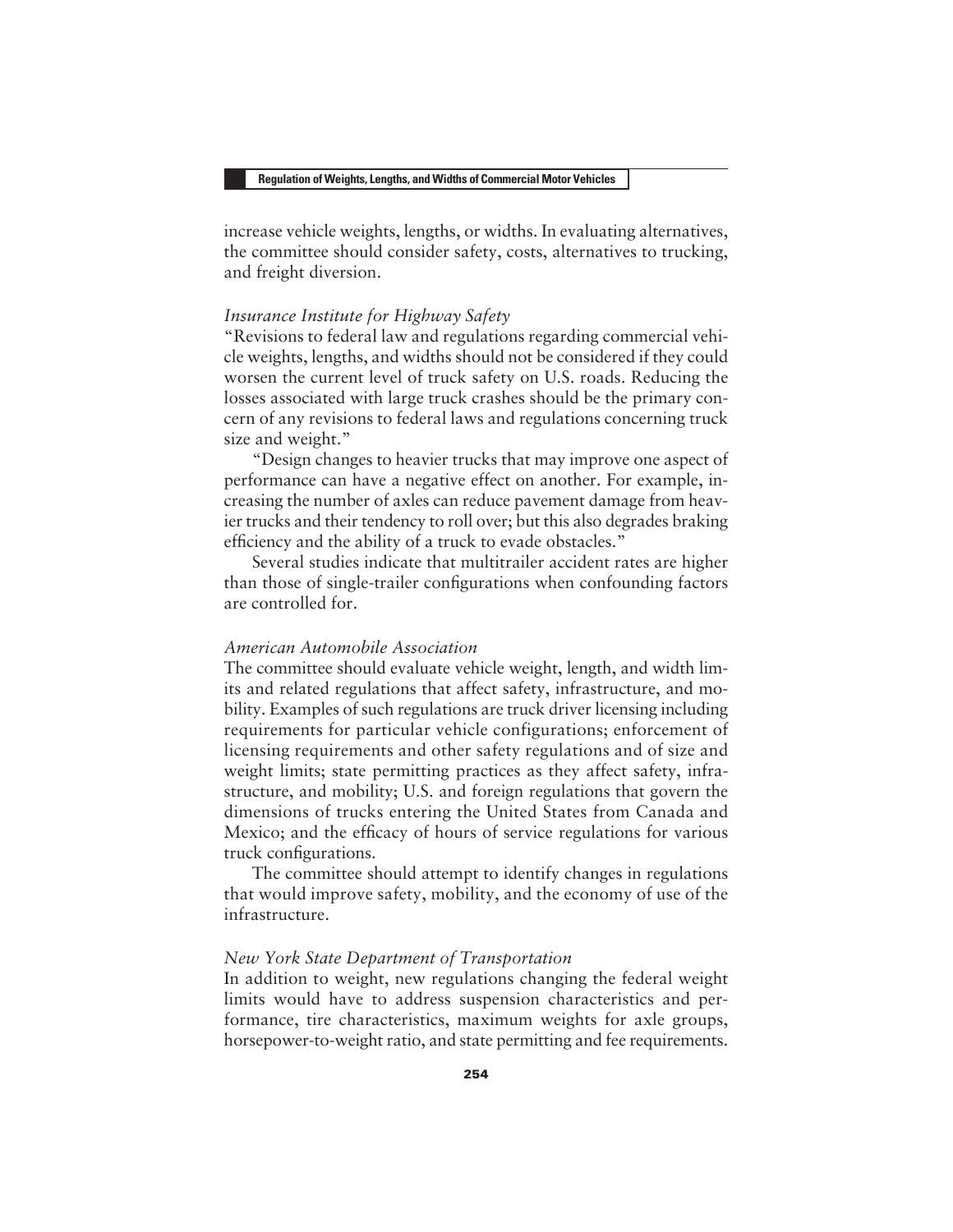increase vehicle weights, lengths, or widths. In evaluating alternatives, the committee should consider safety, costs, alternatives to trucking, and freight diversion.

## *Insurance Institute for Highway Safety*

"Revisions to federal law and regulations regarding commercial vehicle weights, lengths, and widths should not be considered if they could worsen the current level of truck safety on U.S. roads. Reducing the losses associated with large truck crashes should be the primary concern of any revisions to federal laws and regulations concerning truck size and weight."

"Design changes to heavier trucks that may improve one aspect of performance can have a negative effect on another. For example, increasing the number of axles can reduce pavement damage from heavier trucks and their tendency to roll over; but this also degrades braking efficiency and the ability of a truck to evade obstacles."

Several studies indicate that multitrailer accident rates are higher than those of single-trailer configurations when confounding factors are controlled for.

#### *American Automobile Association*

The committee should evaluate vehicle weight, length, and width limits and related regulations that affect safety, infrastructure, and mobility. Examples of such regulations are truck driver licensing including requirements for particular vehicle configurations; enforcement of licensing requirements and other safety regulations and of size and weight limits; state permitting practices as they affect safety, infrastructure, and mobility; U.S. and foreign regulations that govern the dimensions of trucks entering the United States from Canada and Mexico; and the efficacy of hours of service regulations for various truck configurations.

The committee should attempt to identify changes in regulations that would improve safety, mobility, and the economy of use of the infrastructure.

#### *New York State Department of Transportation*

In addition to weight, new regulations changing the federal weight limits would have to address suspension characteristics and performance, tire characteristics, maximum weights for axle groups, horsepower-to-weight ratio, and state permitting and fee requirements.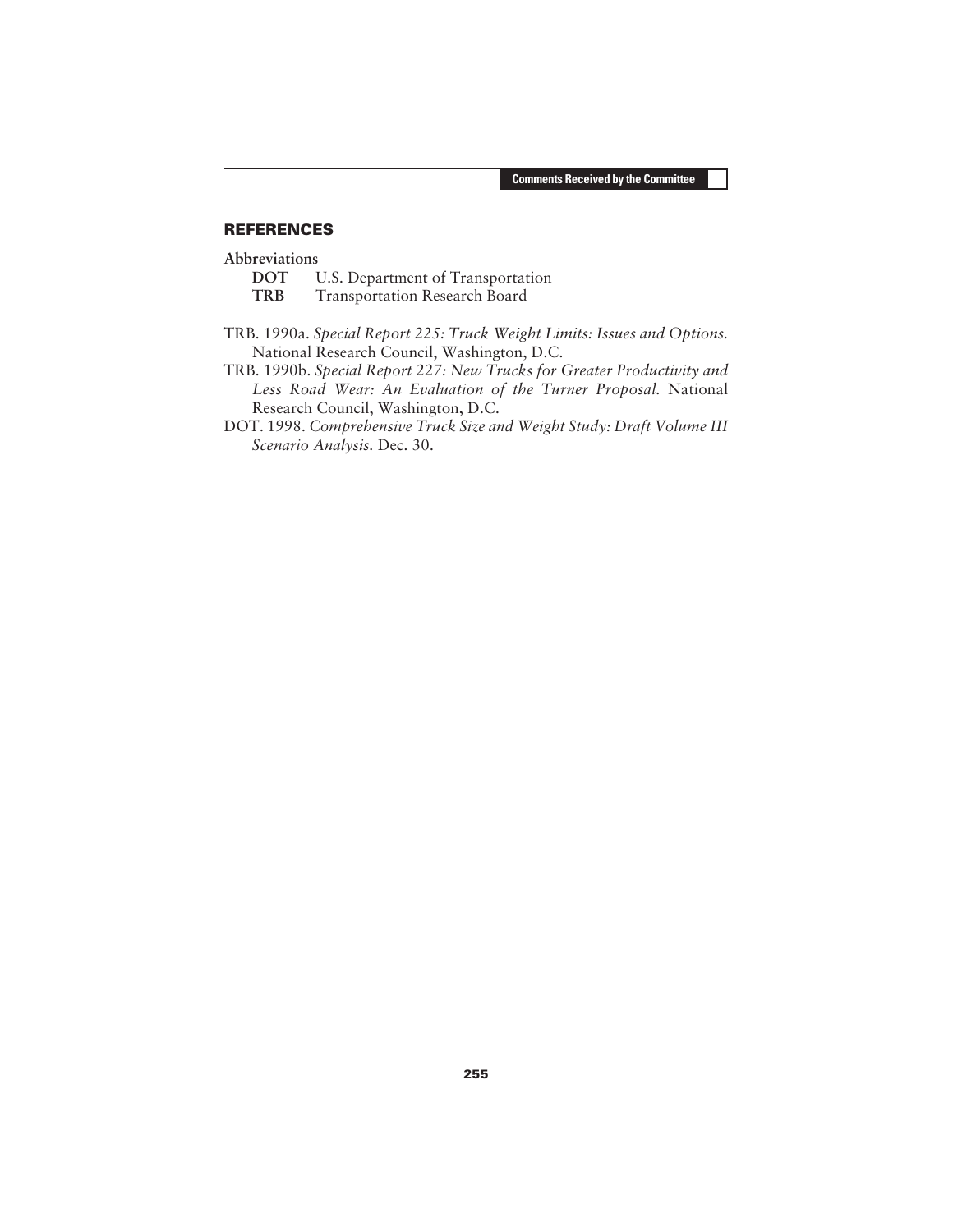#### **REFERENCES**

# **Abbreviations**

**DOT** U.S. Department of Transportation<br>**TRB** Transportation Research Board

**Transportation Research Board** 

- TRB. 1990a. *Special Report 225: Truck Weight Limits: Issues and Options.* National Research Council, Washington, D.C.
- TRB. 1990b. *Special Report 227: New Trucks for Greater Productivity and Less Road Wear: An Evaluation of the Turner Proposal.* National Research Council, Washington, D.C.
- DOT. 1998. *Comprehensive Truck Size and Weight Study: Draft Volume III Scenario Analysis.* Dec. 30.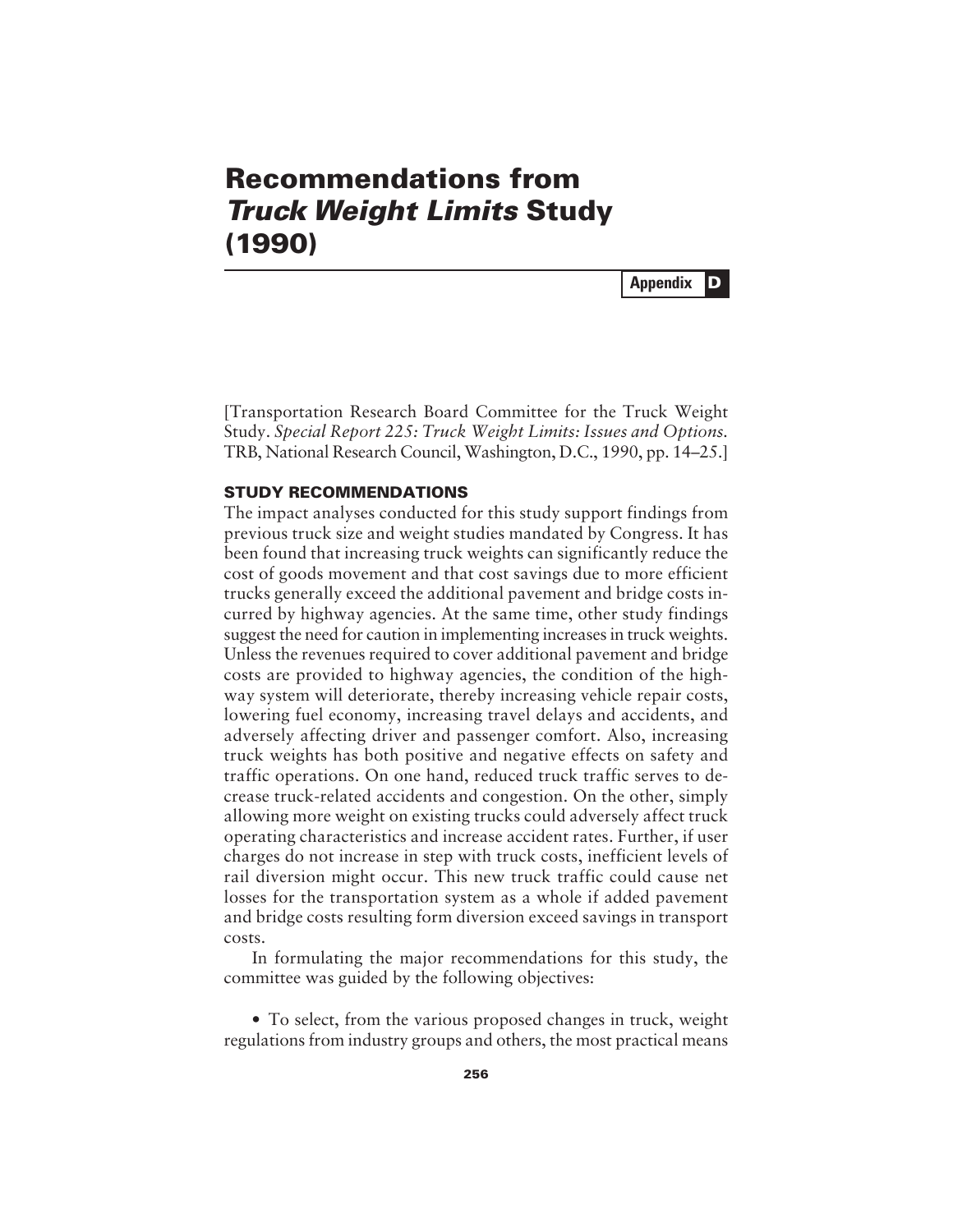# **Recommendations from** *Truck Weight Limits* **Study (1990)**

**Appendix D**

[Transportation Research Board Committee for the Truck Weight Study. *Special Report 225: Truck Weight Limits: Issues and Options.* TRB, National Research Council, Washington, D.C., 1990, pp. 14–25.]

## **STUDY RECOMMENDATIONS**

The impact analyses conducted for this study support findings from previous truck size and weight studies mandated by Congress. It has been found that increasing truck weights can significantly reduce the cost of goods movement and that cost savings due to more efficient trucks generally exceed the additional pavement and bridge costs incurred by highway agencies. At the same time, other study findings suggest the need for caution in implementing increases in truck weights. Unless the revenues required to cover additional pavement and bridge costs are provided to highway agencies, the condition of the highway system will deteriorate, thereby increasing vehicle repair costs, lowering fuel economy, increasing travel delays and accidents, and adversely affecting driver and passenger comfort. Also, increasing truck weights has both positive and negative effects on safety and traffic operations. On one hand, reduced truck traffic serves to decrease truck-related accidents and congestion. On the other, simply allowing more weight on existing trucks could adversely affect truck operating characteristics and increase accident rates. Further, if user charges do not increase in step with truck costs, inefficient levels of rail diversion might occur. This new truck traffic could cause net losses for the transportation system as a whole if added pavement and bridge costs resulting form diversion exceed savings in transport costs.

In formulating the major recommendations for this study, the committee was guided by the following objectives:

• To select, from the various proposed changes in truck, weight regulations from industry groups and others, the most practical means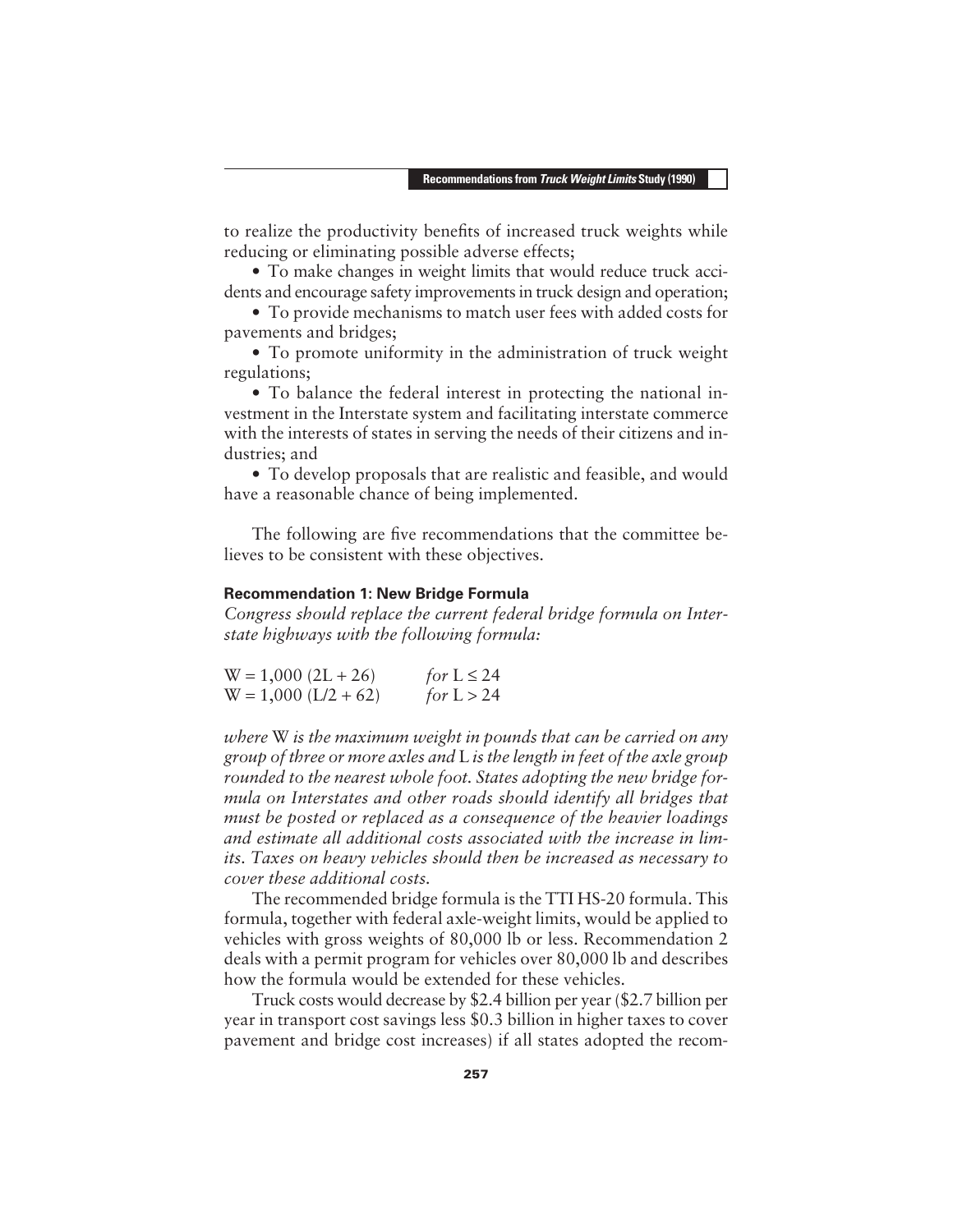to realize the productivity benefits of increased truck weights while reducing or eliminating possible adverse effects;

• To make changes in weight limits that would reduce truck accidents and encourage safety improvements in truck design and operation;

• To provide mechanisms to match user fees with added costs for pavements and bridges;

• To promote uniformity in the administration of truck weight regulations;

• To balance the federal interest in protecting the national investment in the Interstate system and facilitating interstate commerce with the interests of states in serving the needs of their citizens and industries; and

• To develop proposals that are realistic and feasible, and would have a reasonable chance of being implemented.

The following are five recommendations that the committee believes to be consistent with these objectives.

#### **Recommendation 1: New Bridge Formula**

*Congress should replace the current federal bridge formula on Interstate highways with the following formula:*

| $W = 1,000 (2L + 26)$  | for $L \leq 24$ |
|------------------------|-----------------|
| $W = 1,000$ (L/2 + 62) | for $L > 24$    |

*where* W *is the maximum weight in pounds that can be carried on any group of three or more axles and* L *is the length in feet of the axle group rounded to the nearest whole foot. States adopting the new bridge formula on Interstates and other roads should identify all bridges that must be posted or replaced as a consequence of the heavier loadings and estimate all additional costs associated with the increase in limits. Taxes on heavy vehicles should then be increased as necessary to cover these additional costs.*

The recommended bridge formula is the TTI HS-20 formula. This formula, together with federal axle-weight limits, would be applied to vehicles with gross weights of 80,000 lb or less. Recommendation 2 deals with a permit program for vehicles over 80,000 lb and describes how the formula would be extended for these vehicles.

Truck costs would decrease by \$2.4 billion per year (\$2.7 billion per year in transport cost savings less \$0.3 billion in higher taxes to cover pavement and bridge cost increases) if all states adopted the recom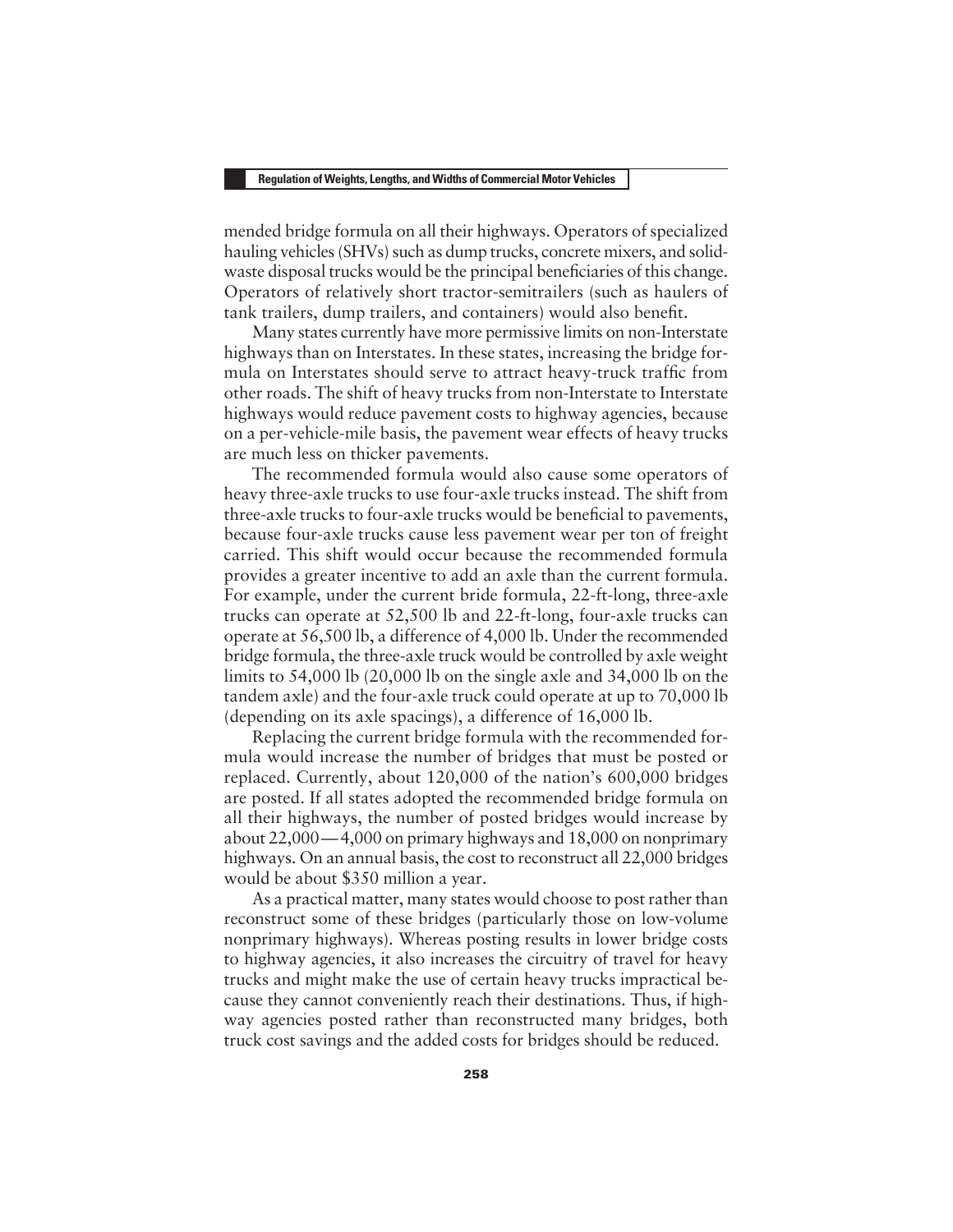mended bridge formula on all their highways. Operators of specialized hauling vehicles (SHVs) such as dump trucks, concrete mixers, and solidwaste disposal trucks would be the principal beneficiaries of this change. Operators of relatively short tractor-semitrailers (such as haulers of tank trailers, dump trailers, and containers) would also benefit.

Many states currently have more permissive limits on non-Interstate highways than on Interstates. In these states, increasing the bridge formula on Interstates should serve to attract heavy-truck traffic from other roads. The shift of heavy trucks from non-Interstate to Interstate highways would reduce pavement costs to highway agencies, because on a per-vehicle-mile basis, the pavement wear effects of heavy trucks are much less on thicker pavements.

The recommended formula would also cause some operators of heavy three-axle trucks to use four-axle trucks instead. The shift from three-axle trucks to four-axle trucks would be beneficial to pavements, because four-axle trucks cause less pavement wear per ton of freight carried. This shift would occur because the recommended formula provides a greater incentive to add an axle than the current formula. For example, under the current bride formula, 22-ft-long, three-axle trucks can operate at 52,500 lb and 22-ft-long, four-axle trucks can operate at 56,500 lb, a difference of 4,000 lb. Under the recommended bridge formula, the three-axle truck would be controlled by axle weight limits to 54,000 lb (20,000 lb on the single axle and 34,000 lb on the tandem axle) and the four-axle truck could operate at up to 70,000 lb (depending on its axle spacings), a difference of 16,000 lb.

Replacing the current bridge formula with the recommended formula would increase the number of bridges that must be posted or replaced. Currently, about 120,000 of the nation's 600,000 bridges are posted. If all states adopted the recommended bridge formula on all their highways, the number of posted bridges would increase by about 22,000—4,000 on primary highways and 18,000 on nonprimary highways. On an annual basis, the cost to reconstruct all 22,000 bridges would be about \$350 million a year.

As a practical matter, many states would choose to post rather than reconstruct some of these bridges (particularly those on low-volume nonprimary highways). Whereas posting results in lower bridge costs to highway agencies, it also increases the circuitry of travel for heavy trucks and might make the use of certain heavy trucks impractical because they cannot conveniently reach their destinations. Thus, if highway agencies posted rather than reconstructed many bridges, both truck cost savings and the added costs for bridges should be reduced.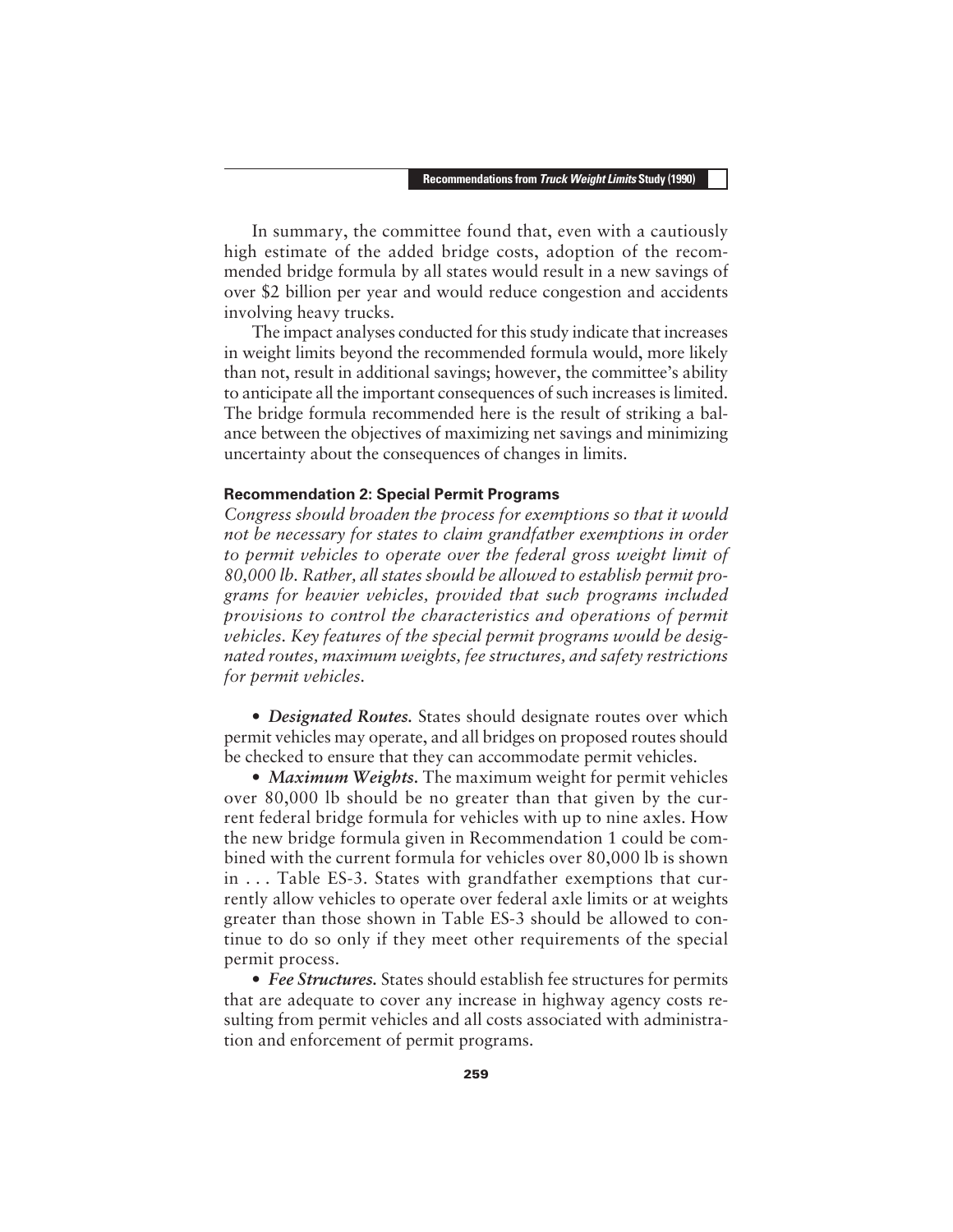In summary, the committee found that, even with a cautiously high estimate of the added bridge costs, adoption of the recommended bridge formula by all states would result in a new savings of over \$2 billion per year and would reduce congestion and accidents involving heavy trucks.

The impact analyses conducted for this study indicate that increases in weight limits beyond the recommended formula would, more likely than not, result in additional savings; however, the committee's ability to anticipate all the important consequences of such increases is limited. The bridge formula recommended here is the result of striking a balance between the objectives of maximizing net savings and minimizing uncertainty about the consequences of changes in limits.

#### **Recommendation 2: Special Permit Programs**

*Congress should broaden the process for exemptions so that it would not be necessary for states to claim grandfather exemptions in order to permit vehicles to operate over the federal gross weight limit of 80,000 lb. Rather, all states should be allowed to establish permit programs for heavier vehicles, provided that such programs included provisions to control the characteristics and operations of permit vehicles. Key features of the special permit programs would be designated routes, maximum weights, fee structures, and safety restrictions for permit vehicles.*

• *Designated Routes.* States should designate routes over which permit vehicles may operate, and all bridges on proposed routes should be checked to ensure that they can accommodate permit vehicles.

• *Maximum Weights.* The maximum weight for permit vehicles over 80,000 lb should be no greater than that given by the current federal bridge formula for vehicles with up to nine axles. How the new bridge formula given in Recommendation 1 could be combined with the current formula for vehicles over 80,000 lb is shown in . . . Table ES-3. States with grandfather exemptions that currently allow vehicles to operate over federal axle limits or at weights greater than those shown in Table ES-3 should be allowed to continue to do so only if they meet other requirements of the special permit process.

• *Fee Structures.* States should establish fee structures for permits that are adequate to cover any increase in highway agency costs resulting from permit vehicles and all costs associated with administration and enforcement of permit programs.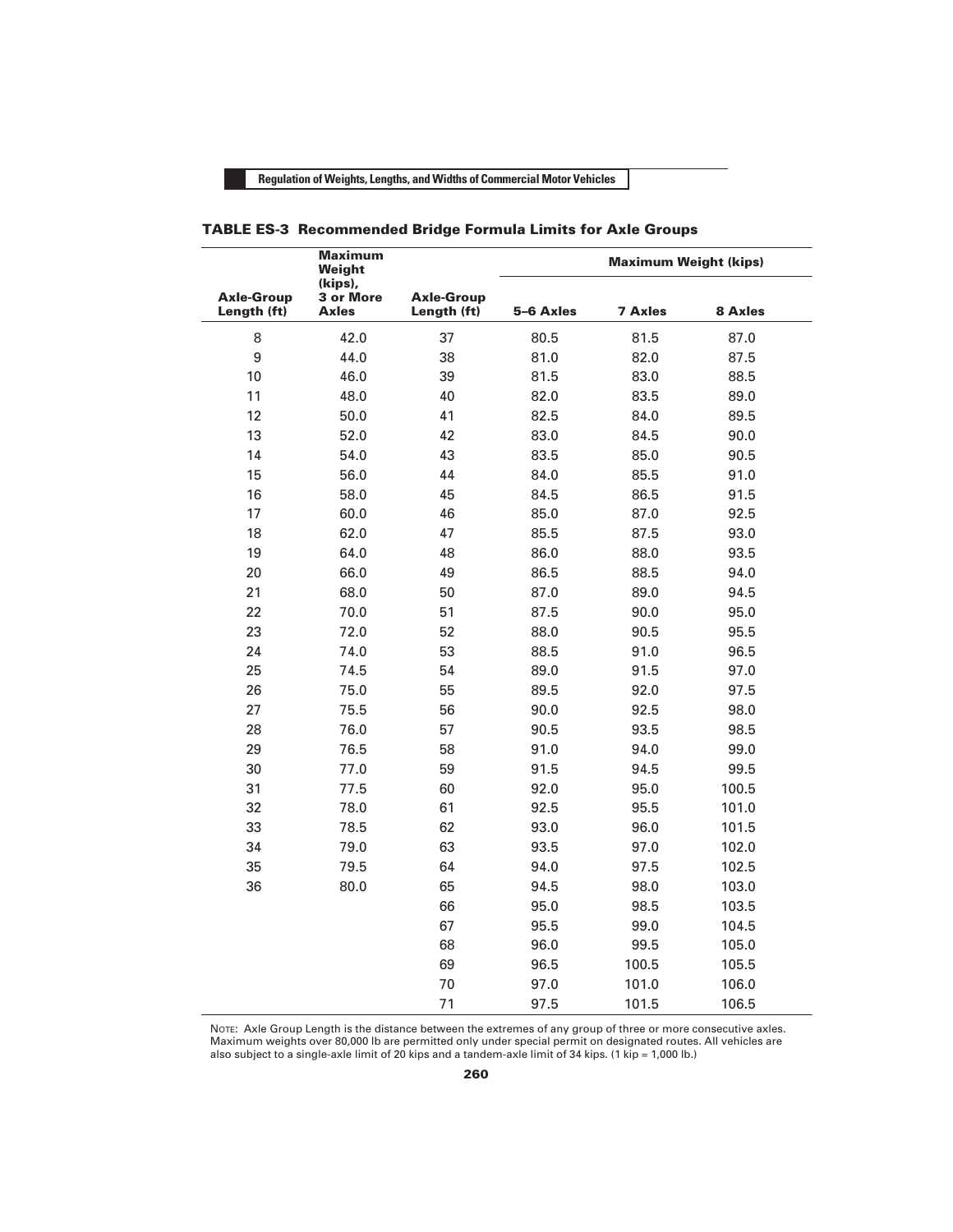| <b>Maximum</b><br>Weight         |                                      |                                  | <b>Maximum Weight (kips)</b> |                |                |
|----------------------------------|--------------------------------------|----------------------------------|------------------------------|----------------|----------------|
| <b>Axle-Group</b><br>Length (ft) | (kips),<br>3 or More<br><b>Axles</b> | <b>Axle-Group</b><br>Length (ft) | 5-6 Axles                    | <b>7 Axles</b> | <b>8 Axles</b> |
| 8                                | 42.0                                 | 37                               | 80.5                         | 81.5           | 87.0           |
| 9                                | 44.0                                 | 38                               | 81.0                         | 82.0           | 87.5           |
| 10                               | 46.0                                 | 39                               | 81.5                         | 83.0           | 88.5           |
| 11                               | 48.0                                 | 40                               | 82.0                         | 83.5           | 89.0           |
| 12                               | 50.0                                 | 41                               | 82.5                         | 84.0           | 89.5           |
| 13                               | 52.0                                 | 42                               | 83.0                         | 84.5           | 90.0           |
| 14                               | 54.0                                 | 43                               | 83.5                         | 85.0           | 90.5           |
| 15                               | 56.0                                 | 44                               | 84.0                         | 85.5           | 91.0           |
| 16                               | 58.0                                 | 45                               | 84.5                         | 86.5           | 91.5           |
| 17                               | 60.0                                 | 46                               | 85.0                         | 87.0           | 92.5           |
| 18                               | 62.0                                 | 47                               | 85.5                         | 87.5           | 93.0           |
| 19                               | 64.0                                 | 48                               | 86.0                         | 88.0           | 93.5           |
| 20                               | 66.0                                 | 49                               | 86.5                         | 88.5           | 94.0           |
| 21                               | 68.0                                 | 50                               | 87.0                         | 89.0           | 94.5           |
| 22                               | 70.0                                 | 51                               | 87.5                         | 90.0           | 95.0           |
| 23                               | 72.0                                 | 52                               | 88.0                         | 90.5           | 95.5           |
| 24                               | 74.0                                 | 53                               | 88.5                         | 91.0           | 96.5           |
| 25                               | 74.5                                 | 54                               | 89.0                         | 91.5           | 97.0           |
| 26                               | 75.0                                 | 55                               | 89.5                         | 92.0           | 97.5           |
| 27                               | 75.5                                 | 56                               | 90.0                         | 92.5           | 98.0           |
| 28                               | 76.0                                 | 57                               | 90.5                         | 93.5           | 98.5           |
| 29                               | 76.5                                 | 58                               | 91.0                         | 94.0           | 99.0           |
| 30                               | 77.0                                 | 59                               | 91.5                         | 94.5           | 99.5           |
| 31                               | 77.5                                 | 60                               | 92.0                         | 95.0           | 100.5          |
| 32                               | 78.0                                 | 61                               | 92.5                         | 95.5           | 101.0          |
| 33                               | 78.5                                 | 62                               | 93.0                         | 96.0           | 101.5          |
| 34                               | 79.0                                 | 63                               | 93.5                         | 97.0           | 102.0          |
| 35                               | 79.5                                 | 64                               | 94.0                         | 97.5           | 102.5          |
| 36                               | 80.0                                 | 65                               | 94.5                         | 98.0           | 103.0          |
|                                  |                                      | 66                               | 95.0                         | 98.5           | 103.5          |
|                                  |                                      | 67                               | 95.5                         | 99.0           | 104.5          |
|                                  |                                      | 68                               | 96.0                         | 99.5           | 105.0          |
|                                  |                                      | 69                               | 96.5                         | 100.5          | 105.5          |
|                                  |                                      | 70                               | 97.0                         | 101.0          | 106.0          |
|                                  |                                      | 71                               | 97.5                         | 101.5          | 106.5          |

#### **TABLE ES-3 Recommended Bridge Formula Limits for Axle Groups**

NOTE: Axle Group Length is the distance between the extremes of any group of three or more consecutive axles. Maximum weights over 80,000 lb are permitted only under special permit on designated routes. All vehicles are also subject to a single-axle limit of 20 kips and a tandem-axle limit of 34 kips. (1 kip = 1,000 lb.)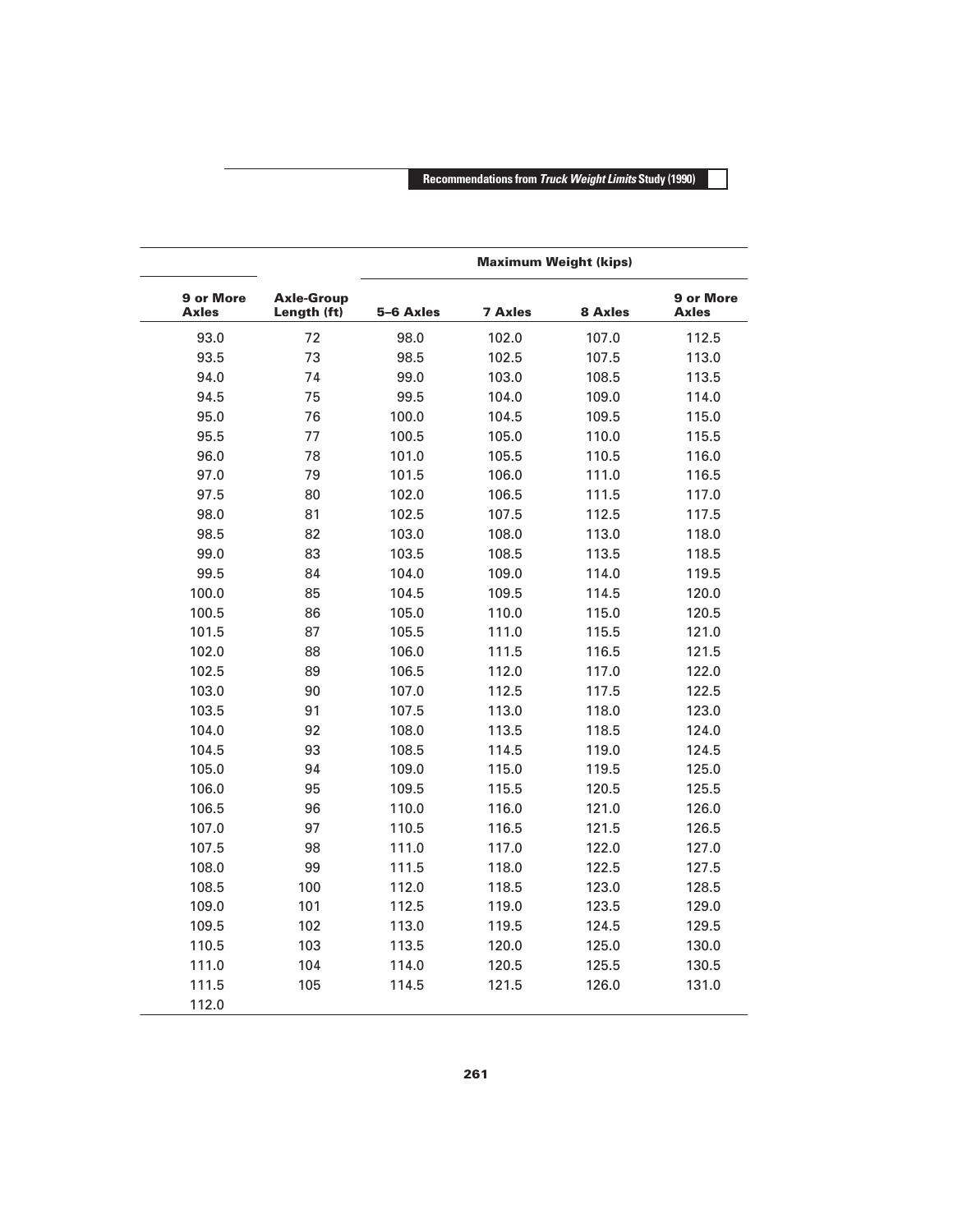| <b>9 or More</b><br><b>Axles</b> | <b>Axle-Group</b><br>Length (ft) | 5-6 Axles | <b>7 Axles</b> | <b>8 Axles</b> | <b>9 or More</b><br><b>Axles</b> |
|----------------------------------|----------------------------------|-----------|----------------|----------------|----------------------------------|
| 93.0                             | 72                               | 98.0      | 102.0          | 107.0          | 112.5                            |
| 93.5                             | 73                               | 98.5      | 102.5          | 107.5          | 113.0                            |
| 94.0                             | 74                               | 99.0      | 103.0          | 108.5          | 113.5                            |
| 94.5                             | 75                               | 99.5      | 104.0          | 109.0          | 114.0                            |
| 95.0                             | 76                               | 100.0     | 104.5          | 109.5          | 115.0                            |
| 95.5                             | 77                               | 100.5     | 105.0          | 110.0          | 115.5                            |
| 96.0                             | 78                               | 101.0     | 105.5          | 110.5          | 116.0                            |
| 97.0                             | 79                               | 101.5     | 106.0          | 111.0          | 116.5                            |
| 97.5                             | 80                               | 102.0     | 106.5          | 111.5          | 117.0                            |
| 98.0                             | 81                               | 102.5     | 107.5          | 112.5          | 117.5                            |
| 98.5                             | 82                               | 103.0     | 108.0          | 113.0          | 118.0                            |
| 99.0                             | 83                               | 103.5     | 108.5          | 113.5          | 118.5                            |
| 99.5                             | 84                               | 104.0     | 109.0          | 114.0          | 119.5                            |
| 100.0                            | 85                               | 104.5     | 109.5          | 114.5          | 120.0                            |
| 100.5                            | 86                               | 105.0     | 110.0          | 115.0          | 120.5                            |
| 101.5                            | 87                               | 105.5     | 111.0          | 115.5          | 121.0                            |
| 102.0                            | 88                               | 106.0     | 111.5          | 116.5          | 121.5                            |
| 102.5                            | 89                               | 106.5     | 112.0          | 117.0          | 122.0                            |
| 103.0                            | 90                               | 107.0     | 112.5          | 117.5          | 122.5                            |
| 103.5                            | 91                               | 107.5     | 113.0          | 118.0          | 123.0                            |
| 104.0                            | 92                               | 108.0     | 113.5          | 118.5          | 124.0                            |
| 104.5                            | 93                               | 108.5     | 114.5          | 119.0          | 124.5                            |
| 105.0                            | 94                               | 109.0     | 115.0          | 119.5          | 125.0                            |
| 106.0                            | 95                               | 109.5     | 115.5          | 120.5          | 125.5                            |
| 106.5                            | 96                               | 110.0     | 116.0          | 121.0          | 126.0                            |
| 107.0                            | 97                               | 110.5     | 116.5          | 121.5          | 126.5                            |
| 107.5                            | 98                               | 111.0     | 117.0          | 122.0          | 127.0                            |
| 108.0                            | 99                               | 111.5     | 118.0          | 122.5          | 127.5                            |
| 108.5                            | 100                              | 112.0     | 118.5          | 123.0          | 128.5                            |
| 109.0                            | 101                              | 112.5     | 119.0          | 123.5          | 129.0                            |
| 109.5                            | 102                              | 113.0     | 119.5          | 124.5          | 129.5                            |
| 110.5                            | 103                              | 113.5     | 120.0          | 125.0          | 130.0                            |
| 111.0                            | 104                              | 114.0     | 120.5          | 125.5          | 130.5                            |
| 111.5                            | 105                              | 114.5     | 121.5          | 126.0          | 131.0                            |
| 112.0                            |                                  |           |                |                |                                  |

#### **Maximum Weight (kips)**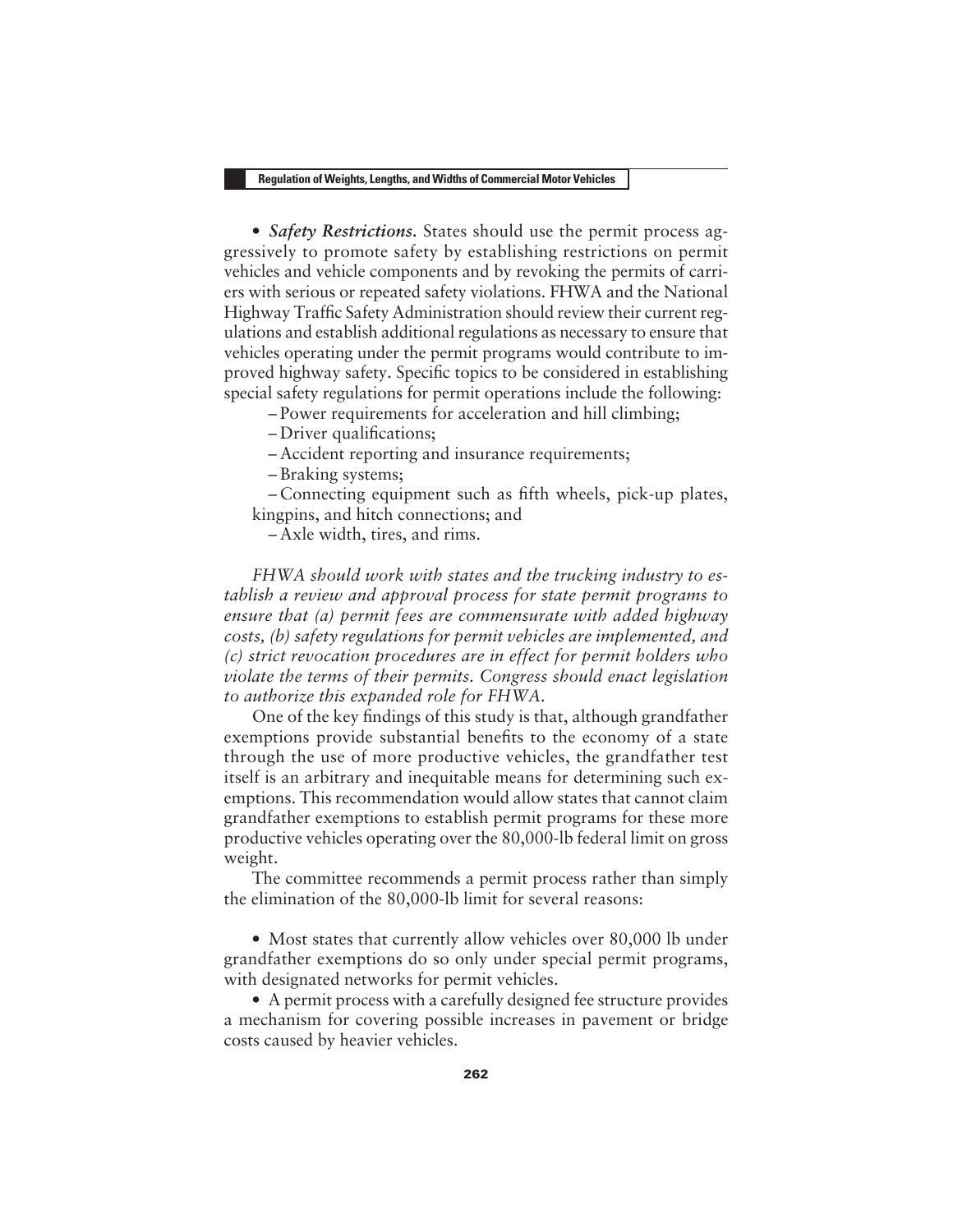• *Safety Restrictions.* States should use the permit process aggressively to promote safety by establishing restrictions on permit vehicles and vehicle components and by revoking the permits of carriers with serious or repeated safety violations. FHWA and the National Highway Traffic Safety Administration should review their current regulations and establish additional regulations as necessary to ensure that vehicles operating under the permit programs would contribute to improved highway safety. Specific topics to be considered in establishing special safety regulations for permit operations include the following:

– Power requirements for acceleration and hill climbing;

- Driver qualifications;
- Accident reporting and insurance requirements;
- Braking systems;

– Connecting equipment such as fifth wheels, pick-up plates, kingpins, and hitch connections; and

– Axle width, tires, and rims.

*FHWA should work with states and the trucking industry to establish a review and approval process for state permit programs to ensure that (a) permit fees are commensurate with added highway costs, (b) safety regulations for permit vehicles are implemented, and (c) strict revocation procedures are in effect for permit holders who violate the terms of their permits. Congress should enact legislation to authorize this expanded role for FHWA.*

One of the key findings of this study is that, although grandfather exemptions provide substantial benefits to the economy of a state through the use of more productive vehicles, the grandfather test itself is an arbitrary and inequitable means for determining such exemptions. This recommendation would allow states that cannot claim grandfather exemptions to establish permit programs for these more productive vehicles operating over the 80,000-lb federal limit on gross weight.

The committee recommends a permit process rather than simply the elimination of the 80,000-lb limit for several reasons:

• Most states that currently allow vehicles over 80,000 lb under grandfather exemptions do so only under special permit programs, with designated networks for permit vehicles.

• A permit process with a carefully designed fee structure provides a mechanism for covering possible increases in pavement or bridge costs caused by heavier vehicles.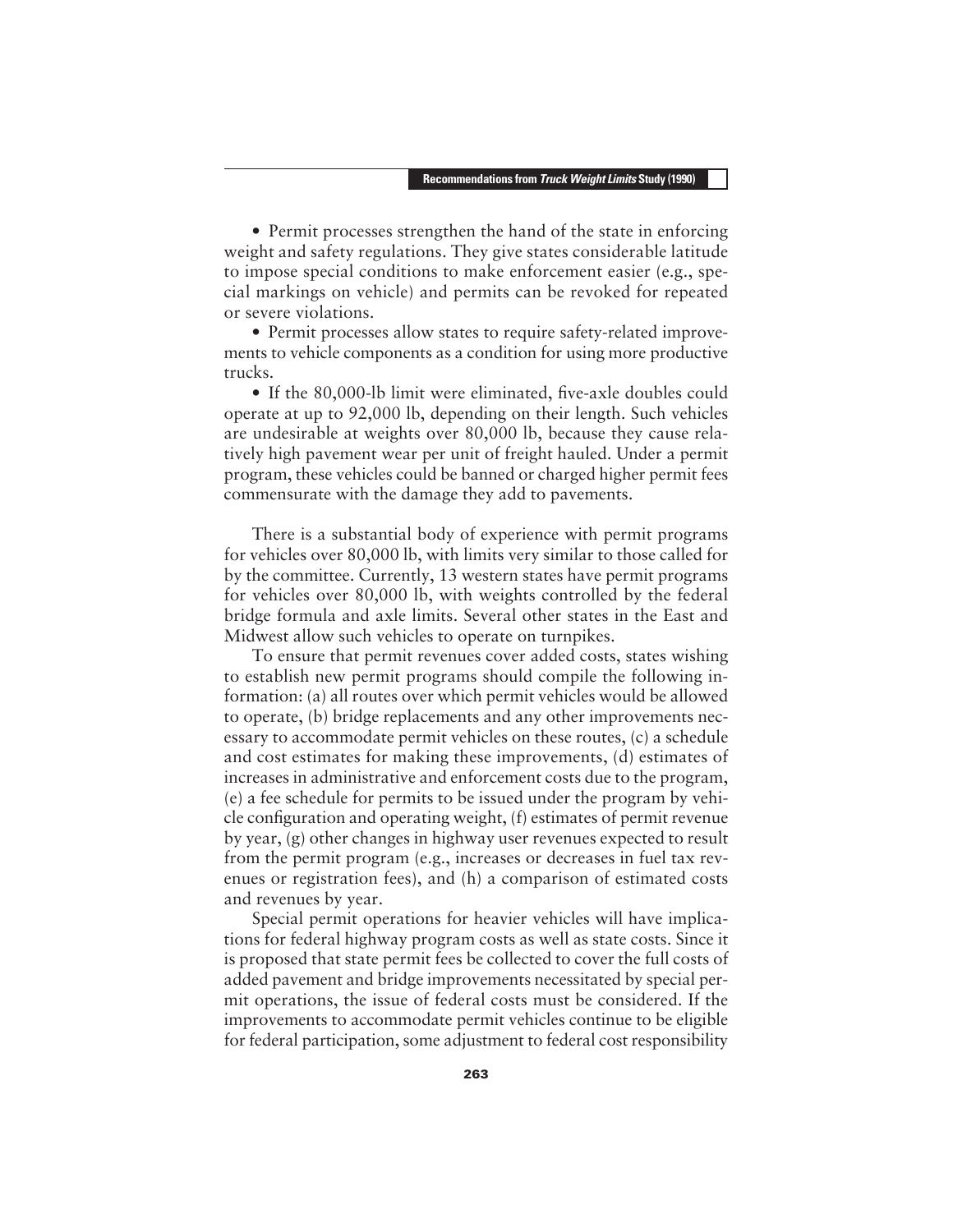• Permit processes strengthen the hand of the state in enforcing weight and safety regulations. They give states considerable latitude to impose special conditions to make enforcement easier (e.g., special markings on vehicle) and permits can be revoked for repeated or severe violations.

• Permit processes allow states to require safety-related improvements to vehicle components as a condition for using more productive trucks.

• If the 80,000-lb limit were eliminated, five-axle doubles could operate at up to 92,000 lb, depending on their length. Such vehicles are undesirable at weights over 80,000 lb, because they cause relatively high pavement wear per unit of freight hauled. Under a permit program, these vehicles could be banned or charged higher permit fees commensurate with the damage they add to pavements.

There is a substantial body of experience with permit programs for vehicles over 80,000 lb, with limits very similar to those called for by the committee. Currently, 13 western states have permit programs for vehicles over 80,000 lb, with weights controlled by the federal bridge formula and axle limits. Several other states in the East and Midwest allow such vehicles to operate on turnpikes.

To ensure that permit revenues cover added costs, states wishing to establish new permit programs should compile the following information: (a) all routes over which permit vehicles would be allowed to operate, (b) bridge replacements and any other improvements necessary to accommodate permit vehicles on these routes, (c) a schedule and cost estimates for making these improvements, (d) estimates of increases in administrative and enforcement costs due to the program, (e) a fee schedule for permits to be issued under the program by vehicle configuration and operating weight, (f) estimates of permit revenue by year, (g) other changes in highway user revenues expected to result from the permit program (e.g., increases or decreases in fuel tax revenues or registration fees), and (h) a comparison of estimated costs and revenues by year.

Special permit operations for heavier vehicles will have implications for federal highway program costs as well as state costs. Since it is proposed that state permit fees be collected to cover the full costs of added pavement and bridge improvements necessitated by special permit operations, the issue of federal costs must be considered. If the improvements to accommodate permit vehicles continue to be eligible for federal participation, some adjustment to federal cost responsibility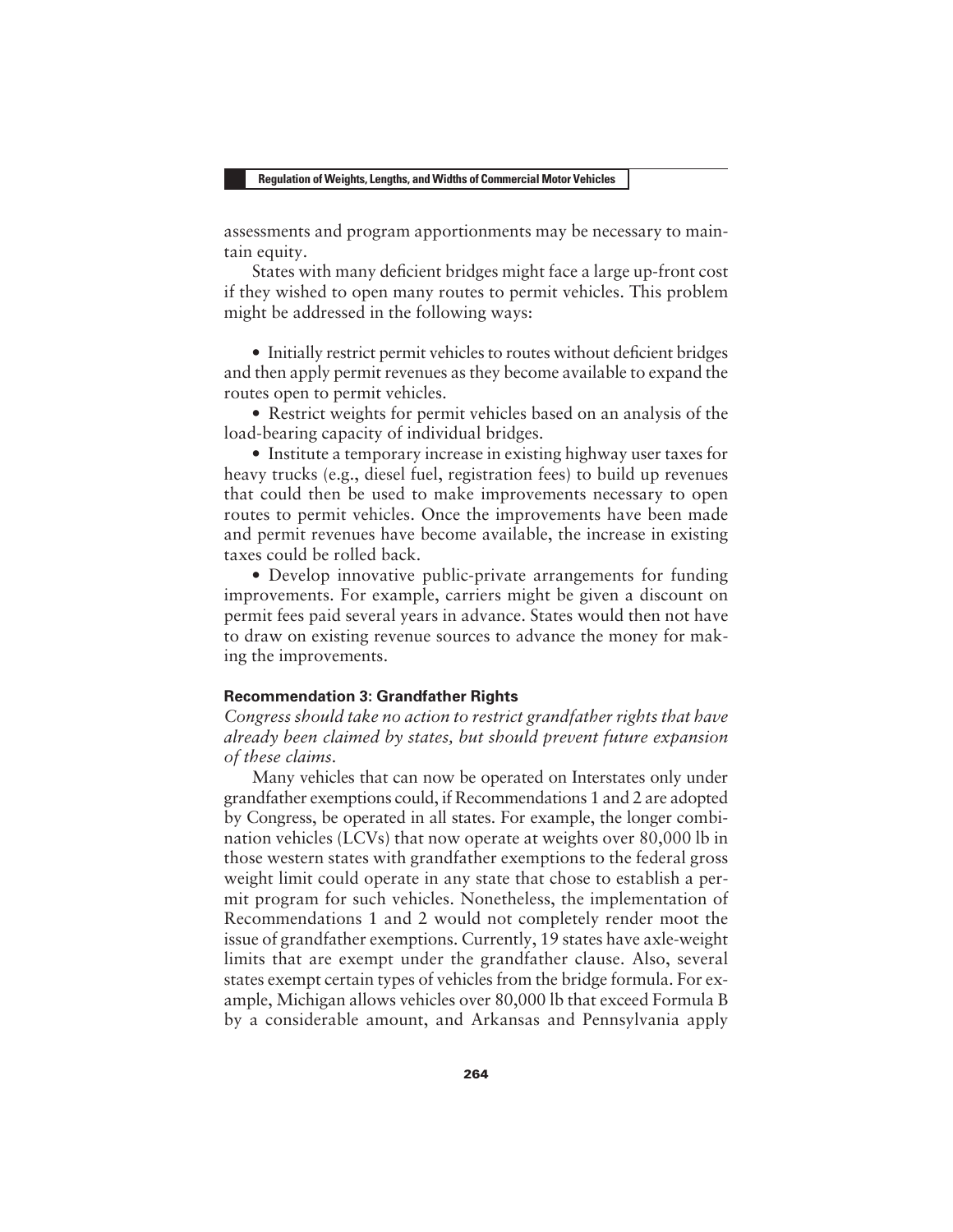assessments and program apportionments may be necessary to maintain equity.

States with many deficient bridges might face a large up-front cost if they wished to open many routes to permit vehicles. This problem might be addressed in the following ways:

• Initially restrict permit vehicles to routes without deficient bridges and then apply permit revenues as they become available to expand the routes open to permit vehicles.

• Restrict weights for permit vehicles based on an analysis of the load-bearing capacity of individual bridges.

• Institute a temporary increase in existing highway user taxes for heavy trucks (e.g., diesel fuel, registration fees) to build up revenues that could then be used to make improvements necessary to open routes to permit vehicles. Once the improvements have been made and permit revenues have become available, the increase in existing taxes could be rolled back.

• Develop innovative public-private arrangements for funding improvements. For example, carriers might be given a discount on permit fees paid several years in advance. States would then not have to draw on existing revenue sources to advance the money for making the improvements.

#### **Recommendation 3: Grandfather Rights**

*Congress should take no action to restrict grandfather rights that have already been claimed by states, but should prevent future expansion of these claims.*

Many vehicles that can now be operated on Interstates only under grandfather exemptions could, if Recommendations 1 and 2 are adopted by Congress, be operated in all states. For example, the longer combination vehicles (LCVs) that now operate at weights over 80,000 lb in those western states with grandfather exemptions to the federal gross weight limit could operate in any state that chose to establish a permit program for such vehicles. Nonetheless, the implementation of Recommendations 1 and 2 would not completely render moot the issue of grandfather exemptions. Currently, 19 states have axle-weight limits that are exempt under the grandfather clause. Also, several states exempt certain types of vehicles from the bridge formula. For example, Michigan allows vehicles over 80,000 lb that exceed Formula B by a considerable amount, and Arkansas and Pennsylvania apply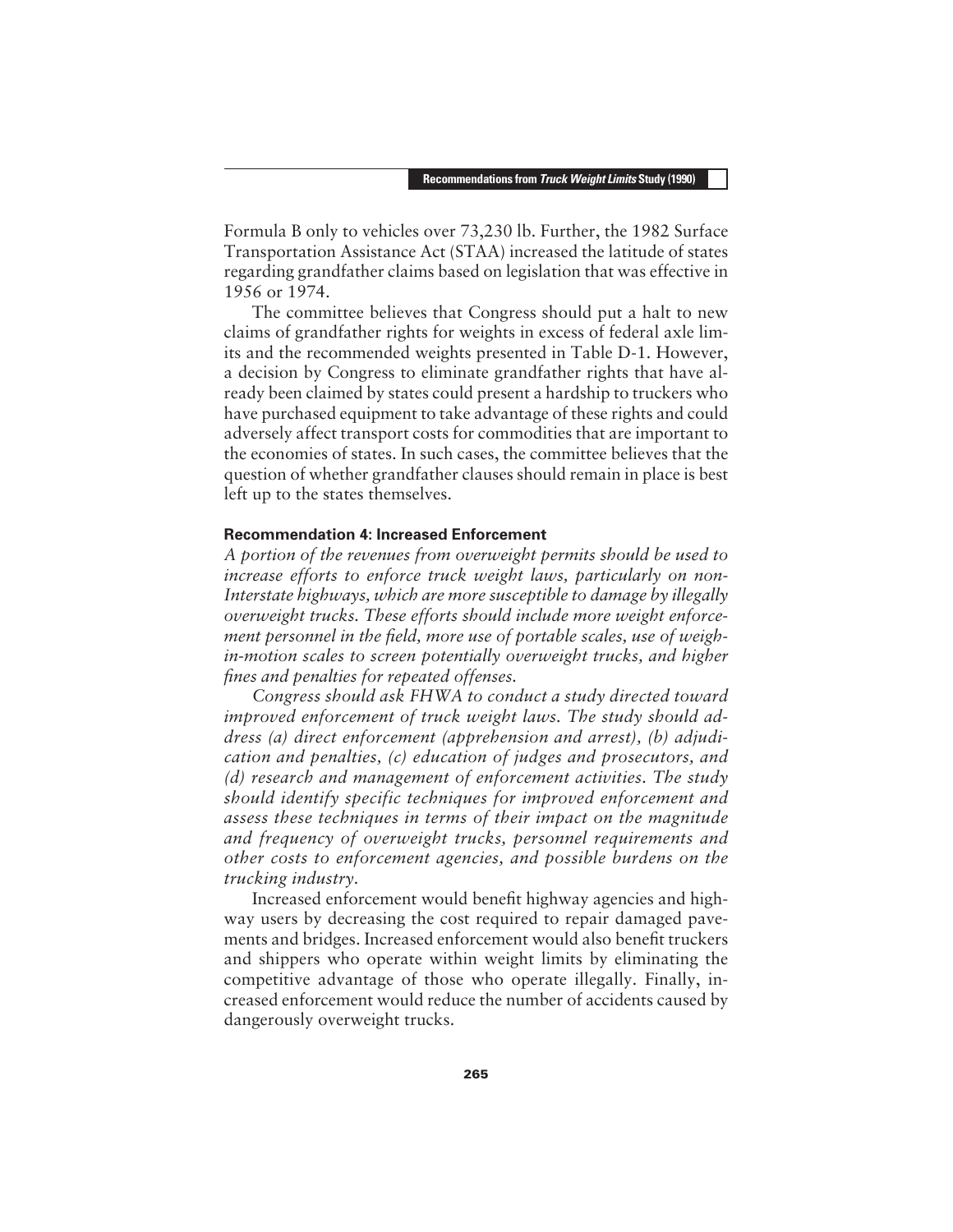Formula B only to vehicles over 73,230 lb. Further, the 1982 Surface Transportation Assistance Act (STAA) increased the latitude of states regarding grandfather claims based on legislation that was effective in 1956 or 1974.

The committee believes that Congress should put a halt to new claims of grandfather rights for weights in excess of federal axle limits and the recommended weights presented in Table D-1. However, a decision by Congress to eliminate grandfather rights that have already been claimed by states could present a hardship to truckers who have purchased equipment to take advantage of these rights and could adversely affect transport costs for commodities that are important to the economies of states. In such cases, the committee believes that the question of whether grandfather clauses should remain in place is best left up to the states themselves.

#### **Recommendation 4: Increased Enforcement**

*A portion of the revenues from overweight permits should be used to increase efforts to enforce truck weight laws, particularly on non-Interstate highways, which are more susceptible to damage by illegally overweight trucks. These efforts should include more weight enforcement personnel in the field, more use of portable scales, use of weighin-motion scales to screen potentially overweight trucks, and higher fines and penalties for repeated offenses.*

*Congress should ask FHWA to conduct a study directed toward improved enforcement of truck weight laws. The study should address (a) direct enforcement (apprehension and arrest), (b) adjudication and penalties, (c) education of judges and prosecutors, and (d) research and management of enforcement activities. The study should identify specific techniques for improved enforcement and assess these techniques in terms of their impact on the magnitude and frequency of overweight trucks, personnel requirements and other costs to enforcement agencies, and possible burdens on the trucking industry.*

Increased enforcement would benefit highway agencies and highway users by decreasing the cost required to repair damaged pavements and bridges. Increased enforcement would also benefit truckers and shippers who operate within weight limits by eliminating the competitive advantage of those who operate illegally. Finally, increased enforcement would reduce the number of accidents caused by dangerously overweight trucks.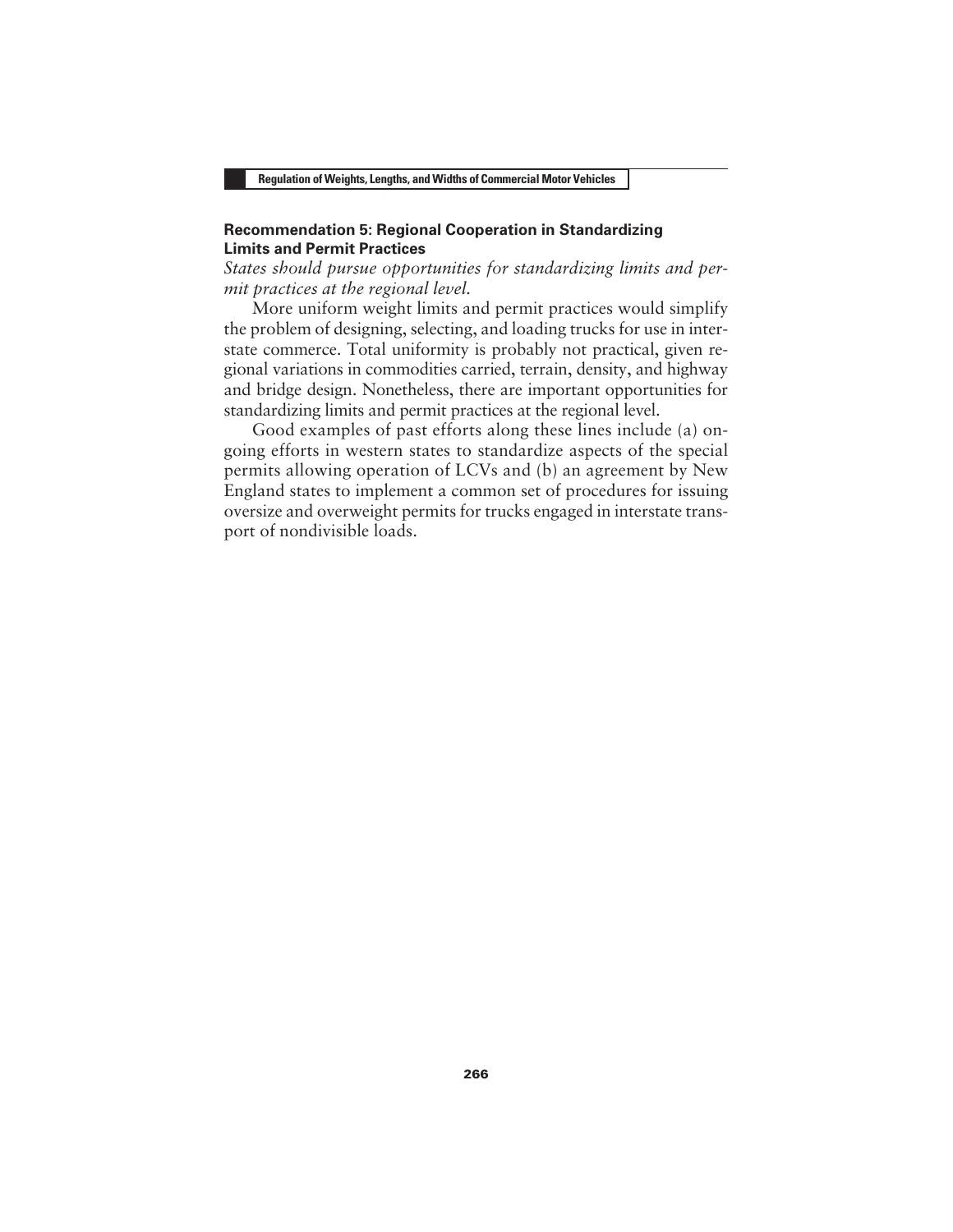#### **Recommendation 5: Regional Cooperation in Standardizing Limits and Permit Practices**

*States should pursue opportunities for standardizing limits and permit practices at the regional level.*

More uniform weight limits and permit practices would simplify the problem of designing, selecting, and loading trucks for use in interstate commerce. Total uniformity is probably not practical, given regional variations in commodities carried, terrain, density, and highway and bridge design. Nonetheless, there are important opportunities for standardizing limits and permit practices at the regional level.

Good examples of past efforts along these lines include (a) ongoing efforts in western states to standardize aspects of the special permits allowing operation of LCVs and (b) an agreement by New England states to implement a common set of procedures for issuing oversize and overweight permits for trucks engaged in interstate transport of nondivisible loads.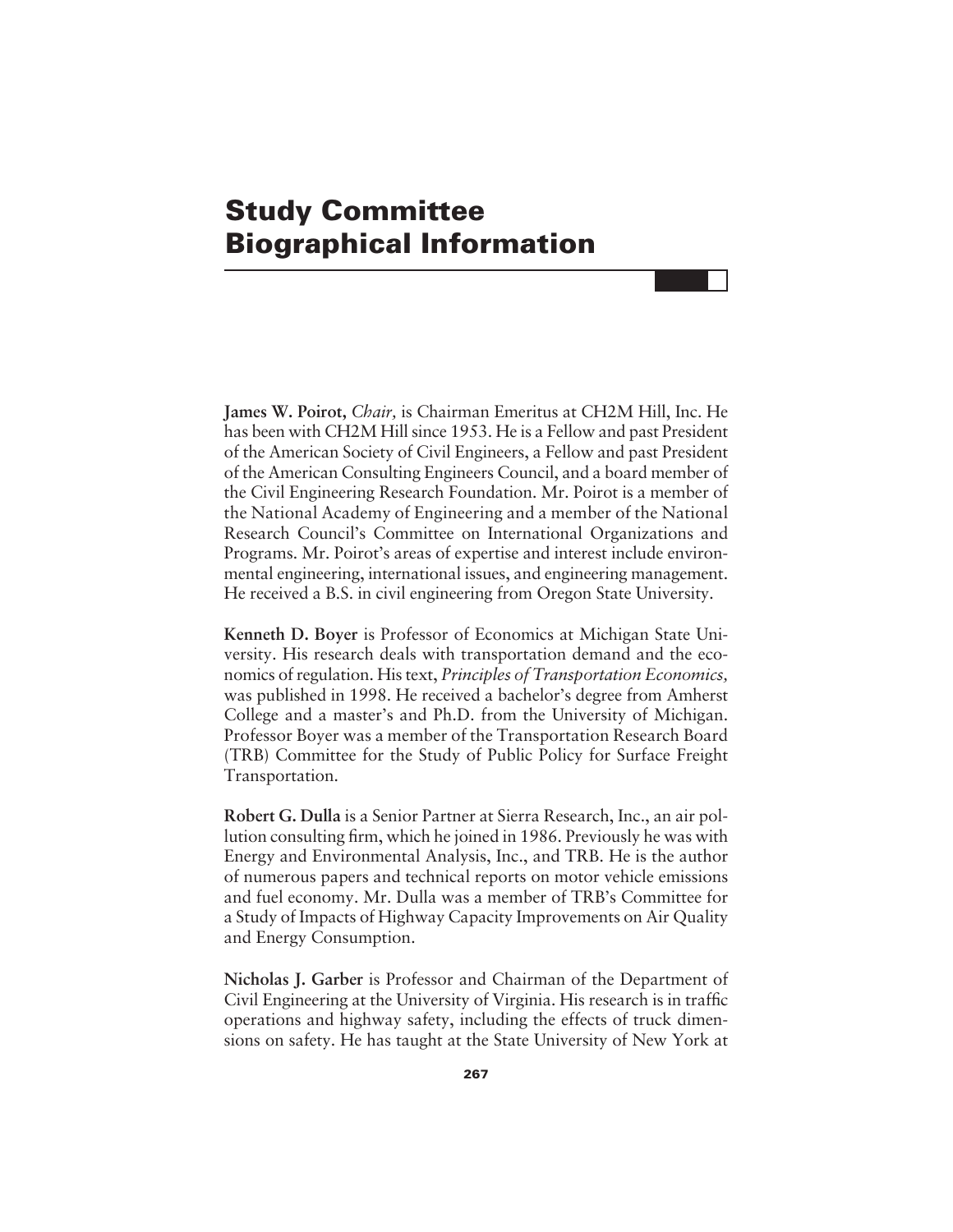# **Study Committee Biographical Information**

**James W. Poirot,** *Chair,* is Chairman Emeritus at CH2M Hill, Inc. He has been with CH2M Hill since 1953. He is a Fellow and past President of the American Society of Civil Engineers, a Fellow and past President of the American Consulting Engineers Council, and a board member of the Civil Engineering Research Foundation. Mr. Poirot is a member of the National Academy of Engineering and a member of the National Research Council's Committee on International Organizations and Programs. Mr. Poirot's areas of expertise and interest include environmental engineering, international issues, and engineering management. He received a B.S. in civil engineering from Oregon State University.

**Kenneth D. Boyer** is Professor of Economics at Michigan State University. His research deals with transportation demand and the economics of regulation. His text, *Principles of Transportation Economics,* was published in 1998. He received a bachelor's degree from Amherst College and a master's and Ph.D. from the University of Michigan. Professor Boyer was a member of the Transportation Research Board (TRB) Committee for the Study of Public Policy for Surface Freight Transportation.

**Robert G. Dulla** is a Senior Partner at Sierra Research, Inc., an air pollution consulting firm, which he joined in 1986. Previously he was with Energy and Environmental Analysis, Inc., and TRB. He is the author of numerous papers and technical reports on motor vehicle emissions and fuel economy. Mr. Dulla was a member of TRB's Committee for a Study of Impacts of Highway Capacity Improvements on Air Quality and Energy Consumption.

**Nicholas J. Garber** is Professor and Chairman of the Department of Civil Engineering at the University of Virginia. His research is in traffic operations and highway safety, including the effects of truck dimensions on safety. He has taught at the State University of New York at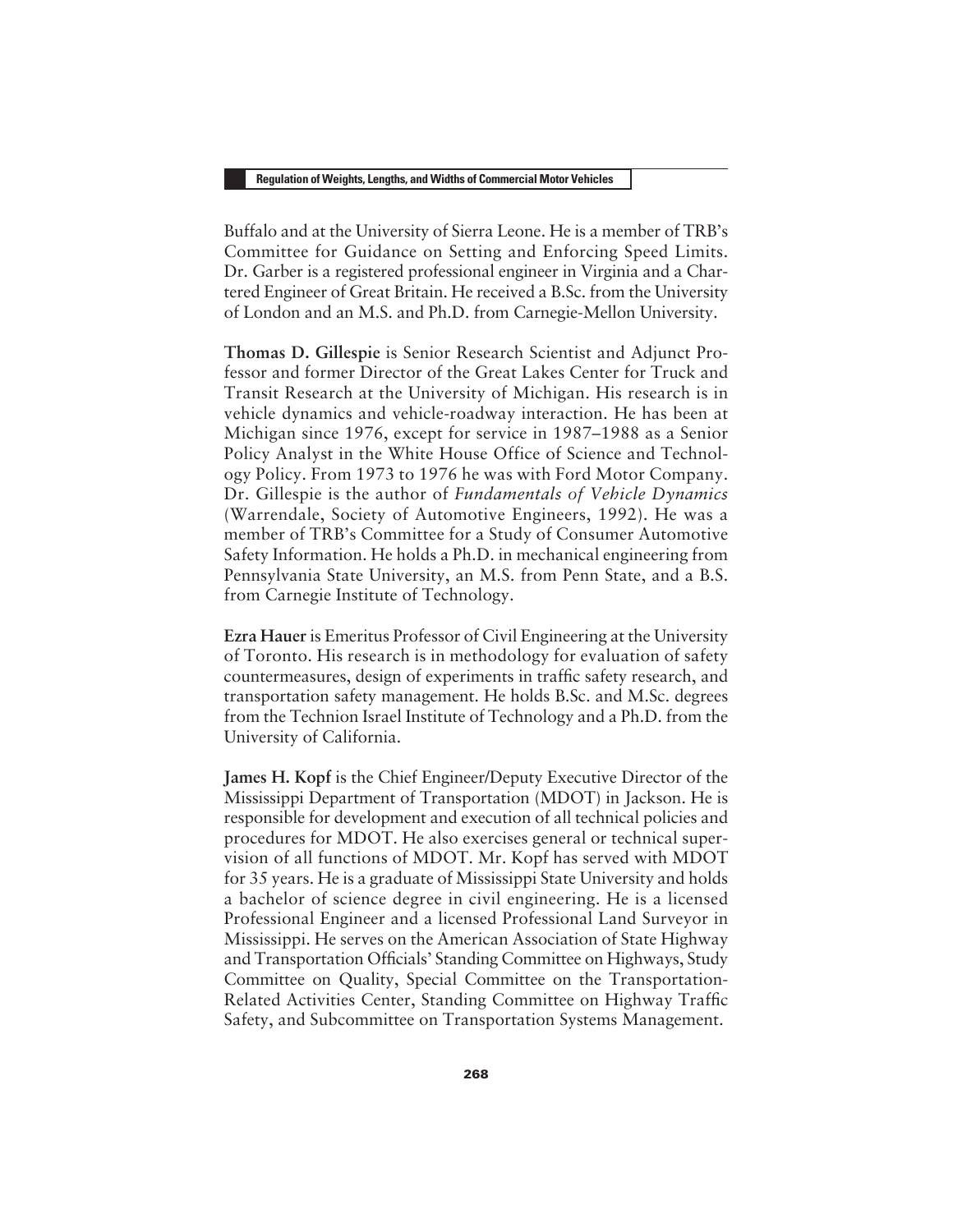Buffalo and at the University of Sierra Leone. He is a member of TRB's Committee for Guidance on Setting and Enforcing Speed Limits. Dr. Garber is a registered professional engineer in Virginia and a Chartered Engineer of Great Britain. He received a B.Sc. from the University of London and an M.S. and Ph.D. from Carnegie-Mellon University.

**Thomas D. Gillespie** is Senior Research Scientist and Adjunct Professor and former Director of the Great Lakes Center for Truck and Transit Research at the University of Michigan. His research is in vehicle dynamics and vehicle-roadway interaction. He has been at Michigan since 1976, except for service in 1987–1988 as a Senior Policy Analyst in the White House Office of Science and Technology Policy. From 1973 to 1976 he was with Ford Motor Company. Dr. Gillespie is the author of *Fundamentals of Vehicle Dynamics* (Warrendale, Society of Automotive Engineers, 1992). He was a member of TRB's Committee for a Study of Consumer Automotive Safety Information. He holds a Ph.D. in mechanical engineering from Pennsylvania State University, an M.S. from Penn State, and a B.S. from Carnegie Institute of Technology.

**Ezra Hauer** is Emeritus Professor of Civil Engineering at the University of Toronto. His research is in methodology for evaluation of safety countermeasures, design of experiments in traffic safety research, and transportation safety management. He holds B.Sc. and M.Sc. degrees from the Technion Israel Institute of Technology and a Ph.D. from the University of California.

**James H. Kopf** is the Chief Engineer/Deputy Executive Director of the Mississippi Department of Transportation (MDOT) in Jackson. He is responsible for development and execution of all technical policies and procedures for MDOT. He also exercises general or technical supervision of all functions of MDOT. Mr. Kopf has served with MDOT for 35 years. He is a graduate of Mississippi State University and holds a bachelor of science degree in civil engineering. He is a licensed Professional Engineer and a licensed Professional Land Surveyor in Mississippi. He serves on the American Association of State Highway and Transportation Officials' Standing Committee on Highways, Study Committee on Quality, Special Committee on the Transportation-Related Activities Center, Standing Committee on Highway Traffic Safety, and Subcommittee on Transportation Systems Management.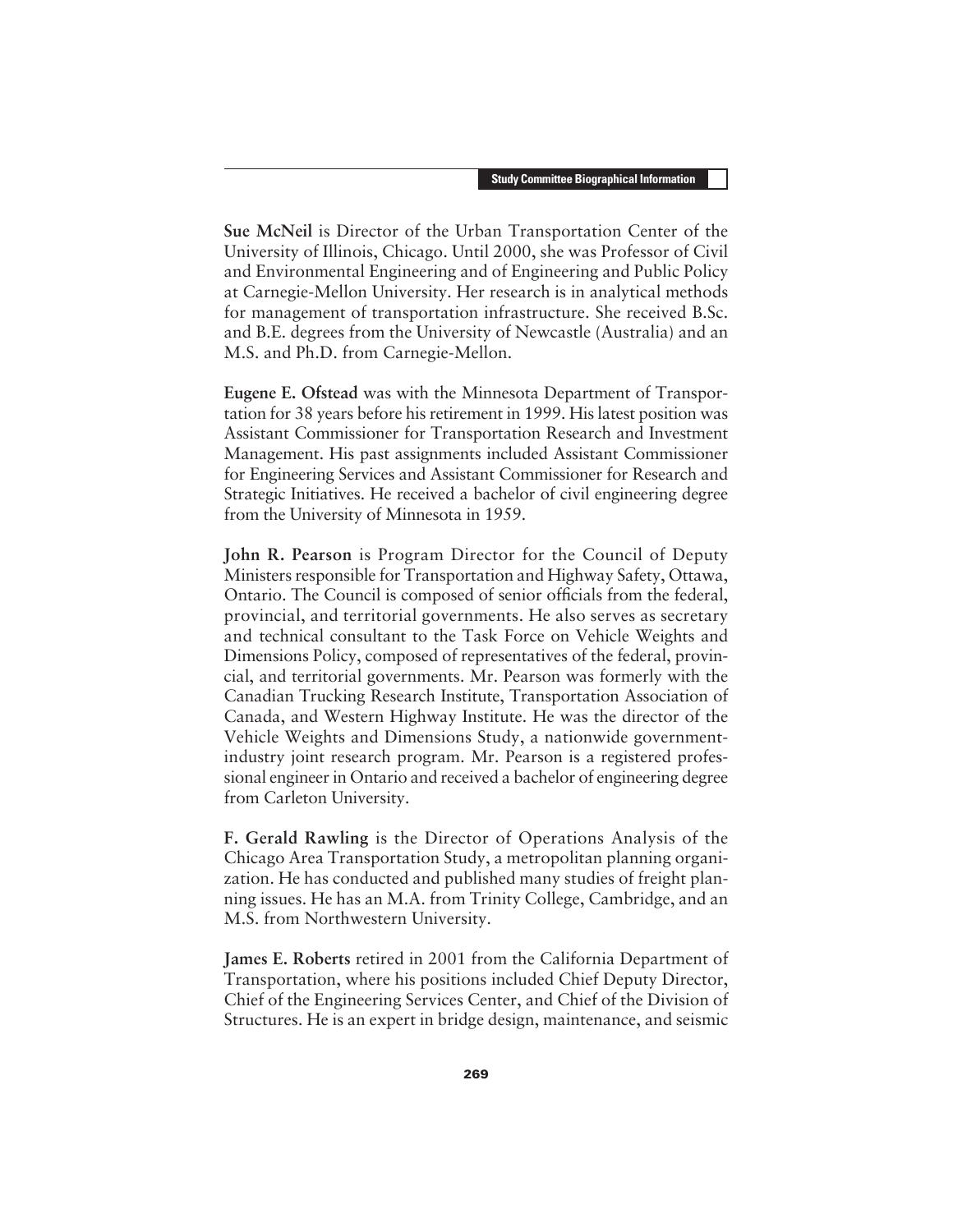**Sue McNeil** is Director of the Urban Transportation Center of the University of Illinois, Chicago. Until 2000, she was Professor of Civil and Environmental Engineering and of Engineering and Public Policy at Carnegie-Mellon University. Her research is in analytical methods for management of transportation infrastructure. She received B.Sc. and B.E. degrees from the University of Newcastle (Australia) and an M.S. and Ph.D. from Carnegie-Mellon.

**Eugene E. Ofstead** was with the Minnesota Department of Transportation for 38 years before his retirement in 1999. His latest position was Assistant Commissioner for Transportation Research and Investment Management. His past assignments included Assistant Commissioner for Engineering Services and Assistant Commissioner for Research and Strategic Initiatives. He received a bachelor of civil engineering degree from the University of Minnesota in 1959.

**John R. Pearson** is Program Director for the Council of Deputy Ministers responsible for Transportation and Highway Safety, Ottawa, Ontario. The Council is composed of senior officials from the federal, provincial, and territorial governments. He also serves as secretary and technical consultant to the Task Force on Vehicle Weights and Dimensions Policy, composed of representatives of the federal, provincial, and territorial governments. Mr. Pearson was formerly with the Canadian Trucking Research Institute, Transportation Association of Canada, and Western Highway Institute. He was the director of the Vehicle Weights and Dimensions Study, a nationwide governmentindustry joint research program. Mr. Pearson is a registered professional engineer in Ontario and received a bachelor of engineering degree from Carleton University.

**F. Gerald Rawling** is the Director of Operations Analysis of the Chicago Area Transportation Study, a metropolitan planning organization. He has conducted and published many studies of freight planning issues. He has an M.A. from Trinity College, Cambridge, and an M.S. from Northwestern University.

**James E. Roberts** retired in 2001 from the California Department of Transportation, where his positions included Chief Deputy Director, Chief of the Engineering Services Center, and Chief of the Division of Structures. He is an expert in bridge design, maintenance, and seismic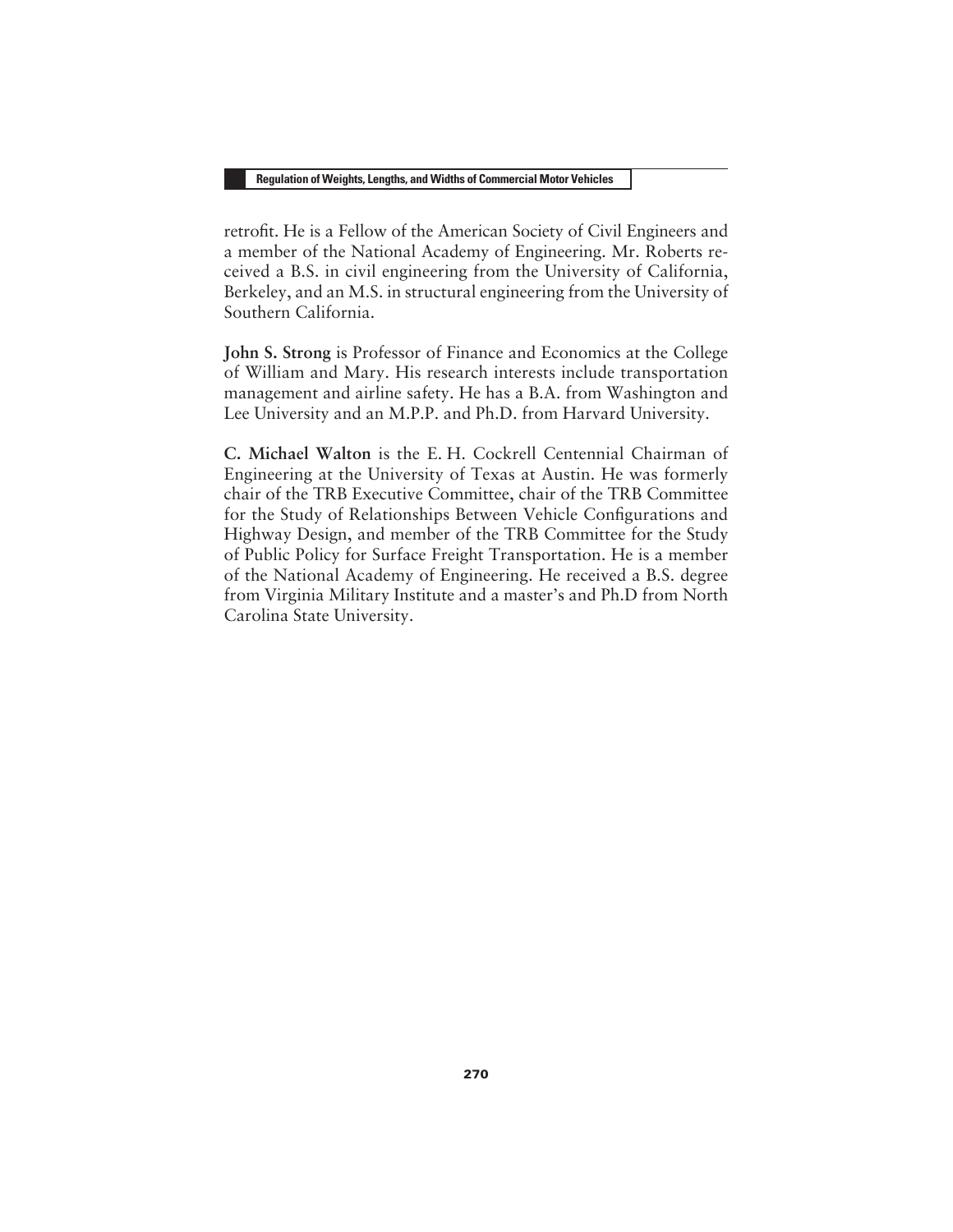retrofit. He is a Fellow of the American Society of Civil Engineers and a member of the National Academy of Engineering. Mr. Roberts received a B.S. in civil engineering from the University of California, Berkeley, and an M.S. in structural engineering from the University of Southern California.

**John S. Strong** is Professor of Finance and Economics at the College of William and Mary. His research interests include transportation management and airline safety. He has a B.A. from Washington and Lee University and an M.P.P. and Ph.D. from Harvard University.

**C. Michael Walton** is the E. H. Cockrell Centennial Chairman of Engineering at the University of Texas at Austin. He was formerly chair of the TRB Executive Committee, chair of the TRB Committee for the Study of Relationships Between Vehicle Configurations and Highway Design, and member of the TRB Committee for the Study of Public Policy for Surface Freight Transportation. He is a member of the National Academy of Engineering. He received a B.S. degree from Virginia Military Institute and a master's and Ph.D from North Carolina State University.